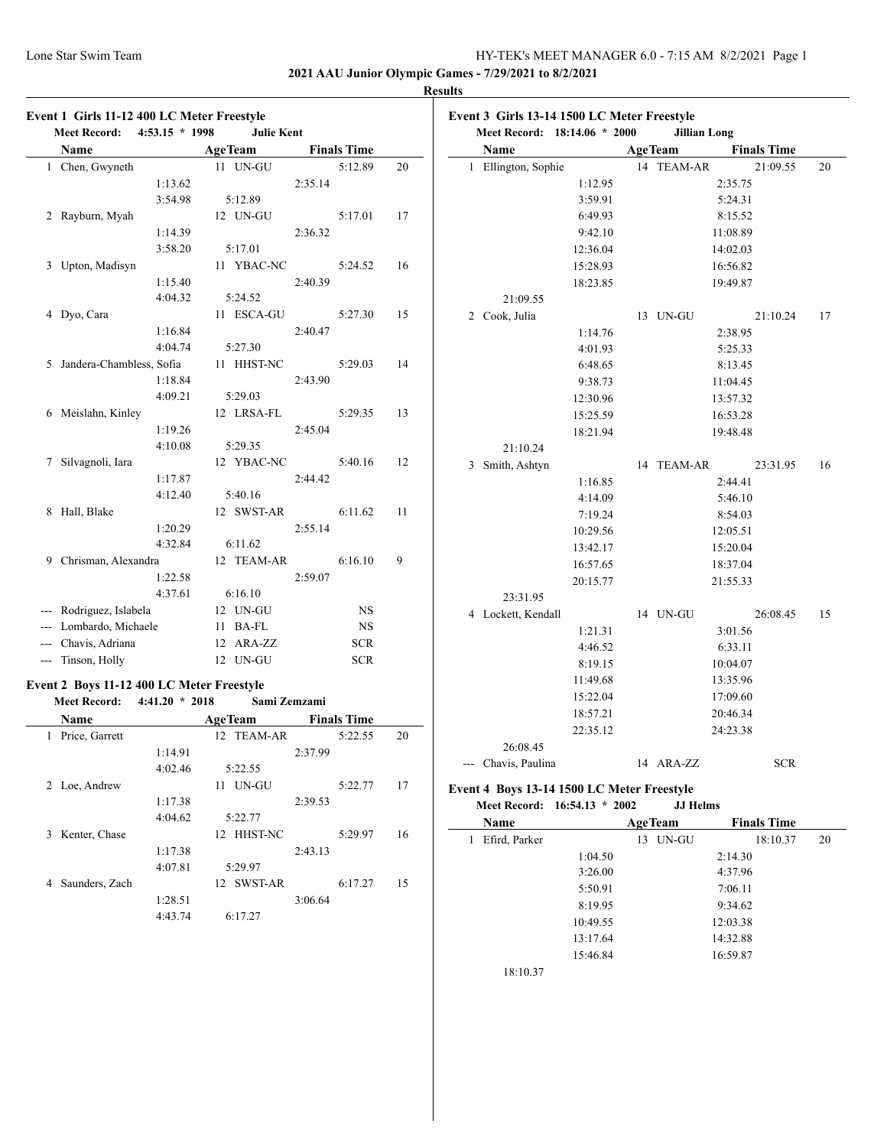**2021 AAU Junior Olympic Games - 7/29/2021 to 8/2/2021**

 $\overline{a}$ 

#### **Results**

|   | Name                                      |    | <b>AgeTeam</b> |              | <b>Finals Time</b> |    |
|---|-------------------------------------------|----|----------------|--------------|--------------------|----|
|   | 1 Chen, Gwyneth                           |    | 11 UN-GU       |              | 5:12.89            | 20 |
|   | 1:13.62                                   |    |                | 2:35.14      |                    |    |
|   | 3:54.98                                   |    | 5:12.89        |              |                    |    |
| 2 | Rayburn, Myah                             |    | 12 UN-GU       |              | 5:17.01            | 17 |
|   | 1:14.39                                   |    |                | 2:36.32      |                    |    |
|   | 3:58.20                                   |    | 5:17.01        |              |                    |    |
|   | 3 Upton, Madisyn                          |    | 11 YBAC-NC     |              | 5:24.52            | 16 |
|   | 1:15.40                                   |    |                | 2:40.39      |                    |    |
|   | 4:04.32                                   |    | 5:24.52        |              |                    |    |
|   | 4 Dyo, Cara                               |    | 11 ESCA-GU     |              | 5:27.30            | 15 |
|   | 1:16.84                                   |    |                | 2:40.47      |                    |    |
|   | 4:04.74                                   |    | 5:27.30        |              |                    |    |
| 5 | Jandera-Chambless, Sofia                  |    | 11 HHST-NC     |              | 5:29.03            | 14 |
|   | 1:18.84                                   |    |                | 2:43.90      |                    |    |
|   | 4:09.21                                   |    | 5:29.03        |              |                    |    |
|   | 6 Meislahn, Kinley                        |    | 12 LRSA-FL     |              | 5:29.35            | 13 |
|   | 1:19.26                                   |    |                | 2:45.04      |                    |    |
|   | 4:10.08                                   |    | 5:29.35        |              |                    |    |
| 7 | Silvagnoli, Iara                          |    | 12 YBAC-NC     |              | 5:40.16            | 12 |
|   | 1:17.87                                   |    |                | 2:44.42      |                    |    |
|   | 4:12.40                                   |    | 5:40.16        |              |                    |    |
| 8 | Hall, Blake                               |    | 12 SWST-AR     |              | 6:11.62            | 11 |
|   | 1:20.29                                   |    |                | 2:55.14      |                    |    |
|   | 4:32.84                                   |    | 6:11.62        |              |                    |    |
|   | 9 Chrisman, Alexandra                     |    | 12 TEAM-AR     |              | 6:16.10            | 9  |
|   | 1:22.58                                   |    |                | 2:59.07      |                    |    |
|   | 4:37.61                                   |    | 6:16.10        |              |                    |    |
|   | --- Rodriguez, Islabela                   |    | 12 UN-GU       |              | NS                 |    |
|   | --- Lombardo, Michaele                    | 11 | BA-FL          |              | <b>NS</b>          |    |
|   | --- Chavis, Adriana                       |    | 12 ARA-ZZ      |              | <b>SCR</b>         |    |
|   | --- Tinson, Holly                         |    | 12 UN-GU       |              | <b>SCR</b>         |    |
|   |                                           |    |                |              |                    |    |
|   | Event 2 Boys 11-12 400 LC Meter Freestyle |    |                |              |                    |    |
|   | $4:41.20 * 2018$<br><b>Meet Record:</b>   |    |                | Sami Zemzami |                    |    |
|   | Name                                      |    | <b>AgeTeam</b> |              | <b>Finals Time</b> |    |
|   | 1 Price, Garrett                          |    | 12 TEAM-AR     |              | 5:22.55            | 20 |
|   | 1:14.91                                   |    |                | 2:37.99      |                    |    |

|                     | 1:14.91 |                      | 2:37.99 |         |    |
|---------------------|---------|----------------------|---------|---------|----|
|                     | 4:02.46 | 5:22.55              |         |         |    |
| Loe, Andrew<br>2    |         | UN-GU<br>11          |         | 5:22.77 | 17 |
|                     | 1:17.38 |                      | 2:39.53 |         |    |
|                     | 4:04.62 | 5:22.77              |         |         |    |
| Kenter, Chase<br>3. |         | <b>HHST-NC</b><br>12 |         | 5:29.97 | 16 |
|                     | 1:17.38 |                      | 2:43.13 |         |    |
|                     | 4:07.81 | 5:29.97              |         |         |    |
| Saunders, Zach<br>4 |         | 12 SWST-AR           |         | 6:17.27 | 15 |
|                     | 1:28.51 |                      | 3:06.64 |         |    |
|                     | 4:43.74 | 6:17.27              |         |         |    |

| <b>AgeTeam</b><br>Ellington, Sophie<br>14 TEAM-AR<br>21:09.55<br>2:35.75<br>1:12.95<br>3:59.91<br>5:24.31<br>6:49.93<br>8:15.52<br>11:08.89<br>9:42.10<br>12:36.04<br>14:02.03<br>15:28.93<br>16:56.82<br>18:23.85<br>19:49.87<br>21:09.55<br>Cook, Julia<br>13 UN-GU<br>21:10.24<br>1:14.76<br>2:38.95<br>4:01.93<br>5:25.33<br>6:48.65<br>8:13.45<br>9:38.73<br>11:04.45<br>12:30.96<br>13:57.32<br>15:25.59<br>16:53.28<br>18:21.94<br>19:48.48<br>21:10.24<br>Smith, Ashtyn<br><b>TEAM-AR</b><br>23:31.95<br>14<br>1:16.85<br>2:44.41<br>5:46.10<br>4:14.09<br>7:19.24<br>8:54.03<br>10:29.56<br>12:05.51<br>13:42.17<br>15:20.04<br>16:57.65<br>18:37.04<br>20:15.77<br>21:55.33<br>23:31.95<br>14 UN-GU<br>26:08.45<br>3:01.56<br>1:21.31<br>4:46.52<br>6:33.11<br>8:19.15<br>10:04.07<br>11:49.68<br>13:35.96<br>15:22.04<br>17:09.60<br>18:57.21<br>20:46.34<br>22:35.12<br>24:23.38<br>26:08.45<br>Chavis, Paulina<br>14 ARA-ZZ<br>SCR |   | Meet Record: 18:14.06 * 2000 | <b>Jillian Long</b> |  |                    |    |
|-------------------------------------------------------------------------------------------------------------------------------------------------------------------------------------------------------------------------------------------------------------------------------------------------------------------------------------------------------------------------------------------------------------------------------------------------------------------------------------------------------------------------------------------------------------------------------------------------------------------------------------------------------------------------------------------------------------------------------------------------------------------------------------------------------------------------------------------------------------------------------------------------------------------------------------------------|---|------------------------------|---------------------|--|--------------------|----|
| 4 Lockett, Kendall                                                                                                                                                                                                                                                                                                                                                                                                                                                                                                                                                                                                                                                                                                                                                                                                                                                                                                                              |   | Name                         |                     |  | <b>Finals Time</b> |    |
|                                                                                                                                                                                                                                                                                                                                                                                                                                                                                                                                                                                                                                                                                                                                                                                                                                                                                                                                                 | 1 |                              |                     |  |                    | 20 |
|                                                                                                                                                                                                                                                                                                                                                                                                                                                                                                                                                                                                                                                                                                                                                                                                                                                                                                                                                 |   |                              |                     |  |                    |    |
|                                                                                                                                                                                                                                                                                                                                                                                                                                                                                                                                                                                                                                                                                                                                                                                                                                                                                                                                                 |   |                              |                     |  |                    |    |
|                                                                                                                                                                                                                                                                                                                                                                                                                                                                                                                                                                                                                                                                                                                                                                                                                                                                                                                                                 |   |                              |                     |  |                    |    |
|                                                                                                                                                                                                                                                                                                                                                                                                                                                                                                                                                                                                                                                                                                                                                                                                                                                                                                                                                 |   |                              |                     |  |                    |    |
|                                                                                                                                                                                                                                                                                                                                                                                                                                                                                                                                                                                                                                                                                                                                                                                                                                                                                                                                                 |   |                              |                     |  |                    |    |
|                                                                                                                                                                                                                                                                                                                                                                                                                                                                                                                                                                                                                                                                                                                                                                                                                                                                                                                                                 |   |                              |                     |  |                    |    |
|                                                                                                                                                                                                                                                                                                                                                                                                                                                                                                                                                                                                                                                                                                                                                                                                                                                                                                                                                 |   |                              |                     |  |                    |    |
|                                                                                                                                                                                                                                                                                                                                                                                                                                                                                                                                                                                                                                                                                                                                                                                                                                                                                                                                                 |   |                              |                     |  |                    |    |
|                                                                                                                                                                                                                                                                                                                                                                                                                                                                                                                                                                                                                                                                                                                                                                                                                                                                                                                                                 | 2 |                              |                     |  |                    | 17 |
|                                                                                                                                                                                                                                                                                                                                                                                                                                                                                                                                                                                                                                                                                                                                                                                                                                                                                                                                                 |   |                              |                     |  |                    |    |
|                                                                                                                                                                                                                                                                                                                                                                                                                                                                                                                                                                                                                                                                                                                                                                                                                                                                                                                                                 |   |                              |                     |  |                    |    |
|                                                                                                                                                                                                                                                                                                                                                                                                                                                                                                                                                                                                                                                                                                                                                                                                                                                                                                                                                 |   |                              |                     |  |                    |    |
|                                                                                                                                                                                                                                                                                                                                                                                                                                                                                                                                                                                                                                                                                                                                                                                                                                                                                                                                                 |   |                              |                     |  |                    |    |
|                                                                                                                                                                                                                                                                                                                                                                                                                                                                                                                                                                                                                                                                                                                                                                                                                                                                                                                                                 |   |                              |                     |  |                    |    |
|                                                                                                                                                                                                                                                                                                                                                                                                                                                                                                                                                                                                                                                                                                                                                                                                                                                                                                                                                 |   |                              |                     |  |                    |    |
|                                                                                                                                                                                                                                                                                                                                                                                                                                                                                                                                                                                                                                                                                                                                                                                                                                                                                                                                                 |   |                              |                     |  |                    |    |
|                                                                                                                                                                                                                                                                                                                                                                                                                                                                                                                                                                                                                                                                                                                                                                                                                                                                                                                                                 |   |                              |                     |  |                    |    |
|                                                                                                                                                                                                                                                                                                                                                                                                                                                                                                                                                                                                                                                                                                                                                                                                                                                                                                                                                 | 3 |                              |                     |  |                    | 16 |
|                                                                                                                                                                                                                                                                                                                                                                                                                                                                                                                                                                                                                                                                                                                                                                                                                                                                                                                                                 |   |                              |                     |  |                    |    |
|                                                                                                                                                                                                                                                                                                                                                                                                                                                                                                                                                                                                                                                                                                                                                                                                                                                                                                                                                 |   |                              |                     |  |                    |    |
|                                                                                                                                                                                                                                                                                                                                                                                                                                                                                                                                                                                                                                                                                                                                                                                                                                                                                                                                                 |   |                              |                     |  |                    |    |
|                                                                                                                                                                                                                                                                                                                                                                                                                                                                                                                                                                                                                                                                                                                                                                                                                                                                                                                                                 |   |                              |                     |  |                    |    |
|                                                                                                                                                                                                                                                                                                                                                                                                                                                                                                                                                                                                                                                                                                                                                                                                                                                                                                                                                 |   |                              |                     |  |                    |    |
|                                                                                                                                                                                                                                                                                                                                                                                                                                                                                                                                                                                                                                                                                                                                                                                                                                                                                                                                                 |   |                              |                     |  |                    |    |
|                                                                                                                                                                                                                                                                                                                                                                                                                                                                                                                                                                                                                                                                                                                                                                                                                                                                                                                                                 |   |                              |                     |  |                    |    |
|                                                                                                                                                                                                                                                                                                                                                                                                                                                                                                                                                                                                                                                                                                                                                                                                                                                                                                                                                 |   |                              |                     |  |                    |    |
|                                                                                                                                                                                                                                                                                                                                                                                                                                                                                                                                                                                                                                                                                                                                                                                                                                                                                                                                                 |   |                              |                     |  |                    | 15 |
|                                                                                                                                                                                                                                                                                                                                                                                                                                                                                                                                                                                                                                                                                                                                                                                                                                                                                                                                                 |   |                              |                     |  |                    |    |
|                                                                                                                                                                                                                                                                                                                                                                                                                                                                                                                                                                                                                                                                                                                                                                                                                                                                                                                                                 |   |                              |                     |  |                    |    |
|                                                                                                                                                                                                                                                                                                                                                                                                                                                                                                                                                                                                                                                                                                                                                                                                                                                                                                                                                 |   |                              |                     |  |                    |    |
|                                                                                                                                                                                                                                                                                                                                                                                                                                                                                                                                                                                                                                                                                                                                                                                                                                                                                                                                                 |   |                              |                     |  |                    |    |
|                                                                                                                                                                                                                                                                                                                                                                                                                                                                                                                                                                                                                                                                                                                                                                                                                                                                                                                                                 |   |                              |                     |  |                    |    |
|                                                                                                                                                                                                                                                                                                                                                                                                                                                                                                                                                                                                                                                                                                                                                                                                                                                                                                                                                 |   |                              |                     |  |                    |    |
|                                                                                                                                                                                                                                                                                                                                                                                                                                                                                                                                                                                                                                                                                                                                                                                                                                                                                                                                                 |   |                              |                     |  |                    |    |
|                                                                                                                                                                                                                                                                                                                                                                                                                                                                                                                                                                                                                                                                                                                                                                                                                                                                                                                                                 |   |                              |                     |  |                    |    |
|                                                                                                                                                                                                                                                                                                                                                                                                                                                                                                                                                                                                                                                                                                                                                                                                                                                                                                                                                 |   |                              |                     |  |                    |    |

## **Event 4 Boys 13-14 1500 LC Meter Freestyle<br>Meet Record: 16:54.13 \* 2002 JJ Helms Meet Record: 16:54.13 \* 2002**

| Name               |          | <b>AgeTeam</b> | <b>Finals Time</b> |    |
|--------------------|----------|----------------|--------------------|----|
| Efird, Parker<br>L |          | UN-GU<br>13    | 18:10.37           | 20 |
|                    | 1:04.50  |                | 2:14.30            |    |
|                    | 3:26.00  |                | 4:37.96            |    |
|                    | 5:50.91  |                | 7:06.11            |    |
|                    | 8:19.95  |                | 9:34.62            |    |
|                    | 10:49.55 |                | 12:03.38           |    |
|                    | 13:17.64 |                | 14:32.88           |    |
|                    | 15:46.84 |                | 16:59.87           |    |
| 10.10 $27$         |          |                |                    |    |

18:10.37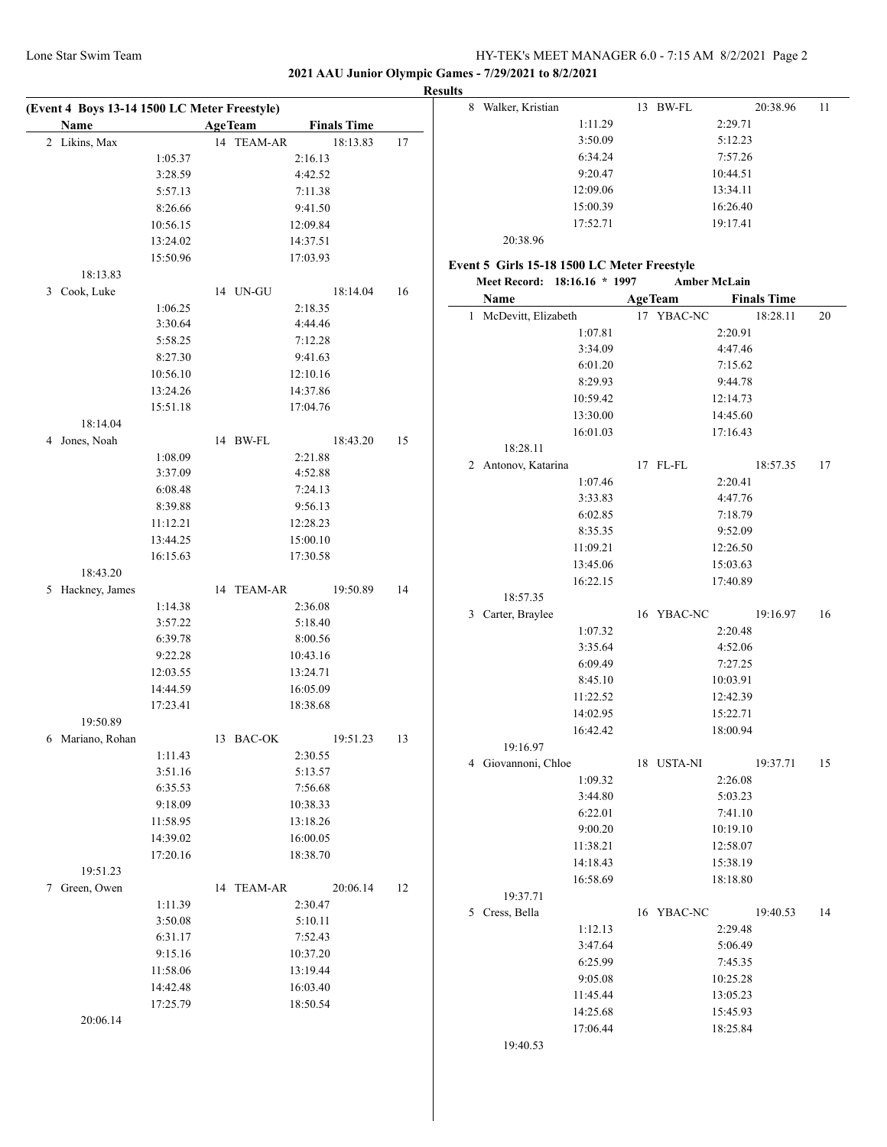13 BW-FL 20:38.96 11

**2021 AAU Junior Olympic Games - 7/29/2021 to 8/2/2021**

| (Event 4 Boys 13-14 1500 LC Meter Freestyle) |                      |                |                      |     | <b>Results</b><br>8 Walker, Kristian        | 13 BW-FL               |
|----------------------------------------------|----------------------|----------------|----------------------|-----|---------------------------------------------|------------------------|
| Name                                         |                      | <b>AgeTeam</b> | <b>Finals Time</b>   |     | 1:11.29                                     | 2:29.71                |
| 2 Likins, Max                                |                      | 14 TEAM-AR     | 18:13.83             | 17  | 3:50.09                                     | 5:12.23                |
|                                              | 1:05.37              |                | 2:16.13              |     | 6:34.24                                     | 7:57.26                |
|                                              | 3:28.59              |                | 4:42.52              |     | 9:20.47                                     | 10:44.51               |
|                                              | 5:57.13              |                | 7:11.38              |     | 12:09.06                                    | 13:34.11               |
|                                              | 8:26.66              |                | 9:41.50              |     | 15:00.39                                    | 16:26.40               |
|                                              | 10:56.15             |                | 12:09.84             |     | 17:52.71                                    | 19:17.41               |
|                                              | 13:24.02             |                | 14:37.51             |     | 20:38.96                                    |                        |
|                                              | 15:50.96             |                | 17:03.93             |     |                                             |                        |
| 18:13.83                                     |                      |                |                      |     | Event 5 Girls 15-18 1500 LC Meter Freestyle |                        |
| 3 Cook, Luke                                 |                      | 14 UN-GU       | 18:14.04             | 16  | Meet Record: 18:16.16 * 1997                | <b>Amber McLain</b>    |
|                                              | 1:06.25              |                | 2:18.35              |     | Name                                        | <b>AgeTeam</b><br>Fina |
|                                              | 3:30.64              |                | 4:44.46              |     | 1 McDevitt, Elizabeth                       | 17 YBAC-NC             |
|                                              | 5:58.25              |                | 7:12.28              |     | 1:07.81                                     | 2:20.91                |
|                                              | 8:27.30              |                | 9:41.63              |     | 3:34.09                                     | 4:47.46                |
|                                              | 10:56.10             |                | 12:10.16             |     | 6:01.20                                     | 7:15.62                |
|                                              | 13:24.26             |                | 14:37.86             |     | 8:29.93                                     | 9:44.78                |
|                                              | 15:51.18             |                | 17:04.76             |     | 10:59.42                                    | 12:14.73               |
| 18:14.04                                     |                      |                |                      |     | 13:30.00                                    | 14:45.60               |
| 4 Jones, Noah                                |                      | 14 BW-FL       | 18:43.20             | 15  | 16:01.03                                    | 17:16.43               |
|                                              | 1:08.09              |                | 2:21.88              |     | 18:28.11                                    |                        |
|                                              | 3:37.09              |                | 4:52.88              |     | 2 Antonov, Katarina                         | 17 FL-FL               |
|                                              | 6:08.48              |                | 7:24.13              |     | 1:07.46                                     | 2:20.41                |
|                                              | 8:39.88              |                | 9:56.13              |     | 3:33.83                                     | 4:47.76                |
|                                              | 11:12.21             |                | 12:28.23             |     | 6:02.85                                     | 7:18.79                |
|                                              | 13:44.25             |                | 15:00.10             |     | 8:35.35                                     | 9:52.09                |
|                                              | 16:15.63             |                | 17:30.58             |     | 11:09.21                                    | 12:26.50               |
| 18:43.20                                     |                      |                |                      |     | 13:45.06                                    | 15:03.63               |
| 5 Hackney, James                             |                      | 14 TEAM-AR     | 19:50.89             | 14  | 16:22.15                                    | 17:40.89               |
|                                              | 1:14.38              |                | 2:36.08              |     | 18:57.35                                    |                        |
|                                              | 3:57.22              |                | 5:18.40              |     | 3 Carter, Braylee                           | 16 YBAC-NC             |
|                                              | 6:39.78              |                | 8:00.56              |     | 1:07.32                                     | 2:20.48                |
|                                              | 9:22.28              |                | 10:43.16             |     | 3:35.64                                     | 4:52.06                |
|                                              | 12:03.55             |                | 13:24.71             |     | 6:09.49                                     | 7:27.25                |
|                                              | 14:44.59             |                | 16:05.09             |     | 8:45.10                                     | 10:03.91               |
|                                              | 17:23.41             |                | 18:38.68             |     | 11:22.52                                    | 12:42.39               |
| 19:50.89                                     |                      |                |                      |     | 14:02.95                                    | 15:22.71               |
| 6 Mariano, Rohan                             |                      | 13 BAC-OK      | 19:51.23             | -13 | 16:42.42                                    | 18:00.94               |
|                                              | 1:11.43              |                | 2:30.55              |     | 19:16.97                                    |                        |
|                                              | 3:51.16              |                | 5:13.57              |     | 4 Giovannoni, Chloe                         | 18 USTA-NI             |
|                                              | 6:35.53              |                | 7:56.68              |     | 1:09.32                                     | 2:26.08                |
|                                              | 9:18.09              |                | 10:38.33             |     | 3:44.80                                     | 5:03.23                |
|                                              | 11:58.95             |                | 13:18.26             |     | 6:22.01                                     | 7:41.10                |
|                                              |                      |                |                      |     | 9:00.20                                     | 10:19.10               |
|                                              | 14:39.02<br>17:20.16 |                | 16:00.05<br>18:38.70 |     | 11:38.21                                    | 12:58.07               |
| 19:51.23                                     |                      |                |                      |     | 14:18.43                                    | 15:38.19               |
|                                              |                      |                |                      |     | 16:58.69                                    | 18:18.80               |
| 7 Green, Owen                                |                      | 14 TEAM-AR     | 20:06.14             | 12  | 19:37.71                                    |                        |
|                                              | 1:11.39              |                | 2:30.47              |     | 5 Cress, Bella                              | 16 YBAC-NC             |
|                                              | 3:50.08              |                | 5:10.11              |     | 1:12.13                                     | 2:29.48                |
|                                              | 6:31.17              |                | 7:52.43              |     | 3:47.64                                     | 5:06.49                |
|                                              | 9:15.16              |                | 10:37.20             |     | 6:25.99                                     | 7:45.35                |
|                                              | 11:58.06             |                | 13:19.44             |     | 9:05.08                                     | 10:25.28               |
|                                              | 14:42.48             |                | 16:03.40             |     | 11:45.44                                    | 13:05.23               |
|                                              | 17:25.79             |                | 18:50.54             |     | 14:25.68                                    | 15:45.93               |
| 20:06.14                                     |                      |                |                      |     | 17:06.44                                    | 18:25.84               |
|                                              |                      |                |                      |     |                                             |                        |

|   | 9:20.47                                                                     |    |                              | 10:44.51             |                                |    |
|---|-----------------------------------------------------------------------------|----|------------------------------|----------------------|--------------------------------|----|
|   | 12:09.06                                                                    |    |                              | 13:34.11             |                                |    |
|   | 15:00.39                                                                    |    |                              | 16:26.40             |                                |    |
|   | 17:52.71                                                                    |    |                              | 19:17.41             |                                |    |
|   | 20:38.96                                                                    |    |                              |                      |                                |    |
|   |                                                                             |    |                              |                      |                                |    |
|   | Event 5 Girls 15-18 1500 LC Meter Freestyle<br>Meet Record: 18:16.16 * 1997 |    |                              | <b>Amber McLain</b>  |                                |    |
|   |                                                                             |    |                              |                      |                                |    |
| 1 | Name<br>McDevitt, Elizabeth                                                 |    | <b>AgeTeam</b><br>17 YBAC-NC |                      | <b>Finals Time</b><br>18:28.11 | 20 |
|   |                                                                             |    |                              | 2:20.91              |                                |    |
|   | 1:07.81<br>3:34.09                                                          |    |                              | 4:47.46              |                                |    |
|   | 6:01.20                                                                     |    |                              | 7:15.62              |                                |    |
|   | 8:29.93                                                                     |    |                              | 9:44.78              |                                |    |
|   |                                                                             |    |                              |                      |                                |    |
|   | 10:59.42<br>13:30.00                                                        |    |                              | 12:14.73<br>14:45.60 |                                |    |
|   |                                                                             |    |                              |                      |                                |    |
|   | 16:01.03<br>18:28.11                                                        |    |                              | 17:16.43             |                                |    |
| 2 | Antonov, Katarina                                                           |    | 17 FL-FL                     |                      | 18:57.35                       | 17 |
|   | 1:07.46                                                                     |    |                              | 2:20.41              |                                |    |
|   | 3:33.83                                                                     |    |                              | 4:47.76              |                                |    |
|   | 6:02.85                                                                     |    |                              | 7:18.79              |                                |    |
|   | 8:35.35                                                                     |    |                              | 9:52.09              |                                |    |
|   | 11:09.21                                                                    |    |                              | 12:26.50             |                                |    |
|   | 13:45.06                                                                    |    |                              | 15:03.63             |                                |    |
|   | 16:22.15                                                                    |    |                              | 17:40.89             |                                |    |
|   | 18:57.35                                                                    |    |                              |                      |                                |    |
| 3 | Carter, Braylee                                                             |    | 16 YBAC-NC                   |                      | 19:16.97                       | 16 |
|   | 1:07.32                                                                     |    |                              | 2:20.48              |                                |    |
|   | 3:35.64                                                                     |    |                              | 4:52.06              |                                |    |
|   | 6:09.49                                                                     |    |                              | 7:27.25              |                                |    |
|   | 8:45.10                                                                     |    |                              | 10:03.91             |                                |    |
|   | 11:22.52                                                                    |    |                              | 12:42.39             |                                |    |
|   | 14:02.95                                                                    |    |                              | 15:22.71             |                                |    |
|   | 16:42.42                                                                    |    |                              | 18:00.94             |                                |    |
|   | 19:16.97                                                                    |    |                              |                      |                                |    |
|   | 4 Giovannoni, Chloe                                                         |    | 18 USTA-NI                   |                      | 19:37.71                       | 15 |
|   | 1:09.32                                                                     |    |                              | 2:26.08              |                                |    |
|   | 3:44.80                                                                     |    |                              | 5:03.23              |                                |    |
|   | 6:22.01                                                                     |    |                              | 7:41.10              |                                |    |
|   | 9:00.20                                                                     |    |                              | 10:19.10             |                                |    |
|   | 11:38.21                                                                    |    |                              | 12:58.07             |                                |    |
|   | 14:18.43                                                                    |    |                              | 15:38.19             |                                |    |
|   | 16:58.69                                                                    |    |                              | 18:18.80             |                                |    |
|   | 19:37.71                                                                    |    |                              |                      |                                |    |
| 5 | Cress, Bella                                                                | 16 | YBAC-NC                      |                      | 19:40.53                       | 14 |
|   | 1:12.13                                                                     |    |                              | 2:29.48              |                                |    |
|   | 3:47.64                                                                     |    |                              | 5:06.49              |                                |    |
|   | 6:25.99                                                                     |    |                              | 7:45.35              |                                |    |
|   | 9:05.08                                                                     |    |                              | 10:25.28             |                                |    |

19:40.53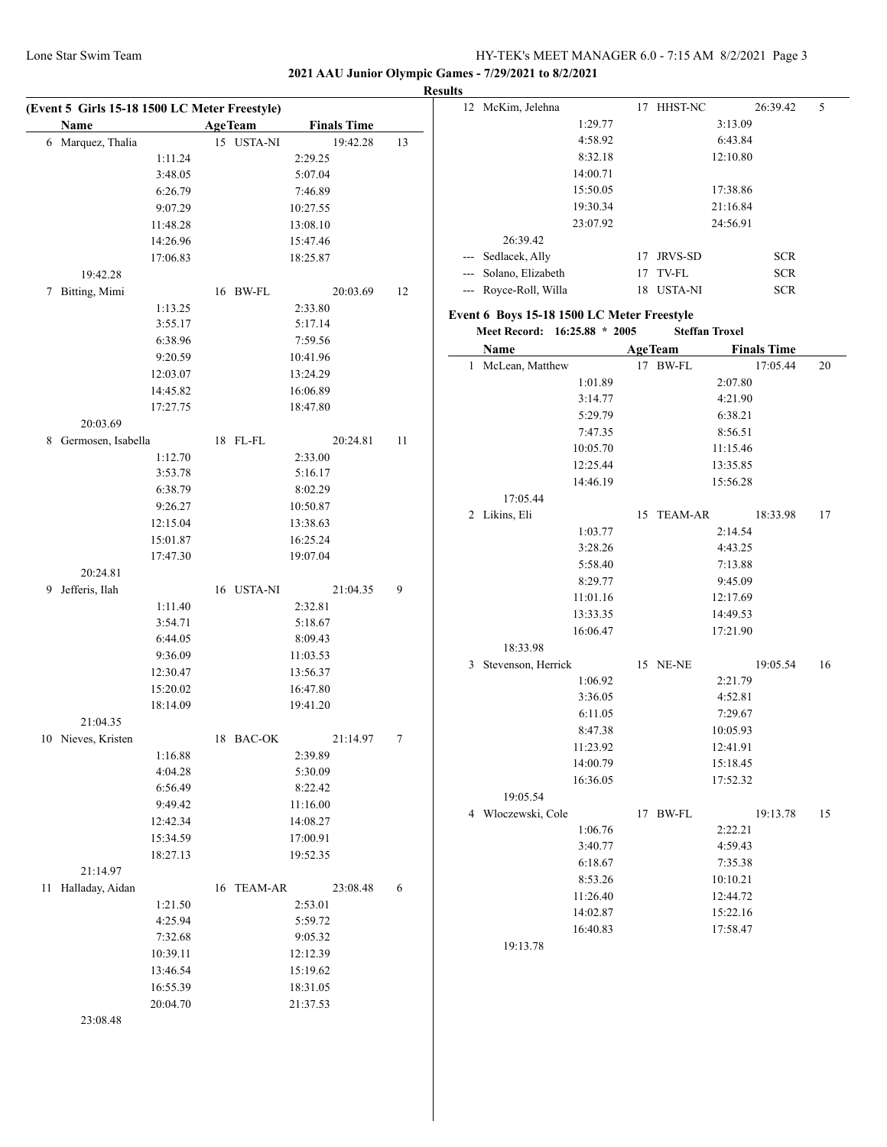**2021 AAU Junior Olympic Games - 7/29/2021 to 8/2/2021**

|    | Name                 | <b>AgeTeam</b> | <b>Finals Time</b>   |    |
|----|----------------------|----------------|----------------------|----|
|    | 6 Marquez, Thalia    | 15 USTA-NI     | 19:42.28             | 13 |
|    | 1:11.24              |                | 2:29.25              |    |
|    | 3:48.05              |                | 5:07.04              |    |
|    | 6:26.79              |                | 7:46.89              |    |
|    | 9:07.29              |                | 10:27.55             |    |
|    | 11:48.28             |                | 13:08.10             |    |
|    | 14:26.96             |                | 15:47.46             |    |
|    | 17:06.83             |                | 18:25.87             |    |
|    | 19:42.28             |                |                      |    |
| 7  | Bitting, Mimi        | 16 BW-FL       | 20:03.69             | 12 |
|    | 1:13.25              |                | 2:33.80              |    |
|    | 3:55.17              |                | 5:17.14              |    |
|    | 6:38.96              |                | 7:59.56              |    |
|    | 9:20.59              |                | 10:41.96             |    |
|    | 12:03.07             |                | 13:24.29             |    |
|    | 14:45.82             |                | 16:06.89             |    |
|    | 17:27.75             |                | 18:47.80             |    |
|    | 20:03.69             |                |                      |    |
| 8  | Germosen, Isabella   | 18 FL-FL       | 20:24.81<br>2:33.00  | 11 |
|    | 1:12.70              |                |                      |    |
|    | 3:53.78<br>6:38.79   |                | 5:16.17<br>8:02.29   |    |
|    |                      |                |                      |    |
|    | 9:26.27<br>12:15.04  |                | 10:50.87<br>13:38.63 |    |
|    | 15:01.87             |                | 16:25.24             |    |
|    |                      |                | 19:07.04             |    |
|    | 17:47.30<br>20:24.81 |                |                      |    |
| 9  | Jefferis, Ilah       | 16 USTA-NI     | 21:04.35             | 9  |
|    | 1:11.40              |                | 2:32.81              |    |
|    | 3:54.71              |                | 5:18.67              |    |
|    | 6:44.05              |                | 8:09.43              |    |
|    | 9:36.09              |                | 11:03.53             |    |
|    | 12:30.47             |                | 13:56.37             |    |
|    | 15:20.02             |                | 16:47.80             |    |
|    | 18:14.09             |                | 19:41.20             |    |
|    | 21:04.35             |                |                      |    |
|    | 10 Nieves, Kristen   | 18 BAC-OK      | 21:14.97             | 7  |
|    | 1:16.88              |                | 2:39.89              |    |
|    | 4:04.28              |                | 5:30.09              |    |
|    | 6:56.49              |                | 8:22.42              |    |
|    | 9:49.42              |                | 11:16.00             |    |
|    | 12:42.34             |                | 14:08.27             |    |
|    | 15:34.59             |                | 17:00.91             |    |
|    | 18:27.13             |                | 19:52.35             |    |
|    | 21:14.97             |                |                      |    |
| 11 | Halladay, Aidan      | 16 TEAM-AR     | 23:08.48             | 6  |
|    | 1:21.50              |                | 2:53.01              |    |
|    | 4:25.94              |                | 5:59.72              |    |
|    | 7:32.68              |                | 9:05.32              |    |
|    | 10:39.11             |                | 12:12.39             |    |
|    | 13:46.54             |                | 15:19.62             |    |
|    | 16:55.39             |                | 18:31.05             |    |
|    | 20:04.70             |                | 21:37.53             |    |
|    |                      |                |                      |    |

| 12  | McKim, Jelehna                              | 17 | HHST-NC               | 26:39.42           | 5  |
|-----|---------------------------------------------|----|-----------------------|--------------------|----|
|     | 1:29.77                                     |    |                       | 3:13.09            |    |
|     | 4:58.92                                     |    |                       | 6:43.84            |    |
|     | 8:32.18                                     |    |                       | 12:10.80           |    |
|     | 14:00.71                                    |    |                       |                    |    |
|     | 15:50.05                                    |    |                       | 17:38.86           |    |
|     | 19:30.34                                    |    |                       | 21:16.84           |    |
|     | 23:07.92                                    |    |                       | 24:56.91           |    |
|     | 26:39.42                                    |    |                       |                    |    |
| --- | Sedlacek, Ally                              |    | 17 JRVS-SD            | <b>SCR</b>         |    |
|     | --- Solano, Elizabeth                       |    | 17 TV-FL              | <b>SCR</b>         |    |
| --- | Royce-Roll, Willa                           |    | 18 USTA-NI            | <b>SCR</b>         |    |
|     | Event 6  Boys 15-18 1500 LC Meter Freestyle |    |                       |                    |    |
|     | Meet Record: 16:25.88 * 2005                |    | <b>Steffan Troxel</b> |                    |    |
|     | Name                                        |    | <b>AgeTeam</b>        | <b>Finals Time</b> |    |
| 1   | McLean, Matthew                             |    | 17 BW-FL              | 17:05.44           | 20 |
|     | 1:01.89                                     |    |                       | 2:07.80            |    |
|     | 3:14.77                                     |    |                       | 4:21.90            |    |
|     | 5:29.79                                     |    |                       | 6:38.21            |    |
|     | 7:47.35                                     |    |                       | 8:56.51            |    |
|     | 10:05.70                                    |    |                       | 11:15.46           |    |
|     | 12:25.44                                    |    |                       | 13:35.85           |    |
|     | 14:46.19                                    |    |                       | 15:56.28           |    |
|     | 17:05.44                                    |    |                       |                    |    |
| 2   | Likins, Eli                                 | 15 | <b>TEAM-AR</b>        | 18:33.98           | 17 |
|     | 1:03.77                                     |    |                       | 2:14.54            |    |
|     | 3:28.26                                     |    |                       | 4:43.25            |    |
|     | 5:58.40                                     |    |                       | 7:13.88            |    |
|     | 8:29.77                                     |    |                       | 9:45.09            |    |
|     | 11:01.16                                    |    |                       | 12:17.69           |    |
|     | 13:33.35                                    |    |                       | 14:49.53           |    |
|     | 16:06.47                                    |    |                       | 17:21.90           |    |
|     | 18:33.98                                    |    |                       |                    |    |
| 3   | Stevenson, Herrick                          |    | 15 NE-NE              | 19:05.54           | 16 |
|     | 1:06.92                                     |    |                       | 2:21.79            |    |
|     | 3:36.05                                     |    |                       | 4:52.81            |    |
|     | 6:11.05                                     |    |                       | 7:29.67            |    |
|     | 8:47.38                                     |    |                       | 10:05.93           |    |
|     | 11:23.92                                    |    |                       | 12:41.91           |    |
|     | 14:00.79                                    |    |                       | 15:18.45           |    |
|     | 16:36.05                                    |    |                       | 17:52.32           |    |
|     | 19:05.54                                    |    |                       |                    |    |
|     | 4 Włoczewski, Cole                          | 17 | BW-FL                 | 19:13.78           | 15 |
|     | 1:06.76                                     |    |                       | 2:22.21            |    |
|     | 3:40.77                                     |    |                       | 4:59.43            |    |
|     | 6:18.67                                     |    |                       | 7:35.38            |    |
|     | 8:53.26                                     |    |                       | 10:10.21           |    |
|     | 11:26.40                                    |    |                       | 12:44.72           |    |
|     | 14:02.87                                    |    |                       | 15:22.16           |    |
|     | 16:40.83                                    |    |                       | 17:58.47           |    |
|     | 19:13.78                                    |    |                       |                    |    |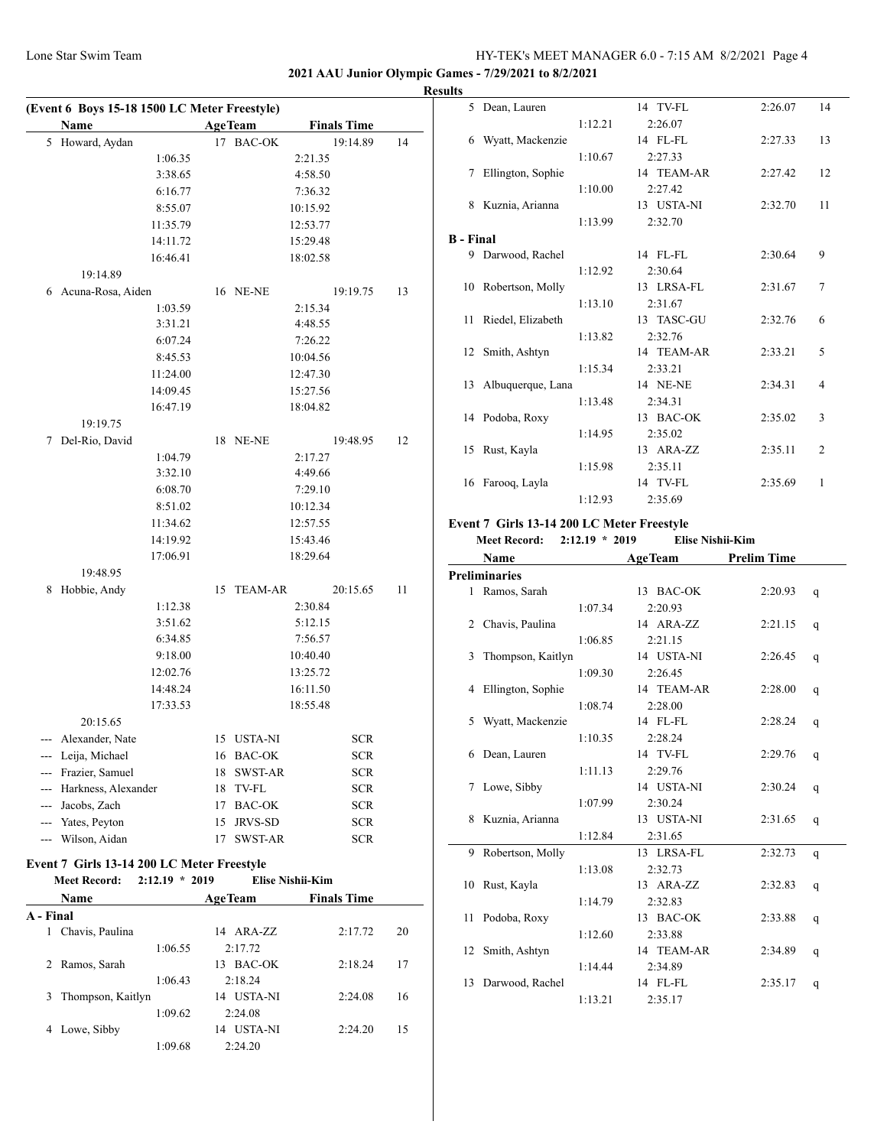## **2021 AAU Junior Olympic Games - 7/29/2021 to 8/2/2021**

|   | Name                                       |    | <b>AgeTeam</b> | <b>Finals Time</b> |    |
|---|--------------------------------------------|----|----------------|--------------------|----|
| 5 | Howard, Aydan                              | 17 | <b>BAC-OK</b>  | 19:14.89           | 14 |
|   | 1:06.35                                    |    |                | 2:21.35            |    |
|   | 3:38.65                                    |    |                | 4:58.50            |    |
|   | 6:16.77                                    |    |                | 7:36.32            |    |
|   | 8:55.07                                    |    |                | 10:15.92           |    |
|   | 11:35.79                                   |    |                | 12:53.77           |    |
|   | 14:11.72                                   |    |                | 15:29.48           |    |
|   | 16:46.41                                   |    |                | 18:02.58           |    |
|   | 19:14.89                                   |    |                |                    |    |
| 6 | Acuna-Rosa, Aiden                          |    | 16 NE-NE       | 19:19.75           | 13 |
|   | 1:03.59                                    |    |                | 2:15.34            |    |
|   | 3:31.21                                    |    |                | 4:48.55            |    |
|   | 6:07.24                                    |    |                | 7:26.22            |    |
|   | 8:45.53                                    |    |                | 10:04.56           |    |
|   | 11:24.00                                   |    |                | 12:47.30           |    |
|   | 14:09.45                                   |    |                | 15:27.56           |    |
|   | 16:47.19                                   |    |                | 18:04.82           |    |
|   | 19:19.75                                   |    |                |                    |    |
| 7 | Del-Rio, David                             |    | 18 NE-NE       | 19:48.95           | 12 |
|   | 1:04.79                                    |    |                | 2:17.27            |    |
|   | 3:32.10                                    |    |                | 4:49.66            |    |
|   | 6:08.70                                    |    |                | 7:29.10            |    |
|   | 8:51.02                                    |    |                | 10:12.34           |    |
|   | 11:34.62                                   |    |                | 12:57.55           |    |
|   | 14:19.92                                   |    |                | 15:43.46           |    |
|   | 17:06.91                                   |    |                | 18:29.64           |    |
|   | 19:48.95                                   |    |                |                    |    |
| 8 | Hobbie, Andy                               | 15 | <b>TEAM-AR</b> | 20:15.65           | 11 |
|   | 1:12.38                                    |    |                | 2:30.84            |    |
|   | 3:51.62                                    |    |                | 5:12.15            |    |
|   | 6:34.85                                    |    |                | 7:56.57            |    |
|   | 9:18.00                                    |    |                | 10:40.40           |    |
|   | 12:02.76                                   |    |                | 13:25.72           |    |
|   | 14:48.24                                   |    |                | 16:11.50           |    |
|   | 17:33.53                                   |    |                | 18:55.48           |    |
|   | 20:15.65                                   |    |                |                    |    |
|   | --- Alexander, Nate                        |    | 15 USTA-NI     | <b>SCR</b>         |    |
|   | --- Leija, Michael                         |    | 16 BAC-OK      | SCR                |    |
|   | --- Frazier, Samuel                        |    | 18 SWST-AR     | SCR                |    |
|   | --- Harkness, Alexander                    |    | 18 TV-FL       | <b>SCR</b>         |    |
|   | --- Jacobs, Zach                           |    | 17 BAC-OK      | <b>SCR</b>         |    |
|   | --- Yates, Peyton                          | 15 | JRVS-SD        | <b>SCR</b>         |    |
|   | --- Wilson, Aidan                          | 17 | SWST-AR        | SCR                |    |
|   | Event 7 Girls 13-14 200 LC Meter Freestyle |    |                |                    |    |

|           | $2:12.19 * 2019$<br><b>Meet Record:</b> |                      | Elise Nishii-Kim   |    |
|-----------|-----------------------------------------|----------------------|--------------------|----|
|           | Name                                    | <b>AgeTeam</b>       | <b>Finals Time</b> |    |
| A - Final |                                         |                      |                    |    |
| 1         | Chavis, Paulina                         | 14 ARA-ZZ            | 2:17.72            | 20 |
|           | 1:06.55                                 | 2:17.72              |                    |    |
| 2.        | Ramos, Sarah                            | BAC-OK<br>13         | 2:18.24            | 17 |
|           | 1:06.43                                 | 2:18.24              |                    |    |
|           | 3 Thompson, Kaitlyn                     | USTA-NI<br>14        | 2:24.08            | 16 |
|           | 1:09.62                                 | 2:24.08              |                    |    |
| 4         | Lowe, Sibby                             | <b>USTA-NI</b><br>14 | 2:24.20            | 15 |
|           | 1:09.68                                 | 2:24.20              |                    |    |

| <b>Results</b>   |                      |         |            |         |                |
|------------------|----------------------|---------|------------|---------|----------------|
|                  | 5 Dean, Lauren       |         | 14 TV-FL   | 2:26.07 | 14             |
|                  |                      | 1:12.21 | 2:26.07    |         |                |
|                  | 6 Wyatt, Mackenzie   |         | 14 FL-FL   | 2:27.33 | 13             |
|                  |                      | 1:10.67 | 2:27.33    |         |                |
|                  | 7 Ellington, Sophie  |         | 14 TEAM-AR | 2:27.42 | 12             |
|                  |                      | 1:10.00 | 2:27.42    |         |                |
|                  | 8 Kuznia, Arianna    |         | 13 USTA-NI | 2:32.70 | 11             |
|                  |                      | 1:13.99 | 2:32.70    |         |                |
| <b>B</b> - Final |                      |         |            |         |                |
|                  | 9 Darwood, Rachel    |         | 14 FL-FL   | 2:30.64 | 9              |
|                  |                      | 1:12.92 | 2:30.64    |         |                |
|                  | 10 Robertson, Molly  |         | 13 LRSA-FL | 2:31.67 | 7              |
|                  |                      | 1:13.10 | 2:31.67    |         |                |
|                  | 11 Riedel, Elizabeth |         | 13 TASC-GU | 2:32.76 | 6              |
|                  |                      | 1:13.82 | 2:32.76    |         |                |
|                  | 12 Smith, Ashtyn     |         | 14 TEAM-AR | 2:33.21 | 5              |
|                  |                      | 1:15.34 | 2:33.21    |         |                |
|                  | 13 Albuquerque, Lana |         | 14 NE-NE   | 2:34.31 | 4              |
|                  |                      | 1:13.48 | 2:34.31    |         |                |
|                  | 14 Podoba, Roxy      |         | 13 BAC-OK  | 2:35.02 | 3              |
|                  |                      | 1:14.95 | 2:35.02    |         |                |
|                  | 15 Rust, Kayla       |         | 13 ARA-ZZ  | 2:35.11 | $\overline{2}$ |
|                  |                      | 1:15.98 | 2:35.11    |         |                |
|                  | 16 Farooq, Layla     |         | 14 TV-FL   | 2:35.69 | 1              |
|                  |                      | 1:12.93 | 2:35.69    |         |                |

#### **Event 7 Girls 13-14 200 LC Meter Freestyle**

#### **Meet Record: 2:12.19 \* 2019 Elise Nishii-Kim**

|    | Name                 |         | <b>AgeTeam</b> | <b>Prelim Time</b> |   |
|----|----------------------|---------|----------------|--------------------|---|
|    | <b>Preliminaries</b> |         |                |                    |   |
|    | 1 Ramos, Sarah       |         | 13 BAC-OK      | 2:20.93            | q |
|    |                      | 1:07.34 | 2:20.93        |                    |   |
|    | 2 Chavis, Paulina    |         | 14 ARA-ZZ      | 2:21.15            | q |
|    |                      | 1:06.85 | 2:21.15        |                    |   |
| 3  | Thompson, Kaitlyn    |         | 14 USTA-NI     | 2:26.45            | q |
|    |                      | 1:09.30 | 2:26.45        |                    |   |
| 4  | Ellington, Sophie    |         | 14 TEAM-AR     | 2:28.00            | q |
|    |                      | 1:08.74 | 2:28.00        |                    |   |
| 5. | Wyatt, Mackenzie     |         | 14 FL-FL       | 2:28.24            | q |
|    |                      | 1:10.35 | 2:28.24        |                    |   |
| 6. | Dean, Lauren         |         | 14 TV-FL       | 2:29.76            | q |
|    |                      | 1:11.13 | 2:29.76        |                    |   |
| 7  | Lowe, Sibby          |         | 14 USTA-NI     | 2:30.24            | q |
|    |                      | 1:07.99 | 2:30.24        |                    |   |
| 8. | Kuznia, Arianna      |         | 13 USTA-NI     | 2:31.65            | q |
|    |                      | 1:12.84 | 2:31.65        |                    |   |
| 9  | Robertson, Molly     |         | 13 LRSA-FL     | 2:32.73            | q |
|    |                      | 1:13.08 | 2:32.73        |                    |   |
|    | 10 Rust, Kayla       |         | 13 ARA-ZZ      | 2:32.83            | q |
|    |                      | 1:14.79 | 2:32.83        |                    |   |
| 11 | Podoba, Roxy         |         | 13 BAC-OK      | 2:33.88            | q |
|    |                      | 1:12.60 | 2:33.88        |                    |   |
| 12 | Smith, Ashtyn        |         | 14 TEAM-AR     | 2:34.89            | q |
|    |                      | 1:14.44 | 2:34.89        |                    |   |
| 13 | Darwood, Rachel      |         | 14 FL-FL       | 2:35.17            | q |
|    |                      | 1:13.21 | 2:35.17        |                    |   |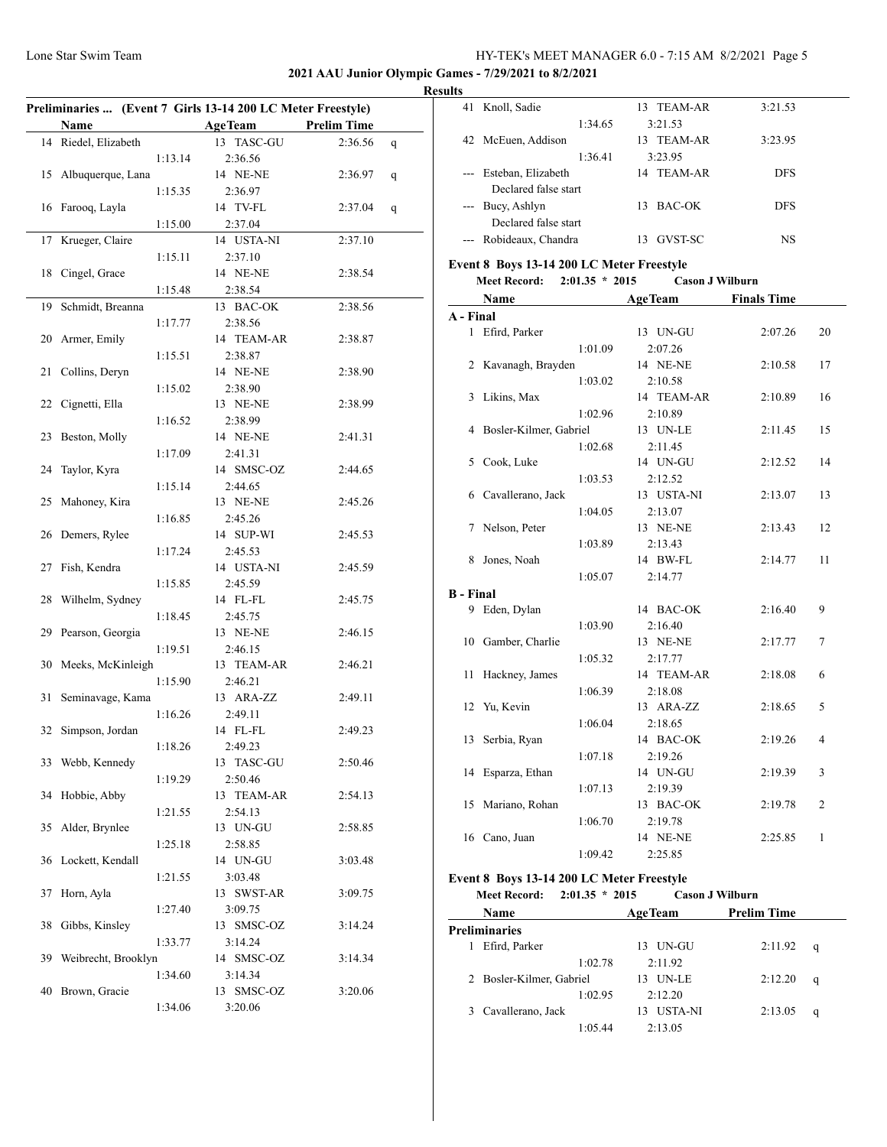## **2021 AAU Junior Olympic Games - 7/29/2021 to 8/2/2021**

|    |                      |         | Preliminaries  (Event 7 Girls 13-14 200 LC Meter Freestyle) |                    |   |
|----|----------------------|---------|-------------------------------------------------------------|--------------------|---|
|    | <b>Name</b>          |         | <b>AgeTeam</b>                                              | <b>Prelim Time</b> |   |
|    | 14 Riedel, Elizabeth |         | 13 TASC-GU                                                  | 2:36.56            | q |
|    |                      | 1:13.14 | 2:36.56                                                     |                    |   |
| 15 | Albuquerque, Lana    |         | 14 NE-NE                                                    | 2:36.97            | q |
|    |                      | 1:15.35 | 2:36.97                                                     |                    |   |
| 16 | Farooq, Layla        |         | 14 TV-FL                                                    | 2:37.04            | q |
|    |                      | 1:15.00 | 2:37.04                                                     |                    |   |
| 17 | Krueger, Claire      |         | 14 USTA-NI                                                  | 2:37.10            |   |
|    |                      | 1:15.11 | 2:37.10                                                     |                    |   |
| 18 | Cingel, Grace        |         | 14 NE-NE                                                    | 2:38.54            |   |
|    |                      | 1:15.48 | 2:38.54                                                     |                    |   |
| 19 | Schmidt, Breanna     |         | 13 BAC-OK                                                   | 2:38.56            |   |
|    |                      | 1:17.77 | 2:38.56                                                     |                    |   |
|    | Armer, Emily         |         | 14 TEAM-AR                                                  |                    |   |
| 20 |                      |         |                                                             | 2:38.87            |   |
|    |                      | 1:15.51 | 2:38.87                                                     |                    |   |
| 21 | Collins, Deryn       |         | 14 NE-NE                                                    | 2:38.90            |   |
|    |                      | 1:15.02 | 2:38.90                                                     |                    |   |
| 22 | Cignetti, Ella       |         | 13 NE-NE                                                    | 2:38.99            |   |
|    |                      | 1:16.52 | 2:38.99                                                     |                    |   |
| 23 | Beston, Molly        |         | 14 NE-NE                                                    | 2:41.31            |   |
|    |                      | 1:17.09 | 2:41.31                                                     |                    |   |
| 24 | Taylor, Kyra         |         | 14 SMSC-OZ                                                  | 2:44.65            |   |
|    |                      | 1:15.14 | 2:44.65                                                     |                    |   |
| 25 | Mahoney, Kira        |         | 13 NE-NE                                                    | 2:45.26            |   |
|    |                      | 1:16.85 | 2:45.26                                                     |                    |   |
| 26 | Demers, Rylee        |         | 14 SUP-WI                                                   | 2:45.53            |   |
|    |                      | 1:17.24 | 2:45.53                                                     |                    |   |
| 27 | Fish, Kendra         |         | 14 USTA-NI                                                  | 2:45.59            |   |
|    |                      | 1:15.85 | 2:45.59                                                     |                    |   |
| 28 | Wilhelm, Sydney      |         | 14 FL-FL                                                    | 2:45.75            |   |
|    |                      | 1:18.45 | 2:45.75                                                     |                    |   |
| 29 | Pearson, Georgia     |         | 13 NE-NE                                                    |                    |   |
|    |                      |         |                                                             | 2:46.15            |   |
|    |                      | 1:19.51 | 2:46.15                                                     |                    |   |
| 30 | Meeks, McKinleigh    |         | 13 TEAM-AR                                                  | 2:46.21            |   |
|    |                      | 1:15.90 | 2:46.21                                                     |                    |   |
| 31 | Seminavage, Kama     |         | 13 ARA-ZZ                                                   | 2:49.11            |   |
|    |                      | 1:16.26 | 2:49.11                                                     |                    |   |
| 32 | Simpson, Jordan      |         | 14 FL-FL                                                    | 2:49.23            |   |
|    |                      | 1:18.26 | 2:49.23                                                     |                    |   |
| 33 | Webb, Kennedy        |         | 13 TASC-GU                                                  | 2:50.46            |   |
|    |                      | 1:19.29 | 2:50.46                                                     |                    |   |
| 34 | Hobbie, Abby         |         | 13 TEAM-AR                                                  | 2:54.13            |   |
|    |                      | 1:21.55 | 2:54.13                                                     |                    |   |
| 35 | Alder, Brynlee       |         | 13 UN-GU                                                    | 2:58.85            |   |
|    |                      | 1:25.18 | 2:58.85                                                     |                    |   |
| 36 | Lockett, Kendall     |         | 14 UN-GU                                                    | 3:03.48            |   |
|    |                      | 1:21.55 | 3:03.48                                                     |                    |   |
| 37 | Horn, Ayla           |         | 13 SWST-AR                                                  | 3:09.75            |   |
|    |                      |         |                                                             |                    |   |
|    |                      | 1:27.40 | 3:09.75                                                     |                    |   |
| 38 | Gibbs, Kinsley       |         | 13 SMSC-OZ                                                  | 3:14.24            |   |
|    |                      | 1:33.77 | 3:14.24                                                     |                    |   |
| 39 | Weibrecht, Brooklyn  |         | 14 SMSC-OZ                                                  | 3:14.34            |   |
|    |                      | 1:34.60 | 3:14.34                                                     |                    |   |
|    |                      |         |                                                             |                    |   |
| 40 | Brown, Gracie        |         | 13 SMSC-OZ                                                  | 3:20.06            |   |

|  | <b>Results</b>                                                                                                                                                                                                                                                                                                                                                                               |                        |              |            |  |  |  |  |
|--|----------------------------------------------------------------------------------------------------------------------------------------------------------------------------------------------------------------------------------------------------------------------------------------------------------------------------------------------------------------------------------------------|------------------------|--------------|------------|--|--|--|--|
|  |                                                                                                                                                                                                                                                                                                                                                                                              | 41 Knoll, Sadie        | 13 TEAM-AR   | 3:21.53    |  |  |  |  |
|  |                                                                                                                                                                                                                                                                                                                                                                                              | 1:34.65                | 3:21.53      |            |  |  |  |  |
|  |                                                                                                                                                                                                                                                                                                                                                                                              | 42 McEuen, Addison     | 13 TEAM-AR   | 3:23.95    |  |  |  |  |
|  |                                                                                                                                                                                                                                                                                                                                                                                              | 1:36.41                | 3:23.95      |            |  |  |  |  |
|  | $\frac{1}{2} \frac{1}{2} \frac{1}{2} \frac{1}{2} \frac{1}{2} \frac{1}{2} \frac{1}{2} \frac{1}{2} \frac{1}{2} \frac{1}{2} \frac{1}{2} \frac{1}{2} \frac{1}{2} \frac{1}{2} \frac{1}{2} \frac{1}{2} \frac{1}{2} \frac{1}{2} \frac{1}{2} \frac{1}{2} \frac{1}{2} \frac{1}{2} \frac{1}{2} \frac{1}{2} \frac{1}{2} \frac{1}{2} \frac{1}{2} \frac{1}{2} \frac{1}{2} \frac{1}{2} \frac{1}{2} \frac{$ | Esteban, Elizabeth     | 14 TEAM-AR   | <b>DFS</b> |  |  |  |  |
|  |                                                                                                                                                                                                                                                                                                                                                                                              | Declared false start   |              |            |  |  |  |  |
|  |                                                                                                                                                                                                                                                                                                                                                                                              | --- Bucy, Ashlyn       | BAC-OK<br>13 | <b>DFS</b> |  |  |  |  |
|  |                                                                                                                                                                                                                                                                                                                                                                                              | Declared false start   |              |            |  |  |  |  |
|  |                                                                                                                                                                                                                                                                                                                                                                                              | --- Robideaux, Chandra | GVST-SC      | NS         |  |  |  |  |
|  |                                                                                                                                                                                                                                                                                                                                                                                              |                        |              |            |  |  |  |  |

# **Event 8 Boys 13-14 200 LC Meter Freestyle**

|  | <b>Meet Record:</b> | $2:01.35 * 2015$ |  | <b>Cason J Wilburn</b> |
|--|---------------------|------------------|--|------------------------|
|--|---------------------|------------------|--|------------------------|

|                  | Name                   | <b>AgeTeam</b> | <b>Finals Time</b> |                |
|------------------|------------------------|----------------|--------------------|----------------|
| A - Final        |                        |                |                    |                |
| $\mathbf{1}$     | Efird, Parker          | 13 UN-GU       | 2:07.26            | 20             |
|                  | 1:01.09                | 2:07.26        |                    |                |
| 2                | Kavanagh, Brayden      | 14 NE-NE       | 2:10.58            | 17             |
|                  | 1:03.02                | 2:10.58        |                    |                |
| 3                | Likins, Max            | 14 TEAM-AR     | 2:10.89            | 16             |
|                  | 1:02.96                | 2:10.89        |                    |                |
| 4                | Bosler-Kilmer, Gabriel | 13 UN-LE       | 2:11.45            | 15             |
|                  | 1:02.68                | 2:11.45        |                    |                |
| 5                | Cook, Luke             | 14 UN-GU       | 2:12.52            | 14             |
|                  | 1:03.53                | 2:12.52        |                    |                |
| 6                | Cavallerano, Jack      | 13 USTA-NI     | 2:13.07            | 13             |
|                  | 1:04.05                | 2:13.07        |                    |                |
| 7                | Nelson, Peter          | 13 NE-NE       | 2:13.43            | 12             |
|                  | 1:03.89                | 2:13.43        |                    |                |
| 8                | Jones, Noah            | 14 BW-FL       | 2:14.77            | 11             |
|                  | 1:05.07                | 2:14.77        |                    |                |
| <b>B</b> - Final |                        |                |                    |                |
|                  | 9 Eden, Dylan          | 14 BAC-OK      | 2:16.40            | 9              |
|                  | 1:03.90                | 2:16.40        |                    |                |
| 10               | Gamber, Charlie        | 13 NE-NE       | 2:17.77            | 7              |
|                  | 1:05.32                | 2:17.77        |                    |                |
| 11               | Hackney, James         | 14 TEAM-AR     | 2:18.08            | 6              |
|                  | 1:06.39                | 2:18.08        |                    |                |
| 12               | Yu, Kevin              | 13 ARA-ZZ      | 2:18.65            | 5              |
|                  | 1:06.04                | 2:18.65        |                    |                |
| 13               | Serbia, Ryan           | 14 BAC-OK      | 2:19.26            | 4              |
|                  | 1:07.18                | 2:19.26        |                    |                |
| 14               | Esparza, Ethan         | 14 UN-GU       | 2:19.39            | 3              |
|                  | 1:07.13                | 2:19.39        |                    |                |
| 15               | Mariano, Rohan         | 13 BAC-OK      | 2:19.78            | $\overline{2}$ |
|                  | 1:06.70                | 2:19.78        |                    |                |
| 16               | Cano, Juan             | 14 NE-NE       | 2:25.85            | 1              |
|                  | 1:09.42                | 2:25.85        |                    |                |

## **Event 8 Boys 13-14 200 LC Meter Freestyle**

| <b>Meet Record:</b> | $2:01.35 * 2015$ |  |  | <b>Cason J Wilburn</b> |
|---------------------|------------------|--|--|------------------------|
|---------------------|------------------|--|--|------------------------|

| Name                     | <b>AgeTeam</b>       | <b>Prelim Time</b> |   |  |  |  |  |  |
|--------------------------|----------------------|--------------------|---|--|--|--|--|--|
| Preliminaries            |                      |                    |   |  |  |  |  |  |
| Efird, Parker            | UN-GU<br>13.         | 2:11.92            | q |  |  |  |  |  |
| 1:02.78                  | 2:11.92              |                    |   |  |  |  |  |  |
| 2 Bosler-Kilmer, Gabriel | <b>UN-LE</b><br>13   | 2:12.20            | q |  |  |  |  |  |
| 1:02.95                  | 2:12.20              |                    |   |  |  |  |  |  |
| 3 Cavallerano, Jack      | <b>USTA-NI</b><br>13 | 2:13.05            | q |  |  |  |  |  |
| 1:05.44                  | 2:13.05              |                    |   |  |  |  |  |  |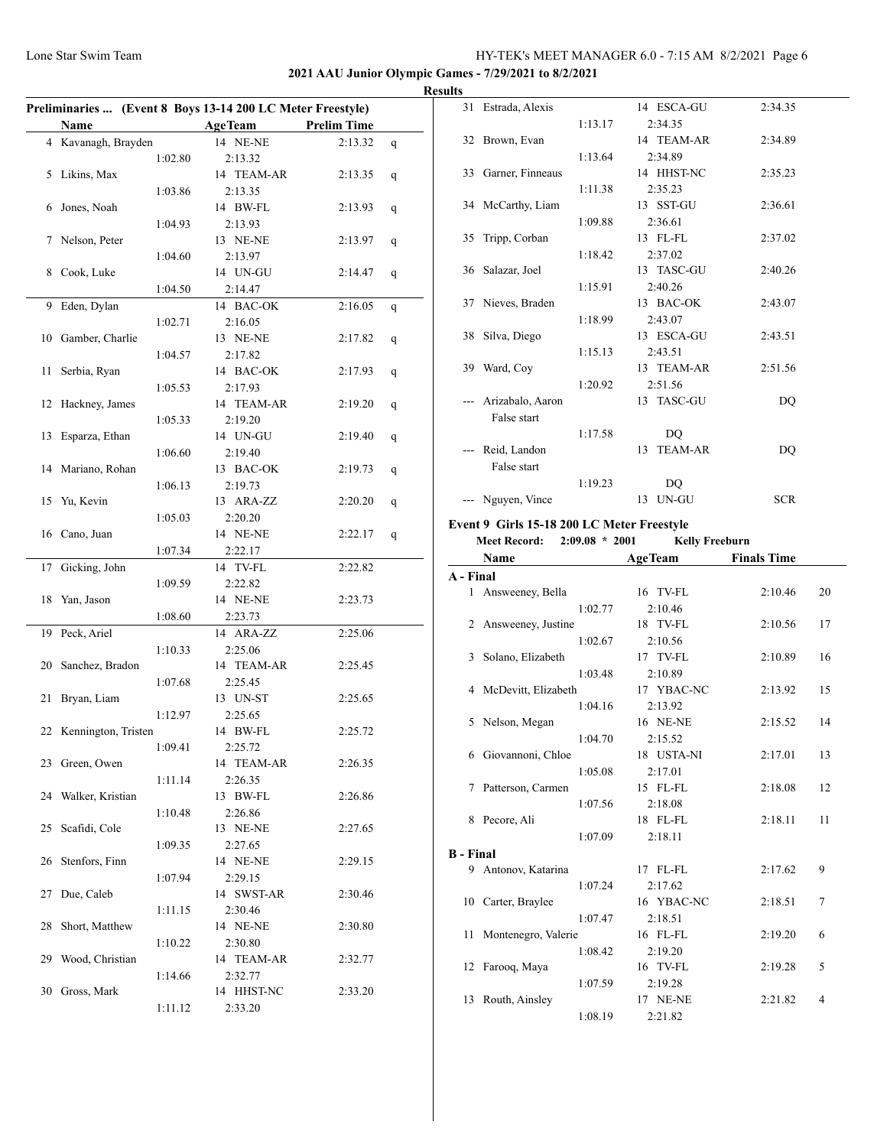## **2021 AAU Junior Olympic Games - 7/29/2021 to 8/2/2021**

|    |                        |         | Preliminaries  (Event 8 Boys 13-14 200 LC Meter Freestyle) |                    |   |
|----|------------------------|---------|------------------------------------------------------------|--------------------|---|
|    | Name                   |         | <b>AgeTeam</b>                                             | <b>Prelim Time</b> |   |
|    | 4 Kavanagh, Brayden    |         | 14 NE-NE                                                   | 2:13.32            | q |
|    |                        | 1:02.80 | 2:13.32                                                    |                    |   |
| 5  | Likins, Max            |         | 14 TEAM-AR                                                 | 2:13.35            | q |
|    |                        | 1:03.86 | 2:13.35                                                    |                    |   |
| 6  | Jones, Noah            |         | 14 BW-FL                                                   | 2:13.93            | q |
|    |                        | 1:04.93 | 2:13.93                                                    |                    |   |
| 7  | Nelson, Peter          |         | 13 NE-NE                                                   | 2:13.97            | q |
|    |                        | 1:04.60 | 2:13.97                                                    |                    |   |
| 8  | Cook, Luke             |         | 14 UN-GU                                                   | 2:14.47            | q |
|    |                        | 1:04.50 | 2:14.47                                                    |                    |   |
| 9  | Eden, Dylan            |         | 14 BAC-OK                                                  | 2:16.05            |   |
|    |                        |         | 2:16.05                                                    |                    | q |
|    |                        | 1:02.71 |                                                            |                    |   |
| 10 | Gamber, Charlie        |         | 13 NE-NE                                                   | 2:17.82            | q |
|    |                        | 1:04.57 | 2:17.82                                                    |                    |   |
| 11 | Serbia, Ryan           |         | 14 BAC-OK                                                  | 2:17.93            | q |
|    |                        | 1:05.53 | 2:17.93                                                    |                    |   |
| 12 | Hackney, James         |         | 14 TEAM-AR                                                 | 2:19.20            | q |
|    |                        | 1:05.33 | 2:19.20                                                    |                    |   |
| 13 | Esparza, Ethan         |         | 14 UN-GU                                                   | 2:19.40            | q |
|    |                        | 1:06.60 | 2:19.40                                                    |                    |   |
| 14 | Mariano, Rohan         |         | 13 BAC-OK                                                  | 2:19.73            | q |
|    |                        | 1:06.13 | 2:19.73                                                    |                    |   |
| 15 | Yu, Kevin              |         | 13 ARA-ZZ                                                  | 2:20.20            | q |
|    |                        | 1:05.03 | 2:20.20                                                    |                    |   |
| 16 | Cano, Juan             |         | 14 NE-NE                                                   | 2:22.17            | q |
|    |                        | 1:07.34 | 2:22.17                                                    |                    |   |
| 17 | Gicking, John          |         | 14 TV-FL                                                   | 2:22.82            |   |
|    |                        | 1:09.59 | 2:22.82                                                    |                    |   |
| 18 | Yan, Jason             |         | 14 NE-NE                                                   | 2:23.73            |   |
|    |                        | 1:08.60 | 2:23.73                                                    |                    |   |
| 19 | Peck, Ariel            |         | 14 ARA-ZZ                                                  | 2:25.06            |   |
|    |                        | 1:10.33 | 2:25.06                                                    |                    |   |
| 20 | Sanchez, Bradon        |         | 14 TEAM-AR                                                 | 2:25.45            |   |
|    |                        | 1:07.68 | 2:25.45                                                    |                    |   |
|    | Bryan, Liam            |         |                                                            |                    |   |
| 21 |                        |         | 13 UN-ST                                                   | 2:25.65            |   |
|    |                        | 1:12.97 | 2:25.65                                                    |                    |   |
|    | 22 Kennington, Tristen |         | 14 BW-FL                                                   | 2:25.72            |   |
|    |                        | 1:09.41 | 2:25.72                                                    |                    |   |
| 23 | Green, Owen            |         | 14 TEAM-AR                                                 | 2:26.35            |   |
|    |                        | 1:11.14 | 2:26.35                                                    |                    |   |
|    | 24 Walker, Kristian    |         | 13 BW-FL                                                   | 2:26.86            |   |
|    |                        | 1:10.48 | 2:26.86                                                    |                    |   |
| 25 | Scafidi, Cole          |         | 13 NE-NE                                                   | 2:27.65            |   |
|    |                        | 1:09.35 | 2:27.65                                                    |                    |   |
| 26 | Stenfors, Finn         |         | 14 NE-NE                                                   | 2:29.15            |   |
|    |                        | 1:07.94 | 2:29.15                                                    |                    |   |
| 27 | Due, Caleb             |         | 14 SWST-AR                                                 | 2:30.46            |   |
|    |                        | 1:11.15 | 2:30.46                                                    |                    |   |
| 28 | Short, Matthew         |         | 14 NE-NE                                                   | 2:30.80            |   |
|    |                        | 1:10.22 | 2:30.80                                                    |                    |   |
| 29 | Wood, Christian        |         | 14 TEAM-AR                                                 | 2:32.77            |   |
|    |                        | 1:14.66 | 2:32.77                                                    |                    |   |
| 30 | Gross, Mark            |         | 14 HHST-NC                                                 | 2:33.20            |   |
|    |                        | 1:11.12 | 2:33.20                                                    |                    |   |
|    |                        |         |                                                            |                    |   |
|    |                        |         |                                                            |                    |   |

|   | <b>Results</b> |                     |         |                      |            |  |
|---|----------------|---------------------|---------|----------------------|------------|--|
|   |                | 31 Estrada, Alexis  |         | 14 ESCA-GU           | 2:34.35    |  |
|   |                |                     | 1:13.17 | 2:34.35              |            |  |
| - |                | 32 Brown, Evan      |         | 14 TEAM-AR           | 2:34.89    |  |
|   |                |                     | 1:13.64 | 2:34.89              |            |  |
|   |                | 33 Garner, Finneaus |         | 14 HHST-NC           | 2:35.23    |  |
|   |                |                     | 1:11.38 | 2:35.23              |            |  |
|   |                | 34 McCarthy, Liam   |         | 13 SST-GU            | 2:36.61    |  |
|   |                |                     | 1:09.88 | 2:36.61              |            |  |
|   |                | 35 Tripp, Corban    |         | 13 FL-FL             | 2:37.02    |  |
|   |                |                     | 1:18.42 | 2:37.02              |            |  |
|   |                | 36 Salazar, Joel    |         | 13 TASC-GU           | 2:40.26    |  |
|   |                |                     | 1:15.91 | 2:40.26              |            |  |
|   |                | 37 Nieves, Braden   |         | 13 BAC-OK            | 2:43.07    |  |
|   |                |                     | 1:18.99 | 2:43.07              |            |  |
|   |                | 38 Silva, Diego     |         | 13 ESCA-GU           | 2:43.51    |  |
|   |                |                     | 1:15.13 | 2:43.51              |            |  |
|   |                | 39 Ward, Coy        |         | 13 TEAM-AR           | 2:51.56    |  |
|   |                |                     | 1:20.92 | 2:51.56              |            |  |
|   |                | Arizabalo, Aaron    |         | 13 TASC-GU           | DO         |  |
|   |                | False start         |         |                      |            |  |
|   |                |                     | 1:17.58 | D <sub>O</sub>       |            |  |
|   |                | Reid, Landon        |         | <b>TEAM-AR</b><br>13 | DQ         |  |
|   |                | False start         |         |                      |            |  |
|   |                |                     | 1:19.23 | DO                   |            |  |
|   |                | Nguyen, Vince       |         | 13 UN-GU             | <b>SCR</b> |  |

# **Event 9 Girls 15-18 200 LC Meter Freestyle**

**Meet Record: 2:09.08 \* 2001 Kelly Freeburn**

|                  | Name                   | <b>AgeTeam</b> | <b>Finals Time</b> |    |
|------------------|------------------------|----------------|--------------------|----|
| A - Final        |                        |                |                    |    |
|                  | 1 Answeeney, Bella     | 16 TV-FL       | 2:10.46            | 20 |
|                  | 1:02.77                | 2:10.46        |                    |    |
|                  | 2 Answeeney, Justine   | 18 TV-FL       | 2:10.56            | 17 |
|                  | 1:02.67                | 2:10.56        |                    |    |
| 3                | Solano, Elizabeth      | 17 TV-FL       | 2:10.89            | 16 |
|                  | 1:03.48                | 2:10.89        |                    |    |
|                  | 4 McDevitt, Elizabeth  | 17 YBAC-NC     | 2:13.92            | 15 |
|                  | 1:04.16                | 2:13.92        |                    |    |
|                  | 5 Nelson, Megan        | 16 NE-NE       | 2:15.52            | 14 |
|                  | 1:04.70                | 2:15.52        |                    |    |
| 6                | Giovannoni, Chloe      | 18 USTA-NI     | 2:17.01            | 13 |
|                  | 1:05.08                | 2:17.01        |                    |    |
|                  | 7 Patterson, Carmen    | 15 FL-FL       | 2:18.08            | 12 |
|                  | 1:07.56                | 2:18.08        |                    |    |
| 8                | Pecore, Ali            | 18 FL-FL       | 2:18.11            | 11 |
|                  | 1:07.09                | 2:18.11        |                    |    |
| <b>B</b> - Final |                        |                |                    |    |
|                  | 9 Antonov, Katarina    | 17 FL-FL       | 2:17.62            | 9  |
|                  | 1:07.24                | 2:17.62        |                    |    |
|                  | 10 Carter, Braylee     | 16 YBAC-NC     | 2:18.51            | 7  |
|                  | 1:07.47                | 2:18.51        |                    |    |
|                  | 11 Montenegro, Valerie | 16 FL-FL       | 2:19.20            | 6  |
|                  | 1:08.42                | 2:19.20        |                    |    |
|                  | 12 Farooq, Maya        | 16 TV-FL       | 2:19.28            | 5  |
|                  | 1:07.59                | 2:19.28        |                    |    |
| 13               | Routh, Ainsley         | 17 NE-NE       | 2:21.82            | 4  |
|                  | 1:08.19                | 2:21.82        |                    |    |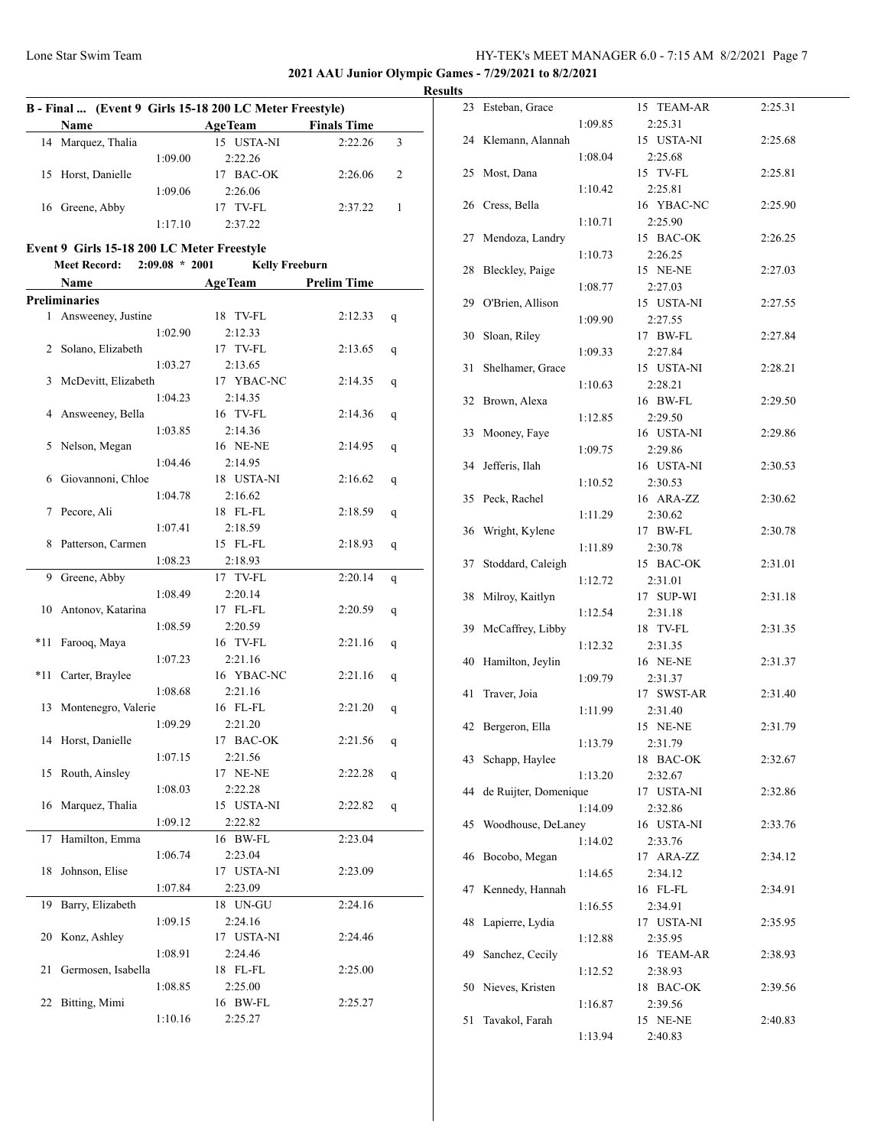**2021 AAU Junior Olympic Games - 7/29/2021 to 8/2/2021**

|     |                                            |                  |                                                         |         | <b>Result</b> |
|-----|--------------------------------------------|------------------|---------------------------------------------------------|---------|---------------|
|     |                                            |                  | B - Final  (Event 9 Girls 15-18 200 LC Meter Freestyle) |         |               |
|     | Name                                       |                  | AgeTeam Finals Time                                     |         |               |
|     | 14 Marquez, Thalia                         |                  | 15 USTA-NI                                              | 2:22.26 | 3             |
|     |                                            | 1:09.00          | 2:22.26                                                 |         |               |
|     | 15 Horst, Danielle                         |                  | 17 BAC-OK                                               | 2:26.06 | 2             |
|     |                                            | 1:09.06          | 2:26.06                                                 |         |               |
|     | 16 Greene, Abby                            |                  | 17 TV-FL                                                | 2:37.22 | 1             |
|     |                                            | 1:17.10          | 2:37.22                                                 |         |               |
|     | Event 9 Girls 15-18 200 LC Meter Freestyle |                  |                                                         |         |               |
|     | <b>Meet Record:</b>                        | $2:09.08 * 2001$ | <b>Kelly Freeburn</b>                                   |         |               |
|     | Name                                       |                  | AgeTeam Prelim Time                                     |         |               |
|     | <b>Preliminaries</b>                       |                  |                                                         |         |               |
|     | 1 Answeeney, Justine                       |                  | 18 TV-FL                                                | 2:12.33 |               |
|     |                                            | 1:02.90          | 2:12.33                                                 |         | q             |
|     | 2 Solano, Elizabeth                        |                  | 17 TV-FL                                                | 2:13.65 |               |
|     |                                            | 1:03.27          | 2:13.65                                                 |         | q             |
| 3   | McDevitt, Elizabeth                        |                  | 17 YBAC-NC                                              | 2:14.35 |               |
|     |                                            | 1:04.23          | 2:14.35                                                 |         | q             |
| 4   | Answeeney, Bella                           |                  | 16 TV-FL                                                | 2:14.36 |               |
|     |                                            |                  |                                                         |         | q             |
| 5   | Nelson, Megan                              | 1:03.85          | 2:14.36<br>16 NE-NE                                     | 2:14.95 |               |
|     |                                            | 1:04.46          | 2:14.95                                                 |         | q             |
| 6   | Giovannoni, Chloe                          |                  | 18 USTA-NI                                              | 2:16.62 |               |
|     |                                            | 1:04.78          | 2:16.62                                                 |         | q             |
| 7   | Pecore, Ali                                |                  | 18 FL-FL                                                | 2:18.59 |               |
|     |                                            | 1:07.41          | 2:18.59                                                 |         | q             |
| 8   | Patterson, Carmen                          |                  | 15 FL-FL                                                | 2:18.93 |               |
|     |                                            |                  |                                                         |         | q             |
|     |                                            | 1:08.23          | 2:18.93                                                 |         |               |
| 9   | Greene, Abby                               |                  | 17 TV-FL                                                | 2:20.14 | q             |
|     |                                            | 1:08.49          | 2:20.14                                                 |         |               |
| 10  | Antonov, Katarina                          | 1:08.59          | 17 FL-FL<br>2:20.59                                     | 2:20.59 | q             |
| *11 |                                            |                  | 16 TV-FL                                                | 2:21.16 |               |
|     | Farooq, Maya                               | 1:07.23          | 2:21.16                                                 |         | q             |
| *11 | Carter, Braylee                            |                  | 16 YBAC-NC                                              | 2:21.16 |               |
|     |                                            | 1:08.68          | 2:21.16                                                 |         | q             |
| 13  | Montenegro, Valerie                        |                  | 16 FL-FL                                                | 2:21.20 |               |
|     |                                            | 1:09.29          | 2:21.20                                                 |         | q             |
|     | 14 Horst, Danielle                         |                  | 17 BAC-OK                                               | 2:21.56 |               |
|     |                                            | 1:07.15          | 2:21.56                                                 |         | q             |
| 15  | Routh, Ainsley                             |                  | 17 NE-NE                                                | 2:22.28 |               |
|     |                                            | 1:08.03          | 2:22.28                                                 |         | q             |
| 16  | Marquez, Thalia                            |                  | 15 USTA-NI                                              | 2:22.82 |               |
|     |                                            | 1:09.12          | 2:22.82                                                 |         | q             |
| 17  | Hamilton, Emma                             |                  | 16 BW-FL                                                | 2:23.04 |               |
|     |                                            |                  |                                                         |         |               |
|     |                                            | 1:06.74          | 2:23.04                                                 |         |               |
| 18  | Johnson, Elise                             |                  | 17 USTA-NI                                              | 2:23.09 |               |
|     |                                            | 1:07.84          | 2:23.09                                                 |         |               |
| 19  | Barry, Elizabeth                           |                  | 18 UN-GU                                                | 2:24.16 |               |
|     |                                            | 1:09.15          | 2:24.16                                                 |         |               |
| 20  | Konz, Ashley                               |                  | 17 USTA-NI                                              | 2:24.46 |               |
|     |                                            | 1:08.91          | 2:24.46                                                 |         |               |
| 21  | Germosen, Isabella                         |                  | 18 FL-FL                                                | 2:25.00 |               |
|     |                                            | 1:08.85          | 2:25.00                                                 |         |               |
| 22  | Bitting, Mimi                              |                  | 16 BW-FL                                                | 2:25.27 |               |
|     |                                            | 1:10.16          | 2:25.27                                                 |         |               |

| LS |                       |         |                       |         |
|----|-----------------------|---------|-----------------------|---------|
|    | 23 Esteban, Grace     |         | 15 TEAM-AR            | 2:25.31 |
|    |                       | 1:09.85 | 2:25.31               |         |
|    | 24 Klemann, Alannah   |         | 15 USTA-NI            | 2:25.68 |
|    |                       | 1:08.04 | 2:25.68               |         |
|    | 25 Most, Dana         |         | 15 TV-FL              | 2:25.81 |
|    |                       | 1:10.42 | 2:25.81               |         |
|    | 26 Cress, Bella       |         | 16 YBAC-NC            | 2:25.90 |
|    |                       | 1:10.71 | 2:25.90               |         |
|    | 27 Mendoza, Landry    |         | 15 BAC-OK             | 2:26.25 |
|    |                       | 1:10.73 | 2:26.25               |         |
| 28 | Bleckley, Paige       |         | 15 NE-NE              | 2:27.03 |
|    | 29 O'Brien, Allison   | 1:08.77 | 2:27.03<br>15 USTA-NI | 2:27.55 |
|    |                       | 1:09.90 | 2:27.55               |         |
| 30 | Sloan, Riley          |         | 17 BW-FL              | 2:27.84 |
|    |                       | 1:09.33 | 2:27.84               |         |
| 31 | Shelhamer, Grace      |         | 15 USTA-NI            | 2:28.21 |
|    |                       | 1:10.63 | 2:28.21               |         |
|    | 32 Brown, Alexa       |         | 16 BW-FL              | 2:29.50 |
|    |                       | 1:12.85 | 2:29.50               |         |
| 33 | Mooney, Faye          |         | 16 USTA-NI            | 2:29.86 |
|    |                       | 1:09.75 | 2:29.86               |         |
|    | 34 Jefferis, Ilah     |         | 16 USTA-NI            | 2:30.53 |
|    |                       | 1:10.52 | 2:30.53               |         |
|    | 35 Peck, Rachel       |         | 16 ARA-ZZ             | 2:30.62 |
|    |                       | 1:11.29 | 2:30.62               |         |
|    | 36 Wright, Kylene     |         | 17 BW-FL              | 2:30.78 |
|    |                       | 1:11.89 | 2:30.78               |         |
| 37 | Stoddard, Caleigh     |         | 15 BAC-OK             | 2:31.01 |
|    |                       | 1:12.72 | 2:31.01               |         |
|    | 38 Milroy, Kaitlyn    |         | 17 SUP-WI             | 2:31.18 |
|    |                       | 1:12.54 | 2:31.18               |         |
|    | 39 McCaffrey, Libby   |         | 18 TV-FL              | 2:31.35 |
|    |                       | 1:12.32 | 2:31.35               |         |
| 40 | Hamilton, Jeylin      |         | 16 NE-NE              | 2:31.37 |
|    |                       | 1:09.79 | 2:31.37               |         |
| 41 | Traver, Joia          |         | 17 SWST-AR            | 2:31.40 |
|    |                       | 1:11.99 | 2:31.40               |         |
|    | 42 Bergeron, Ella     |         | 15 NE-NE              | 2:31.79 |
|    |                       | 1:13.79 | 2:31.79               |         |
| 43 | Schapp, Haylee        |         | 18 BAC-OK             | 2:32.67 |
|    |                       | 1:13.20 | 2:32.67               |         |
| 44 | de Ruijter, Domenique |         | 17 USTA-NI            | 2:32.86 |
|    |                       | 1:14.09 | 2:32.86               |         |
| 45 | Woodhouse, DeLaney    |         | 16 USTA-NI            | 2:33.76 |
|    |                       | 1:14.02 | 2:33.76               |         |
| 46 | Bocobo, Megan         |         | 17 ARA-ZZ             | 2:34.12 |
|    | Kennedy, Hannah       | 1:14.65 | 2:34.12<br>16 FL-FL   |         |
| 47 |                       |         | 2:34.91               | 2:34.91 |
| 48 | Lapierre, Lydia       | 1:16.55 | 17 USTA-NI            | 2:35.95 |
|    |                       | 1:12.88 | 2:35.95               |         |
| 49 | Sanchez, Cecily       |         | 16 TEAM-AR            | 2:38.93 |
|    |                       | 1:12.52 | 2:38.93               |         |
| 50 | Nieves, Kristen       |         | 18 BAC-OK             | 2:39.56 |
|    |                       | 1:16.87 | 2:39.56               |         |
| 51 | Tavakol, Farah        |         | 15 NE-NE              | 2:40.83 |
|    |                       | 1:13.94 | 2:40.83               |         |
|    |                       |         |                       |         |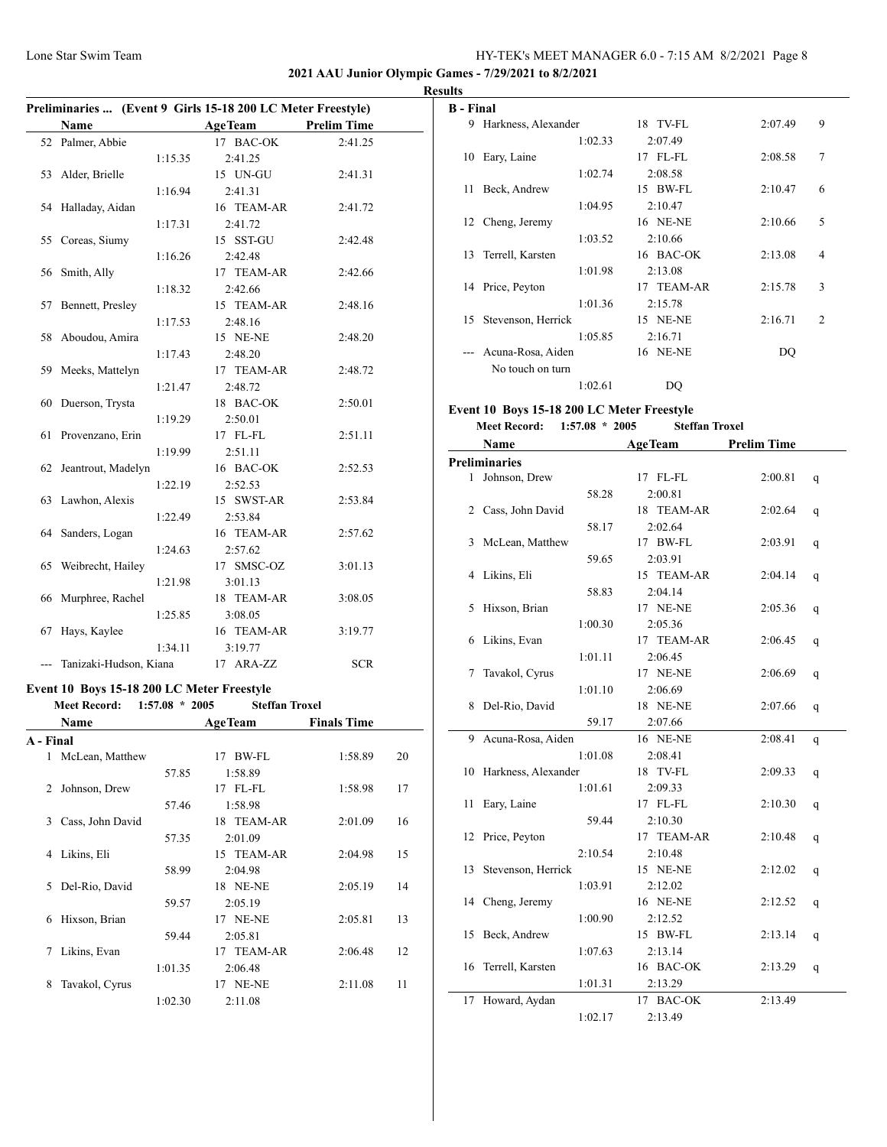## **2021 AAU Junior Olympic Games - 7/29/2021 to 8/2/2021**

|           |                                            |                  | Preliminaries  (Event 9 Girls 15-18 200 LC Meter Freestyle) |                    |    |
|-----------|--------------------------------------------|------------------|-------------------------------------------------------------|--------------------|----|
|           | Name                                       |                  | <b>AgeTeam</b>                                              | <b>Prelim Time</b> |    |
|           | 52 Palmer, Abbie                           |                  | 17 BAC-OK                                                   | 2:41.25            |    |
|           |                                            | 1:15.35          | 2:41.25                                                     |                    |    |
| 53        | Alder, Brielle                             |                  | 15 UN-GU                                                    | 2:41.31            |    |
|           |                                            | 1:16.94          | 2:41.31                                                     |                    |    |
| 54        | Halladay, Aidan                            |                  | 16 TEAM-AR                                                  | 2:41.72            |    |
|           |                                            | 1:17.31          | 2:41.72                                                     |                    |    |
| 55        | Coreas, Siumy                              |                  | 15 SST-GU                                                   | 2:42.48            |    |
|           |                                            | 1:16.26          | 2:42.48                                                     |                    |    |
| 56        | Smith, Ally                                |                  | 17 TEAM-AR                                                  | 2:42.66            |    |
|           |                                            | 1:18.32          | 2:42.66                                                     |                    |    |
| 57        | Bennett, Presley                           |                  | 15 TEAM-AR                                                  | 2:48.16            |    |
|           |                                            | 1:17.53          | 2:48.16                                                     |                    |    |
| 58        | Aboudou, Amira                             |                  | 15 NE-NE                                                    | 2:48.20            |    |
|           |                                            | 1:17.43          | 2:48.20                                                     |                    |    |
| 59        | Meeks, Mattelyn                            |                  | 17 TEAM-AR                                                  | 2:48.72            |    |
|           |                                            | 1:21.47          | 2:48.72                                                     |                    |    |
| 60        | Duerson, Trysta                            |                  | 18 BAC-OK                                                   | 2:50.01            |    |
|           |                                            | 1:19.29          | 2:50.01                                                     |                    |    |
| 61        | Provenzano, Erin                           |                  | 17 FL-FL                                                    | 2:51.11            |    |
|           |                                            | 1:19.99          | 2:51.11                                                     |                    |    |
| 62        | Jeantrout, Madelyn                         |                  | 16 BAC-OK                                                   | 2:52.53            |    |
|           |                                            | 1:22.19          | 2:52.53                                                     |                    |    |
| 63        | Lawhon, Alexis                             |                  | 15 SWST-AR                                                  | 2:53.84            |    |
|           |                                            | 1:22.49          | 2:53.84                                                     |                    |    |
| 64        | Sanders, Logan                             |                  | 16 TEAM-AR                                                  | 2:57.62            |    |
|           |                                            |                  | 2:57.62                                                     |                    |    |
| 65        | Weibrecht, Hailey                          | 1:24.63          | 17 SMSC-OZ                                                  | 3:01.13            |    |
|           |                                            | 1:21.98          | 3:01.13                                                     |                    |    |
| 66        | Murphree, Rachel                           |                  | 18 TEAM-AR                                                  | 3:08.05            |    |
|           |                                            |                  |                                                             |                    |    |
|           | Hays, Kaylee                               | 1:25.85          | 3:08.05<br>16 TEAM-AR                                       | 3:19.77            |    |
| 67        |                                            |                  |                                                             |                    |    |
|           |                                            | 1:34.11          | 3:19.77                                                     |                    |    |
|           | --- Tanizaki-Hudson, Kiana                 |                  | 17 ARA-ZZ                                                   | <b>SCR</b>         |    |
|           | Event 10 Boys 15-18 200 LC Meter Freestyle |                  |                                                             |                    |    |
|           | <b>Meet Record:</b>                        | $1:57.08 * 2005$ | <b>Steffan Troxel</b>                                       |                    |    |
|           | Name                                       |                  | <b>AgeTeam</b>                                              | <b>Finals Time</b> |    |
| A - Final |                                            |                  |                                                             |                    |    |
| 1         | McLean, Matthew                            |                  | 17 BW-FL                                                    | 1:58.89            | 20 |
|           |                                            | 57.85            | 1:58.89                                                     |                    |    |
| 2         | Johnson, Drew                              |                  | 17 FL-FL                                                    | 1:58.98            | 17 |
|           |                                            | 57.46            | 1:58.98                                                     |                    |    |
| 3         | Cass, John David                           |                  | 18 TEAM-AR                                                  | 2:01.09            | 16 |
|           |                                            | 57.35            | 2:01.09                                                     |                    |    |
| 4         | Likins, Eli                                |                  | 15 TEAM-AR                                                  | 2:04.98            | 15 |
|           |                                            | 58.99            | 2:04.98                                                     |                    |    |
| 5         | Del-Rio, David                             |                  | 18 NE-NE                                                    | 2:05.19            | 14 |
|           |                                            | 59.57            | 2:05.19                                                     |                    |    |
| 6         | Hixson, Brian                              |                  | 17 NE-NE                                                    | 2:05.81            | 13 |

59.44 2:05.81 7 Likins, Evan 17 TEAM-AR 2:06.48 12 1:01.35 2:06.48 8 Tavakol, Cyrus 17 NE-NE 2:11.08 11 1:02.30 2:11.08

| <b>Results</b>           |                       |            |         |                |  |  |
|--------------------------|-----------------------|------------|---------|----------------|--|--|
| <b>B</b> - Final         |                       |            |         |                |  |  |
|                          | 9 Harkness, Alexander | 18 TV-FL   | 2:07.49 | 9              |  |  |
|                          | 1:02.33               | 2:07.49    |         |                |  |  |
|                          | 10 Eary, Laine        | 17 FL-FL   | 2:08.58 | $\overline{7}$ |  |  |
|                          | 1:02.74               | 2:08.58    |         |                |  |  |
|                          | 11 Beck, Andrew       | 15 BW-FL   | 2:10.47 | 6              |  |  |
|                          | 1:04.95               | 2:10.47    |         |                |  |  |
|                          | 12 Cheng, Jeremy      | 16 NE-NE   | 2:10.66 | 5              |  |  |
|                          | 1:03.52               | 2:10.66    |         |                |  |  |
|                          | 13 Terrell, Karsten   | 16 BAC-OK  | 2:13.08 | 4              |  |  |
|                          | 1:01.98               | 2:13.08    |         |                |  |  |
|                          | 14 Price, Peyton      | 17 TEAM-AR | 2:15.78 | 3              |  |  |
|                          | 1:01.36               | 2:15.78    |         |                |  |  |
|                          | 15 Stevenson, Herrick | 15 NE-NE   | 2:16.71 | $\overline{2}$ |  |  |
|                          | 1:05.85               | 2:16.71    |         |                |  |  |
| $\overline{\phantom{a}}$ | Acuna-Rosa, Aiden     | 16 NE-NE   | DQ      |                |  |  |
|                          | No touch on turn      |            |         |                |  |  |
|                          | 1:02.61               | DQ         |         |                |  |  |
|                          | <b>E</b> 110 B        |            |         |                |  |  |

#### **Event 10 Boys 15-18 200 LC Meter Freestyle Meet Record: 1:57.08 \* 2005 Steffan Troxel**

|    | Name                 |         | <b>AgeTeam</b> | <b>Prelim Time</b> |   |
|----|----------------------|---------|----------------|--------------------|---|
|    | <b>Preliminaries</b> |         |                |                    |   |
|    | 1 Johnson, Drew      |         | 17 FL-FL       | 2:00.81            | q |
|    |                      | 58.28   | 2:00.81        |                    |   |
| 2  | Cass, John David     |         | 18 TEAM-AR     | 2:02.64            | q |
|    |                      | 58.17   | 2:02.64        |                    |   |
| 3  | McLean, Matthew      |         | 17 BW-FL       | 2:03.91            | q |
|    |                      | 59.65   | 2:03.91        |                    |   |
| 4  | Likins, Eli          |         | 15 TEAM-AR     | 2:04.14            | q |
|    |                      | 58.83   | 2:04.14        |                    |   |
| 5  | Hixson, Brian        |         | 17 NE-NE       | 2:05.36            | q |
|    |                      | 1:00.30 | 2:05.36        |                    |   |
| 6  | Likins, Evan         |         | 17 TEAM-AR     | 2:06.45            | q |
|    |                      | 1:01.11 | 2:06.45        |                    |   |
| 7  | Tavakol, Cyrus       |         | 17 NE-NE       | 2:06.69            | q |
|    |                      | 1:01.10 | 2:06.69        |                    |   |
| 8  | Del-Rio, David       |         | 18 NE-NE       | 2:07.66            | q |
|    |                      | 59.17   | 2:07.66        |                    |   |
| 9  | Acuna-Rosa, Aiden    |         | 16 NE-NE       | 2:08.41            | q |
|    |                      | 1:01.08 | 2:08.41        |                    |   |
| 10 | Harkness, Alexander  |         | 18 TV-FL       | 2:09.33            | q |
|    |                      | 1:01.61 | 2:09.33        |                    |   |
| 11 | Eary, Laine          |         | 17 FL-FL       | 2:10.30            | q |
|    |                      | 59.44   | 2:10.30        |                    |   |
| 12 | Price, Peyton        |         | 17 TEAM-AR     | 2:10.48            | q |
|    |                      | 2:10.54 | 2:10.48        |                    |   |
| 13 | Stevenson, Herrick   |         | 15 NE-NE       | 2:12.02            | q |
|    |                      | 1:03.91 | 2:12.02        |                    |   |
| 14 | Cheng, Jeremy        |         | 16 NE-NE       | 2:12.52            | q |
|    |                      | 1:00.90 | 2:12.52        |                    |   |
| 15 | Beck, Andrew         |         | 15 BW-FL       | 2:13.14            | q |
|    |                      | 1:07.63 | 2:13.14        |                    |   |
| 16 | Terrell, Karsten     |         | 16 BAC-OK      | 2:13.29            | q |
|    |                      | 1:01.31 | 2:13.29        |                    |   |
| 17 | Howard, Aydan        |         | 17 BAC-OK      | 2:13.49            |   |
|    |                      | 1:02.17 | 2:13.49        |                    |   |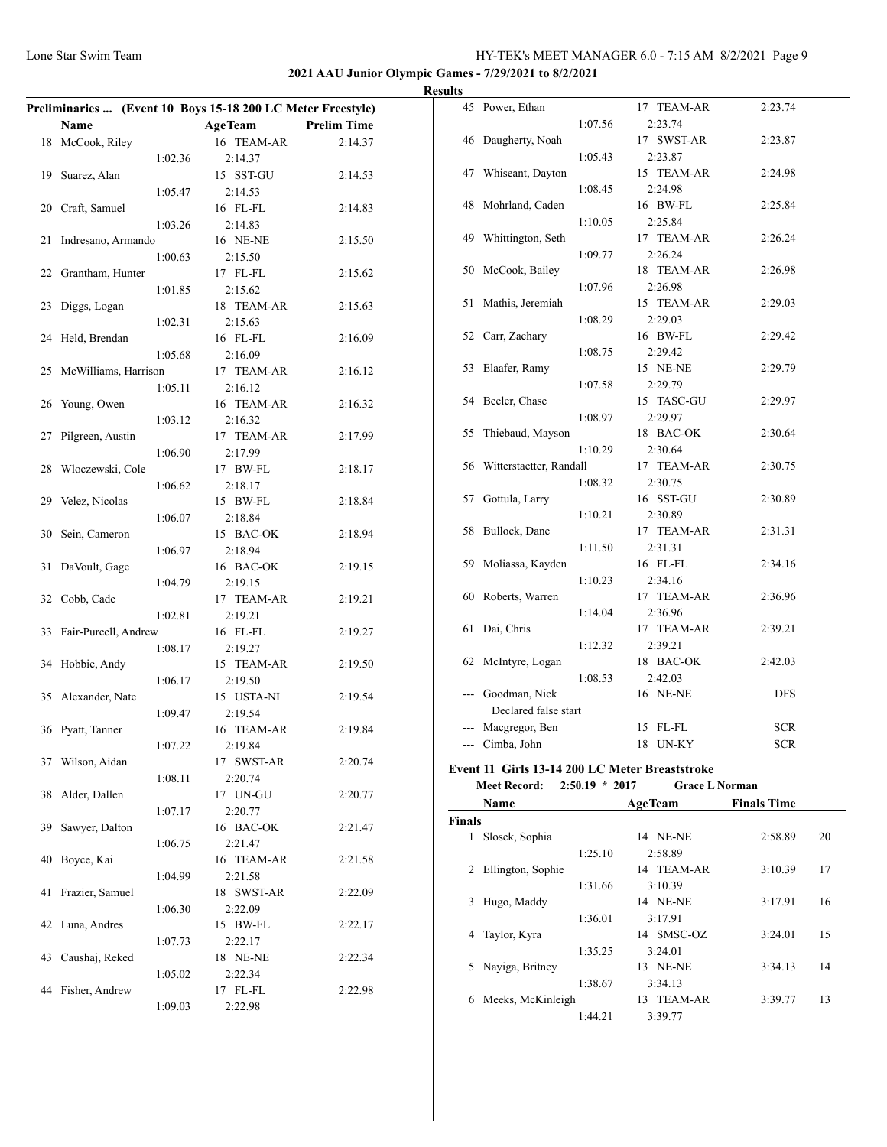**2021 AAU Junior Olympic Games - 7/29/2021 to 8/2/2021**

|    | <b>Name</b>          | Preliminaries  (Event 10 Boys 15-18 200 LC Meter Freestyle)<br><b>AgeTeam</b> | <b>Prelim Time</b> |
|----|----------------------|-------------------------------------------------------------------------------|--------------------|
|    | 18 McCook, Riley     | 16 TEAM-AR                                                                    | 2:14.37            |
|    |                      |                                                                               |                    |
|    | 1:02.36              | 2:14.37                                                                       |                    |
| 19 | Suarez, Alan         | 15 SST-GU                                                                     | 2:14.53            |
|    | 1:05.47              | 2:14.53                                                                       |                    |
|    | 20 Craft, Samuel     | 16 FL-FL                                                                      | 2:14.83            |
|    | 1:03.26              | 2:14.83                                                                       |                    |
| 21 | Indresano, Armando   | 16 NE-NE                                                                      | 2:15.50            |
|    | 1:00.63              | 2:15.50                                                                       |                    |
|    | 22 Grantham, Hunter  | 17 FL-FL                                                                      | 2:15.62            |
|    | 1:01.85              | 2:15.62                                                                       |                    |
| 23 | Diggs, Logan         | 18 TEAM-AR                                                                    | 2:15.63            |
|    | 1:02.31              | 2:15.63                                                                       |                    |
| 24 | Held, Brendan        | 16 FL-FL                                                                      | 2:16.09            |
|    | 1:05.68              | 2:16.09                                                                       |                    |
| 25 | McWilliams, Harrison | 17 TEAM-AR                                                                    | 2:16.12            |
|    | 1:05.11              | 2:16.12                                                                       |                    |
| 26 | Young, Owen          | 16 TEAM-AR                                                                    | 2:16.32            |
|    | 1:03.12              | 2:16.32                                                                       |                    |
| 27 | Pilgreen, Austin     | 17 TEAM-AR                                                                    | 2:17.99            |
|    | 1:06.90              | 2:17.99                                                                       |                    |
| 28 | Włoczewski, Cole     | 17 BW-FL                                                                      | 2:18.17            |
|    | 1:06.62              | 2:18.17                                                                       |                    |
|    |                      | 15 BW-FL                                                                      |                    |
|    | 29 Velez, Nicolas    |                                                                               | 2:18.84            |
|    | 1:06.07              | 2:18.84                                                                       |                    |
| 30 | Sein, Cameron        | 15 BAC-OK                                                                     | 2:18.94            |
|    | 1:06.97              | 2:18.94                                                                       |                    |
| 31 | DaVoult, Gage        | 16 BAC-OK                                                                     | 2:19.15            |
|    | 1:04.79              | 2:19.15                                                                       |                    |
| 32 | Cobb, Cade           | 17 TEAM-AR                                                                    | 2:19.21            |
|    | 1:02.81              | 2:19.21                                                                       |                    |
| 33 | Fair-Purcell, Andrew | 16 FL-FL                                                                      | 2:19.27            |
|    | 1:08.17              | 2:19.27                                                                       |                    |
| 34 | Hobbie, Andy         | 15 TEAM-AR                                                                    | 2:19.50            |
|    | 1:06.17              | 2:19.50                                                                       |                    |
| 35 | Alexander, Nate      | 15 USTA-NI                                                                    | 2:19.54            |
|    | 1:09.47              | 2:19.54                                                                       |                    |
|    | 36 Pyatt, Tanner     | 16 TEAM-AR                                                                    | 2:19.84            |
|    | 1:07.22              | 2:19.84                                                                       |                    |
| 37 | Wilson, Aidan        | 17 SWST-AR                                                                    | 2:20.74            |
|    | 1:08.11              | 2:20.74                                                                       |                    |
| 38 | Alder, Dallen        | 17 UN-GU                                                                      | 2:20.77            |
|    | 1:07.17              | 2:20.77                                                                       |                    |
|    | Sawyer, Dalton       | 16 BAC-OK                                                                     | 2:21.47            |
| 39 |                      |                                                                               |                    |
|    | 1:06.75              | 2:21.47                                                                       |                    |
| 40 | Boyce, Kai           | 16 TEAM-AR                                                                    | 2:21.58            |
|    | 1:04.99              | 2:21.58                                                                       |                    |
| 41 | Frazier, Samuel      | 18 SWST-AR                                                                    | 2:22.09            |
|    | 1:06.30              | 2:22.09                                                                       |                    |
|    | 42 Luna, Andres      | 15 BW-FL                                                                      | 2:22.17            |
|    | 1:07.73              | 2:22.17                                                                       |                    |
| 43 | Caushaj, Reked       | 18 NE-NE                                                                      | 2:22.34            |
|    | 1:05.02              | 2:22.34                                                                       |                    |
|    |                      |                                                                               |                    |
| 44 | Fisher, Andrew       | 17 FL-FL                                                                      | 2:22.98            |

| <b>Results</b> |                            |         |            |            |
|----------------|----------------------------|---------|------------|------------|
|                | 45 Power, Ethan            |         | 17 TEAM-AR | 2:23.74    |
|                |                            | 1:07.56 | 2:23.74    |            |
|                | 46 Daugherty, Noah         |         | 17 SWST-AR | 2:23.87    |
|                |                            | 1:05.43 | 2:23.87    |            |
| 47             | Whiseant, Dayton           |         | 15 TEAM-AR | 2:24.98    |
|                |                            | 1:08.45 | 2:24.98    |            |
| 48             | Mohrland, Caden            |         | 16 BW-FL   | 2:25.84    |
|                |                            | 1:10.05 | 2:25.84    |            |
|                | 49 Whittington, Seth       |         | 17 TEAM-AR | 2:26.24    |
|                |                            | 1:09.77 | 2:26.24    |            |
|                | 50 McCook, Bailey          |         | 18 TEAM-AR | 2:26.98    |
|                |                            | 1:07.96 | 2:26.98    |            |
| 51             | Mathis, Jeremiah           |         | 15 TEAM-AR | 2:29.03    |
|                |                            | 1:08.29 | 2:29.03    |            |
|                | 52 Carr, Zachary           |         | 16 BW-FL   | 2:29.42    |
|                |                            | 1:08.75 | 2:29.42    |            |
| 53             | Elaafer, Ramy              |         | 15 NE-NE   | 2:29.79    |
|                |                            | 1:07.58 | 2:29.79    |            |
|                | 54 Beeler, Chase           |         | 15 TASC-GU | 2:29.97    |
|                |                            | 1:08.97 | 2:29.97    |            |
| 55             | Thiebaud, Mayson           |         | 18 BAC-OK  | 2:30.64    |
|                |                            | 1:10.29 | 2:30.64    |            |
|                | 56 Witterstaetter, Randall |         | 17 TEAM-AR | 2:30.75    |
|                |                            | 1:08.32 | 2:30.75    |            |
|                | 57 Gottula, Larry          |         | 16 SST-GU  | 2:30.89    |
|                |                            | 1:10.21 | 2:30.89    |            |
| 58             | Bullock, Dane              |         | 17 TEAM-AR | 2:31.31    |
|                |                            | 1:11.50 | 2:31.31    |            |
|                | 59 Moliassa, Kayden        |         | 16 FL-FL   | 2:34.16    |
|                |                            | 1:10.23 | 2:34.16    |            |
| 60             | Roberts, Warren            |         | 17 TEAM-AR | 2:36.96    |
|                |                            | 1:14.04 | 2:36.96    |            |
| 61             | Dai, Chris                 |         | 17 TEAM-AR | 2:39.21    |
|                |                            | 1:12.32 | 2:39.21    |            |
|                | 62 McIntyre, Logan         |         | 18 BAC-OK  | 2:42.03    |
|                |                            | 1:08.53 | 2:42.03    |            |
| ---            | Goodman, Nick              |         | 16 NE-NE   | <b>DFS</b> |
|                | Declared false start       |         |            |            |
|                | Macgregor, Ben             |         | 15 FL-FL   | SCR        |
|                | --- Cimba, John            |         | 18 UN-KY   | <b>SCR</b> |

#### **Event 11 Girls 13-14 200 LC Meter Breaststroke**

|               | <b>Meet Record:</b><br>$2:50.19 * 2017$ | <b>Grace L Norman</b> |                    |    |
|---------------|-----------------------------------------|-----------------------|--------------------|----|
|               | Name                                    | <b>AgeTeam</b>        | <b>Finals Time</b> |    |
| <b>Finals</b> |                                         |                       |                    |    |
|               | Slosek, Sophia                          | NE-NE<br>14           | 2:58.89            | 20 |
|               | 1:25.10                                 | 2:58.89               |                    |    |
| 2             | Ellington, Sophie                       | 14 TEAM-AR            | 3:10.39            | 17 |
|               | 1:31.66                                 | 3:10.39               |                    |    |
| 3             | Hugo, Maddy                             | 14 NE-NE              | 3:17.91            | 16 |
|               | 1:36.01                                 | 3:17.91               |                    |    |
| 4             | Taylor, Kyra                            | 14 SMSC-OZ            | 3:24.01            | 15 |
|               | 1:35.25                                 | 3:24.01               |                    |    |
|               | Nayiga, Britney                         | 13 NE-NE              | 3:34.13            | 14 |
|               | 1:38.67                                 | 3:34.13               |                    |    |
| 6             | Meeks, McKinleigh                       | 13 TEAM-AR            | 3:39.77            | 13 |
|               | 1:44.21                                 | 3:39.77               |                    |    |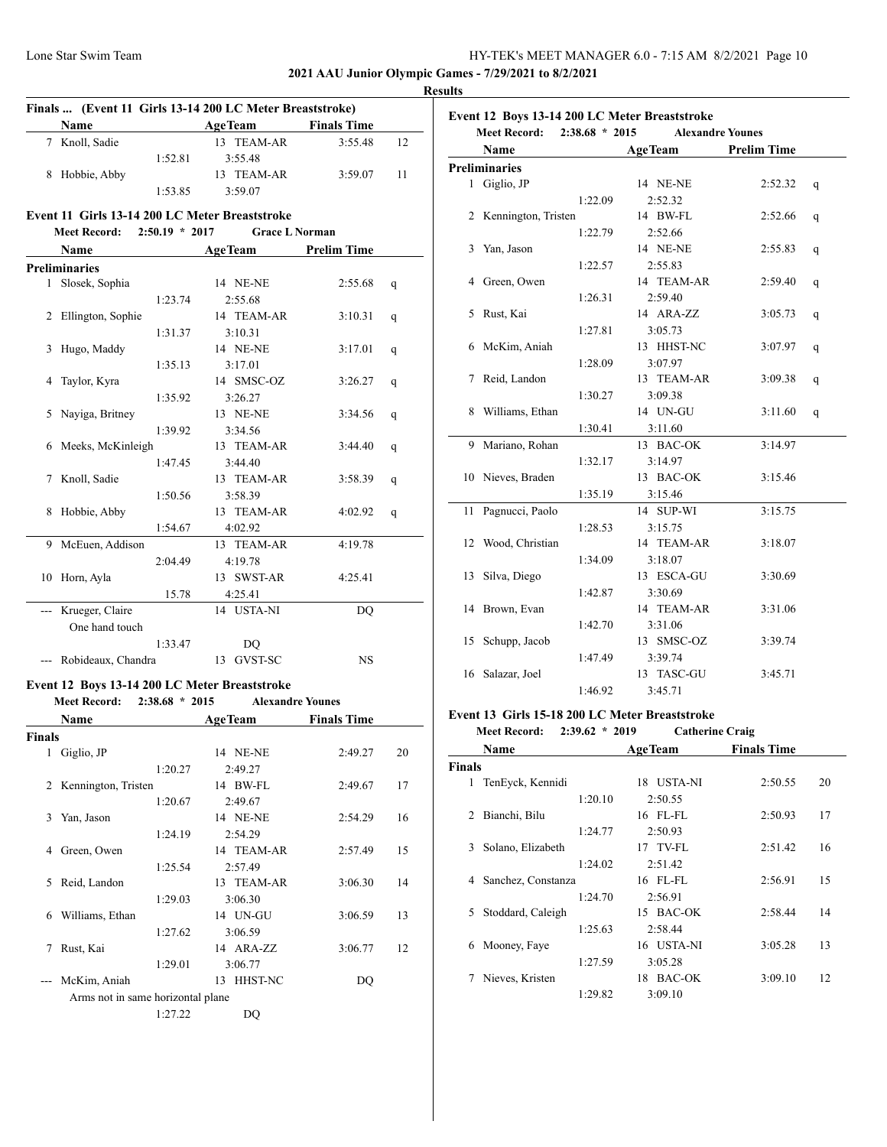**2021 AAU Junior Olympic Games - 7/29/2021 to 8/2/2021**

|               |                                                                              |                                             | Finals  (Event 11 Girls 13-14 200 LC Meter Breaststroke) |    |
|---------------|------------------------------------------------------------------------------|---------------------------------------------|----------------------------------------------------------|----|
|               | Name                                                                         | <b>Example 2 Age Team</b> Finals Time       |                                                          |    |
|               | 7 Knoll, Sadie                                                               | 13 TEAM-AR                                  | 3:55.48                                                  | 12 |
|               | 1:52.81                                                                      | 3:55.48                                     |                                                          |    |
|               | 8 Hobbie, Abby                                                               | 13 TEAM-AR                                  | 3:59.07                                                  | 11 |
|               | 1:53.85                                                                      | 3:59.07                                     |                                                          |    |
|               | Event 11 Girls 13-14 200 LC Meter Breaststroke                               |                                             |                                                          |    |
|               | Meet Record: 2:50.19 * 2017                                                  | <b>Grace L Norman</b>                       |                                                          |    |
|               | <b>Name</b>                                                                  | <b>ExamPrelim Time</b> Age Team Prelim Time |                                                          |    |
|               | <b>Preliminaries</b>                                                         |                                             |                                                          |    |
|               | 1 Slosek, Sophia                                                             | 14 NE-NE                                    | 2:55.68                                                  | q  |
|               | 1:23.74                                                                      | 2:55.68                                     |                                                          |    |
|               | 2 Ellington, Sophie                                                          | 14 TEAM-AR                                  | 3:10.31                                                  | q  |
|               | 1:31.37                                                                      | 3:10.31                                     |                                                          |    |
|               | 3 Hugo, Maddy                                                                | 14 NE-NE                                    | 3:17.01                                                  | q  |
|               | 1:35.13                                                                      | 3:17.01                                     |                                                          |    |
|               | 4 Taylor, Kyra                                                               | 14 SMSC-OZ                                  | 3:26.27                                                  | q  |
|               | 1:35.92                                                                      | 3:26.27                                     |                                                          |    |
|               | 5 Nayiga, Britney                                                            | 13 NE-NE                                    | 3:34.56                                                  | q  |
|               | 1:39.92                                                                      | 3:34.56                                     |                                                          |    |
|               | 6 Meeks, McKinleigh                                                          | 13 TEAM-AR                                  | 3:44.40                                                  | q  |
|               | 1:47.45                                                                      | 3:44.40                                     |                                                          |    |
|               | 7 Knoll, Sadie                                                               | 13 TEAM-AR                                  | 3:58.39                                                  | q  |
|               | 1:50.56                                                                      | 3:58.39                                     |                                                          |    |
|               | 8 Hobbie, Abby                                                               | 13 TEAM-AR                                  | 4:02.92                                                  | q  |
|               | 1:54.67                                                                      | 4:02.92                                     |                                                          |    |
|               | 9 McEuen, Addison                                                            | 13 TEAM-AR                                  | 4:19.78                                                  |    |
|               | 2:04.49                                                                      | 4:19.78                                     |                                                          |    |
|               | 10 Horn, Ayla                                                                | 13 SWST-AR                                  | 4:25.41                                                  |    |
|               | 15.78                                                                        | 4:25.41                                     |                                                          |    |
|               | --- Krueger, Claire                                                          | 14 USTA-NI                                  | DO                                                       |    |
|               | One hand touch                                                               |                                             |                                                          |    |
|               | 1:33.47                                                                      | DQ                                          |                                                          |    |
|               | --- Robideaux, Chandra                                                       | 13 GVST-SC                                  | NS                                                       |    |
|               |                                                                              |                                             |                                                          |    |
|               |                                                                              |                                             |                                                          |    |
|               | Event 12 Boys 13-14 200 LC Meter Breaststroke<br>Meet Record: 2:38.68 * 2015 | <b>Alexandre Younes</b>                     |                                                          |    |
|               | Name                                                                         |                                             | <b>Finals Time</b>                                       |    |
|               |                                                                              | <b>Example 2</b> Age Team                   |                                                          |    |
| 1             | Giglio, JP                                                                   | 14 NE-NE                                    | 2:49.27                                                  | 20 |
| <b>Finals</b> | 1:20.27                                                                      | 2:49.27                                     |                                                          |    |
| 2             | Kennington, Tristen                                                          | 14 BW-FL                                    | 2:49.67                                                  | 17 |
|               | 1:20.67                                                                      | 2:49.67                                     |                                                          |    |
| 3             | Yan, Jason                                                                   | 14 NE-NE                                    | 2:54.29                                                  | 16 |
|               | 1:24.19                                                                      | 2:54.29                                     |                                                          |    |
| 4             | Green, Owen                                                                  | 14 TEAM-AR                                  | 2:57.49                                                  | 15 |
|               | 1:25.54                                                                      | 2:57.49                                     |                                                          |    |
| 5             | Reid, Landon                                                                 | 13 TEAM-AR                                  | 3:06.30                                                  | 14 |
|               | 1:29.03                                                                      | 3:06.30                                     |                                                          |    |
| 6             | Williams, Ethan                                                              | 14 UN-GU                                    | 3:06.59                                                  | 13 |
|               | 1:27.62                                                                      | 3:06.59                                     |                                                          |    |
| 7             | Rust, Kai                                                                    | 14 ARA-ZZ                                   | 3:06.77                                                  | 12 |
|               | 1:29.01                                                                      | 3:06.77                                     |                                                          |    |
| ---           | McKim, Aniah                                                                 | 13 HHST-NC                                  | DQ                                                       |    |
|               | Arms not in same horizontal plane                                            |                                             |                                                          |    |
|               | 1:27.22                                                                      | DQ                                          |                                                          |    |

|                | <b>Meet Record:</b><br>$2:38.68 * 2015$<br><b>Alexandre Younes</b> |                |                    |   |  |  |
|----------------|--------------------------------------------------------------------|----------------|--------------------|---|--|--|
|                | Name                                                               | <b>AgeTeam</b> | <b>Prelim Time</b> |   |  |  |
|                | <b>Preliminaries</b>                                               |                |                    |   |  |  |
| 1              | Giglio, JP                                                         | 14 NE-NE       | 2:52.32            | q |  |  |
|                | 1:22.09                                                            | 2:52.32        |                    |   |  |  |
| $\overline{2}$ | Kennington, Tristen                                                | 14 BW-FL       | 2:52.66            | q |  |  |
|                | 1:22.79                                                            | 2:52.66        |                    |   |  |  |
| 3              | Yan, Jason                                                         | 14 NE-NE       | 2:55.83            | q |  |  |
|                | 1:22.57                                                            | 2:55.83        |                    |   |  |  |
| 4              | Green, Owen                                                        | 14 TEAM-AR     | 2:59.40            | q |  |  |
|                | 1:26.31                                                            | 2:59.40        |                    |   |  |  |
| 5              | Rust, Kai                                                          | 14 ARA-ZZ      | 3:05.73            | q |  |  |
|                | 1:27.81                                                            | 3:05.73        |                    |   |  |  |
| 6              | McKim, Aniah                                                       | 13 HHST-NC     | 3:07.97            | q |  |  |
|                | 1:28.09                                                            | 3:07.97        |                    |   |  |  |
| 7              | Reid, Landon                                                       | 13 TEAM-AR     | 3:09.38            | q |  |  |
|                | 1:30.27                                                            | 3:09.38        |                    |   |  |  |
| 8              | Williams, Ethan                                                    | 14 UN-GU       | 3:11.60            | q |  |  |
|                | 1:30.41                                                            | 3:11.60        |                    |   |  |  |
| 9              | Mariano, Rohan                                                     | 13 BAC-OK      | 3:14.97            |   |  |  |
|                | 1:32.17                                                            | 3:14.97        |                    |   |  |  |
|                | 10 Nieves, Braden                                                  | 13 BAC-OK      | 3:15.46            |   |  |  |
|                | 1:35.19                                                            | 3:15.46        |                    |   |  |  |
| 11             | Pagnucci, Paolo                                                    | 14 SUP-WI      | 3:15.75            |   |  |  |
|                | 1:28.53                                                            | 3:15.75        |                    |   |  |  |
| 12             | Wood, Christian                                                    | 14 TEAM-AR     | 3:18.07            |   |  |  |
|                | 1:34.09                                                            | 3:18.07        |                    |   |  |  |
| 13             | Silva, Diego                                                       | 13 ESCA-GU     | 3:30.69            |   |  |  |
|                | 1:42.87                                                            | 3:30.69        |                    |   |  |  |
| 14             | Brown, Evan                                                        | 14 TEAM-AR     | 3:31.06            |   |  |  |
|                | 1:42.70                                                            | 3:31.06        |                    |   |  |  |
| 15             | Schupp, Jacob                                                      | 13 SMSC-OZ     | 3:39.74            |   |  |  |
|                | 1:47.49                                                            | 3:39.74        |                    |   |  |  |
| 16             | Salazar, Joel                                                      | 13 TASC-GU     | 3:45.71            |   |  |  |
|                | 1:46.92                                                            | 3:45.71        |                    |   |  |  |

#### **Event 13 Girls 15-18 200 LC Meter Breaststroke**

**Meet Record: 2:39.62 \* 2019 Catherine Craig**

|               | Name               |         | <b>AgeTeam</b> | <b>Finals Time</b> |    |
|---------------|--------------------|---------|----------------|--------------------|----|
| <b>Finals</b> |                    |         |                |                    |    |
| 1             | TenEyck, Kennidi   |         | 18 USTA-NI     | 2:50.55            | 20 |
|               |                    | 1:20.10 | 2:50.55        |                    |    |
| 2             | Bianchi, Bilu      |         | 16 FL-FL       | 2:50.93            | 17 |
|               |                    | 1:24.77 | 2:50.93        |                    |    |
| 3             | Solano, Elizabeth  |         | 17 TV-FL       | 2:51.42            | 16 |
|               |                    | 1:24.02 | 2:51.42        |                    |    |
| 4             | Sanchez, Constanza |         | 16 FL-FL       | 2:56.91            | 15 |
|               |                    | 1:24.70 | 2:56.91        |                    |    |
| 5.            | Stoddard, Caleigh  |         | 15 BAC-OK      | 2:58.44            | 14 |
|               |                    | 1:25.63 | 2:58.44        |                    |    |
| 6             | Mooney, Faye       |         | 16 USTA-NI     | 3:05.28            | 13 |
|               |                    | 1:27.59 | 3:05.28        |                    |    |
| 7             | Nieves, Kristen    |         | 18 BAC-OK      | 3:09.10            | 12 |
|               |                    | 1:29.82 | 3:09.10        |                    |    |
|               |                    |         |                |                    |    |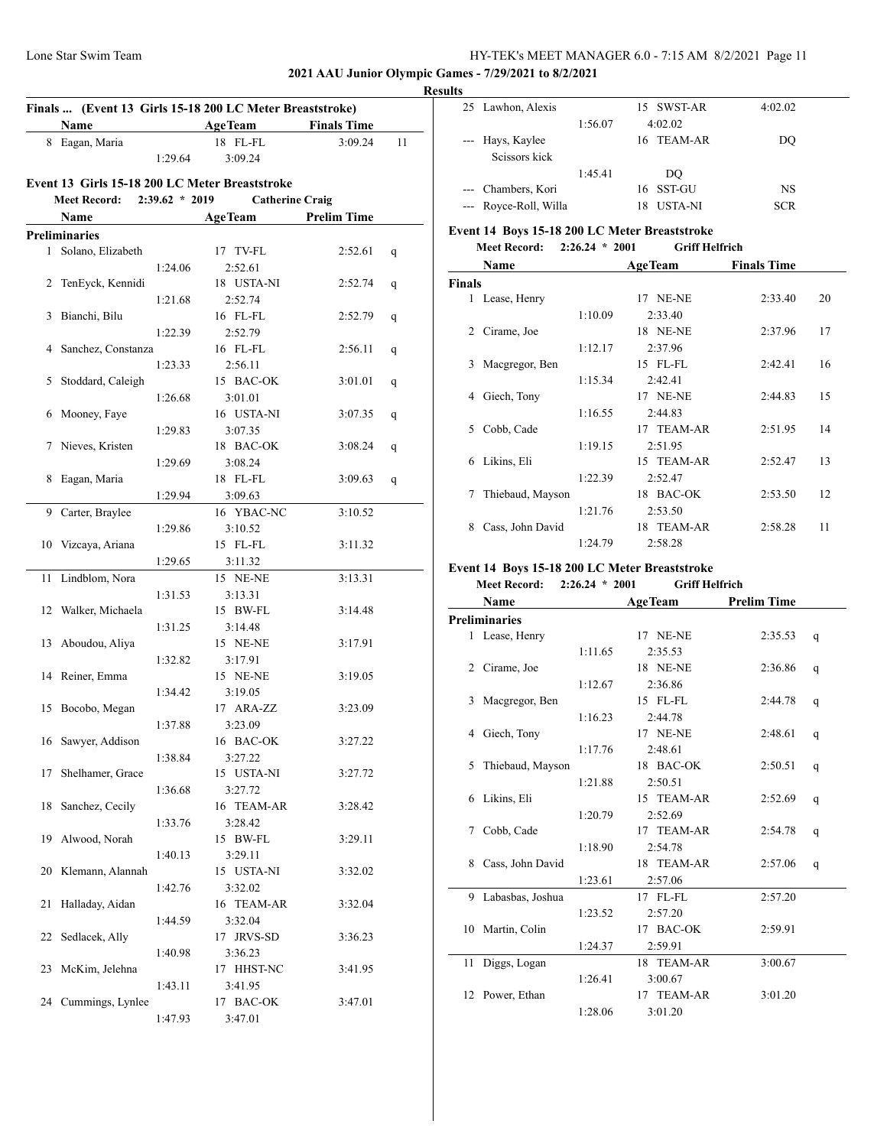#### **2021 AAU Junior Olympic Games - 7/29/2021 to 8/2/2021**

|              | Name                 |                  | <b>AgeTeam</b>                                 | <b>Finals Time</b> |    |
|--------------|----------------------|------------------|------------------------------------------------|--------------------|----|
|              | 8 Eagan, Maria       |                  | 18 FL-FL                                       | 3:09.24            | 11 |
|              |                      | 1:29.64          | 3:09.24                                        |                    |    |
|              |                      |                  | Event 13 Girls 15-18 200 LC Meter Breaststroke |                    |    |
|              | <b>Meet Record:</b>  | $2:39.62 * 2019$ | <b>Catherine Craig</b>                         |                    |    |
|              | Name                 |                  | <b>AgeTeam</b>                                 | <b>Prelim Time</b> |    |
|              | <b>Preliminaries</b> |                  |                                                |                    |    |
| $\mathbf{1}$ | Solano, Elizabeth    |                  | 17 TV-FL                                       | 2:52.61            | q  |
|              |                      | 1:24.06          | 2:52.61                                        |                    |    |
|              | 2 TenEyck, Kennidi   |                  | 18 USTA-NI                                     | 2:52.74            | q  |
| 3            | Bianchi, Bilu        | 1:21.68          | 2:52.74<br>16 FL-FL                            |                    |    |
|              |                      | 1:22.39          | 2:52.79                                        | 2:52.79            | q  |
|              | 4 Sanchez, Constanza |                  | 16 FL-FL                                       | 2:56.11            | q  |
|              |                      | 1:23.33          | 2:56.11                                        |                    |    |
| 5            | Stoddard, Caleigh    |                  | 15 BAC-OK                                      | 3:01.01            | q  |
|              |                      | 1:26.68          | 3:01.01                                        |                    |    |
| 6            | Mooney, Faye         |                  | 16 USTA-NI                                     | 3:07.35            | q  |
|              |                      | 1:29.83          | 3:07.35                                        |                    |    |
| 7            | Nieves, Kristen      |                  | 18 BAC-OK                                      | 3:08.24            | q  |
|              |                      | 1:29.69          | 3:08.24                                        |                    |    |
| 8            | Eagan, Maria         |                  | 18 FL-FL                                       | 3:09.63            | q  |
|              |                      | 1:29.94          | 3:09.63                                        |                    |    |
| 9            | Carter, Braylee      |                  | 16 YBAC-NC                                     | 3:10.52            |    |
|              |                      | 1:29.86          | 3:10.52                                        |                    |    |
| 10           | Vizcaya, Ariana      |                  | 15 FL-FL                                       | 3:11.32            |    |
|              |                      | 1:29.65          | 3:11.32                                        |                    |    |
| 11           | Lindblom, Nora       |                  | 15 NE-NE                                       | 3:13.31            |    |
| 12           | Walker, Michaela     | 1:31.53          | 3:13.31<br>15 BW-FL                            | 3:14.48            |    |
|              |                      | 1:31.25          | 3:14.48                                        |                    |    |
| 13           | Aboudou, Aliya       |                  | 15 NE-NE                                       | 3:17.91            |    |
|              |                      | 1:32.82          | 3:17.91                                        |                    |    |
|              | 14 Reiner, Emma      |                  | 15 NE-NE                                       | 3:19.05            |    |
|              |                      | 1:34.42          | 3:19.05                                        |                    |    |
| 15           | Bocobo, Megan        |                  | 17 ARA-ZZ                                      | 3:23.09            |    |
|              |                      | 1:37.88          | 3:23.09                                        |                    |    |
|              | 16 Sawyer, Addison   |                  | 16 BAC-OK                                      | 3:27.22            |    |
|              |                      | 1:38.84          | 3:27.22                                        |                    |    |
| 17           | Shelhamer, Grace     |                  | 15 USTA-NI                                     | 3:27.72            |    |
|              |                      | 1:36.68          | 3:27.72                                        |                    |    |
| 18           | Sanchez, Cecily      |                  | 16 TEAM-AR                                     | 3:28.42            |    |
|              |                      | 1:33.76          | 3:28.42                                        |                    |    |
| 19           | Alwood, Norah        |                  | 15 BW-FL                                       | 3:29.11            |    |
|              |                      | 1:40.13          | 3:29.11<br>15 USTA-NI                          |                    |    |
| 20           | Klemann, Alannah     |                  | 3:32.02                                        | 3:32.02            |    |
| 21           | Halladay, Aidan      | 1:42.76          | 16 TEAM-AR                                     | 3:32.04            |    |
|              |                      | 1:44.59          | 3:32.04                                        |                    |    |
| 22           | Sedlacek, Ally       |                  | 17 JRVS-SD                                     | 3:36.23            |    |
|              |                      | 1:40.98          | 3:36.23                                        |                    |    |
| 23           | McKim, Jelehna       |                  | 17 HHST-NC                                     | 3:41.95            |    |
|              |                      | 1:43.11          | 3:41.95                                        |                    |    |
|              | 24 Cummings, Lynlee  |                  | 17 BAC-OK                                      | 3:47.01            |    |
|              |                      |                  |                                                |                    |    |

| <b>Results</b> |                                   |         |                      |           |  |  |
|----------------|-----------------------------------|---------|----------------------|-----------|--|--|
|                | 25 Lawhon, Alexis                 |         | 15 SWST-AR           | 4:02.02   |  |  |
|                |                                   | 1:56.07 | 4:02.02              |           |  |  |
|                | --- Hays, Kaylee<br>Scissors kick |         | 16 TEAM-AR           | DO        |  |  |
|                |                                   | 1:45.41 | DO                   |           |  |  |
|                | --- Chambers, Kori                |         | 16 SST-GU            | <b>NS</b> |  |  |
|                | --- Royce-Roll, Willa             |         | <b>USTA-NI</b><br>18 | SCR       |  |  |

# **Event 14 Boys 15-18 200 LC Meter Breaststroke**

|               | Name             |         | <b>AgeTeam</b>  | <b>Finals Time</b> |    |
|---------------|------------------|---------|-----------------|--------------------|----|
| <b>Finals</b> |                  |         |                 |                    |    |
| $\mathbf{1}$  | Lease, Henry     |         | 17 NE-NE        | 2:33.40            | 20 |
|               |                  | 1:10.09 | 2:33.40         |                    |    |
| 2             | Cirame, Joe      |         | <b>18 NE-NE</b> | 2:37.96            | 17 |
|               |                  | 1:12.17 | 2:37.96         |                    |    |
| 3             | Macgregor, Ben   |         | 15 FL-FL        | 2:42.41            | 16 |
|               |                  | 1:15.34 | 2:42.41         |                    |    |
| 4             | Giech, Tony      |         | 17 NE-NE        | 2:44.83            | 15 |
|               |                  | 1:16.55 | 2:44.83         |                    |    |
| 5.            | Cobb, Cade       |         | 17 TEAM-AR      | 2:51.95            | 14 |
|               |                  | 1:19.15 | 2:51.95         |                    |    |
| 6             | Likins, Eli      |         | 15 TEAM-AR      | 2:52.47            | 13 |
|               |                  | 1:22.39 | 2:52.47         |                    |    |
| 7             | Thiebaud, Mayson |         | 18 BAC-OK       | 2:53.50            | 12 |
|               |                  | 1:21.76 | 2:53.50         |                    |    |
| 8             | Cass, John David |         | 18 TEAM-AR      | 2:58.28            | 11 |
|               |                  | 1:24.79 | 2:58.28         |                    |    |

# **Event 14 Boys 15-18 200 LC Meter Breaststroke**

# **Meet Record: 2:26.24 \* 2001 Griff Helfrich**

|    | Name                 |         | <b>AgeTeam</b> | <b>Prelim Time</b> |   |
|----|----------------------|---------|----------------|--------------------|---|
|    | <b>Preliminaries</b> |         |                |                    |   |
|    | 1 Lease, Henry       |         | 17 NE-NE       | 2:35.53            | q |
|    |                      | 1:11.65 | 2:35.53        |                    |   |
|    | 2 Cirame, Joe        |         | 18 NE-NE       | 2:36.86            | q |
|    |                      | 1:12.67 | 2:36.86        |                    |   |
| 3  | Macgregor, Ben       |         | 15 FL-FL       | 2:44.78            | q |
|    |                      | 1:16.23 | 2:44.78        |                    |   |
| 4  | Giech, Tony          |         | 17 NE-NE       | 2:48.61            | q |
|    |                      | 1:17.76 | 2:48.61        |                    |   |
| 5. | Thiebaud, Mayson     |         | 18 BAC-OK      | 2:50.51            | q |
|    |                      | 1:21.88 | 2:50.51        |                    |   |
|    | 6 Likins, Eli        |         | 15 TEAM-AR     | 2:52.69            | q |
|    |                      | 1:20.79 | 2:52.69        |                    |   |
| 7  | Cobb, Cade           |         | 17 TEAM-AR     | 2:54.78            | q |
|    |                      | 1:18.90 | 2:54.78        |                    |   |
| 8  | Cass, John David     |         | 18 TEAM-AR     | 2:57.06            | q |
|    |                      | 1:23.61 | 2:57.06        |                    |   |
|    | 9 Labasbas, Joshua   |         | 17 FL-FL       | 2:57.20            |   |
|    |                      | 1:23.52 | 2:57.20        |                    |   |
|    | 10 Martin, Colin     |         | 17 BAC-OK      | 2:59.91            |   |
|    |                      | 1:24.37 | 2:59.91        |                    |   |
| 11 | Diggs, Logan         |         | 18 TEAM-AR     | 3:00.67            |   |
|    |                      | 1:26.41 | 3:00.67        |                    |   |
|    | 12 Power, Ethan      |         | 17 TEAM-AR     | 3:01.20            |   |
|    |                      | 1:28.06 | 3:01.20        |                    |   |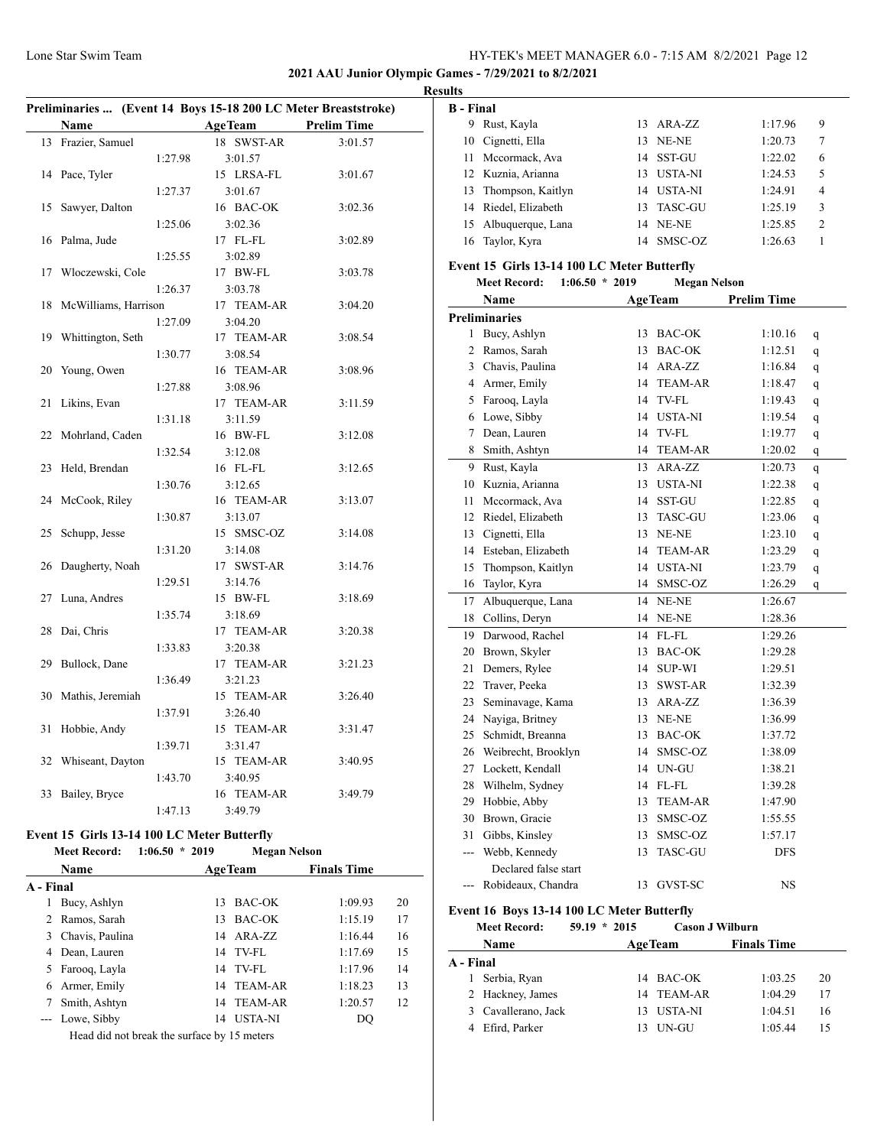# **2021 AAU Junior Olympic Games - 7/29/2021 to 8/2/2021**

| Preliminaries  (Event 14 Boys 15-18 200 LC Meter Breaststroke) |                      |         |                       |                    |  |  |  |
|----------------------------------------------------------------|----------------------|---------|-----------------------|--------------------|--|--|--|
|                                                                | <b>Name</b>          |         | <b>AgeTeam</b>        | <b>Prelim Time</b> |  |  |  |
| 13                                                             | Frazier, Samuel      |         | 18 SWST-AR            | 3:01.57            |  |  |  |
|                                                                |                      | 1:27.98 | 3:01.57               |                    |  |  |  |
| 14                                                             | Pace, Tyler          |         | 15 LRSA-FL            | 3:01.67            |  |  |  |
|                                                                |                      | 1:27.37 | 3:01.67               |                    |  |  |  |
| 15                                                             | Sawyer, Dalton       |         | 16 BAC-OK             | 3:02.36            |  |  |  |
|                                                                |                      | 1:25.06 | 3:02.36               |                    |  |  |  |
| 16                                                             | Palma, Jude          |         | 17 FL-FL              | 3:02.89            |  |  |  |
|                                                                |                      | 1:25.55 | 3:02.89               |                    |  |  |  |
| 17                                                             | Włoczewski, Cole     |         | 17 BW-FL              | 3:03.78            |  |  |  |
|                                                                |                      | 1:26.37 | 3:03.78               |                    |  |  |  |
| 18                                                             | McWilliams, Harrison |         | 17 TEAM-AR            | 3:04.20            |  |  |  |
|                                                                |                      | 1:27.09 | 3:04.20               |                    |  |  |  |
| 19                                                             | Whittington, Seth    |         | 17 TEAM-AR            | 3:08.54            |  |  |  |
|                                                                |                      | 1:30.77 | 3:08.54               |                    |  |  |  |
| 20                                                             | Young, Owen          |         | 16 TEAM-AR            | 3:08.96            |  |  |  |
|                                                                |                      | 1:27.88 | 3:08.96               |                    |  |  |  |
| 21                                                             | Likins, Evan         |         | 17 TEAM-AR            | 3:11.59            |  |  |  |
|                                                                |                      | 1:31.18 | 3:11.59               |                    |  |  |  |
| 22                                                             | Mohrland, Caden      |         | 16 BW-FL              | 3:12.08            |  |  |  |
|                                                                |                      | 1:32.54 | 3:12.08               |                    |  |  |  |
| 23                                                             | Held, Brendan        |         | 16 FL-FL              | 3:12.65            |  |  |  |
|                                                                |                      | 1:30.76 | 3:12.65               |                    |  |  |  |
| 24                                                             | McCook, Riley        |         | 16 TEAM-AR            | 3:13.07            |  |  |  |
|                                                                |                      | 1:30.87 | 3:13.07               |                    |  |  |  |
| 25                                                             | Schupp, Jesse        |         | 15 SMSC-OZ            | 3:14.08            |  |  |  |
| 26                                                             | Daugherty, Noah      | 1:31.20 | 3:14.08<br>17 SWST-AR | 3:14.76            |  |  |  |
|                                                                |                      | 1:29.51 | 3:14.76               |                    |  |  |  |
| 27                                                             | Luna, Andres         |         | 15 BW-FL              | 3:18.69            |  |  |  |
|                                                                |                      | 1:35.74 | 3:18.69               |                    |  |  |  |
| 28                                                             | Dai, Chris           |         | 17 TEAM-AR            | 3:20.38            |  |  |  |
|                                                                |                      | 1:33.83 | 3:20.38               |                    |  |  |  |
| 29                                                             | Bullock, Dane        |         | 17 TEAM-AR            | 3:21.23            |  |  |  |
|                                                                |                      | 1:36.49 | 3:21.23               |                    |  |  |  |
| 30                                                             | Mathis, Jeremiah     |         | 15 TEAM-AR            | 3:26.40            |  |  |  |
|                                                                |                      | 1:37.91 | 3:26.40               |                    |  |  |  |
| 31                                                             | Hobbie, Andy         |         | 15 TEAM-AR            | 3:31.47            |  |  |  |
|                                                                |                      | 1:39.71 | 3:31.47               |                    |  |  |  |
| 32                                                             | Whiseant, Dayton     |         | 15 TEAM-AR            | 3:40.95            |  |  |  |
|                                                                |                      | 1:43.70 | 3:40.95               |                    |  |  |  |
| 33                                                             | Bailey, Bryce        |         | 16 TEAM-AR            | 3:49.79            |  |  |  |
|                                                                |                      | 1:47.13 | 3:49.79               |                    |  |  |  |
|                                                                |                      |         |                       |                    |  |  |  |

#### **Event 15 Girls 13-14 100 LC Meter Butterfly**<br>Meet Becord: 1:06.50 \* 2019 **Meet Record: 1:06.50 \* 2019 Megan Nelson**

|           | <b>Meet Record:</b>                                                                                                                                                | $1:06.50 * 2019$ |                                    | Megan Nelson       |    |
|-----------|--------------------------------------------------------------------------------------------------------------------------------------------------------------------|------------------|------------------------------------|--------------------|----|
|           | <b>Name</b>                                                                                                                                                        |                  | <b>AgeTeam</b>                     | <b>Finals Time</b> |    |
| A - Final |                                                                                                                                                                    |                  |                                    |                    |    |
| 1         | Bucy, Ashlyn                                                                                                                                                       |                  | BAC-OK<br>13                       | 1:09.93            | 20 |
|           | 2 Ramos, Sarah                                                                                                                                                     |                  | BAC-OK<br>13                       | 1:15.19            | 17 |
| 3         | Chavis, Paulina                                                                                                                                                    |                  | 14 ARA-ZZ                          | 1:16.44            | 16 |
| 4         | Dean, Lauren                                                                                                                                                       |                  | 14 TV-FL                           | 1:17.69            | 15 |
| 5.        | Farooq, Layla                                                                                                                                                      |                  | 14 TV-FL                           | 1:17.96            | 14 |
| 6         | Armer, Emily                                                                                                                                                       |                  | 14 TEAM-AR                         | 1:18.23            | 13 |
|           | Smith, Ashtyn                                                                                                                                                      |                  | 14 TEAM-AR                         | 1:20.57            | 12 |
|           | --- Lowe, Sibby                                                                                                                                                    |                  | 14 USTA-NI                         | DQ                 |    |
|           | $\mathbf{r}$ , $\mathbf{r}$ , $\mathbf{r}$ , $\mathbf{r}$ , $\mathbf{r}$ , $\mathbf{r}$ , $\mathbf{r}$ , $\mathbf{r}$ , $\mathbf{r}$ , $\mathbf{r}$ , $\mathbf{r}$ |                  | $\sim$ $\sim$ $\sim$ $\sim$ $\sim$ |                    |    |

Head did not break the surface by 15 meters

| <b>Results</b>   |                      |            |         |                |  |
|------------------|----------------------|------------|---------|----------------|--|
| <b>B</b> - Final |                      |            |         |                |  |
| 9.               | Rust, Kayla          | 13 ARA-ZZ  | 1:17.96 | 9              |  |
|                  | 10 Cignetti, Ella    | 13 NE-NE   | 1:20.73 | 7              |  |
|                  | 11 Mccormack, Ava    | 14 SST-GU  | 1:22.02 | 6              |  |
|                  | 12 Kuznia, Arianna   | 13 USTA-NI | 1:24.53 | 5              |  |
|                  | 13 Thompson, Kaitlyn | 14 USTA-NI | 1:24.91 | $\overline{4}$ |  |
|                  | 14 Riedel, Elizabeth | 13 TASC-GU | 1:25.19 | 3              |  |
|                  | 15 Albuquerque, Lana | 14 NE-NE   | 1:25.85 | $\mathfrak{D}$ |  |
|                  | 16 Taylor, Kyra      | 14 SMSC-OZ | 1:26.63 |                |  |

## **Event 15 Girls 13-14 100 LC Meter Butterfly**

| <b>Meet Record:</b> | $1:06.50 * 2019$ | <b>Megan Nelson</b> |
|---------------------|------------------|---------------------|
|                     |                  |                     |

|                | Name                                       | <b>AgeTeam</b> |                | <b>Prelim Time</b> |              |  |
|----------------|--------------------------------------------|----------------|----------------|--------------------|--------------|--|
|                | <b>Preliminaries</b>                       |                |                |                    |              |  |
| 1              | Bucy, Ashlyn                               | 13             | <b>BAC-OK</b>  | 1:10.16            | q            |  |
| $\overline{c}$ | Ramos, Sarah                               | 13             | <b>BAC-OK</b>  | 1:12.51            | q            |  |
| 3              | Chavis, Paulina                            | 14             | ARA-ZZ         | 1:16.84            | q            |  |
| $\overline{4}$ | Armer, Emily                               | 14             | <b>TEAM-AR</b> | 1:18.47            | $\mathbf{q}$ |  |
| 5              | Farooq, Layla                              | 14             | TV-FL          | 1:19.43            | $\mathbf{q}$ |  |
| 6              | Lowe, Sibby                                |                | 14 USTA-NI     | 1:19.54            | q            |  |
| 7              | Dean, Lauren                               | 14             | TV-FL          | 1:19.77            | q            |  |
| 8              | Smith, Ashtyn                              | 14             | <b>TEAM-AR</b> | 1:20.02            | q            |  |
| 9              | Rust, Kayla                                | 13             | ARA-ZZ         | 1:20.73            | q            |  |
| 10             | Kuznia, Arianna                            | 13             | <b>USTA-NI</b> | 1:22.38            | q            |  |
| 11             | Mccormack, Ava                             | 14             | SST-GU         | 1:22.85            | $\mathbf q$  |  |
| 12             | Riedel, Elizabeth                          | 13             | <b>TASC-GU</b> | 1:23.06            | $\mathbf{q}$ |  |
| 13             | Cignetti, Ella                             | 13             | NE-NE          | 1:23.10            | q            |  |
| 14             | Esteban, Elizabeth                         | 14             | <b>TEAM-AR</b> | 1:23.29            | $\mathbf{q}$ |  |
| 15             | Thompson, Kaitlyn                          | 14             | <b>USTA-NI</b> | 1:23.79            | q            |  |
| 16             | Taylor, Kyra                               | 14             | SMSC-OZ        | 1:26.29            | q            |  |
| 17             | Albuquerque, Lana                          | 14             | NE-NE          | 1:26.67            |              |  |
| 18             | Collins, Deryn                             | 14             | NE-NE          | 1:28.36            |              |  |
| 19             | Darwood, Rachel                            | 14             | $FL$ - $FL$    | 1:29.26            |              |  |
| 20             | Brown, Skyler                              | 13             | <b>BAC-OK</b>  | 1:29.28            |              |  |
| 21             | Demers, Rylee                              | 14             | <b>SUP-WI</b>  | 1:29.51            |              |  |
| 22             | Traver, Peeka                              | 13             | SWST-AR        | 1:32.39            |              |  |
| 23             | Seminavage, Kama                           |                | 13 ARA-ZZ      | 1:36.39            |              |  |
| 24             | Nayiga, Britney                            |                | 13 NE-NE       | 1:36.99            |              |  |
| 25             | Schmidt, Breanna                           |                | 13 BAC-OK      | 1:37.72            |              |  |
| 26             | Weibrecht, Brooklyn                        | 14             | SMSC-OZ        | 1:38.09            |              |  |
| 27             | Lockett, Kendall                           | 14             | UN-GU          | 1:38.21            |              |  |
| 28             | Wilhelm, Sydney                            |                | 14 FL-FL       | 1:39.28            |              |  |
| 29             | Hobbie, Abby                               | 13             | <b>TEAM-AR</b> | 1:47.90            |              |  |
| 30             | Brown, Gracie                              | 13             | SMSC-OZ        | 1:55.55            |              |  |
| 31             | Gibbs, Kinsley                             | 13             | SMSC-OZ        | 1:57.17            |              |  |
| ---            | Webb, Kennedy                              | 13             | TASC-GU        | <b>DFS</b>         |              |  |
|                | Declared false start                       |                |                |                    |              |  |
| $---$          | Robideaux, Chandra                         | 13             | GVST-SC        | <b>NS</b>          |              |  |
|                | Event 16 Boys 13-14 100 LC Meter Butterfly |                |                |                    |              |  |

#### **Meet Record: 59.19 \* 2015 Cason J Wilburn**

| <b>Name</b> |                     |  | <b>AgeTeam</b> | <b>Finals Time</b> |    |
|-------------|---------------------|--|----------------|--------------------|----|
| A - Final   |                     |  |                |                    |    |
|             | 1 Serbia, Ryan      |  | 14 BAC-OK      | 1:03.25            | 20 |
|             | 2 Hackney, James    |  | 14 TEAM-AR     | 1:04.29            | 17 |
|             | 3 Cavallerano, Jack |  | 13 USTA-NI     | 1:04.51            | 16 |
|             | 4 Efird, Parker     |  | UN-GU          | 1:05.44            | 15 |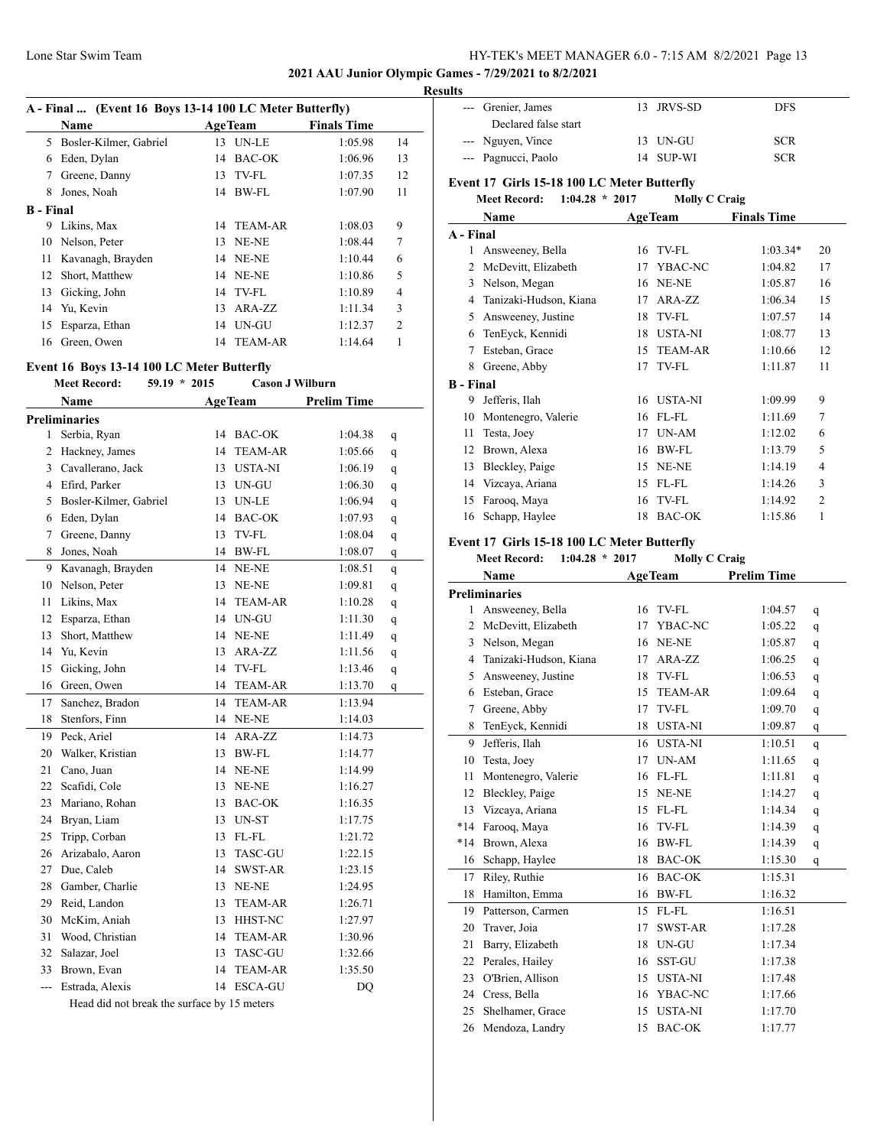## **2021 AAU Junior Olympic Games - 7/29/2021 to 8/2/2021**

| A - Final  (Event 16 Boys 13-14 100 LC Meter Butterfly) |                        |    |                |                    |                |  |  |
|---------------------------------------------------------|------------------------|----|----------------|--------------------|----------------|--|--|
|                                                         | Name                   |    | <b>AgeTeam</b> | <b>Finals Time</b> |                |  |  |
| 5.                                                      | Bosler-Kilmer, Gabriel | 13 | <b>UN-LE</b>   | 1:05.98            | 14             |  |  |
| 6                                                       | Eden, Dylan            |    | 14 BAC-OK      | 1:06.96            | 13             |  |  |
| 7                                                       | Greene, Danny          |    | 13 TV-FL       | 1:07.35            | 12             |  |  |
| 8                                                       | Jones, Noah            | 14 | BW-FL          | 1:07.90            | 11             |  |  |
| <b>B</b> - Final                                        |                        |    |                |                    |                |  |  |
| 9                                                       | Likins, Max            |    | 14 TEAM-AR     | 1:08.03            | 9              |  |  |
| 10                                                      | Nelson, Peter          |    | 13 NE-NE       | 1:08.44            | 7              |  |  |
| 11                                                      | Kavanagh, Brayden      |    | 14 NE-NE       | 1:10.44            | 6              |  |  |
| 12                                                      | Short, Matthew         |    | 14 NE-NE       | 1:10.86            | 5              |  |  |
| 13                                                      | Gicking, John          |    | 14 TV-FL       | 1:10.89            | 4              |  |  |
|                                                         | 14 Yu, Kevin           | 13 | $ARA-ZZ$       | 1:11.34            | 3              |  |  |
| 15                                                      | Esparza, Ethan         |    | 14 UN-GU       | 1:12.37            | $\overline{c}$ |  |  |
| 16                                                      | Green, Owen            | 14 | <b>TEAM-AR</b> | 1:14.64            | 1              |  |  |

## **Event 16 Boys 13-14 100 LC Meter Butterfly**

|                | <b>Meet Record:</b>    | $59.19 * 2015$ | <b>Cason J Wilburn</b> |                    |   |  |
|----------------|------------------------|----------------|------------------------|--------------------|---|--|
|                | Name                   |                | <b>AgeTeam</b>         | <b>Prelim Time</b> |   |  |
|                | <b>Preliminaries</b>   |                |                        |                    |   |  |
| $\mathbf{1}$   | Serbia, Ryan           |                | 14 BAC-OK              | 1:04.38            | q |  |
| $\overline{2}$ | Hackney, James         | 14             | <b>TEAM-AR</b>         | 1:05.66            | q |  |
| $\overline{3}$ | Cavallerano, Jack      | 13             | <b>USTA-NI</b>         | 1:06.19            | q |  |
| $\overline{4}$ | Efird, Parker          | 13             | UN-GU                  | 1:06.30            | q |  |
| 5              | Bosler-Kilmer, Gabriel | 13             | <b>UN-LE</b>           | 1:06.94            | q |  |
| 6              | Eden, Dylan            |                | 14 BAC-OK              | 1:07.93            | q |  |
| $\overline{7}$ | Greene, Danny          | 13             | TV-FL                  | 1:08.04            | q |  |
| 8              | Jones, Noah            | 14             | BW-FL                  | 1:08.07            | q |  |
| 9              | Kavanagh, Brayden      | 14             | NE-NE                  | 1:08.51            | q |  |
| 10             | Nelson, Peter          | 13             | NE-NE                  | 1:09.81            | q |  |
| 11             | Likins, Max            | 14             | <b>TEAM-AR</b>         | 1:10.28            | q |  |
| 12             | Esparza, Ethan         |                | 14 UN-GU               | 1:11.30            | q |  |
| 13             | Short, Matthew         |                | 14 NE-NE               | 1:11.49            | q |  |
| 14             | Yu, Kevin              | 13             | ARA-ZZ                 | 1:11.56            | q |  |
| 15             | Gicking, John          | 14             | TV-FL                  | 1:13.46            | q |  |
| 16             | Green, Owen            | 14             | <b>TEAM-AR</b>         | 1:13.70            | q |  |
| 17             | Sanchez, Bradon        | 14             | <b>TEAM-AR</b>         | 1:13.94            |   |  |
| 18             | Stenfors, Finn         |                | 14 NE-NE               | 1:14.03            |   |  |
| 19             | Peck, Ariel            | 14             | ARA-ZZ                 | 1:14.73            |   |  |
| 20             | Walker, Kristian       | 13             | <b>BW-FL</b>           | 1:14.77            |   |  |
| 21             | Cano, Juan             |                | 14 NE-NE               | 1:14.99            |   |  |
| 22             | Scafidi, Cole          | 13             | NE-NE                  | 1:16.27            |   |  |
| 23             | Mariano, Rohan         | 13             | <b>BAC-OK</b>          | 1:16.35            |   |  |
| 24             | Bryan, Liam            | 13             | UN-ST                  | 1:17.75            |   |  |
| 25             | Tripp, Corban          |                | 13 FL-FL               | 1:21.72            |   |  |
| 26             | Arizabalo, Aaron       | 13             | <b>TASC-GU</b>         | 1:22.15            |   |  |
| 27             | Due, Caleb             | 14             | <b>SWST-AR</b>         | 1:23.15            |   |  |
| 28             | Gamber, Charlie        | 13             | NE-NE                  | 1:24.95            |   |  |
| 29             | Reid, Landon           | 13             | <b>TEAM-AR</b>         | 1:26.71            |   |  |
| 30             | McKim, Aniah           | 13             | HHST-NC                | 1:27.97            |   |  |
| 31             | Wood, Christian        | 14             | <b>TEAM-AR</b>         | 1:30.96            |   |  |
| 32             | Salazar, Joel          | 13             | <b>TASC-GU</b>         | 1:32.66            |   |  |
| 33             | Brown, Evan            | 14             | <b>TEAM-AR</b>         | 1:35.50            |   |  |
| $\overline{a}$ | Estrada, Alexis        | 14             | ESCA-GU                | DQ                 |   |  |
|                |                        |                |                        |                    |   |  |

Head did not break the surface by 15 meters

| . |                      |            |            |
|---|----------------------|------------|------------|
|   | --- Grenier, James   | 13 JRVS-SD | <b>DFS</b> |
|   | Declared false start |            |            |
|   | --- Nguyen, Vince    | 13 UN-GU   | <b>SCR</b> |
|   | --- Pagnucci, Paolo  | 14 SUP-WI  | <b>SCR</b> |
|   |                      |            |            |

## **Event 17 Girls 15-18 100 LC Meter Butterfly**

## **Meet Record: 1:04.28 \* 2017 Molly C Craig**

|           | Name                   | <b>AgeTeam</b> |                | <b>Finals Time</b> |                |  |
|-----------|------------------------|----------------|----------------|--------------------|----------------|--|
| A - Final |                        |                |                |                    |                |  |
| 1         | Answeeney, Bella       | 16             | TV-FL          | $1:03.34*$         | 20             |  |
| 2         | McDevitt, Elizabeth    | 17             | YBAC-NC        | 1:04.82            | 17             |  |
| 3         | Nelson, Megan          | 16             | NE-NE          | 1:05.87            | 16             |  |
| 4         | Tanizaki-Hudson, Kiana | 17             | ARA-ZZ         | 1:06.34            | 15             |  |
| 5         | Answeeney, Justine     | 18             | TV-FL          | 1:07.57            | 14             |  |
| 6         | TenEyck, Kennidi       | 18             | <b>USTA-NI</b> | 1:08.77            | 13             |  |
| 7         | Esteban, Grace         | 15             | <b>TEAM-AR</b> | 1:10.66            | 12             |  |
| 8         | Greene, Abby           | 17             | TV-FL          | 1:11.87            | 11             |  |
| B - Final |                        |                |                |                    |                |  |
| 9         | Jefferis, Ilah         | 16             | <b>USTA-NI</b> | 1:09.99            | 9              |  |
| 10        | Montenegro, Valerie    | 16             | FL-FL          | 1:11.69            | 7              |  |
| 11        | Testa, Joey            | 17             | UN-AM          | 1:12.02            | 6              |  |
| 12        | Brown, Alexa           | 16             | <b>BW-FL</b>   | 1:13.79            | 5              |  |
| 13        | Bleckley, Paige        | 15             | NE-NE          | 1:14.19            | 4              |  |
| 14        | Vizcaya, Ariana        | 15             | FL-FL          | 1:14.26            | 3              |  |
| 15        | Farooq, Maya           | 16             | TV-FL          | 1:14.92            | $\overline{2}$ |  |
| 16        | Schapp, Haylee         |                | 18 BAC-OK      | 1:15.86            | 1              |  |

## **Event 17 Girls 15-18 100 LC Meter Butterfly**

|       | $1:04.28 * 2017$<br><b>Meet Record:</b> |    | <b>Molly C Craig</b> |                    |             |
|-------|-----------------------------------------|----|----------------------|--------------------|-------------|
|       | Name                                    |    | <b>AgeTeam</b>       | <b>Prelim Time</b> |             |
|       | <b>Preliminaries</b>                    |    |                      |                    |             |
| 1     | Answeeney, Bella                        | 16 | TV-FL                | 1:04.57            | q           |
| 2     | McDevitt, Elizabeth                     | 17 | YBAC-NC              | 1:05.22            | q           |
| 3     | Nelson, Megan                           | 16 | NE-NE                | 1:05.87            | q           |
| 4     | Tanizaki-Hudson, Kiana                  | 17 | ARA-ZZ               | 1:06.25            | q           |
| 5     | Answeeney, Justine                      | 18 | TV-FL                | 1:06.53            | q           |
| 6     | Esteban, Grace                          | 15 | <b>TEAM-AR</b>       | 1:09.64            | q           |
| 7     | Greene, Abby                            | 17 | TV-FL                | 1:09.70            | q           |
| 8     | TenEyck, Kennidi                        | 18 | <b>USTA-NI</b>       | 1:09.87            | $\mathbf q$ |
| 9     | Jefferis, Ilah                          | 16 | <b>USTA-NI</b>       | 1:10.51            | q           |
| 10    | Testa, Joey                             | 17 | UN-AM                | 1:11.65            | q           |
| 11    | Montenegro, Valerie                     | 16 | FL-FL                | 1:11.81            | q           |
| 12    | Bleckley, Paige                         | 15 | NE-NE                | 1:14.27            | q           |
| 13    | Vizcaya, Ariana                         | 15 | FL-FL                | 1:14.34            | q           |
| $*14$ | Farooq, Maya                            | 16 | TV-FL                | 1:14.39            | q           |
| $*14$ | Brown, Alexa                            | 16 | <b>BW-FL</b>         | 1:14.39            | q           |
| 16    | Schapp, Haylee                          | 18 | <b>BAC-OK</b>        | 1:15.30            | q           |
| 17    | Riley, Ruthie                           | 16 | <b>BAC-OK</b>        | 1:15.31            |             |
| 18    | Hamilton, Emma                          | 16 | <b>BW-FL</b>         | 1:16.32            |             |
| 19    | Patterson, Carmen                       | 15 | FL-FL                | 1:16.51            |             |
| 20    | Traver, Joia                            | 17 | <b>SWST-AR</b>       | 1:17.28            |             |
| 21    | Barry, Elizabeth                        | 18 | UN-GU                | 1:17.34            |             |
| 22    | Perales, Hailey                         | 16 | <b>SST-GU</b>        | 1:17.38            |             |
| 23    | O'Brien, Allison                        | 15 | <b>USTA-NI</b>       | 1:17.48            |             |
| 24    | Cress, Bella                            | 16 | YBAC-NC              | 1:17.66            |             |
| 25    | Shelhamer, Grace                        | 15 | <b>USTA-NI</b>       | 1:17.70            |             |
| 26    | Mendoza, Landry                         | 15 | <b>BAC-OK</b>        | 1:17.77            |             |
|       |                                         |    |                      |                    |             |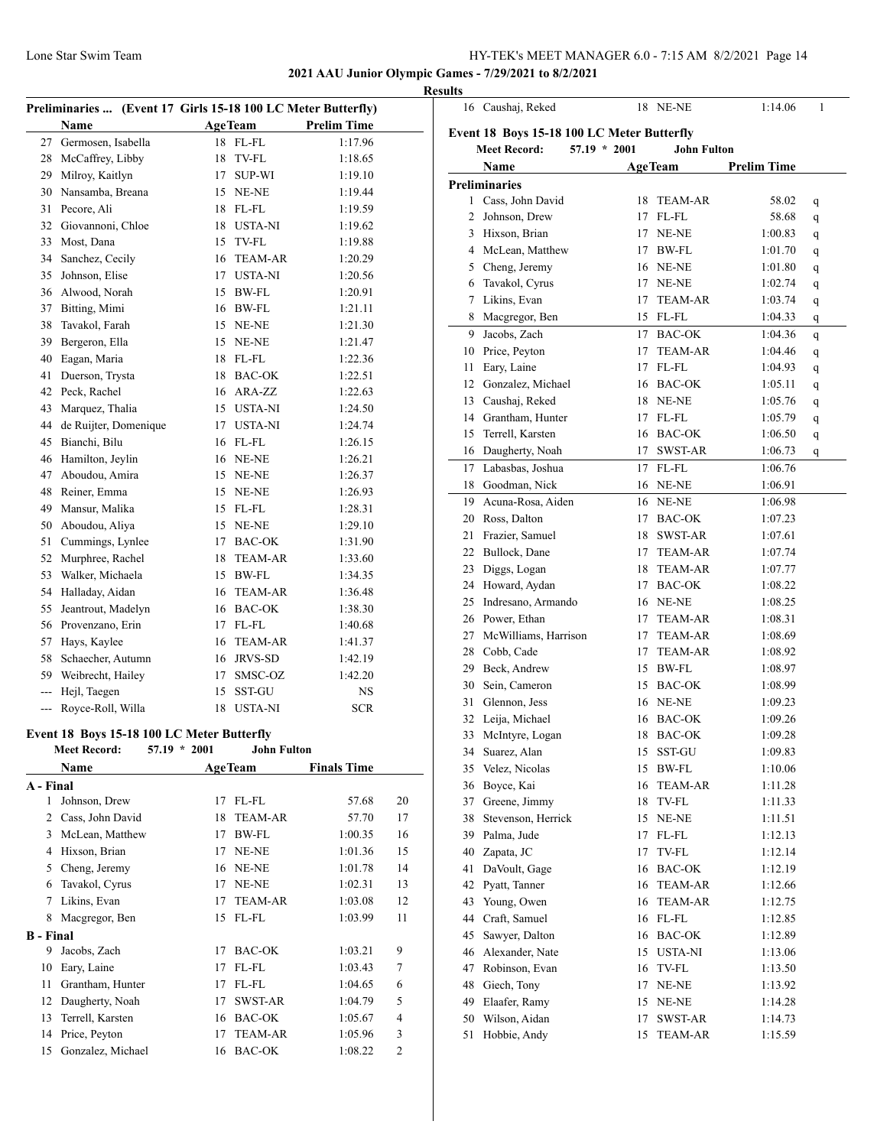# **2021 AAU Junior Olympic Games - 7/29/2021 to 8/2/2021 Results**

|                  | Preliminaries  (Event 17 Girls 15-18 100 LC Meter Butterfly)                        |    |                |                    |            |
|------------------|-------------------------------------------------------------------------------------|----|----------------|--------------------|------------|
|                  | Name                                                                                |    | <b>AgeTeam</b> | <b>Prelim Time</b> |            |
| 27               | Germosen, Isabella                                                                  |    | 18 FL-FL       | 1:17.96            |            |
| 28               | McCaffrey, Libby                                                                    | 18 | TV-FL          | 1:18.65            |            |
| 29               | Milroy, Kaitlyn                                                                     | 17 | <b>SUP-WI</b>  | 1:19.10            |            |
| 30               | Nansamba, Breana                                                                    |    | 15 NE-NE       | 1:19.44            |            |
| 31               | Pecore, Ali                                                                         |    | 18 FL-FL       | 1:19.59            |            |
|                  | 32 Giovannoni, Chloe                                                                |    | 18 USTA-NI     | 1:19.62            |            |
| 33               | Most, Dana                                                                          |    | 15 TV-FL       | 1:19.88            |            |
|                  | 34 Sanchez, Cecily                                                                  |    | 16 TEAM-AR     | 1:20.29            |            |
| 35               | Johnson, Elise                                                                      |    | 17 USTA-NI     | 1:20.56            |            |
|                  | 36 Alwood, Norah                                                                    |    | 15 BW-FL       | 1:20.91            |            |
| 37               | Bitting, Mimi                                                                       |    | 16 BW-FL       | 1:21.11            |            |
| 38               | Tavakol, Farah                                                                      |    | 15 NE-NE       | 1:21.30            |            |
| 39               | Bergeron, Ella                                                                      | 15 | NE-NE          | 1:21.47            |            |
| 40               | Eagan, Maria                                                                        |    | 18 FL-FL       | 1:22.36            |            |
| 41               | Duerson, Trysta                                                                     |    | 18 BAC-OK      | 1:22.51            |            |
| 42               | Peck, Rachel                                                                        |    | 16 ARA-ZZ      | 1:22.63            |            |
|                  |                                                                                     |    |                |                    |            |
| 43               | Marquez, Thalia                                                                     |    | 15 USTA-NI     | 1:24.50            |            |
| 44               | de Ruijter, Domenique                                                               |    | 17 USTA-NI     | 1:24.74            |            |
| 45               | Bianchi, Bilu                                                                       |    | 16 FL-FL       | 1:26.15            |            |
|                  | 46 Hamilton, Jeylin                                                                 |    | 16 NE-NE       | 1:26.21            |            |
|                  | 47 Aboudou, Amira                                                                   |    | 15 NE-NE       | 1:26.37            |            |
| 48               | Reiner, Emma                                                                        |    | 15 NE-NE       | 1:26.93            |            |
| 49               | Mansur, Malika                                                                      |    | 15 FL-FL       | 1:28.31            |            |
|                  | 50 Aboudou, Aliya                                                                   |    | 15 NE-NE       | 1:29.10            |            |
| 51               | Cummings, Lynlee                                                                    |    | 17 BAC-OK      | 1:31.90            |            |
| 52               | Murphree, Rachel                                                                    |    | 18 TEAM-AR     | 1:33.60            |            |
|                  | 53 Walker, Michaela                                                                 |    | 15 BW-FL       | 1:34.35            |            |
|                  | 54 Halladay, Aidan                                                                  |    | 16 TEAM-AR     | 1:36.48            |            |
| 55               | Jeantrout, Madelyn                                                                  |    | 16 BAC-OK      | 1:38.30            |            |
|                  | 56 Provenzano, Erin                                                                 |    | 17 FL-FL       | 1:40.68            |            |
| 57               | Hays, Kaylee                                                                        |    | 16 TEAM-AR     | 1:41.37            |            |
| 58               | Schaecher, Autumn                                                                   |    | 16 JRVS-SD     | 1:42.19            |            |
|                  | 59 Weibrecht, Hailey                                                                | 17 | SMSC-OZ        | 1:42.20            |            |
| $\overline{a}$   | Hejl, Taegen                                                                        | 15 | SST-GU         | NS                 |            |
| $ -$             | Royce-Roll, Willa                                                                   | 18 | <b>USTA-NI</b> | <b>SCR</b>         |            |
|                  |                                                                                     |    |                |                    |            |
|                  | Event 18 Boys 15-18 100 LC Meter Butterfly<br>Meet Record: 57.19 * 2001 John Fulton |    |                |                    |            |
|                  | <b>Name</b>                                                                         |    | <b>AgeTeam</b> | <b>Finals Time</b> |            |
| A - Final        |                                                                                     |    |                |                    |            |
| 1                | Johnson, Drew                                                                       | 17 | $FL$ - $FL$    | 57.68              | 20         |
| 2                | Cass, John David                                                                    | 18 | <b>TEAM-AR</b> | 57.70              | 17         |
| 3                | McLean, Matthew                                                                     | 17 | BW-FL          | 1:00.35            | 16         |
|                  | 4 Hixson, Brian                                                                     | 17 | NE-NE          |                    | 15         |
|                  |                                                                                     |    |                | 1:01.36            |            |
|                  | 5 Cheng, Jeremy                                                                     | 16 | NE-NE          | 1:01.78            | 14         |
| 6                | Tavakol, Cyrus                                                                      | 17 | NE-NE          | 1:02.31            | 13         |
| 7                | Likins, Evan                                                                        | 17 | <b>TEAM-AR</b> | 1:03.08            | 12         |
| 8                | Macgregor, Ben                                                                      | 15 | FL-FL          | 1:03.99            | 11         |
| <b>B</b> - Final |                                                                                     |    |                |                    |            |
| 9                | Jacobs, Zach                                                                        | 17 | <b>BAC-OK</b>  | 1:03.21            | 9          |
| 10               | Eary, Laine                                                                         | 17 | FL-FL          | 1:03.43            | 7          |
| 11               | Grantham, Hunter                                                                    | 17 | FL-FL          | 1:04.65            | 6          |
| 12               | Daugherty, Noah                                                                     | 17 | SWST-AR        | 1:04.79            | 5          |
| 13               | Terrell, Karsten                                                                    |    | 16 BAC-OK      | 1:05.67            | 4          |
| 14               | Price, Peyton                                                                       | 17 | <b>TEAM-AR</b> | 1:05.96            | 3          |
| 15               | Gonzalez, Michael                                                                   | 16 | <b>BAC-OK</b>  | 1:08.22            | $\sqrt{2}$ |

|                                            | 16 Caushaj, Reked    |                |    | 18 NE-NE           | 1:14.06            | 1 |  |  |  |
|--------------------------------------------|----------------------|----------------|----|--------------------|--------------------|---|--|--|--|
| Event 18 Boys 15-18 100 LC Meter Butterfly |                      |                |    |                    |                    |   |  |  |  |
|                                            | <b>Meet Record:</b>  | $57.19 * 2001$ |    | <b>John Fulton</b> |                    |   |  |  |  |
|                                            | Name                 |                |    | <b>AgeTeam</b>     | <b>Prelim Time</b> |   |  |  |  |
|                                            | <b>Preliminaries</b> |                |    |                    |                    |   |  |  |  |
|                                            | 1 Cass, John David   |                | 18 | <b>TEAM-AR</b>     | 58.02              | q |  |  |  |
| 2                                          | Johnson, Drew        |                | 17 | FL-FL              | 58.68              | q |  |  |  |
| 3                                          | Hixson, Brian        |                | 17 | NE-NE              | 1:00.83            | q |  |  |  |
| 4                                          | McLean, Matthew      |                | 17 | BW-FL              | 1:01.70            | q |  |  |  |
| 5                                          | Cheng, Jeremy        |                | 16 | NE-NE              | 1:01.80            | q |  |  |  |
| 6                                          | Tavakol, Cyrus       |                | 17 | NE-NE              | 1:02.74            | q |  |  |  |
| 7                                          | Likins, Evan         |                | 17 | <b>TEAM-AR</b>     | 1:03.74            | q |  |  |  |
| 8                                          | Macgregor, Ben       |                | 15 | FL-FL              | 1:04.33            | q |  |  |  |
| 9                                          | Jacobs, Zach         |                | 17 | <b>BAC-OK</b>      | 1:04.36            | q |  |  |  |
| 10                                         | Price, Peyton        |                | 17 | <b>TEAM-AR</b>     | 1:04.46            |   |  |  |  |
| 11                                         | Eary, Laine          |                | 17 | FL-FL              | 1:04.93            | q |  |  |  |
|                                            | 12 Gonzalez, Michael |                | 16 | <b>BAC-OK</b>      | 1:05.11            | q |  |  |  |
|                                            | 13 Caushaj, Reked    |                | 18 | NE-NE              | 1:05.76            | q |  |  |  |
|                                            | 14 Grantham, Hunter  |                | 17 | FL-FL              |                    | q |  |  |  |
|                                            | Terrell, Karsten     |                | 16 | <b>BAC-OK</b>      | 1:05.79            | q |  |  |  |
| 15                                         |                      |                | 17 | SWST-AR            | 1:06.50            | q |  |  |  |
| 16                                         | Daugherty, Noah      |                |    |                    | 1:06.73            | q |  |  |  |
| 17                                         | Labasbas, Joshua     |                | 17 | FL-FL              | 1:06.76            |   |  |  |  |
|                                            | 18 Goodman, Nick     |                | 16 | NE-NE              | 1:06.91            |   |  |  |  |
|                                            | 19 Acuna-Rosa, Aiden |                |    | 16 NE-NE           | 1:06.98            |   |  |  |  |
|                                            | 20 Ross, Dalton      |                | 17 | <b>BAC-OK</b>      | 1:07.23            |   |  |  |  |
| 21                                         | Frazier, Samuel      |                | 18 | SWST-AR            | 1:07.61            |   |  |  |  |
|                                            | 22 Bullock, Dane     |                | 17 | TEAM-AR            | 1:07.74            |   |  |  |  |
| 23                                         | Diggs, Logan         |                | 18 | <b>TEAM-AR</b>     | 1:07.77            |   |  |  |  |
| 24                                         | Howard, Aydan        |                | 17 | <b>BAC-OK</b>      | 1:08.22            |   |  |  |  |
| 25                                         | Indresano, Armando   |                |    | 16 NE-NE           | 1:08.25            |   |  |  |  |
|                                            | 26 Power, Ethan      |                | 17 | <b>TEAM-AR</b>     | 1:08.31            |   |  |  |  |
| 27                                         | McWilliams, Harrison |                | 17 | TEAM-AR            | 1:08.69            |   |  |  |  |
| 28                                         | Cobb, Cade           |                | 17 | <b>TEAM-AR</b>     | 1:08.92            |   |  |  |  |
| 29                                         | Beck, Andrew         |                | 15 | BW-FL              | 1:08.97            |   |  |  |  |
| 30                                         | Sein, Cameron        |                | 15 | BAC-OK             | 1:08.99            |   |  |  |  |
| 31                                         | Glennon, Jess        |                | 16 | NE-NE              | 1:09.23            |   |  |  |  |
| 32                                         | Leija, Michael       |                | 16 | <b>BAC-OK</b>      | 1:09.26            |   |  |  |  |
| 33                                         | McIntyre, Logan      |                | 18 | <b>BAC-OK</b>      | 1:09.28            |   |  |  |  |
| 34                                         | Suarez, Alan         |                | 15 | SST-GU             | 1:09.83            |   |  |  |  |
| 35                                         | Velez, Nicolas       |                | 15 | BW-FL              | 1:10.06            |   |  |  |  |
| 36                                         | Boyce, Kai           |                | 16 | TEAM-AR            | 1:11.28            |   |  |  |  |
|                                            | 37 Greene, Jimmy     |                | 18 | TV-FL              | 1:11.33            |   |  |  |  |
| 38                                         | Stevenson, Herrick   |                | 15 | NE-NE              | 1:11.51            |   |  |  |  |
| 39                                         | Palma, Jude          |                | 17 | FL-FL              | 1:12.13            |   |  |  |  |
| 40                                         | Zapata, JC           |                | 17 | TV-FL              | 1:12.14            |   |  |  |  |
| 41                                         | DaVoult, Gage        |                | 16 | <b>BAC-OK</b>      | 1:12.19            |   |  |  |  |
| 42                                         | Pyatt, Tanner        |                | 16 | TEAM-AR            | 1:12.66            |   |  |  |  |
| 43                                         | Young, Owen          |                | 16 | TEAM-AR            | 1:12.75            |   |  |  |  |
| 44                                         | Craft, Samuel        |                | 16 | FL-FL              | 1:12.85            |   |  |  |  |
| 45                                         | Sawyer, Dalton       |                | 16 | <b>BAC-OK</b>      | 1:12.89            |   |  |  |  |
| 46                                         | Alexander, Nate      |                | 15 | USTA-NI            | 1:13.06            |   |  |  |  |
| 47                                         | Robinson, Evan       |                | 16 | TV-FL              | 1:13.50            |   |  |  |  |
| 48                                         | Giech, Tony          |                | 17 | NE-NE              | 1:13.92            |   |  |  |  |
| 49                                         | Elaafer, Ramy        |                | 15 | NE-NE              | 1:14.28            |   |  |  |  |
| 50                                         | Wilson, Aidan        |                | 17 | SWST-AR            | 1:14.73            |   |  |  |  |
| 51                                         | Hobbie, Andy         |                | 15 | TEAM-AR            | 1:15.59            |   |  |  |  |
|                                            |                      |                |    |                    |                    |   |  |  |  |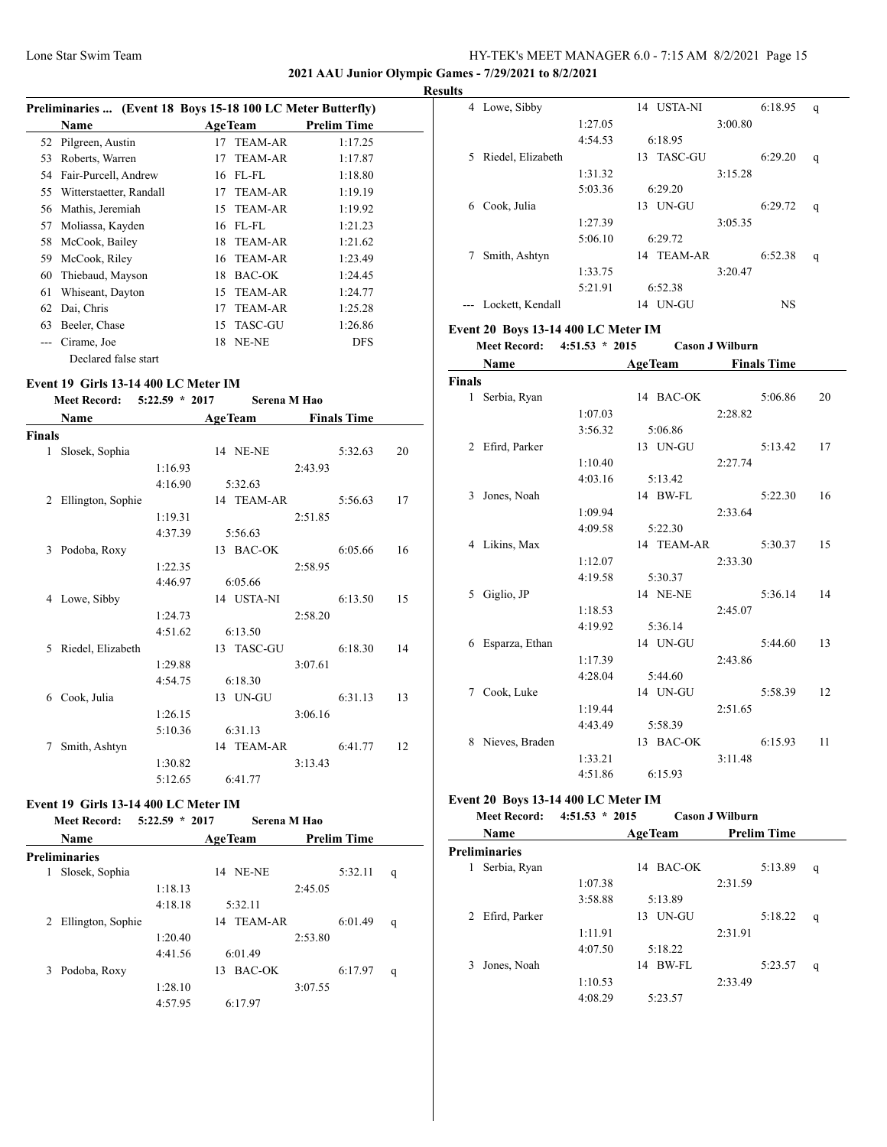## **2021 AAU Junior Olympic Games - 7/29/2021 to 8/2/2021**

| <b>Results</b> |
|----------------|
|                |

| Preliminaries  (Event 18 Boys 15-18 100 LC Meter Butterfly) |                         |    |                |                    |  |  |  |
|-------------------------------------------------------------|-------------------------|----|----------------|--------------------|--|--|--|
|                                                             | <b>Name</b>             |    | <b>AgeTeam</b> | <b>Prelim Time</b> |  |  |  |
|                                                             | 52 Pilgreen, Austin     | 17 | <b>TEAM-AR</b> | 1:17.25            |  |  |  |
| 53                                                          | Roberts, Warren         | 17 | <b>TEAM-AR</b> | 1:17.87            |  |  |  |
|                                                             | 54 Fair-Purcell, Andrew |    | 16 FL-FL       | 1:18.80            |  |  |  |
| 55                                                          | Witterstaetter, Randall | 17 | TEAM-AR        | 1:19.19            |  |  |  |
| 56                                                          | Mathis, Jeremiah        | 15 | TEAM-AR        | 1:19.92            |  |  |  |
| 57                                                          | Moliassa, Kayden        |    | 16 FL-FL       | 1:21.23            |  |  |  |
| 58                                                          | McCook, Bailey          | 18 | <b>TEAM-AR</b> | 1:21.62            |  |  |  |
| 59                                                          | McCook, Riley           | 16 | <b>TEAM-AR</b> | 1:23.49            |  |  |  |
| 60                                                          | Thiebaud, Mayson        | 18 | BAC-OK         | 1:24.45            |  |  |  |
| 61                                                          | Whiseant, Dayton        | 15 | <b>TEAM-AR</b> | 1:24.77            |  |  |  |
| 62                                                          | Dai, Chris              | 17 | <b>TEAM-AR</b> | 1:25.28            |  |  |  |
| 63                                                          | Beeler, Chase           | 15 | TASC-GU        | 1:26.86            |  |  |  |
|                                                             | Cirame, Joe             | 18 | NE-NE          | DFS                |  |  |  |
|                                                             | Declared false start    |    |                |                    |  |  |  |

#### **Event 19 Girls 13-14 400 LC Meter IM**

**Meet Record: 5:22.59 \* 2017 Serena M Hao**

| Name          |                   |         | <b>AgeTeam</b>  |         | <b>Finals Time</b> |    |  |
|---------------|-------------------|---------|-----------------|---------|--------------------|----|--|
| <b>Finals</b> |                   |         |                 |         |                    |    |  |
| 1             | Slosek, Sophia    |         | <b>14 NE-NE</b> |         | 5:32.63            | 20 |  |
|               |                   | 1:16.93 |                 | 2:43.93 |                    |    |  |
|               |                   | 4:16.90 | 5:32.63         |         |                    |    |  |
| 2             | Ellington, Sophie |         | 14 TEAM-AR      |         | 5:56.63            | 17 |  |
|               |                   | 1:19.31 |                 | 2:51.85 |                    |    |  |
|               |                   | 4:37.39 | 5:56.63         |         |                    |    |  |
| 3             | Podoba, Roxy      |         | 13 BAC-OK       |         | 6:05.66            | 16 |  |
|               |                   | 1:22.35 |                 | 2:58.95 |                    |    |  |
|               |                   | 4:46.97 | 6:05.66         |         |                    |    |  |
| 4             | Lowe, Sibby       |         | 14 USTA-NI      |         | 6:13.50            | 15 |  |
|               |                   | 1:24.73 |                 | 2:58.20 |                    |    |  |
|               |                   | 4:51.62 | 6:13.50         |         |                    |    |  |
| 5             | Riedel, Elizabeth |         | 13 TASC-GU      |         | 6:18.30            | 14 |  |
|               |                   | 1:29.88 |                 | 3:07.61 |                    |    |  |
|               |                   | 4:54.75 | 6:18.30         |         |                    |    |  |
| 6             | Cook, Julia       |         | 13 UN-GU        |         | 6:31.13            | 13 |  |
|               |                   | 1:26.15 |                 | 3:06.16 |                    |    |  |
|               |                   | 5:10.36 | 6:31.13         |         |                    |    |  |
| 7             | Smith, Ashtyn     |         | 14 TEAM-AR      |         | 6:41.77            | 12 |  |
|               |                   | 1:30.82 |                 | 3:13.43 |                    |    |  |
|               |                   | 5:12.65 | 6:41.77         |         |                    |    |  |

# **Event 19 Girls 13-14 400 LC Meter IM**

| <b>Meet Record:</b>    | $5:22.59 * 2017$ | Serena M Hao   |                    |   |
|------------------------|------------------|----------------|--------------------|---|
| <b>Name</b>            |                  | <b>AgeTeam</b> | <b>Prelim Time</b> |   |
| <b>Preliminaries</b>   |                  |                |                    |   |
| Slosek, Sophia<br>1    |                  | NE-NE<br>14    | 5:32.11            | q |
|                        | 1:18.13          |                | 2:45.05            |   |
|                        | 4:18.18          | 5:32.11        |                    |   |
| Ellington, Sophie<br>2 |                  | TEAM-AR<br>14  | 6:01.49            | q |
|                        | 1:20.40          |                | 2:53.80            |   |
|                        | 4:41.56          | 6:01.49        |                    |   |
| Podoba, Roxy<br>3      |                  | BAC-OK<br>13   | 6:17.97            | q |
|                        | 1:28.10          |                | 3:07.55            |   |
|                        | 4:57.95          | 6:17.97        |                    |   |
|                        |                  |                |                    |   |

| uns |    |                   |         |                      |         |         |   |
|-----|----|-------------------|---------|----------------------|---------|---------|---|
|     | 4  | Lowe, Sibby       |         | USTA-NI<br>14        |         | 6:18.95 | q |
|     |    |                   | 1:27.05 |                      | 3:00.80 |         |   |
|     |    |                   | 4:54.53 | 6:18.95              |         |         |   |
|     | 5. | Riedel, Elizabeth |         | TASC-GU<br>13        |         | 6:29.20 | q |
|     |    |                   | 1:31.32 |                      | 3:15.28 |         |   |
|     |    |                   | 5:03.36 | 6:29.20              |         |         |   |
|     | 6  | Cook, Julia       |         | UN-GU<br>13          |         | 6:29.72 | q |
|     |    |                   | 1:27.39 |                      | 3:05.35 |         |   |
|     |    |                   | 5:06.10 | 6:29.72              |         |         |   |
|     |    | Smith, Ashtyn     |         | <b>TEAM-AR</b><br>14 |         | 6:52.38 | q |
|     |    |                   | 1:33.75 |                      | 3:20.47 |         |   |
|     |    |                   | 5:21.91 | 6:52.38              |         |         |   |
|     |    | Lockett, Kendall  |         | UN-GU<br>14          |         | NS      |   |
|     |    |                   |         |                      |         |         |   |

#### **Event 20 Boys 13-14 400 LC Meter IM**

**Meet Record: 4:51.53 \* 2015 Cason J Wilburn**

|               | Name           |         | <b>AgeTeam</b> | <b>Finals Time</b> |    |
|---------------|----------------|---------|----------------|--------------------|----|
| <b>Finals</b> |                |         |                |                    |    |
| $\mathbf{1}$  | Serbia, Ryan   |         | 14 BAC-OK      | 5:06.86            | 20 |
|               |                | 1:07.03 |                | 2:28.82            |    |
|               |                | 3:56.32 | 5:06.86        |                    |    |
| 2             | Efird, Parker  |         | 13 UN-GU       | 5:13.42            | 17 |
|               |                | 1:10.40 |                | 2:27.74            |    |
|               |                | 4:03.16 | 5:13.42        |                    |    |
| 3             | Jones, Noah    |         | 14 BW-FL       | 5:22.30            | 16 |
|               |                | 1:09.94 |                | 2:33.64            |    |
|               |                | 4:09.58 | 5:22.30        |                    |    |
|               | 4 Likins, Max  |         | 14 TEAM-AR     | 5:30.37            | 15 |
|               |                | 1:12.07 |                | 2:33.30            |    |
|               |                | 4:19.58 | 5:30.37        |                    |    |
| 5             | Giglio, JP     |         | 14 NE-NE       | 5:36.14            | 14 |
|               |                | 1:18.53 |                | 2:45.07            |    |
|               |                | 4:19.92 | 5:36.14        |                    |    |
| 6             | Esparza, Ethan |         | 14 UN-GU       | 5:44.60            | 13 |
|               |                | 1:17.39 |                | 2:43.86            |    |
|               |                | 4:28.04 | 5:44.60        |                    |    |
| 7             | Cook, Luke     |         | 14 UN-GU       | 5:58.39            | 12 |
|               |                | 1:19.44 |                | 2:51.65            |    |
|               |                | 4:43.49 | 5:58.39        |                    |    |
| 8             | Nieves, Braden |         | 13 BAC-OK      | 6:15.93            | 11 |
|               |                | 1:33.21 |                | 3:11.48            |    |
|               |                | 4:51.86 | 6:15.93        |                    |    |

#### **Event 20 Boys 13-14 400 LC Meter IM**

| <b>Meet Record:</b> | $4:51.53 * 2015$ | <b>Cason J Wilburn</b> |  |
|---------------------|------------------|------------------------|--|
|                     |                  |                        |  |

|   | Name            |         | <b>AgeTeam</b> | <b>Prelim Time</b> |         |   |
|---|-----------------|---------|----------------|--------------------|---------|---|
|   | Preliminaries   |         |                |                    |         |   |
| 1 | Serbia, Ryan    |         | BAC-OK<br>14   |                    | 5:13.89 | q |
|   |                 | 1:07.38 |                | 2:31.59            |         |   |
|   |                 | 3:58.88 | 5:13.89        |                    |         |   |
|   | 2 Efird, Parker |         | UN-GU<br>13    |                    | 5:18.22 | q |
|   |                 | 1:11.91 |                | 2:31.91            |         |   |
|   |                 | 4:07.50 | 5:18.22        |                    |         |   |
| 3 | Jones, Noah     |         | BW-FL<br>14    |                    | 5:23.57 | q |
|   |                 | 1:10.53 |                | 2:33.49            |         |   |
|   |                 | 4:08.29 | 5:23.57        |                    |         |   |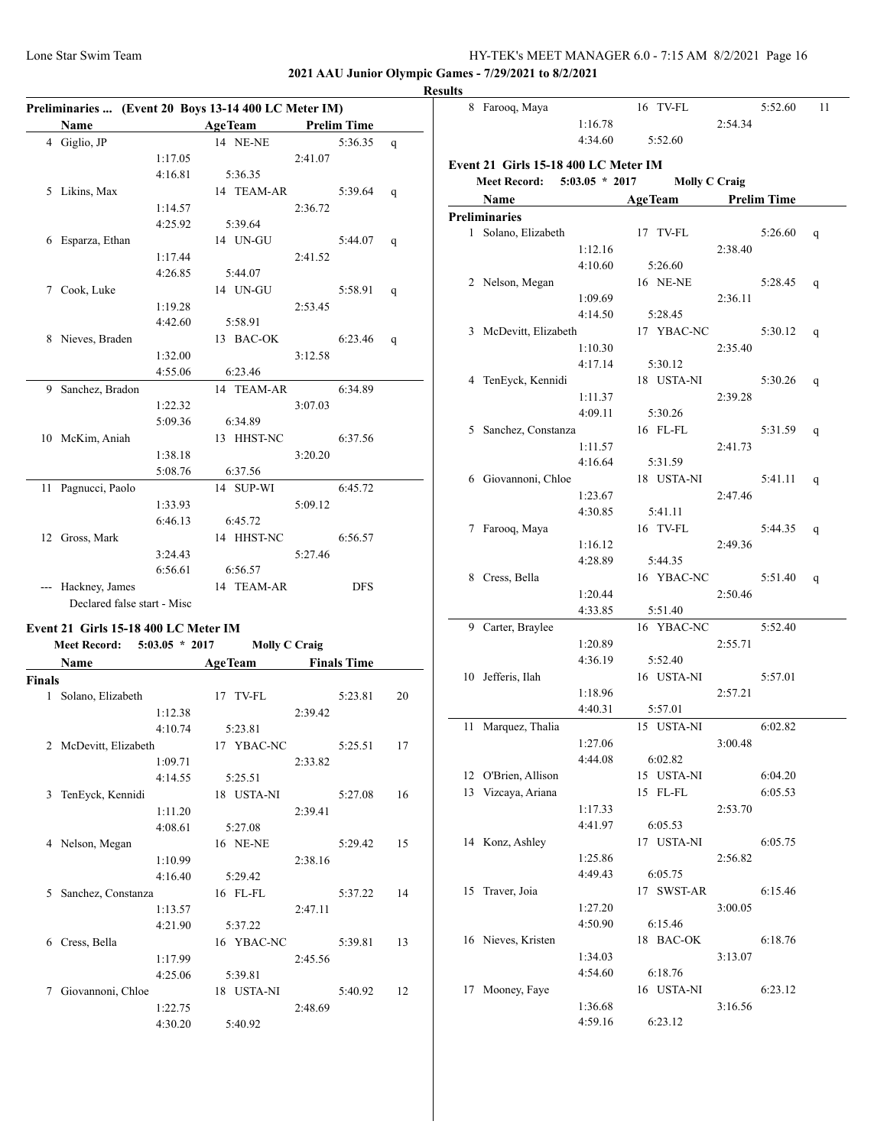**2021 AAU Junior Olympic Games - 7/29/2021 to 8/2/2021**

# **Result**

| Preliminaries  (Event 20 Boys 13-14 400 LC Meter IM) |                                      |         |  |                     |                      |            |    |  |
|------------------------------------------------------|--------------------------------------|---------|--|---------------------|----------------------|------------|----|--|
|                                                      | Name                                 |         |  | AgeTeam Prelim Time |                      |            |    |  |
|                                                      | 4 Giglio, JP                         |         |  | 14 NE-NE            |                      | 5:36.35    | q  |  |
|                                                      |                                      | 1:17.05 |  |                     | 2:41.07              |            |    |  |
|                                                      |                                      | 4:16.81 |  | 5:36.35             |                      |            |    |  |
|                                                      | 5 Likins, Max                        |         |  | 14 TEAM-AR          |                      | 5:39.64    | q  |  |
|                                                      |                                      | 1:14.57 |  |                     | 2:36.72              |            |    |  |
|                                                      |                                      | 4:25.92 |  | 5:39.64             |                      |            |    |  |
|                                                      | 6 Esparza, Ethan                     |         |  | 14 UN-GU            |                      | 5:44.07    | q  |  |
|                                                      |                                      | 1:17.44 |  |                     | 2:41.52              |            |    |  |
|                                                      |                                      | 4:26.85 |  | 5:44.07             |                      |            |    |  |
|                                                      | 7 Cook, Luke                         |         |  | 14 UN-GU            |                      | 5:58.91    | q  |  |
|                                                      |                                      | 1:19.28 |  |                     | 2:53.45              |            |    |  |
|                                                      |                                      | 4:42.60 |  | 5:58.91             |                      |            |    |  |
|                                                      | 8 Nieves, Braden                     |         |  | 13 BAC-OK           |                      | 6:23.46    |    |  |
|                                                      |                                      | 1:32.00 |  |                     | 3:12.58              |            | q  |  |
|                                                      |                                      | 4:55.06 |  | 6:23.46             |                      |            |    |  |
|                                                      |                                      |         |  |                     |                      |            |    |  |
|                                                      | 9 Sanchez, Bradon                    |         |  | 14 TEAM-AR          |                      | 6:34.89    |    |  |
|                                                      |                                      | 1:22.32 |  |                     | 3:07.03              |            |    |  |
|                                                      |                                      | 5:09.36 |  | 6:34.89             |                      |            |    |  |
|                                                      | 10 McKim, Aniah                      |         |  | 13 HHST-NC          |                      | 6:37.56    |    |  |
|                                                      |                                      | 1:38.18 |  |                     | 3:20.20              |            |    |  |
|                                                      |                                      | 5:08.76 |  | 6:37.56             |                      |            |    |  |
|                                                      | 11 Pagnucci, Paolo                   |         |  | 14 SUP-WI           |                      | 6:45.72    |    |  |
|                                                      |                                      | 1:33.93 |  |                     | 5:09.12              |            |    |  |
|                                                      |                                      | 6:46.13 |  | 6:45.72             |                      |            |    |  |
|                                                      | 12 Gross, Mark                       |         |  | 14 HHST-NC          |                      | 6:56.57    |    |  |
|                                                      |                                      | 3:24.43 |  |                     | 5:27.46              |            |    |  |
|                                                      |                                      | 6:56.61 |  | 6:56.57             |                      |            |    |  |
|                                                      | --- Hackney, James                   |         |  | 14 TEAM-AR          |                      | <b>DFS</b> |    |  |
|                                                      | Declared false start - Misc          |         |  |                     |                      |            |    |  |
|                                                      | Event 21 Girls 15-18 400 LC Meter IM |         |  |                     |                      |            |    |  |
|                                                      | Meet Record: 5:03.05 * 2017          |         |  |                     | <b>Molly C Craig</b> |            |    |  |
|                                                      | Name AgeTeam Finals Time             |         |  |                     |                      |            |    |  |
| Finals                                               |                                      |         |  |                     |                      |            |    |  |
|                                                      | 1 Solano, Elizabeth                  |         |  | 17 TV-FL            |                      | 5:23.81    | 20 |  |
|                                                      |                                      | 1:12.38 |  |                     | 2:39.42              |            |    |  |
|                                                      |                                      | 4:10.74 |  | 5:23.81             |                      |            |    |  |
|                                                      |                                      |         |  |                     |                      |            |    |  |
|                                                      | 2 McDevitt, Elizabeth 17 YBAC-NC     |         |  |                     |                      | 5:25.51    | 17 |  |
|                                                      |                                      | 1:09.71 |  |                     | 2:33.82              |            |    |  |
|                                                      |                                      | 4:14.55 |  | 5:25.51             |                      |            |    |  |
| 3                                                    | TenEyck, Kennidi                     |         |  | 18 USTA-NI          |                      | 5:27.08    | 16 |  |
|                                                      |                                      | 1:11.20 |  |                     | 2:39.41              |            |    |  |
|                                                      |                                      | 4:08.61 |  | 5:27.08             |                      |            |    |  |
|                                                      | 4 Nelson, Megan                      |         |  | 16 NE-NE            |                      | 5:29.42    | 15 |  |
|                                                      |                                      | 1:10.99 |  |                     | 2:38.16              |            |    |  |
|                                                      |                                      | 4:16.40 |  | 5:29.42             |                      |            |    |  |
| 5                                                    | Sanchez, Constanza                   |         |  | 16 FL-FL            |                      | 5:37.22    | 14 |  |
|                                                      |                                      | 1:13.57 |  |                     | 2:47.11              |            |    |  |
|                                                      |                                      | 4:21.90 |  | 5:37.22             |                      |            |    |  |
|                                                      |                                      |         |  |                     |                      |            |    |  |
| 6                                                    | Cress, Bella                         |         |  | 16 YBAC-NC          |                      | 5:39.81    | 13 |  |
|                                                      |                                      | 1:17.99 |  |                     | 2:45.56              |            |    |  |

|                     | 4:25.06 | 5:39.81    |         |         |    |
|---------------------|---------|------------|---------|---------|----|
| 7 Giovannoni, Chloe |         | 18 USTA-NI |         | 5:40.92 | 12 |
|                     | 1:22.75 |            | 2:48.69 |         |    |
|                     | 4:30.20 | 5:40.92    |         |         |    |
|                     |         |            |         |         |    |

| ults |                                      |                  |                      |         |                    |    |
|------|--------------------------------------|------------------|----------------------|---------|--------------------|----|
| 8    | Farooq, Maya                         |                  | 16 TV-FL             |         | 5:52.60            | 11 |
|      |                                      | 1:16.78          |                      | 2:54.34 |                    |    |
|      |                                      | 4:34.60          | 5:52.60              |         |                    |    |
|      | Event 21 Girls 15-18 400 LC Meter IM |                  |                      |         |                    |    |
|      | <b>Meet Record:</b>                  | $5:03.05 * 2017$ | <b>Molly C Craig</b> |         |                    |    |
|      | Name                                 |                  | <b>AgeTeam</b>       |         | <b>Prelim Time</b> |    |
|      | <b>Preliminaries</b>                 |                  |                      |         |                    |    |
|      | 1 Solano, Elizabeth                  |                  | 17 TV-FL             |         | 5:26.60            | q  |
|      |                                      | 1:12.16          |                      | 2:38.40 |                    |    |
|      |                                      | 4:10.60          | 5:26.60              |         |                    |    |
|      | 2 Nelson, Megan                      |                  | 16 NE-NE             |         | 5:28.45            |    |
|      |                                      | 1:09.69          |                      | 2:36.11 |                    | q  |
|      |                                      | 4:14.50          | 5:28.45              |         |                    |    |
|      |                                      |                  |                      |         |                    |    |
|      | 3 McDevitt, Elizabeth                |                  | 17 YBAC-NC           |         | 5:30.12            | q  |
|      |                                      | 1:10.30          |                      | 2:35.40 |                    |    |
|      |                                      | 4:17.14          | 5:30.12              |         |                    |    |
|      | 4 TenEyck, Kennidi                   |                  | 18 USTA-NI           |         | 5:30.26            | q  |
|      |                                      | 1:11.37          |                      | 2:39.28 |                    |    |
|      |                                      | 4:09.11          | 5:30.26              |         |                    |    |
|      | 5 Sanchez, Constanza                 |                  | 16 FL-FL             |         | 5:31.59            | q  |
|      |                                      | 1:11.57          |                      | 2:41.73 |                    |    |
|      |                                      | 4:16.64          | 5:31.59              |         |                    |    |
|      | 6 Giovannoni, Chloe                  |                  | 18 USTA-NI           |         | 5:41.11            | q  |
|      |                                      | 1:23.67          |                      | 2:47.46 |                    |    |
|      |                                      | 4:30.85          | 5:41.11              |         |                    |    |
|      | 7 Farooq, Maya                       |                  | 16 TV-FL             |         | 5:44.35            | q  |
|      |                                      | 1:16.12          |                      | 2:49.36 |                    |    |
|      |                                      | 4:28.89          | 5:44.35              |         |                    |    |
|      | 8 Cress, Bella                       |                  | 16 YBAC-NC           |         | 5:51.40            | q  |
|      |                                      | 1:20.44          |                      | 2:50.46 |                    |    |
|      |                                      | 4:33.85          | 5:51.40              |         |                    |    |
|      | 9 Carter, Braylee                    |                  | 16 YBAC-NC           |         | 5:52.40            |    |
|      |                                      | 1:20.89          |                      | 2:55.71 |                    |    |
|      |                                      | 4:36.19          | 5:52.40              |         |                    |    |
|      | 10 Jefferis, Ilah                    |                  | 16 USTA-NI           |         | 5:57.01            |    |
|      |                                      | 1:18.96          |                      | 2:57.21 |                    |    |
|      |                                      | 4:40.31          | 5:57.01              |         |                    |    |
| 11   | Marquez, Thalia                      |                  | 15 USTA-NI           |         | 6:02.82            |    |
|      |                                      | 1:27.06          |                      | 3:00.48 |                    |    |
|      |                                      | 4:44.08          | 6:02.82              |         |                    |    |
|      | 12 O'Brien, Allison                  |                  | 15 USTA-NI           |         | 6:04.20            |    |
| 13   | Vizcaya, Ariana                      |                  | 15 FL-FL             |         | 6:05.53            |    |
|      |                                      | 1:17.33          |                      | 2:53.70 |                    |    |
|      |                                      | 4:41.97          | 6:05.53              |         |                    |    |
|      | 14 Konz, Ashley                      |                  | 17 USTA-NI           |         | 6:05.75            |    |
|      |                                      | 1:25.86          |                      | 2:56.82 |                    |    |
|      |                                      | 4:49.43          | 6:05.75              |         |                    |    |
| 15   | Traver, Joia                         |                  | 17 SWST-AR           |         | 6:15.46            |    |
|      |                                      | 1:27.20          |                      | 3:00.05 |                    |    |
|      |                                      | 4:50.90          | 6:15.46              |         |                    |    |
|      | 16 Nieves, Kristen                   |                  |                      |         |                    |    |
|      |                                      |                  | 18 BAC-OK            |         | 6:18.76            |    |
|      |                                      | 1:34.03          |                      | 3:13.07 |                    |    |
|      |                                      | 4:54.60          | 6:18.76              |         |                    |    |
| 17   | Mooney, Faye                         |                  | 16 USTA-NI           |         | 6:23.12            |    |
|      |                                      | 1:36.68          |                      | 3:16.56 |                    |    |
|      |                                      | 4:59.16          | 6:23.12              |         |                    |    |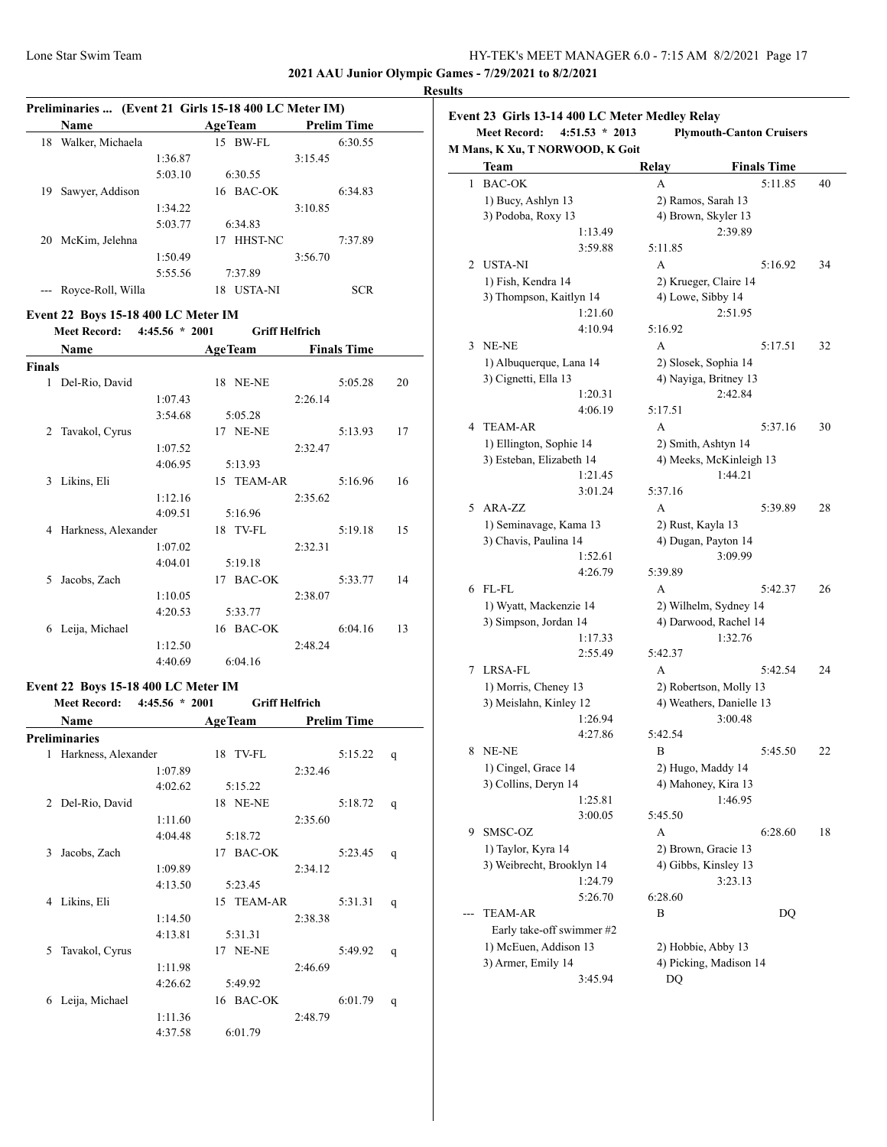**2021 AAU Junior Olympic Games - 7/29/2021 to 8/2/2021**

# **Results**

|    | Preliminaries  (Event 21 Girls 15-18 400 LC Meter IM) |         |                      |                    |  |
|----|-------------------------------------------------------|---------|----------------------|--------------------|--|
|    | Name                                                  |         | <b>AgeTeam</b>       | <b>Prelim Time</b> |  |
| 18 | Walker, Michaela                                      |         | BW-FL<br>15          | 6:30.55            |  |
|    |                                                       | 1:36.87 |                      | 3:15.45            |  |
|    |                                                       | 5:03.10 | 6:30.55              |                    |  |
| 19 | Sawyer, Addison                                       |         | 16 BAC-OK            | 6:34.83            |  |
|    |                                                       | 1:34.22 |                      | 3:10.85            |  |
|    |                                                       | 5:03.77 | 6:34.83              |                    |  |
| 20 | McKim, Jelehna                                        |         | <b>HHST-NC</b><br>17 | 7:37.89            |  |
|    |                                                       | 1:50.49 |                      | 3:56.70            |  |
|    |                                                       | 5:55.56 | 7:37.89              |                    |  |
|    | Rovce-Roll, Willa                                     |         | <b>USTA-NI</b><br>18 | <b>SCR</b>         |  |

## **Event 22 Boys 15-18 400 LC Meter IM**

**Meet Record: 4:45.56 \* 2001 Griff Helfrich**

|               | <b>Name</b>         | <b>AgeTeam</b> |                 |         | <b>Finals Time</b> |    |
|---------------|---------------------|----------------|-----------------|---------|--------------------|----|
| <b>Finals</b> |                     |                |                 |         |                    |    |
| 1             | Del-Rio, David      | 18             | NE-NE           |         | 5:05.28            | 20 |
|               | 1:07.43             |                |                 | 2:26.14 |                    |    |
|               | 3:54.68             |                | 5:05.28         |         |                    |    |
| 2             | Tavakol, Cyrus      |                | <b>17 NE-NE</b> |         | 5:13.93            | 17 |
|               | 1:07.52             |                |                 | 2:32.47 |                    |    |
|               | 4:06.95             |                | 5:13.93         |         |                    |    |
| 3             | Likins, Eli         |                | 15 TEAM-AR      |         | 5:16.96            | 16 |
|               | 1:12.16             |                |                 | 2:35.62 |                    |    |
|               | 4:09.51             |                | 5:16.96         |         |                    |    |
| 4             | Harkness, Alexander |                | 18 TV-FL        |         | 5:19.18            | 15 |
|               | 1:07.02             |                |                 | 2:32.31 |                    |    |
|               | 4:04.01             |                | 5:19.18         |         |                    |    |
| 5             | Jacobs, Zach        | 17             | <b>BAC-OK</b>   |         | 5:33.77            | 14 |
|               | 1:10.05             |                |                 | 2:38.07 |                    |    |
|               | 4:20.53             |                | 5:33.77         |         |                    |    |
| 6             | Leija, Michael      |                | 16 BAC-OK       |         | 6:04.16            | 13 |
|               | 1:12.50             |                |                 | 2:48.24 |                    |    |
|               | 4:40.69             |                | 6:04.16         |         |                    |    |

## **Event 22 Boys 15-18 400 LC Meter IM**

|   | <b>Meet Record:</b> | $4:45.56 * 2001$ |                 | <b>Griff Helfrich</b> |                    |   |
|---|---------------------|------------------|-----------------|-----------------------|--------------------|---|
|   | Name                |                  | <b>AgeTeam</b>  |                       | <b>Prelim Time</b> |   |
|   | Preliminaries       |                  |                 |                       |                    |   |
| 1 | Harkness, Alexander |                  | 18 TV-FL        |                       | 5:15.22            | q |
|   |                     | 1:07.89          |                 | 2:32.46               |                    |   |
|   |                     | 4:02.62          | 5:15.22         |                       |                    |   |
| 2 | Del-Rio, David      |                  | <b>18 NE-NE</b> |                       | 5:18.72            | q |
|   |                     | 1:11.60          |                 | 2:35.60               |                    |   |
|   |                     | 4:04.48          | 5:18.72         |                       |                    |   |
| 3 | Jacobs, Zach        |                  | 17 BAC-OK       |                       | 5:23.45            | q |
|   |                     | 1:09.89          |                 | 2:34.12               |                    |   |
|   |                     | 4:13.50          | 5:23.45         |                       |                    |   |
| 4 | Likins, Eli         |                  | 15 TEAM-AR      |                       | 5:31.31            | q |
|   |                     | 1:14.50          |                 | 2:38.38               |                    |   |
|   |                     | 4:13.81          | 5:31.31         |                       |                    |   |
| 5 | Tavakol, Cyrus      |                  | <b>17 NE-NE</b> |                       | 5:49.92            | q |
|   |                     | 1:11.98          |                 | 2:46.69               |                    |   |
|   |                     | 4:26.62          | 5:49.92         |                       |                    |   |
| 6 | Leija, Michael      |                  | 16 BAC-OK       |                       | 6:01.79            | q |
|   |                     | 1:11.36          |                 | 2:48.79               |                    |   |
|   |                     | 4:37.58          | 6:01.79         |                       |                    |   |

|   | $4:51.53 * 2013$<br><b>Meet Record:</b>        | <b>Plymouth-Canton Cruisers</b>                |                                                    |    |
|---|------------------------------------------------|------------------------------------------------|----------------------------------------------------|----|
|   | M Mans, K Xu, T NORWOOD, K Goit                |                                                |                                                    |    |
|   | Team                                           | Relay                                          | <b>Finals Time</b>                                 |    |
| 1 | <b>BAC-OK</b>                                  | A                                              | 5:11.85                                            | 40 |
|   | 1) Bucy, Ashlyn 13                             |                                                | 2) Ramos, Sarah 13                                 |    |
|   | 3) Podoba, Roxy 13                             |                                                | 4) Brown, Skyler 13                                |    |
|   | 1:13.49                                        |                                                | 2:39.89                                            |    |
|   | 3:59.88                                        | 5:11.85                                        |                                                    |    |
| 2 | <b>USTA-NI</b>                                 | A                                              | 5:16.92                                            | 34 |
|   | 1) Fish, Kendra 14                             |                                                | 2) Krueger, Claire 14                              |    |
|   | 3) Thompson, Kaitlyn 14                        |                                                | 4) Lowe, Sibby 14                                  |    |
|   | 1:21.60                                        |                                                | 2:51.95                                            |    |
|   | 4:10.94                                        | 5:16.92                                        |                                                    |    |
| 3 | NE-NE                                          | A                                              | 5:17.51                                            | 32 |
|   | 1) Albuquerque, Lana 14                        |                                                | 2) Slosek, Sophia 14                               |    |
|   | 3) Cignetti, Ella 13                           |                                                | 4) Nayiga, Britney 13                              |    |
|   | 1:20.31                                        |                                                | 2:42.84                                            |    |
|   | 4:06.19                                        | 5:17.51                                        |                                                    |    |
| 4 | TEAM-AR                                        | A                                              | 5:37.16                                            | 30 |
|   | 1) Ellington, Sophie 14                        |                                                | 2) Smith, Ashtyn 14                                |    |
|   | 3) Esteban, Elizabeth 14                       |                                                | 4) Meeks, McKinleigh 13                            |    |
|   | 1:21.45                                        |                                                | 1:44.21                                            |    |
|   | 3:01.24                                        | 5:37.16                                        |                                                    |    |
| 5 | ARA-ZZ                                         | A                                              | 5:39.89                                            | 28 |
|   | 1) Seminavage, Kama 13                         | 2) Rust, Kayla 13                              |                                                    |    |
|   | 3) Chavis, Paulina 14                          |                                                | 4) Dugan, Payton 14                                |    |
|   | 1:52.61                                        |                                                | 3:09.99                                            |    |
|   | 4:26.79                                        | 5:39.89                                        |                                                    |    |
| 6 | FL-FL                                          | A                                              | 5:42.37                                            | 26 |
|   | 1) Wyatt, Mackenzie 14                         | 2) Wilhelm, Sydney 14<br>4) Darwood, Rachel 14 |                                                    |    |
|   | 3) Simpson, Jordan 14<br>1:17.33               |                                                | 1:32.76                                            |    |
|   | 2:55.49                                        | 5:42.37                                        |                                                    |    |
| 7 | LRSA-FL                                        | А                                              | 5:42.54                                            | 24 |
|   |                                                |                                                |                                                    |    |
|   | 1) Morris, Cheney 13<br>3) Meislahn, Kinley 12 |                                                | 2) Robertson, Molly 13<br>4) Weathers, Danielle 13 |    |
|   | 1:26.94                                        |                                                | 3:00.48                                            |    |
|   | 4:27.86                                        | 5:42.54                                        |                                                    |    |
|   | 8 NE-NE                                        | B                                              | 5:45.50                                            | 22 |
|   | 1) Cingel, Grace 14                            |                                                |                                                    |    |
|   | 3) Collins, Deryn 14                           | 2) Hugo, Maddy 14<br>4) Mahoney, Kira 13       |                                                    |    |
|   | 1:25.81                                        |                                                | 1:46.95                                            |    |
|   | 3:00.05                                        | 5:45.50                                        |                                                    |    |
| 9 | SMSC-OZ                                        | А                                              | 6:28.60                                            | 18 |
|   | 1) Taylor, Kyra 14                             |                                                | 2) Brown, Gracie 13                                |    |
|   | 3) Weibrecht, Brooklyn 14                      |                                                | 4) Gibbs, Kinsley 13                               |    |
|   | 1:24.79                                        |                                                | 3:23.13                                            |    |
|   | 5:26.70                                        | 6:28.60                                        |                                                    |    |
|   | TEAM-AR                                        | В                                              | DQ                                                 |    |
|   | Early take-off swimmer #2                      |                                                |                                                    |    |
|   |                                                |                                                |                                                    |    |
|   |                                                |                                                |                                                    |    |
|   | 1) McEuen, Addison 13<br>3) Armer, Emily 14    | 2) Hobbie, Abby 13                             | 4) Picking, Madison 14                             |    |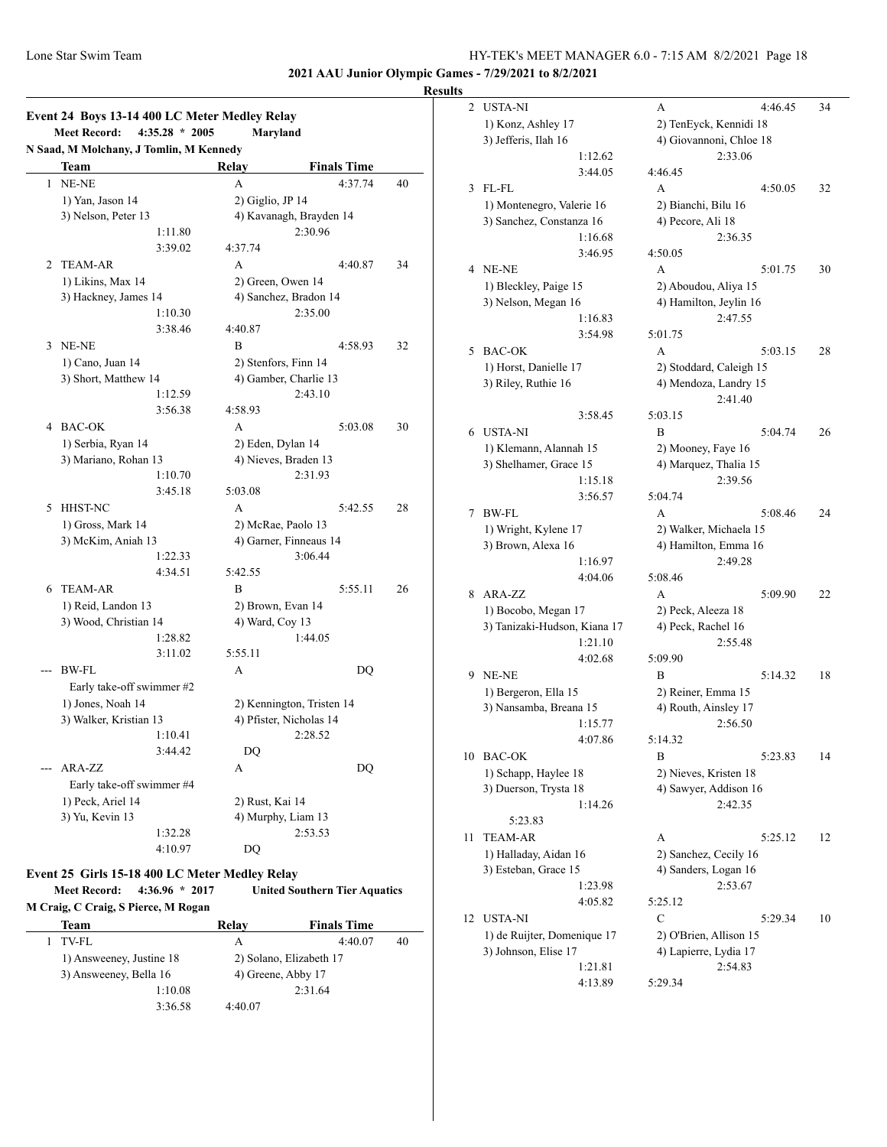**2021 AAU Junior Olympic Games - 7/29/2021 to 8/2/2021**

## **Results**

|              | $4:35.28 * 2005$<br><b>Meet Record:</b>         |                           | Maryland                |    |
|--------------|-------------------------------------------------|---------------------------|-------------------------|----|
|              | N Saad, M Molchany, J Tomlin, M Kennedy<br>Team | Relay                     | <b>Finals Time</b>      |    |
| $\mathbf{1}$ | NE-NE                                           | A                         | 4:37.74                 | 40 |
|              | 1) Yan, Jason 14                                | $2)$ Giglio, JP 14        |                         |    |
|              | 3) Nelson, Peter 13                             |                           | 4) Kavanagh, Brayden 14 |    |
|              | 1:11.80                                         |                           | 2:30.96                 |    |
|              | 3:39.02                                         | 4:37.74                   |                         |    |
| 2            | <b>TEAM-AR</b>                                  | A                         | 4:40.87                 | 34 |
|              | 1) Likins, Max 14                               |                           | 2) Green, Owen 14       |    |
|              | 3) Hackney, James 14                            |                           | 4) Sanchez, Bradon 14   |    |
|              | 1:10.30                                         |                           | 2:35.00                 |    |
|              | 3:38.46                                         | 4:40.87                   |                         |    |
|              | 3 NE-NE                                         | B                         | 4:58.93                 | 32 |
|              | 1) Cano, Juan 14                                |                           | 2) Stenfors, Finn 14    |    |
|              | 3) Short, Matthew 14                            |                           | 4) Gamber, Charlie 13   |    |
|              | 1:12.59                                         |                           | 2:43.10                 |    |
|              | 3:56.38                                         | 4:58.93                   |                         |    |
|              | 4 BAC-OK                                        | A                         | 5:03.08                 | 30 |
|              | 1) Serbia, Ryan 14                              | 2) Eden, Dylan 14         |                         |    |
|              | 3) Mariano, Rohan 13                            |                           | 4) Nieves, Braden 13    |    |
|              | 1:10.70                                         |                           | 2:31.93                 |    |
|              | 3:45.18                                         | 5:03.08                   |                         |    |
| 5            | <b>HHST-NC</b>                                  | A                         | 5:42.55                 | 28 |
|              | 1) Gross, Mark 14                               |                           | 2) McRae, Paolo 13      |    |
|              | 3) McKim, Aniah 13                              | 4) Garner, Finneaus 14    |                         |    |
|              | 1:22.33                                         |                           | 3:06.44                 |    |
|              | 4:34.51                                         | 5:42.55                   |                         |    |
| 6            | <b>TEAM-AR</b>                                  | $\overline{B}$            | 5:55.11                 | 26 |
|              | 1) Reid, Landon 13                              | 2) Brown, Evan 14         |                         |    |
|              | 3) Wood, Christian 14                           | 4) Ward, Coy 13           |                         |    |
|              | 1:28.82                                         |                           | 1:44.05                 |    |
|              | 3:11.02                                         | 5:55.11                   |                         |    |
| $---$        | BW-FL                                           | A                         | DQ                      |    |
|              | Early take-off swimmer #2                       |                           |                         |    |
|              | 1) Jones, Noah 14                               | 2) Kennington, Tristen 14 |                         |    |
|              | 3) Walker, Kristian 13                          | 4) Pfister, Nicholas 14   |                         |    |
|              | 1:10.41                                         |                           | 2:28.52                 |    |
|              | 3:44.42                                         | DQ                        |                         |    |
|              | ARA-ZZ                                          | A                         | DO                      |    |
|              | Early take-off swimmer #4                       |                           |                         |    |
|              | 1) Peck, Ariel 14                               | 2) Rust, Kai 14           |                         |    |
|              | 3) Yu, Kevin 13                                 |                           | 4) Murphy, Liam 13      |    |
|              | 1:32.28                                         |                           | 2:53.53                 |    |
|              | 4:10.97                                         | DQ                        |                         |    |

#### **Event 25 Girls 15-18 400 LC Meter Medley Relay**

| <b>Meet Record:</b>                 | Livent Ly Girls to to Too Le Medit Medici Kent<br>$4:36.96 * 2017$ | <b>United Southern Tier Aquatics</b> |  |  |  |  |  |
|-------------------------------------|--------------------------------------------------------------------|--------------------------------------|--|--|--|--|--|
| M Craig, C Craig, S Pierce, M Rogan |                                                                    |                                      |  |  |  |  |  |
| Team                                | Relav                                                              | <b>Finals Time</b>                   |  |  |  |  |  |

| тсані                    |         | луса у             | тинаю типе              |    |
|--------------------------|---------|--------------------|-------------------------|----|
| $1$ TV-FL                |         | А                  | 4:40.07                 | 40 |
| 1) Answeeney, Justine 18 |         |                    | 2) Solano, Elizabeth 17 |    |
| 3) Answeeney, Bella 16   |         | 4) Greene, Abby 17 |                         |    |
|                          | 1:10.08 |                    | 2:31.64                 |    |
|                          | 3:36.58 | 4:40.07            |                         |    |

| 2  | <b>USTA-NI</b>               | 4:46.45<br>А            | 34 |
|----|------------------------------|-------------------------|----|
|    | 1) Konz, Ashley 17           | 2) TenEyck, Kennidi 18  |    |
|    | 3) Jefferis, Ilah 16         | 4) Giovannoni, Chloe 18 |    |
|    | 1:12.62                      | 2:33.06                 |    |
|    | 3:44.05                      | 4:46.45                 |    |
| 3  | $FL$ - $FL$                  | A<br>4:50.05            | 32 |
|    | 1) Montenegro, Valerie 16    | 2) Bianchi, Bilu 16     |    |
|    | 3) Sanchez, Constanza 16     | 4) Pecore, Ali 18       |    |
|    | 1:16.68                      | 2:36.35                 |    |
|    | 3:46.95                      | 4:50.05                 |    |
| 4  | NE-NE                        | A<br>5:01.75            | 30 |
|    | 1) Bleckley, Paige 15        | 2) Aboudou, Aliya 15    |    |
|    | 3) Nelson, Megan 16          | 4) Hamilton, Jeylin 16  |    |
|    | 1:16.83                      | 2:47.55                 |    |
|    | 3:54.98                      | 5:01.75                 |    |
| 5  | <b>BAC-OK</b>                | A<br>5:03.15            | 28 |
|    | 1) Horst, Danielle 17        | 2) Stoddard, Caleigh 15 |    |
|    | 3) Riley, Ruthie 16          | 4) Mendoza, Landry 15   |    |
|    |                              | 2:41.40                 |    |
|    | 3:58.45                      | 5:03.15                 |    |
|    | 6 USTA-NI                    | B<br>5:04.74            | 26 |
|    | 1) Klemann, Alannah 15       | 2) Mooney, Faye 16      |    |
|    | 3) Shelhamer, Grace 15       | 4) Marquez, Thalia 15   |    |
|    | 1:15.18                      | 2:39.56                 |    |
|    | 3:56.57                      | 5:04.74                 |    |
| 7  | BW-FL                        | 5:08.46<br>A            | 24 |
|    | 1) Wright, Kylene 17         | 2) Walker, Michaela 15  |    |
|    | 3) Brown, Alexa 16           | 4) Hamilton, Emma 16    |    |
|    | 1:16.97                      | 2:49.28                 |    |
|    | 4:04.06                      | 5:08.46                 |    |
| 8  | ARA-ZZ                       | A<br>5:09.90            | 22 |
|    | 1) Bocobo, Megan 17          | 2) Peck, Aleeza 18      |    |
|    | 3) Tanizaki-Hudson, Kiana 17 | 4) Peck, Rachel 16      |    |
|    | 1:21.10<br>4:02.68           | 2:55.48<br>5:09.90      |    |
| 9  | NE-NE                        | B<br>5:14.32            | 18 |
|    | 1) Bergeron, Ella 15         | 2) Reiner, Emma 15      |    |
|    | 3) Nansamba, Breana 15       | 4) Routh, Ainsley 17    |    |
|    | 1:15.77                      | 2:56.50                 |    |
|    | 4:07.86                      | 5:14.32                 |    |
| 10 | <b>BAC-OK</b>                | B<br>5:23.83            | 14 |
|    | 1) Schapp, Haylee 18         | 2) Nieves, Kristen 18   |    |
|    | 3) Duerson, Trysta 18        | 4) Sawyer, Addison 16   |    |
|    | 1:14.26                      | 2:42.35                 |    |
|    | 5:23.83                      |                         |    |
| 11 | <b>TEAM-AR</b>               | 5:25.12<br>А            | 12 |
|    | 1) Halladay, Aidan 16        | 2) Sanchez, Cecily 16   |    |
|    | 3) Esteban, Grace 15         | 4) Sanders, Logan 16    |    |
|    | 1:23.98                      | 2:53.67                 |    |
|    | 4:05.82                      | 5:25.12                 |    |
| 12 | USTA-NI                      | C<br>5:29.34            | 10 |
|    | 1) de Ruijter, Domenique 17  | 2) O'Brien, Allison 15  |    |
|    | 3) Johnson, Elise 17         | 4) Lapierre, Lydia 17   |    |
|    | 1:21.81                      | 2:54.83                 |    |
|    | 4:13.89                      | 5:29.34                 |    |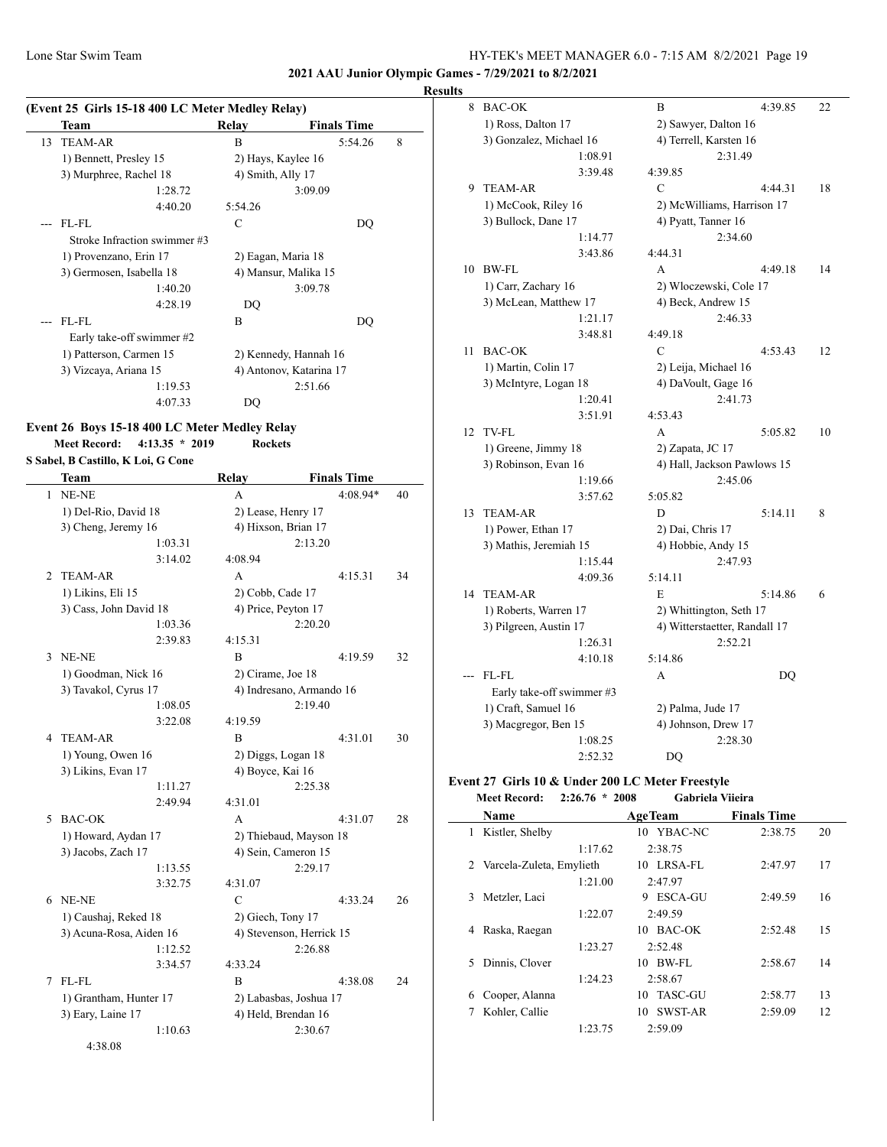**2021 AAU Junior Olympic Games - 7/29/2021 to 8/2/2021**

#### **Results**

| (Event 25 Girls 15-18 400 LC Meter Medley Relay)<br><b>Finals Time</b><br>Relay<br>Team<br><b>TEAM-AR</b><br>8<br>13<br>B<br>5:54.26<br>1) Bennett, Presley 15<br>2) Hays, Kaylee 16<br>3) Murphree, Rachel 18<br>4) Smith, Ally 17<br>1:28.72<br>3:09.09<br>4:40.20<br>5:54.26<br>FL-FL<br>C<br>DO |                              |                    |                         |  |
|-----------------------------------------------------------------------------------------------------------------------------------------------------------------------------------------------------------------------------------------------------------------------------------------------------|------------------------------|--------------------|-------------------------|--|
|                                                                                                                                                                                                                                                                                                     |                              |                    |                         |  |
|                                                                                                                                                                                                                                                                                                     |                              |                    |                         |  |
|                                                                                                                                                                                                                                                                                                     |                              |                    |                         |  |
|                                                                                                                                                                                                                                                                                                     |                              |                    |                         |  |
|                                                                                                                                                                                                                                                                                                     |                              |                    |                         |  |
|                                                                                                                                                                                                                                                                                                     |                              |                    |                         |  |
|                                                                                                                                                                                                                                                                                                     |                              |                    |                         |  |
|                                                                                                                                                                                                                                                                                                     | Stroke Infraction swimmer #3 |                    |                         |  |
|                                                                                                                                                                                                                                                                                                     | 1) Provenzano, Erin 17       | 2) Eagan, Maria 18 |                         |  |
|                                                                                                                                                                                                                                                                                                     | 3) Germosen, Isabella 18     |                    | 4) Mansur, Malika 15    |  |
|                                                                                                                                                                                                                                                                                                     | 1:40.20                      |                    | 3:09.78                 |  |
|                                                                                                                                                                                                                                                                                                     | 4:28.19                      | DQ                 |                         |  |
|                                                                                                                                                                                                                                                                                                     | FL-FL                        | B                  | DQ                      |  |
|                                                                                                                                                                                                                                                                                                     | Early take-off swimmer #2    |                    |                         |  |
|                                                                                                                                                                                                                                                                                                     | 1) Patterson, Carmen 15      |                    | 2) Kennedy, Hannah 16   |  |
|                                                                                                                                                                                                                                                                                                     | 3) Vizcaya, Ariana 15        |                    | 4) Antonov, Katarina 17 |  |
|                                                                                                                                                                                                                                                                                                     | 1:19.53                      |                    | 2:51.66                 |  |
|                                                                                                                                                                                                                                                                                                     | 4:07.33                      | DQ                 |                         |  |

# **Event 26 Boys 15-18 400 LC Meter Medley Relay**

**Meet Record: 4:13.35 \* 2019 Rockets**

**S Sabel, B Castillo, K Loi, G Cone**

 $\overline{\phantom{a}}$ 

|             | Team                    | Relay                    | <b>Finals Time</b> |    |
|-------------|-------------------------|--------------------------|--------------------|----|
| 1           | NE-NE                   | A                        | 4:08.94*           | 40 |
|             | 1) Del-Rio, David 18    | 2) Lease, Henry 17       |                    |    |
|             | 3) Cheng, Jeremy 16     | 4) Hixson, Brian 17      |                    |    |
|             | 1:03.31                 |                          | 2:13.20            |    |
|             | 3:14.02                 | 4:08.94                  |                    |    |
| 2           | <b>TEAM-AR</b>          | A                        | 4:15.31            | 34 |
|             | 1) Likins, Eli 15       | 2) Cobb, Cade 17         |                    |    |
|             | 3) Cass, John David 18  | 4) Price, Peyton 17      |                    |    |
|             | 1:03.36                 |                          | 2:20.20            |    |
|             | 2:39.83                 | 4:15.31                  |                    |    |
| 3           | NE-NE                   | B                        | 4:19.59            | 32 |
|             | 1) Goodman, Nick 16     | 2) Cirame, Joe 18        |                    |    |
|             | 3) Tavakol, Cyrus 17    | 4) Indresano, Armando 16 |                    |    |
|             | 1:08.05                 |                          | 2:19.40            |    |
|             | 3:22.08                 | 4:19.59                  |                    |    |
| 4           | <b>TEAM-AR</b>          | B                        | 4:31.01            | 30 |
|             | 1) Young, Owen 16       | 2) Diggs, Logan 18       |                    |    |
|             | 3) Likins, Evan 17      | 4) Boyce, Kai 16         |                    |    |
|             | 1:11.27                 |                          | 2:25.38            |    |
|             | 2:49.94                 | 4:31.01                  |                    |    |
| $\varsigma$ | <b>BAC-OK</b>           | A                        | 4:31.07            | 28 |
|             | 1) Howard, Aydan 17     | 2) Thiebaud, Mayson 18   |                    |    |
|             | 3) Jacobs, Zach 17      | 4) Sein, Cameron 15      |                    |    |
|             | 1:13.55                 |                          | 2:29.17            |    |
|             | 3:32.75                 | 4:31.07                  |                    |    |
| 6           | NE-NE                   | C                        | 4:33.24            | 26 |
|             | 1) Caushaj, Reked 18    | 2) Giech, Tony 17        |                    |    |
|             | 3) Acuna-Rosa, Aiden 16 | 4) Stevenson, Herrick 15 |                    |    |
|             | 1:12.52                 |                          | 2:26.88            |    |
|             | 3:34.57                 | 4:33.24                  |                    |    |
| 7           | FL-FL                   | B                        | 4:38.08            | 24 |
|             | 1) Grantham, Hunter 17  | 2) Labasbas, Joshua 17   |                    |    |
|             | 3) Eary, Laine 17       | 4) Held, Brendan 16      |                    |    |
|             | 1:10.63                 |                          | 2:30.67            |    |
|             | 4:38.08                 |                          |                    |    |

| 8  | <b>BAC-OK</b>             | В                             | 4:39.85 | 22 |  |
|----|---------------------------|-------------------------------|---------|----|--|
|    | 1) Ross, Dalton 17        | 2) Sawyer, Dalton 16          |         |    |  |
|    | 3) Gonzalez, Michael 16   | 4) Terrell, Karsten 16        |         |    |  |
|    | 1:08.91                   | 2:31.49                       |         |    |  |
|    | 3:39.48                   | 4:39.85                       |         |    |  |
| 9  | <b>TEAM-AR</b>            | C                             | 4:44.31 | 18 |  |
|    | 1) McCook, Riley 16       | 2) McWilliams, Harrison 17    |         |    |  |
|    | 3) Bullock, Dane 17       | 4) Pyatt, Tanner 16           |         |    |  |
|    | 1:14.77                   | 2:34.60                       |         |    |  |
|    | 3:43.86                   | 4:44.31                       |         |    |  |
| 10 | <b>BW-FL</b>              | A                             | 4:49.18 | 14 |  |
|    | 1) Carr, Zachary 16       | 2) Włoczewski, Cole 17        |         |    |  |
|    | 3) McLean, Matthew 17     | 4) Beck, Andrew 15            |         |    |  |
|    | 1:21.17                   | 2:46.33                       |         |    |  |
|    | 3:48.81                   | 4:49.18                       |         |    |  |
| 11 | <b>BAC-OK</b>             | C                             | 4:53.43 | 12 |  |
|    | 1) Martin, Colin 17       | 2) Leija, Michael 16          |         |    |  |
|    | 3) McIntyre, Logan 18     | 4) DaVoult, Gage 16           |         |    |  |
|    | 1:20.41                   | 2:41.73                       |         |    |  |
|    | 3:51.91                   | 4:53.43                       |         |    |  |
| 12 | TV-FL                     | A                             | 5:05.82 | 10 |  |
|    | 1) Greene, Jimmy 18       | 2) Zapata, JC 17              |         |    |  |
|    | 3) Robinson, Evan 16      | 4) Hall, Jackson Pawlows 15   |         |    |  |
|    | 1:19.66                   | 2:45.06                       |         |    |  |
|    | 3:57.62                   | 5:05.82                       |         |    |  |
| 13 | <b>TEAM-AR</b>            | D                             | 5:14.11 | 8  |  |
|    | 1) Power, Ethan 17        | 2) Dai, Chris 17              |         |    |  |
|    | 3) Mathis, Jeremiah 15    | 4) Hobbie, Andy 15            |         |    |  |
|    | 1:15.44                   | 2:47.93                       |         |    |  |
|    | 4:09.36                   | 5:14.11                       |         |    |  |
| 14 | <b>TEAM-AR</b>            | E                             | 5:14.86 | 6  |  |
|    | 1) Roberts, Warren 17     | 2) Whittington, Seth 17       |         |    |  |
|    | 3) Pilgreen, Austin 17    | 4) Witterstaetter, Randall 17 |         |    |  |
|    | 1:26.31                   | 2:52.21                       |         |    |  |
|    | 4:10.18                   | 5:14.86                       |         |    |  |
|    | FL-FL                     | A                             | DQ      |    |  |
|    | Early take-off swimmer #3 |                               |         |    |  |
|    | 1) Craft, Samuel 16       | 2) Palma, Jude 17             |         |    |  |
|    | 3) Macgregor, Ben 15      | 4) Johnson, Drew 17           |         |    |  |
|    | 1:08.25                   | 2:28.30                       |         |    |  |
|    | 2:52.32                   | DO                            |         |    |  |

# **Event 27 Girls 10 & Under 200 LC Meter Freestyle**

|   | Name                     | <b>AgeTeam</b>      | <b>Finals Time</b> |    |
|---|--------------------------|---------------------|--------------------|----|
| 1 | Kistler, Shelby          | 10 YBAC-NC          | 2:38.75            | 20 |
|   | 1:17.62                  | 2:38.75             |                    |    |
| 2 | Varcela-Zuleta, Emylieth | 10 LRSA-FL          | 2:47.97            | 17 |
|   | 1:21.00                  | 2:47.97             |                    |    |
| 3 | Metzler, Laci            | <b>ESCA-GU</b><br>9 | 2:49.59            | 16 |
|   | 1:22.07                  | 2:49.59             |                    |    |
| 4 | Raska, Raegan            | 10 BAC-OK           | 2:52.48            | 15 |
|   | 1:23.27                  | 2:52.48             |                    |    |
| 5 | Dinnis, Clover           | $10$ BW-FL          | 2:58.67            | 14 |
|   | 1:24.23                  | 2:58.67             |                    |    |
| 6 | Cooper, Alanna           | 10 TASC-GU          | 2:58.77            | 13 |
|   | Kohler, Callie           | SWST-AR<br>10       | 2:59.09            | 12 |
|   | 1:23.75                  | 2:59.09             |                    |    |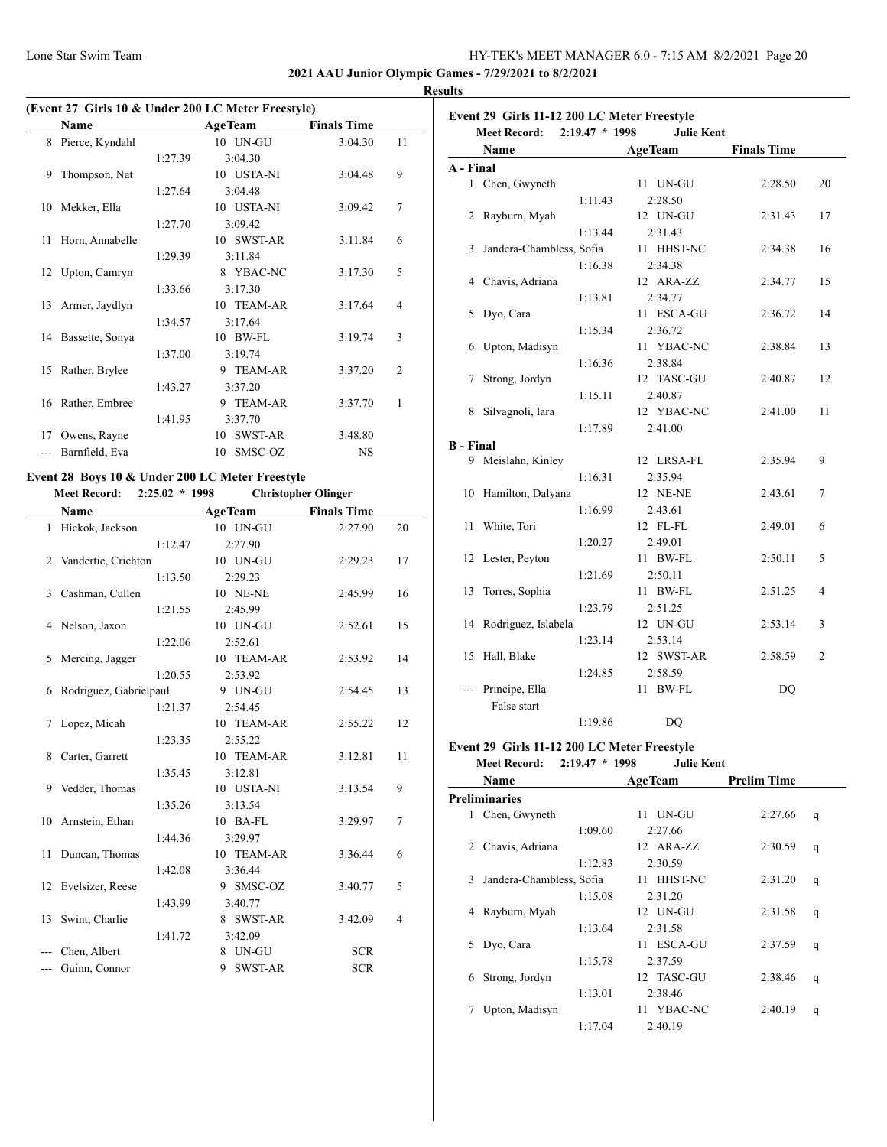$\overline{\phantom{a}}$ 

## Lone Star Swim Team HY-TEK's MEET MANAGER 6.0 - 7:15 AM 8/2/2021 Page 20

**2021 AAU Junior Olympic Games - 7/29/2021 to 8/2/2021**

 $\overline{a}$ 

## **Results**

|     | (Event 27 Girls 10 & Under 200 LC Meter Freestyle) |         |                      |                    |                |  |  |  |
|-----|----------------------------------------------------|---------|----------------------|--------------------|----------------|--|--|--|
|     | <b>Name</b>                                        |         | <b>AgeTeam</b>       | <b>Finals Time</b> |                |  |  |  |
| 8   | Pierce, Kyndahl                                    |         | 10 UN-GU             | 3:04.30            | 11             |  |  |  |
|     |                                                    | 1:27.39 | 3:04.30              |                    |                |  |  |  |
| 9   | Thompson, Nat                                      |         | 10 USTA-NI           | 3:04.48            | 9              |  |  |  |
|     |                                                    | 1:27.64 | 3:04.48              |                    |                |  |  |  |
| 10  | Mekker, Ella                                       |         | 10 USTA-NI           | 3:09.42            | $\overline{7}$ |  |  |  |
|     |                                                    | 1:27.70 | 3:09.42              |                    |                |  |  |  |
| 11  | Horn, Annabelle                                    |         | 10 SWST-AR           | 3:11.84            | 6              |  |  |  |
|     |                                                    | 1:29.39 | 3:11.84              |                    |                |  |  |  |
|     | 12 Upton, Camryn                                   |         | 8 YBAC-NC            | 3:17.30            | 5              |  |  |  |
|     |                                                    | 1:33.66 | 3:17.30              |                    |                |  |  |  |
| 13  | Armer, Jaydlyn                                     |         | 10 TEAM-AR           | 3:17.64            | $\overline{4}$ |  |  |  |
|     |                                                    | 1:34.57 | 3:17.64              |                    |                |  |  |  |
|     | 14 Bassette, Sonya                                 |         | 10 BW-FL             | 3:19.74            | 3              |  |  |  |
|     |                                                    | 1:37.00 | 3:19.74              |                    |                |  |  |  |
| 15  | Rather, Brylee                                     |         | <b>TEAM-AR</b><br>9  | 3:37.20            | $\overline{2}$ |  |  |  |
|     |                                                    | 1:43.27 | 3:37.20              |                    |                |  |  |  |
| 16  | Rather, Embree                                     |         | <b>TEAM-AR</b><br>9  | 3:37.70            | 1              |  |  |  |
|     |                                                    | 1:41.95 | 3:37.70              |                    |                |  |  |  |
| 17  | Owens, Rayne                                       |         | <b>SWST-AR</b><br>10 | 3:48.80            |                |  |  |  |
| --- | Barnfield, Eva                                     |         | 10 SMSC-OZ           | <b>NS</b>          |                |  |  |  |

# **Event 28 Boys 10 & Under 200 LC Meter Freestyle**

| <b>Meet Record:</b><br>$2:25.02 * 1998$ |                        |         | <b>Christopher Olinger</b> |                    |                |
|-----------------------------------------|------------------------|---------|----------------------------|--------------------|----------------|
|                                         | <b>Name</b>            |         | <b>AgeTeam</b>             | <b>Finals Time</b> |                |
|                                         | 1 Hickok, Jackson      |         | 10 UN-GU                   | 2:27.90            | 20             |
|                                         |                        | 1:12.47 | 2:27.90                    |                    |                |
| 2                                       | Vandertie, Crichton    |         | 10 UN-GU                   | 2:29.23            | 17             |
|                                         |                        | 1:13.50 | 2:29.23                    |                    |                |
| 3                                       | Cashman, Cullen        |         | 10 NE-NE                   | 2:45.99            | 16             |
|                                         |                        | 1:21.55 | 2:45.99                    |                    |                |
| 4                                       | Nelson, Jaxon          |         | 10 UN-GU                   | 2:52.61            | 15             |
|                                         |                        | 1:22.06 | 2:52.61                    |                    |                |
| 5                                       | Mercing, Jagger        |         | 10 TEAM-AR                 | 2:53.92            | 14             |
|                                         |                        | 1:20.55 | 2:53.92                    |                    |                |
| 6                                       | Rodriguez, Gabrielpaul |         | 9 UN-GU                    | 2:54.45            | 13             |
|                                         |                        | 1:21.37 | 2:54.45                    |                    |                |
| 7                                       | Lopez, Micah           |         | 10 TEAM-AR                 | 2:55.22            | 12             |
|                                         |                        | 1:23.35 | 2:55.22                    |                    |                |
| 8                                       | Carter, Garrett        |         | 10 TEAM-AR                 | 3:12.81            | 11             |
|                                         |                        | 1:35.45 | 3:12.81                    |                    |                |
| 9                                       | Vedder, Thomas         |         | 10 USTA-NI                 | 3:13.54            | 9              |
|                                         |                        | 1:35.26 | 3:13.54                    |                    |                |
| 10                                      | Arnstein, Ethan        |         | 10 BA-FL                   | 3:29.97            | 7              |
|                                         |                        | 1:44.36 | 3:29.97                    |                    |                |
| 11                                      | Duncan, Thomas         |         | 10 TEAM-AR                 | 3:36.44            | 6              |
|                                         |                        | 1:42.08 | 3:36.44                    |                    |                |
| $12^{\circ}$                            | Evelsizer, Reese       |         | 9 SMSC-OZ                  | 3:40.77            | 5              |
|                                         |                        | 1:43.99 | 3:40.77                    |                    |                |
| 13                                      | Swint, Charlie         |         | 8 SWST-AR                  | 3:42.09            | $\overline{4}$ |
|                                         |                        | 1:41.72 | 3:42.09                    |                    |                |
|                                         | Chen, Albert           |         | 8 UN-GU                    | <b>SCR</b>         |                |
| ---                                     | Guinn, Connor          |         | <b>SWST-AR</b><br>9        | <b>SCR</b>         |                |

|                  | Event 29 Girls 11-12 200 LC Meter Freestyle<br>$2:19.47 * 1998$<br><b>Meet Record:</b> | <b>Julie Kent</b> |                    |    |
|------------------|----------------------------------------------------------------------------------------|-------------------|--------------------|----|
|                  | Name                                                                                   | <b>AgeTeam</b>    | <b>Finals Time</b> |    |
| A - Final        |                                                                                        |                   |                    |    |
|                  | 1 Chen, Gwyneth                                                                        | 11 UN-GU          | 2:28.50            | 20 |
|                  | 1:11.43                                                                                | 2:28.50           |                    |    |
| 2                | Rayburn, Myah                                                                          | 12 UN-GU          | 2:31.43            | 17 |
|                  | 1:13.44                                                                                | 2:31.43           |                    |    |
| 3                | Jandera-Chambless, Sofia                                                               | 11 HHST-NC        | 2:34.38            | 16 |
|                  | 1:16.38                                                                                | 2:34.38           |                    |    |
| 4                | Chavis, Adriana                                                                        | 12 ARA-ZZ         | 2:34.77            | 15 |
|                  | 1:13.81                                                                                | 2:34.77           |                    |    |
| 5                | Dyo, Cara                                                                              | 11 ESCA-GU        | 2:36.72            | 14 |
|                  | 1:15.34                                                                                | 2:36.72           |                    |    |
| 6                | Upton, Madisyn                                                                         | 11 YBAC-NC        | 2:38.84            | 13 |
|                  | 1:16.36                                                                                | 2:38.84           |                    |    |
| 7                | Strong, Jordyn                                                                         | 12 TASC-GU        | 2:40.87            | 12 |
|                  | 1:15.11                                                                                | 2:40.87           |                    |    |
| 8                | Silvagnoli, Iara                                                                       | 12 YBAC-NC        | 2:41.00            | 11 |
|                  | 1:17.89                                                                                | 2:41.00           |                    |    |
| <b>B</b> - Final |                                                                                        |                   |                    |    |
| 9                | Meislahn, Kinley                                                                       | 12 LRSA-FL        | 2:35.94            | 9  |
|                  | 1:16.31                                                                                | 2:35.94           |                    |    |
| 10               | Hamilton, Dalyana                                                                      | 12 NE-NE          | 2:43.61            | 7  |
|                  | 1:16.99                                                                                | 2:43.61           |                    |    |
| 11               | White, Tori                                                                            | 12 FL-FL          | 2:49.01            | 6  |
|                  | 1:20.27                                                                                | 2:49.01           |                    |    |
| 12               | Lester, Peyton                                                                         | 11 BW-FL          | 2:50.11            | 5  |
|                  | 1:21.69                                                                                | 2:50.11           |                    |    |
| 13               | Torres, Sophia                                                                         | 11 BW-FL          | 2:51.25            | 4  |
|                  | 1:23.79                                                                                | 2:51.25           |                    |    |
|                  | 14 Rodriguez, Islabela                                                                 | 12 UN-GU          | 2:53.14            | 3  |
|                  | 1:23.14                                                                                | 2:53.14           |                    |    |
| 15               | Hall, Blake                                                                            | 12 SWST-AR        | 2:58.59            | 2  |
|                  | 1:24.85                                                                                | 2:58.59           |                    |    |
|                  | Principe, Ella                                                                         | 11 BW-FL          | DQ                 |    |
|                  | False start                                                                            |                   |                    |    |
|                  | 1:19.86                                                                                | DQ                |                    |    |

# **Event 29 Girls 11-12 200 LC Meter Freestyle**

# **Meet Record: 2:19.47 \* 1998 Julie Kent**

|   | Name                     |         | <b>AgeTeam</b> |            | <b>Prelim Time</b> |   |
|---|--------------------------|---------|----------------|------------|--------------------|---|
|   | Preliminaries            |         |                |            |                    |   |
| 1 | Chen, Gwyneth            |         | 11             | UN-GU      | 2:27.66            | q |
|   |                          | 1:09.60 |                | 2:27.66    |                    |   |
| 2 | Chavis, Adriana          |         |                | 12 ARA-ZZ  | 2:30.59            | q |
|   |                          | 1:12.83 |                | 2:30.59    |                    |   |
| 3 | Jandera-Chambless, Sofia |         | 11             | HHST-NC    | 2:31.20            | q |
|   |                          | 1:15.08 |                | 2:31.20    |                    |   |
| 4 | Rayburn, Myah            |         |                | 12 UN-GU   | 2:31.58            | q |
|   |                          | 1:13.64 |                | 2:31.58    |                    |   |
| 5 | Dyo, Cara                |         | 11             | ESCA-GU    | 2:37.59            | q |
|   |                          | 1:15.78 |                | 2:37.59    |                    |   |
| 6 | Strong, Jordyn           |         |                | 12 TASC-GU | 2:38.46            | q |
|   |                          | 1:13.01 |                | 2:38.46    |                    |   |
|   | Upton, Madisyn           |         |                | 11 YBAC-NC | 2:40.19            | q |
|   |                          | 1:17.04 |                | 2:40.19    |                    |   |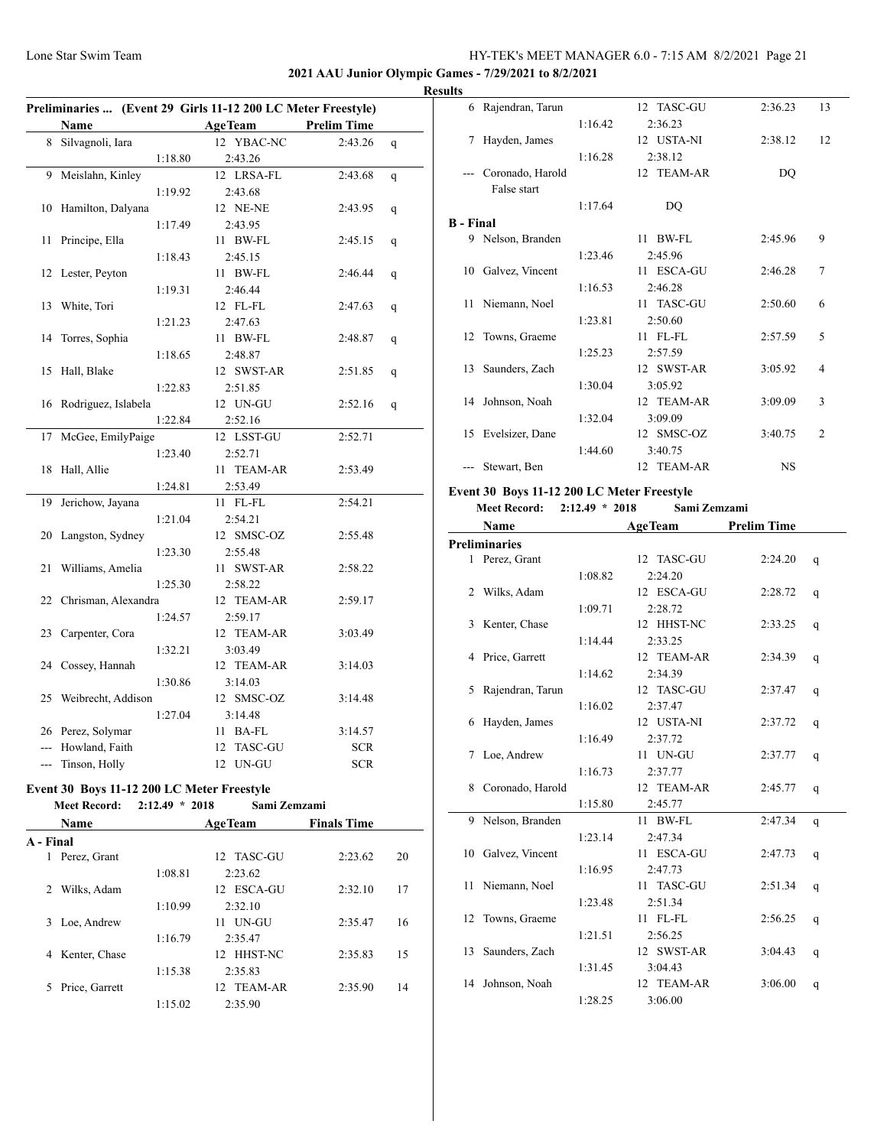## **2021 AAU Junior Olympic Games - 7/29/2021 to 8/2/2021**

|     | Preliminaries  (Event 29 Girls 11-12 200 LC Meter Freestyle) |                |                    |   |  |  |  |
|-----|--------------------------------------------------------------|----------------|--------------------|---|--|--|--|
|     | <b>Name</b>                                                  | <b>AgeTeam</b> | <b>Prelim Time</b> |   |  |  |  |
| 8   | Silvagnoli, Iara                                             | 12 YBAC-NC     | 2:43.26            | q |  |  |  |
|     | 1:18.80                                                      | 2:43.26        |                    |   |  |  |  |
| 9   | Meislahn, Kinley                                             | 12 LRSA-FL     | 2:43.68            | q |  |  |  |
|     | 1:19.92                                                      | 2:43.68        |                    |   |  |  |  |
| 10  | Hamilton, Dalyana                                            | 12 NE-NE       | 2:43.95            | q |  |  |  |
|     | 1:17.49                                                      | 2:43.95        |                    |   |  |  |  |
| 11  | Principe, Ella                                               | 11 BW-FL       | 2:45.15            | q |  |  |  |
|     | 1:18.43                                                      | 2:45.15        |                    |   |  |  |  |
| 12  | Lester, Peyton                                               | 11 BW-FL       | 2:46.44            | q |  |  |  |
|     | 1:19.31                                                      | 2:46.44        |                    |   |  |  |  |
| 13  | White, Tori                                                  | 12 FL-FL       | 2:47.63            | q |  |  |  |
|     | 1:21.23                                                      | 2:47.63        |                    |   |  |  |  |
| 14  | Torres, Sophia                                               | 11 BW-FL       | 2:48.87            | q |  |  |  |
|     | 1:18.65                                                      | 2:48.87        |                    |   |  |  |  |
| 15  | Hall, Blake                                                  | 12 SWST-AR     | 2:51.85            | q |  |  |  |
|     | 1:22.83                                                      | 2:51.85        |                    |   |  |  |  |
| 16  | Rodriguez, Islabela                                          | 12 UN-GU       | 2:52.16            | q |  |  |  |
|     | 1:22.84                                                      | 2:52.16        |                    |   |  |  |  |
| 17  | McGee, EmilyPaige                                            | 12 LSST-GU     | 2:52.71            |   |  |  |  |
|     | 1:23.40                                                      | 2:52.71        |                    |   |  |  |  |
| 18  | Hall, Allie                                                  | 11 TEAM-AR     | 2:53.49            |   |  |  |  |
|     | 1:24.81                                                      | 2:53.49        |                    |   |  |  |  |
| 19  | Jerichow, Jayana                                             | 11 FL-FL       | 2:54.21            |   |  |  |  |
|     | 1:21.04                                                      | 2:54.21        |                    |   |  |  |  |
| 20  | Langston, Sydney                                             | 12 SMSC-OZ     | 2:55.48            |   |  |  |  |
|     | 1:23.30                                                      | 2:55.48        |                    |   |  |  |  |
| 21  | Williams, Amelia                                             | 11 SWST-AR     | 2:58.22            |   |  |  |  |
|     | 1:25.30                                                      | 2:58.22        |                    |   |  |  |  |
| 22  | Chrisman, Alexandra                                          | 12 TEAM-AR     | 2:59.17            |   |  |  |  |
|     | 1:24.57                                                      | 2:59.17        |                    |   |  |  |  |
| 23  | Carpenter, Cora                                              | 12 TEAM-AR     | 3:03.49            |   |  |  |  |
|     | 1:32.21                                                      | 3:03.49        |                    |   |  |  |  |
|     | 24 Cossey, Hannah                                            | 12 TEAM-AR     | 3:14.03            |   |  |  |  |
|     | 1:30.86                                                      | 3:14.03        |                    |   |  |  |  |
| 25  | Weibrecht, Addison                                           | 12 SMSC-OZ     | 3:14.48            |   |  |  |  |
|     | 1:27.04                                                      | 3:14.48        |                    |   |  |  |  |
|     | 26 Perez, Solymar                                            | 11 BA-FL       | 3:14.57            |   |  |  |  |
| --- | Howland, Faith                                               | 12 TASC-GU     | <b>SCR</b>         |   |  |  |  |
| --- | Tinson, Holly                                                | 12 UN-GU       | <b>SCR</b>         |   |  |  |  |
|     |                                                              |                |                    |   |  |  |  |

#### **Event 30 Boys 11-12 200 LC Meter Freestyle Meet Record: 2:12.49 \* 2018 Sami Zemzami**

| <b>Name</b>         | <b>AgeTeam</b> | <b>Finals Time</b> |    |
|---------------------|----------------|--------------------|----|
| A - Final           |                |                    |    |
| Perez, Grant<br>1   | 12 TASC-GU     | 2:23.62            | 20 |
| 1:08.81             | 2:23.62        |                    |    |
| Wilks, Adam<br>2    | 12 ESCA-GU     | 2:32.10            | 17 |
| 1:10.99             | 2:32.10        |                    |    |
| Loe, Andrew<br>3    | UN-GU<br>11.   | 2:35.47            | 16 |
| 1:16.79             | 2:35.47        |                    |    |
| Kenter, Chase<br>4  | 12 HHST-NC     | 2:35.83            | 15 |
| 1:15.38             | 2:35.83        |                    |    |
| Price, Garrett<br>5 | 12 TEAM-AR     | 2:35.90            | 14 |
| 1:15.02             | 2:35.90        |                    |    |

| <b>Results</b>   |                    |         |            |           |                |
|------------------|--------------------|---------|------------|-----------|----------------|
|                  | 6 Rajendran, Tarun |         | 12 TASC-GU | 2:36.23   | 13             |
|                  |                    | 1:16.42 | 2:36.23    |           |                |
| 7                | Hayden, James      |         | 12 USTA-NI | 2:38.12   | 12             |
|                  |                    | 1:16.28 | 2:38.12    |           |                |
|                  | Coronado, Harold   |         | 12 TEAM-AR | DQ        |                |
|                  | False start        |         |            |           |                |
|                  |                    | 1:17.64 | DO         |           |                |
| <b>B</b> - Final |                    |         |            |           |                |
|                  | 9 Nelson, Branden  |         | $11$ BW-FL | 2:45.96   | 9              |
|                  |                    | 1:23.46 | 2:45.96    |           |                |
|                  | 10 Galvez, Vincent |         | 11 ESCA-GU | 2:46.28   | 7              |
|                  |                    | 1:16.53 | 2:46.28    |           |                |
|                  | 11 Niemann, Noel   |         | 11 TASC-GU | 2:50.60   | 6              |
|                  |                    | 1:23.81 | 2:50.60    |           |                |
|                  | 12 Towns, Graeme   |         | $11$ FL-FL | 2:57.59   | 5              |
|                  |                    | 1:25.23 | 2:57.59    |           |                |
|                  | 13 Saunders, Zach  |         | 12 SWST-AR | 3:05.92   | $\overline{4}$ |
|                  |                    | 1:30.04 | 3:05.92    |           |                |
|                  | 14 Johnson, Noah   |         | 12 TEAM-AR | 3:09.09   | 3              |
|                  |                    | 1:32.04 | 3:09.09    |           |                |
|                  | 15 Evelsizer, Dane |         | 12 SMSC-OZ | 3:40.75   | $\overline{2}$ |
|                  |                    | 1:44.60 | 3:40.75    |           |                |
|                  | Stewart, Ben       |         | 12 TEAM-AR | <b>NS</b> |                |
|                  |                    |         |            |           |                |

## **Event 30 Boys 11-12 200 LC Meter Freestyle**

| $2:12.49 * 2018$<br>Sami Zemzami<br><b>Meet Record:</b> |
|---------------------------------------------------------|
|---------------------------------------------------------|

|    | Name                 |         | <b>AgeTeam</b> | <b>Prelim Time</b> |   |
|----|----------------------|---------|----------------|--------------------|---|
|    | <b>Preliminaries</b> |         |                |                    |   |
|    | 1 Perez, Grant       |         | 12 TASC-GU     | 2:24.20            | q |
|    |                      | 1:08.82 | 2:24.20        |                    |   |
| 2  | Wilks, Adam          |         | 12 ESCA-GU     | 2:28.72            | q |
|    |                      | 1:09.71 | 2:28.72        |                    |   |
| 3  | Kenter, Chase        |         | 12 HHST-NC     | 2:33.25            | q |
|    |                      | 1:14.44 | 2:33.25        |                    |   |
|    | 4 Price, Garrett     |         | 12 TEAM-AR     | 2:34.39            | q |
|    |                      | 1:14.62 | 2:34.39        |                    |   |
| 5  | Rajendran, Tarun     |         | 12 TASC-GU     | 2:37.47            | q |
|    |                      | 1:16.02 | 2:37.47        |                    |   |
| 6  | Hayden, James        |         | 12 USTA-NI     | 2:37.72            | q |
|    |                      | 1:16.49 | 2:37.72        |                    |   |
| 7  | Loe, Andrew          |         | 11 UN-GU       | 2:37.77            | q |
|    |                      | 1:16.73 | 2:37.77        |                    |   |
| 8  | Coronado, Harold     |         | 12 TEAM-AR     | 2:45.77            | q |
|    |                      | 1:15.80 | 2:45.77        |                    |   |
| 9  | Nelson, Branden      |         | $11$ BW-FL     | 2:47.34            | q |
|    |                      | 1:23.14 | 2:47.34        |                    |   |
| 10 | Galvez, Vincent      |         | 11 ESCA-GU     | 2:47.73            | q |
|    |                      | 1:16.95 | 2:47.73        |                    |   |
| 11 | Niemann, Noel        |         | 11 TASC-GU     | 2:51.34            | q |
|    |                      | 1:23.48 | 2:51.34        |                    |   |
| 12 | Towns, Graeme        |         | 11 FL-FL       | 2:56.25            | q |
|    |                      | 1:21.51 | 2:56.25        |                    |   |
| 13 | Saunders, Zach       |         | 12 SWST-AR     | 3:04.43            | q |
|    |                      | 1:31.45 | 3:04.43        |                    |   |
| 14 | Johnson, Noah        |         | 12 TEAM-AR     | 3:06.00            | q |
|    |                      | 1:28.25 | 3:06.00        |                    |   |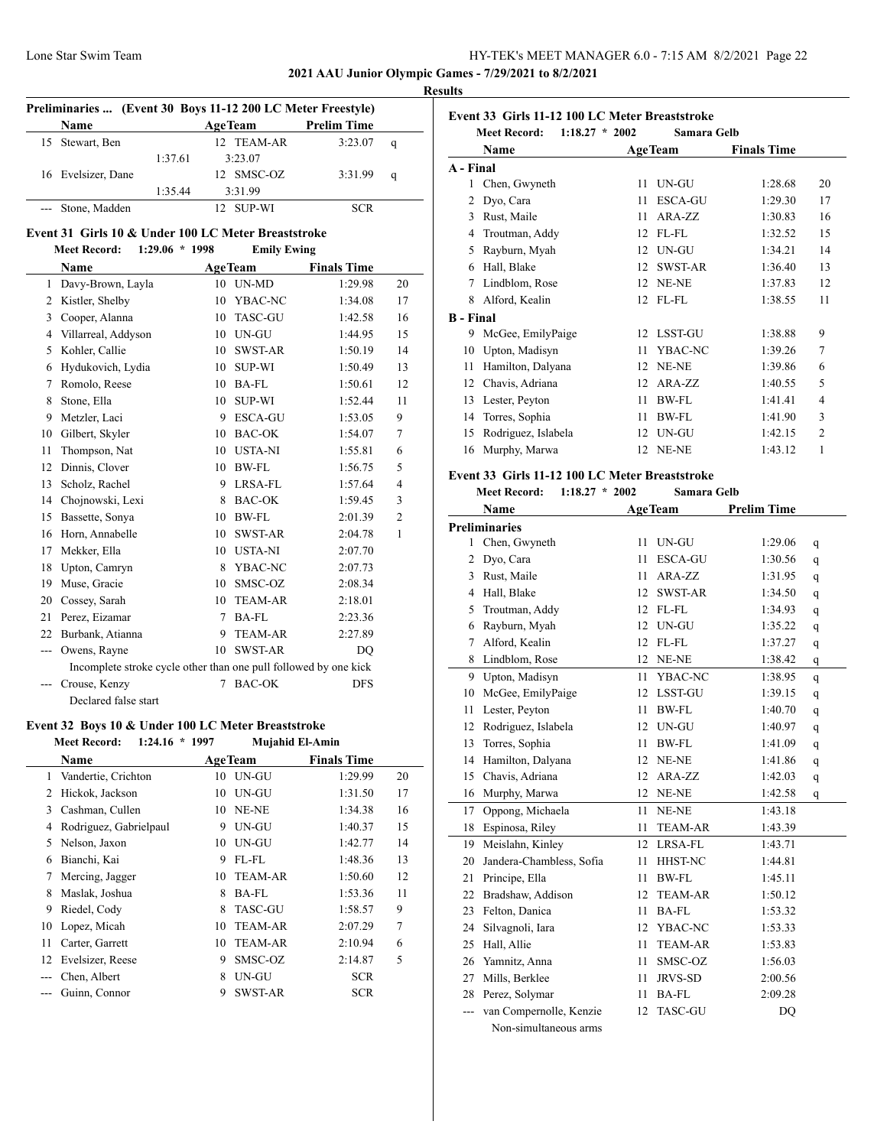**2021 AAU Junior Olympic Games - 7/29/2021 to 8/2/2021**

#### **Results**

| Preliminaries  (Event 30 Boys 11-12 200 LC Meter Freestyle) |                    |         |                |                    |             |  |  |  |
|-------------------------------------------------------------|--------------------|---------|----------------|--------------------|-------------|--|--|--|
|                                                             | Name               |         | <b>AgeTeam</b> | <b>Prelim Time</b> |             |  |  |  |
|                                                             | 15 Stewart, Ben    |         | 12 TEAM-AR     | 3:23.07            | q           |  |  |  |
|                                                             |                    | 1:37.61 | 3:23.07        |                    |             |  |  |  |
|                                                             | 16 Evelsizer, Dane |         | 12 SMSC-OZ     | 3:31.99            | $\mathbf q$ |  |  |  |
|                                                             |                    | 1:35.44 | 3:31.99        |                    |             |  |  |  |
|                                                             | --- Stone, Madden  |         | SUP-WI         |                    |             |  |  |  |

# **Event 31 Girls 10 & Under 100 LC Meter Breaststroke**<br>Meet Record: 1:29.06 \* 1998 Emily Ewing

| <b>Meet Record:</b> | $1:29.06 * 1998$ |  | <b>Emily E</b> |
|---------------------|------------------|--|----------------|
|                     |                  |  |                |

|     | <b>Name</b>                                                      |                | <b>AgeTeam</b> | <b>Finals Time</b> |                |
|-----|------------------------------------------------------------------|----------------|----------------|--------------------|----------------|
| 1   | Davy-Brown, Layla                                                | 10             | <b>UN-MD</b>   | 1:29.98            | 20             |
| 2   | Kistler, Shelby                                                  | 10             | YBAC-NC        | 1:34.08            | 17             |
| 3   | Cooper, Alanna                                                   | 10             | <b>TASC-GU</b> | 1:42.58            | 16             |
| 4   | Villarreal, Addyson                                              | 10             | UN-GU          | 1:44.95            | 15             |
| 5   | Kohler, Callie                                                   | 10             | SWST-AR        | 1:50.19            | 14             |
| 6   | Hydukovich, Lydia                                                | 10             | <b>SUP-WI</b>  | 1:50.49            | 13             |
| 7   | Romolo, Reese                                                    | 10             | <b>BA-FL</b>   | 1:50.61            | 12             |
| 8   | Stone, Ella                                                      | 10             | <b>SUP-WI</b>  | 1:52.44            | 11             |
| 9   | Metzler, Laci                                                    | 9              | <b>ESCA-GU</b> | 1:53.05            | 9              |
| 10  | Gilbert, Skyler                                                  | 10             | <b>BAC-OK</b>  | 1:54.07            | 7              |
| 11  | Thompson, Nat                                                    | 10             | <b>USTA-NI</b> | 1:55.81            | 6              |
| 12  | Dinnis, Clover                                                   | 10             | <b>BW-FL</b>   | 1:56.75            | 5              |
| 13  | Scholz, Rachel                                                   | 9              | LRSA-FL        | 1:57.64            | $\overline{4}$ |
| 14  | Chojnowski, Lexi                                                 | 8              | <b>BAC-OK</b>  | 1:59.45            | 3              |
| 15  | Bassette, Sonya                                                  | 10             | <b>BW-FL</b>   | 2:01.39            | $\overline{2}$ |
| 16  | Horn, Annabelle                                                  | 10             | <b>SWST-AR</b> | 2:04.78            | $\mathbf{1}$   |
| 17  | Mekker, Ella                                                     | 10             | <b>USTA-NI</b> | 2:07.70            |                |
| 18  | Upton, Camryn                                                    | 8              | YBAC-NC        | 2:07.73            |                |
| 19  | Muse, Gracie                                                     | 10             | SMSC-OZ        | 2:08.34            |                |
| 20  | Cossey, Sarah                                                    | 10             | <b>TEAM-AR</b> | 2:18.01            |                |
| 21  | Perez, Eizamar                                                   | $\overline{7}$ | <b>BA-FL</b>   | 2:23.36            |                |
| 22  | Burbank, Atianna                                                 | 9              | <b>TEAM-AR</b> | 2:27.89            |                |
| --- | Owens, Rayne                                                     | 10             | <b>SWST-AR</b> | DQ                 |                |
|     | Incomplete stroke cycle other than one pull followed by one kick |                |                |                    |                |
|     | Crouse, Kenzy                                                    | 7              | <b>BAC-OK</b>  | <b>DFS</b>         |                |
|     | Declared false start                                             |                |                |                    |                |

## **Event 32 Boys 10 & Under 100 LC Meter Breaststroke**

|    | <b>Meet Record:</b><br>1:24.16 | $*1997$ | Mujahid El-Amin |                    |    |
|----|--------------------------------|---------|-----------------|--------------------|----|
|    | Name                           |         | <b>AgeTeam</b>  | <b>Finals Time</b> |    |
| 1  | Vandertie, Crichton            | 10      | UN-GU           | 1:29.99            | 20 |
| 2  | Hickok, Jackson                | 10      | UN-GU           | 1:31.50            | 17 |
| 3  | Cashman, Cullen                | 10      | NE-NE           | 1:34.38            | 16 |
| 4  | Rodriguez, Gabrielpaul         | 9       | UN-GU           | 1:40.37            | 15 |
| 5  | Nelson, Jaxon                  | 10      | UN-GU           | 1:42.77            | 14 |
| 6  | Bianchi, Kai                   | 9       | FL-FL           | 1:48.36            | 13 |
| 7  | Mercing, Jagger                | 10      | <b>TEAM-AR</b>  | 1:50.60            | 12 |
| 8  | Maslak, Joshua                 | 8       | BA-FL           | 1:53.36            | 11 |
| 9  | Riedel, Cody                   | 8       | <b>TASC-GU</b>  | 1:58.57            | 9  |
| 10 | Lopez, Micah                   | 10      | <b>TEAM-AR</b>  | 2:07.29            | 7  |
| 11 | Carter, Garrett                | 10      | <b>TEAM-AR</b>  | 2:10.94            | 6  |
| 12 | Evelsizer, Reese               | 9       | SMSC-OZ         | 2:14.87            | 5  |
|    | Chen, Albert                   | 8       | UN-GU           | <b>SCR</b>         |    |
|    | Guinn, Connor                  | 9       | <b>SWST-AR</b>  | <b>SCR</b>         |    |

| Event 33 Girls 11-12 100 LC Meter Breaststroke |                                         |    |                |                    |                |  |
|------------------------------------------------|-----------------------------------------|----|----------------|--------------------|----------------|--|
|                                                | <b>Meet Record:</b><br>$1:18.27 * 2002$ |    | Samara Gelb    |                    |                |  |
|                                                | Name                                    |    | <b>AgeTeam</b> | <b>Finals Time</b> |                |  |
| A - Final                                      |                                         |    |                |                    |                |  |
| 1                                              | Chen, Gwyneth                           | 11 | UN-GU          | 1:28.68            | 20             |  |
| 2                                              | Dyo, Cara                               | 11 | <b>ESCA-GU</b> | 1:29.30            | 17             |  |
| 3                                              | Rust, Maile                             | 11 | $ARA-ZZ$       | 1:30.83            | 16             |  |
| 4                                              | Troutman, Addy                          | 12 | $FL$ - $FL$    | 1:32.52            | 15             |  |
| 5                                              | Rayburn, Myah                           | 12 | UN-GU          | 1:34.21            | 14             |  |
| 6                                              | Hall, Blake                             | 12 | <b>SWST-AR</b> | 1:36.40            | 13             |  |
| 7                                              | Lindblom, Rose                          | 12 | NE-NE          | 1:37.83            | 12             |  |
| 8                                              | Alford, Kealin                          | 12 | FL-FL          | 1:38.55            | 11             |  |
| <b>B</b> - Final                               |                                         |    |                |                    |                |  |
| 9                                              | McGee, EmilyPaige                       | 12 | LSST-GU        | 1:38.88            | 9              |  |
| 10                                             | Upton, Madisyn                          | 11 | YBAC-NC        | 1:39.26            | $\overline{7}$ |  |
| 11                                             | Hamilton, Dalyana                       | 12 | NE-NE          | 1:39.86            | 6              |  |
| 12                                             | Chavis, Adriana                         | 12 | $ARA-ZZ$       | 1:40.55            | 5              |  |
| 13                                             | Lester, Peyton                          | 11 | BW-FL          | 1:41.41            | 4              |  |
| 14                                             | Torres, Sophia                          | 11 | BW-FL          | 1:41.90            | 3              |  |
| 15                                             | Rodriguez, Islabela                     | 12 | UN-GU          | 1:42.15            | $\mathfrak{D}$ |  |
| 16                                             | Murphy, Marwa                           | 12 | NE-NE          | 1:43.12            | 1              |  |
|                                                |                                         |    |                |                    |                |  |

#### **Event 33 Girls 11-12 100 LC Meter Breaststroke**

#### **Meet Record: 1:18.27 \* 2002 Samara Gelb**

|                | Name                     | <b>AgeTeam</b> |                | <b>Prelim Time</b> |   |
|----------------|--------------------------|----------------|----------------|--------------------|---|
|                | <b>Preliminaries</b>     |                |                |                    |   |
| $\mathbf{1}$   | Chen, Gwyneth            | 11             | UN-GU          | 1:29.06            | q |
| 2              | Dyo, Cara                | 11             | <b>ESCA-GU</b> | 1:30.56            | q |
| 3              | Rust, Maile              | 11             | ARA-ZZ         | 1:31.95            | q |
| $\overline{4}$ | Hall, Blake              | 12             | <b>SWST-AR</b> | 1:34.50            | q |
| 5              | Troutman, Addy           | 12             | FL-FL          | 1:34.93            | q |
| 6              | Rayburn, Myah            | 12             | UN-GU          | 1:35.22            | q |
| 7              | Alford, Kealin           | 12             | FL-FL          | 1:37.27            | q |
| 8              | Lindblom, Rose           | 12             | NE-NE          | 1:38.42            | q |
| 9              | Upton, Madisyn           | 11             | YBAC-NC        | 1:38.95            | q |
| 10             | McGee, EmilyPaige        | 12             | <b>LSST-GU</b> | 1:39.15            | q |
| 11             | Lester, Peyton           | 11             | <b>BW-FL</b>   | 1:40.70            | q |
| 12             | Rodriguez, Islabela      | 12             | UN-GU          | 1:40.97            | q |
| 13             | Torres, Sophia           | 11             | BW-FL          | 1:41.09            | q |
| 14             | Hamilton, Dalyana        | 12             | NE-NE          | 1:41.86            | q |
| 15             | Chavis, Adriana          | 12             | ARA-ZZ         | 1:42.03            | q |
| 16             | Murphy, Marwa            | 12             | NE-NE          | 1:42.58            | q |
| 17             | Oppong, Michaela         | 11             | NE-NE          | 1:43.18            |   |
| 18             | Espinosa, Riley          | 11             | <b>TEAM-AR</b> | 1:43.39            |   |
| 19             | Meislahn, Kinley         | 12             | LRSA-FL        | 1:43.71            |   |
| 20             | Jandera-Chambless, Sofia | 11             | HHST-NC        | 1:44.81            |   |
| 21             | Principe, Ella           | 11             | <b>BW-FL</b>   | 1:45.11            |   |
| 22             | Bradshaw, Addison        | 12             | <b>TEAM-AR</b> | 1:50.12            |   |
| 23             | Felton, Danica           | 11             | $BA-FL$        | 1:53.32            |   |
| 24             | Silvagnoli, Iara         | 12             | YBAC-NC        | 1:53.33            |   |
| 25             | Hall, Allie              | 11             | <b>TEAM-AR</b> | 1:53.83            |   |
| 26             | Yamnitz, Anna            | 11             | SMSC-OZ        | 1:56.03            |   |
| 27             | Mills, Berklee           | 11             | <b>JRVS-SD</b> | 2:00.56            |   |
| 28             | Perez, Solymar           | 11             | <b>BA-FL</b>   | 2:09.28            |   |
|                | van Compernolle, Kenzie  | 12             | <b>TASC-GU</b> | DQ                 |   |
|                | Non-simultaneous arms    |                |                |                    |   |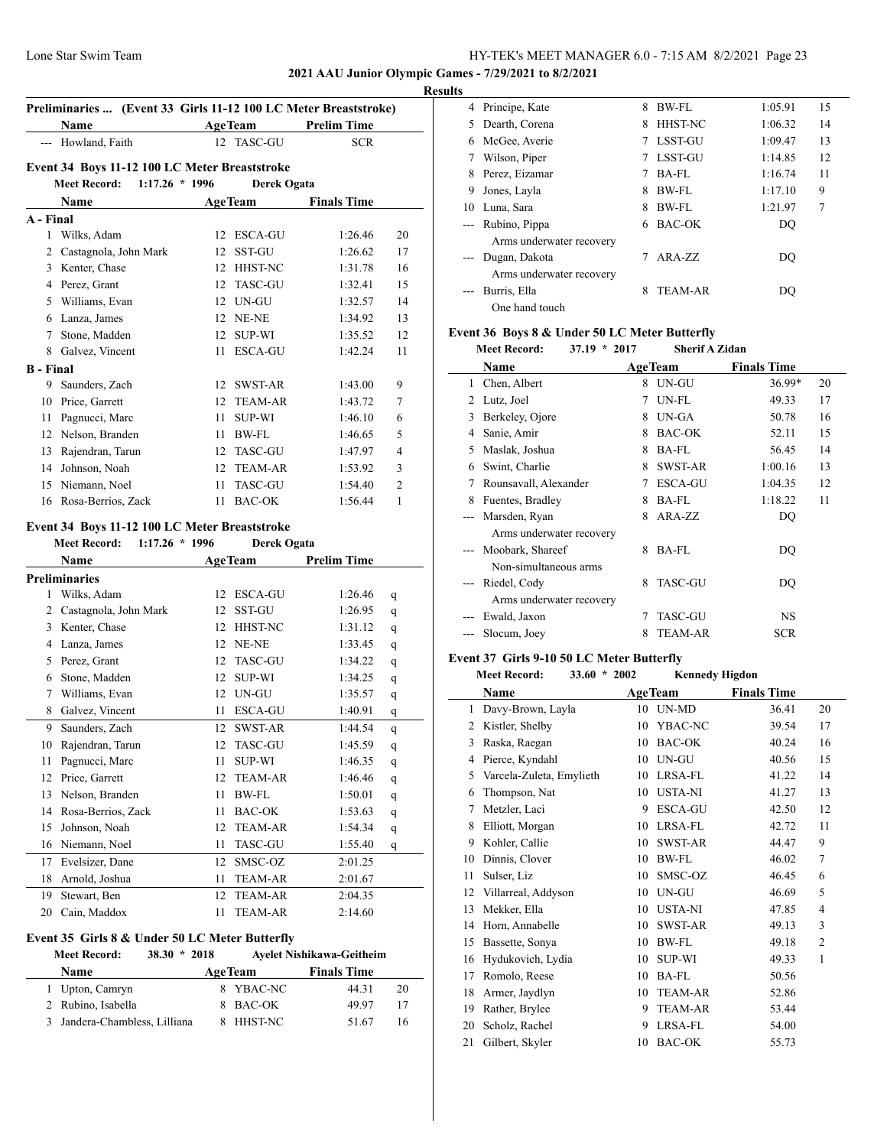## **2021 AAU Junior Olympic Games - 7/29/2021 to 8/2/2021**

 $\overline{\phantom{a}}$ 

#### **Results**

|                  | Name                                          |              | <b>AgeTeam</b>     | <b>Prelim Time</b> |                         |
|------------------|-----------------------------------------------|--------------|--------------------|--------------------|-------------------------|
|                  | --- Howland, Faith                            | $12^{\circ}$ | <b>TASC-GU</b>     | <b>SCR</b>         |                         |
|                  | Event 34 Boys 11-12 100 LC Meter Breaststroke |              |                    |                    |                         |
|                  | $1:17.26 * 1996$<br><b>Meet Record:</b>       |              | Derek Ogata        |                    |                         |
|                  | <b>Name</b>                                   |              | <b>AgeTeam</b>     | <b>Finals Time</b> |                         |
| A - Final        |                                               |              |                    |                    |                         |
|                  | 1 Wilks, Adam                                 | 12           | ESCA-GU            | 1:26.46            | 20                      |
|                  | 2 Castagnola, John Mark                       | 12           | <b>SST-GU</b>      | 1:26.62            | 17                      |
|                  | 3 Kenter, Chase                               |              | 12 HHST-NC         | 1:31.78            | 16                      |
|                  | 4 Perez, Grant                                |              | 12 TASC-GU         | 1:32.41            | 15                      |
|                  | 5 Williams, Evan                              |              | 12 UN-GU           | 1:32.57            | 14                      |
|                  | 6 Lanza, James                                |              | 12 NE-NE           | 1:34.92            | 13                      |
|                  | 7 Stone, Madden                               |              | 12 SUP-WI          | 1:35.52            | 12                      |
|                  | 8 Galvez, Vincent                             | 11           | ESCA-GU            | 1:42.24            | 11                      |
| <b>B</b> - Final |                                               |              |                    |                    |                         |
|                  | 9 Saunders, Zach                              |              | 12 SWST-AR         | 1:43.00            | 9                       |
|                  | 10 Price, Garrett                             |              | 12 TEAM-AR         | 1:43.72            | 7                       |
|                  | 11 Pagnucci, Marc                             | 11 -         | <b>SUP-WI</b>      | 1:46.10            | 6                       |
|                  | 12 Nelson, Branden                            |              | 11 BW-FL           | 1:46.65            | 5                       |
|                  | 13 Rajendran, Tarun                           |              | 12 TASC-GU         | 1:47.97            | $\overline{\mathbf{4}}$ |
|                  | 14 Johnson, Noah                              |              | 12 TEAM-AR         | 1:53.92            | 3                       |
|                  | 15 Niemann, Noel                              | 11           | <b>TASC-GU</b>     | 1:54.40            | 2                       |
|                  | 16 Rosa-Berrios, Zack                         |              | 11 BAC-OK          | 1:56.44            | 1                       |
|                  | Event 34 Boys 11-12 100 LC Meter Breaststroke |              |                    |                    |                         |
|                  | $1:17.26 * 1996$<br><b>Meet Record:</b>       |              | <b>Derek Ogata</b> |                    |                         |
|                  | Name                                          |              | <b>AgeTeam</b>     | <b>Prelim Time</b> |                         |
|                  | <b>Preliminaries</b>                          |              |                    |                    |                         |
| 1                | Wilks, Adam                                   |              | 12 ESCA-GU         | 1:26.46            | q                       |
|                  | 2 Castagnola, John Mark                       |              | 12 SST-GU          | 1:26.95            | q                       |
|                  | 3 Kenter, Chase                               |              | 12 HHST-NC         | 1:31.12            | q                       |
|                  | 4 Lanza, James                                |              | 12 NE-NE           | 1:33.45            | q                       |
|                  | 5 Perez, Grant                                |              | 12 TASC-GU         | 1:34.22            | q                       |
|                  | 6 Stone, Madden                               | 12           | <b>SUP-WI</b>      | 1:34.25            | q                       |
| 7                | Williams, Evan                                |              | 12 UN-GU           | 1:35.57            | q                       |
|                  | 8 Galvez, Vincent                             |              | 11 ESCA-GU         | 1:40.91            | q                       |
|                  | 9 Saunders, Zach                              |              | 12 SWST-AR         | 1:44.54            | q                       |
|                  | 10 Rajendran, Tarun                           |              | 12 TASC-GU         | 1:45.59            | q                       |
| 11               | Pagnucci, Marc                                | 11           | <b>SUP-WI</b>      | 1:46.35            | q                       |
|                  | 12 Price, Garrett                             |              | 12 TEAM-AR         | 1:46.46            | q                       |
|                  | 13 Nelson, Branden                            | 11           | <b>BW-FL</b>       | 1:50.01            | q                       |
|                  | 14 Rosa-Berrios, Zack                         | 11.          | <b>BAC-OK</b>      | 1:53.63            | q                       |
|                  |                                               |              |                    |                    |                         |

|    | 13 Nelson, Branden    |    | BW-FL      | 1:50.01 | q |  |
|----|-----------------------|----|------------|---------|---|--|
|    | 14 Rosa-Berrios, Zack | 11 | BAC-OK     | 1:53.63 | q |  |
|    | 15 Johnson, Noah      |    | 12 TEAM-AR | 1:54.34 | q |  |
|    | 16 Niemann, Noel      | 11 | TASC-GU    | 1:55.40 | q |  |
|    | 17 Evelsizer, Dane    |    | 12 SMSC-OZ | 2:01.25 |   |  |
|    | 18 Arnold, Joshua     | 11 | TEAM-AR    | 2:01.67 |   |  |
| 19 | Stewart, Ben          |    | 12 TEAM-AR | 2:04.35 |   |  |
|    | 20 Cain, Maddox       |    | TEAM-AR    | 2:14.60 |   |  |

#### **Event 35 Girls 8 & Under 50 LC Meter Butterfly**

# **Meet Record: 38.30 \* 2018 Ayelet Nishikawa-Geitheim**

| <b>Name</b>                   | <b>AgeTeam</b> | <b>Finals Time</b> |    |
|-------------------------------|----------------|--------------------|----|
| 1 Upton, Camryn               | 8 YBAC-NC      | 44.31              | 20 |
| 2 Rubino, Isabella            | 8 BAC-OK       | 49.97              | 17 |
| 3 Jandera-Chambless, Lilliana | 8 HHST-NC      | 51.67              | 16 |

|                     | 4 Principe, Kate         | 8 | <b>BW-FL</b>   | 1:05.91 | 15             |
|---------------------|--------------------------|---|----------------|---------|----------------|
| 5.                  | Dearth, Corena           | 8 | <b>HHST-NC</b> | 1:06.32 | 14             |
| 6                   | McGee, Averie            |   | <b>LSST-GU</b> | 1:09.47 | 13             |
|                     | Wilson, Piper            | 7 | LSST-GU        | 1:14.85 | 12             |
| 8                   | Perez, Eizamar           |   | $BA-FL$        | 1:16.74 | 11             |
| 9                   | Jones, Layla             | 8 | BW-FL          | 1:17.10 | 9              |
| 10                  | Luna, Sara               | 8 | <b>BW-FL</b>   | 1:21.97 | $\overline{7}$ |
|                     | --- Rubino, Pippa        | 6 | BAC-OK         | DO      |                |
|                     | Arms underwater recovery |   |                |         |                |
| $\qquad \qquad - -$ | Dugan, Dakota            |   | $ARA-ZZ$       | DO      |                |
|                     | Arms underwater recovery |   |                |         |                |
|                     | Burris, Ella             | 8 | <b>TEAM-AR</b> | DO      |                |
|                     | One hand touch           |   |                |         |                |

# **Event 36 Boys 8 & Under 50 LC Meter Butterfly**

**Meet Record: 37.19 \* 2017 Sherif A Zidan**

|   | Name                     |   | <b>AgeTeam</b> | <b>Finals Time</b> |    |
|---|--------------------------|---|----------------|--------------------|----|
| 1 | Chen, Albert             | 8 | UN-GU          | 36.99*             | 20 |
| 2 | Lutz, Joel               | 7 | UN-FL          | 49.33              | 17 |
| 3 | Berkeley, Ojore          | 8 | UN-GA          | 50.78              | 16 |
| 4 | Sanie, Amir              | 8 | <b>BAC-OK</b>  | 52.11              | 15 |
| 5 | Maslak, Joshua           | 8 | BA-FL          | 56.45              | 14 |
| 6 | Swint, Charlie           | 8 | <b>SWST-AR</b> | 1:00.16            | 13 |
| 7 | Rounsavall, Alexander    | 7 | <b>ESCA-GU</b> | 1:04.35            | 12 |
| 8 | Fuentes, Bradley         | 8 | <b>BA-FL</b>   | 1:18.22            | 11 |
|   | Marsden, Ryan            | 8 | ARA-ZZ         | DO                 |    |
|   | Arms underwater recovery |   |                |                    |    |
|   | Moobark, Shareef         | 8 | <b>BA-FL</b>   | DQ                 |    |
|   | Non-simultaneous arms    |   |                |                    |    |
|   | Riedel, Cody             | 8 | <b>TASC-GU</b> | DO                 |    |
|   | Arms underwater recovery |   |                |                    |    |
|   | Ewald, Jaxon             | 7 | <b>TASC-GU</b> | NS.                |    |
|   | Slocum, Joey             | 8 | <b>TEAM-AR</b> | <b>SCR</b>         |    |
|   |                          |   |                |                    |    |

#### **Event 37 Girls 9-10 50 LC Meter Butterfly**

|    | <b>Meet Record:</b><br>$33.60 * 2002$ |    | <b>Kennedy Higdon</b> |                    |                |
|----|---------------------------------------|----|-----------------------|--------------------|----------------|
|    | Name                                  |    | <b>AgeTeam</b>        | <b>Finals Time</b> |                |
| 1  | Davy-Brown, Layla                     | 10 | UN-MD                 | 36.41              | 20             |
| 2  | Kistler, Shelby                       | 10 | YBAC-NC               | 39.54              | 17             |
| 3  | Raska, Raegan                         | 10 | <b>BAC-OK</b>         | 40.24              | 16             |
| 4  | Pierce, Kyndahl                       | 10 | UN-GU                 | 40.56              | 15             |
| 5  | Varcela-Zuleta, Emylieth              | 10 | LRSA-FL               | 41.22              | 14             |
| 6  | Thompson, Nat                         | 10 | <b>USTA-NI</b>        | 41.27              | 13             |
| 7  | Metzler, Laci                         | 9  | ESCA-GU               | 42.50              | 12             |
| 8  | Elliott, Morgan                       | 10 | LRSA-FL               | 42.72              | 11             |
| 9  | Kohler, Callie                        | 10 | SWST-AR               | 44.47              | 9              |
| 10 | Dinnis, Clover                        | 10 | <b>BW-FL</b>          | 46.02              | $\overline{7}$ |
| 11 | Sulser, Liz                           | 10 | SMSC-OZ               | 46.45              | 6              |
| 12 | Villarreal, Addyson                   | 10 | UN-GU                 | 46.69              | 5              |
| 13 | Mekker, Ella                          | 10 | <b>USTA-NI</b>        | 47.85              | 4              |
| 14 | Horn, Annabelle                       | 10 | SWST-AR               | 49.13              | 3              |
| 15 | Bassette, Sonya                       | 10 | BW-FL                 | 49.18              | $\overline{c}$ |
| 16 | Hydukovich, Lydia                     | 10 | SUP-WI                | 49.33              | 1              |
| 17 | Romolo, Reese                         | 10 | <b>BA-FL</b>          | 50.56              |                |
| 18 | Armer, Jaydlyn                        | 10 | <b>TEAM-AR</b>        | 52.86              |                |
| 19 | Rather, Brylee                        | 9  | <b>TEAM-AR</b>        | 53.44              |                |
| 20 | Scholz, Rachel                        | 9  | LRSA-FL               | 54.00              |                |
| 21 | Gilbert, Skyler                       | 10 | <b>BAC-OK</b>         | 55.73              |                |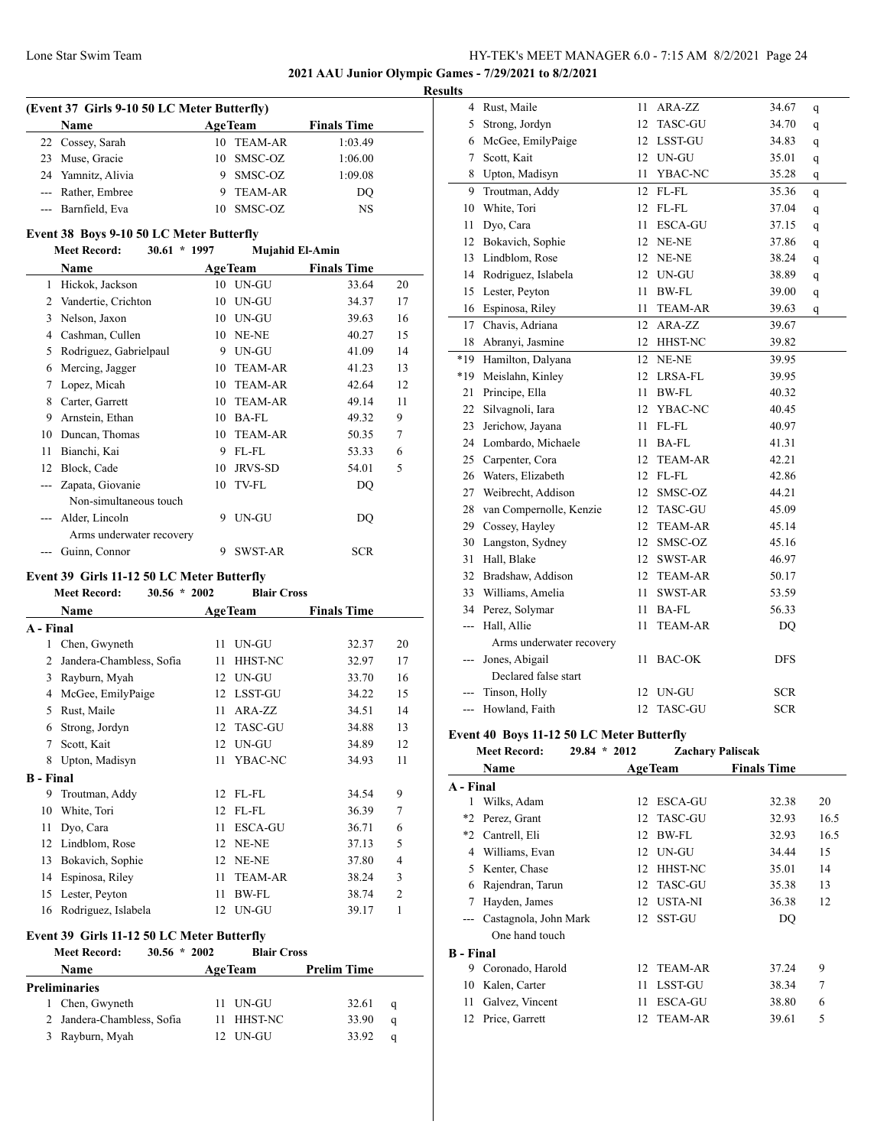**2021 AAU Junior Olympic Games - 7/29/2021 to 8/2/2021**

#### **Results**

| (Event 37 Girls 9-10 50 LC Meter Butterfly) |                                                                                                    |         |                                     |  |  |
|---------------------------------------------|----------------------------------------------------------------------------------------------------|---------|-------------------------------------|--|--|
| <b>Name</b>                                 |                                                                                                    |         | <b>Finals Time</b>                  |  |  |
|                                             |                                                                                                    |         | 1:03.49                             |  |  |
|                                             |                                                                                                    | SMSC-OZ | 1:06.00                             |  |  |
|                                             | 9                                                                                                  | SMSC-OZ | 1:09.08                             |  |  |
|                                             | 9                                                                                                  | TEAM-AR | DO                                  |  |  |
|                                             |                                                                                                    | SMSC-OZ | NS                                  |  |  |
|                                             | 22 Cossey, Sarah<br>Muse, Gracie<br>24 Yamnitz, Alivia<br>--- Rather, Embree<br>--- Barnfield, Eva |         | <b>AgeTeam</b><br>10 TEAM-AR<br>10. |  |  |

## **Event 38 Boys 9-10 50 LC Meter Butterfly**

|  | <b>Meet Record:</b> | $30.61 * 1997$ |  | <b>Mujahid El-Amin</b> |
|--|---------------------|----------------|--|------------------------|
|--|---------------------|----------------|--|------------------------|

|                | <b>Name</b>              |    | <b>AgeTeam</b> | <b>Finals Time</b> |    |
|----------------|--------------------------|----|----------------|--------------------|----|
| 1              | Hickok, Jackson          | 10 | UN-GU          | 33.64              | 20 |
| $\mathfrak{D}$ | Vandertie, Crichton      | 10 | UN-GU          | 34.37              | 17 |
| 3              | Nelson, Jaxon            | 10 | UN-GU          | 39.63              | 16 |
| 4              | Cashman, Cullen          | 10 | NE-NE          | 40.27              | 15 |
| 5              | Rodriguez, Gabrielpaul   | 9  | UN-GU          | 41.09              | 14 |
| 6              | Mercing, Jagger          | 10 | <b>TEAM-AR</b> | 41.23              | 13 |
| 7              | Lopez, Micah             | 10 | <b>TEAM-AR</b> | 42.64              | 12 |
| 8              | Carter, Garrett          | 10 | <b>TEAM-AR</b> | 49.14              | 11 |
| 9              | Arnstein, Ethan          | 10 | $BA-FL$        | 49.32              | 9  |
| 10             | Duncan, Thomas           | 10 | <b>TEAM-AR</b> | 50.35              | 7  |
| 11             | Bianchi, Kai             | 9  | FL-FL          | 53.33              | 6  |
| 12             | Block, Cade              | 10 | <b>JRVS-SD</b> | 54.01              | 5  |
|                | Zapata, Giovanie         | 10 | <b>TV-FL</b>   | DQ                 |    |
|                | Non-simultaneous touch   |    |                |                    |    |
|                | Alder, Lincoln           | 9  | UN-GU          | DQ                 |    |
|                | Arms underwater recovery |    |                |                    |    |
|                | Guinn, Connor            | 9  | <b>SWST-AR</b> | <b>SCR</b>         |    |

#### **Event 39 Girls 11-12 50 LC Meter Butterfly**

**Meet Record: 30.56 \* 2002 Blair Cross**

|                  | Name                                                        |    | <b>AgeTeam</b> | <b>Finals Time</b> |                |  |  |  |
|------------------|-------------------------------------------------------------|----|----------------|--------------------|----------------|--|--|--|
| A - Final        |                                                             |    |                |                    |                |  |  |  |
| 1                | Chen, Gwyneth                                               | 11 | UN-GU          | 32.37              | 20             |  |  |  |
| 2                | Jandera-Chambless, Sofia                                    | 11 | HHST-NC        | 32.97              | 17             |  |  |  |
| 3                | Rayburn, Myah                                               | 12 | UN-GU          | 33.70              | 16             |  |  |  |
| 4                | McGee, EmilyPaige                                           | 12 | LSST-GU        | 34.22              | 15             |  |  |  |
| 5                | Rust, Maile                                                 | 11 | ARA-ZZ         | 34.51              | 14             |  |  |  |
| 6                | Strong, Jordyn                                              | 12 | TASC-GU        | 34.88              | 13             |  |  |  |
| 7                | Scott, Kait                                                 | 12 | UN-GU          | 34.89              | 12             |  |  |  |
| 8                | Upton, Madisyn                                              | 11 | YBAC-NC        | 34.93              | 11             |  |  |  |
| <b>B</b> - Final |                                                             |    |                |                    |                |  |  |  |
| 9                | Troutman, Addy                                              | 12 | $FL$ - $FL$    | 34.54              | 9              |  |  |  |
| 10               | White, Tori                                                 | 12 | FL-FL          | 36.39              | 7              |  |  |  |
| 11               | Dyo, Cara                                                   | 11 | <b>ESCA-GU</b> | 36.71              | 6              |  |  |  |
| 12               | Lindblom, Rose                                              | 12 | NE-NE          | 37.13              | 5              |  |  |  |
| 13               | Bokavich, Sophie                                            | 12 | NE-NE          | 37.80              | $\overline{4}$ |  |  |  |
| 14               | Espinosa, Riley                                             | 11 | <b>TEAM-AR</b> | 38.24              | 3              |  |  |  |
| 15               | Lester, Peyton                                              | 11 | BW-FL          | 38.74              | $\overline{2}$ |  |  |  |
| 16               | Rodriguez, Islabela                                         | 12 | UN-GU          | 39.17              | 1              |  |  |  |
|                  | Event 39 Girls 11-12 50 LC Meter Butterfly                  |    |                |                    |                |  |  |  |
|                  | <b>Meet Record:</b><br>$30.56 * 2002$<br><b>Blair Cross</b> |    |                |                    |                |  |  |  |

| www.neeuru.<br>            | -----<br>рнан стоэ |                    |  |
|----------------------------|--------------------|--------------------|--|
| <b>Name</b>                | <b>AgeTeam</b>     | <b>Prelim Time</b> |  |
| Preliminaries              |                    |                    |  |
| 1 Chen, Gwyneth            | 11 UN-GU           | 32.61<br>q         |  |
| 2 Jandera-Chambless, Sofia | 11 HHST-NC         | 33.90<br>a         |  |
| 3 Rayburn, Myah            | 12 UN-GU           | 33.92<br>a         |  |
|                            |                    |                    |  |

| 4   | Rust, Maile              | 11 | ARA-ZZ         | 34.67      | q            |
|-----|--------------------------|----|----------------|------------|--------------|
| 5   | Strong, Jordyn           | 12 | <b>TASC-GU</b> | 34.70      | q            |
| 6   | McGee, EmilyPaige        | 12 | <b>LSST-GU</b> | 34.83      | q            |
| 7   | Scott, Kait              | 12 | UN-GU          | 35.01      | q            |
| 8   | Upton, Madisyn           | 11 | YBAC-NC        | 35.28      | q            |
| 9   | Troutman, Addy           | 12 | FL-FL          | 35.36      | q            |
| 10  | White, Tori              | 12 | FL-FL          | 37.04      | q            |
| 11  | Dyo, Cara                | 11 | <b>ESCA-GU</b> | 37.15      | q            |
| 12  | Bokavich, Sophie         | 12 | NE-NE          | 37.86      | $\mathbf q$  |
| 13  | Lindblom, Rose           | 12 | $NE-NE$        | 38.24      | q            |
| 14  | Rodriguez, Islabela      | 12 | UN-GU          | 38.89      | $\mathbf q$  |
| 15  | Lester, Peyton           | 11 | BW-FL          | 39.00      | $\mathbf{q}$ |
| 16  | Espinosa, Riley          | 11 | <b>TEAM-AR</b> | 39.63      | q            |
| 17  | Chavis, Adriana          | 12 | ARA-ZZ         | 39.67      |              |
| 18  | Abranyi, Jasmine         | 12 | HHST-NC        | 39.82      |              |
| *19 | Hamilton, Dalyana        | 12 | NE-NE          | 39.95      |              |
| *19 | Meislahn, Kinley         | 12 | LRSA-FL        | 39.95      |              |
| 21  | Principe, Ella           | 11 | <b>BW-FL</b>   | 40.32      |              |
| 22  | Silvagnoli, Iara         | 12 | YBAC-NC        | 40.45      |              |
| 23  | Jerichow, Jayana         | 11 | FL-FL          | 40.97      |              |
| 24  | Lombardo, Michaele       | 11 | <b>BA-FL</b>   | 41.31      |              |
| 25  | Carpenter, Cora          | 12 | <b>TEAM-AR</b> | 42.21      |              |
| 26  | Waters, Elizabeth        | 12 | FL-FL          | 42.86      |              |
| 27  | Weibrecht, Addison       | 12 | SMSC-OZ        | 44.21      |              |
| 28  | van Compernolle, Kenzie  | 12 | <b>TASC-GU</b> | 45.09      |              |
| 29  | Cossey, Hayley           | 12 | TEAM-AR        | 45.14      |              |
| 30  | Langston, Sydney         | 12 | SMSC-OZ        | 45.16      |              |
| 31  | Hall, Blake              | 12 | SWST-AR        | 46.97      |              |
| 32  | Bradshaw, Addison        | 12 | <b>TEAM-AR</b> | 50.17      |              |
| 33  | Williams, Amelia         | 11 | <b>SWST-AR</b> | 53.59      |              |
| 34  | Perez, Solymar           | 11 | <b>BA-FL</b>   | 56.33      |              |
| --- | Hall, Allie              | 11 | <b>TEAM-AR</b> | DQ         |              |
|     | Arms underwater recovery |    |                |            |              |
| --- | Jones, Abigail           | 11 | <b>BAC-OK</b>  | <b>DFS</b> |              |
|     | Declared false start     |    |                |            |              |
|     | Tinson, Holly            | 12 | UN-GU          | <b>SCR</b> |              |
| --- | Howland, Faith           | 12 | <b>TASC-GU</b> | <b>SCR</b> |              |
|     |                          |    |                |            |              |

## **Event 40 Boys 11-12 50 LC Meter Butterfly**

|                  | <b>Meet Record:</b>   | $29.84 * 2012$ | <b>Zachary Paliscak</b> |                    |      |
|------------------|-----------------------|----------------|-------------------------|--------------------|------|
|                  | Name                  |                | <b>AgeTeam</b>          | <b>Finals Time</b> |      |
| A - Final        |                       |                |                         |                    |      |
| 1                | Wilks, Adam           | 12             | <b>ESCA-GU</b>          | 32.38              | 20   |
| *2               | Perez, Grant          | 12             | TASC-GU                 | 32.93              | 16.5 |
| *2               | Cantrell, Eli         | 12             | BW-FL                   | 32.93              | 16.5 |
| 4                | Williams, Evan        | 12             | UN-GU                   | 34.44              | 15   |
| 5.               | Kenter, Chase         | 12             | <b>HHST-NC</b>          | 35.01              | 14   |
| 6                | Rajendran, Tarun      |                | 12 TASC-GU              | 35.38              | 13   |
|                  | Hayden, James         | 12             | <b>USTA-NI</b>          | 36.38              | 12   |
| $---$            | Castagnola, John Mark | 12             | <b>SST-GU</b>           | DQ                 |      |
|                  | One hand touch        |                |                         |                    |      |
| <b>B</b> - Final |                       |                |                         |                    |      |
| 9                | Coronado, Harold      | 12             | <b>TEAM-AR</b>          | 37.24              | 9    |
| 10               | Kalen, Carter         | 11             | LSST-GU                 | 38.34              | 7    |
| 11               | Galvez, Vincent       | 11             | <b>ESCA-GU</b>          | 38.80              | 6    |
| 12               | Price, Garrett        | 12             | <b>TEAM-AR</b>          | 39.61              | 5    |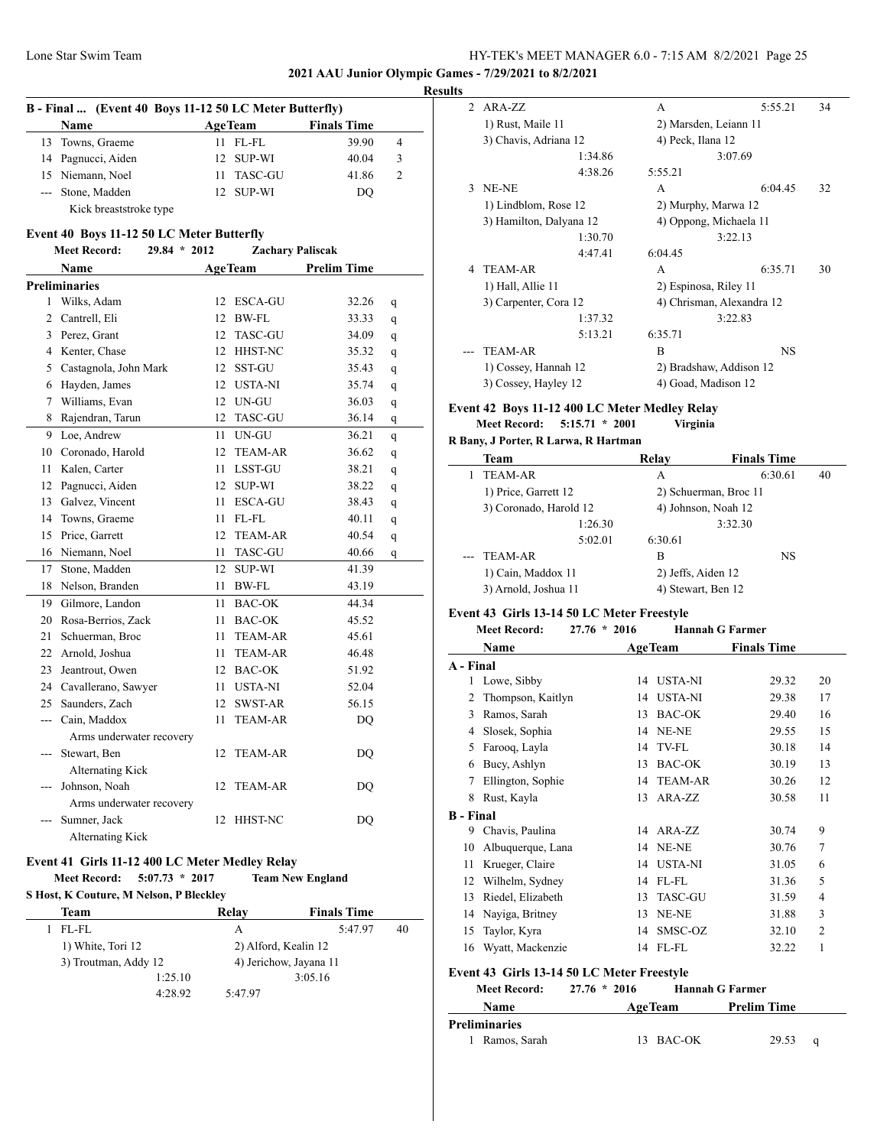**2021 AAU Junior Olympic Games - 7/29/2021 to 8/2/2021**

|     | B - Final  (Event 40 Boys 11-12 50 LC Meter Butterfly) |      |                |                         |   | <b>Results</b> |
|-----|--------------------------------------------------------|------|----------------|-------------------------|---|----------------|
|     | Name                                                   |      | <b>AgeTeam</b> | <b>Finals Time</b>      |   |                |
| 13  | Towns, Graeme                                          | 11 - | FL-FL          | 39.90                   | 4 |                |
| 14  | Pagnucci, Aiden                                        | 12   | <b>SUP-WI</b>  | 40.04                   | 3 |                |
|     | 15 Niemann, Noel                                       | 11   | TASC-GU        | 41.86                   | 2 |                |
|     | --- Stone, Madden                                      |      | 12 SUP-WI      | DQ                      |   |                |
|     | Kick breaststroke type                                 |      |                |                         |   |                |
|     | Event 40 Boys 11-12 50 LC Meter Butterfly              |      |                |                         |   |                |
|     | <b>Meet Record:</b><br>$29.84 * 2012$                  |      |                | <b>Zachary Paliscak</b> |   |                |
|     | Name                                                   |      | <b>AgeTeam</b> | <b>Prelim Time</b>      |   |                |
|     | <b>Preliminaries</b>                                   |      |                |                         |   |                |
|     | 1 Wilks, Adam                                          | 12   | ESCA-GU        | 32.26                   | q |                |
|     | 2 Cantrell, Eli                                        | 12   | BW-FL          | 33.33                   | q |                |
|     | 3 Perez, Grant                                         | 12   | TASC-GU        | 34.09                   | q |                |
|     | 4 Kenter, Chase                                        |      | 12 HHST-NC     | 35.32                   | q |                |
|     | 5 Castagnola, John Mark                                | 12   | SST-GU         | 35.43                   | q |                |
|     | 6 Hayden, James                                        | 12   | <b>USTA-NI</b> | 35.74                   | q |                |
| 7   | Williams, Evan                                         |      | 12 UN-GU       | 36.03                   | q | Ev             |
| 8   | Rajendran, Tarun                                       | 12   | TASC-GU        | 36.14                   | q |                |
| 9   | Loe, Andrew                                            | 11   | UN-GU          | 36.21                   | q | R F            |
| 10  | Coronado, Harold                                       | 12   | <b>TEAM-AR</b> | 36.62                   | q |                |
| 11  | Kalen, Carter                                          | 11   | LSST-GU        | 38.21                   | q |                |
| 12  | Pagnucci, Aiden                                        |      | 12 SUP-WI      | 38.22                   | q |                |
|     | 13 Galvez, Vincent                                     | 11   | ESCA-GU        | 38.43                   | q |                |
| 14  | Towns, Graeme                                          | 11   | FL-FL          | 40.11                   | q |                |
| 15  | Price, Garrett                                         | 12   | <b>TEAM-AR</b> | 40.54                   | q |                |
|     | 16 Niemann, Noel                                       | 11   | TASC-GU        | 40.66                   | q |                |
| 17  | Stone, Madden                                          | 12   | SUP-WI         | 41.39                   |   |                |
|     | 18 Nelson, Branden                                     | 11   | BW-FL          | 43.19                   |   |                |
| 19  | Gilmore, Landon                                        | 11   | BAC-OK         | 44.34                   |   |                |
| 20  | Rosa-Berrios, Zack                                     | 11   | BAC-OK         | 45.52                   |   | Ev             |
| 21  | Schuerman, Broc                                        | 11   | TEAM-AR        | 45.61                   |   |                |
|     | 22 Arnold, Joshua                                      | 11   | <b>TEAM-AR</b> | 46.48                   |   |                |
| 23  | Jeantrout, Owen                                        |      | 12 BAC-OK      | 51.92                   |   | A -            |
|     | 24 Cavallerano, Sawyer                                 |      | 11 USTA-NI     | 52.04                   |   |                |
| 25  | Saunders, Zach                                         | 12   | SWST-AR        | 56.15                   |   |                |
| --- | Cain, Maddox                                           | 11   | <b>TEAM-AR</b> | DQ                      |   |                |
|     | Arms underwater recovery                               |      |                |                         |   |                |
|     | Stewart, Ben                                           | 12   | TEAM-AR        | DQ                      |   |                |
|     | <b>Alternating Kick</b>                                |      |                |                         |   |                |
| --- | Johnson, Noah                                          | 12   | <b>TEAM-AR</b> | DQ                      |   |                |
|     | Arms underwater recovery                               |      |                |                         |   |                |
| --- | Sumner, Jack                                           | 12   | HHST-NC        | DQ                      |   | в.             |
|     | <b>Alternating Kick</b>                                |      |                |                         |   |                |

#### **Event 41 Girls 11-12 400 LC Meter Medley Relay Meet Record: 5:07.73 \* 2017 Team New England**

**S Host, K Couture, M Nelson, P Bleckley**

| Team                 | Relay   | <b>Finals Time</b>     |    |
|----------------------|---------|------------------------|----|
| FL-FL                | А       | 5:47.97                | 40 |
| 1) White, Tori 12    |         | 2) Alford, Kealin 12   |    |
| 3) Troutman, Addy 12 |         | 4) Jerichow, Jayana 11 |    |
| 1:25.10              |         | 3:05.16                |    |
| 4:28.92              | 5:47.97 |                        |    |

| $\mathfrak{D}$ | $ARA-ZZ$                | A                         | 5:55.21   | 34 |
|----------------|-------------------------|---------------------------|-----------|----|
|                | 1) Rust, Maile 11       | 2) Marsden, Leiann 11     |           |    |
|                | 3) Chavis, Adriana 12   | 4) Peck, Ilana 12         |           |    |
|                | 1:34.86                 |                           | 3:07.69   |    |
|                | 4:38.26                 | 5:55.21                   |           |    |
| $\mathbf{3}$   | NE-NE                   | A                         | 6:04.45   | 32 |
|                | 1) Lindblom, Rose 12    | 2) Murphy, Marwa 12       |           |    |
|                | 3) Hamilton, Dalyana 12 | 4) Oppong, Michaela 11    |           |    |
|                | 1:30.70                 |                           | 3:22.13   |    |
|                | 4:47.41                 | 6:04.45                   |           |    |
| 4              | <b>TEAM-AR</b>          | A                         | 6:35.71   | 30 |
|                | 1) Hall, Allie 11       | 2) Espinosa, Riley 11     |           |    |
|                | 3) Carpenter, Cora 12   | 4) Chrisman, Alexandra 12 |           |    |
|                | 1:37.32                 |                           | 3:22.83   |    |
|                | 5:13.21                 | 6:35.71                   |           |    |
|                | <b>TEAM-AR</b>          | B                         | <b>NS</b> |    |
|                | 1) Cossey, Hannah 12    | 2) Bradshaw, Addison 12   |           |    |
|                | 3) Cossey, Hayley 12    | 4) Goad, Madison 12       |           |    |
|                |                         |                           |           |    |

# **Event 42 Boys 11-12 400 LC Meter Medley Relay Meet Record: 5:15.71 \* 2001 Virginia**

# **R Bany, J Porter, R Larwa, R Hartman**

| <b>Team</b>            | Relay              | <b>Finals Time</b>    |    |
|------------------------|--------------------|-----------------------|----|
| <b>TEAM-AR</b>         | A                  | 6:30.61               | 40 |
| 1) Price, Garrett 12   |                    | 2) Schuerman, Broc 11 |    |
| 3) Coronado, Harold 12 |                    | 4) Johnson, Noah 12   |    |
| 1:26.30                |                    | 3:32.30               |    |
| 5:02.01                | 6:30.61            |                       |    |
| <b>TEAM-AR</b>         | в                  | NS                    |    |
| 1) Cain, Maddox 11     | 2) Jeffs, Aiden 12 |                       |    |
| 3) Arnold, Joshua 11   | 4) Stewart, Ben 12 |                       |    |

## **Event 43 Girls 13-14 50 LC Meter Freestyle**

|                  | <b>Meet Record:</b>                        | $27.76 * 2016$ | <b>Hannah G Farmer</b> |                    |                |
|------------------|--------------------------------------------|----------------|------------------------|--------------------|----------------|
|                  | Name                                       |                | <b>AgeTeam</b>         | <b>Finals Time</b> |                |
| A - Final        |                                            |                |                        |                    |                |
| $\mathbf{1}$     | Lowe, Sibby                                | 14             | USTA-NI                | 29.32              | 20             |
| 2                | Thompson, Kaitlyn                          | 14             | USTA-NI                | 29.38              | 17             |
| 3                | Ramos, Sarah                               | 13             | <b>BAC-OK</b>          | 29.40              | 16             |
| 4                | Slosek, Sophia                             | 14             | NE-NE                  | 29.55              | 15             |
| 5                | Farooq, Layla                              | 14             | TV-FL                  | 30.18              | 14             |
| 6                | Bucy, Ashlyn                               | 13             | <b>BAC-OK</b>          | 30.19              | 13             |
| 7                | Ellington, Sophie                          | 14             | <b>TEAM-AR</b>         | 30.26              | 12             |
| 8                | Rust, Kayla                                | 13             | ARA-ZZ                 | 30.58              | 11             |
| <b>B</b> - Final |                                            |                |                        |                    |                |
| 9                | Chavis, Paulina                            | 14             | ARA-ZZ                 | 30.74              | 9              |
| 10               | Albuquerque, Lana                          | 14             | NE-NE                  | 30.76              | 7              |
| 11               | Krueger, Claire                            | 14             | <b>USTA-NI</b>         | 31.05              | 6              |
| 12               | Wilhelm, Sydney                            | 14             | $FL$ - $FL$            | 31.36              | 5              |
| 13               | Riedel, Elizabeth                          | 13             | <b>TASC-GU</b>         | 31.59              | 4              |
| 14               | Nayiga, Britney                            | 13             | NE-NE                  | 31.88              | 3              |
| 15               | Taylor, Kyra                               | 14             | SMSC-OZ                | 32.10              | $\overline{2}$ |
|                  | 16 Wyatt, Mackenzie                        |                | 14 FL-FL               | 32.22              | 1              |
|                  | Event 43 Girls 13-14 50 LC Meter Freestyle |                |                        |                    |                |
|                  | <b>Meet Record:</b>                        | $27.76 * 2016$ | <b>Hannah G Farmer</b> |                    |                |
|                  | Name                                       |                | <b>AgeTeam</b>         | <b>Prelim Time</b> |                |
|                  | Preliminaries                              |                |                        |                    |                |
| 1                | Ramos, Sarah                               | 13             | <b>BAC-OK</b>          | 29.53              | q              |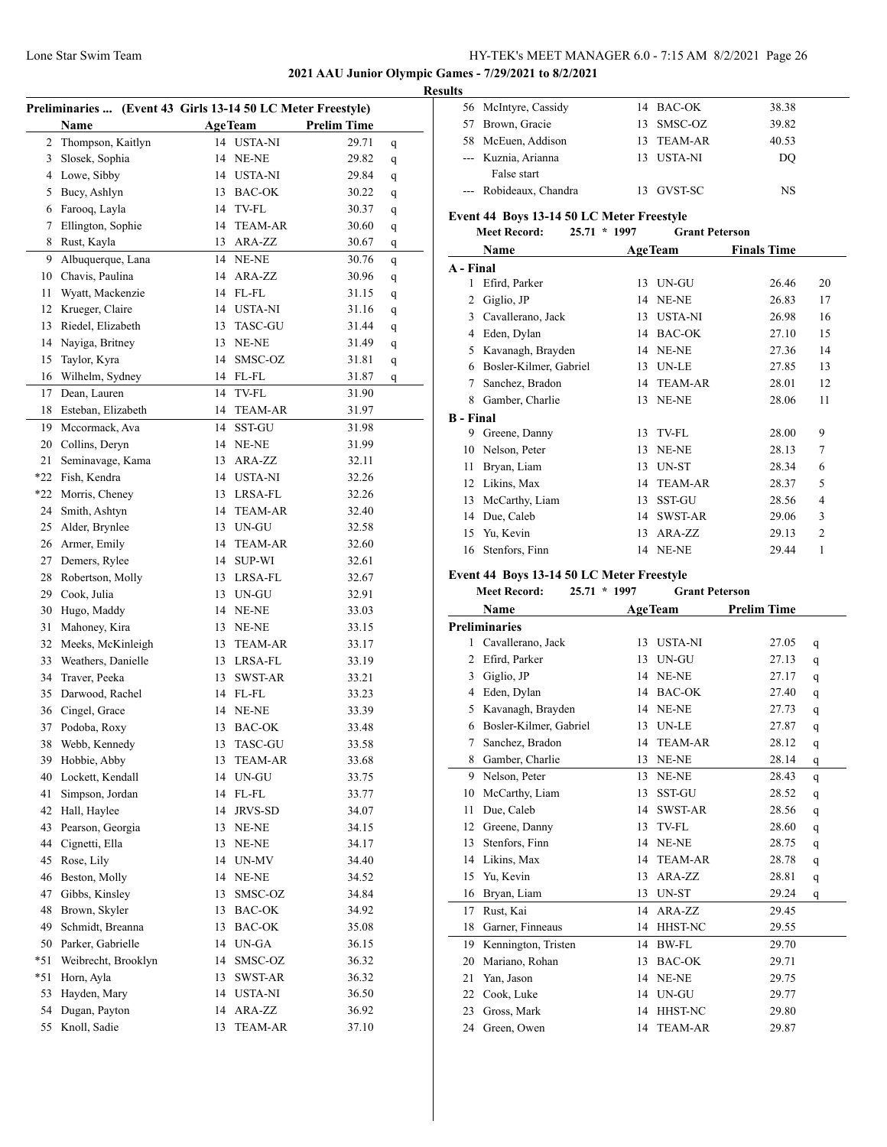McIntyre, Cassidy 14 BAC-OK 38.38 57 Brown, Gracie 13 SMSC-OZ 39.82

**2021 AAU Junior Olympic Games - 7/29/2021 to 8/2/2021**

#### **Results**

| Preliminaries  (Event 43 Girls 13-14 50 LC Meter Freestyle) |                                  |    |                        |                    |              |  |
|-------------------------------------------------------------|----------------------------------|----|------------------------|--------------------|--------------|--|
|                                                             | <b>Name</b>                      |    | <b>AgeTeam</b>         | <b>Prelim Time</b> |              |  |
| 2                                                           | Thompson, Kaitlyn                | 14 | <b>USTA-NI</b>         | 29.71              | q            |  |
| 3                                                           | Slosek, Sophia                   | 14 | NE-NE                  | 29.82              | q            |  |
| $\overline{4}$                                              | Lowe, Sibby                      |    | 14 USTA-NI             | 29.84              | q            |  |
| 5                                                           | Bucy, Ashlyn                     | 13 | <b>BAC-OK</b>          | 30.22              | q            |  |
| 6                                                           | Farooq, Layla                    |    | 14 TV-FL               | 30.37              | q            |  |
| 7                                                           | Ellington, Sophie                |    | 14 TEAM-AR             | 30.60              | q            |  |
| 8                                                           | Rust, Kayla                      | 13 | ARA-ZZ                 | 30.67              | q            |  |
| 9                                                           | Albuquerque, Lana                |    | 14 NE-NE               | 30.76              | q            |  |
| 10                                                          | Chavis, Paulina                  | 14 | ARA-ZZ                 | 30.96              | $\mathbf{q}$ |  |
| 11                                                          | Wyatt, Mackenzie                 |    | 14 FL-FL               | 31.15              | q            |  |
| 12                                                          | Krueger, Claire                  |    | 14 USTA-NI             | 31.16              | q            |  |
| 13                                                          | Riedel, Elizabeth                | 13 | <b>TASC-GU</b>         | 31.44              | q            |  |
| 14                                                          | Nayiga, Britney                  | 13 | NE-NE                  | 31.49              | q            |  |
| 15                                                          | Taylor, Kyra                     | 14 | SMSC-OZ                | 31.81              | q            |  |
| 16                                                          | Wilhelm, Sydney                  |    | 14 FL-FL               | 31.87              | q            |  |
| 17                                                          | Dean, Lauren                     | 14 | TV-FL                  | 31.90              |              |  |
| 18                                                          | Esteban, Elizabeth               | 14 | <b>TEAM-AR</b>         | 31.97              |              |  |
| 19                                                          | Mccormack, Ava                   | 14 | SST-GU                 | 31.98              |              |  |
| 20                                                          | Collins, Deryn                   | 14 | NE-NE                  | 31.99              |              |  |
| 21                                                          | Seminavage, Kama                 | 13 | ARA-ZZ                 | 32.11              |              |  |
| $*22$                                                       | Fish, Kendra                     |    | 14 USTA-NI             | 32.26              |              |  |
| $*22$                                                       | Morris, Cheney                   | 13 | LRSA-FL                | 32.26              |              |  |
| 24                                                          |                                  |    | 14 TEAM-AR             | 32.40              |              |  |
| 25                                                          | Smith, Ashtyn                    |    | UN-GU                  |                    |              |  |
|                                                             | Alder, Brynlee                   | 13 |                        | 32.58              |              |  |
| 26                                                          | Armer, Emily                     |    | 14 TEAM-AR             | 32.60              |              |  |
| 27                                                          | Demers, Rylee                    | 14 | <b>SUP-WI</b>          | 32.61              |              |  |
| 28                                                          | Robertson, Molly                 | 13 | LRSA-FL                | 32.67              |              |  |
| 29                                                          | Cook, Julia                      | 13 | UN-GU                  | 32.91              |              |  |
| 30                                                          | Hugo, Maddy                      |    | 14 NE-NE               | 33.03              |              |  |
| 31                                                          | Mahoney, Kira                    |    | 13 NE-NE               | 33.15              |              |  |
| 32                                                          | Meeks, McKinleigh                |    | 13 TEAM-AR             | 33.17              |              |  |
| 33                                                          | Weathers, Danielle               |    | 13 LRSA-FL             | 33.19              |              |  |
| 34                                                          | Traver, Peeka                    | 13 | SWST-AR                | 33.21              |              |  |
| 35                                                          | Darwood, Rachel<br>Cingel, Grace |    | 14 FL-FL               | 33.23              |              |  |
| 36                                                          |                                  | 14 | NE-NE                  | 33.39              |              |  |
| 37                                                          | Podoba, Roxy                     | 13 | <b>BAC-OK</b>          | 33.48              |              |  |
| 38                                                          | Webb, Kennedy                    |    | 13 TASC-GU             | 33.58              |              |  |
| 39                                                          | Hobbie, Abby                     | 13 | <b>TEAM-AR</b>         | 33.68              |              |  |
| 40                                                          | Lockett, Kendall                 | 14 | UN-GU                  | 33.75              |              |  |
| 41                                                          | Simpson, Jordan                  | 14 | FL-FL                  | 33.77              |              |  |
| 42                                                          | Hall, Haylee                     | 14 | JRVS-SD                | 34.07              |              |  |
| 43                                                          | Pearson, Georgia                 | 13 | NE-NE                  | 34.15              |              |  |
| 44                                                          | Cignetti, Ella                   | 13 | $\operatorname{NE-NE}$ | 34.17              |              |  |
| 45                                                          | Rose, Lily                       | 14 | UN-MV                  | 34.40              |              |  |
| 46                                                          | Beston, Molly                    | 14 | NE-NE                  | 34.52              |              |  |
| 47                                                          | Gibbs, Kinsley                   | 13 | SMSC-OZ                | 34.84              |              |  |
| 48                                                          | Brown, Skyler                    | 13 | BAC-OK                 | 34.92              |              |  |
| 49                                                          | Schmidt, Breanna                 | 13 | BAC-OK                 | 35.08              |              |  |
| 50                                                          | Parker, Gabrielle                | 14 | UN-GA                  | 36.15              |              |  |
| $*51$                                                       | Weibrecht, Brooklyn              | 14 | SMSC-OZ                | 36.32              |              |  |
| $*51$                                                       | Horn, Ayla                       | 13 | SWST-AR                | 36.32              |              |  |
| 53                                                          | Hayden, Mary                     | 14 | <b>USTA-NI</b>         | 36.50              |              |  |
| 54                                                          | Dugan, Payton                    | 14 | ARA-ZZ                 | 36.92              |              |  |
| 55                                                          | Knoll, Sadie                     | 13 | <b>TEAM-AR</b>         | 37.10              |              |  |

|                                           | 58 McEuen, Addison                        | 13 | <b>TEAM-AR</b>        | 40.53              |    |  |
|-------------------------------------------|-------------------------------------------|----|-----------------------|--------------------|----|--|
|                                           | --- Kuznia, Arianna                       |    | 13 USTA-NI            | DQ                 |    |  |
|                                           | False start                               |    |                       |                    |    |  |
|                                           | --- Robideaux, Chandra                    |    | 13 GVST-SC            | <b>NS</b>          |    |  |
|                                           |                                           |    |                       |                    |    |  |
|                                           | Event 44 Boys 13-14 50 LC Meter Freestyle |    |                       |                    |    |  |
|                                           | <b>Meet Record:</b><br>25.71 * 1997       |    | <b>Grant Peterson</b> |                    |    |  |
|                                           | Name                                      |    | <b>AgeTeam</b>        | <b>Finals Time</b> |    |  |
| A - Final                                 |                                           |    |                       |                    |    |  |
|                                           | 1 Efird, Parker                           |    | 13 UN-GU              | 26.46              | 20 |  |
|                                           | 2 Giglio, JP                              |    | 14 NE-NE              | 26.83              | 17 |  |
|                                           | 3 Cavallerano, Jack                       |    | 13 USTA-NI            | 26.98              | 16 |  |
|                                           | 4 Eden, Dylan                             |    | 14 BAC-OK             | 27.10              | 15 |  |
|                                           | 5 Kavanagh, Brayden                       |    | 14 NE-NE              | 27.36              | 14 |  |
|                                           | 6 Bosler-Kilmer, Gabriel                  |    | 13 UN-LE              | 27.85              | 13 |  |
|                                           | 7 Sanchez, Bradon                         |    | 14 TEAM-AR            | 28.01              | 12 |  |
|                                           | 8 Gamber, Charlie                         |    | 13 NE-NE              | 28.06              | 11 |  |
|                                           |                                           |    |                       |                    |    |  |
| <b>B</b> - Final                          |                                           |    |                       |                    |    |  |
|                                           | 9 Greene, Danny                           |    | 13 TV-FL              | 28.00              | 9  |  |
|                                           | 10 Nelson, Peter                          |    | 13 NE-NE              | 28.13              | 7  |  |
|                                           | 11 Bryan, Liam                            |    | 13 UN-ST              | 28.34              | 6  |  |
|                                           | 12 Likins, Max                            |    | 14 TEAM-AR            | 28.37              | 5  |  |
|                                           | 13 McCarthy, Liam                         |    | 13 SST-GU             | 28.56              | 4  |  |
|                                           | 14 Due, Caleb                             |    | 14 SWST-AR            | 29.06              | 3  |  |
|                                           | 15 Yu, Kevin                              |    | 13 ARA-ZZ             | 29.13              | 2  |  |
|                                           | 16 Stenfors, Finn                         |    | 14 NE-NE              | 29.44              | 1  |  |
|                                           |                                           |    |                       |                    |    |  |
| Event 44 Boys 13-14 50 LC Meter Freestyle |                                           |    |                       |                    |    |  |
|                                           |                                           |    |                       |                    |    |  |
|                                           | <b>Meet Record:</b><br>$25.71 * 1997$     |    | <b>Grant Peterson</b> |                    |    |  |
|                                           | <b>Name</b>                               |    | <b>AgeTeam</b>        | <b>Prelim Time</b> |    |  |
|                                           | <b>Preliminaries</b>                      |    |                       |                    |    |  |
|                                           | 1 Cavallerano, Jack                       |    | 13 USTA-NI            | 27.05              | q  |  |
|                                           | 2 Efird, Parker                           |    | 13 UN-GU              | 27.13              | q  |  |
|                                           | 3 Giglio, JP                              |    | 14 NE-NE              | 27.17              | q  |  |
|                                           | 4 Eden, Dylan                             |    | 14 BAC-OK             | 27.40              | q  |  |
|                                           | 5 Kavanagh, Brayden                       |    | 14 NE-NE              | 27.73              | q  |  |
|                                           | 6 Bosler-Kilmer, Gabriel                  |    | 13 UN-LE              | 27.87              | q  |  |
|                                           | 7 Sanchez, Bradon                         |    | 14 TEAM-AR            | 28.12              | q  |  |
|                                           | 8 Gamber, Charlie                         |    | 13 NE-NE              | 28.14              | q  |  |
| 9                                         | Nelson, Peter                             |    | 13 NE-NE              | 28.43              | q  |  |
| 10                                        | McCarthy, Liam                            | 13 | SST-GU                | 28.52              | q  |  |
| 11                                        | Due, Caleb                                | 14 | <b>SWST-AR</b>        | 28.56              | q  |  |
| 12                                        | Greene, Danny                             | 13 | TV-FL                 | 28.60              | q  |  |
| 13                                        | Stenfors, Finn                            | 14 | NE-NE                 | 28.75              | q  |  |
| 14                                        | Likins, Max                               | 14 | TEAM-AR               | 28.78              | q  |  |
| 15                                        | Yu, Kevin                                 | 13 | ARA-ZZ                | 28.81              | q  |  |
| 16                                        | Bryan, Liam                               | 13 | UN-ST                 | 29.24              | q  |  |
| 17                                        | Rust, Kai                                 | 14 | ARA-ZZ                | 29.45              |    |  |
| 18                                        | Garner, Finneaus                          | 14 | HHST-NC               | 29.55              |    |  |
| 19                                        | Kennington, Tristen                       | 14 | <b>BW-FL</b>          | 29.70              |    |  |
| 20                                        | Mariano, Rohan                            | 13 | <b>BAC-OK</b>         | 29.71              |    |  |
| 21                                        | Yan, Jason                                |    | 14 NE-NE              | 29.75              |    |  |
| 22                                        | Cook, Luke                                |    | 14 UN-GU              | 29.77              |    |  |
| 23                                        | Gross, Mark                               | 14 | HHST-NC               | 29.80              |    |  |
| 24                                        | Green, Owen                               | 14 | TEAM-AR               | 29.87              |    |  |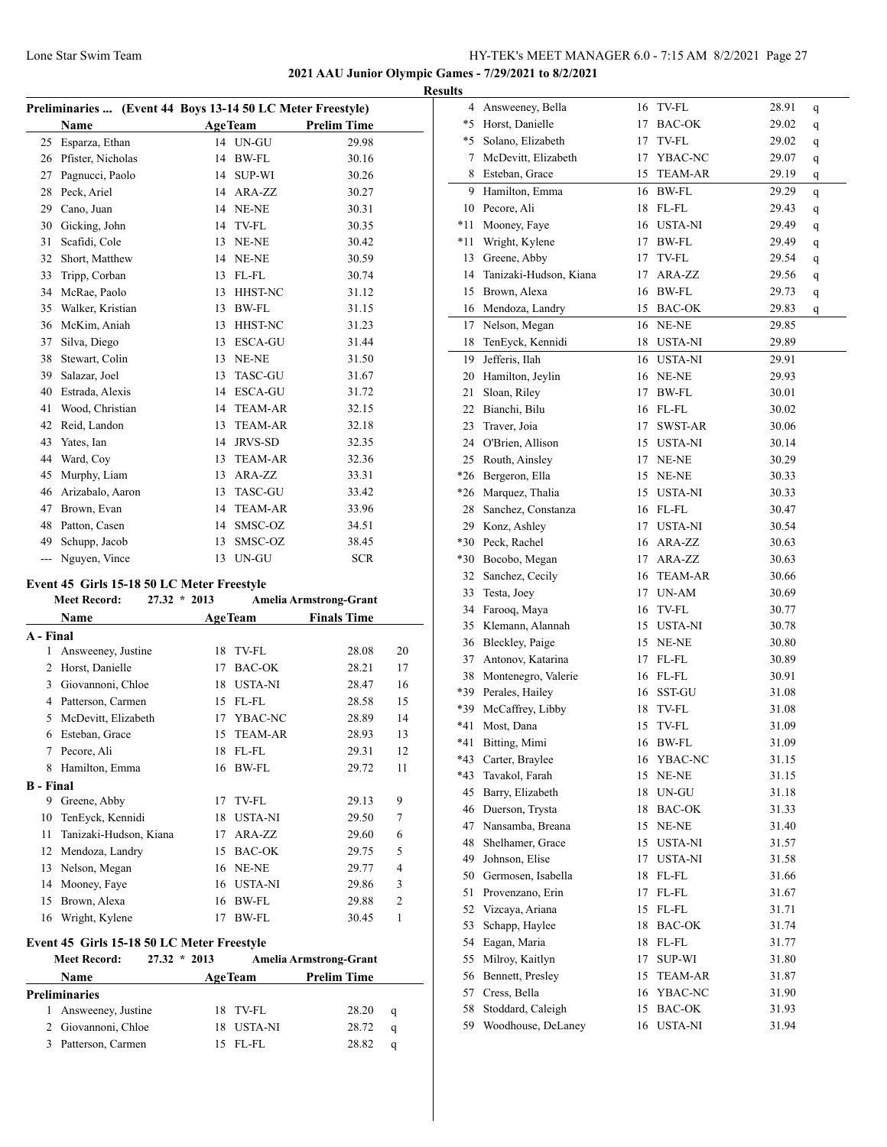**2021 AAU Junior Olympic Games - 7/29/2021 to 8/2/2021**

|     |                   | Preliminaries  (Event 44 Boys 13-14 50 LC Meter Freestyle) |                |                    |  |
|-----|-------------------|------------------------------------------------------------|----------------|--------------------|--|
|     | Name              |                                                            | <b>AgeTeam</b> | <b>Prelim Time</b> |  |
| 25  | Esparza, Ethan    |                                                            | 14 UN-GU       | 29.98              |  |
| 26  | Pfister, Nicholas | 14                                                         | BW-FL          | 30.16              |  |
| 27  | Pagnucci, Paolo   | 14                                                         | <b>SUP-WI</b>  | 30.26              |  |
| 28  | Peck, Ariel       | 14                                                         | ARA-ZZ         | 30.27              |  |
| 29  | Cano, Juan        | 14                                                         | NE-NE          | 30.31              |  |
| 30  | Gicking, John     | 14                                                         | TV-FL          | 30.35              |  |
| 31  | Scafidi, Cole     | 13                                                         | NE-NE          | 30.42              |  |
| 32  | Short, Matthew    | 14                                                         | NE-NE          | 30.59              |  |
| 33  | Tripp, Corban     | 13                                                         | FL-FL          | 30.74              |  |
| 34  | McRae, Paolo      | 13                                                         | <b>HHST-NC</b> | 31.12              |  |
| 35  | Walker, Kristian  | 13                                                         | BW-FL          | 31.15              |  |
| 36  | McKim, Aniah      | 13                                                         | HHST-NC        | 31.23              |  |
| 37  | Silva, Diego      | 13                                                         | ESCA-GU        | 31.44              |  |
| 38  | Stewart, Colin    | 13                                                         | NE-NE          | 31.50              |  |
| 39  | Salazar, Joel     | 13                                                         | <b>TASC-GU</b> | 31.67              |  |
| 40  | Estrada, Alexis   | 14                                                         | ESCA-GU        | 31.72              |  |
| 41  | Wood, Christian   | 14                                                         | <b>TEAM-AR</b> | 32.15              |  |
| 42  | Reid, Landon      | 13                                                         | <b>TEAM-AR</b> | 32.18              |  |
| 43  | Yates, Ian        | 14                                                         | <b>JRVS-SD</b> | 32.35              |  |
| 44  | Ward, Coy         | 13                                                         | <b>TEAM-AR</b> | 32.36              |  |
| 45  | Murphy, Liam      | 13                                                         | ARA-ZZ         | 33.31              |  |
| 46  | Arizabalo, Aaron  | 13                                                         | <b>TASC-GU</b> | 33.42              |  |
| 47  | Brown, Evan       | 14                                                         | <b>TEAM-AR</b> | 33.96              |  |
| 48  | Patton, Casen     | 14                                                         | SMSC-OZ        | 34.51              |  |
| 49  | Schupp, Jacob     | 13                                                         | SMSC-OZ        | 38.45              |  |
| --- | Nguyen, Vince     | 13                                                         | UN-GU          | <b>SCR</b>         |  |

## **Event 45 Girls 15-18 50 LC Meter Freestyle**

|                  | <b>Meet Record:</b><br>27.32 | $*2013$ |                | <b>Amelia Armstrong-Grant</b> |                |
|------------------|------------------------------|---------|----------------|-------------------------------|----------------|
|                  | <b>Name</b>                  |         | <b>AgeTeam</b> | <b>Finals Time</b>            |                |
| A - Final        |                              |         |                |                               |                |
| 1                | Answeeney, Justine           | 18      | TV-FL          | 28.08                         | 20             |
| 2                | Horst, Danielle              | 17      | <b>BAC-OK</b>  | 28.21                         | 17             |
| 3                | Giovannoni, Chloe            | 18      | <b>USTA-NI</b> | 28.47                         | 16             |
| 4                | Patterson, Carmen            | 15      | FL-FL          | 28.58                         | 15             |
| 5                | McDevitt, Elizabeth          | 17      | YBAC-NC        | 28.89                         | 14             |
| 6                | Esteban, Grace               | 15      | <b>TEAM-AR</b> | 28.93                         | 13             |
| 7                | Pecore, Ali                  | 18      | FL-FL          | 29.31                         | 12             |
| 8                | Hamilton, Emma               | 16      | <b>BW-FL</b>   | 29.72                         | 11             |
| <b>B</b> - Final |                              |         |                |                               |                |
| 9                | Greene, Abby                 | 17      | TV-FL          | 29.13                         | 9              |
| 10               | TenEyck, Kennidi             | 18      | <b>USTA-NI</b> | 29.50                         | 7              |
| 11               | Tanizaki-Hudson, Kiana       | 17      | ARA-ZZ         | 29.60                         | 6              |
| 12               | Mendoza, Landry              | 15      | <b>BAC-OK</b>  | 29.75                         | 5              |
| 13               | Nelson, Megan                | 16      | NE-NE          | 29.77                         | 4              |
| 14               | Mooney, Faye                 | 16      | <b>USTA-NI</b> | 29.86                         | 3              |
| 15               | Brown, Alexa                 | 16      | <b>BW-FL</b>   | 29.88                         | $\overline{2}$ |
| 16               | Wright, Kylene               | 17      | <b>BW-FL</b>   | 30.45                         | 1              |
|                  |                              |         |                |                               |                |

## **Event 45 Girls 15-18 50 LC Meter Freestyle**

|   | <b>Meet Record:</b>  | $27.32 * 2013$ |     |                | <b>Amelia Armstrong-Grant</b> |             |
|---|----------------------|----------------|-----|----------------|-------------------------------|-------------|
|   | <b>Name</b>          |                |     | <b>AgeTeam</b> | <b>Prelim Time</b>            |             |
|   | <b>Preliminaries</b> |                |     |                |                               |             |
|   | 1 Answeeney, Justine |                |     | 18 TV-FL       | 28.20                         | $\mathbf q$ |
|   | 2 Giovannoni, Chloe  |                | 18. | USTA-NI        | 28.72                         | a           |
| 3 | Patterson, Carmen    |                |     | $15$ FL-FL     | 28.82                         | a           |

| <b>Results</b> |                                   |    |                |                |   |
|----------------|-----------------------------------|----|----------------|----------------|---|
|                | 4 Answeeney, Bella                |    | 16 TV-FL       | 28.91          | q |
|                | *5 Horst, Danielle                | 17 | BAC-OK         | 29.02          | q |
|                | *5 Solano, Elizabeth              | 17 | TV-FL          | 29.02          | q |
|                | 7 McDevitt, Elizabeth             | 17 | YBAC-NC        | 29.07          | q |
|                | 8 Esteban, Grace                  | 15 | <b>TEAM-AR</b> | 29.19          | q |
|                | 9 Hamilton, Emma                  |    | 16 BW-FL       | 29.29          | q |
|                | 10 Pecore, Ali                    | 18 | FL-FL          | 29.43          | q |
|                | *11 Mooney, Faye                  |    | 16 USTA-NI     | 29.49          | q |
|                | *11 Wright, Kylene                | 17 | <b>BW-FL</b>   | 29.49          | q |
|                | 13 Greene, Abby                   | 17 | TV-FL          | 29.54          | q |
|                | 14 Tanizaki-Hudson, Kiana         | 17 | ARA-ZZ         | 29.56          | q |
|                | 15 Brown, Alexa                   |    | 16 BW-FL       | 29.73          | q |
|                | 16 Mendoza, Landry                | 15 | <b>BAC-OK</b>  | 29.83          | q |
|                | 17 Nelson, Megan                  |    | 16 NE-NE       | 29.85          |   |
| 18             | TenEyck, Kennidi                  | 18 | USTA-NI        | 29.89          |   |
|                | 19 Jefferis, Ilah                 | 16 | <b>USTA-NI</b> | 29.91          |   |
|                | 20 Hamilton, Jeylin               |    | 16 NE-NE       | 29.93          |   |
|                | 21 Sloan, Riley                   | 17 | <b>BW-FL</b>   | 30.01          |   |
|                | 22 Bianchi, Bilu                  |    | 16 FL-FL       | 30.02          |   |
|                | 23 Traver, Joia                   | 17 | SWST-AR        | 30.06          |   |
|                | 24 O'Brien, Allison               |    | 15 USTA-NI     | 30.14          |   |
|                | 25 Routh, Ainsley                 |    | 17 NE-NE       | 30.29          |   |
|                | *26 Bergeron, Ella                |    | 15 NE-NE       |                |   |
|                | *26 Marquez, Thalia               |    | 15 USTA-NI     | 30.33          |   |
|                | 28 Sanchez, Constanza             |    | 16 FL-FL       | 30.33          |   |
|                | 29 Konz, Ashley                   |    | 17 USTA-NI     | 30.47          |   |
|                | *30 Peck, Rachel                  |    | 16 ARA-ZZ      | 30.54          |   |
|                |                                   |    | 17 ARA-ZZ      | 30.63<br>30.63 |   |
|                | *30 Bocobo, Megan                 |    | 16 TEAM-AR     |                |   |
|                | 32 Sanchez, Cecily                | 17 | $UN-AM$        | 30.66          |   |
|                | 33 Testa, Joey<br>34 Farooq, Maya | 16 | TV-FL          | 30.69<br>30.77 |   |
|                | 35 Klemann, Alannah               |    | 15 USTA-NI     | 30.78          |   |
|                | 36 Bleckley, Paige                |    | 15 NE-NE       | 30.80          |   |
|                | 37 Antonov, Katarina              | 17 | FL-FL          | 30.89          |   |
|                | 38 Montenegro, Valerie            |    | 16 FL-FL       | 30.91          |   |
|                | *39 Perales, Hailey               |    | 16 SST-GU      | 31.08          |   |
|                | *39 McCaffrey, Libby              | 18 | TV-FL          | 31.08          |   |
| $*41$          | Most, Dana                        | 15 | TV-FL          | 31.09          |   |
|                | *41 Bitting, Mimi                 |    | 16 BW-FL       | 31.09          |   |
|                | *43 Carter, Braylee               | 16 | YBAC-NC        | 31.15          |   |
|                | *43 Tavakol, Farah                | 15 | NE-NE          | 31.15          |   |
|                | 45 Barry, Elizabeth               | 18 | UN-GU          | 31.18          |   |
|                | 46 Duerson, Trysta                | 18 | BAC-OK         | 31.33          |   |
|                | 47 Nansamba, Breana               | 15 | NE-NE          | 31.40          |   |
| 48             | Shelhamer, Grace                  | 15 | <b>USTA-NI</b> | 31.57          |   |
| 49             | Johnson, Elise                    | 17 | USTA-NI        | 31.58          |   |
|                | 50 Germosen, Isabella             | 18 | FL-FL          | 31.66          |   |
| 51             | Provenzano, Erin                  | 17 | $FL$ - $FL$    | 31.67          |   |
|                | 52 Vizcaya, Ariana                | 15 | FL-FL          | 31.71          |   |
| 53             | Schapp, Haylee                    | 18 | BAC-OK         | 31.74          |   |
|                | 54 Eagan, Maria                   | 18 | $FL$ - $FL$    |                |   |
|                | 55 Milroy, Kaitlyn                | 17 | SUP-WI         | 31.77<br>31.80 |   |
|                | 56 Bennett, Presley               | 15 | TEAM-AR        | 31.87          |   |
| 57             | Cress, Bella                      | 16 | YBAC-NC        | 31.90          |   |
| 58             | Stoddard, Caleigh                 | 15 | BAC-OK         | 31.93          |   |
| 59             | Woodhouse, DeLaney                |    | 16 USTA-NI     | 31.94          |   |
|                |                                   |    |                |                |   |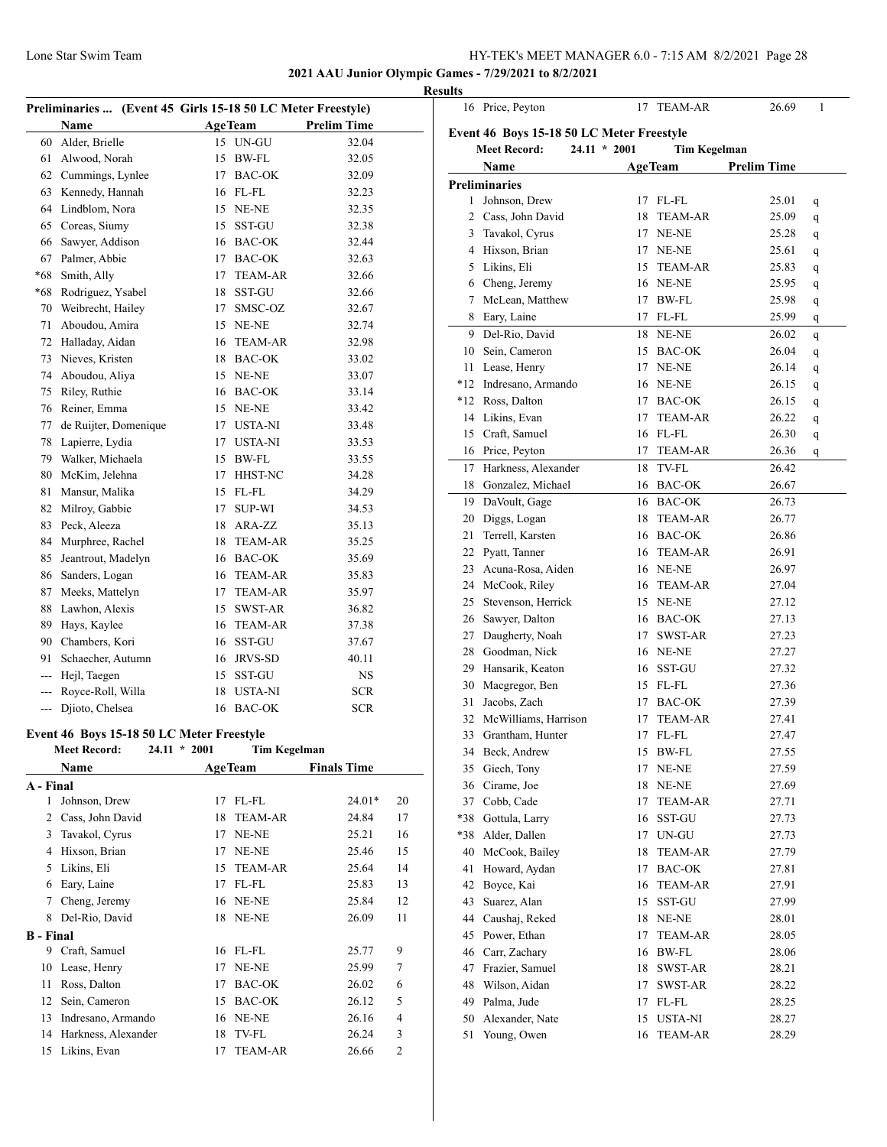16 Price, Peyton 17 TEAM-AR 26.69 1

#### **2021 AAU Junior Olympic Games - 7/29/2021 to 8/2/2021**

|                |                                                             |    |                     |                    | <b>Results</b> |
|----------------|-------------------------------------------------------------|----|---------------------|--------------------|----------------|
|                | Preliminaries  (Event 45 Girls 15-18 50 LC Meter Freestyle) |    |                     |                    |                |
|                | Name                                                        |    | <b>AgeTeam</b>      | <b>Prelim Time</b> | Ev             |
|                | 60 Alder, Brielle                                           |    | 15 UN-GU            | 32.04              |                |
|                | 61 Alwood, Norah                                            |    | 15 BW-FL            | 32.05              |                |
|                | 62 Cummings, Lynlee                                         |    | 17 BAC-OK           | 32.09              | Pro            |
|                | 63 Kennedy, Hannah                                          |    | 16 FL-FL            | 32.23              |                |
|                | 64 Lindblom, Nora                                           |    | 15 NE-NE            | 32.35              |                |
| 65             | Coreas, Siumy                                               | 15 | SST-GU              | 32.38              |                |
| 66             | Sawyer, Addison                                             |    | 16 BAC-OK           | 32.44              |                |
| 67             | Palmer, Abbie                                               |    | 17 BAC-OK           | 32.63              |                |
| *68            | Smith, Ally                                                 | 17 | <b>TEAM-AR</b>      | 32.66              |                |
|                | *68 Rodriguez, Ysabel                                       |    | 18 SST-GU           | 32.66              |                |
|                | 70 Weibrecht, Hailey                                        | 17 | SMSC-OZ             | 32.67              |                |
| 71             | Aboudou, Amira                                              |    | 15 NE-NE            | 32.74              |                |
|                | 72 Halladay, Aidan                                          |    | 16 TEAM-AR          | 32.98              |                |
|                | 73 Nieves, Kristen                                          |    | 18 BAC-OK           | 33.02              |                |
|                | 74 Aboudou, Aliya                                           |    | 15 NE-NE            | 33.07              | *              |
| 75             | Riley, Ruthie                                               |    | 16 BAC-OK           | 33.14              |                |
| 76             | Reiner, Emma                                                |    | 15 NE-NE            | 33.42              |                |
| 77             | de Ruijter, Domenique                                       |    | 17 USTA-NI          | 33.48              |                |
| 78             | Lapierre, Lydia                                             |    | 17 USTA-NI          | 33.53              |                |
|                | 79 Walker, Michaela                                         |    | 15 BW-FL            | 33.55              |                |
| 80             | McKim, Jelehna                                              |    | 17 HHST-NC          | 34.28              |                |
| 81             | Mansur, Malika                                              |    | 15 FL-FL            | 34.29              |                |
|                | 82 Milroy, Gabbie                                           | 17 | SUP-WI              | 34.53              |                |
|                | 83 Peck, Aleeza                                             |    | 18 ARA-ZZ           | 35.13              |                |
|                | 84 Murphree, Rachel                                         |    | 18 TEAM-AR          | 35.25              |                |
| 85             | Jeantrout, Madelyn                                          |    | 16 BAC-OK           | 35.69              |                |
|                | 86 Sanders, Logan                                           |    | 16 TEAM-AR          | 35.83              |                |
| 87             | Meeks, Mattelyn                                             |    | 17 TEAM-AR          | 35.97              |                |
| 88             | Lawhon, Alexis                                              | 15 | SWST-AR             | 36.82              |                |
| 89             | Hays, Kaylee                                                |    | 16 TEAM-AR          | 37.38              |                |
|                | 90 Chambers, Kori                                           |    | 16 SST-GU           | 37.67              |                |
| 91.            | Schaecher, Autumn                                           |    | 16 JRVS-SD          | 40.11              |                |
| $\overline{a}$ | Hejl, Taegen                                                | 15 | SST-GU              | NS                 |                |
| ---            | Royce-Roll, Willa                                           |    | 18 USTA-NI          | <b>SCR</b>         |                |
| $\overline{a}$ | Djioto, Chelsea                                             |    | 16 BAC-OK           | <b>SCR</b>         |                |
|                |                                                             |    |                     |                    |                |
|                | Event 46 Boys 15-18 50 LC Meter Freestyle                   |    |                     |                    |                |
|                | $24.11 * 2001$<br><b>Meet Record:</b>                       |    | <b>Tim Kegelman</b> |                    |                |
|                | Name                                                        |    | <b>AgeTeam</b>      | <b>Finals Time</b> |                |
| A - Final      |                                                             |    |                     |                    |                |
| $\mathbf{1}$   | Johnson, Drew                                               |    | 17 FL-FL            | 24.01*             | 20             |
| $\overline{2}$ | Cass, John David                                            | 18 | <b>TEAM-AR</b>      | 24.84              | 17<br>*'       |
| 3              | Tavakol, Cyrus                                              | 17 | NE-NE               | 25.21              | 16             |
|                | 4 Hixson, Brian                                             |    | 17 NE-NE            | 25.46              | 15             |

 Likins, Eli 15 TEAM-AR 25.64 14 Eary, Laine 17 FL-FL 25.83 13 Cheng, Jeremy 16 NE-NE 25.84 12 Del-Rio, David 18 NE-NE 26.09 11

 Craft, Samuel 16 FL-FL 25.77 9 Lease, Henry 17 NE-NE 25.99 7 Ross, Dalton 17 BAC-OK 26.02 6 12 Sein, Cameron 15 BAC-OK 26.12 5 Indresano, Armando 16 NE-NE 26.16 4 Harkness, Alexander 18 TV-FL 26.24 3 Likins, Evan 17 TEAM-AR 26.66 2

**B - Final**

|       | Event 46 Boys 15-18 50 LC Meter Freestyle |                |                |                    |   |
|-------|-------------------------------------------|----------------|----------------|--------------------|---|
|       | <b>Meet Record:</b>                       | $24.11 * 2001$ | Tim Kegelman   |                    |   |
|       | Name                                      |                | <b>AgeTeam</b> | <b>Prelim Time</b> |   |
|       | <b>Preliminaries</b>                      |                |                |                    |   |
| 1     | Johnson, Drew                             | 17             | FL-FL          | 25.01              | q |
|       | 2 Cass, John David                        | 18             | <b>TEAM-AR</b> | 25.09              | q |
|       | 3 Tavakol, Cyrus                          | 17             | NE-NE          | 25.28              | q |
|       | 4 Hixson, Brian                           |                | 17 NE-NE       | 25.61              | q |
|       | 5 Likins, Eli                             | 15             | <b>TEAM-AR</b> | 25.83              | q |
|       | 6 Cheng, Jeremy                           | 16             | NE-NE          | 25.95              | q |
| 7     | McLean, Matthew                           | 17             | BW-FL          | 25.98              | q |
| 8     | Eary, Laine                               | 17             | FL-FL          | 25.99              | q |
| 9     | Del-Rio, David                            | 18             | NE-NE          | 26.02              | q |
|       | 10 Sein, Cameron                          | 15             | <b>BAC-OK</b>  | 26.04              | q |
| 11    | Lease, Henry                              | 17             | NE-NE          | 26.14              | q |
| $*12$ | Indresano, Armando                        |                | 16 NE-NE       | 26.15              | q |
|       | *12 Ross, Dalton                          | 17             | <b>BAC-OK</b>  | 26.15              | q |
|       | 14 Likins, Evan                           | 17             | TEAM-AR        | 26.22              | q |
|       | 15 Craft, Samuel                          | 16             | FL-FL          | 26.30              | q |
| 16    | Price, Peyton                             | 17             | TEAM-AR        | 26.36              | q |
| 17    | Harkness, Alexander                       | 18             | TV-FL          | 26.42              |   |
| 18    | Gonzalez, Michael                         | 16             | <b>BAC-OK</b>  | 26.67              |   |
| 19    | DaVoult, Gage                             | 16             | <b>BAC-OK</b>  | 26.73              |   |
| 20    | Diggs, Logan                              | 18             | TEAM-AR        | 26.77              |   |
| 21    | Terrell, Karsten                          | 16             | <b>BAC-OK</b>  | 26.86              |   |
| 22    | Pyatt, Tanner                             | 16             | TEAM-AR        | 26.91              |   |
| 23    | Acuna-Rosa, Aiden                         | 16             | NE-NE          | 26.97              |   |
|       | 24 McCook, Riley                          | 16             | TEAM-AR        | 27.04              |   |
| 25    | Stevenson, Herrick                        | 15             | NE-NE          | 27.12              |   |
| 26    | Sawyer, Dalton                            | 16             | BAC-OK         | 27.13              |   |
| 27    | Daugherty, Noah                           | 17             | SWST-AR        | 27.23              |   |
| 28    | Goodman, Nick                             | 16             | NE-NE          | 27.27              |   |
| 29    | Hansarik, Keaton                          | 16             | SST-GU         | 27.32              |   |
|       | 30 Macgregor, Ben                         | 15             | FL-FL          | 27.36              |   |
| 31    | Jacobs, Zach                              | 17             | <b>BAC-OK</b>  | 27.39              |   |
|       | 32 McWilliams, Harrison                   | 17             | <b>TEAM-AR</b> | 27.41              |   |
| 33    | Grantham, Hunter                          | 17             | FL-FL          | 27.47              |   |
| 34    | Beck, Andrew                              | 15             | BW-FL          | 27.55              |   |
|       | 35 Giech, Tony                            |                | 17 NE-NE       | 27.59              |   |
|       | 36 Cirame, Joe                            | 18 -           | NE-NE          | 27.69              |   |
| 37    | Cobb, Cade                                | 17             | <b>TEAM-AR</b> | 27.71              |   |
| *38   | Gottula, Larry                            | 16             | SST-GU         | 27.73              |   |
| *38   | Alder, Dallen                             | 17             | UN-GU          | 27.73              |   |
| 40    | McCook, Bailey                            | 18             | <b>TEAM-AR</b> | 27.79              |   |
| 41    | Howard, Aydan                             | 17             | <b>BAC-OK</b>  | 27.81              |   |
| 42    | Boyce, Kai                                | 16             | <b>TEAM-AR</b> | 27.91              |   |
| 43    | Suarez, Alan                              | 15             | SST-GU         | 27.99              |   |
| 44    | Caushaj, Reked                            | 18             | NE-NE          | 28.01              |   |
| 45    | Power, Ethan                              | 17             | TEAM-AR        | 28.05              |   |
| 46    | Carr, Zachary                             | 16             | BW-FL          | 28.06              |   |
| 47    | Frazier, Samuel                           | 18             | SWST-AR        | 28.21              |   |
|       | 48 Wilson, Aidan                          | 17             | SWST-AR        | 28.22              |   |
| 49    | Palma, Jude                               | 17             | FL-FL          | 28.25              |   |
| 50    | Alexander, Nate                           | 15             | <b>USTA-NI</b> | 28.27              |   |
| 51    | Young, Owen                               | 16             | <b>TEAM-AR</b> | 28.29              |   |
|       |                                           |                |                |                    |   |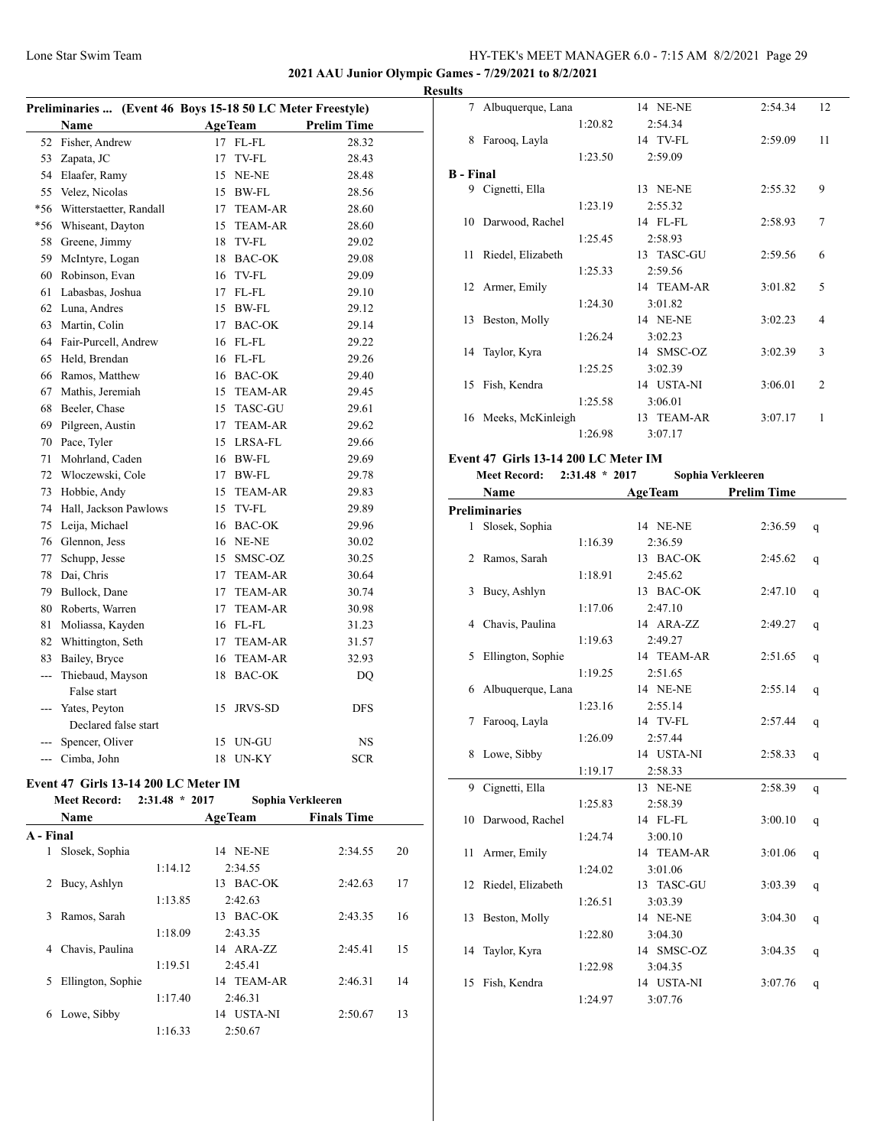$\overline{\phantom{a}}$ 

 $\overline{a}$ 

## Lone Star Swim Team HY-TEK's MEET MANAGER 6.0 - 7:15 AM 8/2/2021 Page 29

**2021 AAU Junior Olympic Games - 7/29/2021 to 8/2/2021**

| Fisher, Andrew                  |      |                | 28.32                                                                                                                                                                                                                                                                                                                                                                                                                               |                                                                                  |  |  |
|---------------------------------|------|----------------|-------------------------------------------------------------------------------------------------------------------------------------------------------------------------------------------------------------------------------------------------------------------------------------------------------------------------------------------------------------------------------------------------------------------------------------|----------------------------------------------------------------------------------|--|--|
| Zapata, JC                      | 17   | TV-FL          | 28.43                                                                                                                                                                                                                                                                                                                                                                                                                               |                                                                                  |  |  |
| Elaafer, Ramy                   |      |                | 28.48                                                                                                                                                                                                                                                                                                                                                                                                                               |                                                                                  |  |  |
| Velez, Nicolas                  |      |                | 28.56                                                                                                                                                                                                                                                                                                                                                                                                                               |                                                                                  |  |  |
| Witterstaetter, Randall         |      |                | 28.60                                                                                                                                                                                                                                                                                                                                                                                                                               |                                                                                  |  |  |
| Whiseant, Dayton                | 15   | <b>TEAM-AR</b> | 28.60                                                                                                                                                                                                                                                                                                                                                                                                                               |                                                                                  |  |  |
| Greene, Jimmy                   |      |                | 29.02                                                                                                                                                                                                                                                                                                                                                                                                                               |                                                                                  |  |  |
| McIntyre, Logan                 |      |                | 29.08                                                                                                                                                                                                                                                                                                                                                                                                                               |                                                                                  |  |  |
| Robinson, Evan                  |      |                | 29.09                                                                                                                                                                                                                                                                                                                                                                                                                               |                                                                                  |  |  |
| Labasbas, Joshua                |      |                | 29.10                                                                                                                                                                                                                                                                                                                                                                                                                               |                                                                                  |  |  |
| Luna, Andres                    |      |                | 29.12                                                                                                                                                                                                                                                                                                                                                                                                                               |                                                                                  |  |  |
| Martin, Colin                   |      |                | 29.14                                                                                                                                                                                                                                                                                                                                                                                                                               |                                                                                  |  |  |
| Fair-Purcell, Andrew            |      |                | 29.22                                                                                                                                                                                                                                                                                                                                                                                                                               |                                                                                  |  |  |
| Held, Brendan                   |      |                | 29.26                                                                                                                                                                                                                                                                                                                                                                                                                               |                                                                                  |  |  |
| Ramos, Matthew                  |      |                | 29.40                                                                                                                                                                                                                                                                                                                                                                                                                               |                                                                                  |  |  |
| Mathis, Jeremiah                |      |                | 29.45                                                                                                                                                                                                                                                                                                                                                                                                                               |                                                                                  |  |  |
| Beeler, Chase                   |      |                | 29.61                                                                                                                                                                                                                                                                                                                                                                                                                               |                                                                                  |  |  |
| Pilgreen, Austin                |      |                | 29.62                                                                                                                                                                                                                                                                                                                                                                                                                               |                                                                                  |  |  |
| Pace, Tyler                     |      |                | 29.66                                                                                                                                                                                                                                                                                                                                                                                                                               |                                                                                  |  |  |
| Mohrland, Caden                 |      |                | 29.69                                                                                                                                                                                                                                                                                                                                                                                                                               |                                                                                  |  |  |
| Włoczewski, Cole                |      |                | 29.78                                                                                                                                                                                                                                                                                                                                                                                                                               |                                                                                  |  |  |
| Hobbie, Andy                    |      |                | 29.83                                                                                                                                                                                                                                                                                                                                                                                                                               |                                                                                  |  |  |
| Hall, Jackson Pawlows           |      |                | 29.89                                                                                                                                                                                                                                                                                                                                                                                                                               |                                                                                  |  |  |
| Leija, Michael                  |      |                | 29.96                                                                                                                                                                                                                                                                                                                                                                                                                               |                                                                                  |  |  |
| Glennon, Jess                   |      |                | 30.02                                                                                                                                                                                                                                                                                                                                                                                                                               |                                                                                  |  |  |
| Schupp, Jesse                   |      |                | 30.25                                                                                                                                                                                                                                                                                                                                                                                                                               |                                                                                  |  |  |
| Dai, Chris                      |      |                | 30.64                                                                                                                                                                                                                                                                                                                                                                                                                               |                                                                                  |  |  |
| Bullock, Dane                   |      |                | 30.74                                                                                                                                                                                                                                                                                                                                                                                                                               |                                                                                  |  |  |
| Roberts, Warren                 | 17   |                | 30.98                                                                                                                                                                                                                                                                                                                                                                                                                               |                                                                                  |  |  |
| Moliassa, Kayden                |      |                | 31.23                                                                                                                                                                                                                                                                                                                                                                                                                               |                                                                                  |  |  |
| Whittington, Seth               |      |                | 31.57                                                                                                                                                                                                                                                                                                                                                                                                                               |                                                                                  |  |  |
| Bailey, Bryce                   |      |                | 32.93                                                                                                                                                                                                                                                                                                                                                                                                                               |                                                                                  |  |  |
| Thiebaud, Mayson<br>False start |      |                | DQ                                                                                                                                                                                                                                                                                                                                                                                                                                  |                                                                                  |  |  |
| Yates, Peyton                   | 15   | <b>JRVS-SD</b> | <b>DFS</b>                                                                                                                                                                                                                                                                                                                                                                                                                          |                                                                                  |  |  |
| Declared false start            |      |                |                                                                                                                                                                                                                                                                                                                                                                                                                                     |                                                                                  |  |  |
| Spencer, Oliver                 | 15   | UN-GU          | <b>NS</b>                                                                                                                                                                                                                                                                                                                                                                                                                           |                                                                                  |  |  |
| Cimba, John                     | 18   | <b>UN-KY</b>   | <b>SCR</b>                                                                                                                                                                                                                                                                                                                                                                                                                          |                                                                                  |  |  |
|                                 | Name |                | <b>AgeTeam</b><br>17 FL-FL<br>15 NE-NE<br>15 BW-FL<br>17 TEAM-AR<br>18 TV-FL<br>18 BAC-OK<br>16 TV-FL<br>17 FL-FL<br>15 BW-FL<br>17 BAC-OK<br>16 FL-FL<br>16 FL-FL<br>16 BAC-OK<br>15 TEAM-AR<br>15 TASC-GU<br>17 TEAM-AR<br>15 LRSA-FL<br>16 BW-FL<br>17 BW-FL<br>15 TEAM-AR<br>15 TV-FL<br>16 BAC-OK<br>16 NE-NE<br>15 SMSC-OZ<br>17 TEAM-AR<br>17 TEAM-AR<br><b>TEAM-AR</b><br>16 FL-FL<br>17 TEAM-AR<br>16 TEAM-AR<br>18 BAC-OK | Preliminaries  (Event 46 Boys 15-18 50 LC Meter Freestyle)<br><b>Prelim Time</b> |  |  |

# **Event 47 Girls 13-14 200 LC Meter IM**

|           | <b>Meet Record:</b> | $2:31.48 * 2017$ | Sophia Verkleeren |                    |    |
|-----------|---------------------|------------------|-------------------|--------------------|----|
|           | Name                |                  | <b>AgeTeam</b>    | <b>Finals Time</b> |    |
| A - Final |                     |                  |                   |                    |    |
| 1         | Slosek, Sophia      |                  | 14 NE-NE          | 2:34.55            | 20 |
|           |                     | 1:14.12          | 2:34.55           |                    |    |
| 2         | Bucy, Ashlyn        |                  | BAC-OK<br>13      | 2:42.63            | 17 |
|           |                     | 1:13.85          | 2:42.63           |                    |    |
| 3         | Ramos, Sarah        |                  | BAC-OK<br>13      | 2:43.35            | 16 |
|           |                     | 1:18.09          | 2:43.35           |                    |    |
| 4         | Chavis, Paulina     |                  | 14 ARA-ZZ         | 2:45.41            | 15 |
|           |                     | 1:19.51          | 2:45.41           |                    |    |
| 5         | Ellington, Sophie   |                  | 14 TEAM-AR        | 2:46.31            | 14 |
|           |                     | 1:17.40          | 2:46.31           |                    |    |
| 6         | Lowe, Sibby         |                  | USTA-NI<br>14     | 2:50.67            | 13 |
|           |                     | 1:16.33          | 2:50.67           |                    |    |
|           |                     |                  |                   |                    |    |

| <b>Results</b>   |                      |         |            |         |                |
|------------------|----------------------|---------|------------|---------|----------------|
|                  | 7 Albuquerque, Lana  |         | 14 NE-NE   | 2:54.34 | 12             |
|                  |                      | 1:20.82 | 2:54.34    |         |                |
| 8                | Farooq, Layla        |         | 14 TV-FL   | 2:59.09 | 11             |
|                  |                      | 1:23.50 | 2:59.09    |         |                |
| <b>B</b> - Final |                      |         |            |         |                |
|                  | 9 Cignetti, Ella     |         | 13 NE-NE   | 2:55.32 | 9              |
|                  |                      | 1:23.19 | 2:55.32    |         |                |
|                  | 10 Darwood, Rachel   |         | 14 FL-FL   | 2:58.93 | 7              |
|                  |                      | 1:25.45 | 2:58.93    |         |                |
|                  | 11 Riedel, Elizabeth |         | 13 TASC-GU | 2:59.56 | 6              |
|                  |                      | 1:25.33 | 2:59.56    |         |                |
|                  | 12 Armer, Emily      |         | 14 TEAM-AR | 3:01.82 | 5              |
|                  |                      | 1:24.30 | 3:01.82    |         |                |
|                  | 13 Beston, Molly     |         | 14 NE-NE   | 3:02.23 | 4              |
|                  |                      | 1:26.24 | 3:02.23    |         |                |
|                  | 14 Taylor, Kyra      |         | 14 SMSC-OZ | 3:02.39 | 3              |
|                  |                      | 1:25.25 | 3:02.39    |         |                |
|                  | 15 Fish, Kendra      |         | 14 USTA-NI | 3:06.01 | $\overline{2}$ |
|                  |                      | 1:25.58 | 3:06.01    |         |                |
|                  | 16 Meeks, McKinleigh |         | 13 TEAM-AR | 3:07.17 | 1              |
|                  |                      | 1:26.98 | 3:07.17    |         |                |

# **Event 47 Girls 13-14 200 LC Meter IM**

| <b>Meet Record:</b> | $2:31.48 * 2017$ |  | Sophia Verkleeren |  |  |
|---------------------|------------------|--|-------------------|--|--|
|                     |                  |  |                   |  |  |

|    | Name                 |         | <b>AgeTeam</b> | <b>Prelim Time</b> |   |  |
|----|----------------------|---------|----------------|--------------------|---|--|
|    | <b>Preliminaries</b> |         |                |                    |   |  |
| 1  | Slosek, Sophia       |         | 14 NE-NE       | 2:36.59            | q |  |
|    |                      | 1:16.39 | 2:36.59        |                    |   |  |
| 2  | Ramos, Sarah         |         | 13 BAC-OK      | 2:45.62            | q |  |
|    |                      | 1:18.91 | 2:45.62        |                    |   |  |
| 3  | Bucy, Ashlyn         |         | 13 BAC-OK      | 2:47.10            | q |  |
|    |                      | 1:17.06 | 2:47.10        |                    |   |  |
| 4  | Chavis, Paulina      |         | 14 ARA-ZZ      | 2:49.27            | q |  |
|    |                      | 1:19.63 | 2:49.27        |                    |   |  |
| 5  | Ellington, Sophie    |         | 14 TEAM-AR     | 2:51.65            | q |  |
|    |                      | 1:19.25 | 2:51.65        |                    |   |  |
| 6  | Albuquerque, Lana    |         | 14 NE-NE       | 2:55.14            | q |  |
|    |                      | 1:23.16 | 2:55.14        |                    |   |  |
| 7  | Farooq, Layla        |         | 14 TV-FL       | 2:57.44            | q |  |
|    |                      | 1:26.09 | 2:57.44        |                    |   |  |
| 8  | Lowe, Sibby          |         | 14 USTA-NI     | 2:58.33            | q |  |
|    |                      | 1:19.17 | 2:58.33        |                    |   |  |
| 9  | Cignetti, Ella       |         | 13 NE-NE       | 2:58.39            | q |  |
|    |                      | 1:25.83 | 2:58.39        |                    |   |  |
| 10 | Darwood, Rachel      |         | 14 FL-FL       | 3:00.10            | q |  |
|    |                      | 1:24.74 | 3:00.10        |                    |   |  |
| 11 | Armer, Emily         |         | 14 TEAM-AR     | 3:01.06            | q |  |
|    |                      | 1:24.02 | 3:01.06        |                    |   |  |
| 12 | Riedel, Elizabeth    |         | 13 TASC-GU     | 3:03.39            | q |  |
|    |                      | 1:26.51 | 3:03.39        |                    |   |  |
| 13 | Beston, Molly        |         | 14 NE-NE       | 3:04.30            | q |  |
|    |                      | 1:22.80 | 3:04.30        |                    |   |  |
| 14 | Taylor, Kyra         |         | 14 SMSC-OZ     | 3:04.35            | q |  |
|    |                      | 1:22.98 | 3:04.35        |                    |   |  |
| 15 | Fish, Kendra         |         | 14 USTA-NI     | 3:07.76            | q |  |
|    |                      | 1:24.97 | 3:07.76        |                    |   |  |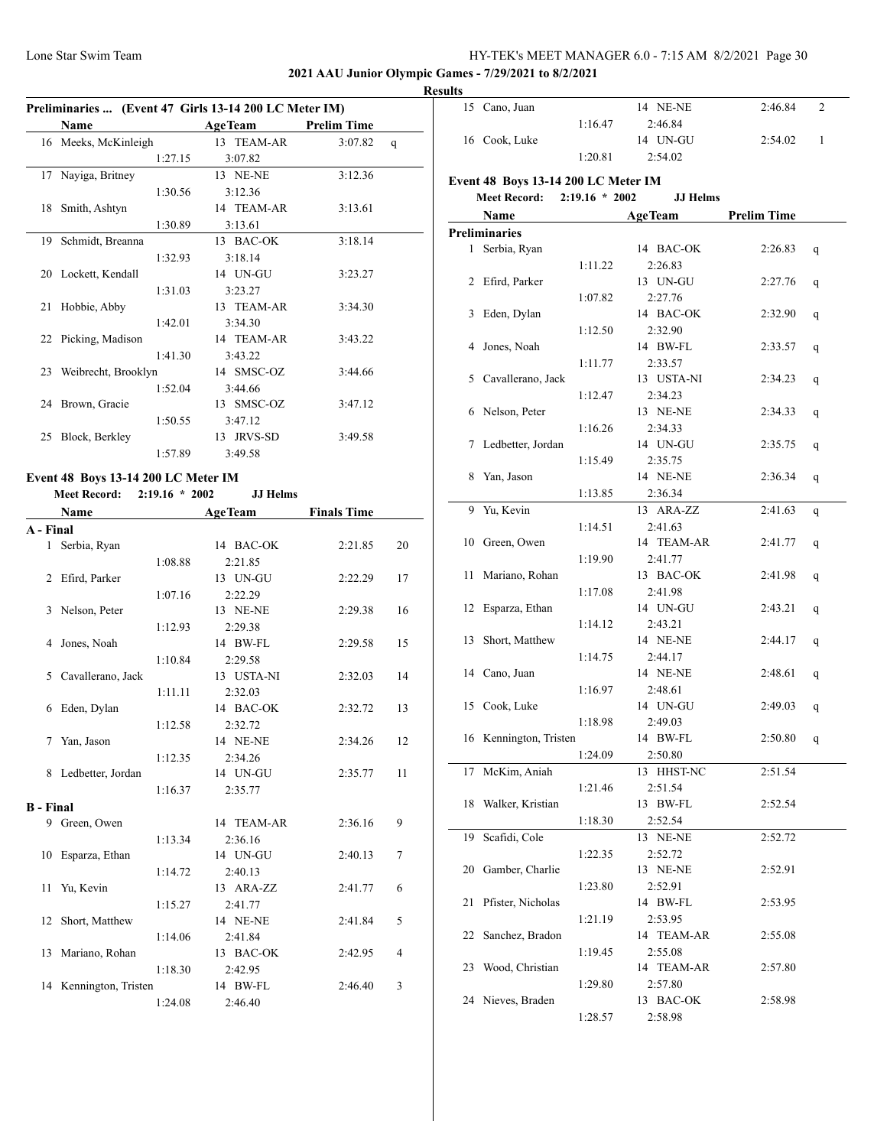## **2021 AAU Junior Olympic Games - 7/29/2021 to 8/2/2021**

#### **Result**

|    | Preliminaries  (Event 47 Girls 13-14 200 LC Meter IM) |         |  |                |                    |             |  |
|----|-------------------------------------------------------|---------|--|----------------|--------------------|-------------|--|
|    | <b>Name</b>                                           |         |  | <b>AgeTeam</b> | <b>Prelim Time</b> |             |  |
|    | 16 Meeks, McKinleigh                                  |         |  | 13 TEAM-AR     | 3:07.82            | $\mathbf q$ |  |
|    |                                                       | 1:27.15 |  | 3:07.82        |                    |             |  |
| 17 | Nayiga, Britney                                       |         |  | 13 NE-NE       | 3:12.36            |             |  |
|    |                                                       | 1:30.56 |  | 3:12.36        |                    |             |  |
|    | 18 Smith, Ashtyn                                      |         |  | 14 TEAM-AR     | 3:13.61            |             |  |
|    |                                                       | 1:30.89 |  | 3:13.61        |                    |             |  |
|    | 19 Schmidt, Breanna                                   |         |  | 13 BAC-OK      | 3:18.14            |             |  |
|    |                                                       | 1:32.93 |  | 3:18.14        |                    |             |  |
|    | 20 Lockett, Kendall                                   |         |  | 14 UN-GU       | 3:23.27            |             |  |
|    |                                                       | 1:31.03 |  | 3:23.27        |                    |             |  |
| 21 | Hobbie, Abby                                          |         |  | 13 TEAM-AR     | 3:34.30            |             |  |
|    |                                                       | 1:42.01 |  | 3:34.30        |                    |             |  |
|    | 22 Picking, Madison                                   |         |  | 14 TEAM-AR     | 3:43.22            |             |  |
|    |                                                       | 1:41.30 |  | 3:43.22        |                    |             |  |
|    | 23 Weibrecht, Brooklyn                                |         |  | 14 SMSC-OZ     | 3:44.66            |             |  |
|    |                                                       | 1:52.04 |  | 3:44.66        |                    |             |  |
|    | 24 Brown, Gracie                                      |         |  | 13 SMSC-OZ     | 3:47.12            |             |  |
|    |                                                       | 1:50.55 |  | 3:47.12        |                    |             |  |
| 25 | Block, Berkley                                        |         |  | 13 JRVS-SD     | 3:49.58            |             |  |
|    |                                                       | 1:57.89 |  | 3:49.58        |                    |             |  |

# **Event 48 Boys 13-14 200 LC Meter IM**

**Meet Record: 2:19.16 \* 2002 JJ Helms**

|                  | Name                | <b>AgeTeam</b> |            | <b>Finals Time</b> |    |  |
|------------------|---------------------|----------------|------------|--------------------|----|--|
| A - Final        |                     |                |            |                    |    |  |
| $\mathbf{1}$     | Serbia, Ryan        |                | 14 BAC-OK  | 2:21.85            | 20 |  |
|                  |                     | 1:08.88        | 2:21.85    |                    |    |  |
| 2                | Efird, Parker       |                | 13 UN-GU   | 2:22.29            | 17 |  |
|                  |                     | 1:07.16        | 2:22.29    |                    |    |  |
| 3                | Nelson, Peter       |                | 13 NE-NE   | 2:29.38            | 16 |  |
|                  |                     | 1:12.93        | 2:29.38    |                    |    |  |
| 4                | Jones, Noah         |                | 14 BW-FL   | 2:29.58            | 15 |  |
|                  |                     | 1:10.84        | 2:29.58    |                    |    |  |
| 5                | Cavallerano, Jack   |                | 13 USTA-NI | 2:32.03            | 14 |  |
|                  |                     | 1:11.11        | 2:32.03    |                    |    |  |
| 6                | Eden, Dylan         |                | 14 BAC-OK  | 2:32.72            | 13 |  |
|                  |                     | 1:12.58        | 2:32.72    |                    |    |  |
| 7                | Yan, Jason          |                | 14 NE-NE   | 2:34.26            | 12 |  |
|                  |                     | 1:12.35        | 2:34.26    |                    |    |  |
| 8                | Ledbetter, Jordan   |                | 14 UN-GU   | 2:35.77            | 11 |  |
|                  |                     | 1:16.37        | 2:35.77    |                    |    |  |
| <b>B</b> - Final |                     |                |            |                    |    |  |
|                  | 9 Green, Owen       |                | 14 TEAM-AR | 2:36.16            | 9  |  |
|                  |                     | 1:13.34        | 2:36.16    |                    |    |  |
| 10               | Esparza, Ethan      |                | 14 UN-GU   | 2:40.13            | 7  |  |
|                  |                     | 1:14.72        | 2:40.13    |                    |    |  |
| 11               | Yu, Kevin           |                | 13 ARA-ZZ  | 2:41.77            | 6  |  |
|                  |                     | 1:15.27        | 2:41.77    |                    |    |  |
| 12               | Short, Matthew      |                | 14 NE-NE   | 2:41.84            | 5  |  |
|                  |                     | 1:14.06        | 2:41.84    |                    |    |  |
| 13               | Mariano, Rohan      |                | 13 BAC-OK  | 2:42.95            | 4  |  |
|                  |                     | 1:18.30        | 2:42.95    |                    |    |  |
| 14               | Kennington, Tristen |                | 14 BW-FL   | 2:46.40            | 3  |  |
|                  |                     | 1:24.08        | 2:46.40    |                    |    |  |

| ults |                                     |                  |                       |                    |   |
|------|-------------------------------------|------------------|-----------------------|--------------------|---|
| 15   | Cano, Juan                          |                  | 14 NE-NE              | 2:46.84            | 2 |
|      |                                     | 1:16.47          | 2:46.84               |                    |   |
|      | 16 Cook, Luke                       |                  | 14 UN-GU              | 2:54.02            | 1 |
|      |                                     | 1:20.81          | 2:54.02               |                    |   |
|      | Event 48 Boys 13-14 200 LC Meter IM |                  |                       |                    |   |
|      | <b>Meet Record:</b>                 | $2:19.16 * 2002$ | <b>JJ</b> Helms       |                    |   |
|      | Name                                |                  | <b>AgeTeam</b>        | <b>Prelim Time</b> |   |
|      | <b>Preliminaries</b>                |                  |                       |                    |   |
| 1    | Serbia, Ryan                        |                  | 14 BAC-OK             | 2:26.83            |   |
|      |                                     | 1:11.22          |                       |                    | q |
| 2    | Efird, Parker                       |                  | 2:26.83<br>13 UN-GU   | 2:27.76            |   |
|      |                                     | 1:07.82          |                       |                    | q |
| 3    | Eden, Dylan                         |                  | 2:27.76<br>14 BAC-OK  | 2:32.90            |   |
|      |                                     |                  | 2:32.90               |                    | q |
| 4    | Jones, Noah                         | 1:12.50          | 14 BW-FL              | 2:33.57            |   |
|      |                                     |                  | 2:33.57               |                    | q |
| 5    | Cavallerano, Jack                   | 1:11.77          | 13 USTA-NI            | 2:34.23            |   |
|      |                                     | 1:12.47          | 2:34.23               |                    | q |
|      | Nelson, Peter                       |                  | 13 NE-NE              | 2:34.33            |   |
| 6    |                                     | 1:16.26          |                       |                    | q |
|      | Ledbetter, Jordan                   |                  | 2:34.33               | 2:35.75            |   |
| 7    |                                     |                  | 14 UN-GU<br>2:35.75   |                    | q |
|      |                                     | 1:15.49          | 14 NE-NE              | 2:36.34            |   |
| 8    | Yan, Jason                          |                  |                       |                    | q |
|      |                                     | 1:13.85          | 2:36.34               |                    |   |
| 9    | Yu, Kevin                           |                  | 13 ARA-ZZ             | 2:41.63            | q |
|      | Green, Owen                         | 1:14.51          | 2:41.63<br>14 TEAM-AR |                    |   |
| 10   |                                     |                  |                       | 2:41.77            | q |
|      |                                     | 1:19.90          | 2:41.77<br>13 BAC-OK  |                    |   |
| 11   | Mariano, Rohan                      |                  |                       | 2:41.98            | q |
|      |                                     | 1:17.08          | 2:41.98<br>14 UN-GU   |                    |   |
| 12   | Esparza, Ethan                      |                  |                       | 2:43.21            | q |
| 13   | Short, Matthew                      | 1:14.12          | 2:43.21<br>14 NE-NE   | 2:44.17            |   |
|      |                                     | 1:14.75          | 2:44.17               |                    | q |
| 14   | Cano, Juan                          |                  | 14 NE-NE              | 2:48.61            |   |
|      |                                     | 1:16.97          | 2:48.61               |                    | q |
|      | 15 Cook, Luke                       |                  | 14 UN-GU              | 2:49.03            |   |
|      |                                     | 1:18.98          | 2:49.03               |                    | q |
|      | 16 Kennington, Tristen              |                  | 14 BW-FL              | 2:50.80            |   |
|      |                                     | 1:24.09          | 2:50.80               |                    | q |
| 17   | McKim, Aniah                        |                  | 13 HHST-NC            | 2:51.54            |   |
|      |                                     | 1:21.46          | 2:51.54               |                    |   |
| 18   | Walker, Kristian                    |                  | 13 BW-FL              | 2:52.54            |   |
|      |                                     | 1:18.30          |                       |                    |   |
| 19   | Scafidi, Cole                       |                  | 2:52.54<br>13 NE-NE   | 2:52.72            |   |
|      |                                     |                  |                       |                    |   |
| 20   | Gamber, Charlie                     | 1:22.35          | 2:52.72<br>13 NE-NE   | 2:52.91            |   |
|      |                                     | 1:23.80          | 2:52.91               |                    |   |
| 21   | Pfister, Nicholas                   |                  | 14 BW-FL              | 2:53.95            |   |
|      |                                     | 1:21.19          | 2:53.95               |                    |   |
| 22   | Sanchez, Bradon                     |                  | 14 TEAM-AR            | 2:55.08            |   |
|      |                                     |                  | 2:55.08               |                    |   |
| 23   | Wood, Christian                     | 1:19.45          | 14 TEAM-AR            | 2:57.80            |   |
|      |                                     | 1:29.80          | 2:57.80               |                    |   |
|      | 24 Nieves, Braden                   |                  | 13 BAC-OK             | 2:58.98            |   |
|      |                                     |                  | 2:58.98               |                    |   |
|      |                                     | 1:28.57          |                       |                    |   |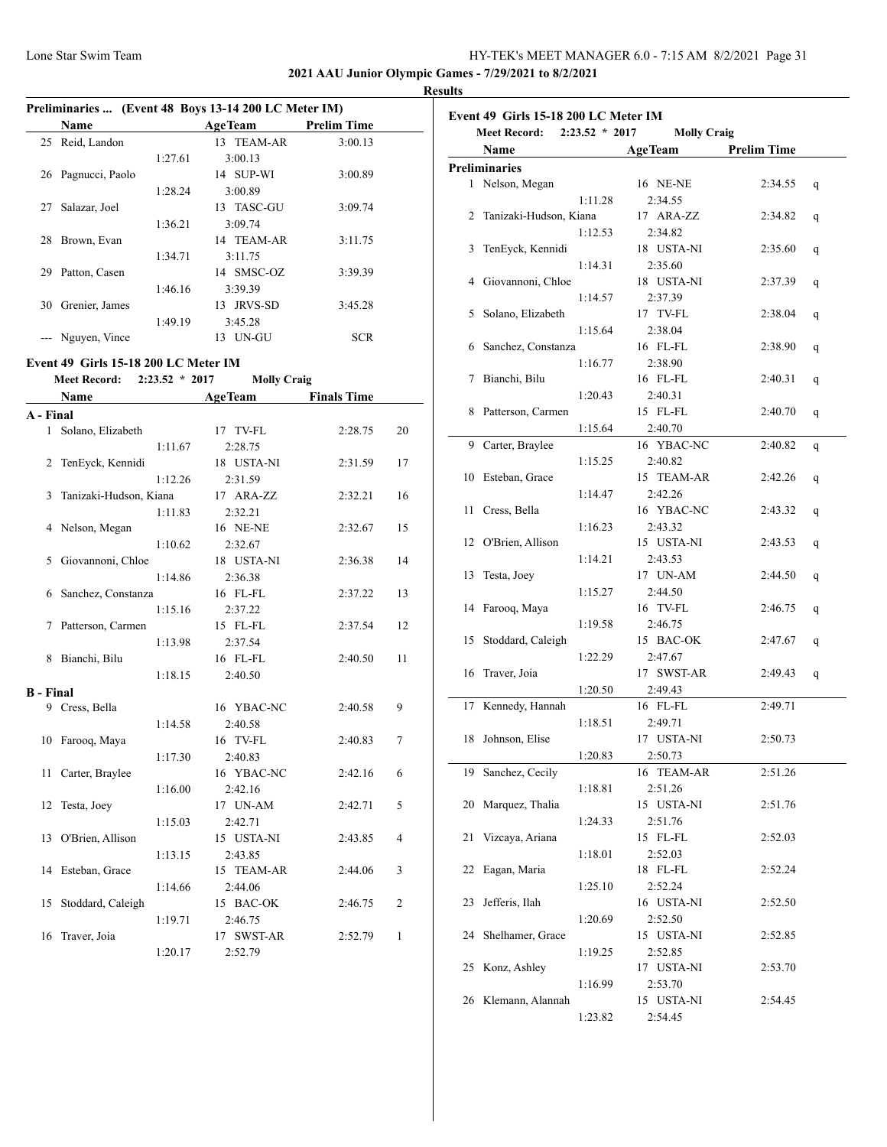**2021 AAU Junior Olympic Games - 7/29/2021 to 8/2/2021**

|           |                                      |                                       |                                                                             |                    | <b>Results</b> |
|-----------|--------------------------------------|---------------------------------------|-----------------------------------------------------------------------------|--------------------|----------------|
|           | Name                                 |                                       | Preliminaries  (Event 48 Boys 13-14 200 LC Meter IM)<br>AgeTeam Prelim Time |                    |                |
|           | 25 Reid, Landon                      | <u> 1990 - Johann Barbara, martxa</u> | 13 TEAM-AR                                                                  | 3:00.13            |                |
|           |                                      |                                       | 3:00.13                                                                     |                    |                |
|           | 26 Pagnucci, Paolo                   | 1:27.61                               | 14 SUP-WI                                                                   | 3:00.89            |                |
|           |                                      | 1:28.24                               | 3:00.89                                                                     |                    |                |
|           | 27 Salazar, Joel                     |                                       | 13 TASC-GU                                                                  | 3:09.74            |                |
|           |                                      | 1:36.21                               | 3:09.74                                                                     |                    |                |
|           | 28 Brown, Evan                       |                                       | 14 TEAM-AR                                                                  | 3:11.75            |                |
|           |                                      | 1:34.71                               | 3:11.75                                                                     |                    |                |
|           | 29 Patton, Casen                     |                                       | 14 SMSC-OZ                                                                  | 3:39.39            |                |
|           |                                      | 1:46.16                               | 3:39.39                                                                     |                    |                |
|           | 30 Grenier, James                    |                                       | 13 JRVS-SD                                                                  | 3:45.28            |                |
|           |                                      | 1:49.19                               | 3:45.28                                                                     |                    |                |
|           | --- Nguyen, Vince                    |                                       | 13 UN-GU                                                                    | <b>SCR</b>         |                |
|           |                                      |                                       |                                                                             |                    |                |
|           | Event 49 Girls 15-18 200 LC Meter IM |                                       |                                                                             |                    |                |
|           | Meet Record: 2:23.52 * 2017          |                                       | <b>Molly Craig</b>                                                          |                    |                |
|           | Name                                 |                                       | <b>AgeTeam</b>                                                              | <b>Finals Time</b> |                |
| A - Final |                                      |                                       |                                                                             |                    |                |
|           | 1 Solano, Elizabeth                  |                                       | 17 TV-FL                                                                    | 2:28.75            | 20             |
|           |                                      | 1:11.67                               | 2:28.75                                                                     |                    |                |
|           | 2 TenEyck, Kennidi                   |                                       | 18 USTA-NI                                                                  | 2:31.59            | 17             |
|           |                                      | 1:12.26                               | 2:31.59                                                                     |                    |                |
| 3         | Tanizaki-Hudson, Kiana               |                                       | 17 ARA-ZZ                                                                   | 2:32.21            | 16             |
|           |                                      | 1:11.83                               | 2:32.21                                                                     |                    |                |
|           | 4 Nelson, Megan                      |                                       | 16 NE-NE                                                                    | 2:32.67            | 15             |
|           |                                      | 1:10.62                               | 2:32.67                                                                     |                    |                |
| 5         | Giovannoni, Chloe                    |                                       | 18 USTA-NI                                                                  | 2:36.38            | 14             |
|           |                                      | 1:14.86                               | 2:36.38                                                                     |                    |                |
|           | 6 Sanchez, Constanza                 |                                       | 16 FL-FL                                                                    | 2:37.22            | 13             |
|           |                                      | 1:15.16                               | 2:37.22                                                                     |                    |                |
| 7         | Patterson, Carmen                    |                                       | 15 FL-FL                                                                    | 2:37.54            | 12             |
|           |                                      | 1:13.98                               | 2:37.54                                                                     |                    |                |
| 8         | Bianchi, Bilu                        |                                       | 16 FL-FL                                                                    | 2:40.50            | 11             |
|           |                                      | 1:18.15                               | 2:40.50                                                                     |                    |                |
| B - Final |                                      |                                       |                                                                             |                    |                |
|           | 9 Cress, Bella                       |                                       | 16 YBAC-NC                                                                  | 2:40.58            | 9              |
|           |                                      | 1:14.58                               | 2:40.58                                                                     |                    |                |
|           | 10 Farooq, Maya                      |                                       | 16 TV-FL                                                                    | 2:40.83            | 7              |
|           |                                      | 1:17.30                               | 2:40.83                                                                     |                    |                |
| 11        | Carter, Braylee                      |                                       | 16 YBAC-NC                                                                  | 2:42.16            | 6              |
|           |                                      | 1:16.00                               | 2:42.16                                                                     |                    |                |
| 12        | Testa, Joey                          |                                       | 17 UN-AM                                                                    | 2:42.71            | 5              |
|           |                                      | 1:15.03                               | 2:42.71                                                                     |                    |                |
| 13        | O'Brien, Allison                     |                                       | 15 USTA-NI                                                                  | 2:43.85            | 4              |
|           |                                      | 1:13.15                               | 2:43.85                                                                     |                    |                |
| 14        | Esteban, Grace                       |                                       | 15 TEAM-AR                                                                  | 2:44.06            | 3              |
|           |                                      | 1:14.66                               | 2:44.06                                                                     |                    |                |
| 15        | Stoddard, Caleigh                    |                                       | 15 BAC-OK                                                                   | 2:46.75            | 2              |
|           |                                      | 1:19.71                               | 2:46.75                                                                     |                    |                |
| 16        | Traver, Joia                         |                                       | 17 SWST-AR                                                                  | 2:52.79            | 1              |
|           |                                      | 1:20.17                               | 2:52.79                                                                     |                    |                |
|           |                                      |                                       |                                                                             |                    |                |

|    | Event 49 Girls 15-18 200 LC Meter IM |                  |                       |                    |   |
|----|--------------------------------------|------------------|-----------------------|--------------------|---|
|    | <b>Meet Record:</b>                  | $2:23.52 * 2017$ | <b>Molly Craig</b>    |                    |   |
|    | Name                                 |                  | <b>AgeTeam</b>        | <b>Prelim Time</b> |   |
|    | Preliminaries                        |                  |                       |                    |   |
|    | 1 Nelson, Megan                      |                  | 16 NE-NE              | 2:34.55            | q |
|    |                                      | 1:11.28          | 2:34.55               |                    |   |
|    | 2 Tanizaki-Hudson, Kiana             |                  | 17 ARA-ZZ             | 2:34.82            | q |
|    |                                      | 1:12.53          | 2:34.82               |                    |   |
| 3  | TenEyck, Kennidi                     |                  | 18 USTA-NI            | 2:35.60            | q |
|    |                                      | 1:14.31          | 2:35.60               |                    |   |
| 4  | Giovannoni, Chloe                    |                  | 18 USTA-NI            | 2:37.39            | q |
|    |                                      | 1:14.57          | 2:37.39               |                    |   |
| 5  | Solano, Elizabeth                    |                  | 17 TV-FL              | 2:38.04            | q |
|    |                                      | 1:15.64          | 2:38.04               |                    |   |
| 6  | Sanchez, Constanza                   |                  | 16 FL-FL              | 2:38.90            | q |
|    |                                      | 1:16.77          | 2:38.90               |                    |   |
| 7  | Bianchi, Bilu                        |                  | 16 FL-FL              | 2:40.31            | q |
|    |                                      | 1:20.43          | 2:40.31               |                    |   |
| 8  | Patterson, Carmen                    |                  | 15 FL-FL              | 2:40.70            | q |
|    |                                      | 1:15.64          | 2:40.70               |                    |   |
| 9. | Carter, Braylee                      |                  | 16 YBAC-NC            | 2:40.82            | q |
|    |                                      | 1:15.25          | 2:40.82               |                    |   |
| 10 | Esteban, Grace                       |                  | 15 TEAM-AR            | 2:42.26            | q |
|    |                                      | 1:14.47          | 2:42.26               |                    |   |
| 11 | Cress, Bella                         |                  | 16 YBAC-NC            | 2:43.32            | q |
|    |                                      | 1:16.23          | 2:43.32               |                    |   |
| 12 | O'Brien, Allison                     |                  | 15 USTA-NI            | 2:43.53            | q |
|    |                                      | 1:14.21          | 2:43.53               |                    |   |
| 13 | Testa, Joey                          |                  | 17 UN-AM              | 2:44.50            | q |
|    |                                      | 1:15.27          | 2:44.50               |                    |   |
| 14 | Farooq, Maya                         |                  | 16 TV-FL              | 2:46.75            | q |
|    |                                      | 1:19.58          | 2:46.75               |                    |   |
| 15 | Stoddard, Caleigh                    |                  | 15 BAC-OK             | 2:47.67            | q |
|    |                                      | 1:22.29          | 2:47.67               |                    |   |
| 16 | Traver, Joia                         |                  | 17 SWST-AR            | 2:49.43            | q |
|    |                                      | 1:20.50          | 2:49.43               |                    |   |
| 17 | Kennedy, Hannah                      |                  | 16 FL-FL              | 2:49.71            |   |
|    |                                      | 1:18.51          | 2:49.71               |                    |   |
| 18 | Johnson, Elise                       |                  | 17 USTA-NI            | 2:50.73            |   |
|    |                                      | 1:20.83          | 2:50.73               |                    |   |
| 19 | Sanchez, Cecily                      |                  | 16 TEAM-AR            | 2:51.26            |   |
|    |                                      | 1:18.81          | 2:51.26               |                    |   |
| 20 | Marquez, Thalia                      |                  | 15 USTA-NI            | 2:51.76            |   |
|    |                                      | 1:24.33          | 2:51.76               |                    |   |
| 21 | Vizcaya, Ariana                      |                  | 15 FL-FL              | 2:52.03            |   |
|    |                                      | 1:18.01          | 2:52.03               |                    |   |
| 22 | Eagan, Maria                         |                  | 18 FL-FL              | 2:52.24            |   |
|    |                                      | 1:25.10          | 2:52.24               |                    |   |
| 23 | Jefferis, Ilah                       |                  | 16 USTA-NI            | 2:52.50            |   |
|    |                                      | 1:20.69          | 2:52.50               |                    |   |
| 24 | Shelhamer, Grace                     |                  | 15 USTA-NI            | 2:52.85            |   |
|    |                                      |                  |                       |                    |   |
|    | 25 Konz, Ashley                      | 1:19.25          | 2:52.85<br>17 USTA-NI | 2:53.70            |   |
|    |                                      |                  |                       |                    |   |
|    |                                      | 1:16.99          | 2:53.70               |                    |   |
| 26 | Klemann, Alannah                     |                  | 15 USTA-NI            | 2:54.45            |   |
|    |                                      | 1:23.82          | 2:54.45               |                    |   |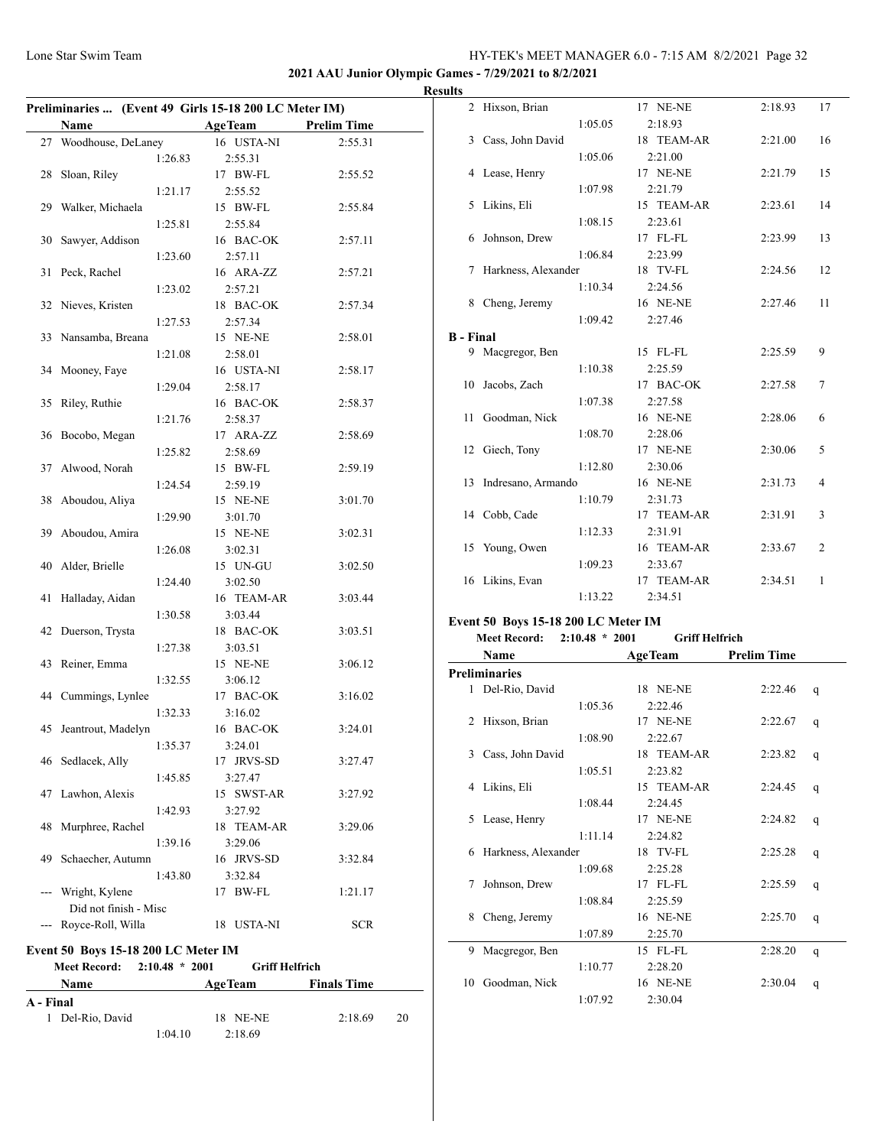## **2021 AAU Junior Olympic Games - 7/29/2021 to 8/2/2021**

| <b>Results</b> |
|----------------|
|----------------|

| Preliminaries  (Event 49 Girls 15-18 200 LC Meter IM) |                                                      |         |                       |                    |    |  |  |
|-------------------------------------------------------|------------------------------------------------------|---------|-----------------------|--------------------|----|--|--|
|                                                       | Name                                                 |         | <b>AgeTeam</b>        | <b>Prelim Time</b> |    |  |  |
| 27                                                    | Woodhouse, DeLaney                                   |         | 16 USTA-NI            | 2:55.31            |    |  |  |
|                                                       |                                                      | 1:26.83 | 2:55.31               |                    |    |  |  |
| 28                                                    | Sloan, Riley                                         |         | 17 BW-FL              | 2:55.52            |    |  |  |
|                                                       |                                                      | 1:21.17 | 2:55.52               |                    |    |  |  |
| 29                                                    | Walker, Michaela                                     |         | 15 BW-FL              | 2:55.84            |    |  |  |
|                                                       |                                                      | 1:25.81 | 2:55.84               |                    |    |  |  |
| 30                                                    | Sawyer, Addison                                      |         | 16 BAC-OK             | 2:57.11            |    |  |  |
|                                                       |                                                      | 1:23.60 | 2:57.11               |                    |    |  |  |
| 31                                                    | Peck, Rachel                                         |         | 16 ARA-ZZ             | 2:57.21            |    |  |  |
|                                                       |                                                      | 1:23.02 | 2:57.21               |                    |    |  |  |
|                                                       | 32 Nieves, Kristen                                   |         | 18 BAC-OK             | 2:57.34            |    |  |  |
|                                                       |                                                      | 1:27.53 | 2:57.34               |                    |    |  |  |
| 33                                                    | Nansamba, Breana                                     |         | 15 NE-NE              | 2:58.01            |    |  |  |
|                                                       |                                                      | 1:21.08 | 2:58.01               |                    |    |  |  |
| 34                                                    | Mooney, Faye                                         |         | 16 USTA-NI            | 2:58.17            |    |  |  |
|                                                       |                                                      | 1:29.04 | 2:58.17               |                    |    |  |  |
| 35                                                    | Riley, Ruthie                                        |         | 16 BAC-OK             | 2:58.37            |    |  |  |
|                                                       |                                                      | 1:21.76 | 2:58.37               |                    |    |  |  |
| 36                                                    | Bocobo, Megan                                        |         | 17 ARA-ZZ             | 2:58.69            |    |  |  |
|                                                       |                                                      | 1:25.82 | 2:58.69               |                    |    |  |  |
| 37                                                    | Alwood, Norah                                        |         | 15 BW-FL              | 2:59.19            |    |  |  |
|                                                       |                                                      | 1:24.54 | 2:59.19               |                    |    |  |  |
| 38                                                    | Aboudou, Aliya                                       |         | 15 NE-NE              | 3:01.70            |    |  |  |
|                                                       |                                                      | 1:29.90 | 3:01.70               |                    |    |  |  |
| 39                                                    | Aboudou, Amira                                       |         | 15 NE-NE              | 3:02.31            |    |  |  |
|                                                       |                                                      | 1:26.08 | 3:02.31               |                    |    |  |  |
| 40                                                    | Alder, Brielle                                       |         | 15 UN-GU              | 3:02.50            |    |  |  |
|                                                       |                                                      | 1:24.40 | 3:02.50               |                    |    |  |  |
| 41                                                    | Halladay, Aidan                                      |         | 16 TEAM-AR            | 3:03.44            |    |  |  |
|                                                       |                                                      | 1:30.58 | 3:03.44               |                    |    |  |  |
| 42                                                    | Duerson, Trysta                                      |         | 18 BAC-OK             | 3:03.51            |    |  |  |
|                                                       |                                                      | 1:27.38 | 3:03.51               |                    |    |  |  |
| 43                                                    | Reiner, Emma                                         |         | 15 NE-NE              | 3:06.12            |    |  |  |
|                                                       |                                                      | 1:32.55 |                       |                    |    |  |  |
|                                                       | 44 Cummings, Lynlee                                  |         | 3:06.12<br>17 BAC-OK  | 3:16.02            |    |  |  |
|                                                       |                                                      | 1:32.33 | 3:16.02               |                    |    |  |  |
|                                                       | 45 Jeantrout, Madelyn                                |         | 16 BAC-OK             | 3:24.01            |    |  |  |
|                                                       |                                                      |         |                       |                    |    |  |  |
|                                                       |                                                      | 1:35.37 | 3:24.01               |                    |    |  |  |
| 46                                                    | Sedlacek, Ally                                       |         | 17 JRVS-SD            | 3:27.47            |    |  |  |
|                                                       | Lawhon, Alexis                                       | 1:45.85 | 3:27.47               |                    |    |  |  |
| 47                                                    |                                                      |         | 15 SWST-AR            | 3:27.92            |    |  |  |
|                                                       |                                                      | 1:42.93 | 3:27.92<br>18 TEAM-AR |                    |    |  |  |
| 48                                                    | Murphree, Rachel                                     |         |                       | 3:29.06            |    |  |  |
|                                                       |                                                      | 1:39.16 | 3:29.06               |                    |    |  |  |
| 49                                                    | Schaecher, Autumn                                    |         | 16 JRVS-SD            | 3:32.84            |    |  |  |
|                                                       |                                                      | 1:43.80 | 3:32.84               |                    |    |  |  |
|                                                       | --- Wright, Kylene                                   |         | 17 BW-FL              | 1:21.17            |    |  |  |
|                                                       | Did not finish - Misc                                |         |                       |                    |    |  |  |
|                                                       | --- Royce-Roll, Willa                                |         | 18 USTA-NI            | <b>SCR</b>         |    |  |  |
|                                                       | <b>Event 50 Boys 15-18 200 LC Meter IM</b>           |         |                       |                    |    |  |  |
|                                                       | Meet Record: 2:10.48 * 2001<br><b>Griff Helfrich</b> |         |                       |                    |    |  |  |
|                                                       | <b>Finals Time</b><br>Name<br><b>AgeTeam</b>         |         |                       |                    |    |  |  |
| A - Final                                             |                                                      |         |                       |                    |    |  |  |
|                                                       | 1 Del-Rio, David                                     |         | 18 NE-NE              | 2:18.69            | 20 |  |  |
|                                                       |                                                      | 1:04.10 | 2:18.69               |                    |    |  |  |

|                  | 2 Hixson, Brian                     |         | 17 NE-NE   | 2:18.93 | 17             |
|------------------|-------------------------------------|---------|------------|---------|----------------|
|                  |                                     | 1:05.05 | 2:18.93    |         |                |
|                  | 3 Cass, John David                  |         | 18 TEAM-AR | 2:21.00 | 16             |
|                  |                                     | 1:05.06 | 2:21.00    |         |                |
| 4                | Lease, Henry                        |         | 17 NE-NE   | 2:21.79 | 15             |
|                  |                                     | 1:07.98 | 2:21.79    |         |                |
| 5                | Likins, Eli                         |         | 15 TEAM-AR | 2:23.61 | 14             |
|                  |                                     | 1:08.15 | 2:23.61    |         |                |
| 6                | Johnson, Drew                       |         | 17 FL-FL   | 2:23.99 | 13             |
|                  |                                     | 1:06.84 | 2:23.99    |         |                |
| 7                | Harkness, Alexander                 |         | 18 TV-FL   | 2:24.56 | 12             |
|                  |                                     | 1:10.34 | 2:24.56    |         |                |
|                  | 8 Cheng, Jeremy                     |         | 16 NE-NE   | 2:27.46 | 11             |
|                  |                                     | 1:09.42 | 2:27.46    |         |                |
| <b>B</b> - Final |                                     |         |            |         |                |
|                  | 9 Macgregor, Ben                    |         | 15 FL-FL   | 2:25.59 | 9              |
|                  |                                     | 1:10.38 | 2:25.59    |         |                |
| 10               | Jacobs, Zach                        |         | 17 BAC-OK  | 2:27.58 | 7              |
|                  |                                     | 1:07.38 | 2:27.58    |         |                |
| 11               | Goodman, Nick                       |         | 16 NE-NE   | 2:28.06 | 6              |
|                  |                                     | 1:08.70 | 2:28.06    |         |                |
|                  | 12 Giech, Tony                      |         | 17 NE-NE   | 2:30.06 | 5              |
|                  |                                     | 1:12.80 | 2:30.06    |         |                |
| 13               | Indresano, Armando                  |         | 16 NE-NE   | 2:31.73 | 4              |
|                  |                                     | 1:10.79 | 2:31.73    |         |                |
|                  | 14 Cobb, Cade                       |         | 17 TEAM-AR | 2:31.91 | 3              |
|                  |                                     | 1:12.33 | 2:31.91    |         |                |
|                  | 15 Young, Owen                      |         | 16 TEAM-AR | 2:33.67 | $\overline{2}$ |
|                  |                                     | 1:09.23 | 2:33.67    |         |                |
|                  | 16 Likins, Evan                     |         | 17 TEAM-AR | 2:34.51 | 1              |
|                  |                                     | 1:13.22 | 2:34.51    |         |                |
|                  | Event 50 Boys 15-18 200 LC Meter IM |         |            |         |                |

# **Meet Record: 2:10.48 \* 2001 Griff Helfrich**

|    | Name                 |         | <b>AgeTeam</b>  | <b>Prelim Time</b> |   |
|----|----------------------|---------|-----------------|--------------------|---|
|    | <b>Preliminaries</b> |         |                 |                    |   |
|    | 1 Del-Rio, David     |         | 18 NE-NE        | 2:22.46            | q |
|    |                      | 1:05.36 | 2:22.46         |                    |   |
| 2  | Hixson, Brian        |         | <b>17 NE-NE</b> | 2:22.67            | q |
|    |                      | 1:08.90 | 2:22.67         |                    |   |
| 3  | Cass, John David     |         | 18 TEAM-AR      | 2:23.82            | q |
|    |                      | 1:05.51 | 2:23.82         |                    |   |
| 4  | Likins, Eli          |         | 15 TEAM-AR      | 2:24.45            | q |
|    |                      | 1:08.44 | 2:24.45         |                    |   |
| 5. | Lease, Henry         |         | <b>17 NE-NE</b> | 2:24.82            | q |
|    |                      | 1:11.14 | 2:24.82         |                    |   |
| 6  | Harkness, Alexander  |         | 18 TV-FL        | 2:25.28            | q |
|    |                      | 1:09.68 | 2:25.28         |                    |   |
| 7  | Johnson, Drew        |         | 17 FL-FL        | 2:25.59            | q |
|    |                      | 1:08.84 | 2:25.59         |                    |   |
| 8  | Cheng, Jeremy        |         | <b>16 NE-NE</b> | 2:25.70            | q |
|    |                      | 1:07.89 | 2:25.70         |                    |   |
| 9  | Macgregor, Ben       |         | 15 FL-FL        | 2:28.20            | q |
|    |                      | 1:10.77 | 2:28.20         |                    |   |
| 10 | Goodman, Nick        |         | <b>16 NE-NE</b> | 2:30.04            | q |
|    |                      | 1:07.92 | 2:30.04         |                    |   |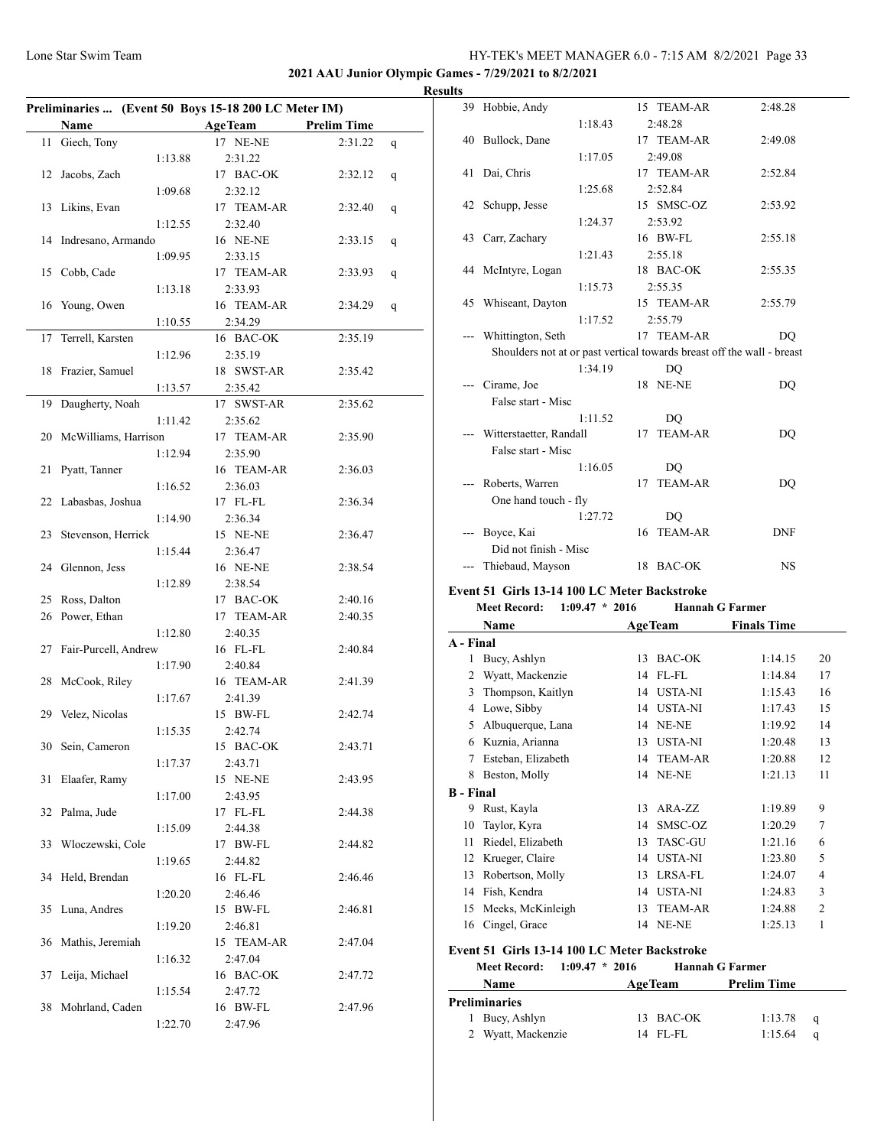**2021 AAU Junior Olympic Games - 7/29/2021 to 8/2/2021**

|    |                      |         | Preliminaries  (Event 50 Boys 15-18 200 LC Meter IM) |                    |   |
|----|----------------------|---------|------------------------------------------------------|--------------------|---|
|    | Name                 |         | <b>AgeTeam</b>                                       | <b>Prelim Time</b> |   |
| 11 | Giech, Tony          |         | 17 NE-NE                                             | 2:31.22            | q |
|    |                      | 1:13.88 | 2:31.22                                              |                    |   |
| 12 | Jacobs, Zach         |         | 17 BAC-OK                                            | 2:32.12            | q |
|    |                      | 1:09.68 | 2:32.12                                              |                    |   |
|    |                      |         | 17 TEAM-AR                                           |                    |   |
| 13 | Likins, Evan         |         |                                                      | 2:32.40            | q |
|    |                      | 1:12.55 | 2:32.40                                              |                    |   |
| 14 | Indresano, Armando   |         | 16 NE-NE                                             | 2:33.15            | q |
|    |                      | 1:09.95 | 2:33.15                                              |                    |   |
| 15 | Cobb, Cade           |         | 17 TEAM-AR                                           | 2:33.93            | q |
|    |                      | 1:13.18 | 2:33.93                                              |                    |   |
|    | Young, Owen          |         | 16 TEAM-AR                                           |                    |   |
| 16 |                      |         |                                                      | 2:34.29            | q |
|    |                      | 1:10.55 | 2:34.29                                              |                    |   |
| 17 | Terrell, Karsten     |         | 16 BAC-OK                                            | 2:35.19            |   |
|    |                      | 1:12.96 | 2:35.19                                              |                    |   |
| 18 | Frazier, Samuel      |         | 18 SWST-AR                                           | 2:35.42            |   |
|    |                      |         | 2:35.42                                              |                    |   |
|    |                      | 1:13.57 |                                                      |                    |   |
| 19 | Daugherty, Noah      |         | 17 SWST-AR                                           | 2:35.62            |   |
|    |                      | 1:11.42 | 2:35.62                                              |                    |   |
| 20 | McWilliams, Harrison |         | 17 TEAM-AR                                           | 2:35.90            |   |
|    |                      | 1:12.94 | 2:35.90                                              |                    |   |
| 21 |                      |         | 16 TEAM-AR                                           | 2:36.03            |   |
|    | Pyatt, Tanner        |         |                                                      |                    |   |
|    |                      | 1:16.52 | 2:36.03                                              |                    |   |
| 22 | Labasbas, Joshua     |         | 17 FL-FL                                             | 2:36.34            |   |
|    |                      | 1:14.90 | 2:36.34                                              |                    |   |
| 23 | Stevenson, Herrick   |         | 15 NE-NE                                             | 2:36.47            |   |
|    |                      | 1:15.44 | 2:36.47                                              |                    |   |
|    |                      |         |                                                      |                    |   |
| 24 | Glennon, Jess        |         | 16 NE-NE                                             | 2:38.54            |   |
|    |                      | 1:12.89 | 2:38.54                                              |                    |   |
| 25 | Ross, Dalton         |         | 17 BAC-OK                                            | 2:40.16            |   |
| 26 | Power, Ethan         |         | 17 TEAM-AR                                           | 2:40.35            |   |
|    |                      | 1:12.80 | 2:40.35                                              |                    |   |
|    |                      |         |                                                      |                    |   |
| 27 | Fair-Purcell, Andrew |         | 16 FL-FL                                             | 2:40.84            |   |
|    |                      | 1:17.90 | 2:40.84                                              |                    |   |
| 28 | McCook, Riley        |         | 16 TEAM-AR                                           | 2:41.39            |   |
|    |                      | 1:17.67 | 2:41.39                                              |                    |   |
| 29 | Velez, Nicolas       |         | 15 BW-FL                                             | 2:42.74            |   |
|    |                      |         |                                                      |                    |   |
|    |                      | 1:15.35 | 2:42.74                                              |                    |   |
|    | 30 Sein, Cameron     |         | 15 BAC-OK                                            | 2:43.71            |   |
|    |                      | 1:17.37 | 2:43.71                                              |                    |   |
| 31 | Elaafer, Ramy        |         | 15 NE-NE                                             | 2:43.95            |   |
|    |                      | 1:17.00 | 2:43.95                                              |                    |   |
|    |                      |         | 17 FL-FL                                             | 2:44.38            |   |
| 32 | Palma, Jude          |         |                                                      |                    |   |
|    |                      | 1:15.09 | 2:44.38                                              |                    |   |
| 33 | Włoczewski, Cole     |         | 17 BW-FL                                             | 2:44.82            |   |
|    |                      | 1:19.65 | 2:44.82                                              |                    |   |
| 34 | Held, Brendan        |         | 16 FL-FL                                             | 2:46.46            |   |
|    |                      |         | 2:46.46                                              |                    |   |
|    |                      | 1:20.20 |                                                      |                    |   |
| 35 | Luna, Andres         |         | 15 BW-FL                                             | 2:46.81            |   |
|    |                      | 1:19.20 | 2:46.81                                              |                    |   |
| 36 | Mathis, Jeremiah     |         | 15 TEAM-AR                                           | 2:47.04            |   |
|    |                      | 1:16.32 | 2:47.04                                              |                    |   |
|    |                      |         |                                                      |                    |   |
| 37 | Leija, Michael       |         | 16 BAC-OK                                            | 2:47.72            |   |
|    |                      | 1:15.54 | 2:47.72                                              |                    |   |
| 38 | Mohrland, Caden      |         | 16 BW-FL                                             | 2:47.96            |   |
|    |                      | 1:22.70 | 2:47.96                                              |                    |   |
|    |                      |         |                                                      |                    |   |

| <b>Results</b> |                                               |         |    |                                  |                                                                        |
|----------------|-----------------------------------------------|---------|----|----------------------------------|------------------------------------------------------------------------|
|                | 39 Hobbie, Andy                               |         |    | 15 TEAM-AR                       | 2:48.28                                                                |
|                |                                               | 1:18.43 |    | 2:48.28                          |                                                                        |
|                | 40 Bullock, Dane                              |         |    | 17 TEAM-AR                       | 2:49.08                                                                |
|                |                                               | 1:17.05 |    | 2:49.08                          |                                                                        |
|                | 41 Dai, Chris                                 |         |    | 17 TEAM-AR                       | 2:52.84                                                                |
|                |                                               | 1:25.68 |    | 2:52.84                          |                                                                        |
|                | 42 Schupp, Jesse                              |         |    | 15 SMSC-OZ                       | 2:53.92                                                                |
|                |                                               | 1:24.37 |    | 2:53.92                          |                                                                        |
|                | 43 Carr, Zachary                              |         |    | 16 BW-FL                         | 2:55.18                                                                |
|                |                                               | 1:21.43 |    | 2:55.18                          |                                                                        |
|                | 44 McIntyre, Logan                            |         |    | 18 BAC-OK                        | 2:55.35                                                                |
|                |                                               | 1:15.73 |    | 2:55.35                          |                                                                        |
|                | 45 Whiseant, Dayton                           |         |    | 15 TEAM-AR                       | 2:55.79                                                                |
|                |                                               | 1:17.52 |    | 2:55.79                          |                                                                        |
|                | Whittington, Seth                             |         |    | 17 TEAM-AR                       | DQ                                                                     |
|                |                                               |         |    |                                  | Shoulders not at or past vertical towards breast off the wall - breast |
|                |                                               | 1:34.19 |    | D <sub>O</sub>                   |                                                                        |
|                | Cirame, Joe                                   |         |    | <b>18 NE-NE</b>                  | DO                                                                     |
|                | False start - Misc                            |         |    |                                  |                                                                        |
|                |                                               | 1:11.52 |    | D <sub>O</sub>                   |                                                                        |
|                | Witterstaetter, Randall<br>False start - Misc |         |    | 17 TEAM-AR                       | DQ                                                                     |
|                |                                               | 1:16.05 |    |                                  |                                                                        |
| $---$          | Roberts, Warren                               |         | 17 | D <sub>O</sub><br><b>TEAM-AR</b> | D <sub>O</sub>                                                         |
|                | One hand touch - fly                          |         |    |                                  |                                                                        |
|                |                                               | 1:27.72 |    | D <sub>O</sub>                   |                                                                        |
|                | --- Boyce, Kai                                |         |    | 16 TEAM-AR                       | <b>DNF</b>                                                             |
|                | Did not finish - Misc                         |         |    |                                  |                                                                        |
|                | --- Thiebaud, Mayson                          |         |    | 18 BAC-OK                        | <b>NS</b>                                                              |
|                |                                               |         |    |                                  |                                                                        |

## **Event 51 Girls 13-14 100 LC Meter Backstroke**

|                  | <b>Meet Record:</b><br>$1:09.47 * 2016$ |    | <b>Hannah G Farmer</b> |                    |                |
|------------------|-----------------------------------------|----|------------------------|--------------------|----------------|
|                  | Name                                    |    | <b>AgeTeam</b>         | <b>Finals Time</b> |                |
| A - Final        |                                         |    |                        |                    |                |
| 1                | Bucy, Ashlyn                            | 13 | <b>BAC-OK</b>          | 1:14.15            | 20             |
| 2                | Wyatt, Mackenzie                        | 14 | FL-FL                  | 1:14.84            | 17             |
| 3                | Thompson, Kaitlyn                       | 14 | <b>USTA-NI</b>         | 1:15.43            | 16             |
| 4                | Lowe, Sibby                             | 14 | <b>USTA-NI</b>         | 1:17.43            | 15             |
| 5.               | Albuquerque, Lana                       | 14 | NE-NE                  | 1:19.92            | 14             |
| 6                | Kuznia, Arianna                         | 13 | <b>USTA-NI</b>         | 1:20.48            | 13             |
| 7                | Esteban, Elizabeth                      | 14 | <b>TEAM-AR</b>         | 1:20.88            | 12             |
| 8                | Beston, Molly                           | 14 | NE-NE                  | 1:21.13            | 11             |
| <b>B</b> - Final |                                         |    |                        |                    |                |
| 9                | Rust, Kayla                             | 13 | ARA-ZZ                 | 1:19.89            | 9              |
| 10               | Taylor, Kyra                            | 14 | SMSC-OZ                | 1:20.29            | 7              |
| 11               | Riedel, Elizabeth                       | 13 | <b>TASC-GU</b>         | 1:21.16            | 6              |
| 12               | Krueger, Claire                         | 14 | <b>USTA-NI</b>         | 1:23.80            | 5              |
| 13               | Robertson, Molly                        | 13 | LRSA-FL                | 1:24.07            | 4              |
| 14               | Fish, Kendra                            | 14 | <b>USTA-NI</b>         | 1:24.83            | 3              |
| 15               | Meeks, McKinleigh                       | 13 | <b>TEAM-AR</b>         | 1:24.88            | $\overline{2}$ |
| 16               | Cingel, Grace                           | 14 | NE-NE                  | 1:25.13            | 1              |
|                  |                                         |    |                        |                    |                |

# **Event 51 Girls 13-14 100 LC Meter Backstroke**

| <b>Meet Record:</b> |                      | $1:09.47 * 2016$ |                | <b>Hannah G Farmer</b> |                    |              |  |
|---------------------|----------------------|------------------|----------------|------------------------|--------------------|--------------|--|
|                     | <b>Name</b>          |                  | <b>AgeTeam</b> |                        | <b>Prelim Time</b> |              |  |
|                     | <b>Preliminaries</b> |                  |                |                        |                    |              |  |
|                     | 1 Bucy, Ashlyn       |                  |                | 13 BAC-OK              | 1:13.78            | $\mathbf{a}$ |  |
|                     | 2 Wyatt, Mackenzie   |                  |                | 14 FL-FL               | 1:15.64            | a            |  |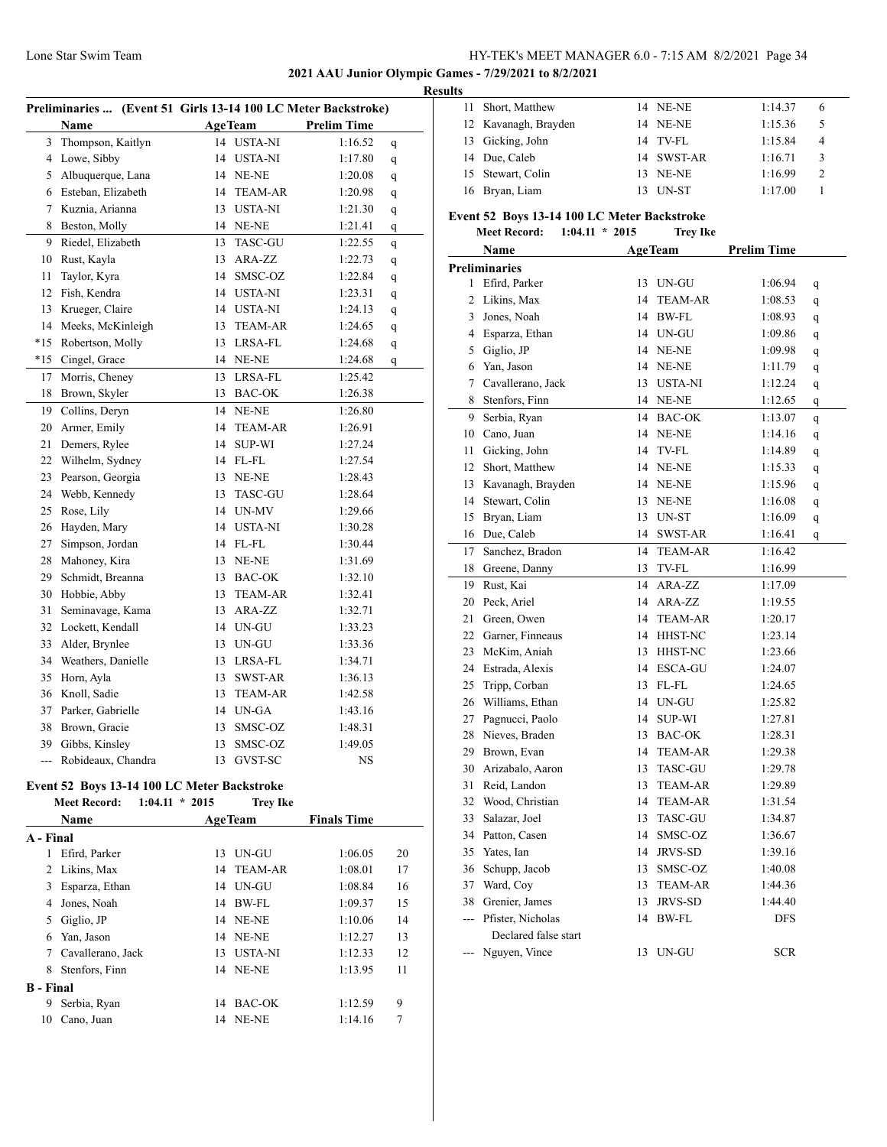#### **2021 AAU Junior Olympic Games - 7/29/2021 to 8/2/2021**

#### **Results**

| Preliminaries  (Event 51 Girls 13-14 100 LC Meter Backstroke) |                    |    |                |                    |             |  |  |
|---------------------------------------------------------------|--------------------|----|----------------|--------------------|-------------|--|--|
|                                                               | Name               |    | <b>AgeTeam</b> | <b>Prelim Time</b> |             |  |  |
| 3                                                             | Thompson, Kaitlyn  | 14 | <b>USTA-NI</b> | 1:16.52            | q           |  |  |
| 4                                                             | Lowe, Sibby        | 14 | <b>USTA-NI</b> | 1:17.80            | $\mathbf q$ |  |  |
| 5                                                             | Albuquerque, Lana  |    | 14 NE-NE       | 1:20.08            | q           |  |  |
| 6                                                             | Esteban, Elizabeth | 14 | <b>TEAM-AR</b> | 1:20.98            | q           |  |  |
| 7                                                             | Kuznia, Arianna    | 13 | <b>USTA-NI</b> | 1:21.30            | q           |  |  |
| 8                                                             | Beston, Molly      |    | 14 NE-NE       | 1:21.41            | q           |  |  |
| 9                                                             | Riedel, Elizabeth  | 13 | <b>TASC-GU</b> | 1:22.55            | q           |  |  |
| 10                                                            | Rust, Kayla        | 13 | ARA-ZZ         | 1:22.73            | q           |  |  |
| 11                                                            | Taylor, Kyra       | 14 | SMSC-OZ        | 1:22.84            | q           |  |  |
| 12                                                            | Fish, Kendra       | 14 | <b>USTA-NI</b> | 1:23.31            | q           |  |  |
| 13                                                            | Krueger, Claire    | 14 | <b>USTA-NI</b> | 1:24.13            | q           |  |  |
| 14                                                            | Meeks, McKinleigh  | 13 | <b>TEAM-AR</b> | 1:24.65            | q           |  |  |
| $*15$                                                         | Robertson, Molly   | 13 | LRSA-FL        | 1:24.68            | q           |  |  |
| $*15$                                                         | Cingel, Grace      | 14 | NE-NE          | 1:24.68            | q           |  |  |
| 17                                                            | Morris, Cheney     | 13 | LRSA-FL        | 1:25.42            |             |  |  |
| 18                                                            | Brown, Skyler      | 13 | <b>BAC-OK</b>  | 1:26.38            |             |  |  |
| 19                                                            | Collins, Deryn     | 14 | NE-NE          | 1:26.80            |             |  |  |
| $20\,$                                                        | Armer, Emily       | 14 | <b>TEAM-AR</b> | 1:26.91            |             |  |  |
| 21                                                            | Demers, Rylee      | 14 | <b>SUP-WI</b>  | 1:27.24            |             |  |  |
| 22                                                            | Wilhelm, Sydney    | 14 | $FL$ - $FL$    | 1:27.54            |             |  |  |
| 23                                                            | Pearson, Georgia   | 13 | NE-NE          | 1:28.43            |             |  |  |
| 24                                                            | Webb, Kennedy      | 13 | <b>TASC-GU</b> | 1:28.64            |             |  |  |
| 25                                                            | Rose, Lily         | 14 | UN-MV          | 1:29.66            |             |  |  |
| 26                                                            | Hayden, Mary       |    | 14 USTA-NI     | 1:30.28            |             |  |  |
| $27\,$                                                        | Simpson, Jordan    |    | 14 FL-FL       | 1:30.44            |             |  |  |
| 28                                                            | Mahoney, Kira      | 13 | NE-NE          | 1:31.69            |             |  |  |
| 29                                                            | Schmidt, Breanna   | 13 | <b>BAC-OK</b>  | 1:32.10            |             |  |  |
| 30                                                            | Hobbie, Abby       | 13 | <b>TEAM-AR</b> | 1:32.41            |             |  |  |
| 31                                                            | Seminavage, Kama   | 13 | ARA-ZZ         | 1:32.71            |             |  |  |
| 32                                                            | Lockett, Kendall   | 14 | UN-GU          | 1:33.23            |             |  |  |
| 33                                                            | Alder, Brynlee     | 13 | UN-GU          | 1:33.36            |             |  |  |
| 34                                                            | Weathers, Danielle | 13 | LRSA-FL        | 1:34.71            |             |  |  |
| 35                                                            | Horn, Ayla         | 13 | <b>SWST-AR</b> | 1:36.13            |             |  |  |
| 36                                                            | Knoll, Sadie       | 13 | <b>TEAM-AR</b> | 1:42.58            |             |  |  |
| 37                                                            | Parker, Gabrielle  | 14 | UN-GA          | 1:43.16            |             |  |  |
| 38                                                            | Brown, Gracie      | 13 | SMSC-OZ        | 1:48.31            |             |  |  |
| 39                                                            | Gibbs, Kinsley     | 13 | SMSC-OZ        | 1:49.05            |             |  |  |
| ---                                                           | Robideaux, Chandra | 13 | GVST-SC        | <b>NS</b>          |             |  |  |

# **Event 52 Boys 13-14 100 LC Meter Backstroke Meet Record: 1:04.11 \* 2015 Trey Ike Name Age Team Finals Time A - Final** 1 Efird, Parker 13 UN-GU 1:06.05 20 2 Likins, Max 14 TEAM-AR 1:08.01 17 Esparza, Ethan 14 UN-GU 1:08.84 16 Jones, Noah 14 BW-FL 1:09.37 15 5 Giglio, JP 14 NE-NE 1:10.06 14 Yan, Jason 14 NE-NE 1:12.27 13 Cavallerano, Jack 13 USTA-NI 1:12.33 12 8 Stenfors, Finn 14 NE-NE 1:13.95 11 **B - Final** Serbia, Ryan 14 BAC-OK 1:12.59 9 10 Cano, Juan 14 NE-NE 1:14.16 7

| 11 Short, Matthew    | 14 NE-NE     | 1:14.37 | 6 |
|----------------------|--------------|---------|---|
| 12 Kavanagh, Brayden | 14 NE-NE     | 1:15.36 | 5 |
| 13 Gicking, John     | 14 TV-FL     | 1:15.84 | 4 |
| 14 Due, Caleb        | 14 SWST-AR   | 1:16.71 | 3 |
| 15 Stewart, Colin    | 13 NE-NE     | 1:16.99 |   |
| 16 Bryan, Liam       | <b>IN-ST</b> | 1:17.00 |   |

# **Event 52 Boys 13-14 100 LC Meter Backstroke**

|                | <b>Meet Record:</b>   | $1:04.11 * 2015$ |    | <b>Trey Ike</b>                      |                    |   |
|----------------|-----------------------|------------------|----|--------------------------------------|--------------------|---|
|                | Name                  |                  |    | <b>AgeTeam</b>                       | <b>Prelim Time</b> |   |
|                | <b>Preliminaries</b>  |                  |    |                                      |                    |   |
| 1              | Efird, Parker         |                  | 13 | UN-GU                                | 1:06.94            | q |
| $\overline{2}$ | Likins, Max           |                  | 14 | <b>TEAM-AR</b>                       | 1:08.53            | q |
| 3              | Jones, Noah           |                  | 14 | BW-FL                                | 1:08.93            | q |
|                | 4 Esparza, Ethan      |                  |    | 14 UN-GU                             | 1:09.86            | q |
|                | 5 Giglio, JP          |                  | 14 | NE-NE                                | 1:09.98            | q |
|                | 6 Yan, Jason          |                  | 14 | NE-NE                                | 1:11.79            | q |
|                | 7 Cavallerano, Jack   |                  | 13 | <b>USTA-NI</b>                       | 1:12.24            | q |
| 8              | Stenfors, Finn        |                  | 14 | NE-NE                                | 1:12.65            | q |
| 9              | Serbia, Ryan          |                  | 14 | <b>BAC-OK</b>                        | 1:13.07            | q |
| 10             | Cano, Juan            |                  | 14 | NE-NE                                | 1:14.16            | q |
| 11             | Gicking, John         |                  | 14 | TV-FL                                | 1:14.89            | q |
| 12             | Short, Matthew        |                  | 14 | NE-NE                                | 1:15.33            | q |
| 13             | Kavanagh, Brayden     |                  | 14 | NE-NE                                | 1:15.96            | q |
| 14             | Stewart, Colin        |                  | 13 | NE-NE                                | 1:16.08            | q |
| 15             | Bryan, Liam           |                  | 13 | UN-ST                                | 1:16.09            | q |
| 16             | Due, Caleb            |                  | 14 | <b>SWST-AR</b>                       | 1:16.41            | q |
| 17             | Sanchez, Bradon       |                  | 14 | <b>TEAM-AR</b>                       | 1:16.42            |   |
| 18             | Greene, Danny         |                  | 13 | TV-FL                                | 1:16.99            |   |
| 19             | Rust, Kai             |                  | 14 | ARA-ZZ                               | 1:17.09            |   |
| 20             | Peck, Ariel           |                  | 14 | ARA-ZZ                               | 1:19.55            |   |
| 21             | Green, Owen           |                  | 14 | <b>TEAM-AR</b>                       | 1:20.17            |   |
| 22             | Garner, Finneaus      |                  | 14 | HHST-NC                              | 1:23.14            |   |
| 23             | McKim, Aniah          |                  | 13 | HHST-NC                              | 1:23.66            |   |
| 24             | Estrada, Alexis       |                  | 14 | <b>ESCA-GU</b>                       | 1:24.07            |   |
| 25             | Tripp, Corban         |                  | 13 | FL-FL                                | 1:24.65            |   |
|                | 26 Williams, Ethan    |                  | 14 | $\ensuremath{\mathrm{UN\text{-}GU}}$ | 1:25.82            |   |
| 27             | Pagnucci, Paolo       |                  | 14 | <b>SUP-WI</b>                        | 1:27.81            |   |
| 28             | Nieves, Braden        |                  | 13 | <b>BAC-OK</b>                        | 1:28.31            |   |
| 29             | Brown, Evan           |                  | 14 | <b>TEAM-AR</b>                       | 1:29.38            |   |
|                | 30 Arizabalo, Aaron   |                  | 13 | <b>TASC-GU</b>                       | 1:29.78            |   |
| 31             | Reid, Landon          |                  | 13 | <b>TEAM-AR</b>                       | 1:29.89            |   |
| 32             | Wood, Christian       |                  | 14 | <b>TEAM-AR</b>                       | 1:31.54            |   |
| 33             | Salazar, Joel         |                  | 13 | <b>TASC-GU</b>                       | 1:34.87            |   |
| 34             | Patton, Casen         |                  | 14 | SMSC-OZ                              | 1:36.67            |   |
| 35             | Yates, Ian            |                  | 14 | <b>JRVS-SD</b>                       | 1:39.16            |   |
| 36             | Schupp, Jacob         |                  | 13 | SMSC-OZ                              | 1:40.08            |   |
|                | 37 Ward, Coy          |                  | 13 | <b>TEAM-AR</b>                       | 1:44.36            |   |
|                | 38 Grenier, James     |                  | 13 | <b>JRVS-SD</b>                       | 1:44.40            |   |
|                | --- Pfister, Nicholas |                  | 14 | <b>BW-FL</b>                         | <b>DFS</b>         |   |
|                | Declared false start  |                  |    |                                      |                    |   |
| ---            | Nguyen, Vince         |                  | 13 | UN-GU                                | <b>SCR</b>         |   |
|                |                       |                  |    |                                      |                    |   |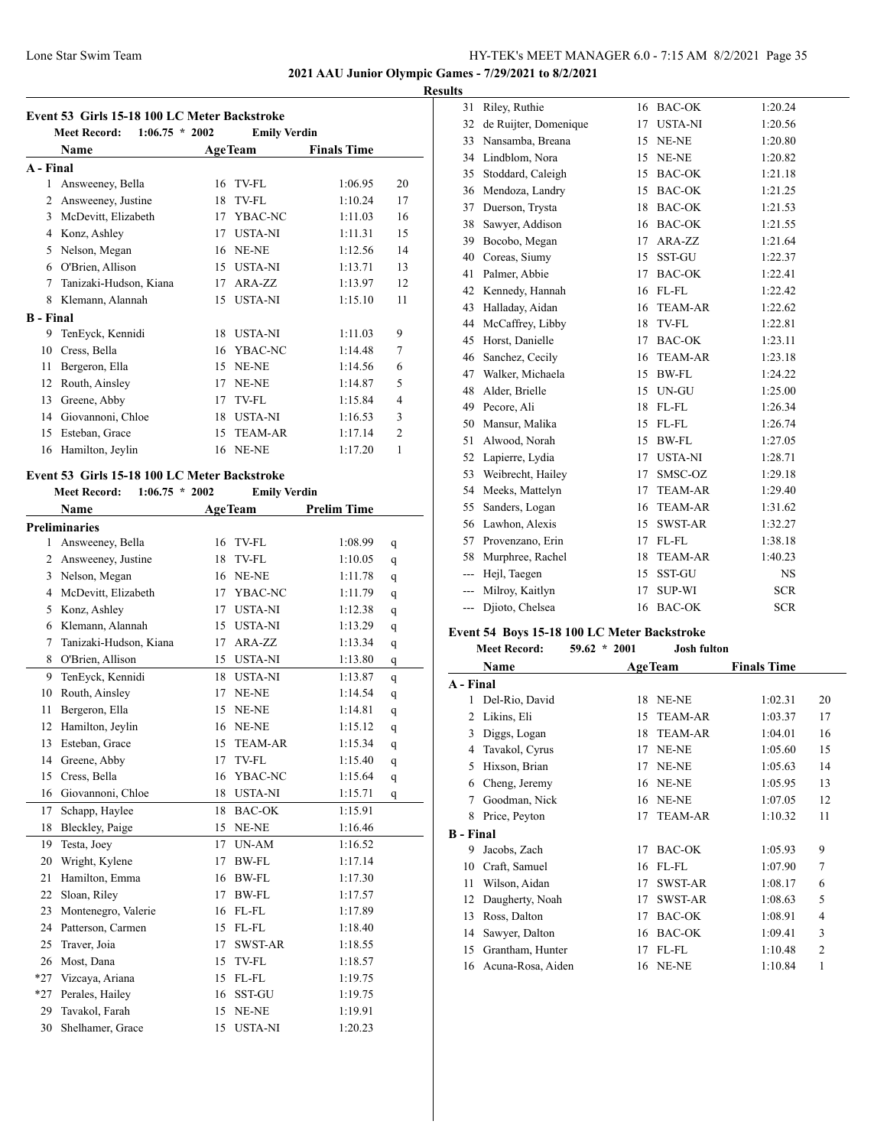## **2021 AAU Junior Olympic Games - 7/29/2021 to 8/2/2021**

# **Results**

|                  | $1:06.75 * 2002$<br><b>Meet Record:</b> |    | <b>Emily Verdin</b> |                    |                |
|------------------|-----------------------------------------|----|---------------------|--------------------|----------------|
|                  | Name                                    |    | <b>AgeTeam</b>      | <b>Finals Time</b> |                |
| A - Final        |                                         |    |                     |                    |                |
| 1                | Answeeney, Bella                        | 16 | TV-FL               | 1:06.95            | 20             |
| 2                | Answeeney, Justine                      | 18 | TV-FL               | 1.1024             | 17             |
| $\mathbf{3}$     | McDevitt, Elizabeth                     | 17 | YBAC-NC             | 1:11.03            | 16             |
| 4                | Konz, Ashley                            | 17 | <b>USTA-NI</b>      | 1:11.31            | 15             |
| 5                | Nelson, Megan                           | 16 | NE-NE               | 1:12.56            | 14             |
| 6                | O'Brien, Allison                        | 15 | <b>USTA-NI</b>      | 1:13.71            | 13             |
| 7                | Tanizaki-Hudson, Kiana                  | 17 | $ARA-ZZ$            | 1:13.97            | 12.            |
| 8                | Klemann, Alannah                        | 15 | <b>USTA-NI</b>      | 1:15.10            | 11             |
| <b>B</b> - Final |                                         |    |                     |                    |                |
| 9                | TenEyck, Kennidi                        | 18 | <b>USTA-NI</b>      | 1:11.03            | 9              |
| 10               | Cress, Bella                            | 16 | YBAC-NC             | 1:14.48            | 7              |
| 11               | Bergeron, Ella                          | 15 | NE-NE               | 1:14.56            | 6              |
| 12               | Routh, Ainsley                          | 17 | NE-NE               | 1:14.87            | 5              |
| 13               | Greene, Abby                            | 17 | TV-FL               | 1:15.84            | 4              |
| 14               | Giovannoni, Chloe                       | 18 | <b>USTA-NI</b>      | 1:16.53            | 3              |
| 15               | Esteban, Grace                          | 15 | <b>TEAM-AR</b>      | 1:17.14            | $\overline{c}$ |
| 16               | Hamilton, Jeylin                        | 16 | NE-NE               | 1:17.20            | 1              |

# **Event 53 Girls 15-18 100 LC Meter Backstroke**

**Meet Record: 1:06.75 \* 2002 Emily Verdin**

|                | <b>Name</b>            | <b>AgeTeam</b>       | <b>Prelim Time</b> |   |
|----------------|------------------------|----------------------|--------------------|---|
|                | <b>Preliminaries</b>   |                      |                    |   |
| 1              | Answeeney, Bella       | TV-FL<br>16          | 1:08.99            | q |
| $\overline{c}$ | Answeeney, Justine     | 18<br>TV-FL          | 1:10.05            | q |
| 3              | Nelson, Megan          | 16<br>NE-NE          | 1:11.78            | q |
| 4              | McDevitt, Elizabeth    | YBAC-NC<br>17        | 1:11.79            | q |
| 5              | Konz, Ashley           | <b>USTA-NI</b><br>17 | 1:12.38            | q |
| 6              | Klemann, Alannah       | 15<br><b>USTA-NI</b> | 1:13.29            | q |
| 7              | Tanizaki-Hudson, Kiana | 17<br>ARA-ZZ         | 1:13.34            | q |
| 8              | O'Brien, Allison       | <b>USTA-NI</b><br>15 | 1:13.80            | q |
| 9              | TenEyck, Kennidi       | <b>USTA-NI</b><br>18 | 1:13.87            | q |
| 10             | Routh, Ainsley         | 17<br>NE-NE          | 1:14.54            | q |
| 11             | Bergeron, Ella         | NE-NE<br>15          | 1:14.81            | q |
| 12             | Hamilton, Jeylin       | NE-NE<br>16          | 1:15.12            | q |
| 13             | Esteban, Grace         | 15<br><b>TEAM-AR</b> | 1:15.34            | q |
| 14             | Greene, Abby           | 17<br>TV-FL          | 1:15.40            | q |
| 15             | Cress, Bella           | YBAC-NC<br>16        | 1:15.64            | q |
| 16             | Giovannoni, Chloe      | 18<br><b>USTA-NI</b> | 1:15.71            | q |
| 17             | Schapp, Haylee         | 18<br><b>BAC-OK</b>  | 1:15.91            |   |
| 18             | Bleckley, Paige        | 15<br>NE-NE          | 1:16.46            |   |
| 19             | Testa, Joev            | 17<br>UN-AM          | 1:16.52            |   |
| 20             | Wright, Kylene         | <b>BW-FL</b><br>17   | 1:17.14            |   |
| 21             | Hamilton, Emma         | BW-FL<br>16          | 1:17.30            |   |
| 22             | Sloan, Riley           | 17<br><b>BW-FL</b>   | 1:17.57            |   |
| 23             | Montenegro, Valerie    | FL-FL<br>16          | 1:17.89            |   |
| 24             | Patterson, Carmen      | 15<br>FL-FL          | 1:18.40            |   |
| 25             | Traver, Joia           | 17<br><b>SWST-AR</b> | 1:18.55            |   |
| 26             | Most, Dana             | 15<br>TV-FL          | 1:18.57            |   |
| $*27$          | Vizcaya, Ariana        | 15<br>FL-FL          | 1:19.75            |   |
| $*27$          | Perales, Hailey        | SST-GU<br>16         | 1:19.75            |   |
| 29             | Tavakol, Farah         | 15<br>NE-NE          | 1:19.91            |   |
| 30             | Shelhamer, Grace       | <b>USTA-NI</b><br>15 | 1:20.23            |   |

| ιJ |                          |                       |    |                |            |
|----|--------------------------|-----------------------|----|----------------|------------|
|    | 31                       | Riley, Ruthie         | 16 | <b>BAC-OK</b>  | 1:20.24    |
|    | 32                       | de Ruijter, Domenique | 17 | <b>USTA-NI</b> | 1:20.56    |
|    | 33                       | Nansamba, Breana      | 15 | NE-NE          | 1:20.80    |
|    | 34                       | Lindblom, Nora        | 15 | NE-NE          | 1:20.82    |
|    | 35                       | Stoddard, Caleigh     | 15 | <b>BAC-OK</b>  | 1:21.18    |
|    | 36                       | Mendoza, Landry       | 15 | <b>BAC-OK</b>  | 1:21.25    |
|    | 37                       | Duerson, Trysta       | 18 | <b>BAC-OK</b>  | 1:21.53    |
|    | 38                       | Sawyer, Addison       | 16 | <b>BAC-OK</b>  | 1:21.55    |
|    | 39                       | Bocobo, Megan         | 17 | ARA-ZZ         | 1:21.64    |
|    | 40                       | Coreas, Siumy         | 15 | SST-GU         | 1:22.37    |
|    | 41                       | Palmer, Abbie         | 17 | <b>BAC-OK</b>  | 1:22.41    |
|    | 42                       | Kennedy, Hannah       | 16 | FL-FL          | 1:22.42    |
|    | 43                       | Halladay, Aidan       | 16 | <b>TEAM-AR</b> | 1:22.62    |
|    | 44                       | McCaffrey, Libby      | 18 | TV-FL          | 1:22.81    |
|    | 45                       | Horst, Danielle       | 17 | <b>BAC-OK</b>  | 1:23.11    |
|    | 46                       | Sanchez, Cecily       | 16 | <b>TEAM-AR</b> | 1:23.18    |
|    | 47                       | Walker, Michaela      | 15 | <b>BW-FL</b>   | 1:24.22    |
|    | 48                       | Alder, Brielle        | 15 | UN-GU          | 1:25.00    |
|    | 49                       | Pecore, Ali           | 18 | FL-FL          | 1:26.34    |
|    | 50                       | Mansur, Malika        | 15 | FL-FL          | 1:26.74    |
|    | 51                       | Alwood, Norah         | 15 | <b>BW-FL</b>   | 1:27.05    |
|    | 52                       | Lapierre, Lydia       | 17 | <b>USTA-NI</b> | 1:28.71    |
|    | 53                       | Weibrecht, Hailey     | 17 | SMSC-OZ        | 1:29.18    |
|    | 54                       | Meeks, Mattelyn       | 17 | <b>TEAM-AR</b> | 1:29.40    |
|    | 55                       | Sanders, Logan        | 16 | <b>TEAM-AR</b> | 1:31.62    |
|    | 56                       | Lawhon, Alexis        | 15 | SWST-AR        | 1:32.27    |
|    | 57                       | Provenzano, Erin      | 17 | FL-FL          | 1:38.18    |
|    | 58                       | Murphree, Rachel      | 18 | <b>TEAM-AR</b> | 1:40.23    |
|    | $\overline{\phantom{a}}$ | Hejl, Taegen          | 15 | SST-GU         | <b>NS</b>  |
|    | ---                      | Milroy, Kaitlyn       | 17 | <b>SUP-WI</b>  | <b>SCR</b> |
|    | ---                      | Djioto, Chelsea       | 16 | <b>BAC-OK</b>  | <b>SCR</b> |
|    |                          |                       |    |                |            |

## **Event 54 Boys 15-18 100 LC Meter Backstroke**

|                  | <b>Meet Record:</b> | $59.62 * 2001$ | <b>Josh fulton</b> |                    |                |
|------------------|---------------------|----------------|--------------------|--------------------|----------------|
|                  | Name                |                | <b>AgeTeam</b>     | <b>Finals Time</b> |                |
| A - Final        |                     |                |                    |                    |                |
| 1                | Del-Rio, David      | 18             | NE-NE              | 1:02.31            | 20             |
| 2                | Likins, Eli         | 15             | <b>TEAM-AR</b>     | 1:03.37            | 17             |
| 3                | Diggs, Logan        | 18             | <b>TEAM-AR</b>     | 1:04.01            | 16             |
| 4                | Tavakol, Cyrus      | 17             | NE-NE              | 1:05.60            | 15             |
| 5                | Hixson, Brian       | 17             | NE-NE              | 1:05.63            | 14             |
| 6                | Cheng, Jeremy       | 16             | NE-NE              | 1:05.95            | 13             |
| 7                | Goodman, Nick       | 16             | NE-NE              | 1:07.05            | 12             |
| 8                | Price, Peyton       | 17             | <b>TEAM-AR</b>     | 1:10.32            | 11             |
| <b>B</b> - Final |                     |                |                    |                    |                |
| 9                | Jacobs, Zach        | 17             | BAC-OK             | 1:05.93            | 9              |
| 10               | Craft, Samuel       | 16             | FL-FL              | 1:07.90            | 7              |
| 11               | Wilson, Aidan       | 17             | <b>SWST-AR</b>     | 1:08.17            | 6              |
| 12               | Daugherty, Noah     | 17             | <b>SWST-AR</b>     | 1:08.63            | 5              |
| 13               | Ross, Dalton        | 17             | <b>BAC-OK</b>      | 1:08.91            | 4              |
| 14               | Sawyer, Dalton      | 16             | <b>BAC-OK</b>      | 1:09.41            | 3              |
| 15               | Grantham, Hunter    | 17             | FL-FL              | 1:10.48            | $\overline{2}$ |
| 16               | Acuna-Rosa, Aiden   |                | 16 NE-NE           | 1:10.84            | 1              |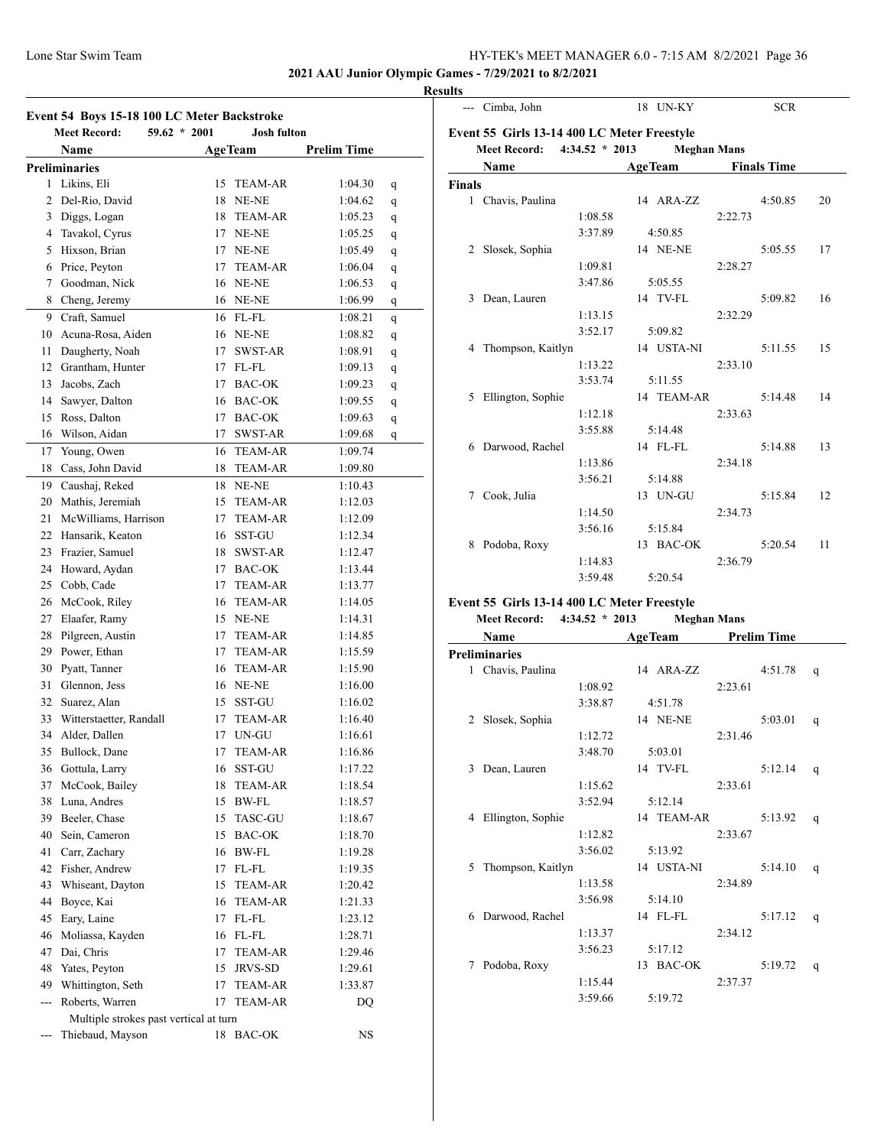**2021 AAU Junior Olympic Games - 7/29/2021 to 8/2/2021**

# **Results**

| Event 54 Boys 15-18 100 LC Meter Backstroke |                                        |    |                    |                    |   |  |  |  |
|---------------------------------------------|----------------------------------------|----|--------------------|--------------------|---|--|--|--|
|                                             | $59.62 * 2001$<br><b>Meet Record:</b>  |    | <b>Josh fulton</b> |                    |   |  |  |  |
|                                             | Name                                   |    | <b>AgeTeam</b>     | <b>Prelim Time</b> |   |  |  |  |
|                                             | <b>Preliminaries</b>                   |    |                    |                    |   |  |  |  |
| 1                                           | Likins, Eli                            |    | 15 TEAM-AR         | 1:04.30            | q |  |  |  |
| 2                                           | Del-Rio, David                         |    | 18 NE-NE           | 1:04.62            | q |  |  |  |
| 3                                           | Diggs, Logan                           |    | 18 TEAM-AR         | 1:05.23            | q |  |  |  |
| 4                                           | Tavakol, Cyrus                         |    | 17 NE-NE           | 1:05.25            | q |  |  |  |
| 5                                           | Hixson, Brian                          |    | <b>17 NE-NE</b>    | 1:05.49            | q |  |  |  |
| 6                                           | Price, Peyton                          | 17 | <b>TEAM-AR</b>     | 1:06.04            | q |  |  |  |
| 7                                           | Goodman, Nick                          |    | 16 NE-NE           | 1:06.53            | q |  |  |  |
|                                             | 8 Cheng, Jeremy                        |    | 16 NE-NE           | 1:06.99            | q |  |  |  |
| 9                                           | Craft, Samuel                          |    | 16 FL-FL           | 1:08.21            | q |  |  |  |
| 10                                          | Acuna-Rosa, Aiden                      |    | 16 NE-NE           | 1:08.82            | q |  |  |  |
| 11                                          | Daugherty, Noah                        |    | 17 SWST-AR         | 1:08.91            | q |  |  |  |
|                                             | 12 Grantham, Hunter                    |    | 17 FL-FL           | 1:09.13            | q |  |  |  |
| 13                                          | Jacobs, Zach                           |    | 17 BAC-OK          | 1:09.23            | q |  |  |  |
| 14                                          | Sawyer, Dalton                         |    | 16 BAC-OK          | 1:09.55            | q |  |  |  |
| 15                                          | Ross, Dalton                           |    | 17 BAC-OK          | 1:09.63            | q |  |  |  |
| 16                                          | Wilson, Aidan                          | 17 | <b>SWST-AR</b>     | 1:09.68            | q |  |  |  |
| 17                                          | Young, Owen                            |    | 16 TEAM-AR         | 1:09.74            |   |  |  |  |
| 18                                          | Cass, John David                       |    | 18 TEAM-AR         | 1:09.80            |   |  |  |  |
|                                             |                                        |    |                    |                    |   |  |  |  |
| 19                                          | Caushaj, Reked                         |    | 18 NE-NE           | 1:10.43            |   |  |  |  |
| 20                                          | Mathis, Jeremiah                       | 15 | <b>TEAM-AR</b>     | 1:12.03            |   |  |  |  |
| 21                                          | McWilliams, Harrison                   | 17 | <b>TEAM-AR</b>     | 1:12.09            |   |  |  |  |
| 22                                          | Hansarik, Keaton                       |    | 16 SST-GU          | 1:12.34            |   |  |  |  |
| 23                                          | Frazier, Samuel                        |    | 18 SWST-AR         | 1:12.47            |   |  |  |  |
| 24                                          | Howard, Aydan                          |    | 17 BAC-OK          | 1:13.44            |   |  |  |  |
| 25                                          | Cobb, Cade                             |    | 17 TEAM-AR         | 1:13.77            |   |  |  |  |
|                                             | 26 McCook, Riley                       |    | 16 TEAM-AR         | 1:14.05            |   |  |  |  |
| 27                                          | Elaafer, Ramy                          |    | 15 NE-NE           | 1:14.31            |   |  |  |  |
| 28                                          | Pilgreen, Austin                       |    | 17 TEAM-AR         | 1:14.85            |   |  |  |  |
| 29                                          | Power, Ethan                           |    | 17 TEAM-AR         | 1:15.59            |   |  |  |  |
| 30                                          | Pyatt, Tanner                          |    | 16 TEAM-AR         | 1:15.90            |   |  |  |  |
| 31                                          | Glennon, Jess                          |    | 16 NE-NE           | 1:16.00            |   |  |  |  |
| 32                                          | Suarez, Alan                           | 15 | <b>SST-GU</b>      | 1:16.02            |   |  |  |  |
| 33                                          | Witterstaetter, Randall                | 17 | <b>TEAM-AR</b>     | 1:16.40            |   |  |  |  |
| 34                                          | Alder, Dallen                          | 17 | UN-GU              | 1:16.61            |   |  |  |  |
| 35                                          | Bullock, Dane                          | 17 | TEAM-AR            | 1:16.86            |   |  |  |  |
| 36                                          | Gottula, Larry                         | 16 | SST-GU             | 1:17.22            |   |  |  |  |
| 37                                          | McCook, Bailey                         | 18 | <b>TEAM-AR</b>     | 1:18.54            |   |  |  |  |
| 38                                          | Luna, Andres                           |    | 15 BW-FL           | 1:18.57            |   |  |  |  |
| 39                                          | Beeler, Chase                          |    | 15 TASC-GU         | 1:18.67            |   |  |  |  |
| 40                                          | Sein, Cameron                          |    | 15 BAC-OK          | 1:18.70            |   |  |  |  |
| 41                                          | Carr, Zachary                          |    | 16 BW-FL           | 1:19.28            |   |  |  |  |
| 42                                          | Fisher, Andrew                         | 17 | FL-FL              | 1:19.35            |   |  |  |  |
| 43                                          | Whiseant, Dayton                       | 15 | <b>TEAM-AR</b>     | 1:20.42            |   |  |  |  |
| 44                                          | Boyce, Kai                             |    | 16 TEAM-AR         | 1:21.33            |   |  |  |  |
| 45                                          | Eary, Laine                            |    | 17 FL-FL           | 1:23.12            |   |  |  |  |
| 46                                          | Moliassa, Kayden                       |    | 16 FL-FL           | 1:28.71            |   |  |  |  |
| 47                                          | Dai, Chris                             | 17 | <b>TEAM-AR</b>     | 1:29.46            |   |  |  |  |
| 48                                          | Yates, Peyton                          | 15 | JRVS-SD            | 1:29.61            |   |  |  |  |
| 49                                          | Whittington, Seth                      | 17 | TEAM-AR            | 1:33.87            |   |  |  |  |
| $\overline{a}$                              | Roberts, Warren                        | 17 | TEAM-AR            | DQ                 |   |  |  |  |
|                                             | Multiple strokes past vertical at turn |    |                    |                    |   |  |  |  |
|                                             | Thiebaud, Mayson                       |    | 18 BAC-OK          | NS                 |   |  |  |  |
|                                             |                                        |    |                    |                    |   |  |  |  |

|               | --- Cimba, John                             |                  | 18 UN-KY           |         | <b>SCR</b>         |    |
|---------------|---------------------------------------------|------------------|--------------------|---------|--------------------|----|
|               | Event 55 Girls 13-14 400 LC Meter Freestyle |                  |                    |         |                    |    |
|               | <b>Meet Record:</b>                         | $4:34.52 * 2013$ | <b>Meghan Mans</b> |         |                    |    |
|               | Name                                        |                  | <b>AgeTeam</b>     |         | <b>Finals Time</b> |    |
| <b>Finals</b> |                                             |                  |                    |         |                    |    |
|               | 1 Chavis, Paulina                           |                  | 14 ARA-ZZ          |         | 4:50.85            | 20 |
|               |                                             | 1:08.58          |                    | 2:22.73 |                    |    |
|               |                                             | 3:37.89          | 4:50.85            |         |                    |    |
| 2             | Slosek, Sophia                              |                  | 14 NE-NE           |         | 5:05.55            | 17 |
|               |                                             | 1:09.81          |                    | 2:28.27 |                    |    |
|               |                                             | 3:47.86          | 5:05.55            |         |                    |    |
|               | 3 Dean, Lauren                              |                  | 14 TV-FL           |         | 5:09.82            | 16 |
|               |                                             | 1:13.15          |                    | 2:32.29 |                    |    |
|               |                                             | 3:52.17          | 5:09.82            |         |                    |    |
|               | 4 Thompson, Kaitlyn                         |                  | 14 USTA-NI         |         | 5:11.55            | 15 |
|               |                                             | 1:13.22          |                    | 2:33.10 |                    |    |
|               |                                             | 3:53.74          | 5:11.55            |         |                    |    |
|               | 5 Ellington, Sophie                         |                  | 14 TEAM-AR         |         | 5:14.48            | 14 |
|               |                                             | 1:12.18          |                    | 2:33.63 |                    |    |
|               |                                             | 3:55.88          | 5:14.48            |         |                    |    |
|               | 6 Darwood, Rachel                           |                  | 14 FL-FL           |         | 5:14.88            | 13 |
|               |                                             | 1:13.86          |                    | 2:34.18 |                    |    |
|               |                                             | 3:56.21          | 5:14.88            |         |                    |    |
| 7             | Cook, Julia                                 |                  | 13 UN-GU           |         | 5:15.84            | 12 |
|               |                                             | 1:14.50          |                    | 2:34.73 |                    |    |
|               |                                             | 3:56.16          | 5:15.84            |         |                    |    |
| 8             | Podoba, Roxy                                |                  | 13 BAC-OK          |         | 5:20.54            | 11 |
|               |                                             | 1:14.83          |                    | 2:36.79 |                    |    |
|               |                                             | 3:59.48          | 5:20.54            |         |                    |    |
|               |                                             |                  |                    |         |                    |    |

#### **Event 55 Girls 13-14 400 LC Meter Freestyle**

|   | <b>Meet Record:</b>  | $4:34.52 * 2013$ |                |                 | <b>Meghan Mans</b> |                    |   |
|---|----------------------|------------------|----------------|-----------------|--------------------|--------------------|---|
|   | Name                 |                  | <b>AgeTeam</b> |                 |                    | <b>Prelim Time</b> |   |
|   | <b>Preliminaries</b> |                  |                |                 |                    |                    |   |
|   | 1 Chavis, Paulina    |                  |                | 14 ARA-ZZ       |                    | 4:51.78            | q |
|   |                      | 1:08.92          |                |                 | 2:23.61            |                    |   |
|   |                      | 3:38.87          |                | 4:51.78         |                    |                    |   |
| 2 | Slosek, Sophia       |                  |                | <b>14 NE-NE</b> |                    | 5:03.01            | q |
|   |                      | 1:12.72          |                |                 | 2:31.46            |                    |   |
|   |                      | 3:48.70          |                | 5:03.01         |                    |                    |   |
| 3 | Dean, Lauren         |                  |                | 14 TV-FL        |                    | 5:12.14            | q |
|   |                      | 1:15.62          |                |                 | 2:33.61            |                    |   |
|   |                      | 3:52.94          |                | 5:12.14         |                    |                    |   |
|   | 4 Ellington, Sophie  |                  |                | 14 TEAM-AR      |                    | 5:13.92            | q |
|   |                      | 1:12.82          |                |                 | 2:33.67            |                    |   |
|   |                      | 3:56.02          |                | 5:13.92         |                    |                    |   |
| 5 | Thompson, Kaitlyn    |                  |                | 14 USTA-NI      |                    | 5:14.10            | q |
|   |                      | 1:13.58          |                |                 | 2:34.89            |                    |   |
|   |                      | 3:56.98          |                | 5:14.10         |                    |                    |   |
| 6 | Darwood, Rachel      |                  |                | 14 FL-FL        |                    | 5:17.12            | q |
|   |                      | 1:13.37          |                |                 | 2:34.12            |                    |   |
|   |                      | 3:56.23          |                | 5:17.12         |                    |                    |   |
| 7 | Podoba, Roxy         |                  |                | 13 BAC-OK       |                    | 5:19.72            | q |
|   |                      | 1:15.44          |                |                 | 2:37.37            |                    |   |
|   |                      | 3:59.66          |                | 5:19.72         |                    |                    |   |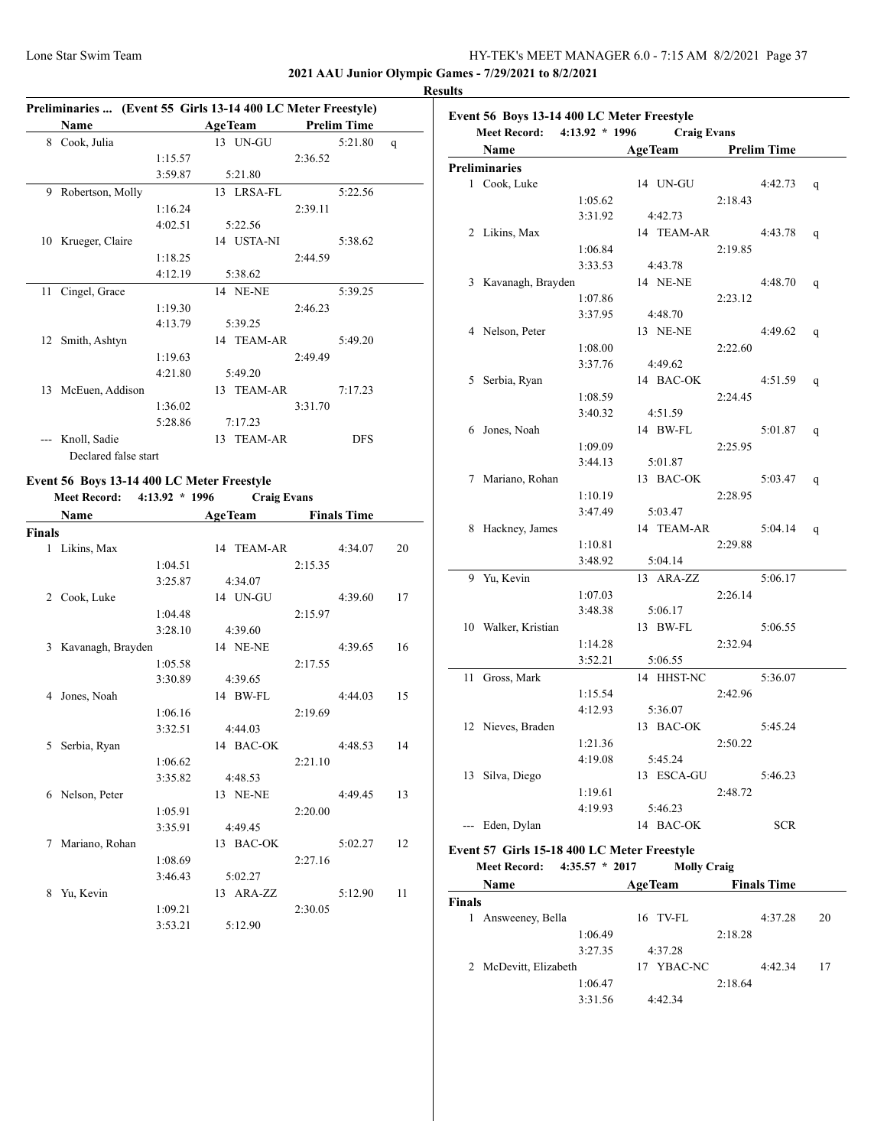**2021 AAU Junior Olympic Games - 7/29/2021 to 8/2/2021**

#### **Results**

|    | Preliminaries  (Event 55 Girls 13-14 400 LC Meter Freestyle) |         |                |         |                    |   |
|----|--------------------------------------------------------------|---------|----------------|---------|--------------------|---|
|    | Name                                                         |         | <b>AgeTeam</b> |         | <b>Prelim Time</b> |   |
| 8  | Cook, Julia                                                  |         | 13 UN-GU       |         | 5:21.80            | q |
|    |                                                              | 1:15.57 |                | 2:36.52 |                    |   |
|    |                                                              | 3:59.87 | 5:21.80        |         |                    |   |
| 9  | Robertson, Molly                                             |         | 13 LRSA-FL     |         | 5:22.56            |   |
|    |                                                              | 1:16.24 |                | 2:39.11 |                    |   |
|    |                                                              | 4:02.51 | 5:22.56        |         |                    |   |
| 10 | Krueger, Claire                                              |         | 14 USTA-NI     |         | 5:38.62            |   |
|    |                                                              | 1:18.25 |                | 2:44.59 |                    |   |
|    |                                                              | 4:12.19 | 5:38.62        |         |                    |   |
| 11 | Cingel, Grace                                                |         | 14 NE-NE       |         | 5:39.25            |   |
|    |                                                              | 1:19.30 |                | 2:46.23 |                    |   |
|    |                                                              | 4:13.79 | 5:39.25        |         |                    |   |
| 12 | Smith, Ashtyn                                                |         | 14 TEAM-AR     |         | 5:49.20            |   |
|    |                                                              | 1:19.63 |                | 2:49.49 |                    |   |
|    |                                                              | 4:21.80 | 5:49.20        |         |                    |   |
| 13 | McEuen, Addison                                              |         | 13 TEAM-AR     |         | 7:17.23            |   |
|    |                                                              | 1:36.02 |                | 3:31.70 |                    |   |
|    |                                                              | 5:28.86 | 7:17.23        |         |                    |   |
|    | Knoll, Sadie                                                 |         | 13 TEAM-AR     |         | <b>DFS</b>         |   |
|    | Declared false start                                         |         |                |         |                    |   |

#### **Event 56 Boys 13-14 400 LC Meter Freestyle Meet Record: 4:13.92 \* 1996 Craig Evans**

|               | <b>Name</b>       |         | <b>AgeTeam</b> |            |         | <b>Finals Time</b> |    |
|---------------|-------------------|---------|----------------|------------|---------|--------------------|----|
| <b>Finals</b> |                   |         |                |            |         |                    |    |
|               | 1 Likins, Max     |         |                | 14 TEAM-AR |         | 4:34.07            | 20 |
|               |                   | 1:04.51 |                |            | 2:15.35 |                    |    |
|               |                   | 3:25.87 |                | 4:34.07    |         |                    |    |
| 2             | Cook, Luke        |         |                | 14 UN-GU   |         | 4:39.60            | 17 |
|               |                   | 1:04.48 |                |            | 2:15.97 |                    |    |
|               |                   | 3:28.10 |                | 4:39.60    |         |                    |    |
| 3             | Kavanagh, Brayden |         |                | 14 NE-NE   |         | 4:39.65            | 16 |
|               |                   | 1:05.58 |                |            | 2:17.55 |                    |    |
|               |                   | 3:30.89 |                | 4:39.65    |         |                    |    |
| 4             | Jones, Noah       |         |                | 14 BW-FL   |         | 4:44.03            | 15 |
|               |                   | 1:06.16 |                |            | 2:19.69 |                    |    |
|               |                   | 3:32.51 |                | 4:44.03    |         |                    |    |
| 5             | Serbia, Ryan      |         |                | 14 BAC-OK  |         | 4:48.53            | 14 |
|               |                   | 1:06.62 |                |            | 2:21.10 |                    |    |
|               |                   | 3:35.82 |                | 4:48.53    |         |                    |    |
| 6             | Nelson, Peter     |         |                | 13 NE-NE   |         | 4:49.45            | 13 |
|               |                   | 1:05.91 |                |            | 2:20.00 |                    |    |
|               |                   | 3:35.91 |                | 4:49.45    |         |                    |    |
| 7             | Mariano, Rohan    |         |                | 13 BAC-OK  |         | 5:02.27            | 12 |
|               |                   | 1:08.69 |                |            | 2:27.16 |                    |    |
|               |                   | 3:46.43 |                | 5:02.27    |         |                    |    |
| 8             | Yu, Kevin         |         |                | 13 ARA-ZZ  |         | 5:12.90            | 11 |
|               |                   | 1:09.21 |                |            | 2:30.05 |                    |    |
|               |                   | 3:53.21 |                | 5:12.90    |         |                    |    |

|    | Event 56 Boys 13-14 400 LC Meter Freestyle |                |                    |         |                    |   |
|----|--------------------------------------------|----------------|--------------------|---------|--------------------|---|
|    | <b>Meet Record:</b>                        | 4:13.92 * 1996 | <b>Craig Evans</b> |         |                    |   |
|    | Name                                       |                | <b>AgeTeam</b>     |         | <b>Prelim Time</b> |   |
|    | <b>Preliminaries</b>                       |                |                    |         |                    |   |
|    | 1 Cook, Luke                               |                | 14 UN-GU           |         | 4:42.73            | q |
|    |                                            | 1:05.62        |                    | 2:18.43 |                    |   |
|    |                                            | 3:31.92        | 4:42.73            |         |                    |   |
|    | 2 Likins, Max                              |                | 14 TEAM-AR         |         | 4:43.78            | q |
|    |                                            | 1:06.84        |                    | 2:19.85 |                    |   |
|    |                                            | 3:33.53        | 4:43.78            |         |                    |   |
|    | 3 Kavanagh, Brayden                        |                | 14 NE-NE           |         | 4:48.70            | q |
|    |                                            | 1:07.86        |                    | 2:23.12 |                    |   |
|    |                                            | 3:37.95        | 4:48.70            |         |                    |   |
|    | 4 Nelson, Peter                            |                | 13 NE-NE           |         | 4:49.62            | q |
|    |                                            | 1:08.00        |                    | 2:22.60 |                    |   |
|    |                                            | 3:37.76        | 4:49.62            |         |                    |   |
| 5  | Serbia, Ryan                               |                | 14 BAC-OK          |         | 4:51.59            | q |
|    |                                            | 1:08.59        |                    | 2:24.45 |                    |   |
|    |                                            | 3:40.32        | 4:51.59            |         |                    |   |
|    | 6 Jones, Noah                              |                | 14 BW-FL           |         | 5:01.87            | q |
|    |                                            | 1:09.09        |                    | 2:25.95 |                    |   |
|    |                                            | 3:44.13        | 5:01.87            |         |                    |   |
|    | 7 Mariano, Rohan                           |                | 13 BAC-OK          |         | 5:03.47            | q |
|    |                                            | 1:10.19        |                    | 2:28.95 |                    |   |
|    |                                            | 3:47.49        | 5:03.47            |         |                    |   |
|    | 8 Hackney, James                           |                | 14 TEAM-AR         |         | 5:04.14            |   |
|    |                                            | 1:10.81        |                    | 2:29.88 |                    | q |
|    |                                            | 3:48.92        | 5:04.14            |         |                    |   |
|    | 9 Yu, Kevin                                |                | 13 ARA-ZZ          |         | 5:06.17            |   |
|    |                                            |                |                    | 2:26.14 |                    |   |
|    |                                            | 1:07.03        |                    |         |                    |   |
|    |                                            | 3:48.38        | 5:06.17            |         |                    |   |
|    | 10 Walker, Kristian                        |                | 13 BW-FL           |         | 5:06.55            |   |
|    |                                            | 1:14.28        |                    | 2:32.94 |                    |   |
|    |                                            | 3:52.21        | 5:06.55            |         |                    |   |
| 11 | Gross, Mark                                |                | 14 HHST-NC         |         | 5:36.07            |   |
|    |                                            | 1:15.54        |                    | 2:42.96 |                    |   |
|    |                                            | 4:12.93        | 5:36.07            |         |                    |   |
|    | 12 Nieves, Braden                          |                | 13 BAC-OK          |         | 5:45.24            |   |
|    |                                            | 1:21.36        |                    | 2:50.22 |                    |   |
|    |                                            | 4:19.08        | 5:45.24            |         |                    |   |
| 13 | Silva, Diego                               |                | 13 ESCA-GU         |         | 5:46.23            |   |
|    |                                            | 1:19.61        |                    | 2:48.72 |                    |   |
|    |                                            | 4:19.93        | 5:46.23            |         |                    |   |
|    | --- Eden, Dylan                            |                | 14 BAC-OK          |         | <b>SCR</b>         |   |
|    |                                            |                |                    |         |                    |   |

# **Event 57 Girls 15-18 400 LC Meter Freestyle**

**Meet Record: 4:35.57 \* 2017 Molly Craig**

| Name                  | <b>AgeTeam</b> |         | <b>Finals Time</b> |    |
|-----------------------|----------------|---------|--------------------|----|
| <b>Finals</b>         |                |         |                    |    |
| 1 Answeeney, Bella    | 16 TV-FL       |         | 4:37.28            | 20 |
| 1:06.49               |                | 2:18.28 |                    |    |
| 3:27.35               | 4:37.28        |         |                    |    |
| 2 McDevitt, Elizabeth | YBAC-NC<br>17  |         | 4:42.34            | 17 |
| 1:06.47               |                | 2:18.64 |                    |    |
| 3:31.56               | 4.42.34        |         |                    |    |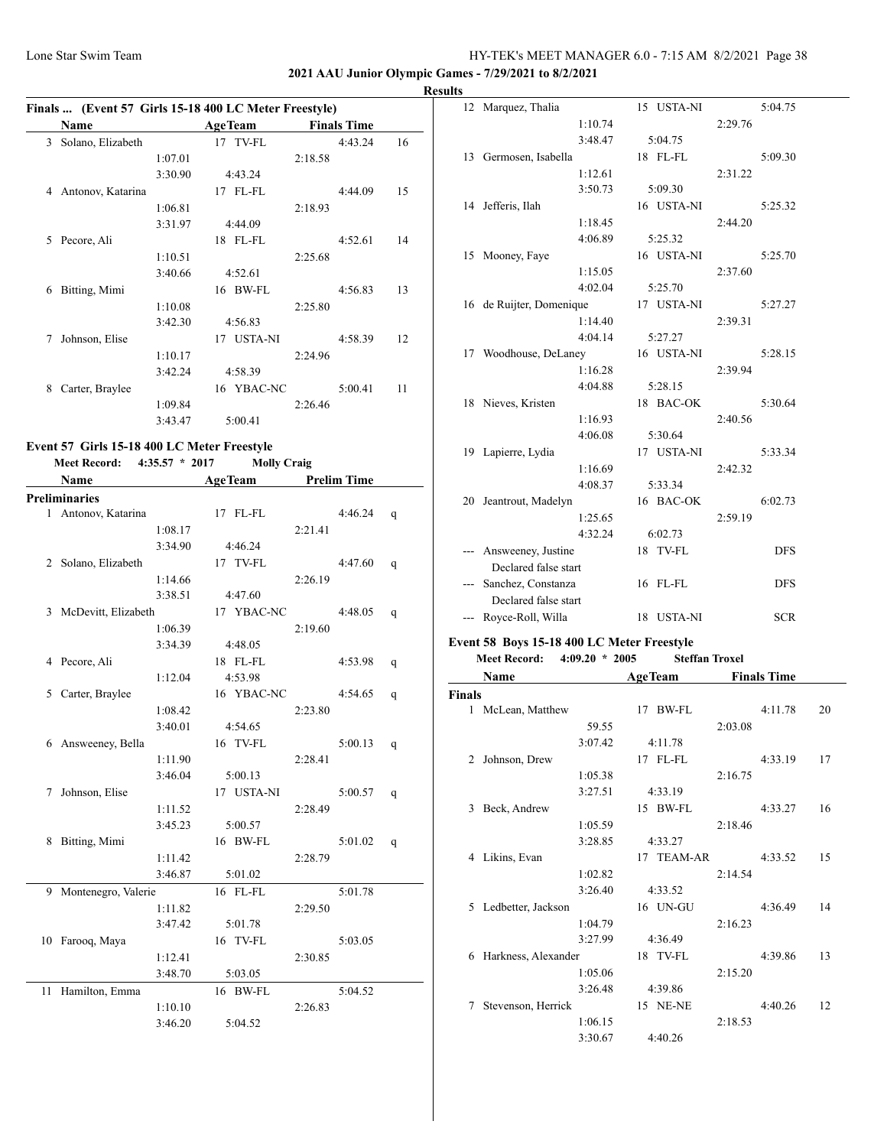**2021 AAU Junior Olympic Games - 7/29/2021 to 8/2/2021**

#### **Results**

|   | <b>Name</b>       |         | <b>AgeTeam</b> |         | <b>Finals Time</b> |    |
|---|-------------------|---------|----------------|---------|--------------------|----|
| 3 | Solano, Elizabeth |         | 17 TV-FL       |         | 4:43.24            | 16 |
|   |                   | 1:07.01 |                | 2:18.58 |                    |    |
|   |                   | 3:30.90 | 4:43.24        |         |                    |    |
| 4 | Antonov, Katarina |         | 17 FL-FL       |         | 4:44.09            | 15 |
|   |                   | 1:06.81 |                | 2:18.93 |                    |    |
|   |                   | 3:31.97 | 4:44.09        |         |                    |    |
| 5 | Pecore, Ali       |         | 18 FL-FL       |         | 4:52.61            | 14 |
|   |                   | 1:10.51 |                | 2:25.68 |                    |    |
|   |                   | 3:40.66 | 4:52.61        |         |                    |    |
| 6 | Bitting, Mimi     |         | BW-FL<br>16    |         | 4:56.83            | 13 |
|   |                   | 1:10.08 |                | 2:25.80 |                    |    |
|   |                   | 3:42.30 | 4:56.83        |         |                    |    |
| 7 | Johnson, Elise    |         | USTA-NI<br>17  |         | 4:58.39            | 12 |
|   |                   | 1:10.17 |                | 2:24.96 |                    |    |
|   |                   | 3:42.24 | 4:58.39        |         |                    |    |
| 8 | Carter, Braylee   |         | 16 YBAC-NC     |         | 5:00.41            | 11 |
|   |                   | 1:09.84 |                | 2:26.46 |                    |    |
|   |                   | 3:43.47 | 5:00.41        |         |                    |    |

# **Meet Record: 4:35.57 \* 2017 Molly Craig**

|    | Name                  |         | <b>AgeTeam</b> |         | <b>Prelim Time</b> |   |
|----|-----------------------|---------|----------------|---------|--------------------|---|
|    | <b>Preliminaries</b>  |         |                |         |                    |   |
|    | 1 Antonov, Katarina   |         | 17 FL-FL       |         | 4:46.24            | q |
|    |                       | 1:08.17 |                | 2:21.41 |                    |   |
|    |                       | 3:34.90 | 4:46.24        |         |                    |   |
|    | 2 Solano, Elizabeth   |         | 17 TV-FL       |         | 4:47.60            | q |
|    |                       | 1:14.66 |                | 2:26.19 |                    |   |
|    |                       | 3:38.51 | 4:47.60        |         |                    |   |
|    | 3 McDevitt, Elizabeth |         | 17 YBAC-NC     |         | 4:48.05            | q |
|    |                       | 1:06.39 |                | 2:19.60 |                    |   |
|    |                       | 3:34.39 | 4:48.05        |         |                    |   |
|    | 4 Pecore, Ali         |         | 18 FL-FL       |         | 4:53.98            | q |
|    |                       | 1:12.04 | 4:53.98        |         |                    |   |
| 5  | Carter, Braylee       |         | 16 YBAC-NC     |         | 4:54.65            | q |
|    |                       | 1:08.42 |                | 2:23.80 |                    |   |
|    |                       | 3:40.01 | 4:54.65        |         |                    |   |
|    | 6 Answeeney, Bella    |         | 16 TV-FL       |         | 5:00.13            | q |
|    |                       | 1:11.90 |                | 2:28.41 |                    |   |
|    |                       | 3:46.04 | 5:00.13        |         |                    |   |
| 7  | Johnson, Elise        |         | 17 USTA-NI     |         | 5:00.57            | q |
|    |                       | 1:11.52 |                | 2:28.49 |                    |   |
|    |                       | 3:45.23 | 5:00.57        |         |                    |   |
| 8  | Bitting, Mimi         |         | 16 BW-FL       |         | 5:01.02            | q |
|    |                       | 1:11.42 |                | 2:28.79 |                    |   |
|    |                       | 3:46.87 | 5:01.02        |         |                    |   |
| 9  | Montenegro, Valerie   |         | 16 FL-FL       |         | 5:01.78            |   |
|    |                       | 1:11.82 |                | 2:29.50 |                    |   |
|    |                       | 3:47.42 | 5:01.78        |         |                    |   |
|    | 10 Farooq, Maya       |         | 16 TV-FL       |         | 5:03.05            |   |
|    |                       | 1:12.41 |                | 2:30.85 |                    |   |
|    |                       | 3:48.70 | 5:03.05        |         |                    |   |
| 11 | Hamilton, Emma        |         | 16 BW-FL       |         | 5:04.52            |   |
|    |                       | 1:10.10 |                | 2:26.83 |                    |   |
|    |                       | 3:46.20 | 5:04.52        |         |                    |   |

| 12 Marquez, Thalia                         |         | 15 USTA-NI |         | 5:04.75    |
|--------------------------------------------|---------|------------|---------|------------|
|                                            | 1:10.74 |            | 2:29.76 |            |
|                                            | 3:48.47 | 5:04.75    |         |            |
| 13 Germosen, Isabella                      |         | 18 FL-FL   |         | 5:09.30    |
|                                            | 1:12.61 |            | 2:31.22 |            |
|                                            | 3:50.73 | 5:09.30    |         |            |
| 14 Jefferis, Ilah                          |         | 16 USTA-NI |         | 5:25.32    |
|                                            | 1:18.45 |            | 2:44.20 |            |
|                                            | 4:06.89 | 5:25.32    |         |            |
| 15 Mooney, Faye                            |         | 16 USTA-NI |         | 5:25.70    |
|                                            | 1:15.05 |            | 2:37.60 |            |
|                                            | 4:02.04 | 5:25.70    |         |            |
| 16 de Ruijter, Domenique                   |         | 17 USTA-NI |         | 5:27.27    |
|                                            | 1:14.40 |            | 2:39.31 |            |
|                                            | 4:04.14 | 5:27.27    |         |            |
| 17 Woodhouse, DeLaney                      |         | 16 USTA-NI |         | 5:28.15    |
|                                            | 1:16.28 |            | 2:39.94 |            |
|                                            | 4:04.88 | 5:28.15    |         |            |
| 18 Nieves, Kristen                         |         | 18 BAC-OK  |         | 5:30.64    |
|                                            | 1:16.93 |            | 2:40.56 |            |
|                                            | 4:06.08 | 5:30.64    |         |            |
| 19 Lapierre, Lydia                         |         | 17 USTA-NI |         | 5:33.34    |
|                                            | 1:16.69 |            | 2:42.32 |            |
|                                            | 4:08.37 | 5:33.34    |         |            |
| 20 Jeantrout, Madelyn                      |         | 16 BAC-OK  |         | 6:02.73    |
|                                            | 1:25.65 |            | 2:59.19 |            |
|                                            | 4:32.24 | 6:02.73    |         |            |
| --- Answeeney, Justine                     |         | 18 TV-FL   |         | <b>DFS</b> |
| Declared false start                       |         |            |         |            |
| --- Sanchez, Constanza                     |         | 16 FL-FL   |         | <b>DFS</b> |
| Declared false start                       |         |            |         |            |
| --- Royce-Roll, Willa                      |         | 18 USTA-NI |         | <b>SCR</b> |
| Event 58 Boys 15-18 400 LC Meter Freestyle |         |            |         |            |

# **Meet Record: 4:09.20 \* 2005 Steffan Troxel**

|               | Name                |         |    | <b>AgeTeam</b> |         | <b>Finals Time</b> |    |
|---------------|---------------------|---------|----|----------------|---------|--------------------|----|
| <b>Finals</b> |                     |         |    |                |         |                    |    |
| $\mathbf{1}$  | McLean, Matthew     |         | 17 | BW-FL          |         | 4:11.78            | 20 |
|               |                     | 59.55   |    |                | 2:03.08 |                    |    |
|               |                     | 3:07.42 |    | 4:11.78        |         |                    |    |
| 2             | Johnson, Drew       |         |    | 17 FL-FL       |         | 4:33.19            | 17 |
|               |                     | 1:05.38 |    |                | 2:16.75 |                    |    |
|               |                     | 3:27.51 |    | 4:33.19        |         |                    |    |
| 3             | Beck, Andrew        |         |    | 15 BW-FL       |         | 4:33.27            | 16 |
|               |                     | 1:05.59 |    |                | 2:18.46 |                    |    |
|               |                     | 3:28.85 |    | 4:33.27        |         |                    |    |
| 4             | Likins, Evan        |         |    | 17 TEAM-AR     |         | 4:33.52            | 15 |
|               |                     | 1:02.82 |    |                | 2:14.54 |                    |    |
|               |                     | 3:26.40 |    | 4:33.52        |         |                    |    |
| 5.            | Ledbetter, Jackson  |         |    | 16 UN-GU       |         | 4:36.49            | 14 |
|               |                     | 1:04.79 |    |                | 2:16.23 |                    |    |
|               |                     | 3:27.99 |    | 4:36.49        |         |                    |    |
| 6             | Harkness, Alexander |         |    | 18 TV-FL       |         | 4:39.86            | 13 |
|               |                     | 1:05.06 |    |                | 2:15.20 |                    |    |
|               |                     | 3:26.48 |    | 4:39.86        |         |                    |    |
| 7             | Stevenson, Herrick  |         |    | 15 NE-NE       |         | 4:40.26            | 12 |
|               |                     | 1:06.15 |    |                | 2:18.53 |                    |    |
|               |                     | 3:30.67 |    | 4:40.26        |         |                    |    |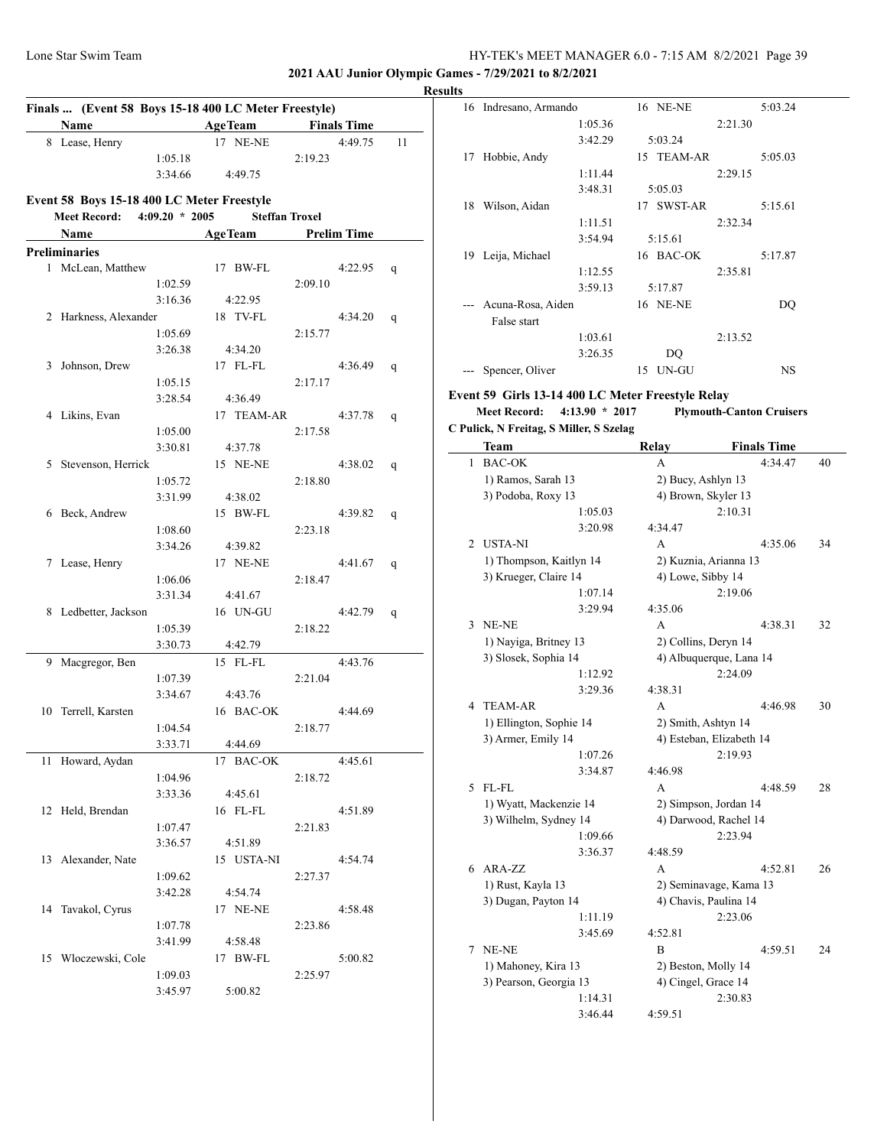**2021 AAU Junior Olympic Games - 7/29/2021 to 8/2/2021**

#### **Results**

|    | Finals  (Event 58 Boys 15-18 400 LC Meter Freestyle) |                  |                     |                       |                    |    |
|----|------------------------------------------------------|------------------|---------------------|-----------------------|--------------------|----|
|    | Name                                                 |                  | <b>AgeTeam</b>      |                       | <b>Finals Time</b> |    |
|    | 8 Lease, Henry                                       |                  | 17 NE-NE            |                       | 4:49.75            | 11 |
|    |                                                      | 1:05.18          |                     | 2:19.23               |                    |    |
|    |                                                      | 3:34.66          | 4:49.75             |                       |                    |    |
|    | Event 58 Boys 15-18 400 LC Meter Freestyle           |                  |                     |                       |                    |    |
|    | <b>Meet Record:</b>                                  | $4:09.20 * 2005$ |                     | <b>Steffan Troxel</b> |                    |    |
|    | <b>Name</b>                                          |                  | AgeTeam Prelim Time |                       |                    |    |
|    | <b>Preliminaries</b>                                 |                  |                     |                       |                    |    |
|    | 1 McLean, Matthew                                    |                  | 17 BW-FL            |                       | 4:22.95            | q  |
|    |                                                      | 1:02.59          |                     | 2:09.10               |                    |    |
|    |                                                      | 3:16.36          | 4:22.95             |                       |                    |    |
|    | 2 Harkness, Alexander                                |                  | 18 TV-FL            |                       | 4:34.20            | q  |
|    |                                                      | 1:05.69          |                     | 2:15.77               |                    |    |
|    |                                                      | 3:26.38          | 4:34.20             |                       |                    |    |
|    | 3 Johnson, Drew                                      |                  | 17 FL-FL            |                       | 4:36.49            | q  |
|    |                                                      | 1:05.15          |                     | 2:17.17               |                    |    |
|    |                                                      | 3:28.54          | 4:36.49             |                       |                    |    |
|    | 4 Likins, Evan                                       |                  | 17 TEAM-AR          |                       | 4:37.78            | q  |
|    |                                                      | 1:05.00          |                     | 2:17.58               |                    |    |
|    |                                                      | 3:30.81          | 4:37.78             |                       |                    |    |
|    | 5 Stevenson, Herrick                                 |                  | 15 NE-NE            |                       | 4:38.02            | q  |
|    |                                                      | 1:05.72          |                     | 2:18.80               |                    |    |
|    |                                                      | 3:31.99          | 4:38.02             |                       |                    |    |
|    | 6 Beck, Andrew                                       |                  | 15 BW-FL            |                       | 4:39.82            | q  |
|    |                                                      | 1:08.60          |                     | 2:23.18               |                    |    |
|    |                                                      | 3:34.26          | 4:39.82             |                       |                    |    |
|    | 7 Lease, Henry                                       |                  | 17 NE-NE            |                       | 4:41.67            | q  |
|    |                                                      | 1:06.06          |                     | 2:18.47               |                    |    |
|    |                                                      | 3:31.34          | 4:41.67             |                       |                    |    |
| 8  | Ledbetter, Jackson                                   |                  | 16 UN-GU            |                       | 4:42.79            | q  |
|    |                                                      | 1:05.39          |                     | 2:18.22               |                    |    |
|    |                                                      | 3:30.73          | 4:42.79             |                       |                    |    |
|    | 9 Macgregor, Ben                                     |                  | 15 FL-FL            |                       | 4:43.76            |    |
|    |                                                      | 1:07.39          |                     | 2:21.04               |                    |    |
|    |                                                      | 3:34.67          | 4:43.76             |                       |                    |    |
|    | 10 Terrell, Karsten                                  |                  | 16 BAC-OK           |                       | 4:44.69            |    |
|    |                                                      | 1:04.54          |                     | 2:18.77               |                    |    |
|    |                                                      | 3:33.71          | 4:44.69             |                       |                    |    |
|    | 11 Howard, Aydan                                     |                  | 17 BAC-OK           |                       | 4:45.61            |    |
|    |                                                      | 1:04.96          |                     | 2:18.72               |                    |    |
|    |                                                      | 3:33.36          | 4:45.61             |                       |                    |    |
|    | 12 Held, Brendan                                     |                  | 16 FL-FL            |                       | 4:51.89            |    |
|    |                                                      | 1:07.47          |                     | 2:21.83               |                    |    |
|    |                                                      | 3:36.57          | 4:51.89             |                       |                    |    |
| 13 | Alexander, Nate                                      |                  | 15 USTA-NI          |                       | 4:54.74            |    |
|    |                                                      | 1:09.62          |                     | 2:27.37               |                    |    |
|    |                                                      | 3:42.28          | 4:54.74             |                       |                    |    |
| 14 | Tavakol, Cyrus                                       |                  | 17 NE-NE            |                       | 4:58.48            |    |
|    |                                                      | 1:07.78          |                     | 2:23.86               |                    |    |
|    |                                                      | 3:41.99          | 4:58.48             |                       |                    |    |
| 15 | Włoczewski, Cole                                     |                  | 17 BW-FL            |                       | 5:00.82            |    |
|    |                                                      | 1:09.03          |                     | 2:25.97               |                    |    |
|    |                                                      | 3:45.97          | 5:00.82             |                       |                    |    |

| 16  | Indresano, Armando                                  |         |    | 16 NE-NE   |         | 5:03.24   |
|-----|-----------------------------------------------------|---------|----|------------|---------|-----------|
|     |                                                     | 1:05.36 |    |            | 2:21.30 |           |
|     |                                                     | 3:42.29 |    | 5:03.24    |         |           |
| 17  | Hobbie, Andy                                        |         |    | 15 TEAM-AR |         | 5:05.03   |
|     |                                                     | 1:11.44 |    |            | 2:29.15 |           |
|     |                                                     | 3:48.31 |    | 5:05.03    |         |           |
| 18  | Wilson, Aidan                                       |         |    | 17 SWST-AR |         | 5:15.61   |
|     |                                                     | 1:11.51 |    |            | 2:32.34 |           |
|     |                                                     | 3:54.94 |    | 5:15.61    |         |           |
| 19. | Leija, Michael                                      |         |    | 16 BAC-OK  |         | 5:17.87   |
|     |                                                     | 1:12.55 |    |            | 2:35.81 |           |
|     |                                                     | 3:59.13 |    | 5:17.87    |         |           |
|     | Acuna-Rosa, Aiden                                   |         |    | 16 NE-NE   |         | DQ        |
|     | False start                                         |         |    |            |         |           |
|     |                                                     | 1:03.61 |    |            | 2:13.52 |           |
|     |                                                     | 3:26.35 |    | DQ         |         |           |
|     | Spencer, Oliver                                     |         | 15 | UN-GU      |         | <b>NS</b> |
|     | vant 50. Cirls 12-14-400 I.C. Matar Exaggivla Dalay |         |    |            |         |           |

#### **Event 59 Girls 13-14 400 LC Meter Freestyle Relay**

**Meet Record: 4:13.90 \* 2017 Plymouth-Canton Cruisers C Pulick, N Freitag, S Miller, S Szelag**

|                | Team                    | Relay                 | <b>Finals Time</b>       |    |  |
|----------------|-------------------------|-----------------------|--------------------------|----|--|
| 1              | <b>BAC-OK</b>           | A                     | 4:34.47                  | 40 |  |
|                | 1) Ramos, Sarah 13      | 2) Bucy, Ashlyn 13    |                          |    |  |
|                | 3) Podoba, Roxy 13      | 4) Brown, Skyler 13   |                          |    |  |
|                | 1:05.03                 |                       | 2:10.31                  |    |  |
|                | 3:20.98                 | 4:34.47               |                          |    |  |
| $\overline{c}$ | <b>USTA-NI</b>          | A                     | 4:35.06                  | 34 |  |
|                | 1) Thompson, Kaitlyn 14 | 2) Kuznia, Arianna 13 |                          |    |  |
|                | 3) Krueger, Claire 14   | 4) Lowe, Sibby 14     |                          |    |  |
|                | 1:07.14                 |                       | 2:19.06                  |    |  |
|                | 3:29.94                 | 4:35.06               |                          |    |  |
| 3              | NE-NE                   | A                     | 4:38.31                  | 32 |  |
|                | 1) Nayiga, Britney 13   | 2) Collins, Deryn 14  |                          |    |  |
|                | 3) Slosek, Sophia 14    |                       | 4) Albuquerque, Lana 14  |    |  |
|                | 1:12.92                 |                       | 2:24.09                  |    |  |
|                | 3:29.36                 | 4:38.31               |                          |    |  |
| 4              | <b>TEAM-AR</b>          | A                     | 4:46.98                  | 30 |  |
|                | 1) Ellington, Sophie 14 | 2) Smith, Ashtyn 14   |                          |    |  |
|                | 3) Armer, Emily 14      |                       | 4) Esteban, Elizabeth 14 |    |  |
|                | 1:07.26                 |                       | 2:19.93                  |    |  |
|                | 3:34.87                 | 4:46.98               |                          |    |  |
| 5              | FL-FL                   | A                     | 4:48.59                  | 28 |  |
|                | 1) Wyatt, Mackenzie 14  | 2) Simpson, Jordan 14 |                          |    |  |
|                | 3) Wilhelm, Sydney 14   | 4) Darwood, Rachel 14 |                          |    |  |
|                | 1:09.66                 |                       | 2:23.94                  |    |  |
|                | 3:36.37                 | 4:48.59               |                          |    |  |
| 6              | ARA-ZZ                  | A                     | 4:52.81                  | 26 |  |
|                | 1) Rust, Kayla 13       |                       | 2) Seminavage, Kama 13   |    |  |
|                | 3) Dugan, Payton 14     | 4) Chavis, Paulina 14 |                          |    |  |
|                | 1:11.19                 |                       | 2:23.06                  |    |  |
|                | 3:45.69                 | 4:52.81               |                          |    |  |
| 7              | NE-NE                   | B                     | 4:59.51                  | 24 |  |
|                | 1) Mahoney, Kira 13     | 2) Beston, Molly 14   |                          |    |  |
|                | 3) Pearson, Georgia 13  | 4) Cingel, Grace 14   |                          |    |  |
|                | 1:14.31                 |                       | 2:30.83                  |    |  |
|                | 3:46.44                 | 4:59.51               |                          |    |  |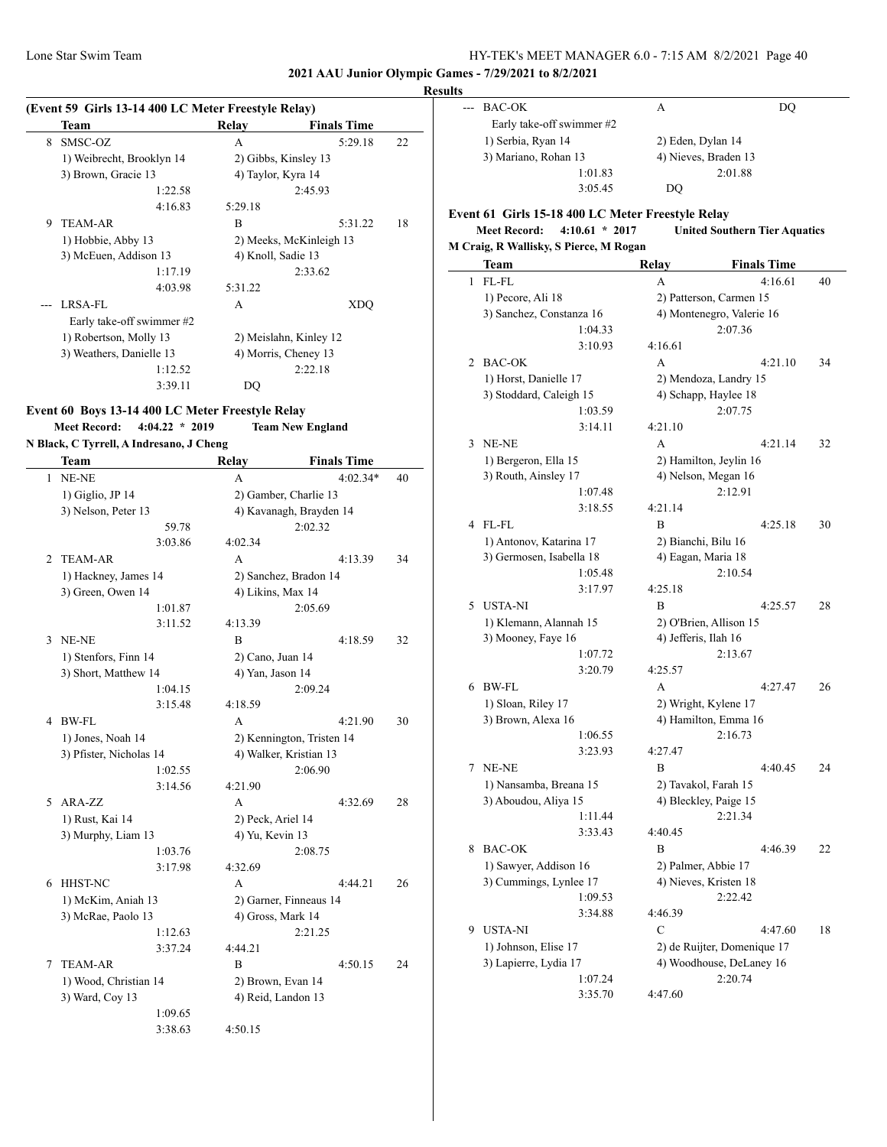**2021 AAU Junior Olympic Games - 7/29/2021 to 8/2/2021**

#### **Result**

|   | (Event 59 Girls 13-14 400 LC Meter Freestyle Relay) |                        |                         |    |
|---|-----------------------------------------------------|------------------------|-------------------------|----|
|   | Team                                                | Relay                  | <b>Finals Time</b>      |    |
| 8 | SMSC-OZ                                             | A                      | 5:29.18                 | 22 |
|   | 1) Weibrecht, Brooklyn 14                           | 2) Gibbs, Kinsley 13   |                         |    |
|   | 3) Brown, Gracie 13                                 | 4) Taylor, Kyra 14     |                         |    |
|   | 1:22.58                                             |                        | 2:45.93                 |    |
|   | 4:16.83                                             | 5:29.18                |                         |    |
| 9 | <b>TEAM-AR</b>                                      | B                      | 5:31.22                 | 18 |
|   | 1) Hobbie, Abby 13                                  |                        | 2) Meeks, McKinleigh 13 |    |
|   | 3) McEuen, Addison 13                               | 4) Knoll, Sadie 13     |                         |    |
|   | 1:17.19                                             |                        | 2:33.62                 |    |
|   | 4:03.98                                             | 5:31.22                |                         |    |
|   | LRSA-FL                                             | A                      | <b>XDO</b>              |    |
|   | Early take-off swimmer #2                           |                        |                         |    |
|   | 1) Robertson, Molly 13                              | 2) Meislahn, Kinley 12 |                         |    |
|   | 3) Weathers, Danielle 13                            |                        | 4) Morris, Cheney 13    |    |
|   | 1:12.52                                             |                        | 2:22.18                 |    |
|   | 3:39.11                                             | DO                     |                         |    |

# **Event 60 Boys 13-14 400 LC Meter Freestyle Relay Meet Record: 4:04.22 \* 2019 Team New England**

#### **N Black, C Tyrrell, A Indresano, J Cheng**

|                | Team                    | Relay              | <b>Finals Time</b>        |    |
|----------------|-------------------------|--------------------|---------------------------|----|
| 1              | NE-NE                   | A                  | $4:02.34*$                | 40 |
|                | $1)$ Giglio, JP 14      |                    | 2) Gamber, Charlie 13     |    |
|                | 3) Nelson, Peter 13     |                    | 4) Kavanagh, Brayden 14   |    |
|                | 59.78                   |                    | 2:02.32                   |    |
|                | 3:03.86                 | 4:02.34            |                           |    |
| $\overline{c}$ | <b>TEAM-AR</b>          | A                  | 4:13.39                   | 34 |
|                | 1) Hackney, James 14    |                    | 2) Sanchez, Bradon 14     |    |
|                | 3) Green, Owen 14       | 4) Likins, Max 14  |                           |    |
|                | 1:01.87                 |                    | 2:05.69                   |    |
|                | 3:11.52                 | 4:13.39            |                           |    |
| 3              | NE-NE                   | B                  | 4:18.59                   | 32 |
|                | 1) Stenfors, Finn 14    | 2) Cano, Juan 14   |                           |    |
|                | 3) Short, Matthew 14    | 4) Yan, Jason 14   |                           |    |
|                | 1:04.15                 |                    | 2:09.24                   |    |
|                | 3:15.48                 | 4:18.59            |                           |    |
| 4              | BW-FL                   | A                  | 4:21.90                   | 30 |
|                | 1) Jones, Noah 14       |                    | 2) Kennington, Tristen 14 |    |
|                | 3) Pfister, Nicholas 14 |                    | 4) Walker, Kristian 13    |    |
|                | 1:02.55                 |                    | 2:06.90                   |    |
|                | 3:14.56                 | 4:21.90            |                           |    |
| 5.             | ARA-ZZ                  | A                  | 4:32.69                   | 28 |
|                | 1) Rust, Kai 14         | 2) Peck, Ariel 14  |                           |    |
|                | 3) Murphy, Liam 13      | 4) Yu, Kevin 13    |                           |    |
|                | 1:03.76                 |                    | 2:08.75                   |    |
|                | 3:17.98                 | 4:32.69            |                           |    |
| 6              | HHST-NC                 | A                  | 4:44.21                   | 26 |
|                | 1) McKim, Aniah 13      |                    | 2) Garner, Finneaus 14    |    |
|                | 3) McRae, Paolo 13      | 4) Gross, Mark 14  |                           |    |
|                | 1:12.63                 |                    | 2:21.25                   |    |
|                | 3:37.24                 | 4:44.21            |                           |    |
| 7              | <b>TEAM-AR</b>          | B                  | 4:50.15                   | 24 |
|                | 1) Wood, Christian 14   | 2) Brown, Evan 14  |                           |    |
|                | 3) Ward, Coy 13         | 4) Reid, Landon 13 |                           |    |
|                | 1:09.65                 |                    |                           |    |
|                | 3:38.63                 | 4:50.15            |                           |    |

| llts                 |                           |                      |    |  |
|----------------------|---------------------------|----------------------|----|--|
|                      | --- BAC-OK                | A                    | DO |  |
|                      | Early take-off swimmer #2 |                      |    |  |
|                      | 1) Serbia, Ryan 14        | 2) Eden, Dylan 14    |    |  |
| 3) Mariano, Rohan 13 |                           | 4) Nieves, Braden 13 |    |  |
|                      | 1:01.83                   | 2:01.88              |    |  |
|                      | 3:05.45                   | DO                   |    |  |

## **Event 61 Girls 15-18 400 LC Meter Freestyle Relay Meet Record: 4:10.61 \* 2017 United Southern Tier Aquatics**

## **M Craig, R Wallisky, S Pierce, M Rogan**

|   | <b>Team</b>              | Relay                   | <b>Finals Time</b>          |    |
|---|--------------------------|-------------------------|-----------------------------|----|
| 1 | FL-FL                    | А                       | 4:16.61                     | 40 |
|   | 1) Pecore, Ali 18        | 2) Patterson, Carmen 15 |                             |    |
|   | 3) Sanchez, Constanza 16 |                         | 4) Montenegro, Valerie 16   |    |
|   | 1:04.33                  |                         | 2:07.36                     |    |
|   | 3:10.93                  | 4:16.61                 |                             |    |
| 2 | <b>BAC-OK</b>            | A                       | 4:21.10                     | 34 |
|   | 1) Horst, Danielle 17    | 2) Mendoza, Landry 15   |                             |    |
|   | 3) Stoddard, Caleigh 15  | 4) Schapp, Haylee 18    |                             |    |
|   | 1:03.59                  |                         | 2:07.75                     |    |
|   | 3:14.11                  | 4:21.10                 |                             |    |
| 3 | NE-NE                    | A                       | 4:21.14                     | 32 |
|   | 1) Bergeron, Ella 15     | 2) Hamilton, Jeylin 16  |                             |    |
|   | 3) Routh, Ainsley 17     | 4) Nelson, Megan 16     |                             |    |
|   | 1:07.48                  |                         | 2:12.91                     |    |
|   | 3:18.55                  | 4:21.14                 |                             |    |
| 4 | FL-FL                    | B                       | 4:25.18                     | 30 |
|   | 1) Antonov, Katarina 17  | 2) Bianchi, Bilu 16     |                             |    |
|   | 3) Germosen, Isabella 18 | 4) Eagan, Maria 18      |                             |    |
|   | 1:05.48                  |                         | 2:10.54                     |    |
|   | 3:17.97                  | 4:25.18                 |                             |    |
| 5 | <b>USTA-NI</b>           | B                       | 4:25.57                     | 28 |
|   | 1) Klemann, Alannah 15   | 2) O'Brien, Allison 15  |                             |    |
|   | 3) Mooney, Faye 16       | 4) Jefferis, Ilah 16    |                             |    |
|   | 1:07.72                  |                         | 2:13.67                     |    |
|   | 3:20.79                  | 4:25.57                 |                             |    |
| 6 | BW-FL                    | A                       | 4:27.47                     | 26 |
|   | 1) Sloan, Riley 17       | 2) Wright, Kylene 17    |                             |    |
|   | 3) Brown, Alexa 16       | 4) Hamilton, Emma 16    |                             |    |
|   | 1:06.55                  |                         | 2:16.73                     |    |
|   | 3:23.93                  | 4:27.47                 |                             |    |
| 7 | NE-NE                    | B                       | 4:40.45                     | 24 |
|   | 1) Nansamba, Breana 15   | 2) Tavakol, Farah 15    |                             |    |
|   | 3) Aboudou, Aliya 15     | 4) Bleckley, Paige 15   |                             |    |
|   | 1:11.44                  |                         | 2:21.34                     |    |
|   | 3:33.43                  | 4:40.45                 |                             |    |
| 8 | <b>BAC-OK</b>            | B                       | 4:46.39                     | 22 |
|   | 1) Sawyer, Addison 16    | 2) Palmer, Abbie 17     |                             |    |
|   | 3) Cummings, Lynlee 17   | 4) Nieves, Kristen 18   |                             |    |
|   | 1:09.53                  |                         | 2:22.42                     |    |
|   | 3:34.88                  | 4:46.39                 |                             |    |
| 9 | <b>USTA-NI</b>           | C                       | 4:47.60                     | 18 |
|   | 1) Johnson, Elise 17     |                         | 2) de Ruijter, Domenique 17 |    |
|   | 3) Lapierre, Lydia 17    |                         | 4) Woodhouse, DeLaney 16    |    |
|   | 1:07.24                  |                         | 2:20.74                     |    |
|   | 3:35.70                  | 4:47.60                 |                             |    |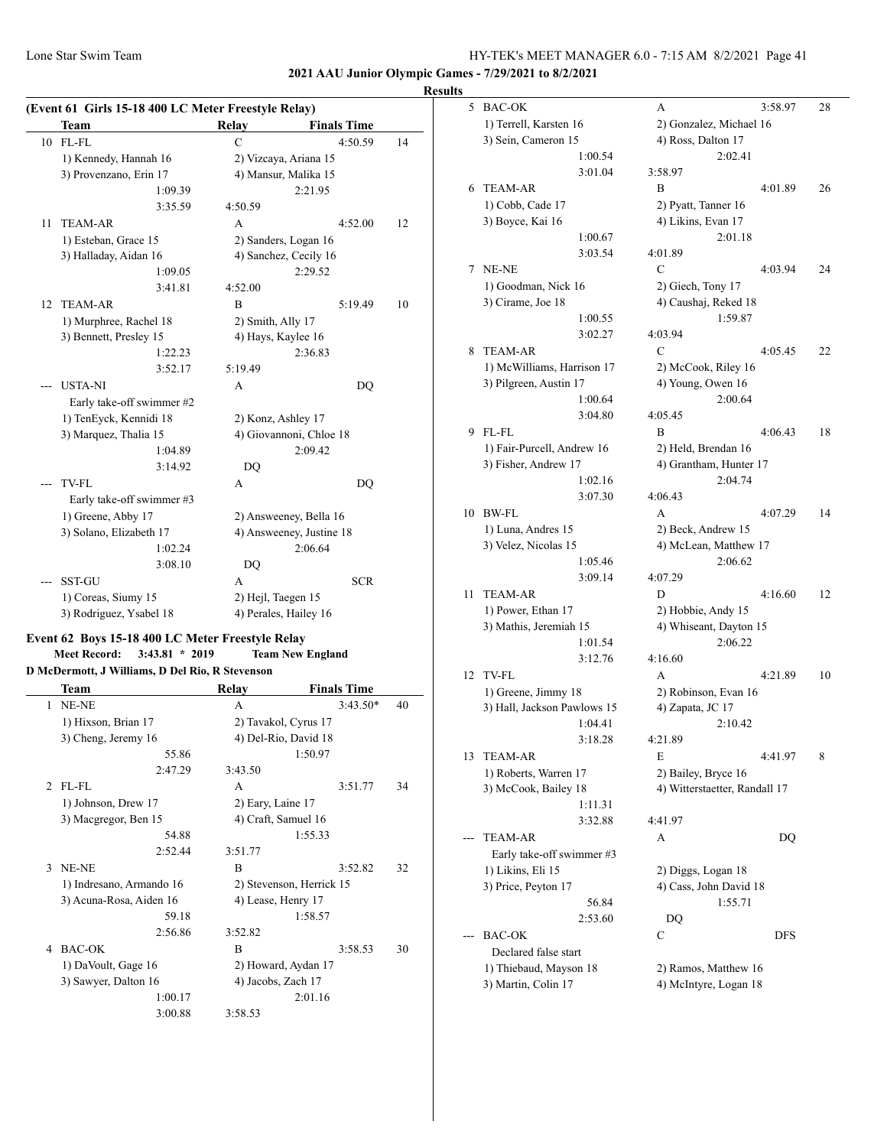**2021 AAU Junior Olympic Games - 7/29/2021 to 8/2/2021**

#### **Results**

| (Event 61 Girls 15-18 400 LC Meter Freestyle Relay) |                           |                    |                          |    |  |  |  |
|-----------------------------------------------------|---------------------------|--------------------|--------------------------|----|--|--|--|
|                                                     | Team                      | <b>Relay</b>       | <b>Finals Time</b>       |    |  |  |  |
| 10                                                  | FL-FL                     | $\mathcal{C}$      | 4:50.59                  | 14 |  |  |  |
|                                                     | 1) Kennedy, Hannah 16     |                    | 2) Vizcaya, Ariana 15    |    |  |  |  |
|                                                     | 3) Provenzano, Erin 17    |                    | 4) Mansur, Malika 15     |    |  |  |  |
|                                                     | 1:09.39                   |                    | 2:21.95                  |    |  |  |  |
|                                                     | 3:35.59                   | 4:50.59            |                          |    |  |  |  |
| 11                                                  | <b>TEAM-AR</b>            | A                  | 4:52.00                  | 12 |  |  |  |
|                                                     | 1) Esteban, Grace 15      |                    | 2) Sanders, Logan 16     |    |  |  |  |
|                                                     | 3) Halladay, Aidan 16     |                    | 4) Sanchez, Cecily 16    |    |  |  |  |
|                                                     | 1:09.05                   |                    | 2:29.52                  |    |  |  |  |
|                                                     | 3:41.81                   | 4:52.00            |                          |    |  |  |  |
| 12                                                  | <b>TEAM-AR</b>            | B                  | 5:19.49                  | 10 |  |  |  |
|                                                     | 1) Murphree, Rachel 18    | 2) Smith, Ally 17  |                          |    |  |  |  |
|                                                     | 3) Bennett, Presley 15    | 4) Hays, Kaylee 16 |                          |    |  |  |  |
|                                                     | 1:22.23                   |                    | 2:36.83                  |    |  |  |  |
|                                                     | 3:52.17                   | 5:19.49            |                          |    |  |  |  |
|                                                     | <b>USTA-NI</b>            | A                  | DQ                       |    |  |  |  |
|                                                     | Early take-off swimmer #2 |                    |                          |    |  |  |  |
|                                                     | 1) TenEyck, Kennidi 18    | 2) Konz, Ashley 17 |                          |    |  |  |  |
|                                                     | 3) Marquez, Thalia 15     |                    | 4) Giovannoni, Chloe 18  |    |  |  |  |
|                                                     | 1:04.89                   |                    | 2:09.42                  |    |  |  |  |
|                                                     | 3:14.92                   | DQ                 |                          |    |  |  |  |
|                                                     | <b>TV-FL</b>              | A                  | DQ                       |    |  |  |  |
|                                                     | Early take-off swimmer #3 |                    |                          |    |  |  |  |
|                                                     | 1) Greene, Abby 17        |                    | 2) Answeeney, Bella 16   |    |  |  |  |
|                                                     | 3) Solano, Elizabeth 17   |                    | 4) Answeeney, Justine 18 |    |  |  |  |
|                                                     | 1:02.24                   |                    | 2:06.64                  |    |  |  |  |
|                                                     | 3:08.10                   | DQ                 |                          |    |  |  |  |
|                                                     | <b>SST-GU</b>             | A                  | <b>SCR</b>               |    |  |  |  |
|                                                     | 1) Coreas, Siumy 15       | 2) Hejl, Taegen 15 |                          |    |  |  |  |
|                                                     | 3) Rodriguez, Ysabel 18   |                    | 4) Perales, Hailey 16    |    |  |  |  |

#### **Event 62 Boys 15-18 400 LC Meter Freestyle Relay**

**Meet Record: 3:43.81 \* 2019 Team New England**

**D McDermott, J Williams, D Del Rio, R Stevenson**

|                | Team                     | Relay                    | <b>Finals Time</b> |    |
|----------------|--------------------------|--------------------------|--------------------|----|
| 1              | NE-NE                    | $\mathsf{A}$             | $3:43.50*$         | 40 |
|                | 1) Hixson, Brian 17      | 2) Tavakol, Cyrus 17     |                    |    |
|                | 3) Cheng, Jeremy 16      | 4) Del-Rio, David 18     |                    |    |
|                | 55.86                    |                          | 1:50.97            |    |
|                | 2:47.29                  | 3:43.50                  |                    |    |
| $\mathfrak{D}$ | FL-FL                    | A                        | 3:51.77            | 34 |
|                | 1) Johnson, Drew 17      | 2) Eary, Laine 17        |                    |    |
|                | 3) Macgregor, Ben 15     | 4) Craft, Samuel 16      |                    |    |
|                | 54.88                    |                          | 1:55.33            |    |
|                | 2:52.44                  | 3:51.77                  |                    |    |
| $\mathbf{3}$   | NE-NE                    | B                        | 3:52.82            | 32 |
|                | 1) Indresano, Armando 16 | 2) Stevenson, Herrick 15 |                    |    |
|                | 3) Acuna-Rosa, Aiden 16  | 4) Lease, Henry 17       |                    |    |
|                | 59.18                    |                          | 1:58.57            |    |
|                | 2:56.86                  | 3:52.82                  |                    |    |
| 4              | <b>BAC-OK</b>            | R                        | 3:58.53            | 30 |
|                | 1) DaVoult, Gage 16      | 2) Howard, Aydan 17      |                    |    |
|                | 3) Sawyer, Dalton 16     | 4) Jacobs, Zach 17       |                    |    |
|                | 1:00.17                  |                          | 2:01.16            |    |
|                | 3:00.88                  | 3:58.53                  |                    |    |

| š  |                                            |                    |                                             |         |    |
|----|--------------------------------------------|--------------------|---------------------------------------------|---------|----|
| 5  | <b>BAC-OK</b>                              |                    | А                                           | 3:58.97 | 28 |
|    | 1) Terrell, Karsten 16                     |                    | 2) Gonzalez, Michael 16                     |         |    |
|    | 3) Sein, Cameron 15                        |                    | 4) Ross, Dalton 17                          |         |    |
|    |                                            | 1:00.54            | 2:02.41                                     |         |    |
|    |                                            | 3:01.04            | 3:58.97                                     |         |    |
| 6  | <b>TEAM-AR</b>                             |                    | B                                           | 4:01.89 | 26 |
|    | 1) Cobb, Cade 17                           |                    | 2) Pyatt, Tanner 16                         |         |    |
|    | 3) Boyce, Kai 16                           |                    | 4) Likins, Evan 17                          |         |    |
|    |                                            | 1:00.67            | 2:01.18                                     |         |    |
|    |                                            | 3:03.54            | 4:01.89                                     |         |    |
| 7  | NE-NE                                      |                    | C                                           | 4:03.94 | 24 |
|    | 1) Goodman, Nick 16                        |                    | 2) Giech, Tony 17                           |         |    |
|    | 3) Cirame, Joe 18                          |                    | 4) Caushaj, Reked 18                        |         |    |
|    |                                            | 1:00.55            | 1:59.87                                     |         |    |
|    |                                            | 3:02.27            | 4:03.94                                     |         |    |
| 8  | <b>TEAM-AR</b>                             |                    | C                                           | 4:05.45 | 22 |
|    | 1) McWilliams, Harrison 17                 |                    | 2) McCook, Riley 16                         |         |    |
|    | 3) Pilgreen, Austin 17                     |                    | 4) Young, Owen 16                           |         |    |
|    |                                            | 1:00.64            | 2:00.64                                     |         |    |
|    |                                            | 3:04.80            | 4:05.45                                     |         |    |
| 9  | FL-FL                                      |                    | B                                           | 4:06.43 | 18 |
|    | 1) Fair-Purcell, Andrew 16                 |                    | 2) Held, Brendan 16                         |         |    |
|    | 3) Fisher, Andrew 17                       |                    | 4) Grantham, Hunter 17                      |         |    |
|    |                                            | 1:02.16<br>3:07.30 | 2:04.74<br>4:06.43                          |         |    |
| 10 | <b>BW-FL</b>                               |                    | А                                           |         | 14 |
|    |                                            |                    |                                             | 4:07.29 |    |
|    | 1) Luna, Andres 15<br>3) Velez, Nicolas 15 |                    | 2) Beck, Andrew 15<br>4) McLean, Matthew 17 |         |    |
|    |                                            | 1:05.46            | 2:06.62                                     |         |    |
|    |                                            | 3:09.14            | 4:07.29                                     |         |    |
| 11 | <b>TEAM-AR</b>                             |                    | D                                           | 4:16.60 | 12 |
|    | 1) Power, Ethan 17                         |                    | 2) Hobbie, Andy 15                          |         |    |
|    | 3) Mathis, Jeremiah 15                     |                    | 4) Whiseant, Dayton 15                      |         |    |
|    |                                            | 1:01.54            | 2:06.22                                     |         |    |
|    |                                            | 3:12.76            | 4:16.60                                     |         |    |
| 12 | TV-FL                                      |                    | A                                           | 4:21.89 | 10 |
|    | 1) Greene, Jimmy 18                        |                    | 2) Robinson, Evan 16                        |         |    |
|    | 3) Hall, Jackson Pawlows 15                |                    | 4) Zapata, JC 17                            |         |    |
|    |                                            | 1:04.41            | 2:10.42                                     |         |    |
|    |                                            | 3:18.28            | 4:21.89                                     |         |    |
| 13 | TEAM-AR                                    |                    | E                                           | 4:41.97 | 8  |
|    | 1) Roberts, Warren 17                      |                    | 2) Bailey, Bryce 16                         |         |    |
|    | 3) McCook, Bailey 18                       |                    | 4) Witterstaetter, Randall 17               |         |    |
|    |                                            | 1:11.31            |                                             |         |    |
|    |                                            | 3:32.88            | 4:41.97                                     |         |    |
|    | TEAM-AR                                    |                    | А                                           | DQ      |    |
|    | Early take-off swimmer #3                  |                    |                                             |         |    |
|    | 1) Likins, Eli 15                          |                    | 2) Diggs, Logan 18                          |         |    |
|    | 3) Price, Peyton 17                        |                    | 4) Cass, John David 18                      |         |    |
|    |                                            | 56.84              | 1:55.71                                     |         |    |
|    |                                            | 2:53.60            | DQ                                          |         |    |
|    | <b>BAC-OK</b>                              |                    | С                                           | DFS     |    |
|    | Declared false start                       |                    |                                             |         |    |
|    | 1) Thiebaud, Mayson 18                     |                    | 2) Ramos, Matthew 16                        |         |    |
|    | 3) Martin, Colin 17                        |                    | 4) McIntyre, Logan 18                       |         |    |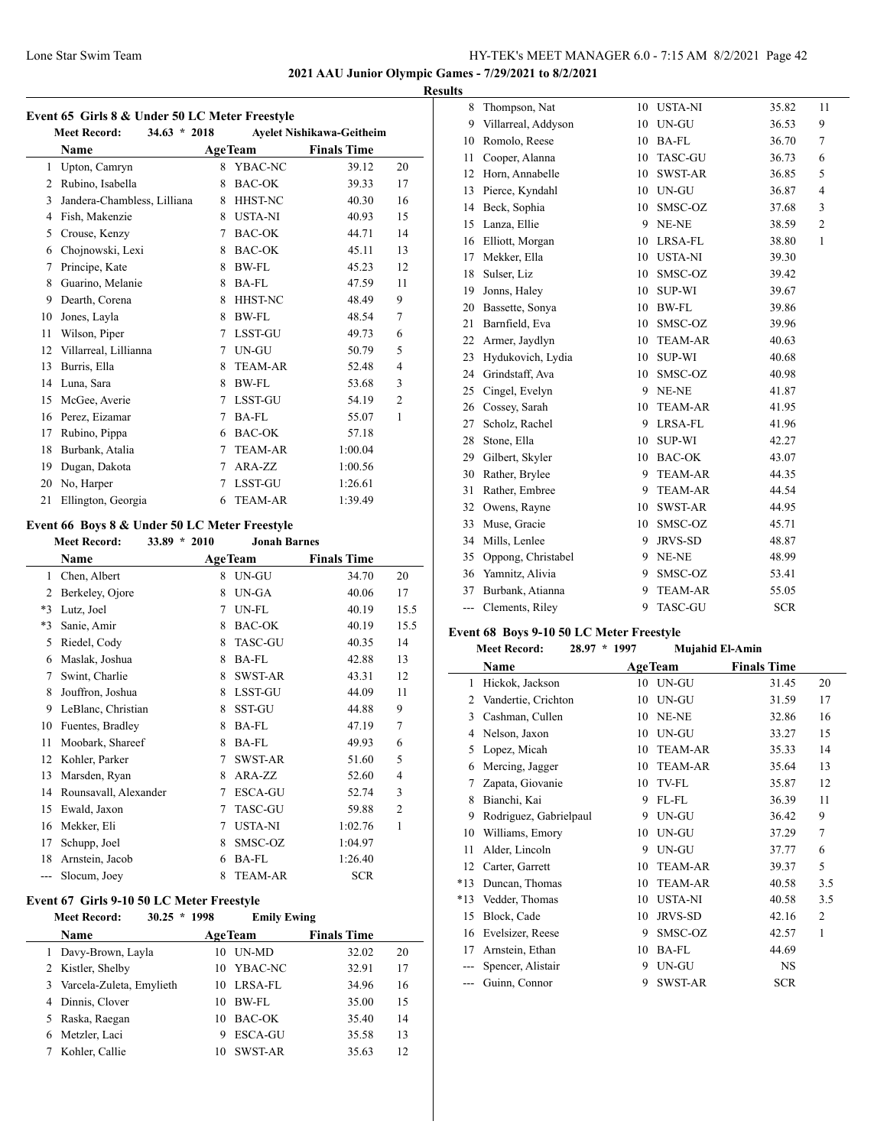**2021 AAU Junior Olympic Games - 7/29/2021 to 8/2/2021**

 $\overline{\phantom{a}}$ 

#### **Results**

| Event 65 Girls 8 & Under 50 LC Meter Freestyle<br>$34.63 * 2018$<br><b>Meet Record:</b><br>Ayelet Nishikawa-Geitheim |                             |   |                |                    |                |
|----------------------------------------------------------------------------------------------------------------------|-----------------------------|---|----------------|--------------------|----------------|
|                                                                                                                      | Name                        |   | <b>AgeTeam</b> | <b>Finals Time</b> |                |
| 1                                                                                                                    | Upton, Camryn               | 8 | YBAC-NC        | 39.12              | 20             |
| 2                                                                                                                    | Rubino, Isabella            | 8 | <b>BAC-OK</b>  | 39.33              | 17             |
| 3                                                                                                                    | Jandera-Chambless, Lilliana | 8 | <b>HHST-NC</b> | 40.30              | 16             |
| 4                                                                                                                    | Fish, Makenzie              | 8 | USTA-NI        | 40.93              | 15             |
| 5                                                                                                                    | Crouse, Kenzy               | 7 | BAC-OK         | 44.71              | 14             |
| 6                                                                                                                    | Chojnowski, Lexi            | 8 | BAC-OK         | 45.11              | 13             |
| 7                                                                                                                    | Principe, Kate              | 8 | <b>BW-FL</b>   | 45.23              | 12             |
| 8                                                                                                                    | Guarino, Melanie            | 8 | BA-FL          | 47.59              | 11             |
| 9                                                                                                                    | Dearth, Corena              | 8 | HHST-NC        | 48.49              | 9              |
| 10                                                                                                                   | Jones, Layla                | 8 | <b>BW-FL</b>   | 48.54              | 7              |
| 11                                                                                                                   | Wilson, Piper               | 7 | LSST-GU        | 49.73              | 6              |
| 12                                                                                                                   | Villarreal, Lillianna       | 7 | UN-GU          | 50.79              | 5              |
| 13                                                                                                                   | Burris, Ella                | 8 | <b>TEAM-AR</b> | 52.48              | $\overline{4}$ |
| 14                                                                                                                   | Luna, Sara                  | 8 | <b>BW-FL</b>   | 53.68              | 3              |
| 15                                                                                                                   | McGee, Averie               | 7 | <b>LSST-GU</b> | 54.19              | $\overline{2}$ |
| 16                                                                                                                   | Perez, Eizamar              | 7 | <b>BA-FL</b>   | 55.07              | 1              |
| 17                                                                                                                   | Rubino, Pippa               | 6 | <b>BAC-OK</b>  | 57.18              |                |
| 18                                                                                                                   | Burbank, Atalia             | 7 | <b>TEAM-AR</b> | 1:00.04            |                |
| 19                                                                                                                   | Dugan, Dakota               | 7 | ARA-ZZ         | 1:00.56            |                |
| 20                                                                                                                   | No, Harper                  | 7 | LSST-GU        | 1:26.61            |                |
| 21                                                                                                                   | Ellington, Georgia          | 6 | <b>TEAM-AR</b> | 1:39.49            |                |
|                                                                                                                      |                             |   |                |                    |                |

# **Event 66 Boys 8 & Under 50 LC Meter Freestyle**

**Meet Record: 33.89 \* 2010 Jonah Barnes**

|      | Name                  |   | <b>AgeTeam</b> | <b>Finals Time</b> |                |
|------|-----------------------|---|----------------|--------------------|----------------|
| 1    | Chen, Albert          | 8 | UN-GU          | 34.70              | 20             |
| 2    | Berkeley, Ojore       | 8 | UN-GA          | 40.06              | 17             |
| $*3$ | Lutz, Joel            | 7 | UN-FL          | 40.19              | 15.5           |
| $*3$ | Sanie, Amir           | 8 | <b>BAC-OK</b>  | 40.19              | 15.5           |
| 5    | Riedel, Cody          | 8 | <b>TASC-GU</b> | 40.35              | 14             |
| 6    | Maslak, Joshua        | 8 | <b>BA-FL</b>   | 42.88              | 13             |
| 7    | Swint, Charlie        | 8 | SWST-AR        | 43.31              | 12             |
| 8    | Jouffron, Joshua      | 8 | LSST-GU        | 44.09              | 11             |
| 9    | LeBlanc, Christian    | 8 | SST-GU         | 44.88              | 9              |
| 10   | Fuentes, Bradley      | 8 | BA-FL          | 47.19              | 7              |
| 11   | Moobark, Shareef      | 8 | <b>BA-FL</b>   | 49.93              | 6              |
| 12   | Kohler, Parker        | 7 | SWST-AR        | 51.60              | 5              |
| 13   | Marsden, Ryan         | 8 | ARA-ZZ         | 52.60              | 4              |
| 14   | Rounsavall, Alexander | 7 | <b>ESCA-GU</b> | 52.74              | 3              |
| 15   | Ewald, Jaxon          | 7 | <b>TASC-GU</b> | 59.88              | $\overline{c}$ |
| 16   | Mekker, Eli           | 7 | USTA-NI        | 1:02.76            | 1              |
| 17   | Schupp, Joel          | 8 | SMSC-OZ        | 1:04.97            |                |
| 18   | Arnstein, Jacob       | 6 | <b>BA-FL</b>   | 1:26.40            |                |
| ---  | Slocum, Joev          | 8 | <b>TEAM-AR</b> | <b>SCR</b>         |                |

## **Event 67 Girls 9-10 50 LC Meter Freestyle**

|   | $30.25 * 1998$<br><b>Meet Record:</b> |    | <b>Emily Ewing</b> |                    |    |  |
|---|---------------------------------------|----|--------------------|--------------------|----|--|
|   | Name                                  |    | <b>AgeTeam</b>     | <b>Finals Time</b> |    |  |
|   | 1 Davy-Brown, Layla                   | 10 | <b>IN-MD</b>       | 32.02              | 20 |  |
|   | 2 Kistler, Shelby                     | 10 | YBAC-NC            | 32.91              | 17 |  |
|   | 3 Varcela-Zuleta, Emylieth            | 10 | LRSA-FL            | 34.96              | 16 |  |
|   | 4 Dinnis, Clover                      | 10 | BW-FL              | 35.00              | 15 |  |
|   | 5 Raska, Raegan                       | 10 | BAC-OK             | 35.40              | 14 |  |
| 6 | Metzler, Laci                         | 9  | <b>ESCA-GU</b>     | 35.58              | 13 |  |
|   | Kohler, Callie                        | 10 | SWST-AR            | 35.63              | 12 |  |
|   |                                       |    |                    |                    |    |  |

| 8   | Thompson, Nat       | 10 | <b>USTA-NI</b> | 35.82      | 11             |
|-----|---------------------|----|----------------|------------|----------------|
| 9   | Villarreal, Addyson | 10 | UN-GU          | 36.53      | 9              |
| 10  | Romolo, Reese       | 10 | BA-FL          | 36.70      | 7              |
| 11  | Cooper, Alanna      | 10 | TASC-GU        | 36.73      | 6              |
| 12  | Horn, Annabelle     | 10 | <b>SWST-AR</b> | 36.85      | 5              |
| 13  | Pierce, Kyndahl     | 10 | UN-GU          | 36.87      | $\overline{4}$ |
| 14  | Beck, Sophia        | 10 | SMSC-OZ        | 37.68      | 3              |
| 15  | Lanza, Ellie        | 9  | NE-NE          | 38.59      | $\overline{c}$ |
| 16  | Elliott, Morgan     | 10 | LRSA-FL        | 38.80      | $\mathbf{1}$   |
| 17  | Mekker, Ella        | 10 | <b>USTA-NI</b> | 39.30      |                |
| 18  | Sulser, Liz         | 10 | SMSC-OZ        | 39.42      |                |
| 19  | Jonns, Haley        | 10 | <b>SUP-WI</b>  | 39.67      |                |
| 20  | Bassette, Sonya     | 10 | BW-FL          | 39.86      |                |
| 21  | Barnfield, Eva      | 10 | SMSC-OZ        | 39.96      |                |
| 22  | Armer, Jaydlyn      | 10 | <b>TEAM-AR</b> | 40.63      |                |
| 23  | Hydukovich, Lydia   | 10 | <b>SUP-WI</b>  | 40.68      |                |
| 24  | Grindstaff, Ava     | 10 | SMSC-OZ        | 40.98      |                |
| 25  | Cingel, Evelyn      | 9  | NE-NE          | 41.87      |                |
| 26  | Cossey, Sarah       | 10 | <b>TEAM-AR</b> | 41.95      |                |
| 27  | Scholz, Rachel      | 9  | LRSA-FL        | 41.96      |                |
| 28  | Stone, Ella         | 10 | <b>SUP-WI</b>  | 42.27      |                |
| 29  | Gilbert, Skyler     | 10 | <b>BAC-OK</b>  | 43.07      |                |
| 30  | Rather, Brylee      | 9  | <b>TEAM-AR</b> | 44.35      |                |
| 31  | Rather, Embree      | 9  | <b>TEAM-AR</b> | 44.54      |                |
| 32  | Owens, Rayne        | 10 | SWST-AR        | 44.95      |                |
| 33  | Muse, Gracie        | 10 | SMSC-OZ        | 45.71      |                |
| 34  | Mills, Lenlee       | 9  | <b>JRVS-SD</b> | 48.87      |                |
| 35  | Oppong, Christabel  | 9  | NE-NE          | 48.99      |                |
| 36  | Yamnitz, Alivia     | 9  | SMSC-OZ        | 53.41      |                |
| 37  | Burbank, Atianna    | 9  | <b>TEAM-AR</b> | 55.05      |                |
| --- | Clements, Riley     | 9  | <b>TASC-GU</b> | <b>SCR</b> |                |

## **Event 68 Boys 9-10 50 LC Meter Freestyle**

|       | <b>Meet Record:</b>    | $28.97 *$ | 1997 | Mujahid El-Amin |                    |                |
|-------|------------------------|-----------|------|-----------------|--------------------|----------------|
|       | Name                   |           |      | <b>AgeTeam</b>  | <b>Finals Time</b> |                |
| 1     | Hickok, Jackson        |           | 10   | UN-GU           | 31.45              | 20             |
| 2     | Vandertie, Crichton    |           | 10   | UN-GU           | 31.59              | 17             |
| 3     | Cashman, Cullen        |           | 10   | NE-NE           | 32.86              | 16             |
| 4     | Nelson, Jaxon          |           | 10   | UN-GU           | 33.27              | 15             |
| 5     | Lopez, Micah           |           | 10   | <b>TEAM-AR</b>  | 35.33              | 14             |
| 6     | Mercing, Jagger        |           | 10   | <b>TEAM-AR</b>  | 35.64              | 13             |
| 7     | Zapata, Giovanie       |           | 10   | <b>TV-FL</b>    | 35.87              | 12             |
| 8     | Bianchi, Kai           |           | 9    | FL-FL           | 36.39              | 11             |
| 9     | Rodriguez, Gabrielpaul |           | 9    | UN-GU           | 36.42              | 9              |
| 10    | Williams, Emory        |           | 10   | UN-GU           | 37.29              | $\overline{7}$ |
| 11    | Alder, Lincoln         |           | 9    | UN-GU           | 37.77              | 6              |
| 12    | Carter, Garrett        |           | 10   | <b>TEAM-AR</b>  | 39.37              | 5              |
| $*13$ | Duncan, Thomas         |           | 10   | <b>TEAM-AR</b>  | 40.58              | 3.5            |
| $*13$ | Vedder, Thomas         |           | 10   | <b>USTA-NI</b>  | 40.58              | 3.5            |
| 15    | Block, Cade            |           | 10   | <b>JRVS-SD</b>  | 42.16              | $\overline{c}$ |
| 16    | Evelsizer, Reese       |           | 9    | SMSC-OZ         | 42.57              | 1              |
| 17    | Arnstein, Ethan        |           | 10   | BA-FL           | 44.69              |                |
|       | Spencer, Alistair      |           | 9    | UN-GU           | <b>NS</b>          |                |
| ---   | Guinn, Connor          |           | 9    | <b>SWST-AR</b>  | <b>SCR</b>         |                |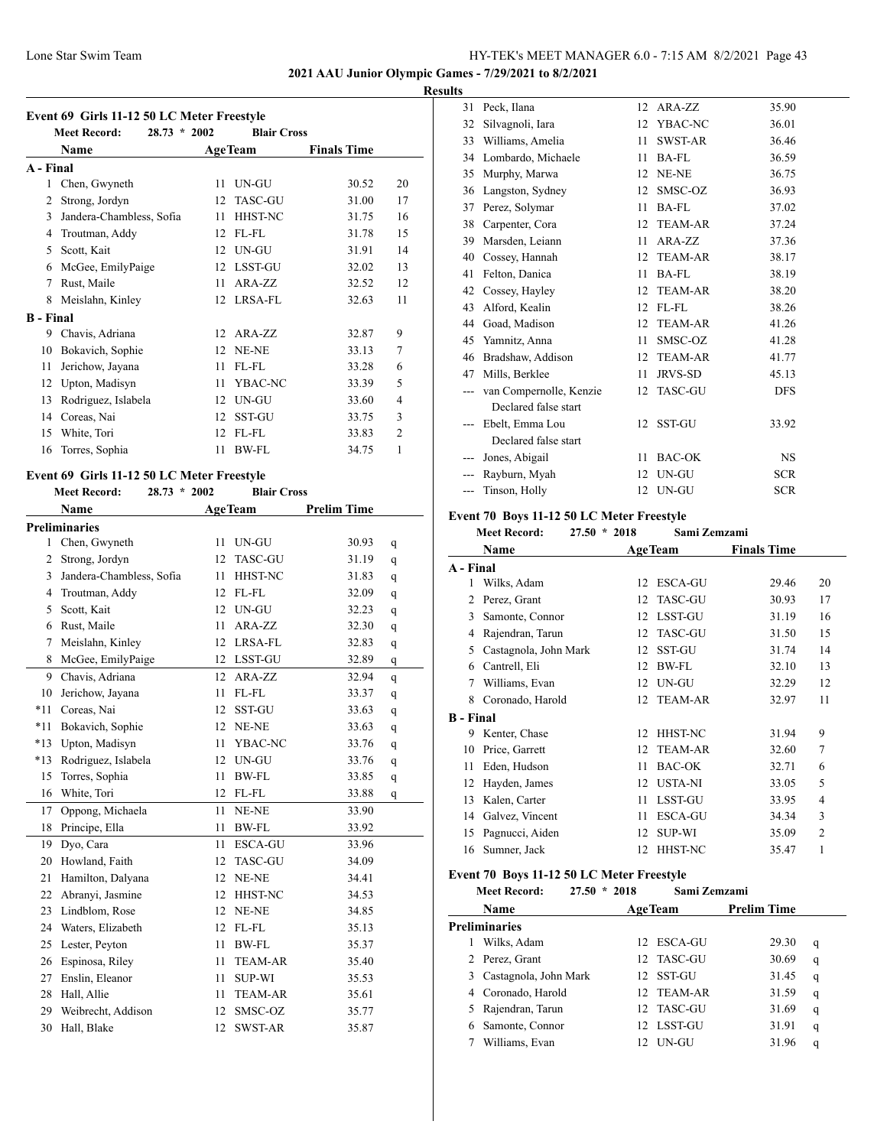## **2021 AAU Junior Olympic Games - 7/29/2021 to 8/2/2021**

## **Results**

|  |  | Event 69 Girls 11-12 50 LC Meter Freestyle |
|--|--|--------------------------------------------|
|  |  |                                            |

|                  | <b>Meet Record:</b><br>$28.73 * 2002$ |    | <b>Blair Cross</b> |                    |                |
|------------------|---------------------------------------|----|--------------------|--------------------|----------------|
|                  | Name                                  |    | <b>AgeTeam</b>     | <b>Finals Time</b> |                |
| A - Final        |                                       |    |                    |                    |                |
| 1                | Chen, Gwyneth                         | 11 | UN-GU              | 30.52              | 20             |
| 2                | Strong, Jordyn                        | 12 | <b>TASC-GU</b>     | 31.00              | 17             |
| 3                | Jandera-Chambless, Sofia              | 11 | HHST-NC            | 31.75              | 16             |
| 4                | Troutman, Addy                        | 12 | FL-FL              | 31.78              | 15             |
| 5                | Scott, Kait                           | 12 | UN-GU              | 31.91              | 14             |
| 6                | McGee, EmilyPaige                     | 12 | LSST-GU            | 32.02              | 13             |
| 7                | Rust, Maile                           | 11 | ARA-ZZ             | 32.52              | 12             |
| 8                | Meislahn, Kinley                      | 12 | LRSA-FL            | 32.63              | 11             |
| <b>B</b> - Final |                                       |    |                    |                    |                |
| 9                | Chavis, Adriana                       | 12 | ARA-ZZ             | 32.87              | 9              |
| 10               | Bokavich, Sophie                      | 12 | NE-NE              | 33.13              | $\overline{7}$ |
| 11               | Jerichow, Jayana                      | 11 | FL-FL              | 33.28              | 6              |
| 12               | Upton, Madisyn                        | 11 | YBAC-NC            | 33.39              | 5              |
| 13               | Rodriguez, Islabela                   | 12 | UN-GU              | 33.60              | $\overline{4}$ |
| 14               | Coreas, Nai                           | 12 | <b>SST-GU</b>      | 33.75              | 3              |
| 15               | White, Tori                           | 12 | FL-FL              | 33.83              | $\overline{2}$ |
| 16               | Torres, Sophia                        | 11 | <b>BW-FL</b>       | 34.75              | 1              |

## **Event 69 Girls 11-12 50 LC Meter Freestyle**

**Meet Record: 28.73 \* 2002 Blair Cross**

|                | Name                     | <b>AgeTeam</b>       | <b>Prelim Time</b> |   |
|----------------|--------------------------|----------------------|--------------------|---|
|                | <b>Preliminaries</b>     |                      |                    |   |
| $\mathbf{1}$   | Chen, Gwyneth            | 11<br>UN-GU          | 30.93              | q |
| $\overline{2}$ | Strong, Jordyn           | 12<br><b>TASC-GU</b> | 31.19              | q |
| 3              | Jandera-Chambless, Sofia | 11<br>HHST-NC        | 31.83              | q |
| $\overline{4}$ | Troutman, Addy           | 12<br>FL-FL          | 32.09              | q |
| 5              | Scott, Kait              | 12<br>UN-GU          | 32.23              | q |
| 6              | Rust, Maile              | 11<br>ARA-ZZ         | 32.30              | q |
| 7              | Meislahn, Kinley         | 12<br><b>LRSA-FL</b> | 32.83              | q |
| 8              | McGee, EmilyPaige        | 12<br>LSST-GU        | 32.89              | q |
| 9              | Chavis, Adriana          | 12<br>ARA-ZZ         | 32.94              | q |
| 10             | Jerichow, Jayana         | FL-FL<br>11          | 33.37              | q |
| $*11$          | Coreas, Nai              | 12<br>SST-GU         | 33.63              | q |
| $*11$          | Bokavich, Sophie         | 12<br>NE-NE          | 33.63              | q |
| $*13$          | Upton, Madisyn           | 11<br>YBAC-NC        | 33.76              | q |
| $*13$          | Rodriguez, Islabela      | 12<br>UN-GU          | 33.76              | q |
| 15             | Torres, Sophia           | 11<br><b>BW-FL</b>   | 33.85              | q |
| 16             | White, Tori              | 12<br>FL-FL          | 33.88              | q |
| 17             | Oppong, Michaela         | 11<br>NE-NE          | 33.90              |   |
| 18             | Principe, Ella           | 11<br><b>BW-FL</b>   | 33.92              |   |
| 19             | Dvo, Cara                | 11<br><b>ESCA-GU</b> | 33.96              |   |
| 20             | Howland, Faith           | 12<br><b>TASC-GU</b> | 34.09              |   |
| 21             | Hamilton, Dalyana        | 12<br>NE-NE          | 34.41              |   |
| 22             | Abranyi, Jasmine         | HHST-NC<br>12        | 34.53              |   |
| 23             | Lindblom, Rose           | 12<br>NE-NE          | 34.85              |   |
| 24             | Waters, Elizabeth        | 12<br>FL-FL          | 35.13              |   |
| 25             | Lester, Peyton           | <b>BW-FL</b><br>11   | 35.37              |   |
| 26             | Espinosa, Riley          | <b>TEAM-AR</b><br>11 | 35.40              |   |
| 27             | Enslin, Eleanor          | 11<br><b>SUP-WI</b>  | 35.53              |   |
| 28             | Hall, Allie              | <b>TEAM-AR</b><br>11 | 35.61              |   |
| 29             | Weibrecht, Addison       | 12<br>SMSC-OZ        | 35.77              |   |
| 30             | Hall, Blake              | 12<br><b>SWST-AR</b> | 35.87              |   |

| 31    | Peck, Ilana             | 12 | ARA-ZZ         | 35.90      |
|-------|-------------------------|----|----------------|------------|
| 32    | Silvagnoli, Iara        | 12 | YBAC-NC        | 36.01      |
| 33    | Williams, Amelia        | 11 | SWST-AR        | 36.46      |
| 34    | Lombardo, Michaele      | 11 | <b>BA-FL</b>   | 36.59      |
| 35    | Murphy, Marwa           | 12 | NE-NE          | 36.75      |
| 36    | Langston, Sydney        | 12 | SMSC-OZ        | 36.93      |
| 37    | Perez, Solymar          | 11 | <b>BA-FL</b>   | 37.02      |
| 38    | Carpenter, Cora         | 12 | <b>TEAM-AR</b> | 37.24      |
| 39    | Marsden, Leiann         | 11 | ARA-ZZ         | 37.36      |
| 40    | Cossey, Hannah          | 12 | <b>TEAM-AR</b> | 38.17      |
| 41    | Felton, Danica          | 11 | BA-FL          | 38.19      |
| 42    | Cossey, Hayley          | 12 | <b>TEAM-AR</b> | 38.20      |
| 43    | Alford, Kealin          | 12 | FL-FL          | 38.26      |
| 44    | Goad, Madison           | 12 | <b>TEAM-AR</b> | 41.26      |
| 45    | Yamnitz, Anna           | 11 | SMSC-OZ        | 41.28      |
| 46    | Bradshaw, Addison       | 12 | <b>TEAM-AR</b> | 41.77      |
| 47    | Mills, Berklee          | 11 | <b>JRVS-SD</b> | 45.13      |
|       | van Compernolle, Kenzie | 12 | <b>TASC-GU</b> | <b>DFS</b> |
|       | Declared false start    |    |                |            |
|       | Ebelt, Emma Lou         | 12 | <b>SST-GU</b>  | 33.92      |
|       | Declared false start    |    |                |            |
| ---   | Jones, Abigail          | 11 | <b>BAC-OK</b>  | <b>NS</b>  |
|       | Rayburn, Myah           | 12 | UN-GU          | <b>SCR</b> |
| $---$ | Tinson, Holly           | 12 | UN-GU          | <b>SCR</b> |

#### **Event 70 Boys 11-12 50 LC Meter Freestyle**

**Meet Record: 27.50 \* 2018 Sami Zemzami**

|                  | Name                  |    | <b>AgeTeam</b> | <b>Finals Time</b> |                |
|------------------|-----------------------|----|----------------|--------------------|----------------|
| A - Final        |                       |    |                |                    |                |
| 1                | Wilks, Adam           | 12 | <b>ESCA-GU</b> | 29.46              | 20             |
| 2                | Perez, Grant          | 12 | <b>TASC-GU</b> | 30.93              | 17             |
| 3                | Samonte, Connor       | 12 | <b>LSST-GU</b> | 31.19              | 16             |
| 4                | Rajendran, Tarun      | 12 | <b>TASC-GU</b> | 31.50              | 15             |
| 5                | Castagnola, John Mark | 12 | <b>SST-GU</b>  | 31.74              | 14             |
| 6                | Cantrell, Eli         | 12 | <b>BW-FL</b>   | 32.10              | 13             |
| 7                | Williams, Evan        | 12 | <b>UN-GU</b>   | 32.29              | 12             |
| 8                | Coronado, Harold      | 12 | <b>TEAM-AR</b> | 32.97              | 11             |
| <b>B</b> - Final |                       |    |                |                    |                |
| 9                | Kenter, Chase         | 12 | <b>HHST-NC</b> | 31.94              | 9              |
| 10               | Price, Garrett        | 12 | <b>TEAM-AR</b> | 32.60              | $\overline{7}$ |
| 11               | Eden, Hudson          | 11 | <b>BAC-OK</b>  | 32.71              | 6              |
| 12               | Hayden, James         | 12 | <b>USTA-NI</b> | 33.05              | 5              |
| 13               | Kalen, Carter         | 11 | <b>LSST-GU</b> | 33.95              | $\overline{4}$ |
| 14               | Galvez, Vincent       | 11 | <b>ESCA-GU</b> | 34.34              | 3              |
| 15               | Pagnucci, Aiden       | 12 | <b>SUP-WI</b>  | 35.09              | $\overline{2}$ |
| 16               | Sumner, Jack          | 12 | <b>HHST-NC</b> | 35.47              | 1              |

# **Event 70 Boys 11-12 50 LC Meter Freestyle**

|    | <b>Meet Record:</b><br>27.50 | $*2018$ | Sami Zemzami   |                    |   |
|----|------------------------------|---------|----------------|--------------------|---|
|    | Name                         |         | <b>AgeTeam</b> | <b>Prelim Time</b> |   |
|    | <b>Preliminaries</b>         |         |                |                    |   |
|    | Wilks, Adam                  | 12.     | ESCA-GU        | 29.30              | q |
|    | 2 Perez, Grant               |         | 12 TASC-GU     | 30.69              | q |
|    | 3 Castagnola, John Mark      |         | 12 SST-GU      | 31.45              | q |
|    | 4 Coronado, Harold           |         | 12 TEAM-AR     | 31.59              | q |
| 5. | Rajendran, Tarun             |         | 12 TASC-GU     | 31.69              | q |
| 6  | Samonte, Connor              | 12.     | LSST-GU        | 31.91              | q |
|    | Williams, Evan               | 12      | UN-GU          | 31.96              | a |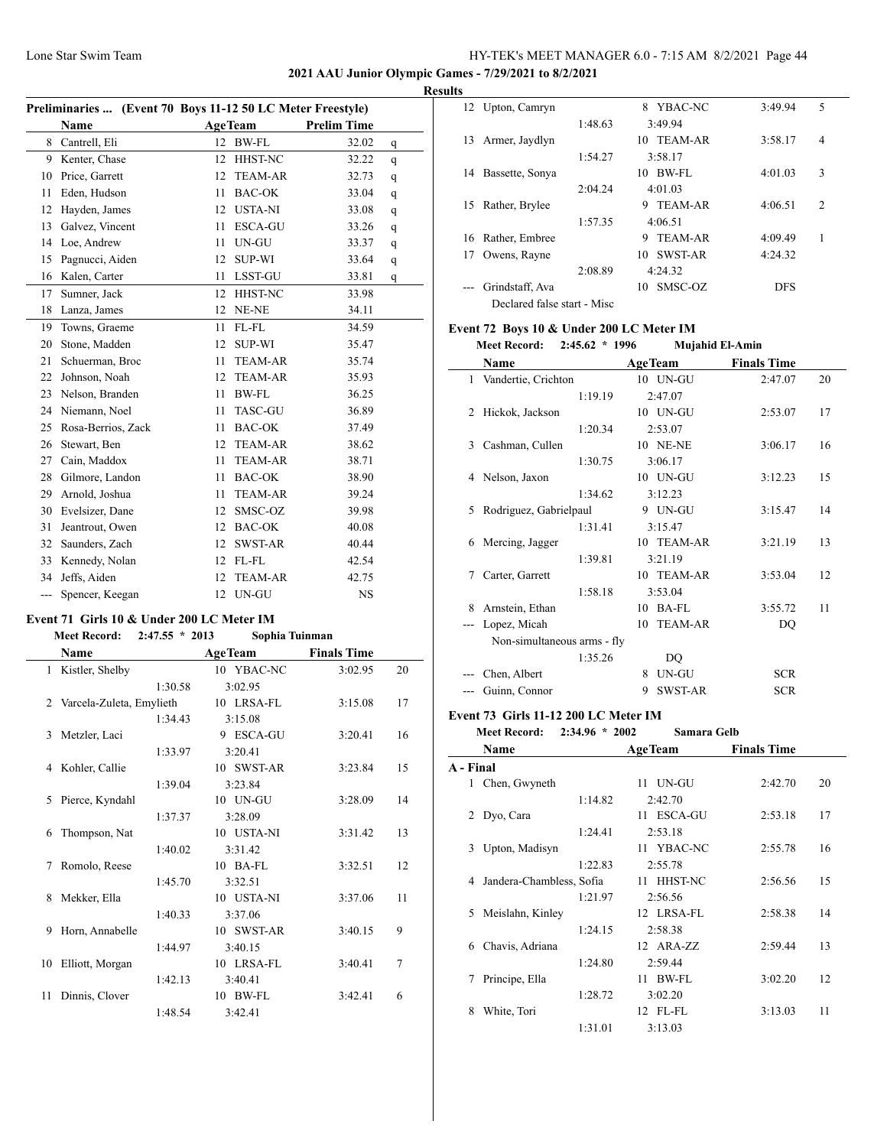**2021 AAU Junior Olympic Games - 7/29/2021 to 8/2/2021**

#### **Results**

 $\overline{\phantom{a}}$ 

|     | Preliminaries  (Event 70 Boys 11-12 50 LC Meter Freestyle) |    |                |                    |   |
|-----|------------------------------------------------------------|----|----------------|--------------------|---|
|     | Name                                                       |    | <b>AgeTeam</b> | <b>Prelim Time</b> |   |
| 8   | Cantrell, Eli                                              | 12 | <b>BW-FL</b>   | 32.02              | q |
| 9   | Kenter, Chase                                              | 12 | HHST-NC        | 32.22              | q |
| 10  | Price, Garrett                                             | 12 | <b>TEAM-AR</b> | 32.73              | q |
| 11  | Eden, Hudson                                               | 11 | <b>BAC-OK</b>  | 33.04              | q |
| 12  | Hayden, James                                              | 12 | <b>USTA-NI</b> | 33.08              | q |
| 13  | Galvez, Vincent                                            | 11 | <b>ESCA-GU</b> | 33.26              | q |
| 14  | Loe, Andrew                                                | 11 | UN-GU          | 33.37              | q |
| 15  | Pagnucci, Aiden                                            | 12 | <b>SUP-WI</b>  | 33.64              | q |
| 16  | Kalen, Carter                                              | 11 | LSST-GU        | 33.81              | q |
| 17  | Sumner, Jack                                               | 12 | HHST-NC        | 33.98              |   |
| 18  | Lanza, James                                               | 12 | NE-NE          | 34.11              |   |
| 19  | Towns, Graeme                                              | 11 | FL-FL          | 34.59              |   |
| 20  | Stone, Madden                                              | 12 | <b>SUP-WI</b>  | 35.47              |   |
| 21  | Schuerman, Broc                                            | 11 | <b>TEAM-AR</b> | 35.74              |   |
| 22  | Johnson, Noah                                              | 12 | <b>TEAM-AR</b> | 35.93              |   |
| 23  | Nelson, Branden                                            | 11 | BW-FL          | 36.25              |   |
| 24  | Niemann, Noel                                              | 11 | <b>TASC-GU</b> | 36.89              |   |
| 25  | Rosa-Berrios, Zack                                         | 11 | <b>BAC-OK</b>  | 37.49              |   |
| 26  | Stewart, Ben                                               | 12 | <b>TEAM-AR</b> | 38.62              |   |
| 27  | Cain, Maddox                                               | 11 | <b>TEAM-AR</b> | 38.71              |   |
| 28  | Gilmore, Landon                                            | 11 | <b>BAC-OK</b>  | 38.90              |   |
| 29  | Arnold, Joshua                                             | 11 | <b>TEAM-AR</b> | 39.24              |   |
| 30  | Evelsizer, Dane                                            | 12 | SMSC-OZ        | 39.98              |   |
| 31  | Jeantrout, Owen                                            | 12 | <b>BAC-OK</b>  | 40.08              |   |
| 32  | Saunders, Zach                                             | 12 | SWST-AR        | 40.44              |   |
| 33  | Kennedy, Nolan                                             | 12 | FL-FL          | 42.54              |   |
| 34  | Jeffs, Aiden                                               | 12 | <b>TEAM-AR</b> | 42.75              |   |
| --- | Spencer, Keegan                                            | 12 | UN-GU          | <b>NS</b>          |   |

#### **Event 71 Girls 10 & Under 200 LC Meter IM**

**Meet Record: 2:47.55 \* 2013 Sophia Tuinman**

|    | <b>Name</b>              | <b>AgeTeam</b> | <b>Finals Time</b> |    |
|----|--------------------------|----------------|--------------------|----|
|    | 1 Kistler, Shelby        | 10 YBAC-NC     | 3:02.95            | 20 |
|    | 1:30.58                  | 3:02.95        |                    |    |
| 2  | Varcela-Zuleta, Emylieth | 10 LRSA-FL     | 3:15.08            | 17 |
|    | 1:34.43                  | 3:15.08        |                    |    |
| 3  | Metzler, Laci            | 9 ESCA-GU      | 3:20.41            | 16 |
|    | 1:33.97                  | 3:20.41        |                    |    |
| 4  | Kohler, Callie           | 10 SWST-AR     | 3:23.84            | 15 |
|    | 1:39.04                  | 3:23.84        |                    |    |
| 5  | Pierce, Kyndahl          | 10 UN-GU       | 3:28.09            | 14 |
|    | 1:37.37                  | 3:28.09        |                    |    |
| 6  | Thompson, Nat            | 10 USTA-NI     | 3:31.42            | 13 |
|    | 1:40.02                  | 3:31.42        |                    |    |
| 7  | Romolo, Reese            | $10$ BA-FL     | 3:32.51            | 12 |
|    | 1:45.70                  | 3:32.51        |                    |    |
| 8  | Mekker, Ella             | 10 USTA-NI     | 3:37.06            | 11 |
|    | 1:40.33                  | 3:37.06        |                    |    |
| 9  | Horn, Annabelle          | 10 SWST-AR     | 3:40.15            | 9  |
|    | 1:44.97                  | 3:40.15        |                    |    |
| 10 | Elliott, Morgan          | 10 LRSA-FL     | 3:40.41            | 7  |
|    | 1:42.13                  | 3:40.41        |                    |    |
| 11 | Dinnis, Clover           | 10 BW-FL       | 3:42.41            | 6  |
|    | 1:48.54                  | 3:42.41        |                    |    |

|    | 12 Upton, Camryn            |         | YBAC-NC<br>8        | 3:49.94    | 5              |
|----|-----------------------------|---------|---------------------|------------|----------------|
|    |                             | 1:48.63 | 3:49.94             |            |                |
| 13 | Armer, Jaydlyn              |         | 10 TEAM-AR          | 3:58.17    | 4              |
|    |                             | 1:54.27 | 3:58.17             |            |                |
| 14 | Bassette, Sonya             |         | BW-FL<br>10         | 4:01.03    | 3              |
|    |                             | 2:04.24 | 4:01.03             |            |                |
| 15 | Rather, Brylee              |         | <b>TEAM-AR</b><br>9 | 4:06.51    | $\overline{2}$ |
|    |                             | 1:57.35 | 4:06.51             |            |                |
| 16 | Rather, Embree              |         | TEAM-AR<br>9        | 4:09.49    | 1              |
| 17 | Owens, Rayne                |         | SWST-AR<br>10       | 4:24.32    |                |
|    |                             | 2:08.89 | 4:24.32             |            |                |
|    | Grindstaff, Ava             |         | SMSC-OZ<br>10       | <b>DFS</b> |                |
|    | Declared false start - Misc |         |                     |            |                |

# **Event 72 Boys 10 & Under 200 LC Meter IM**<br>Mest Becord: 2:45.62  $*$  1996 Mujchid El Ami

|                | <b>Meet Record:</b>         | $2:45.62 * 1996$ |    | <b>Mujahid El-Amin</b> |                    |    |
|----------------|-----------------------------|------------------|----|------------------------|--------------------|----|
|                | Name                        |                  |    | <b>AgeTeam</b>         | <b>Finals Time</b> |    |
|                | 1 Vandertie, Crichton       |                  |    | 10 UN-GU               | 2:47.07            | 20 |
|                |                             | 1:19.19          |    | 2:47.07                |                    |    |
| $\mathfrak{D}$ | Hickok, Jackson             |                  |    | 10 UN-GU               | 2:53.07            | 17 |
|                |                             | 1:20.34          |    | 2:53.07                |                    |    |
| $\mathbf{3}$   | Cashman, Cullen             |                  |    | <b>10 NE-NE</b>        | 3:06.17            | 16 |
|                |                             | 1:30.75          |    | 3:06.17                |                    |    |
| 4              | Nelson, Jaxon               |                  |    | 10 UN-GU               | 3:12.23            | 15 |
|                |                             | 1:34.62          |    | 3:12.23                |                    |    |
| 5              | Rodriguez, Gabrielpaul      |                  |    | 9 UN-GU                | 3:15.47            | 14 |
|                |                             | 1:31.41          |    | 3:15.47                |                    |    |
| 6              | Mercing, Jagger             |                  |    | 10 TEAM-AR             | 3:21.19            | 13 |
|                |                             | 1:39.81          |    | 3:21.19                |                    |    |
| 7              | Carter, Garrett             |                  |    | 10 TEAM-AR             | 3:53.04            | 12 |
|                |                             | 1:58.18          |    | 3:53.04                |                    |    |
| 8              | Arnstein, Ethan             |                  | 10 | BA-FL                  | 3:55.72            | 11 |
|                | Lopez, Micah                |                  |    | 10 TEAM-AR             | DQ                 |    |
|                | Non-simultaneous arms - fly |                  |    |                        |                    |    |
|                |                             | 1:35.26          |    | DO                     |                    |    |
|                | Chen, Albert                |                  | 8  | UN-GU                  | <b>SCR</b>         |    |
| $---$          | Guinn, Connor               |                  | 9  | <b>SWST-AR</b>         | <b>SCR</b>         |    |

## **Event 73 Girls 11-12 200 LC Meter IM**

| $2:34.96 * 2002$ | <b>Meet Record:</b> |  |  | Samara Gelb |  |
|------------------|---------------------|--|--|-------------|--|
|------------------|---------------------|--|--|-------------|--|

|                | Name                     |         | <b>AgeTeam</b> | <b>Finals Time</b> |    |
|----------------|--------------------------|---------|----------------|--------------------|----|
| A - Final      |                          |         |                |                    |    |
|                | 1 Chen, Gwyneth          |         | 11 UN-GU       | 2:42.70            | 20 |
|                |                          | 1:14.82 | 2:42.70        |                    |    |
| $\overline{2}$ | Dyo, Cara                |         | 11 ESCA-GU     | 2:53.18            | 17 |
|                |                          | 1:24.41 | 2:53.18        |                    |    |
| 3              | Upton, Madisyn           |         | 11 YBAC-NC     | 2:55.78            | 16 |
|                |                          | 1:22.83 | 2:55.78        |                    |    |
| 4              | Jandera-Chambless, Sofia |         | 11 HHST-NC     | 2:56.56            | 15 |
|                |                          | 1:21.97 | 2:56.56        |                    |    |
| 5              | Meislahn, Kinley         |         | 12 LRSA-FL     | 2:58.38            | 14 |
|                |                          | 1:24.15 | 2:58.38        |                    |    |
| 6              | Chavis, Adriana          |         | 12 ARA-ZZ      | 2:59.44            | 13 |
|                |                          | 1:24.80 | 2:59.44        |                    |    |
| 7              | Principe, Ella           |         | 11 BW-FL       | 3:02.20            | 12 |
|                |                          | 1:28.72 | 3:02.20        |                    |    |
| 8              | White, Tori              |         | 12 FL-FL       | 3:13.03            | 11 |
|                |                          | 1:31.01 | 3:13.03        |                    |    |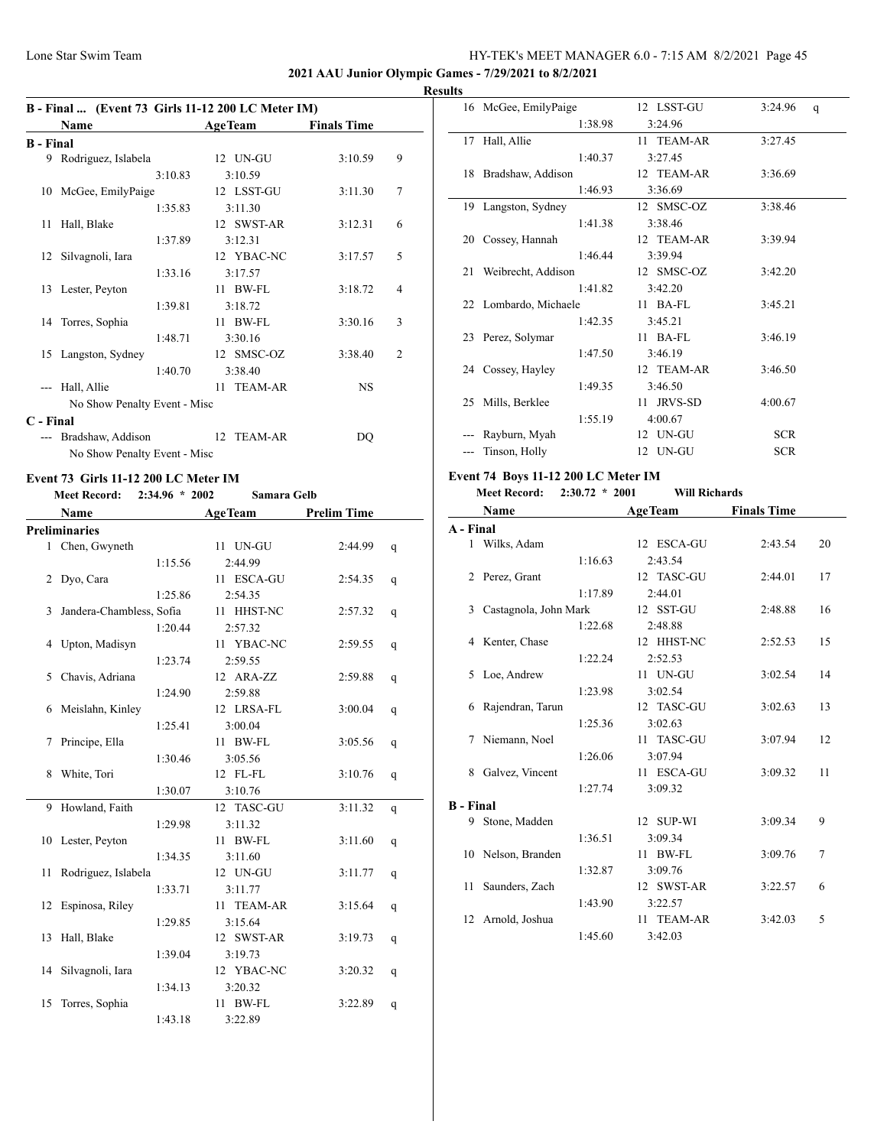## **2021 AAU Junior Olympic Games - 7/29/2021 to 8/2/2021**

|                  | B - Final  (Event 73 Girls 11-12 200 LC Meter IM) |                |                    |                |  |  |  |
|------------------|---------------------------------------------------|----------------|--------------------|----------------|--|--|--|
|                  | Name                                              | <b>AgeTeam</b> | <b>Finals Time</b> |                |  |  |  |
| <b>B</b> - Final |                                                   |                |                    |                |  |  |  |
| 9                | Rodriguez, Islabela                               | 12 UN-GU       | 3:10.59            | 9              |  |  |  |
|                  | 3:10.83                                           | 3:10.59        |                    |                |  |  |  |
| 10               | McGee, EmilyPaige                                 | 12 LSST-GU     | 3:11.30            | 7              |  |  |  |
|                  | 1:35.83                                           | 3:11.30        |                    |                |  |  |  |
| 11               | Hall, Blake                                       | 12 SWST-AR     | 3:12.31            | 6              |  |  |  |
|                  | 1:37.89                                           | 3:12.31        |                    |                |  |  |  |
| 12               | Silvagnoli, Iara                                  | 12 YBAC-NC     | 3:17.57            | 5              |  |  |  |
|                  | 1:33.16                                           | 3:17.57        |                    |                |  |  |  |
|                  | 13 Lester, Peyton                                 | $11$ BW-FL     | 3:18.72            | 4              |  |  |  |
|                  | 1:39.81                                           | 3:18.72        |                    |                |  |  |  |
|                  | 14 Torres, Sophia                                 | $11$ BW-FL     | 3:30.16            | 3              |  |  |  |
|                  | 1:48.71                                           | 3:30.16        |                    |                |  |  |  |
| 15               | Langston, Sydney                                  | 12 SMSC-OZ     | 3:38.40            | $\overline{2}$ |  |  |  |
|                  | 1:40.70                                           | 3:38.40        |                    |                |  |  |  |
| $---$            | Hall, Allie                                       | 11 TEAM-AR     | <b>NS</b>          |                |  |  |  |
|                  | No Show Penalty Event - Misc                      |                |                    |                |  |  |  |
| C - Final        |                                                   |                |                    |                |  |  |  |
| $\overline{a}$   | Bradshaw, Addison                                 | TEAM-AR<br>12  | DQ                 |                |  |  |  |
|                  | No Show Penalty Event - Misc                      |                |                    |                |  |  |  |

## **Event 73 Girls 11-12 200 LC Meter IM**

**Meet Record: 2:34.96 \* 2002 Samara Gelb**

|    | Name                     |         | <b>AgeTeam</b>       | <b>Prelim Time</b> |   |
|----|--------------------------|---------|----------------------|--------------------|---|
|    | <b>Preliminaries</b>     |         |                      |                    |   |
| 1  | Chen, Gwyneth            |         | 11 UN-GU             | 2:44.99            | q |
|    |                          | 1:15.56 | 2:44.99              |                    |   |
| 2  | Dyo, Cara                |         | 11 ESCA-GU           | 2:54.35            | q |
|    |                          | 1:25.86 | 2:54.35              |                    |   |
| 3  | Jandera-Chambless, Sofia |         | 11 HHST-NC           | 2:57.32            | q |
|    |                          | 1:20.44 | 2:57.32              |                    |   |
| 4  | Upton, Madisyn           |         | 11 YBAC-NC           | 2:59.55            | q |
|    |                          | 1:23.74 | 2:59.55              |                    |   |
| 5  | Chavis, Adriana          |         | 12 ARA-ZZ            | 2:59.88            | q |
|    |                          | 1:24.90 | 2:59.88              |                    |   |
| 6  | Meislahn, Kinley         |         | 12 LRSA-FL           | 3:00.04            | q |
|    |                          | 1:25.41 | 3:00.04              |                    |   |
| 7  | Principe, Ella           |         | BW-FL<br>11.         | 3:05.56            | q |
|    |                          | 1:30.46 | 3:05.56              |                    |   |
| 8  | White, Tori              |         | 12 FL-FL             | 3:10.76            | q |
|    |                          | 1:30.07 | 3:10.76              |                    |   |
| 9  | Howland, Faith           |         | 12 TASC-GU           | 3:11.32            | q |
|    |                          | 1:29.98 | 3:11.32              |                    |   |
| 10 | Lester, Peyton           |         | <b>BW-FL</b><br>11   | 3:11.60            | q |
|    |                          | 1:34.35 | 3:11.60              |                    |   |
| 11 | Rodriguez, Islabela      |         | 12 UN-GU             | 3:11.77            | q |
|    |                          | 1:33.71 | 3:11.77              |                    |   |
| 12 | Espinosa, Riley          |         | <b>TEAM-AR</b><br>11 | 3:15.64            | q |
|    |                          | 1:29.85 | 3:15.64              |                    |   |
| 13 | Hall, Blake              |         | 12 SWST-AR           | 3:19.73            | q |
|    |                          | 1:39.04 | 3:19.73              |                    |   |
| 14 | Silvagnoli, Iara         |         | 12 YBAC-NC           | 3:20.32            | q |
|    |                          | 1:34.13 | 3:20.32              |                    |   |
| 15 | Torres, Sophia           |         | <b>BW-FL</b><br>11   | 3:22.89            | q |
|    |                          | 1:43.18 | 3:22.89              |                    |   |

| <b>Results</b> |                       |            |                         |
|----------------|-----------------------|------------|-------------------------|
|                | 16 McGee, EmilyPaige  | 12 LSST-GU | 3:24.96<br>$\mathsf{q}$ |
|                | 1:38.98               | 3:24.96    |                         |
|                | 17 Hall, Allie        | 11 TEAM-AR | 3:27.45                 |
|                | 1:40.37               | 3:27.45    |                         |
|                | 18 Bradshaw, Addison  | 12 TEAM-AR | 3:36.69                 |
|                | 1:46.93               | 3:36.69    |                         |
|                | 19 Langston, Sydney   | 12 SMSC-OZ | 3:38.46                 |
|                | 1:41.38               | 3:38.46    |                         |
|                | 20 Cossey, Hannah     | 12 TEAM-AR | 3:39.94                 |
|                | 1:46.44               | 3:39.94    |                         |
|                | 21 Weibrecht, Addison | 12 SMSC-OZ | 3:42.20                 |
|                | 1:41.82               | 3:42.20    |                         |
|                | 22 Lombardo, Michaele | $11$ BA-FL | 3:45.21                 |
|                | 1:42.35               | 3:45.21    |                         |
|                | 23 Perez, Solymar     | $11$ BA-FL | 3:46.19                 |
|                | 1:47.50               | 3:46.19    |                         |
|                | 24 Cossey, Hayley     | 12 TEAM-AR | 3:46.50                 |
|                | 1:49.35               | 3:46.50    |                         |
|                | 25 Mills, Berklee     | 11 JRVS-SD | 4:00.67                 |
|                | 1:55.19               | 4:00.67    |                         |
|                | Rayburn, Myah         | 12 UN-GU   | <b>SCR</b>              |
| ---            | Tinson, Holly         | 12 UN-GU   | <b>SCR</b>              |

## **Event 74 Boys 11-12 200 LC Meter IM**

**Meet Record: 2:30.72 \* 2001 Will Richards**

|                  | Name                  |         | <b>AgeTeam</b>        | <b>Finals Time</b> |    |
|------------------|-----------------------|---------|-----------------------|--------------------|----|
| A - Final        |                       |         |                       |                    |    |
|                  | 1 Wilks, Adam         |         | 12 ESCA-GU            | 2:43.54            | 20 |
|                  |                       | 1:16.63 | 2:43.54               |                    |    |
|                  | 2 Perez, Grant        |         | 12 TASC-GU            | 2:44.01            | 17 |
|                  |                       | 1:17.89 | 2:44.01               |                    |    |
| 3                | Castagnola, John Mark |         | 12 SST-GU             | 2:48.88            | 16 |
|                  |                       | 1:22.68 | 2:48.88               |                    |    |
|                  | 4 Kenter, Chase       |         | 12 HHST-NC            | 2:52.53            | 15 |
|                  |                       | 1:22.24 | 2:52.53               |                    |    |
| 5.               | Loe, Andrew           |         | 11 UN-GU              | 3:02.54            | 14 |
|                  |                       | 1:23.98 | 3:02.54               |                    |    |
| 6                | Rajendran, Tarun      |         | 12 TASC-GU            | 3:02.63            | 13 |
|                  |                       | 1:25.36 | 3:02.63               |                    |    |
| 7                | Niemann, Noel         |         | <b>TASC-GU</b><br>11. | 3:07.94            | 12 |
|                  |                       | 1:26.06 | 3:07.94               |                    |    |
| 8                | Galvez, Vincent       |         | 11 ESCA-GU            | 3:09.32            | 11 |
|                  |                       | 1:27.74 | 3:09.32               |                    |    |
| <b>B</b> - Final |                       |         |                       |                    |    |
| 9                | Stone, Madden         |         | 12 SUP-WI             | 3:09.34            | 9  |
|                  |                       | 1:36.51 | 3:09.34               |                    |    |
| 10               | Nelson, Branden       |         | $11$ BW-FL            | 3:09.76            | 7  |
|                  |                       | 1:32.87 | 3:09.76               |                    |    |
| 11               | Saunders, Zach        |         | 12 SWST-AR            | 3:22.57            | 6  |
|                  |                       | 1:43.90 | 3:22.57               |                    |    |
|                  | 12 Arnold, Joshua     |         | 11 TEAM-AR            | 3:42.03            | 5  |
|                  |                       | 1:45.60 | 3:42.03               |                    |    |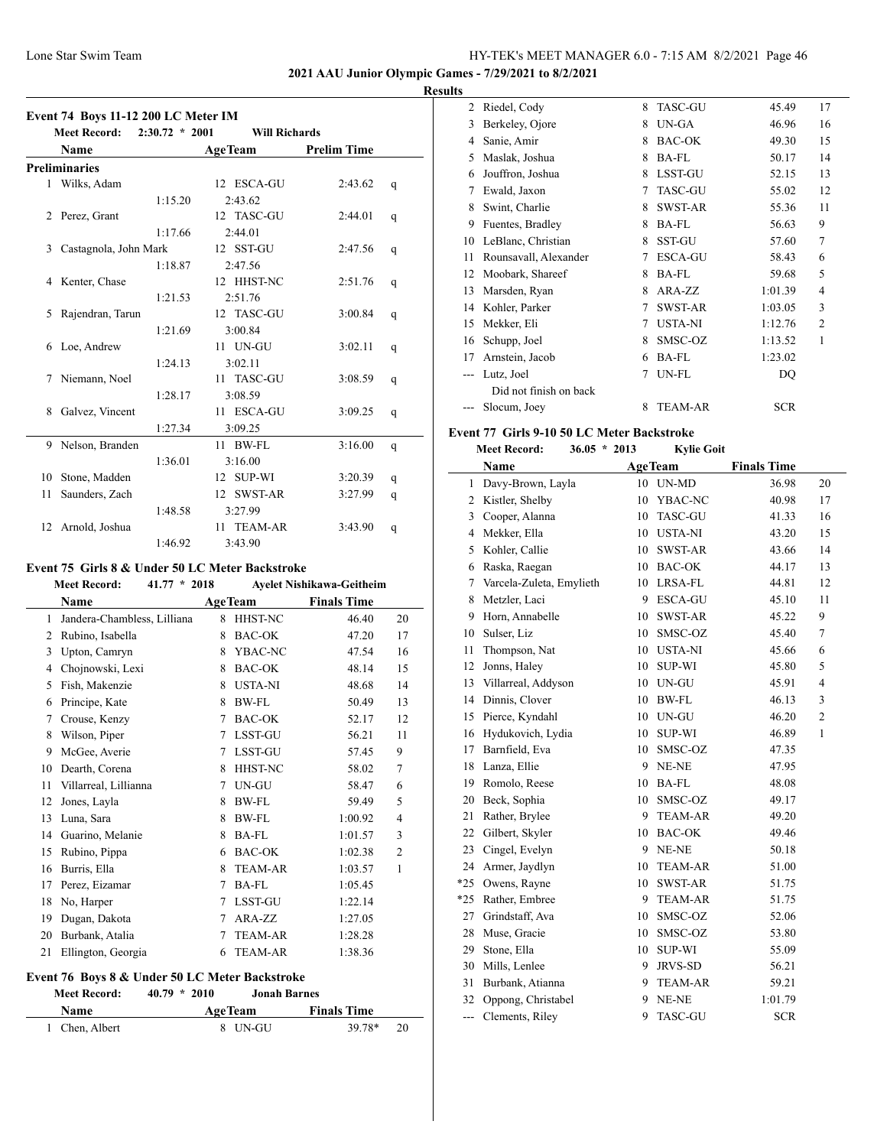**2021 AAU Junior Olympic Games - 7/29/2021 to 8/2/2021**

## **Results**

 $\overline{\phantom{a}}$ 

| Event 74 Boys 11-12 200 LC Meter IM<br>Meet Record:<br>$2:30.72 * 2001$<br><b>Will Richards</b> |                       |         |                      |                    |             |  |
|-------------------------------------------------------------------------------------------------|-----------------------|---------|----------------------|--------------------|-------------|--|
|                                                                                                 | Name                  |         | <b>AgeTeam</b>       | <b>Prelim Time</b> |             |  |
|                                                                                                 | <b>Preliminaries</b>  |         |                      |                    |             |  |
|                                                                                                 | 1 Wilks, Adam         |         | 12 ESCA-GU           | 2:43.62            | q           |  |
|                                                                                                 |                       | 1:15.20 | 2:43.62              |                    |             |  |
| 2                                                                                               | Perez, Grant          |         | 12 TASC-GU           | 2:44.01            | q           |  |
|                                                                                                 |                       | 1:17.66 | 2:44.01              |                    |             |  |
| 3                                                                                               | Castagnola, John Mark |         | 12 SST-GU            | 2:47.56            | q           |  |
|                                                                                                 |                       | 1:18.87 | 2:47.56              |                    |             |  |
| 4                                                                                               | Kenter, Chase         |         | 12 HHST-NC           | 2:51.76            | q           |  |
|                                                                                                 |                       | 1:21.53 | 2:51.76              |                    |             |  |
| 5                                                                                               | Rajendran, Tarun      |         | 12 TASC-GU           | 3:00.84            | q           |  |
|                                                                                                 |                       | 1:21.69 | 3:00.84              |                    |             |  |
| 6                                                                                               | Loe, Andrew           |         | 11 UN-GU             | 3:02.11            | q           |  |
|                                                                                                 |                       | 1:24.13 | 3:02.11              |                    |             |  |
| 7                                                                                               | Niemann, Noel         |         | 11 TASC-GU           | 3:08.59            | q           |  |
|                                                                                                 |                       | 1:28.17 | 3:08.59              |                    |             |  |
| 8                                                                                               | Galvez, Vincent       |         | 11 ESCA-GU           | 3:09.25            | q           |  |
|                                                                                                 |                       | 1:27.34 | 3:09.25              |                    |             |  |
| 9                                                                                               | Nelson, Branden       |         | 11 BW-FL             | 3:16.00            | q           |  |
|                                                                                                 |                       | 1:36.01 | 3:16.00              |                    |             |  |
| 10                                                                                              | Stone, Madden         |         | 12 SUP-WI            | 3:20.39            | $\mathbf q$ |  |
| 11                                                                                              | Saunders, Zach        |         | <b>SWST-AR</b><br>12 | 3:27.99            | q           |  |
|                                                                                                 |                       | 1:48.58 | 3:27.99              |                    |             |  |
| 12                                                                                              | Arnold, Joshua        |         | 11 TEAM-AR           | 3:43.90            | q           |  |
|                                                                                                 |                       | 1:46.92 | 3:43.90              |                    |             |  |

# **Event 75 Girls 8 & Under 50 LC Meter Backstroke**

| <b>Meet Record:</b><br>$41.77 * 2018$ |                             | <b>Ayelet Nishikawa-Geitheim</b> |                |                    |                |
|---------------------------------------|-----------------------------|----------------------------------|----------------|--------------------|----------------|
|                                       | Name                        |                                  | <b>AgeTeam</b> | <b>Finals Time</b> |                |
| 1                                     | Jandera-Chambless, Lilliana | 8                                | HHST-NC        | 46.40              | 20             |
| 2                                     | Rubino, Isabella            | 8                                | BAC-OK         | 47.20              | 17             |
| 3                                     | Upton, Camryn               | 8                                | YBAC-NC        | 47.54              | 16             |
| 4                                     | Chojnowski, Lexi            | 8                                | BAC-OK         | 48.14              | 15             |
| 5                                     | Fish, Makenzie              | 8                                | <b>USTA-NI</b> | 48.68              | 14             |
| 6                                     | Principe, Kate              | 8                                | BW-FL          | 50.49              | 13             |
| 7                                     | Crouse, Kenzy               | 7                                | <b>BAC-OK</b>  | 52.17              | 12             |
| 8                                     | Wilson, Piper               | 7                                | LSST-GU        | 56.21              | 11             |
| 9                                     | McGee, Averie               | 7                                | LSST-GU        | 57.45              | 9              |
| 10                                    | Dearth, Corena              | 8                                | HHST-NC        | 58.02              | 7              |
| 11                                    | Villarreal, Lillianna       | 7                                | UN-GU          | 58.47              | 6              |
| 12                                    | Jones, Layla                | 8                                | BW-FL          | 59.49              | 5              |
| 13                                    | Luna, Sara                  | 8                                | BW-FL          | 1:00.92            | 4              |
| 14                                    | Guarino, Melanie            | 8                                | <b>BA-FL</b>   | 1:01.57            | 3              |
| 15                                    | Rubino, Pippa               | 6                                | <b>BAC-OK</b>  | 1:02.38            | $\overline{c}$ |
| 16                                    | Burris, Ella                | 8                                | <b>TEAM-AR</b> | 1:03.57            | $\mathbf{1}$   |
| 17                                    | Perez, Eizamar              | 7                                | <b>BA-FL</b>   | 1:05.45            |                |
| 18                                    | No, Harper                  | 7                                | LSST-GU        | 1:22.14            |                |
| 19                                    | Dugan, Dakota               | 7                                | ARA-ZZ         | 1:27.05            |                |
| 20                                    | Burbank, Atalia             | 7                                | <b>TEAM-AR</b> | 1:28.28            |                |
| 21                                    | Ellington, Georgia          | 6                                | <b>TEAM-AR</b> | 1:38.36            |                |
|                                       |                             |                                  |                |                    |                |

## **Event 76 Boys 8 & Under 50 LC Meter Backstroke**

**Meet Record: 40.79 \* 2010 Jonah Barnes**

| <b>Name</b>    | <b>AgeTeam</b> | <b>Finals Time</b> |
|----------------|----------------|--------------------|
| 1 Chen, Albert | 8 UN-GU        | 39.78*<br>20       |

| $\mathfrak{D}$ | Riedel, Cody           | 8 | <b>TASC-GU</b> | 45.49      | 17             |
|----------------|------------------------|---|----------------|------------|----------------|
| 3              | Berkeley, Ojore        | 8 | UN-GA          | 46.96      | 16             |
| 4              | Sanie, Amir            | 8 | <b>BAC-OK</b>  | 49.30      | 15             |
| 5              | Maslak, Joshua         | 8 | <b>BA-FL</b>   | 50.17      | 14             |
| 6              | Jouffron, Joshua       | 8 | <b>LSST-GU</b> | 52.15      | 13             |
| 7              | Ewald, Jaxon           | 7 | <b>TASC-GU</b> | 55.02      | 12             |
| 8              | Swint, Charlie         | 8 | <b>SWST-AR</b> | 55.36      | 11             |
| 9              | Fuentes, Bradley       | 8 | <b>BA-FL</b>   | 56.63      | 9              |
| 10             | LeBlanc, Christian     | 8 | <b>SST-GU</b>  | 57.60      | 7              |
| 11             | Rounsavall, Alexander  | 7 | <b>ESCA-GU</b> | 58.43      | 6              |
| 12             | Moobark, Shareef       | 8 | <b>BA-FL</b>   | 59.68      | 5              |
| 13             | Marsden, Ryan          | 8 | ARA-ZZ         | 1:01.39    | 4              |
| 14             | Kohler, Parker         | 7 | <b>SWST-AR</b> | 1:03.05    | 3              |
| 15             | Mekker, Eli            | 7 | <b>USTA-NI</b> | 1:12.76    | $\overline{2}$ |
| 16             | Schupp, Joel           | 8 | SMSC-OZ        | 1:13.52    | 1              |
| 17             | Arnstein, Jacob        | 6 | <b>BA-FL</b>   | 1:23.02    |                |
|                | Lutz, Joel             | 7 | UN-FL          | DQ         |                |
|                | Did not finish on back |   |                |            |                |
|                | Slocum, Joey           | 8 | <b>TEAM-AR</b> | <b>SCR</b> |                |
|                |                        |   |                |            |                |

#### **Event 77 Girls 9-10 50 LC Meter Backstroke Meet Record: 36.05 \* 2013 Kylie Goit**

|                | Meet Record:<br>30.05 ^ 2013 |    | Kyne Gon       |                    |                |
|----------------|------------------------------|----|----------------|--------------------|----------------|
|                | Name                         |    | <b>AgeTeam</b> | <b>Finals Time</b> |                |
| 1              | Davy-Brown, Layla            | 10 | UN-MD          | 36.98              | 20             |
| 2              | Kistler, Shelby              | 10 | YBAC-NC        | 40.98              | 17             |
| 3              | Cooper, Alanna               | 10 | <b>TASC-GU</b> | 41.33              | 16             |
| 4              | Mekker, Ella                 | 10 | <b>USTA-NI</b> | 43.20              | 15             |
| 5              | Kohler, Callie               | 10 | <b>SWST-AR</b> | 43.66              | 14             |
| 6              | Raska, Raegan                | 10 | <b>BAC-OK</b>  | 44.17              | 13             |
| $\overline{7}$ | Varcela-Zuleta, Emylieth     | 10 | LRSA-FL        | 44.81              | 12             |
| 8              | Metzler, Laci                | 9  | <b>ESCA-GU</b> | 45.10              | 11             |
| 9              | Horn, Annabelle              | 10 | SWST-AR        | 45.22              | 9              |
| 10             | Sulser, Liz                  | 10 | SMSC-OZ        | 45.40              | $\tau$         |
| 11             | Thompson, Nat                | 10 | <b>USTA-NI</b> | 45.66              | 6              |
| 12             | Jonns, Haley                 | 10 | <b>SUP-WI</b>  | 45.80              | 5              |
| 13             | Villarreal, Addyson          | 10 | UN-GU          | 45.91              | $\overline{4}$ |
| 14             | Dinnis, Clover               | 10 | BW-FL          | 46.13              | 3              |
| 15             | Pierce, Kyndahl              | 10 | UN-GU          | 46.20              | $\overline{c}$ |
| 16             | Hydukovich, Lydia            | 10 | <b>SUP-WI</b>  | 46.89              | $\mathbf{1}$   |
| 17             | Barnfield, Eva               | 10 | SMSC-OZ        | 47.35              |                |
| 18             | Lanza, Ellie                 | 9  | NE-NE          | 47.95              |                |
| 19             | Romolo, Reese                | 10 | <b>BA-FL</b>   | 48.08              |                |
| 20             | Beck, Sophia                 | 10 | SMSC-OZ        | 49.17              |                |
| 21             | Rather, Brylee               | 9  | <b>TEAM-AR</b> | 49.20              |                |
| 22             | Gilbert, Skyler              | 10 | <b>BAC-OK</b>  | 49.46              |                |
| 23             | Cingel, Evelyn               | 9  | NE-NE          | 50.18              |                |
| 24             | Armer, Jaydlyn               | 10 | <b>TEAM-AR</b> | 51.00              |                |
| $*25$          | Owens, Rayne                 | 10 | SWST-AR        | 51.75              |                |
| $*25$          | Rather, Embree               | 9  | <b>TEAM-AR</b> | 51.75              |                |
| 27             | Grindstaff, Ava              | 10 | SMSC-OZ        | 52.06              |                |
| 28             | Muse, Gracie                 | 10 | SMSC-OZ        | 53.80              |                |
| 29             | Stone, Ella                  | 10 | <b>SUP-WI</b>  | 55.09              |                |
| 30             | Mills, Lenlee                | 9  | <b>JRVS-SD</b> | 56.21              |                |
| 31             | Burbank, Atianna             | 9  | <b>TEAM-AR</b> | 59.21              |                |
| 32             | Oppong, Christabel           | 9  | NE-NE          | 1:01.79            |                |
| $\overline{a}$ | Clements, Riley              | 9  | <b>TASC-GU</b> | <b>SCR</b>         |                |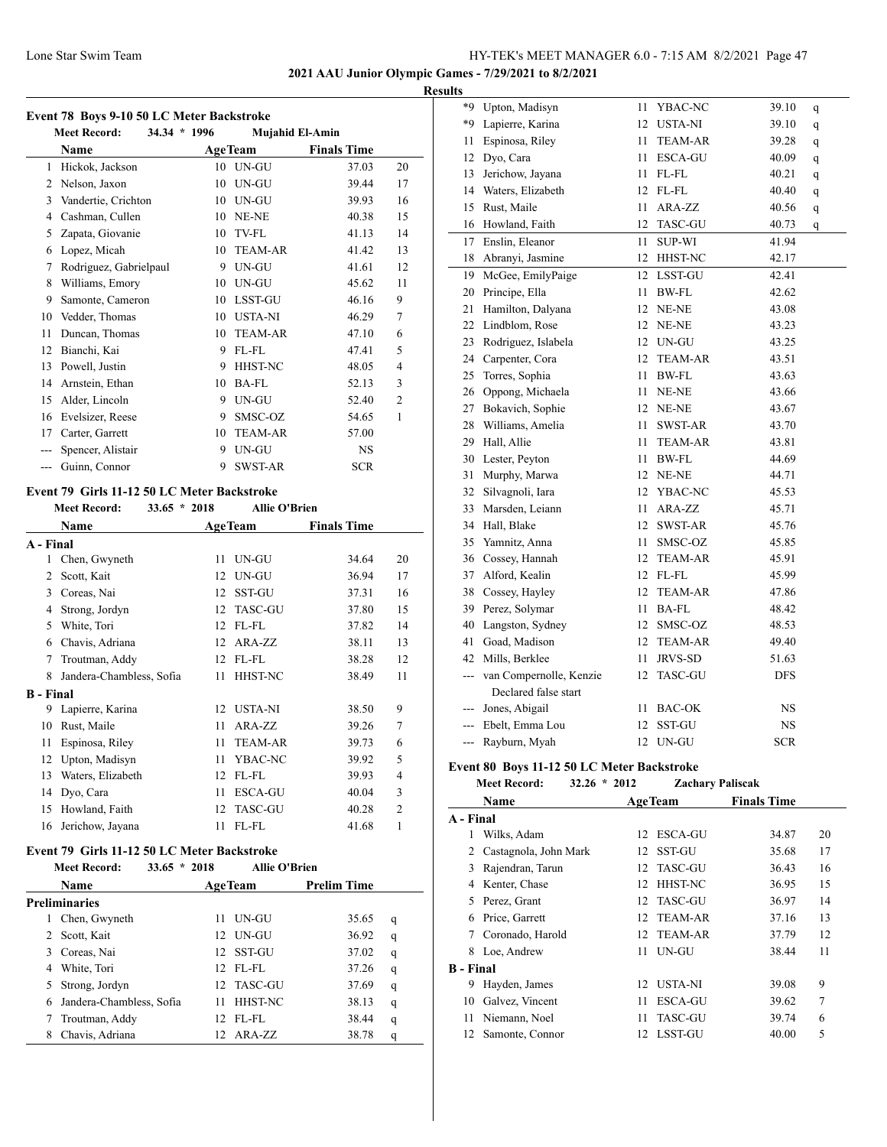**2021 AAU Junior Olympic Games - 7/29/2021 to 8/2/2021 Results**

#### **Event 78 Boys 9-10 50 LC Meter Backstroke**

| EVEIIL 70 DOVS 9-10 SV LU MEIEL DACKSITOKE |                                       |    |                        |                    |                |  |  |  |
|--------------------------------------------|---------------------------------------|----|------------------------|--------------------|----------------|--|--|--|
|                                            | <b>Meet Record:</b><br>$34.34 * 1996$ |    | <b>Mujahid El-Amin</b> |                    |                |  |  |  |
|                                            | Name                                  |    | <b>AgeTeam</b>         | <b>Finals Time</b> |                |  |  |  |
| $\mathbf{1}$                               | Hickok, Jackson                       | 10 | UN-GU                  | 37.03              | 20             |  |  |  |
| 2                                          | Nelson, Jaxon                         | 10 | UN-GU                  | 39.44              | 17             |  |  |  |
| 3                                          | Vandertie, Crichton                   | 10 | UN-GU                  | 39.93              | 16             |  |  |  |
| 4                                          | Cashman, Cullen                       | 10 | NE-NE                  | 40.38              | 15             |  |  |  |
| 5                                          | Zapata, Giovanie                      | 10 | TV-FL                  | 41.13              | 14             |  |  |  |
| 6                                          | Lopez, Micah                          | 10 | <b>TEAM-AR</b>         | 41.42              | 13             |  |  |  |
| 7                                          | Rodriguez, Gabrielpaul                | 9  | UN-GU                  | 41.61              | 12             |  |  |  |
| 8                                          | Williams, Emory                       | 10 | UN-GU                  | 45.62              | 11             |  |  |  |
| 9                                          | Samonte, Cameron                      | 10 | LSST-GU                | 46.16              | 9              |  |  |  |
| 10                                         | Vedder, Thomas                        | 10 | <b>USTA-NI</b>         | 46.29              | 7              |  |  |  |
| 11                                         | Duncan, Thomas                        | 10 | <b>TEAM-AR</b>         | 47.10              | 6              |  |  |  |
| 12                                         | Bianchi, Kai                          | 9  | FL-FL                  | 47.41              | 5              |  |  |  |
| 13                                         | Powell, Justin                        | 9  | <b>HHST-NC</b>         | 48.05              | 4              |  |  |  |
| 14                                         | Arnstein, Ethan                       | 10 | <b>BA-FL</b>           | 52.13              | 3              |  |  |  |
| 15                                         | Alder, Lincoln                        | 9  | UN-GU                  | 52.40              | $\overline{2}$ |  |  |  |
| 16                                         | Evelsizer, Reese                      | 9  | SMSC-OZ                | 54.65              | 1              |  |  |  |
| 17                                         | Carter, Garrett                       | 10 | <b>TEAM-AR</b>         | 57.00              |                |  |  |  |
|                                            | Spencer, Alistair                     | 9  | UN-GU                  | NS.                |                |  |  |  |
|                                            | Guinn, Connor                         | 9  | <b>SWST-AR</b>         | <b>SCR</b>         |                |  |  |  |
|                                            |                                       |    |                        |                    |                |  |  |  |

#### **Event 79 Girls 11-12 50 LC Meter Backstroke**

|                  | <b>Meet Record:</b>      | $33.65 * 2018$ | <b>Allie O'Brien</b> |                    |                |
|------------------|--------------------------|----------------|----------------------|--------------------|----------------|
|                  | Name                     |                | <b>AgeTeam</b>       | <b>Finals Time</b> |                |
| A - Final        |                          |                |                      |                    |                |
| 1                | Chen, Gwyneth            | 11             | UN-GU                | 34.64              | 20             |
| 2                | Scott, Kait              | 12             | UN-GU                | 36.94              | 17             |
| 3                | Coreas, Nai              | 12             | <b>SST-GU</b>        | 37.31              | 16             |
| 4                | Strong, Jordyn           | 12             | <b>TASC-GU</b>       | 37.80              | 15             |
| 5                | White, Tori              | 12             | FL-FL                | 37.82              | 14             |
| 6                | Chavis, Adriana          | 12             | ARA-ZZ               | 38.11              | 13             |
| 7                | Troutman, Addy           | 12             | FL-FL                | 38.28              | 12             |
| 8                | Jandera-Chambless, Sofia | 11             | HHST-NC              | 38.49              | 11             |
| <b>B</b> - Final |                          |                |                      |                    |                |
| 9                | Lapierre, Karina         | 12             | <b>USTA-NI</b>       | 38.50              | 9              |
| 10               | Rust, Maile              | 11             | ARA-ZZ               | 39.26              | 7              |
| 11               | Espinosa, Riley          | 11             | <b>TEAM-AR</b>       | 39.73              | 6              |
| 12               | Upton, Madisyn           | 11             | YBAC-NC              | 39.92              | 5              |
| 13               | Waters, Elizabeth        | 12             | FL-FL                | 39.93              | 4              |
| 14               | Dyo, Cara                | 11             | <b>ESCA-GU</b>       | 40.04              | 3              |
| 15               | Howland, Faith           | 12             | <b>TASC-GU</b>       | 40.28              | $\overline{c}$ |
| 16               | Jerichow, Jayana         | 11             | FL-FL                | 41.68              | 1              |
|                  |                          |                |                      |                    |                |

# **Event 79 Girls 11-12 50 LC Meter Backstroke**<br>Mast Basard:  $\frac{33.65 \times 3019}{2000}$

|               | $33.65 * 2018$<br><b>Meet Record:</b> |    | <b>Allie O'Brien</b> |                    |   |  |  |  |  |
|---------------|---------------------------------------|----|----------------------|--------------------|---|--|--|--|--|
|               | Name                                  |    | <b>AgeTeam</b>       | <b>Prelim Time</b> |   |  |  |  |  |
| Preliminaries |                                       |    |                      |                    |   |  |  |  |  |
| L             | Chen, Gwyneth                         | 11 | UN-GU                | 35.65              | q |  |  |  |  |
| 2             | Scott, Kait                           |    | 12 UN-GU             | 36.92              | q |  |  |  |  |
| 3.            | Coreas, Nai                           |    | 12 SST-GU            | 37.02              | q |  |  |  |  |
| 4             | White, Tori                           |    | $12$ FL-FL           | 37.26              | q |  |  |  |  |
| 5             | Strong, Jordyn                        |    | 12 TASC-GU           | 37.69              | q |  |  |  |  |
| 6             | Jandera-Chambless, Sofia              | 11 | <b>HHST-NC</b>       | 38.13              | q |  |  |  |  |
|               | Troutman, Addy                        |    | 12 FL-FL             | 38.44              | q |  |  |  |  |
| 8             | Chavis, Adriana                       |    | 12 ARA-ZZ            | 38.78              | q |  |  |  |  |

| $*9$           | Upton, Madisyn          | 11 | YBAC-NC        | 39.10     | q |
|----------------|-------------------------|----|----------------|-----------|---|
| $*9$           | Lapierre, Karina        | 12 | <b>USTA-NI</b> | 39.10     | q |
| 11             | Espinosa, Riley         | 11 | <b>TEAM-AR</b> | 39.28     | q |
| 12             | Dyo, Cara               | 11 | ESCA-GU        | 40.09     | q |
| 13             | Jerichow, Jayana        | 11 | FL-FL          | 40.21     | q |
| 14             | Waters, Elizabeth       | 12 | FL-FL          | 40.40     | q |
| 15             | Rust, Maile             | 11 | ARA-ZZ         | 40.56     | q |
| 16             | Howland, Faith          | 12 | <b>TASC-GU</b> | 40.73     | q |
| 17             | Enslin, Eleanor         | 11 | <b>SUP-WI</b>  | 41.94     |   |
| 18             | Abranyi, Jasmine        | 12 | HHST-NC        | 42.17     |   |
| 19             | McGee, EmilyPaige       | 12 | LSST-GU        | 42.41     |   |
| 20             | Principe, Ella          | 11 | <b>BW-FL</b>   | 42.62     |   |
| 21             | Hamilton, Dalyana       |    | 12 NE-NE       | 43.08     |   |
| 22             | Lindblom, Rose          |    | 12 NE-NE       | 43.23     |   |
| 23             | Rodriguez, Islabela     |    | 12 UN-GU       | 43.25     |   |
| 24             | Carpenter, Cora         | 12 | <b>TEAM-AR</b> | 43.51     |   |
| 25             | Torres, Sophia          | 11 | BW-FL          | 43.63     |   |
| 26             | Oppong, Michaela        | 11 | NE-NE          | 43.66     |   |
| 27             | Bokavich, Sophie        |    | 12 NE-NE       | 43.67     |   |
| 28             | Williams, Amelia        | 11 | SWST-AR        | 43.70     |   |
| 29             | Hall, Allie             | 11 | <b>TEAM-AR</b> | 43.81     |   |
| 30             | Lester, Peyton          | 11 | BW-FL          | 44.69     |   |
| 31             | Murphy, Marwa           | 12 | NE-NE          | 44.71     |   |
| 32             | Silvagnoli, Iara        | 12 | YBAC-NC        | 45.53     |   |
| 33             | Marsden, Leiann         | 11 | ARA-ZZ         | 45.71     |   |
| 34             | Hall, Blake             | 12 | <b>SWST-AR</b> | 45.76     |   |
| 35             | Yamnitz, Anna           | 11 | SMSC-OZ        | 45.85     |   |
| 36             | Cossey, Hannah          | 12 | <b>TEAM-AR</b> | 45.91     |   |
| 37             | Alford, Kealin          |    | 12 FL-FL       | 45.99     |   |
| 38             | Cossey, Hayley          | 12 | <b>TEAM-AR</b> | 47.86     |   |
| 39             | Perez, Solymar          | 11 | <b>BA-FL</b>   | 48.42     |   |
| 40             | Langston, Sydney        | 12 | SMSC-OZ        | 48.53     |   |
| 41             | Goad, Madison           | 12 | TEAM-AR        | 49.40     |   |
| 42             | Mills, Berklee          | 11 | <b>JRVS-SD</b> | 51.63     |   |
| $---$          | van Compernolle, Kenzie | 12 | TASC-GU        | DFS       |   |
|                | Declared false start    |    |                |           |   |
| $\overline{a}$ | Jones, Abigail          | 11 | BAC-OK         | NS        |   |
| $-$            | Ebelt, Emma Lou         | 12 | SST-GU         | <b>NS</b> |   |
| ---            | Rayburn, Myah           | 12 | UN-GU          | SCR       |   |

#### **Event 80 Boys 11-12 50 LC Meter Backstroke**

# **Meet Record: 32.26 \* 2012 Zachary Paliscak Name Age Team Finals Time A - Final** Wilks, Adam 12 ESCA-GU 34.87 20 Castagnola, John Mark 12 SST-GU 35.68 17 Rajendran, Tarun 12 TASC-GU 36.43 16 Kenter, Chase 12 HHST-NC 36.95 15 Perez, Grant 12 TASC-GU 36.97 14 Price, Garrett 12 TEAM-AR 37.16 13 Coronado, Harold 12 TEAM-AR 37.79 12 Loe, Andrew 11 UN-GU 38.44 11 **B - Final** Hayden, James 12 USTA-NI 39.08 9 Galvez, Vincent 11 ESCA-GU 39.62 7 Niemann, Noel 11 TASC-GU 39.74 6 Samonte, Connor 12 LSST-GU 40.00 5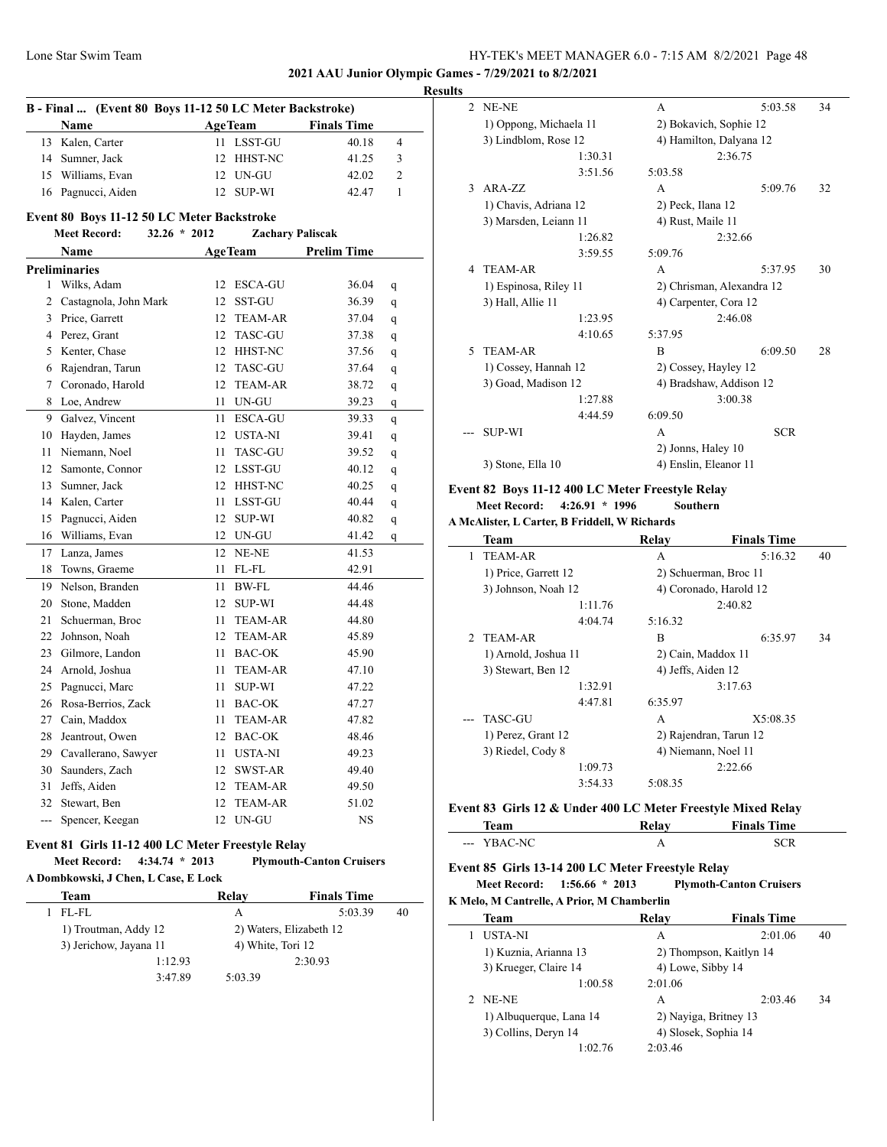**2021 AAU Junior Olympic Games - 7/29/2021 to 8/2/2021**

#### **Results**

|                | B - Final  (Event 80 Boys 11-12 50 LC Meter Backstroke) |      |                         |                    |                |
|----------------|---------------------------------------------------------|------|-------------------------|--------------------|----------------|
|                | <b>Name</b>                                             |      | <b>AgeTeam</b>          | <b>Finals Time</b> |                |
| 13             | Kalen, Carter                                           | 11   | <b>LSST-GU</b>          | 40.18              | $\overline{4}$ |
|                | 14 Sumner, Jack                                         | 12   | HHST-NC                 | 41.25              | 3              |
|                | 15 Williams, Evan                                       |      | 12 UN-GU                | 42.02              | $\overline{c}$ |
| 16             | Pagnucci, Aiden                                         |      | 12 SUP-WI               | 42.47              | $\mathbf{1}$   |
|                | Event 80 Boys 11-12 50 LC Meter Backstroke              |      |                         |                    |                |
|                | <b>Meet Record:</b><br>$32.26 * 2012$                   |      | <b>Zachary Paliscak</b> |                    |                |
|                | <b>Name</b>                                             |      | <b>AgeTeam</b>          | <b>Prelim Time</b> |                |
|                | <b>Preliminaries</b>                                    |      |                         |                    |                |
| 1              | Wilks, Adam                                             |      | 12 ESCA-GU              | 36.04              | q              |
| 2              | Castagnola, John Mark                                   |      | 12 SST-GU               | 36.39              | q              |
|                | 3 Price, Garrett                                        |      | 12 TEAM-AR              | 37.04              | q              |
|                | 4 Perez, Grant                                          |      | 12 TASC-GU              | 37.38              | q              |
|                | 5 Kenter, Chase                                         |      | 12 HHST-NC              | 37.56              | q              |
| 6              | Rajendran, Tarun                                        | 12   | TASC-GU                 | 37.64              | q              |
| 7              | Coronado, Harold                                        |      | 12 TEAM-AR              | 38.72              | q              |
| 8              | Loe, Andrew                                             |      | 11 UN-GU                | 39.23              | q              |
| 9              | Galvez, Vincent                                         | 11   | <b>ESCA-GU</b>          | 39.33              | q              |
| 10             | Hayden, James                                           |      | 12 USTA-NI              | 39.41              | q              |
| 11             | Niemann, Noel                                           | 11   | TASC-GU                 | 39.52              | q              |
| 12             | Samonte, Connor                                         |      | 12 LSST-GU              | 40.12              | q              |
| 13             | Sumner, Jack                                            |      | 12 HHST-NC              | 40.25              | q              |
|                | 14 Kalen, Carter                                        | 11   | LSST-GU                 | 40.44              | q              |
| 15             | Pagnucci, Aiden                                         |      | 12 SUP-WI               | 40.82              | q              |
| 16             | Williams, Evan                                          |      | 12 UN-GU                | 41.42              | q              |
| 17             | Lanza, James                                            |      | 12 NE-NE                | 41.53              |                |
| 18             | Towns, Graeme                                           | 11   | FL-FL                   | 42.91              |                |
|                | 19 Nelson, Branden                                      | 11   | <b>BW-FL</b>            | 44.46              |                |
| 20             | Stone, Madden                                           | 12   | SUP-WI                  | 44.48              |                |
| 21             | Schuerman, Broc                                         | 11   | <b>TEAM-AR</b>          | 44.80              |                |
|                | 22 Johnson, Noah                                        | 12   | <b>TEAM-AR</b>          | 45.89              |                |
| 23             | Gilmore, Landon                                         | 11   | <b>BAC-OK</b>           | 45.90              |                |
|                | 24 Arnold, Joshua                                       | 11   | TEAM-AR                 | 47.10              |                |
| 25             | Pagnucci, Marc                                          | 11   | <b>SUP-WI</b>           | 47.22              |                |
|                | 26 Rosa-Berrios, Zack                                   | 11   | <b>BAC-OK</b>           | 47.27              |                |
|                | 27 Cain, Maddox                                         | 11   | <b>TEAM-AR</b>          | 47.82              |                |
| 28             | Jeantrout, Owen                                         |      | 12 BAC-OK               | 48.46              |                |
|                | 29 Cavallerano, Sawyer                                  | 11 - | <b>USTA-NI</b>          | 49.23              |                |
|                | 30 Saunders, Zach                                       |      | 12 SWST-AR              | 49.40              |                |
| 31             | Jeffs, Aiden                                            |      | 12 TEAM-AR              | 49.50              |                |
|                | 32 Stewart, Ben                                         | 12   | <b>TEAM-AR</b>          | 51.02              |                |
| $\overline{a}$ | Spencer, Keegan                                         | 12   | UN-GU                   | <b>NS</b>          |                |

#### **Event 81 Girls 11-12 400 LC Meter Freestyle Relay**

#### **Meet Record: 4:34.74 \* 2013 Plymouth-Canton Cruisers A Dombkowski, J Chen, L Case, E Lock**

| Team                   | Relay             | <b>Finals Time</b>      |    |
|------------------------|-------------------|-------------------------|----|
| FL-FL                  | А                 | 5:03.39                 | 40 |
| 1) Troutman, Addy 12   |                   | 2) Waters, Elizabeth 12 |    |
| 3) Jerichow, Jayana 11 | 4) White, Tori 12 |                         |    |
| 1:12.93                |                   | 2:30.93                 |    |
| 3:47.89                | 5:03.39           |                         |    |

| $\mathfrak{D}$ | NE-NE                  |         | A                       | 5:03.58                   | 34 |
|----------------|------------------------|---------|-------------------------|---------------------------|----|
|                | 1) Oppong, Michaela 11 |         | 2) Bokavich, Sophie 12  |                           |    |
|                | 3) Lindblom, Rose 12   |         | 4) Hamilton, Dalyana 12 |                           |    |
|                |                        | 1:30.31 |                         | 2:36.75                   |    |
|                |                        | 3:51.56 | 5:03.58                 |                           |    |
| $\mathcal{F}$  | $ARA-ZZ$               |         | A                       | 5:09.76                   | 32 |
|                | 1) Chavis, Adriana 12  |         | 2) Peck, Ilana 12       |                           |    |
|                | 3) Marsden, Leiann 11  |         | 4) Rust, Maile 11       |                           |    |
|                |                        | 1:26.82 |                         | 2:32.66                   |    |
|                |                        | 3:59.55 | 5:09.76                 |                           |    |
| 4              | <b>TEAM-AR</b>         |         | A                       | 5:37.95                   | 30 |
|                | 1) Espinosa, Riley 11  |         |                         | 2) Chrisman, Alexandra 12 |    |
|                | 3) Hall, Allie 11      |         | 4) Carpenter, Cora 12   |                           |    |
|                |                        | 1:23.95 |                         | 2:46.08                   |    |
|                |                        | 4:10.65 | 5:37.95                 |                           |    |
| $\varsigma$    | <b>TEAM-AR</b>         |         | $\overline{B}$          | 6:09.50                   | 28 |
|                | 1) Cossey, Hannah 12   |         | 2) Cossey, Hayley 12    |                           |    |
|                | 3) Goad, Madison 12    |         | 4) Bradshaw, Addison 12 |                           |    |
|                |                        | 1:27.88 |                         | 3:00.38                   |    |
|                |                        | 4:44.59 | 6:09.50                 |                           |    |
|                | <b>SUP-WI</b>          |         | A                       | <b>SCR</b>                |    |
|                |                        |         | 2) Jonns, Haley 10      |                           |    |
|                | 3) Stone, Ella 10      |         | 4) Enslin, Eleanor 11   |                           |    |
|                |                        |         |                         |                           |    |

# **Event 82 Boys 11-12 400 LC Meter Freestyle Relay**

#### **Meet Record: 4:26.91 \* 1996 Southern**

|               | A McAlister, L Carter, B Friddell, W Richards |         |                     |                        |    |
|---------------|-----------------------------------------------|---------|---------------------|------------------------|----|
|               | Team                                          |         | Relay               | <b>Finals Time</b>     |    |
| $\mathbf{1}$  | <b>TEAM-AR</b>                                |         | A                   | 5:16.32                | 40 |
|               | 1) Price, Garrett 12                          |         |                     | 2) Schuerman, Broc 11  |    |
|               | 3) Johnson, Noah 12                           |         |                     | 4) Coronado, Harold 12 |    |
|               |                                               | 1:11.76 |                     | 2:40.82                |    |
|               |                                               | 4:04.74 | 5:16.32             |                        |    |
| $\mathcal{D}$ | TEAM-AR                                       |         | B                   | 6:35.97                | 34 |
|               | 1) Arnold, Joshua 11                          |         | 2) Cain, Maddox 11  |                        |    |
|               | 3) Stewart, Ben 12                            |         | 4) Jeffs, Aiden 12  |                        |    |
|               |                                               | 1:32.91 |                     | 3:17.63                |    |
|               |                                               | 4:47.81 | 6:35.97             |                        |    |
|               | <b>TASC-GU</b>                                |         | A                   | X5:08.35               |    |
|               | 1) Perez, Grant 12                            |         |                     | 2) Rajendran, Tarun 12 |    |
|               | 3) Riedel, Cody 8                             |         | 4) Niemann, Noel 11 |                        |    |
|               |                                               | 1:09.73 |                     | 2:22.66                |    |
|               |                                               | 3:54.33 | 5:08.35             |                        |    |
|               |                                               |         |                     |                        |    |

# **Event 83 Girls 12 & Under 400 LC Meter Freestyle Mixed Relay**

| <b>COMMA</b>               | Time<br><b>Finals</b> |
|----------------------------|-----------------------|
| $\mathbf{M}$<br>.<br>$---$ |                       |

#### **Event 85 Girls 13-14 200 LC Meter Freestyle Relay**

**Meet Record: 1:56.66 \* 2013 Plymoth-Canton Cruisers K Melo, M Cantrelle, A Prior, M Chamberlin**

| <b>Team</b>             | Relay             | <b>Finals Time</b>      |    |
|-------------------------|-------------------|-------------------------|----|
| USTA-NI                 | А                 | 2:01.06                 | 40 |
| 1) Kuznia, Arianna 13   |                   | 2) Thompson, Kaitlyn 14 |    |
| 3) Krueger, Claire 14   | 4) Lowe, Sibby 14 |                         |    |
| 1:00.58                 | 2:01.06           |                         |    |
| 2 NE-NE                 | A                 | 2:03.46                 | 34 |
| 1) Albuquerque, Lana 14 |                   | 2) Naviga, Britney 13   |    |
| 3) Collins, Deryn 14    |                   | 4) Slosek, Sophia 14    |    |
| 1:02.76                 | 2:03.46           |                         |    |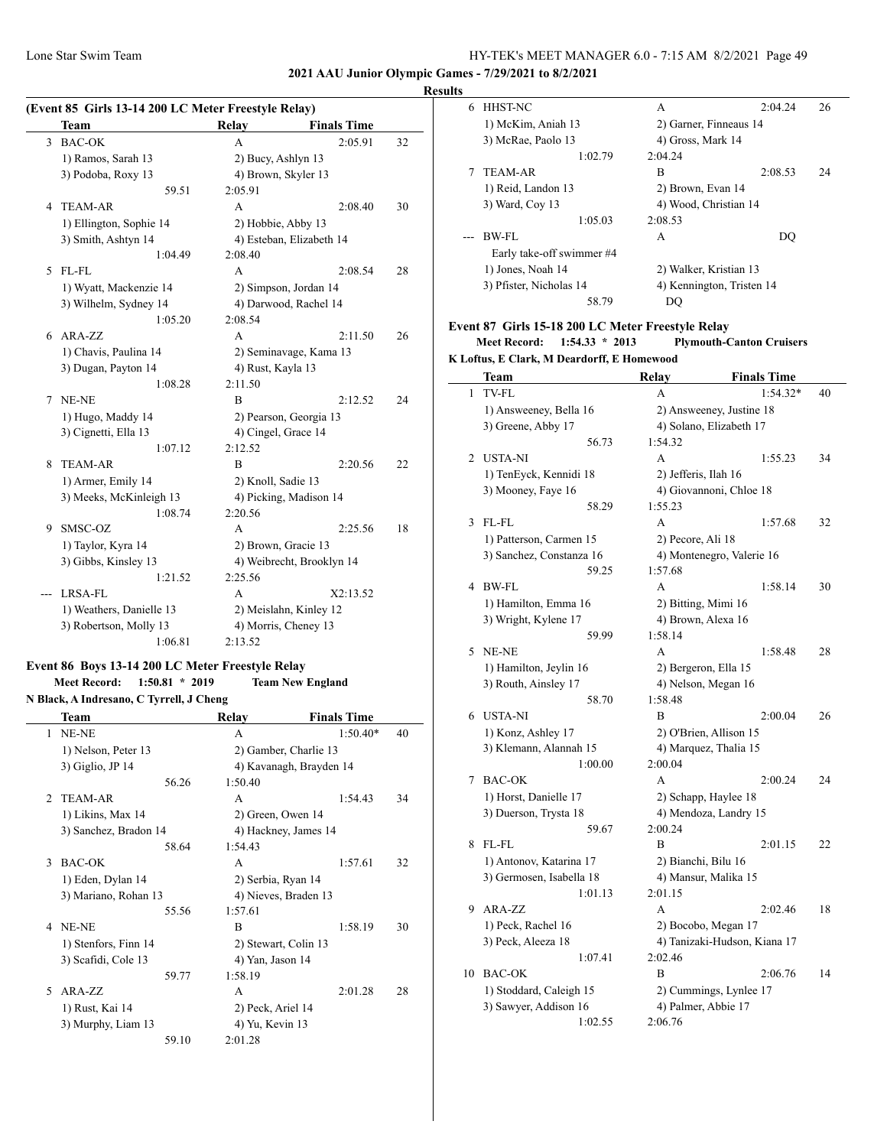## Lone Star Swim Team HY-TEK's MEET MANAGER 6.0 - 7:15 AM 8/2/2021 Page 49

**2021 AAU Junior Olympic Games - 7/29/2021 to 8/2/2021**

#### **Results**

| (Event 85 Girls 13-14 200 LC Meter Freestyle Relay) |                          |                     |                           |    |
|-----------------------------------------------------|--------------------------|---------------------|---------------------------|----|
|                                                     | <b>Team</b>              | Relay               | <b>Finals Time</b>        |    |
| 3                                                   | <b>BAC-OK</b>            | A                   | 2:05.91                   | 32 |
|                                                     | 1) Ramos, Sarah 13       | 2) Bucy, Ashlyn 13  |                           |    |
|                                                     | 3) Podoba, Roxy 13       | 4) Brown, Skyler 13 |                           |    |
|                                                     | 59.51                    | 2:05.91             |                           |    |
| 4                                                   | <b>TEAM-AR</b>           | A                   | 2:08.40                   | 30 |
|                                                     | 1) Ellington, Sophie 14  | 2) Hobbie, Abby 13  |                           |    |
|                                                     | 3) Smith, Ashtyn 14      |                     | 4) Esteban, Elizabeth 14  |    |
|                                                     | 1:04.49                  | 2:08.40             |                           |    |
| 5                                                   | FL-FL                    | A                   | 2:08.54                   | 28 |
|                                                     | 1) Wyatt, Mackenzie 14   |                     | 2) Simpson, Jordan 14     |    |
|                                                     | 3) Wilhelm, Sydney 14    |                     | 4) Darwood, Rachel 14     |    |
|                                                     | 1:05.20                  | 2:08.54             |                           |    |
| 6                                                   | ARA-ZZ                   | A                   | 2:11.50                   | 26 |
|                                                     | 1) Chavis, Paulina 14    |                     | 2) Seminavage, Kama 13    |    |
|                                                     | 3) Dugan, Payton 14      | 4) Rust, Kayla 13   |                           |    |
|                                                     | 1:08.28                  | 2:11.50             |                           |    |
| 7                                                   | NE-NE                    | B                   | 2:12.52                   | 24 |
|                                                     | 1) Hugo, Maddy 14        |                     | 2) Pearson, Georgia 13    |    |
|                                                     | 3) Cignetti, Ella 13     | 4) Cingel, Grace 14 |                           |    |
|                                                     | 1:07.12                  | 2:12.52             |                           |    |
| 8                                                   | <b>TEAM-AR</b>           | B                   | 2:20.56                   | 22 |
|                                                     | 1) Armer, Emily 14       | 2) Knoll, Sadie 13  |                           |    |
|                                                     | 3) Meeks, McKinleigh 13  |                     | 4) Picking, Madison 14    |    |
|                                                     | 1:08.74                  | 2:20.56             |                           |    |
| 9                                                   | SMSC-OZ                  | A                   | 2:25.56                   | 18 |
|                                                     | 1) Taylor, Kyra 14       | 2) Brown, Gracie 13 |                           |    |
|                                                     | 3) Gibbs, Kinsley 13     |                     | 4) Weibrecht, Brooklyn 14 |    |
|                                                     | 1:21.52                  | 2:25.56             |                           |    |
|                                                     | LRSA-FL                  | A                   | X2:13.52                  |    |
|                                                     | 1) Weathers, Danielle 13 |                     | 2) Meislahn, Kinley 12    |    |
|                                                     | 3) Robertson, Molly 13   |                     | 4) Morris, Cheney 13      |    |
|                                                     | 1:06.81                  | 2:13.52             |                           |    |

#### **Event 86 Boys 13-14 200 LC Meter Freestyle Relay Meet Record: 1:50.81 \* 2019 Team New England N Black, A Indresano, C Tyrrell, J Cheng**

|               | Team                  |       | Relay                   | <b>Finals Time</b> |    |
|---------------|-----------------------|-------|-------------------------|--------------------|----|
| 1             | NE-NE                 |       | A                       | $1:50.40*$         | 40 |
|               | 1) Nelson, Peter 13   |       | 2) Gamber, Charlie 13   |                    |    |
|               | 3) Giglio, JP 14      |       | 4) Kavanagh, Brayden 14 |                    |    |
|               |                       | 56.26 | 1:50.40                 |                    |    |
| $\mathcal{D}$ | <b>TEAM-AR</b>        |       | A                       | 1:54.43            | 34 |
|               | 1) Likins, Max 14     |       | 2) Green, Owen 14       |                    |    |
|               | 3) Sanchez, Bradon 14 |       | 4) Hackney, James 14    |                    |    |
|               |                       | 58.64 | 1:54.43                 |                    |    |
| 3             | <b>BAC-OK</b>         |       | A                       | 1:57.61            | 32 |
|               | 1) Eden, Dylan 14     |       | 2) Serbia, Ryan 14      |                    |    |
|               | 3) Mariano, Rohan 13  |       | 4) Nieves, Braden 13    |                    |    |
|               |                       | 55.56 | 1:57.61                 |                    |    |
| 4             | NE-NE                 |       | B                       | 1:58.19            | 30 |
|               | 1) Stenfors, Finn 14  |       | 2) Stewart, Colin 13    |                    |    |
|               | 3) Scafidi, Cole 13   |       | 4) Yan, Jason 14        |                    |    |
|               |                       | 59.77 | 1:58.19                 |                    |    |
| 5.            | $ARA-ZZ$              |       | A                       | 2:01.28            | 28 |
|               | 1) Rust, Kai 14       |       | 2) Peck, Ariel 14       |                    |    |
|               | 3) Murphy, Liam 13    |       | 4) Yu, Kevin 13         |                    |    |
|               |                       | 59.10 | 2:01.28                 |                    |    |

| . |                                                   |                           |         |    |
|---|---------------------------------------------------|---------------------------|---------|----|
| 6 | HHST-NC                                           | A                         | 2:04.24 | 26 |
|   | 1) McKim, Aniah 13                                | 2) Garner, Finneaus 14    |         |    |
|   | 3) McRae, Paolo 13                                | 4) Gross, Mark 14         |         |    |
|   | 1:02.79                                           | 2:04.24                   |         |    |
| 7 | <b>TEAM-AR</b>                                    | B                         | 2:08.53 | 24 |
|   | 1) Reid, Landon 13                                | 2) Brown, Evan 14         |         |    |
|   | 3) Ward, Coy 13                                   | 4) Wood, Christian 14     |         |    |
|   | 1:05.03                                           | 2:08.53                   |         |    |
|   | BW-FL                                             | A                         | DO      |    |
|   | Early take-off swimmer #4                         |                           |         |    |
|   | 1) Jones, Noah 14                                 | 2) Walker, Kristian 13    |         |    |
|   | 3) Pfister, Nicholas 14                           | 4) Kennington, Tristen 14 |         |    |
|   | 58.79                                             | DO                        |         |    |
|   | Event 87 Girls 15-18 200 LC Meter Freestyle Relay |                           |         |    |
|   |                                                   |                           |         |    |

|   | <b>Meet Record:</b> | $1:54.33 * 2013$ | <b>Plymouth-Canton Cruisers</b> |
|---|---------------------|------------------|---------------------------------|
| . | --------            | .                |                                 |

|    | Team                     | Relay                | <b>Finals Time</b>           |    |
|----|--------------------------|----------------------|------------------------------|----|
| 1  | TV-FL                    | A                    | $1:54.32*$                   | 40 |
|    | 1) Answeeney, Bella 16   |                      | 2) Answeeney, Justine 18     |    |
|    | 3) Greene, Abby 17       |                      | 4) Solano, Elizabeth 17      |    |
|    | 56.73                    | 1:54.32              |                              |    |
|    | 2 USTA-NI                | A                    | 1:55.23                      | 34 |
|    | 1) TenEyck, Kennidi 18   | 2) Jefferis, Ilah 16 |                              |    |
|    | 3) Mooney, Faye 16       |                      | 4) Giovannoni, Chloe 18      |    |
|    | 58.29                    | 1:55.23              |                              |    |
| 3  | FL-FL                    | A                    | 1:57.68                      | 32 |
|    | 1) Patterson, Carmen 15  | 2) Pecore, Ali 18    |                              |    |
|    | 3) Sanchez, Constanza 16 |                      | 4) Montenegro, Valerie 16    |    |
|    | 59.25                    | 1:57.68              |                              |    |
| 4  | BW-FL                    | A                    | 1:58.14                      | 30 |
|    | 1) Hamilton, Emma 16     |                      | 2) Bitting, Mimi 16          |    |
|    | 3) Wright, Kylene 17     |                      | 4) Brown, Alexa 16           |    |
|    | 59.99                    | 1:58.14              |                              |    |
| 5  | NE-NE                    | A                    | 1:58.48                      | 28 |
|    | 1) Hamilton, Jeylin 16   |                      | 2) Bergeron, Ella 15         |    |
|    | 3) Routh, Ainsley 17     |                      | 4) Nelson, Megan 16          |    |
|    | 58.70                    | 1:58.48              |                              |    |
| 6  | USTA-NI                  | B                    | 2:00.04                      | 26 |
|    | 1) Konz, Ashley 17       |                      | 2) O'Brien, Allison 15       |    |
|    | 3) Klemann, Alannah 15   |                      | 4) Marquez, Thalia 15        |    |
|    | 1:00.00                  | 2:00.04              |                              |    |
| 7  | <b>BAC-OK</b>            | A                    | 2:00.24                      | 24 |
|    | 1) Horst, Danielle 17    |                      | 2) Schapp, Haylee 18         |    |
|    | 3) Duerson, Trysta 18    |                      | 4) Mendoza, Landry 15        |    |
|    | 59.67                    | 2:00.24              |                              |    |
| 8  | FL-FL                    | B                    | 2:01.15                      | 22 |
|    | 1) Antonov, Katarina 17  | 2) Bianchi, Bilu 16  |                              |    |
|    | 3) Germosen, Isabella 18 |                      | 4) Mansur, Malika 15         |    |
|    | 1:01.13                  | 2:01.15              |                              |    |
| 9  | ARA-ZZ                   | A                    | 2:02.46                      | 18 |
|    | 1) Peck, Rachel 16       |                      | 2) Bocobo, Megan 17          |    |
|    | 3) Peck, Aleeza 18       |                      | 4) Tanizaki-Hudson, Kiana 17 |    |
|    | 1:07.41                  | 2:02.46              |                              |    |
| 10 | <b>BAC-OK</b>            | B                    | 2:06.76                      | 14 |
|    | 1) Stoddard, Caleigh 15  |                      | 2) Cummings, Lynlee 17       |    |
|    | 3) Sawyer, Addison 16    |                      | 4) Palmer, Abbie 17          |    |
|    | 1:02.55                  | 2:06.76              |                              |    |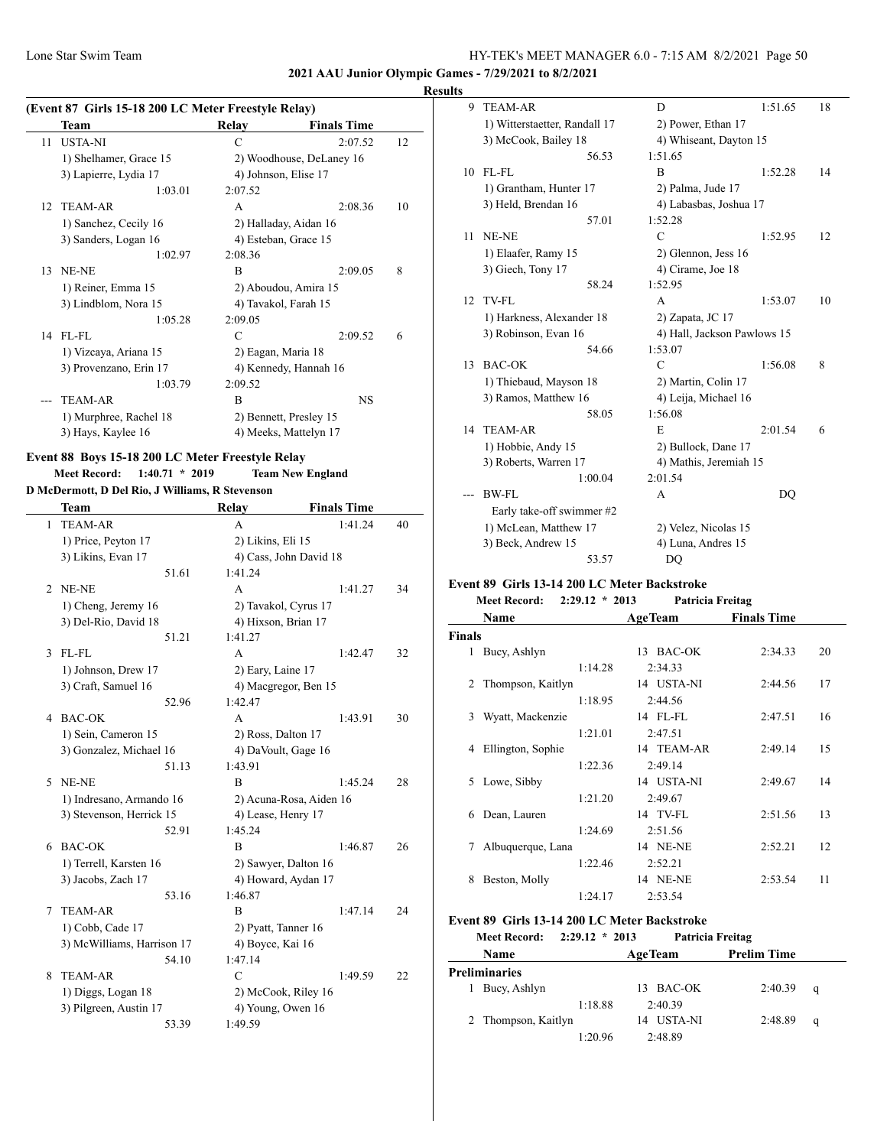**2021 AAU Junior Olympic Games - 7/29/2021 to 8/2/2021**

#### **Results**

|    | (Event 87 Girls 15-18 200 LC Meter Freestyle Relay) |                       |                          |    |
|----|-----------------------------------------------------|-----------------------|--------------------------|----|
|    | Team                                                | Relay                 | <b>Finals Time</b>       |    |
| 11 | <b>USTA-NI</b>                                      | C                     | 2:07.52                  | 12 |
|    | 1) Shelhamer, Grace 15                              |                       | 2) Woodhouse, DeLaney 16 |    |
|    | 3) Lapierre, Lydia 17                               | 4) Johnson, Elise 17  |                          |    |
|    | 1:03.01                                             | 2:07.52               |                          |    |
| 12 | <b>TEAM-AR</b>                                      | A                     | 2:08.36                  | 10 |
|    | 1) Sanchez, Cecily 16                               | 2) Halladay, Aidan 16 |                          |    |
|    | 3) Sanders, Logan 16                                |                       | 4) Esteban, Grace 15     |    |
|    | 1:02.97                                             | 2:08.36               |                          |    |
| 13 | NE-NE                                               | R                     | 2:09.05                  | 8  |
|    | 1) Reiner, Emma 15                                  |                       | 2) Aboudou, Amira 15     |    |
|    | 3) Lindblom, Nora 15                                |                       | 4) Tavakol, Farah 15     |    |
|    | 1:05.28                                             | 2:09.05               |                          |    |
|    | 14 FL-FL                                            | C                     | 2:09.52                  | 6  |
|    | 1) Vizcaya, Ariana 15                               | 2) Eagan, Maria 18    |                          |    |
|    | 3) Provenzano, Erin 17                              |                       | 4) Kennedy, Hannah 16    |    |
|    | 1:03.79                                             | 2:09.52               |                          |    |
|    | <b>TEAM-AR</b>                                      | B                     | <b>NS</b>                |    |
|    | 1) Murphree, Rachel 18                              |                       | 2) Bennett, Presley 15   |    |
|    | 3) Hays, Kaylee 16                                  |                       | 4) Meeks, Mattelyn 17    |    |

#### **Event 88 Boys 15-18 200 LC Meter Freestyle Relay Meet Record: 1:40.71 \* 2019 Team New England**

# **D McDermott, D Del Rio, J Williams, R Stevenson**

|   | Team                                         | Relay                                    | <b>Finals Time</b>      |    |
|---|----------------------------------------------|------------------------------------------|-------------------------|----|
| 1 | <b>TEAM-AR</b>                               | А                                        | 1:41.24                 | 40 |
|   | 1) Price, Peyton 17                          | 2) Likins, Eli 15                        |                         |    |
|   | 3) Likins, Evan 17                           | 4) Cass, John David 18                   |                         |    |
|   | 51.61                                        | 1:41.24                                  |                         |    |
| 2 | NE-NE                                        | A                                        | 1:41.27                 | 34 |
|   | 1) Cheng, Jeremy 16                          | 2) Tavakol, Cyrus 17                     |                         |    |
|   | 3) Del-Rio, David 18                         | 4) Hixson, Brian 17                      |                         |    |
|   | 51.21                                        | 1:41.27                                  |                         |    |
| 3 | FL-FL                                        | A                                        | 1:42.47                 | 32 |
|   | 1) Johnson, Drew 17                          | 2) Eary, Laine 17                        |                         |    |
|   | 3) Craft, Samuel 16                          | 4) Macgregor, Ben 15                     |                         |    |
|   | 52.96                                        | 1:42.47                                  |                         |    |
| 4 | <b>BAC-OK</b>                                | A                                        | 1:43.91                 | 30 |
|   | 1) Sein, Cameron 15                          | 2) Ross, Dalton 17                       |                         |    |
|   | 3) Gonzalez, Michael 16                      | 4) DaVoult, Gage 16                      |                         |    |
|   | 51.13                                        | 1:43.91                                  |                         |    |
| 5 | NE-NE                                        | B                                        | 1:45.24                 | 28 |
|   | 1) Indresano, Armando 16                     |                                          | 2) Acuna-Rosa, Aiden 16 |    |
|   | 3) Stevenson, Herrick 15                     | 4) Lease, Henry 17                       |                         |    |
|   | 52.91                                        | 1:45.24                                  |                         |    |
| 6 | <b>BAC-OK</b>                                | $\overline{B}$                           | 1:46.87                 | 26 |
|   | 1) Terrell, Karsten 16                       | 2) Sawyer, Dalton 16                     |                         |    |
|   | 3) Jacobs, Zach 17                           | 4) Howard, Aydan 17                      |                         |    |
| 7 | 53.16                                        | 1:46.87                                  |                         |    |
|   | <b>TEAM-AR</b>                               | B                                        | 1:47.14                 | 24 |
|   | 1) Cobb, Cade 17                             | 2) Pyatt, Tanner 16                      |                         |    |
|   | 3) McWilliams, Harrison 17<br>54.10          | 4) Boyce, Kai 16<br>1:47.14              |                         |    |
| 8 | <b>TEAM-AR</b>                               | $\mathcal{C}$                            | 1:49.59                 | 22 |
|   |                                              |                                          |                         |    |
|   | 1) Diggs, Logan 18<br>3) Pilgreen, Austin 17 | 2) McCook, Riley 16<br>4) Young, Owen 16 |                         |    |
|   | 53.39                                        | 1:49.59                                  |                         |    |
|   |                                              |                                          |                         |    |

| 9  | <b>TEAM-AR</b>                | D                           | 1:51.65 | 18 |
|----|-------------------------------|-----------------------------|---------|----|
|    | 1) Witterstaetter, Randall 17 | 2) Power, Ethan 17          |         |    |
|    | 3) McCook, Bailey 18          | 4) Whiseant, Dayton 15      |         |    |
|    | 56.53                         | 1:51.65                     |         |    |
| 10 | $FL$ - $FL$                   | B                           | 1:52.28 | 14 |
|    | 1) Grantham, Hunter 17        | 2) Palma, Jude 17           |         |    |
|    | 3) Held, Brendan 16           | 4) Labasbas, Joshua 17      |         |    |
|    | 57.01                         | 1:52.28                     |         |    |
| 11 | NE-NE                         | $\mathcal{C}$               | 1:52.95 | 12 |
|    | 1) Elaafer, Ramy 15           | 2) Glennon, Jess 16         |         |    |
|    | 3) Giech, Tony 17             | 4) Cirame, Joe 18           |         |    |
|    | 58.24                         | 1:52.95                     |         |    |
| 12 | TV-FL                         | A                           | 1:53.07 | 10 |
|    | 1) Harkness, Alexander 18     | 2) Zapata, JC 17            |         |    |
|    | 3) Robinson, Evan 16          | 4) Hall, Jackson Pawlows 15 |         |    |
|    | 54.66                         | 1:53.07                     |         |    |
| 13 | <b>BAC-OK</b>                 | $\mathcal{C}$               | 1:56.08 | 8  |
|    | 1) Thiebaud, Mayson 18        | 2) Martin, Colin 17         |         |    |
|    | 3) Ramos, Matthew 16          | 4) Leija, Michael 16        |         |    |
|    | 58.05                         | 1:56.08                     |         |    |
| 14 | <b>TEAM-AR</b>                | E                           | 2:01.54 | 6  |
|    | 1) Hobbie, Andy 15            | 2) Bullock, Dane 17         |         |    |
|    | 3) Roberts, Warren 17         | 4) Mathis, Jeremiah 15      |         |    |
|    | 1:00.04                       | 2:01.54                     |         |    |
|    | BW-FL                         | A                           | DO      |    |
|    | Early take-off swimmer #2     |                             |         |    |
|    | 1) McLean, Matthew 17         | 2) Velez, Nicolas 15        |         |    |
|    | 3) Beck, Andrew 15            | 4) Luna, Andres 15          |         |    |
|    | 53.57                         | DQ                          |         |    |

#### **Event 89 Girls 13-14 200 LC Meter Backstroke**

#### **Meet Record: 2:29.12 \* 2013 Patricia Freitag**

|               | Name              |         | <b>AgeTeam</b>  | <b>Finals Time</b> |    |
|---------------|-------------------|---------|-----------------|--------------------|----|
| <b>Finals</b> |                   |         |                 |                    |    |
| 1             | Bucy, Ashlyn      |         | 13 BAC-OK       | 2:34.33            | 20 |
|               |                   | 1:14.28 | 2:34.33         |                    |    |
| 2             | Thompson, Kaitlyn |         | 14 USTA-NI      | 2:44.56            | 17 |
|               |                   | 1:18.95 | 2:44.56         |                    |    |
| 3             | Wyatt, Mackenzie  |         | 14 FL-FL        | 2:47.51            | 16 |
|               |                   | 1:21.01 | 2:47.51         |                    |    |
| 4             | Ellington, Sophie |         | 14 TEAM-AR      | 2:49.14            | 15 |
|               |                   | 1:22.36 | 2:49.14         |                    |    |
| 5.            | Lowe, Sibby       |         | 14 USTA-NI      | 2:49.67            | 14 |
|               |                   | 1:21.20 | 2:49.67         |                    |    |
| 6             | Dean, Lauren      |         | 14 TV-FL        | 2:51.56            | 13 |
|               |                   | 1:24.69 | 2:51.56         |                    |    |
| 7             | Albuquerque, Lana |         | 14 NE-NE        | 2:52.21            | 12 |
|               |                   | 1:22.46 | 2:52.21         |                    |    |
| 8             | Beston, Molly     |         | <b>14 NE-NE</b> | 2:53.54            | 11 |
|               |                   | 1:24.17 | 2:53.54         |                    |    |

# **Event 89 Girls 13-14 200 LC Meter Backstroke**

# **Meet Record: 2:29.12 \* 2013 Patricia Freitag Name Age Team Prelim Time**

| <b>Preliminaries</b> |                     |         |            |         |   |  |
|----------------------|---------------------|---------|------------|---------|---|--|
|                      | 1 Bucy, Ashlyn      |         | 13 BAC-OK  | 2:40.39 | a |  |
|                      |                     | 1:18.88 | 2:40.39    |         |   |  |
|                      | 2 Thompson, Kaitlyn |         | 14 USTA-NI | 2:48.89 | a |  |
|                      |                     | 1:20.96 | 2:48.89    |         |   |  |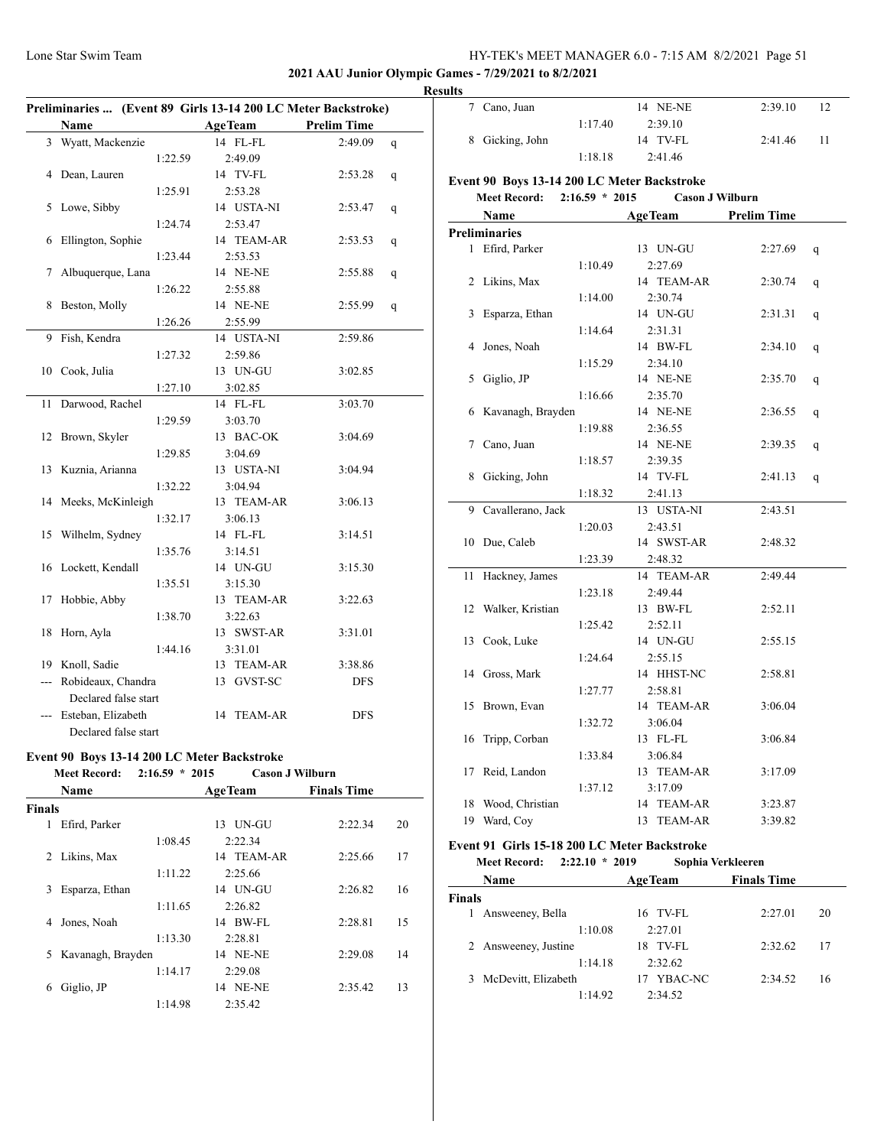## **2021 AAU Junior Olympic Games - 7/29/2021 to 8/2/2021**

|     | Preliminaries  (Event 89 Girls 13-14 200 LC Meter Backstroke) |         |                |                    |   |
|-----|---------------------------------------------------------------|---------|----------------|--------------------|---|
|     | Name                                                          |         | <b>AgeTeam</b> | <b>Prelim Time</b> |   |
|     | 3 Wyatt, Mackenzie                                            |         | 14 FL-FL       | 2:49.09            | q |
|     |                                                               | 1:22.59 | 2:49.09        |                    |   |
| 4   | Dean, Lauren                                                  |         | 14 TV-FL       | 2:53.28            | q |
|     |                                                               | 1:25.91 | 2:53.28        |                    |   |
| 5   | Lowe, Sibby                                                   |         | 14 USTA-NI     | 2:53.47            | q |
|     |                                                               | 1:24.74 | 2:53.47        |                    |   |
| 6   | Ellington, Sophie                                             |         | 14 TEAM-AR     | 2:53.53            | q |
|     |                                                               | 1:23.44 | 2:53.53        |                    |   |
| 7   | Albuquerque, Lana                                             |         | 14 NE-NE       | 2:55.88            | q |
|     |                                                               | 1:26.22 | 2:55.88        |                    |   |
| 8   | Beston, Molly                                                 |         | 14 NE-NE       | 2:55.99            | q |
|     |                                                               | 1:26.26 | 2:55.99        |                    |   |
| 9   | Fish, Kendra                                                  |         | 14 USTA-NI     | 2:59.86            |   |
|     |                                                               | 1:27.32 | 2:59.86        |                    |   |
| 10  | Cook, Julia                                                   |         | 13 UN-GU       | 3:02.85            |   |
|     |                                                               | 1:27.10 | 3:02.85        |                    |   |
| 11  | Darwood, Rachel                                               |         | 14 FL-FL       | 3:03.70            |   |
|     |                                                               | 1:29.59 | 3:03.70        |                    |   |
| 12  | Brown, Skyler                                                 |         | 13 BAC-OK      | 3:04.69            |   |
|     |                                                               | 1:29.85 | 3:04.69        |                    |   |
| 13  | Kuznia, Arianna                                               |         | 13 USTA-NI     | 3:04.94            |   |
|     |                                                               | 1:32.22 | 3:04.94        |                    |   |
| 14  | Meeks, McKinleigh                                             |         | 13 TEAM-AR     | 3:06.13            |   |
|     |                                                               | 1:32.17 | 3:06.13        |                    |   |
| 15  | Wilhelm, Sydney                                               |         | 14 FL-FL       | 3:14.51            |   |
|     |                                                               | 1:35.76 | 3:14.51        |                    |   |
|     | 16 Lockett, Kendall                                           |         | 14 UN-GU       | 3:15.30            |   |
|     |                                                               | 1:35.51 | 3:15.30        |                    |   |
| 17  | Hobbie, Abby                                                  |         | 13 TEAM-AR     | 3:22.63            |   |
|     |                                                               | 1:38.70 | 3:22.63        |                    |   |
| 18  | Horn, Ayla                                                    |         | 13 SWST-AR     | 3:31.01            |   |
|     |                                                               | 1:44.16 | 3:31.01        |                    |   |
|     | 19 Knoll, Sadie                                               |         | 13 TEAM-AR     | 3:38.86            |   |
| --- | Robideaux, Chandra                                            |         | 13 GVST-SC     | DFS                |   |
|     | Declared false start                                          |         |                |                    |   |
|     | Esteban, Elizabeth                                            |         | TEAM-AR<br>14  | <b>DFS</b>         |   |
|     | Declared false start                                          |         |                |                    |   |

# **Event 90 Boys 13-14 200 LC Meter Backstroke**

| $2:16.59 * 2015$<br><b>Cason J Wilburn</b><br><b>Meet Record:</b> |  |
|-------------------------------------------------------------------|--|
|-------------------------------------------------------------------|--|

|        | <b>Name</b>       | <b>AgeTeam</b>  | <b>Finals Time</b> |    |
|--------|-------------------|-----------------|--------------------|----|
| Finals |                   |                 |                    |    |
| 1      | Efird, Parker     | UN-GU<br>13     | 2:22.34            | 20 |
|        | 1:08.45           | 2:22.34         |                    |    |
| 2      | Likins, Max       | 14 TEAM-AR      | 2:25.66            | 17 |
|        | 1:11.22           | 2:25.66         |                    |    |
| 3      | Esparza, Ethan    | 14 UN-GU        | 2:26.82            | 16 |
|        | 1:11.65           | 2:26.82         |                    |    |
| 4      | Jones, Noah       | BW-FL<br>14     | 2:28.81            | 15 |
|        | 1:13.30           | 2:28.81         |                    |    |
| 5      | Kavanagh, Brayden | <b>14 NE-NE</b> | 2:29.08            | 14 |
|        | 1:14.17           | 2:29.08         |                    |    |
| 6      | Giglio, JP        | 14 NE-NE        | 2:35.42            | 13 |
|        | 1:14.98           | 2:35.42         |                    |    |
|        |                   |                 |                    |    |

| <b>Results</b>  |         |          |         |    |
|-----------------|---------|----------|---------|----|
| 7 Cano, Juan    |         | 14 NE-NE | 2:39.10 | 12 |
|                 | 1:17.40 | 2:39.10  |         |    |
| 8 Gicking, John |         | 14 TV-FL | 2:41.46 | 11 |
|                 | 1:18.18 | 2:41.46  |         |    |

# **Event 90 Boys 13-14 200 LC Meter Backstroke**

# **Meet Record: 2:16.59 \* 2015 Cason J Wilburn**

|                | Name                 |         | <b>AgeTeam</b> | <b>Prelim Time</b> |   |
|----------------|----------------------|---------|----------------|--------------------|---|
|                | <b>Preliminaries</b> |         |                |                    |   |
|                | 1 Efird, Parker      |         | 13 UN-GU       | 2:27.69            | q |
|                |                      | 1:10.49 | 2:27.69        |                    |   |
| $\overline{2}$ | Likins, Max          |         | 14 TEAM-AR     | 2:30.74            | q |
|                |                      | 1:14.00 | 2:30.74        |                    |   |
| 3              | Esparza, Ethan       |         | 14 UN-GU       | 2:31.31            | q |
|                |                      | 1:14.64 | 2:31.31        |                    |   |
| 4              | Jones, Noah          |         | 14 BW-FL       | 2:34.10            | q |
|                |                      | 1:15.29 | 2:34.10        |                    |   |
| 5              | Giglio, JP           |         | 14 NE-NE       | 2:35.70            | q |
|                |                      | 1:16.66 | 2:35.70        |                    |   |
|                | 6 Kavanagh, Brayden  |         | 14 NE-NE       | 2:36.55            | q |
|                |                      | 1:19.88 | 2:36.55        |                    |   |
| 7              | Cano, Juan           |         | 14 NE-NE       | 2:39.35            | q |
|                |                      | 1:18.57 | 2:39.35        |                    |   |
| 8              | Gicking, John        |         | 14 TV-FL       | 2:41.13            | q |
|                |                      | 1:18.32 | 2:41.13        |                    |   |
| 9              | Cavallerano, Jack    |         | 13 USTA-NI     | 2:43.51            |   |
|                |                      | 1:20.03 | 2:43.51        |                    |   |
|                | 10 Due, Caleb        |         | 14 SWST-AR     | 2:48.32            |   |
|                |                      | 1:23.39 | 2:48.32        |                    |   |
| 11             | Hackney, James       |         | 14 TEAM-AR     | 2:49.44            |   |
|                |                      | 1:23.18 | 2:49.44        |                    |   |
|                | 12 Walker, Kristian  |         | 13 BW-FL       | 2:52.11            |   |
|                |                      | 1:25.42 | 2:52.11        |                    |   |
| 13             | Cook, Luke           |         | 14 UN-GU       | 2:55.15            |   |
|                |                      | 1:24.64 | 2:55.15        |                    |   |
| 14             | Gross, Mark          |         | 14 HHST-NC     | 2:58.81            |   |
|                |                      | 1:27.77 | 2:58.81        |                    |   |
| 15             | Brown, Evan          |         | 14 TEAM-AR     | 3:06.04            |   |
|                |                      | 1:32.72 | 3:06.04        |                    |   |
| 16             | Tripp, Corban        |         | 13 FL-FL       | 3:06.84            |   |
|                |                      | 1:33.84 | 3:06.84        |                    |   |
| 17             | Reid, Landon         |         | 13 TEAM-AR     | 3:17.09            |   |
|                |                      | 1:37.12 | 3:17.09        |                    |   |
| 18             | Wood, Christian      |         | 14 TEAM-AR     | 3:23.87            |   |
| 19             | Ward, Coy            |         | 13 TEAM-AR     | 3:39.82            |   |

# **Event 91 Girls 15-18 200 LC Meter Backstroke**

**Meet Record: 2:22.10 \* 2019 Sophia Verkleeren**

| Name                      | <b>AgeTeam</b> | <b>Finals Time</b> |    |
|---------------------------|----------------|--------------------|----|
| <b>Finals</b>             |                |                    |    |
| Answeeney, Bella<br>L     | 16 TV-FL       | 2:27.01            | 20 |
| 1:10.08                   | 2:27.01        |                    |    |
| 2 Answeeney, Justine      | 18 TV-FL       | 2:32.62            | 17 |
| 1:14.18                   | 2:32.62        |                    |    |
| McDevitt, Elizabeth<br>3. | YBAC-NC        | 2:34.52            | 16 |
| 1:14.92                   | 2:34.52        |                    |    |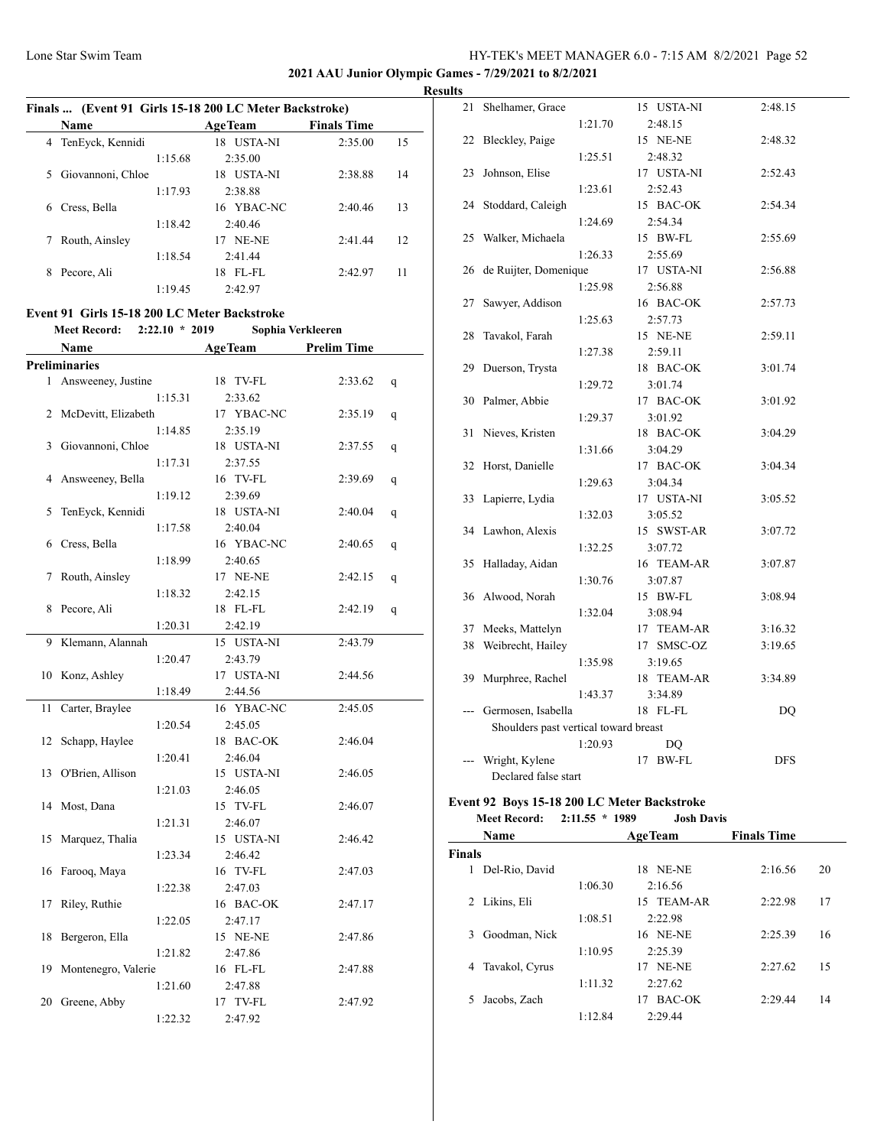**2021 AAU Junior Olympic Games - 7/29/2021 to 8/2/2021**

#### **Results**

| Finals  (Event 91 Girls 15-18 200 LC Meter Backstroke) |                   |         |                |                    |    |  |
|--------------------------------------------------------|-------------------|---------|----------------|--------------------|----|--|
|                                                        | <b>Name</b>       |         | <b>AgeTeam</b> | <b>Finals Time</b> |    |  |
| 4                                                      | TenEyck, Kennidi  |         | USTA-NI<br>18  | 2:35.00            | 15 |  |
|                                                        |                   | 1:15.68 | 2:35.00        |                    |    |  |
| 5.                                                     | Giovannoni, Chloe |         | USTA-NI<br>18. | 2:38.88            | 14 |  |
|                                                        |                   | 1:17.93 | 2:38.88        |                    |    |  |
| 6                                                      | Cress, Bella      |         | 16 YBAC-NC     | 2:40.46            | 13 |  |
|                                                        |                   | 1:18.42 | 2:40.46        |                    |    |  |
|                                                        | Routh, Ainsley    |         | 17 NE-NE       | 2:41.44            | 12 |  |
|                                                        |                   | 1:18.54 | 2:41.44        |                    |    |  |
| 8                                                      | Pecore, Ali       |         | FL-FL<br>18.   | 2:42.97            | 11 |  |
|                                                        |                   | 1:19.45 | 2:42.97        |                    |    |  |

#### **Event 91 Girls 15-18 200 LC Meter Backstroke Meet Record: 2:22.10 \* 2019 Sophia Verkleeren**

|    | Name                 | <b>AgeTeam</b> | <b>Prelim Time</b> |   |
|----|----------------------|----------------|--------------------|---|
|    | <b>Preliminaries</b> |                |                    |   |
| 1  | Answeeney, Justine   | 18 TV-FL       | 2:33.62            | q |
|    | 1:15.31              | 2:33.62        |                    |   |
| 2  | McDevitt, Elizabeth  | 17 YBAC-NC     | 2:35.19            | q |
|    | 1:14.85              | 2:35.19        |                    |   |
| 3  | Giovannoni, Chloe    | 18 USTA-NI     | 2:37.55            | q |
|    | 1:17.31              | 2:37.55        |                    |   |
| 4  | Answeeney, Bella     | 16 TV-FL       | 2:39.69            | q |
|    | 1:19.12              | 2:39.69        |                    |   |
| 5  | TenEyck, Kennidi     | 18 USTA-NI     | 2:40.04            | q |
|    | 1:17.58              | 2:40.04        |                    |   |
| 6  | Cress, Bella         | 16 YBAC-NC     | 2:40.65            | q |
|    | 1:18.99              | 2:40.65        |                    |   |
| 7  | Routh, Ainsley       | 17 NE-NE       | 2:42.15            | q |
|    | 1:18.32              | 2:42.15        |                    |   |
| 8  | Pecore, Ali          | 18 FL-FL       | 2:42.19            | q |
|    | 1:20.31              | 2:42.19        |                    |   |
| 9  | Klemann, Alannah     | 15 USTA-NI     | 2:43.79            |   |
|    | 1:20.47              | 2:43.79        |                    |   |
| 10 | Konz, Ashley         | 17 USTA-NI     | 2:44.56            |   |
|    | 1:18.49              | 2:44.56        |                    |   |
| 11 | Carter, Braylee      | 16 YBAC-NC     | 2:45.05            |   |
|    | 1:20.54              | 2:45.05        |                    |   |
| 12 | Schapp, Haylee       | 18 BAC-OK      | 2:46.04            |   |
|    | 1:20.41              | 2:46.04        |                    |   |
| 13 | O'Brien, Allison     | 15 USTA-NI     | 2:46.05            |   |
|    | 1:21.03              | 2:46.05        |                    |   |
| 14 | Most, Dana           | 15 TV-FL       | 2:46.07            |   |
|    | 1:21.31              | 2:46.07        |                    |   |
| 15 | Marquez, Thalia      | 15 USTA-NI     | 2:46.42            |   |
|    | 1:23.34              | 2:46.42        |                    |   |
| 16 | Farooq, Maya         | 16 TV-FL       | 2:47.03            |   |
|    | 1:22.38              | 2:47.03        |                    |   |
| 17 | Riley, Ruthie        | 16 BAC-OK      | 2:47.17            |   |
|    | 1:22.05              | 2:47.17        |                    |   |
| 18 | Bergeron, Ella       | 15 NE-NE       | 2:47.86            |   |
|    | 1:21.82              | 2:47.86        |                    |   |
| 19 | Montenegro, Valerie  | 16 FL-FL       | 2:47.88            |   |
|    | 1:21.60              | 2:47.88        |                    |   |
|    | 20 Greene, Abby      | 17 TV-FL       | 2:47.92            |   |
|    | 1:22.32              | 2:47.92        |                    |   |

| 2:48.15<br>1:21.70<br>Bleckley, Paige<br>22<br>15 NE-NE<br>2:48.32<br>1:25.51<br>2:48.32<br>23<br>Johnson, Elise<br>17 USTA-NI<br>2:52.43<br>1:23.61<br>2:52.43<br>Stoddard, Caleigh<br>15 BAC-OK<br>2:54.34<br>24<br>1:24.69<br>2:54.34<br>Walker, Michaela<br>2:55.69<br>25<br>15 BW-FL<br>1:26.33<br>2:55.69<br>de Ruijter, Domenique<br>26<br>17 USTA-NI<br>2:56.88<br>1:25.98<br>2:56.88<br>Sawyer, Addison<br>27<br>16 BAC-OK<br>2:57.73<br>1:25.63<br>2:57.73<br>15 NE-NE<br>28<br>Tavakol, Farah<br>2:59.11<br>2:59.11<br>1:27.38<br>29<br>Duerson, Trysta<br>18 BAC-OK<br>3:01.74<br>3:01.74<br>1:29.72<br>30 Palmer, Abbie<br>17 BAC-OK<br>3:01.92<br>1:29.37<br>3:01.92<br>31<br>Nieves, Kristen<br>18 BAC-OK<br>3:04.29<br>1:31.66<br>3:04.29<br>17 BAC-OK<br>32<br>Horst, Danielle<br>3:04.34<br>1:29.63<br>3:04.34<br>Lapierre, Lydia<br>17 USTA-NI<br>3:05.52<br>33<br>3:05.52<br>1:32.03<br>34 Lawhon, Alexis<br>15 SWST-AR<br>3:07.72<br>1:32.25<br>3:07.72<br>Halladay, Aidan<br>35<br>16 TEAM-AR<br>3:07.87<br>3:07.87<br>1:30.76<br>36 Alwood, Norah<br>15 BW-FL<br>3:08.94<br>3:08.94<br>1:32.04<br>Meeks, Mattelyn<br>37<br>17 TEAM-AR<br>3:16.32<br>Weibrecht, Hailey<br>17 SMSC-OZ<br>38<br>3:19.65<br>3:19.65<br>1:35.98<br>Murphree, Rachel<br>39<br>18 TEAM-AR<br>3:34.89<br>1:43.37<br>3:34.89<br>Germosen, Isabella<br>18 FL-FL<br>DQ<br>---<br>Shoulders past vertical toward breast<br>1:20.93<br>DQ | 21 | Shelhamer, Grace |  | 15 USTA-NI | 2:48.15 |
|-------------------------------------------------------------------------------------------------------------------------------------------------------------------------------------------------------------------------------------------------------------------------------------------------------------------------------------------------------------------------------------------------------------------------------------------------------------------------------------------------------------------------------------------------------------------------------------------------------------------------------------------------------------------------------------------------------------------------------------------------------------------------------------------------------------------------------------------------------------------------------------------------------------------------------------------------------------------------------------------------------------------------------------------------------------------------------------------------------------------------------------------------------------------------------------------------------------------------------------------------------------------------------------------------------------------------------------------------------------------------------------------------------------------------------------|----|------------------|--|------------|---------|
|                                                                                                                                                                                                                                                                                                                                                                                                                                                                                                                                                                                                                                                                                                                                                                                                                                                                                                                                                                                                                                                                                                                                                                                                                                                                                                                                                                                                                                     |    |                  |  |            |         |
|                                                                                                                                                                                                                                                                                                                                                                                                                                                                                                                                                                                                                                                                                                                                                                                                                                                                                                                                                                                                                                                                                                                                                                                                                                                                                                                                                                                                                                     |    |                  |  |            |         |
|                                                                                                                                                                                                                                                                                                                                                                                                                                                                                                                                                                                                                                                                                                                                                                                                                                                                                                                                                                                                                                                                                                                                                                                                                                                                                                                                                                                                                                     |    |                  |  |            |         |
|                                                                                                                                                                                                                                                                                                                                                                                                                                                                                                                                                                                                                                                                                                                                                                                                                                                                                                                                                                                                                                                                                                                                                                                                                                                                                                                                                                                                                                     |    |                  |  |            |         |
|                                                                                                                                                                                                                                                                                                                                                                                                                                                                                                                                                                                                                                                                                                                                                                                                                                                                                                                                                                                                                                                                                                                                                                                                                                                                                                                                                                                                                                     |    |                  |  |            |         |
|                                                                                                                                                                                                                                                                                                                                                                                                                                                                                                                                                                                                                                                                                                                                                                                                                                                                                                                                                                                                                                                                                                                                                                                                                                                                                                                                                                                                                                     |    |                  |  |            |         |
|                                                                                                                                                                                                                                                                                                                                                                                                                                                                                                                                                                                                                                                                                                                                                                                                                                                                                                                                                                                                                                                                                                                                                                                                                                                                                                                                                                                                                                     |    |                  |  |            |         |
|                                                                                                                                                                                                                                                                                                                                                                                                                                                                                                                                                                                                                                                                                                                                                                                                                                                                                                                                                                                                                                                                                                                                                                                                                                                                                                                                                                                                                                     |    |                  |  |            |         |
|                                                                                                                                                                                                                                                                                                                                                                                                                                                                                                                                                                                                                                                                                                                                                                                                                                                                                                                                                                                                                                                                                                                                                                                                                                                                                                                                                                                                                                     |    |                  |  |            |         |
|                                                                                                                                                                                                                                                                                                                                                                                                                                                                                                                                                                                                                                                                                                                                                                                                                                                                                                                                                                                                                                                                                                                                                                                                                                                                                                                                                                                                                                     |    |                  |  |            |         |
|                                                                                                                                                                                                                                                                                                                                                                                                                                                                                                                                                                                                                                                                                                                                                                                                                                                                                                                                                                                                                                                                                                                                                                                                                                                                                                                                                                                                                                     |    |                  |  |            |         |
|                                                                                                                                                                                                                                                                                                                                                                                                                                                                                                                                                                                                                                                                                                                                                                                                                                                                                                                                                                                                                                                                                                                                                                                                                                                                                                                                                                                                                                     |    |                  |  |            |         |
|                                                                                                                                                                                                                                                                                                                                                                                                                                                                                                                                                                                                                                                                                                                                                                                                                                                                                                                                                                                                                                                                                                                                                                                                                                                                                                                                                                                                                                     |    |                  |  |            |         |
|                                                                                                                                                                                                                                                                                                                                                                                                                                                                                                                                                                                                                                                                                                                                                                                                                                                                                                                                                                                                                                                                                                                                                                                                                                                                                                                                                                                                                                     |    |                  |  |            |         |
|                                                                                                                                                                                                                                                                                                                                                                                                                                                                                                                                                                                                                                                                                                                                                                                                                                                                                                                                                                                                                                                                                                                                                                                                                                                                                                                                                                                                                                     |    |                  |  |            |         |
|                                                                                                                                                                                                                                                                                                                                                                                                                                                                                                                                                                                                                                                                                                                                                                                                                                                                                                                                                                                                                                                                                                                                                                                                                                                                                                                                                                                                                                     |    |                  |  |            |         |
|                                                                                                                                                                                                                                                                                                                                                                                                                                                                                                                                                                                                                                                                                                                                                                                                                                                                                                                                                                                                                                                                                                                                                                                                                                                                                                                                                                                                                                     |    |                  |  |            |         |
|                                                                                                                                                                                                                                                                                                                                                                                                                                                                                                                                                                                                                                                                                                                                                                                                                                                                                                                                                                                                                                                                                                                                                                                                                                                                                                                                                                                                                                     |    |                  |  |            |         |
|                                                                                                                                                                                                                                                                                                                                                                                                                                                                                                                                                                                                                                                                                                                                                                                                                                                                                                                                                                                                                                                                                                                                                                                                                                                                                                                                                                                                                                     |    |                  |  |            |         |
|                                                                                                                                                                                                                                                                                                                                                                                                                                                                                                                                                                                                                                                                                                                                                                                                                                                                                                                                                                                                                                                                                                                                                                                                                                                                                                                                                                                                                                     |    |                  |  |            |         |
|                                                                                                                                                                                                                                                                                                                                                                                                                                                                                                                                                                                                                                                                                                                                                                                                                                                                                                                                                                                                                                                                                                                                                                                                                                                                                                                                                                                                                                     |    |                  |  |            |         |
|                                                                                                                                                                                                                                                                                                                                                                                                                                                                                                                                                                                                                                                                                                                                                                                                                                                                                                                                                                                                                                                                                                                                                                                                                                                                                                                                                                                                                                     |    |                  |  |            |         |
|                                                                                                                                                                                                                                                                                                                                                                                                                                                                                                                                                                                                                                                                                                                                                                                                                                                                                                                                                                                                                                                                                                                                                                                                                                                                                                                                                                                                                                     |    |                  |  |            |         |
|                                                                                                                                                                                                                                                                                                                                                                                                                                                                                                                                                                                                                                                                                                                                                                                                                                                                                                                                                                                                                                                                                                                                                                                                                                                                                                                                                                                                                                     |    |                  |  |            |         |
|                                                                                                                                                                                                                                                                                                                                                                                                                                                                                                                                                                                                                                                                                                                                                                                                                                                                                                                                                                                                                                                                                                                                                                                                                                                                                                                                                                                                                                     |    |                  |  |            |         |
|                                                                                                                                                                                                                                                                                                                                                                                                                                                                                                                                                                                                                                                                                                                                                                                                                                                                                                                                                                                                                                                                                                                                                                                                                                                                                                                                                                                                                                     |    |                  |  |            |         |
|                                                                                                                                                                                                                                                                                                                                                                                                                                                                                                                                                                                                                                                                                                                                                                                                                                                                                                                                                                                                                                                                                                                                                                                                                                                                                                                                                                                                                                     |    |                  |  |            |         |
|                                                                                                                                                                                                                                                                                                                                                                                                                                                                                                                                                                                                                                                                                                                                                                                                                                                                                                                                                                                                                                                                                                                                                                                                                                                                                                                                                                                                                                     |    |                  |  |            |         |
|                                                                                                                                                                                                                                                                                                                                                                                                                                                                                                                                                                                                                                                                                                                                                                                                                                                                                                                                                                                                                                                                                                                                                                                                                                                                                                                                                                                                                                     |    |                  |  |            |         |
|                                                                                                                                                                                                                                                                                                                                                                                                                                                                                                                                                                                                                                                                                                                                                                                                                                                                                                                                                                                                                                                                                                                                                                                                                                                                                                                                                                                                                                     |    |                  |  |            |         |
|                                                                                                                                                                                                                                                                                                                                                                                                                                                                                                                                                                                                                                                                                                                                                                                                                                                                                                                                                                                                                                                                                                                                                                                                                                                                                                                                                                                                                                     |    |                  |  |            |         |
|                                                                                                                                                                                                                                                                                                                                                                                                                                                                                                                                                                                                                                                                                                                                                                                                                                                                                                                                                                                                                                                                                                                                                                                                                                                                                                                                                                                                                                     |    |                  |  |            |         |
|                                                                                                                                                                                                                                                                                                                                                                                                                                                                                                                                                                                                                                                                                                                                                                                                                                                                                                                                                                                                                                                                                                                                                                                                                                                                                                                                                                                                                                     |    |                  |  |            |         |
|                                                                                                                                                                                                                                                                                                                                                                                                                                                                                                                                                                                                                                                                                                                                                                                                                                                                                                                                                                                                                                                                                                                                                                                                                                                                                                                                                                                                                                     |    |                  |  |            |         |
|                                                                                                                                                                                                                                                                                                                                                                                                                                                                                                                                                                                                                                                                                                                                                                                                                                                                                                                                                                                                                                                                                                                                                                                                                                                                                                                                                                                                                                     |    |                  |  |            |         |
|                                                                                                                                                                                                                                                                                                                                                                                                                                                                                                                                                                                                                                                                                                                                                                                                                                                                                                                                                                                                                                                                                                                                                                                                                                                                                                                                                                                                                                     |    |                  |  |            |         |
|                                                                                                                                                                                                                                                                                                                                                                                                                                                                                                                                                                                                                                                                                                                                                                                                                                                                                                                                                                                                                                                                                                                                                                                                                                                                                                                                                                                                                                     |    |                  |  |            |         |
|                                                                                                                                                                                                                                                                                                                                                                                                                                                                                                                                                                                                                                                                                                                                                                                                                                                                                                                                                                                                                                                                                                                                                                                                                                                                                                                                                                                                                                     |    |                  |  |            |         |
| Wright, Kylene<br><b>BW-FL</b><br>17<br>DFS                                                                                                                                                                                                                                                                                                                                                                                                                                                                                                                                                                                                                                                                                                                                                                                                                                                                                                                                                                                                                                                                                                                                                                                                                                                                                                                                                                                         |    |                  |  |            |         |
| Declared false start                                                                                                                                                                                                                                                                                                                                                                                                                                                                                                                                                                                                                                                                                                                                                                                                                                                                                                                                                                                                                                                                                                                                                                                                                                                                                                                                                                                                                |    |                  |  |            |         |

## **Event 92 Boys 15-18 200 LC Meter Backstroke**

**Meet Record: 2:11.55 \* 1989 Josh Davis**

| Name                |         | <b>AgeTeam</b> | <b>Finals Time</b> |    |
|---------------------|---------|----------------|--------------------|----|
| <b>Finals</b>       |         |                |                    |    |
| Del-Rio, David      |         | NE-NE<br>18    | 2:16.56            | 20 |
|                     | 1:06.30 | 2:16.56        |                    |    |
| Likins, Eli<br>2    |         | 15 TEAM-AR     | 2:22.98            | 17 |
|                     | 1:08.51 | 2:22.98        |                    |    |
| Goodman, Nick<br>3  |         | 16 NE-NE       | 2:25.39            | 16 |
|                     | 1:10.95 | 2:25.39        |                    |    |
| Tavakol, Cyrus<br>4 |         | NE-NE<br>17    | 2:27.62            | 15 |
|                     | 1:11.32 | 2:27.62        |                    |    |
| Jacobs, Zach        |         | BAC-OK<br>17   | 2:29.44            | 14 |
|                     | 1:12.84 | 2:29.44        |                    |    |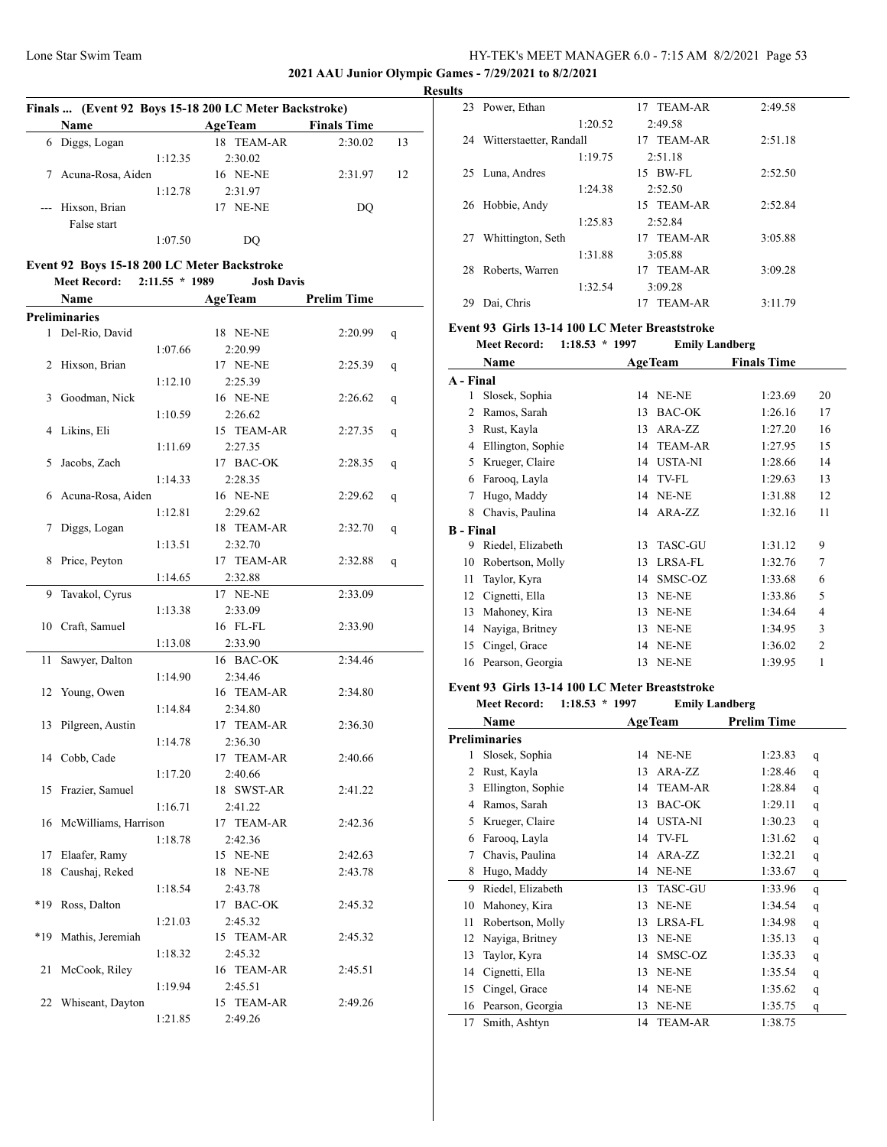## **2021 AAU Junior Olympic Games - 7/29/2021 to 8/2/2021**

|       |                                                                    |                  | Finals  (Event 92 Boys 15-18 200 LC Meter Backstroke) |                    |    |
|-------|--------------------------------------------------------------------|------------------|-------------------------------------------------------|--------------------|----|
|       | Name                                                               |                  | <b>AgeTeam</b>                                        | <b>Finals Time</b> |    |
|       | 6 Diggs, Logan                                                     |                  | 18 TEAM-AR                                            | 2:30.02            | 13 |
|       |                                                                    | 1:12.35          | 2:30.02                                               |                    |    |
|       | 7 Acuna-Rosa, Aiden                                                |                  | 16 NE-NE                                              | 2:31.97            | 12 |
|       |                                                                    | 1:12.78          | 2:31.97                                               |                    |    |
|       | --- Hixson, Brian                                                  |                  | 17 NE-NE                                              | DQ                 |    |
|       | False start                                                        |                  |                                                       |                    |    |
|       |                                                                    | 1:07.50          | DQ                                                    |                    |    |
|       |                                                                    |                  |                                                       |                    |    |
|       | Event 92 Boys 15-18 200 LC Meter Backstroke<br><b>Meet Record:</b> | $2:11.55 * 1989$ | <b>Josh Davis</b>                                     |                    |    |
|       |                                                                    |                  |                                                       | <b>Prelim Time</b> |    |
|       | <b>Name</b><br><b>Preliminaries</b>                                |                  | <b>AgeTeam</b>                                        |                    |    |
|       | 1 Del-Rio, David                                                   |                  | 18 NE-NE                                              | 2:20.99            |    |
|       |                                                                    | 1:07.66          | 2:20.99                                               |                    | q  |
|       | 2 Hixson, Brian                                                    |                  | 17 NE-NE                                              | 2:25.39            |    |
|       |                                                                    | 1:12.10          | 2:25.39                                               |                    | q  |
|       | 3 Goodman, Nick                                                    |                  | 16 NE-NE                                              | 2:26.62            | q  |
|       |                                                                    | 1:10.59          | 2:26.62                                               |                    |    |
|       | 4 Likins, Eli                                                      |                  | 15 TEAM-AR                                            | 2:27.35            | q  |
|       |                                                                    | 1:11.69          | 2:27.35                                               |                    |    |
| 5     | Jacobs, Zach                                                       |                  | 17 BAC-OK                                             | 2:28.35            | q  |
|       |                                                                    | 1:14.33          | 2:28.35                                               |                    |    |
|       | 6 Acuna-Rosa, Aiden                                                |                  | 16 NE-NE                                              | 2:29.62            | q  |
|       |                                                                    | 1:12.81          | 2:29.62                                               |                    |    |
| 7     | Diggs, Logan                                                       |                  | 18 TEAM-AR                                            | 2:32.70            | q  |
|       |                                                                    | 1:13.51          | 2:32.70                                               |                    |    |
| 8     | Price, Peyton                                                      |                  | 17 TEAM-AR                                            | 2:32.88            | q  |
|       |                                                                    | 1:14.65          | 2:32.88                                               |                    |    |
|       | 9 Tavakol, Cyrus                                                   |                  | 17 NE-NE                                              | 2:33.09            |    |
|       |                                                                    | 1:13.38          | 2:33.09                                               |                    |    |
| 10    | Craft, Samuel                                                      |                  | 16 FL-FL                                              | 2:33.90            |    |
|       |                                                                    | 1:13.08          | 2:33.90                                               |                    |    |
| 11    | Sawyer, Dalton                                                     |                  | 16 BAC-OK                                             | 2:34.46            |    |
|       |                                                                    | 1:14.90          | 2:34.46                                               |                    |    |
|       | 12 Young, Owen                                                     |                  | 16 TEAM-AR                                            | 2:34.80            |    |
|       |                                                                    | 1:14.84          | 2:34.80                                               |                    |    |
|       | 13 Pilgreen, Austin                                                |                  | 17 TEAM-AR                                            | 2:36.30            |    |
|       |                                                                    | 1:14.78          | 2:36.30                                               |                    |    |
|       | 14 Cobb, Cade                                                      |                  | 17 TEAM-AR                                            | 2:40.66            |    |
|       |                                                                    | 1:17.20          | 2:40.66                                               |                    |    |
| 15    | Frazier, Samuel                                                    |                  | 18 SWST-AR                                            | 2:41.22            |    |
|       |                                                                    | 1:16.71          | 2:41.22                                               |                    |    |
|       | 16 McWilliams, Harrison                                            |                  | 17 TEAM-AR                                            | 2:42.36            |    |
|       |                                                                    | 1:18.78          | 2:42.36                                               |                    |    |
| 17    | Elaafer, Ramy                                                      |                  | 15 NE-NE                                              | 2:42.63            |    |
| 18    | Caushaj, Reked                                                     |                  | 18 NE-NE                                              | 2:43.78            |    |
|       |                                                                    | 1:18.54          | 2:43.78                                               |                    |    |
| $*19$ | Ross, Dalton                                                       |                  | 17 BAC-OK                                             | 2:45.32            |    |
|       |                                                                    | 1:21.03          | 2:45.32                                               |                    |    |
| *19   | Mathis, Jeremiah                                                   |                  | 15 TEAM-AR                                            | 2:45.32            |    |
|       |                                                                    | 1:18.32          | 2:45.32                                               |                    |    |
| 21    | McCook, Riley                                                      |                  | 16 TEAM-AR                                            | 2:45.51            |    |
| 22    | Whiseant, Dayton                                                   | 1:19.94          | 2:45.51<br>15 TEAM-AR                                 | 2:49.26            |    |
|       |                                                                    | 1:21.85          | 2:49.26                                               |                    |    |
|       |                                                                    |                  |                                                       |                    |    |

|   | <b>Results</b> |                         |                      |         |  |
|---|----------------|-------------------------|----------------------|---------|--|
|   |                | 23 Power, Ethan         | 17 TEAM-AR           | 2:49.58 |  |
|   |                | 1:20.52                 | 2:49.58              |         |  |
|   | 24             | Witterstaetter, Randall | 17 TEAM-AR           | 2:51.18 |  |
|   |                | 1:19.75                 | 2:51.18              |         |  |
|   |                | 25 Luna, Andres         | 15 BW-FL             | 2:52.50 |  |
|   |                | 1:24.38                 | 2:52.50              |         |  |
|   |                | 26 Hobbie, Andy         | 15 TEAM-AR           | 2:52.84 |  |
|   |                | 1:25.83                 | 2:52.84              |         |  |
|   | 27             | Whittington, Seth       | 17 TEAM-AR           | 3:05.88 |  |
|   |                | 1:31.88                 | 3:05.88              |         |  |
|   | 28             | Roberts, Warren         | 17 TEAM-AR           | 3:09.28 |  |
|   |                | 1:32.54                 | 3:09.28              |         |  |
| ۰ | 29             | Dai, Chris              | <b>TEAM-AR</b><br>17 | 3:11.79 |  |

# **Event 93 Girls 13-14 100 LC Meter Breaststroke**

| <b>Meet Record:</b> | $1:18.53 * 1997$ | <b>Emily Landberg</b> |
|---------------------|------------------|-----------------------|
|                     |                  |                       |

|                  | Name              |    | <b>AgeTeam</b> | <b>Finals Time</b> |                |
|------------------|-------------------|----|----------------|--------------------|----------------|
| A - Final        |                   |    |                |                    |                |
| 1                | Slosek, Sophia    | 14 | NE-NE          | 1:23.69            | 20             |
| 2                | Ramos, Sarah      | 13 | <b>BAC-OK</b>  | 1:26.16            | 17             |
| 3                | Rust, Kayla       | 13 | ARA-ZZ         | 1:27.20            | 16             |
| 4                | Ellington, Sophie | 14 | <b>TEAM-AR</b> | 1:27.95            | 15             |
| 5                | Krueger, Claire   | 14 | <b>USTA-NI</b> | 1:28.66            | 14             |
| 6                | Farooq, Layla     | 14 | TV-FL          | 1:29.63            | 13             |
| 7                | Hugo, Maddy       | 14 | NE-NE          | 1:31.88            | 12             |
| 8                | Chavis, Paulina   |    | 14 ARA-ZZ      | 1:32.16            | 11             |
| <b>B</b> - Final |                   |    |                |                    |                |
| 9                | Riedel, Elizabeth | 13 | <b>TASC-GU</b> | 1:31.12            | 9              |
| 10               | Robertson, Molly  | 13 | LRSA-FL        | 1:32.76            | $\overline{7}$ |
| 11               | Taylor, Kyra      | 14 | SMSC-OZ        | 1:33.68            | 6              |
| 12               | Cignetti, Ella    | 13 | NE-NE          | 1:33.86            | 5              |
| 13               | Mahoney, Kira     | 13 | NE-NE          | 1:34.64            | 4              |
| 14               | Nayiga, Britney   | 13 | NE-NE          | 1:34.95            | 3              |
| 15               | Cingel, Grace     | 14 | NE-NE          | 1:36.02            | $\overline{2}$ |
| 16               | Pearson, Georgia  | 13 | NE-NE          | 1:39.95            | 1              |
|                  |                   |    |                |                    |                |

# **Event 93 Girls 13-14 100 LC Meter Breaststroke**

|    | <b>Meet Record:</b><br>$1:18.53 * 1997$ |    | <b>Emily Landberg</b> |                    |   |
|----|-----------------------------------------|----|-----------------------|--------------------|---|
|    | Name                                    |    | <b>AgeTeam</b>        | <b>Prelim Time</b> |   |
|    | <b>Preliminaries</b>                    |    |                       |                    |   |
| 1  | Slosek, Sophia                          | 14 | NE-NE                 | 1:23.83            | q |
| 2  | Rust, Kayla                             | 13 | ARA-ZZ                | 1:28.46            | q |
| 3  | Ellington, Sophie                       | 14 | <b>TEAM-AR</b>        | 1:28.84            | q |
| 4  | Ramos, Sarah                            | 13 | <b>BAC-OK</b>         | 1:29.11            | q |
| 5  | Krueger, Claire                         | 14 | <b>USTA-NI</b>        | 1:30.23            | q |
| 6  | Farooq, Layla                           | 14 | TV-FL                 | 1:31.62            | q |
| 7  | Chavis, Paulina                         | 14 | ARA-ZZ                | 1:32.21            | q |
| 8  | Hugo, Maddy                             | 14 | NE-NE                 | 1:33.67            | q |
| 9  | Riedel, Elizabeth                       | 13 | <b>TASC-GU</b>        | 1:33.96            | q |
| 10 | Mahoney, Kira                           | 13 | NE-NE                 | 1:34.54            | q |
| 11 | Robertson, Molly                        | 13 | LRSA-FL               | 1:34.98            | q |
| 12 | Nayiga, Britney                         | 13 | NE-NE                 | 1:35.13            | q |
| 13 | Taylor, Kyra                            | 14 | SMSC-OZ               | 1:35.33            | q |
| 14 | Cignetti, Ella                          | 13 | NE-NE                 | 1:35.54            | q |
| 15 | Cingel, Grace                           | 14 | NE-NE                 | 1:35.62            | q |
| 16 | Pearson, Georgia                        | 13 | NE-NE                 | 1:35.75            | q |
| 17 | Smith, Ashtyn                           | 14 | <b>TEAM-AR</b>        | 1:38.75            |   |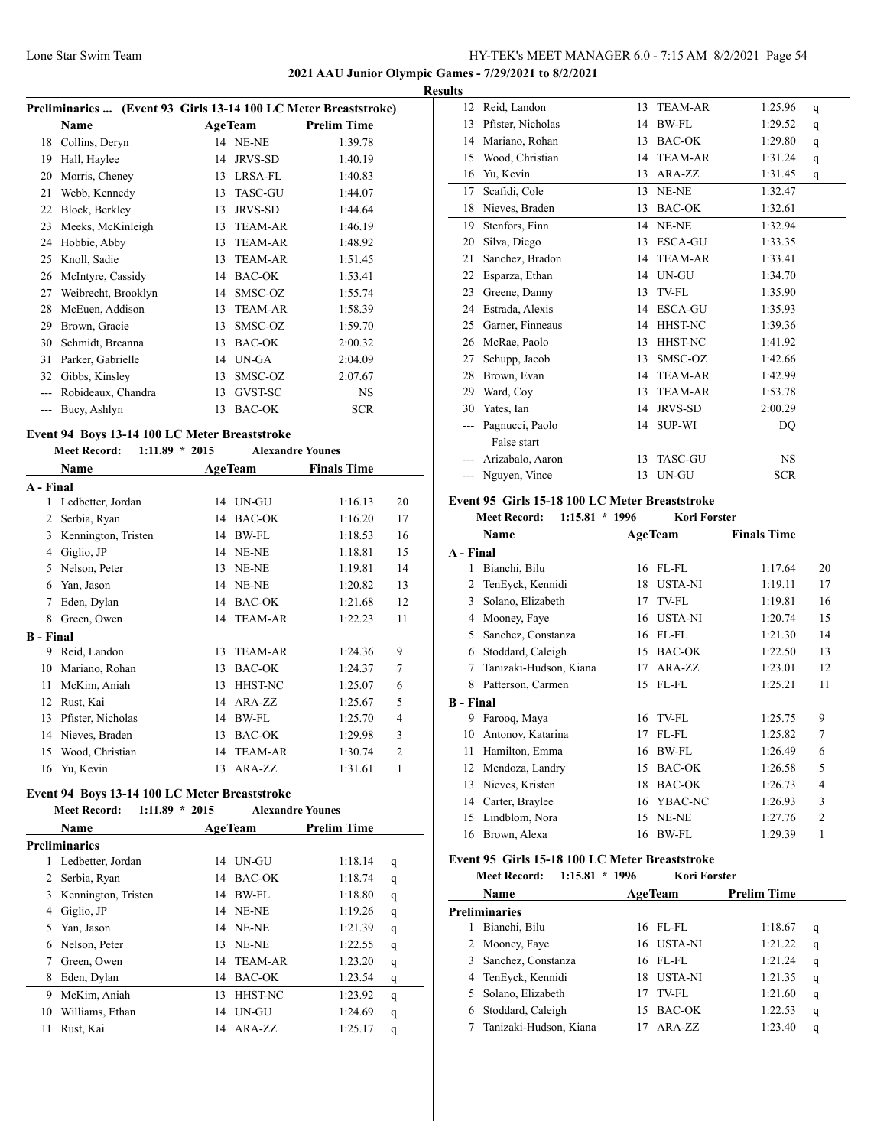**2021 AAU Junior Olympic Games - 7/29/2021 to 8/2/2021**

**Results**

| Preliminaries  (Event 93 Girls 13-14 100 LC Meter Breaststroke) |                     |    |                |                    |  |
|-----------------------------------------------------------------|---------------------|----|----------------|--------------------|--|
|                                                                 | <b>Name</b>         |    | <b>AgeTeam</b> | <b>Prelim Time</b> |  |
| 18                                                              | Collins, Deryn      |    | 14 NE-NE       | 1:39.78            |  |
| 19                                                              | Hall, Haylee        | 14 | JRVS-SD        | 1:40.19            |  |
| 20                                                              | Morris, Cheney      | 13 | LRSA-FL        | 1:40.83            |  |
| 21                                                              | Webb, Kennedy       | 13 | <b>TASC-GU</b> | 1:44.07            |  |
| 22                                                              | Block, Berkley      | 13 | <b>JRVS-SD</b> | 1:44.64            |  |
| 23                                                              | Meeks, McKinleigh   | 13 | <b>TEAM-AR</b> | 1:46.19            |  |
| 24                                                              | Hobbie, Abby        | 13 | <b>TEAM-AR</b> | 1:48.92            |  |
| 25                                                              | Knoll, Sadie        | 13 | <b>TEAM-AR</b> | 1:51.45            |  |
| 26                                                              | McIntyre, Cassidy   | 14 | <b>BAC-OK</b>  | 1:53.41            |  |
| 27                                                              | Weibrecht, Brooklyn | 14 | SMSC-OZ        | 1:55.74            |  |
| 28                                                              | McEuen, Addison     | 13 | <b>TEAM-AR</b> | 1:58.39            |  |
| 29                                                              | Brown, Gracie       | 13 | SMSC-OZ        | 1:59.70            |  |
| 30                                                              | Schmidt, Breanna    | 13 | <b>BAC-OK</b>  | 2:00.32            |  |
| 31                                                              | Parker, Gabrielle   | 14 | UN-GA          | 2:04.09            |  |
| 32                                                              | Gibbs, Kinsley      | 13 | SMSC-OZ        | 2:07.67            |  |
|                                                                 | Robideaux, Chandra  | 13 | GVST-SC        | <b>NS</b>          |  |
|                                                                 | Bucy, Ashlyn        | 13 | <b>BAC-OK</b>  | <b>SCR</b>         |  |

# **Event 94 Boys 13-14 100 LC Meter Breaststroke**

#### **Meet Record: 1:11.89 \* 2015 Alexandre Younes**

|                  |                     |    | THUAGHUIU IUUHUJ |                    |    |
|------------------|---------------------|----|------------------|--------------------|----|
|                  | Name                |    | <b>AgeTeam</b>   | <b>Finals Time</b> |    |
| A - Final        |                     |    |                  |                    |    |
| 1                | Ledbetter, Jordan   |    | 14 UN-GU         | 1:16.13            | 20 |
| 2                | Serbia, Ryan        | 14 | BAC-OK           | 1:16.20            | 17 |
| 3                | Kennington, Tristen | 14 | <b>BW-FL</b>     | 1:18.53            | 16 |
| 4                | Giglio, JP          | 14 | NE-NE            | 1:18.81            | 15 |
| 5                | Nelson, Peter       | 13 | NE-NE            | 1:19.81            | 14 |
| 6                | Yan, Jason          | 14 | NE-NE            | 1:20.82            | 13 |
| 7                | Eden, Dylan         | 14 | <b>BAC-OK</b>    | 1:21.68            | 12 |
| 8                | Green, Owen         |    | 14 TEAM-AR       | 1:22.23            | 11 |
| <b>B</b> - Final |                     |    |                  |                    |    |
| 9                | Reid, Landon        | 13 | <b>TEAM-AR</b>   | 1:24.36            | 9  |
| 10               | Mariano, Rohan      | 13 | <b>BAC-OK</b>    | 1:24.37            | 7  |
| 11               | McKim, Aniah        | 13 | <b>HHST-NC</b>   | 1:25.07            | 6  |
| 12               | Rust, Kai           | 14 | ARA-ZZ           | 1:25.67            | 5  |
| 13               | Pfister, Nicholas   | 14 | <b>BW-FL</b>     | 1:25.70            | 4  |
| 14               | Nieves, Braden      | 13 | BAC-OK           | 1:29.98            | 3  |
| 15               | Wood, Christian     | 14 | <b>TEAM-AR</b>   | 1:30.74            | 2  |
| 16               | Yu, Kevin           |    | 13 ARA-ZZ        | 1:31.61            | 1  |

#### **Event 94 Boys 13-14 100 LC Meter Breaststroke Meet Record: 1:11.89 \* 2015 Alexandre Younes**

|    | <b>Name</b>         |    | <b>AgeTeam</b>  | <b>Prelim Time</b> |   |  |
|----|---------------------|----|-----------------|--------------------|---|--|
|    | Preliminaries       |    |                 |                    |   |  |
| 1  | Ledbetter, Jordan   | 14 | UN-GU           | 1:18.14            | q |  |
| 2  | Serbia, Ryan        | 14 | <b>BAC-OK</b>   | 1:18.74            | q |  |
| 3  | Kennington, Tristen | 14 | BW-FL           | 1:18.80            | q |  |
| 4  | Giglio, JP          | 14 | NE-NE           | 1:19.26            | q |  |
| 5  | Yan, Jason          |    | <b>14 NE-NE</b> | 1:21.39            | q |  |
| 6  | Nelson, Peter       | 13 | NE-NE           | 1:22.55            | q |  |
|    | Green, Owen         | 14 | TEAM-AR         | 1:23.20            | q |  |
| 8  | Eden, Dylan         | 14 | <b>BAC-OK</b>   | 1:23.54            | q |  |
| 9  | McKim, Aniah        | 13 | <b>HHST-NC</b>  | 1:23.92            | q |  |
| 10 | Williams, Ethan     | 14 | UN-GU           | 1:24.69            | q |  |
| 11 | Rust, Kai           | 14 | ARA-ZZ          | 1:25.17            | q |  |
|    |                     |    |                 |                    |   |  |

| 12 | Reid, Landon      | 13 | <b>TEAM-AR</b> | 1:25.96    | q |
|----|-------------------|----|----------------|------------|---|
| 13 | Pfister, Nicholas | 14 | BW-FL          | 1:29.52    | q |
| 14 | Mariano, Rohan    | 13 | <b>BAC-OK</b>  | 1:29.80    | q |
| 15 | Wood, Christian   | 14 | <b>TEAM-AR</b> | 1:31.24    | q |
| 16 | Yu, Kevin         | 13 | ARA-ZZ         | 1:31.45    | q |
| 17 | Scafidi, Cole     | 13 | NE-NE          | 1:32.47    |   |
| 18 | Nieves, Braden    | 13 | <b>BAC-OK</b>  | 1:32.61    |   |
| 19 | Stenfors, Finn    | 14 | NE-NE          | 1:32.94    |   |
| 20 | Silva, Diego      | 13 | <b>ESCA-GU</b> | 1:33.35    |   |
| 21 | Sanchez, Bradon   | 14 | <b>TEAM-AR</b> | 1:33.41    |   |
| 22 | Esparza, Ethan    | 14 | UN-GU          | 1:34.70    |   |
| 23 | Greene, Danny     | 13 | TV-FL          | 1:35.90    |   |
| 24 | Estrada, Alexis   | 14 | <b>ESCA-GU</b> | 1:35.93    |   |
| 25 | Garner, Finneaus  | 14 | HHST-NC        | 1:39.36    |   |
| 26 | McRae, Paolo      | 13 | HHST-NC        | 1:41.92    |   |
| 27 | Schupp, Jacob     | 13 | SMSC-OZ        | 1:42.66    |   |
| 28 | Brown, Evan       | 14 | <b>TEAM-AR</b> | 1:42.99    |   |
| 29 | Ward, Coy         | 13 | <b>TEAM-AR</b> | 1:53.78    |   |
| 30 | Yates, Ian        | 14 | <b>JRVS-SD</b> | 2:00.29    |   |
|    | Pagnucci, Paolo   | 14 | <b>SUP-WI</b>  | DQ         |   |
|    | False start       |    |                |            |   |
|    | Arizabalo, Aaron  | 13 | <b>TASC-GU</b> | <b>NS</b>  |   |
|    | Nguyen, Vince     | 13 | UN-GU          | <b>SCR</b> |   |

#### **Event 95 Girls 15-18 100 LC Meter Breaststroke**

| $1:15.81 * 1996$<br><b>Meet Record:</b><br>Kori Forster |  |
|---------------------------------------------------------|--|
|---------------------------------------------------------|--|

| Name                   |                               |                                                                                                                                                                                                                        |                    |
|------------------------|-------------------------------|------------------------------------------------------------------------------------------------------------------------------------------------------------------------------------------------------------------------|--------------------|
|                        |                               |                                                                                                                                                                                                                        |                    |
| Bianchi, Bilu          | 16                            | 1:17.64                                                                                                                                                                                                                | 20                 |
| TenEyck, Kennidi       | 18                            | 1:19.11                                                                                                                                                                                                                | 17                 |
| Solano, Elizabeth      | 17                            | 1:19.81                                                                                                                                                                                                                | 16                 |
| Mooney, Faye           | 16                            | 1:20.74                                                                                                                                                                                                                | 15                 |
| Sanchez, Constanza     | 16                            | 1:21.30                                                                                                                                                                                                                | 14                 |
| Stoddard, Caleigh      | 15                            | 1:22.50                                                                                                                                                                                                                | 13                 |
| Tanizaki-Hudson, Kiana | 17                            | 1:23.01                                                                                                                                                                                                                | 12                 |
| Patterson, Carmen      | 15                            | 1:25.21                                                                                                                                                                                                                | 11                 |
|                        |                               |                                                                                                                                                                                                                        |                    |
| Farooq, Maya           | 16                            | 1:25.75                                                                                                                                                                                                                | 9                  |
| Antonov, Katarina      | 17                            | 1:25.82                                                                                                                                                                                                                | 7                  |
| Hamilton, Emma         | 16                            | 1:26.49                                                                                                                                                                                                                | 6                  |
| Mendoza, Landry        | 15                            | 1:26.58                                                                                                                                                                                                                | 5                  |
| Nieves, Kristen        | 18                            | 1:26.73                                                                                                                                                                                                                | $\overline{4}$     |
| Carter, Braylee        | 16                            | 1:26.93                                                                                                                                                                                                                | 3                  |
| Lindblom, Nora         | 15                            | 1:27.76                                                                                                                                                                                                                | $\mathfrak{D}$     |
| Brown, Alexa           | 16                            | 1:29.39                                                                                                                                                                                                                | 1                  |
|                        | A - Final<br><b>B</b> - Final | <b>AgeTeam</b><br>$FL$ -FL<br><b>USTA-NI</b><br>TV-FL<br><b>USTA-NI</b><br>$FL$ - $FL$<br><b>BAC-OK</b><br>$ARA-ZZ$<br>FL-FL<br>TV-FL<br>FL-FL<br>BW-FL<br>BAC-OK<br><b>BAC-OK</b><br>YBAC-NC<br>NE-NE<br><b>BW-FL</b> | <b>Finals Time</b> |

# **Event 95 Girls 15-18 100 LC Meter Breaststroke**

|   | <b>Meet Record:</b><br>1:15.81 | $*1996$ | <b>Kori Forster</b> |                    |   |
|---|--------------------------------|---------|---------------------|--------------------|---|
|   | Name                           |         | <b>AgeTeam</b>      | <b>Prelim Time</b> |   |
|   | <b>Preliminaries</b>           |         |                     |                    |   |
|   | Bianchi, Bilu                  | 16      | - FL-FL             | 1:18.67            | q |
|   | 2 Mooney, Faye                 |         | 16 USTA-NI          | 1:21.22            | q |
|   | 3 Sanchez, Constanza           |         | 16 FL-FL            | 1:21.24            | q |
|   | 4 TenEyck, Kennidi             | 18      | <b>USTA-NI</b>      | 1:21.35            | q |
|   | 5 Solano, Elizabeth            | 17      | TV-FL               | 1:21.60            | q |
| 6 | Stoddard, Caleigh              | 15      | BAC-OK              | 1:22.53            | q |
|   | Tanizaki-Hudson, Kiana         |         | $ARA-ZZ$            | 1:23.40            | q |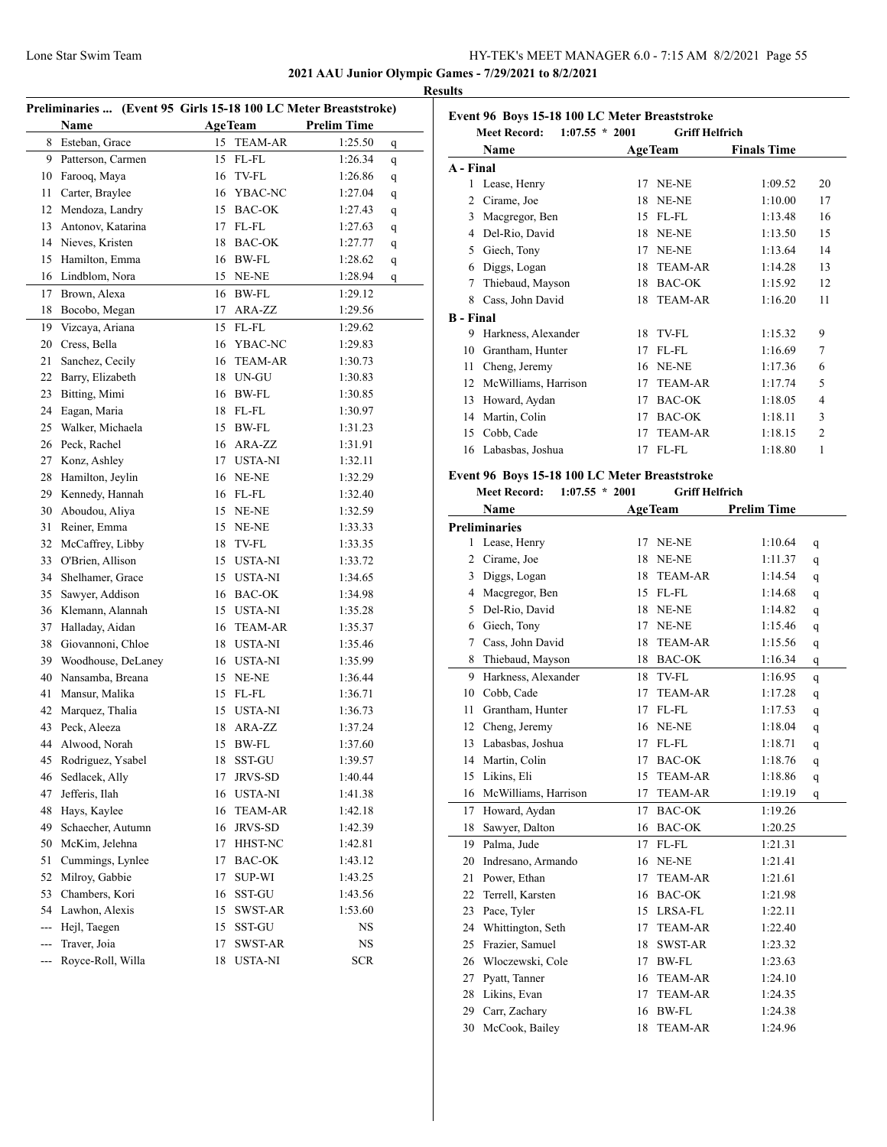**2021 AAU Junior Olympic Games - 7/29/2021 to 8/2/2021**

#### **Results**

|                | Preliminaries  (Event 95 Girls 15-18 100 LC Meter Breaststroke) |    |                |                    |   |
|----------------|-----------------------------------------------------------------|----|----------------|--------------------|---|
|                | Name                                                            |    | <b>AgeTeam</b> | <b>Prelim Time</b> |   |
| 8              | Esteban, Grace                                                  | 15 | <b>TEAM-AR</b> | 1:25.50            | q |
| 9              | Patterson, Carmen                                               | 15 | $FL$ - $FL$    | 1:26.34            | q |
| 10             | Farooq, Maya                                                    | 16 | TV-FL          | 1:26.86            | q |
| 11             | Carter, Braylee                                                 |    | 16 YBAC-NC     | 1:27.04            | q |
| 12             | Mendoza, Landry                                                 |    | 15 BAC-OK      | 1:27.43            | q |
| 13             | Antonov, Katarina                                               | 17 | FL-FL          | 1:27.63            | q |
|                | 14 Nieves, Kristen                                              |    | 18 BAC-OK      | 1:27.77            | q |
| 15             | Hamilton, Emma                                                  |    | 16 BW-FL       | 1:28.62            | q |
| 16             | Lindblom, Nora                                                  |    | 15 NE-NE       | 1:28.94            | q |
| 17             | Brown, Alexa                                                    | 16 | <b>BW-FL</b>   | 1:29.12            |   |
| 18             | Bocobo, Megan                                                   | 17 | ARA-ZZ         | 1:29.56            |   |
| 19             | Vizcaya, Ariana                                                 |    | 15 FL-FL       | 1:29.62            |   |
|                | 20 Cress, Bella                                                 |    | 16 YBAC-NC     | 1:29.83            |   |
| 21             | Sanchez, Cecily                                                 | 16 | TEAM-AR        | 1:30.73            |   |
| 22             | Barry, Elizabeth                                                |    | 18 UN-GU       | 1:30.83            |   |
| 23             | Bitting, Mimi                                                   |    | 16 BW-FL       | 1:30.85            |   |
| 24             | Eagan, Maria                                                    |    | 18 FL-FL       | 1:30.97            |   |
| 25             | Walker, Michaela                                                |    | 15 BW-FL       | 1:31.23            |   |
| 26             | Peck, Rachel                                                    | 16 | ARA-ZZ         | 1:31.91            |   |
| 27             | Konz, Ashley                                                    | 17 | <b>USTA-NI</b> | 1:32.11            |   |
| 28             | Hamilton, Jeylin                                                |    | 16 NE-NE       | 1:32.29            |   |
| 29             | Kennedy, Hannah                                                 |    | 16 FL-FL       | 1:32.40            |   |
| 30             | Aboudou, Aliya                                                  |    | 15 NE-NE       | 1:32.59            |   |
| 31             | Reiner, Emma                                                    |    | 15 NE-NE       | 1:33.33            |   |
| 32             | McCaffrey, Libby                                                |    | 18 TV-FL       | 1:33.35            |   |
| 33             | O'Brien, Allison                                                |    | 15 USTA-NI     | 1:33.72            |   |
| 34             | Shelhamer, Grace                                                |    | 15 USTA-NI     | 1:34.65            |   |
| 35             | Sawyer, Addison                                                 |    | 16 BAC-OK      | 1:34.98            |   |
| 36             | Klemann, Alannah                                                |    | 15 USTA-NI     | 1:35.28            |   |
| 37             | Halladay, Aidan                                                 |    | 16 TEAM-AR     | 1:35.37            |   |
| 38             | Giovannoni, Chloe                                               |    | 18 USTA-NI     | 1:35.46            |   |
| 39             | Woodhouse, DeLaney                                              |    | 16 USTA-NI     | 1:35.99            |   |
| 40             | Nansamba, Breana                                                |    | 15 NE-NE       | 1:36.44            |   |
| 41             | Mansur, Malika                                                  |    | 15 FL-FL       | 1:36.71            |   |
| 42             | Marquez, Thalia                                                 |    | 15 USTA-NI     | 1:36.73            |   |
| 43             | Peck, Aleeza                                                    |    | 18 ARA-ZZ      | 1:37.24            |   |
| 44             | Alwood, Norah                                                   |    | 15 BW-FL       | 1:37.60            |   |
| 45             | Rodriguez, Ysabel                                               | 18 | SST-GU         | 1:39.57            |   |
| 46             | Sedlacek, Ally                                                  | 17 | JRVS-SD        | 1:40.44            |   |
| 47             | Jefferis, Ilah                                                  | 16 | <b>USTA-NI</b> | 1:41.38            |   |
| 48             | Hays, Kaylee                                                    | 16 | TEAM-AR        | 1:42.18            |   |
| 49             | Schaecher, Autumn                                               | 16 | <b>JRVS-SD</b> | 1:42.39            |   |
| 50             | McKim, Jelehna                                                  | 17 | HHST-NC        | 1:42.81            |   |
| 51             | Cummings, Lynlee                                                | 17 | BAC-OK         | 1:43.12            |   |
| 52             | Milroy, Gabbie                                                  | 17 | SUP-WI         | 1:43.25            |   |
| 53             | Chambers, Kori                                                  | 16 | SST-GU         | 1:43.56            |   |
| 54             | Lawhon, Alexis                                                  | 15 | SWST-AR        | 1:53.60            |   |
| $\overline{a}$ | Hejl, Taegen                                                    | 15 | SST-GU         | NS                 |   |
| $\frac{1}{2}$  | Traver, Joia                                                    | 17 | SWST-AR        | NS                 |   |
| $---$          | Royce-Roll, Willa                                               | 18 | USTA-NI        | <b>SCR</b>         |   |
|                |                                                                 |    |                |                    |   |

|           | Event 96 Boys 15-18 100 LC Meter Breaststroke<br><b>Meet Record:</b><br>$1:07.55 * 2001$ |    | <b>Griff Helfrich</b> |                    |                |
|-----------|------------------------------------------------------------------------------------------|----|-----------------------|--------------------|----------------|
|           | Name                                                                                     |    | <b>AgeTeam</b>        | <b>Finals Time</b> |                |
| A - Final |                                                                                          |    |                       |                    |                |
| 1         | Lease, Henry                                                                             | 17 | NE-NE                 | 1:09.52            | 20             |
| 2         | Cirame, Joe                                                                              | 18 | NE-NE                 | 1:10.00            | 17             |
| 3         | Macgregor, Ben                                                                           | 15 | FL-FL                 | 1:13.48            | 16             |
| 4         | Del-Rio, David                                                                           | 18 | NE-NE                 | 1:13.50            | 15             |
| 5         | Giech, Tony                                                                              | 17 | NE-NE                 | 1:13.64            | 14             |
| 6         | Diggs, Logan                                                                             | 18 | <b>TEAM-AR</b>        | 1:14.28            | 13             |
| 7         | Thiebaud, Mayson                                                                         | 18 | <b>BAC-OK</b>         | 1:15.92            | 12             |
| 8         | Cass, John David                                                                         | 18 | <b>TEAM-AR</b>        | 1:16.20            | 11             |
| B - Final |                                                                                          |    |                       |                    |                |
| 9         | Harkness, Alexander                                                                      | 18 | TV-FL                 | 1:15.32            | 9              |
| 10        | Grantham, Hunter                                                                         | 17 | $FL$ - $FL$           | 1:16.69            | 7              |
| 11        | Cheng, Jeremy                                                                            | 16 | NE-NE                 | 1:17.36            | 6              |
| 12        | McWilliams, Harrison                                                                     | 17 | <b>TEAM-AR</b>        | 1:17.74            | 5              |
| 13        | Howard, Aydan                                                                            | 17 | <b>BAC-OK</b>         | 1:18.05            | 4              |
| 14        | Martin, Colin                                                                            | 17 | <b>BAC-OK</b>         | 1:18.11            | 3              |
| 15        | Cobb, Cade                                                                               | 17 | <b>TEAM-AR</b>        | 1:18.15            | $\overline{2}$ |
| 16        | Labasbas, Joshua                                                                         | 17 | FL-FL                 | 1:18.80            | 1              |
|           |                                                                                          |    |                       |                    |                |

# **Event 96 Boys 15-18 100 LC Meter Breaststroke**

| <b>Meet Record:</b> | $1:07.55 * 2001$ |  | <b>Griff Helfrich</b> |
|---------------------|------------------|--|-----------------------|
|---------------------|------------------|--|-----------------------|

|                | Name                 |    | <b>AgeTeam</b> | <b>Prelim Time</b> |             |
|----------------|----------------------|----|----------------|--------------------|-------------|
|                | <b>Preliminaries</b> |    |                |                    |             |
| 1              | Lease, Henry         | 17 | NE-NE          | 1:10.64            | $\mathbf q$ |
| $\overline{c}$ | Cirame, Joe          | 18 | NE-NE          | 1:11.37            | q           |
| 3              | Diggs, Logan         | 18 | <b>TEAM-AR</b> | 1:14.54            | q           |
| $\overline{4}$ | Macgregor, Ben       | 15 | FL-FL          | 1:14.68            | q           |
| 5              | Del-Rio, David       | 18 | NE-NE          | 1:14.82            | q           |
| 6              | Giech, Tony          | 17 | NE-NE          | 1:15.46            | q           |
| 7              | Cass, John David     | 18 | <b>TEAM-AR</b> | 1:15.56            | q           |
| 8              | Thiebaud, Mayson     | 18 | <b>BAC-OK</b>  | 1:16.34            | q           |
| 9              | Harkness, Alexander  | 18 | TV-FL          | 1:16.95            | q           |
| 10             | Cobb, Cade           | 17 | <b>TEAM-AR</b> | 1:17.28            | q           |
| 11             | Grantham, Hunter     | 17 | FL-FL          | 1:17.53            | q           |
| 12             | Cheng, Jeremy        | 16 | NE-NE          | 1:18.04            | q           |
| 13             | Labasbas, Joshua     | 17 | FL-FL          | 1:18.71            | q           |
| 14             | Martin, Colin        | 17 | <b>BAC-OK</b>  | 1:18.76            | q           |
| 15             | Likins, Eli          | 15 | <b>TEAM-AR</b> | 1:18.86            | q           |
| 16             | McWilliams, Harrison | 17 | <b>TEAM-AR</b> | 1:19.19            | q           |
| 17             | Howard, Aydan        | 17 | <b>BAC-OK</b>  | 1:19.26            |             |
| 18             | Sawyer, Dalton       | 16 | <b>BAC-OK</b>  | 1:20.25            |             |
| 19             | Palma, Jude          | 17 | FL-FL          | 1:21.31            |             |
| 20             | Indresano, Armando   | 16 | NE-NE          | 1:21.41            |             |
| 21             | Power, Ethan         | 17 | <b>TEAM-AR</b> | 1:21.61            |             |
| 22             | Terrell, Karsten     | 16 | <b>BAC-OK</b>  | 1:21.98            |             |
| 23             | Pace, Tyler          | 15 | LRSA-FL        | 1:22.11            |             |
| 24             | Whittington, Seth    | 17 | <b>TEAM-AR</b> | 1:22.40            |             |
| 25             | Frazier, Samuel      | 18 | <b>SWST-AR</b> | 1:23.32            |             |
| 26             | Włoczewski, Cole     | 17 | <b>BW-FL</b>   | 1:23.63            |             |
| 27             | Pyatt, Tanner        | 16 | <b>TEAM-AR</b> | 1:24.10            |             |
| 28             | Likins, Evan         | 17 | <b>TEAM-AR</b> | 1:24.35            |             |
| 29             | Carr, Zachary        | 16 | <b>BW-FL</b>   | 1:24.38            |             |
| 30             | McCook, Bailey       | 18 | <b>TEAM-AR</b> | 1:24.96            |             |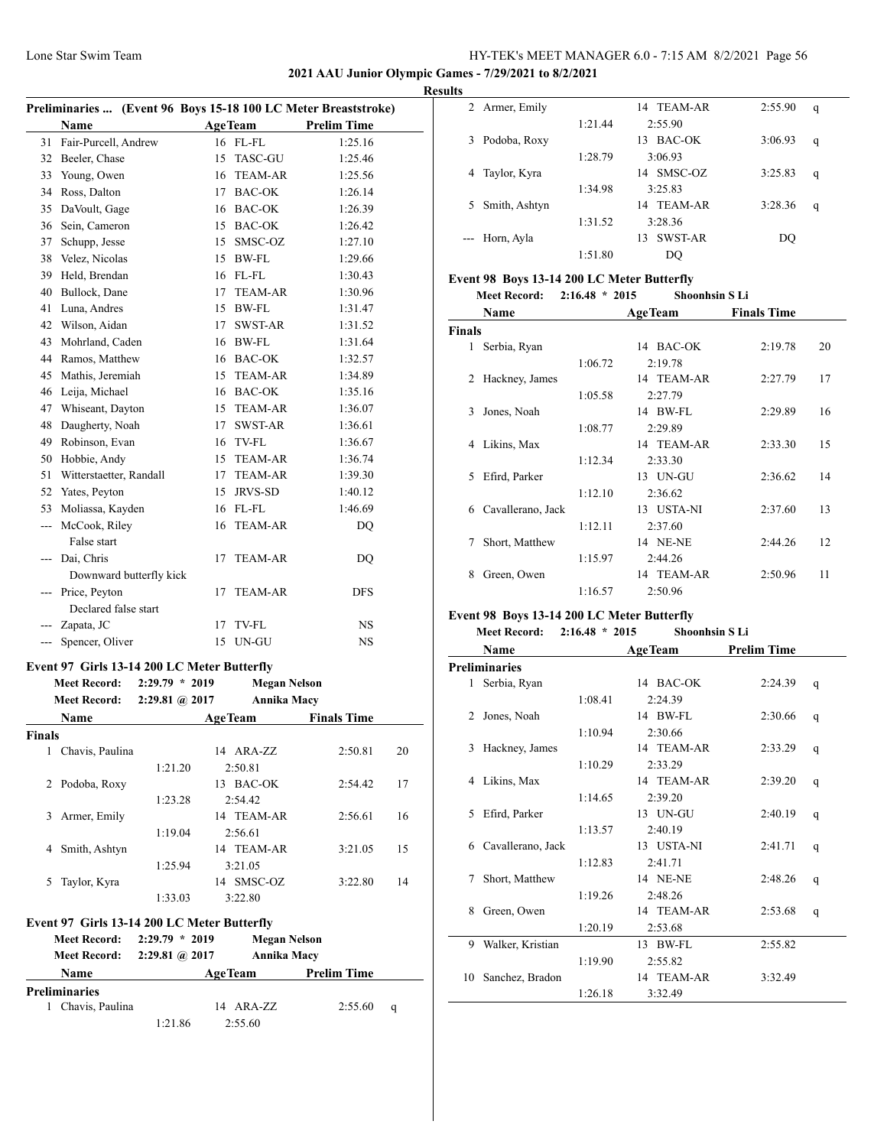#### **2021 AAU Junior Olympic Games - 7/29/2021 to 8/2/2021**

J.

|     | Preliminaries  (Event 96 Boys 15-18 100 LC Meter Breaststroke) |    |                |                    |  |
|-----|----------------------------------------------------------------|----|----------------|--------------------|--|
|     | Name                                                           |    | <b>AgeTeam</b> | <b>Prelim Time</b> |  |
| 31  | Fair-Purcell, Andrew                                           |    | 16 FL-FL       | 1:25.16            |  |
| 32  | Beeler, Chase                                                  | 15 | <b>TASC-GU</b> | 1:25.46            |  |
| 33  | Young, Owen                                                    |    | 16 TEAM-AR     | 1:25.56            |  |
| 34  | Ross, Dalton                                                   | 17 | <b>BAC-OK</b>  | 1:26.14            |  |
| 35  | DaVoult, Gage                                                  |    | 16 BAC-OK      | 1:26.39            |  |
| 36  | Sein, Cameron                                                  |    | 15 BAC-OK      | 1:26.42            |  |
| 37  | Schupp, Jesse                                                  | 15 | SMSC-OZ        | 1:27.10            |  |
| 38  | Velez, Nicolas                                                 |    | 15 BW-FL       | 1:29.66            |  |
| 39  | Held, Brendan                                                  |    | 16 FL-FL       | 1:30.43            |  |
| 40  | Bullock, Dane                                                  |    | 17 TEAM-AR     | 1:30.96            |  |
| 41  | Luna, Andres                                                   |    | 15 BW-FL       | 1:31.47            |  |
| 42  | Wilson, Aidan                                                  | 17 | <b>SWST-AR</b> | 1:31.52            |  |
| 43  | Mohrland, Caden                                                |    | 16 BW-FL       | 1:31.64            |  |
| 44  | Ramos, Matthew                                                 |    | 16 BAC-OK      | 1:32.57            |  |
| 45  | Mathis, Jeremiah                                               |    | 15 TEAM-AR     | 1:34.89            |  |
| 46  | Leija, Michael                                                 |    | 16 BAC-OK      | 1:35.16            |  |
| 47  | Whiseant, Dayton                                               |    | 15 TEAM-AR     | 1:36.07            |  |
| 48  | Daugherty, Noah                                                | 17 | SWST-AR        | 1:36.61            |  |
| 49  | Robinson, Evan                                                 |    | 16 TV-FL       | 1:36.67            |  |
| 50  | Hobbie, Andy                                                   | 15 | <b>TEAM-AR</b> | 1:36.74            |  |
| 51  | Witterstaetter, Randall                                        |    | 17 TEAM-AR     | 1:39.30            |  |
| 52  | Yates, Peyton                                                  |    | 15 JRVS-SD     | 1:40.12            |  |
| 53  | Moliassa, Kayden                                               |    | 16 FL-FL       | 1:46.69            |  |
| --- | McCook, Riley<br>False start                                   | 16 | <b>TEAM-AR</b> | DQ                 |  |
| --- | Dai, Chris                                                     | 17 | <b>TEAM-AR</b> | DQ                 |  |
|     | Downward butterfly kick                                        |    |                |                    |  |
| --- | Price, Peyton                                                  | 17 | <b>TEAM-AR</b> | <b>DFS</b>         |  |
|     | Declared false start                                           |    |                |                    |  |
|     | Zapata, JC                                                     | 17 | TV-FL          | NS.                |  |
| --- | Spencer, Oliver                                                | 15 | UN-GU          | <b>NS</b>          |  |

#### **Event 97 Girls 13-14 200 LC Meter Butterfly**

| <b>Meet Record:</b><br><b>Meet Record:</b>  | 2:29.79<br>$*2019$<br>$2:29.81$ (a) $2017$ | <b>Megan Nelson</b><br>Annika Macy |                    |    |
|---------------------------------------------|--------------------------------------------|------------------------------------|--------------------|----|
| <b>Name</b>                                 |                                            | <b>AgeTeam</b>                     | <b>Finals Time</b> |    |
| <b>Finals</b>                               |                                            |                                    |                    |    |
| Chavis, Paulina<br>1                        |                                            | 14 ARA-ZZ                          | 2:50.81            | 20 |
|                                             | 1:21.20                                    | 2:50.81                            |                    |    |
| Podoba, Roxy<br>2                           |                                            | 13 BAC-OK                          | 2:54.42            | 17 |
|                                             | 1:23.28                                    | 2:54.42                            |                    |    |
| Armer, Emily<br>3                           |                                            | 14 TEAM-AR                         | 2:56.61            | 16 |
|                                             | 1:19.04                                    | 2:56.61                            |                    |    |
| Smith, Ashtyn<br>4                          |                                            | 14 TEAM-AR                         | 3:21.05            | 15 |
|                                             | 1:25.94                                    | 3:21.05                            |                    |    |
| Taylor, Kyra<br>5                           |                                            | 14 SMSC-OZ                         | 3:22.80            | 14 |
|                                             | 1:33.03                                    | 3:22.80                            |                    |    |
| Event 97 Girls 13-14 200 LC Meter Butterfly |                                            |                                    |                    |    |

| <b>Meet Record:</b>  | $2:29.79 * 2019$            |                | Megan Nelson       |  |
|----------------------|-----------------------------|----------------|--------------------|--|
|                      | Meet Record: 2:29.81 @ 2017 |                | Annika Macy        |  |
| <b>Name</b>          |                             | <b>AgeTeam</b> | <b>Prelim Time</b> |  |
| <b>Preliminaries</b> |                             |                |                    |  |
| 1 Chavis, Paulina    |                             | 14 ARA-ZZ      | $2:55.60$ q        |  |
|                      | 1:21.86                     | 2:55.60        |                    |  |

| <b>Results</b> |                |         |               |         |   |
|----------------|----------------|---------|---------------|---------|---|
|                | 2 Armer, Emily |         | 14 TEAM-AR    | 2:55.90 | q |
|                |                | 1:21.44 | 2:55.90       |         |   |
| 3              | Podoba, Roxy   |         | BAC-OK<br>13  | 3:06.93 | q |
|                |                | 1:28.79 | 3:06.93       |         |   |
| 4              | Taylor, Kyra   |         | 14 SMSC-OZ    | 3:25.83 | q |
|                |                | 1:34.98 | 3:25.83       |         |   |
| 5              | Smith, Ashtyn  |         | TEAM-AR<br>14 | 3:28.36 | q |
|                |                | 1:31.52 | 3:28.36       |         |   |
|                | --- Horn, Ayla |         | SWST-AR<br>13 | DO      |   |
|                |                | 1:51.80 | DO            |         |   |

## **Event 98 Boys 13-14 200 LC Meter Butterfly**

| <b>Meet Record:</b> | $2:16.48 * 2015$ | <b>Shoonhsin SLi</b> |
|---------------------|------------------|----------------------|
|---------------------|------------------|----------------------|

|               | Name              |         | <b>AgeTeam</b>  | <b>Finals Time</b> |    |
|---------------|-------------------|---------|-----------------|--------------------|----|
| <b>Finals</b> |                   |         |                 |                    |    |
| 1             | Serbia, Ryan      |         | 14 BAC-OK       | 2:19.78            | 20 |
|               |                   | 1:06.72 | 2:19.78         |                    |    |
| 2             | Hackney, James    |         | 14 TEAM-AR      | 2:27.79            | 17 |
|               |                   | 1:05.58 | 2:27.79         |                    |    |
| 3             | Jones, Noah       |         | 14 BW-FL        | 2:29.89            | 16 |
|               |                   | 1:08.77 | 2:29.89         |                    |    |
| 4             | Likins, Max       |         | 14 TEAM-AR      | 2:33.30            | 15 |
|               |                   | 1:12.34 | 2:33.30         |                    |    |
| 5.            | Efird, Parker     |         | 13 UN-GU        | 2:36.62            | 14 |
|               |                   | 1:12.10 | 2:36.62         |                    |    |
| 6             | Cavallerano, Jack |         | 13 USTA-NI      | 2:37.60            | 13 |
|               |                   | 1:12.11 | 2:37.60         |                    |    |
| 7             | Short, Matthew    |         | <b>14 NE-NE</b> | 2:44.26            | 12 |
|               |                   | 1:15.97 | 2:44.26         |                    |    |
| 8             | Green, Owen       |         | 14 TEAM-AR      | 2:50.96            | 11 |
|               |                   | 1:16.57 | 2:50.96         |                    |    |

## **Event 98 Boys 13-14 200 LC Meter Butterfly**

#### **Meet Record: 2:16.48 \* 2015 Shoonhsin S Li**

|    | Name              | <b>AgeTeam</b> |            | <b>Prelim Time</b> |   |
|----|-------------------|----------------|------------|--------------------|---|
|    | Preliminaries     |                |            |                    |   |
| 1  | Serbia, Ryan      |                | 14 BAC-OK  | 2:24.39            | q |
|    |                   | 1:08.41        | 2:24.39    |                    |   |
| 2  | Jones, Noah       |                | 14 BW-FL   | 2:30.66            | q |
|    |                   | 1:10.94        | 2:30.66    |                    |   |
| 3  | Hackney, James    |                | 14 TEAM-AR | 2:33.29            | q |
|    |                   | 1:10.29        | 2:33.29    |                    |   |
| 4  | Likins, Max       |                | 14 TEAM-AR | 2:39.20            | q |
|    |                   | 1:14.65        | 2:39.20    |                    |   |
| 5  | Efird, Parker     |                | 13 UN-GU   | 2:40.19            | q |
|    |                   | 1:13.57        | 2:40.19    |                    |   |
| 6  | Cavallerano, Jack |                | 13 USTA-NI | 2:41.71            | q |
|    |                   | 1:12.83        | 2:41.71    |                    |   |
| 7  | Short, Matthew    |                | 14 NE-NE   | 2:48.26            | q |
|    |                   | 1:19.26        | 2:48.26    |                    |   |
| 8  | Green, Owen       |                | 14 TEAM-AR | 2:53.68            | q |
|    |                   | 1:20.19        | 2:53.68    |                    |   |
| 9  | Walker, Kristian  |                | 13 BW-FL   | 2:55.82            |   |
|    |                   | 1:19.90        | 2:55.82    |                    |   |
| 10 | Sanchez, Bradon   |                | 14 TEAM-AR | 3:32.49            |   |
|    |                   | 1:26.18        | 3:32.49    |                    |   |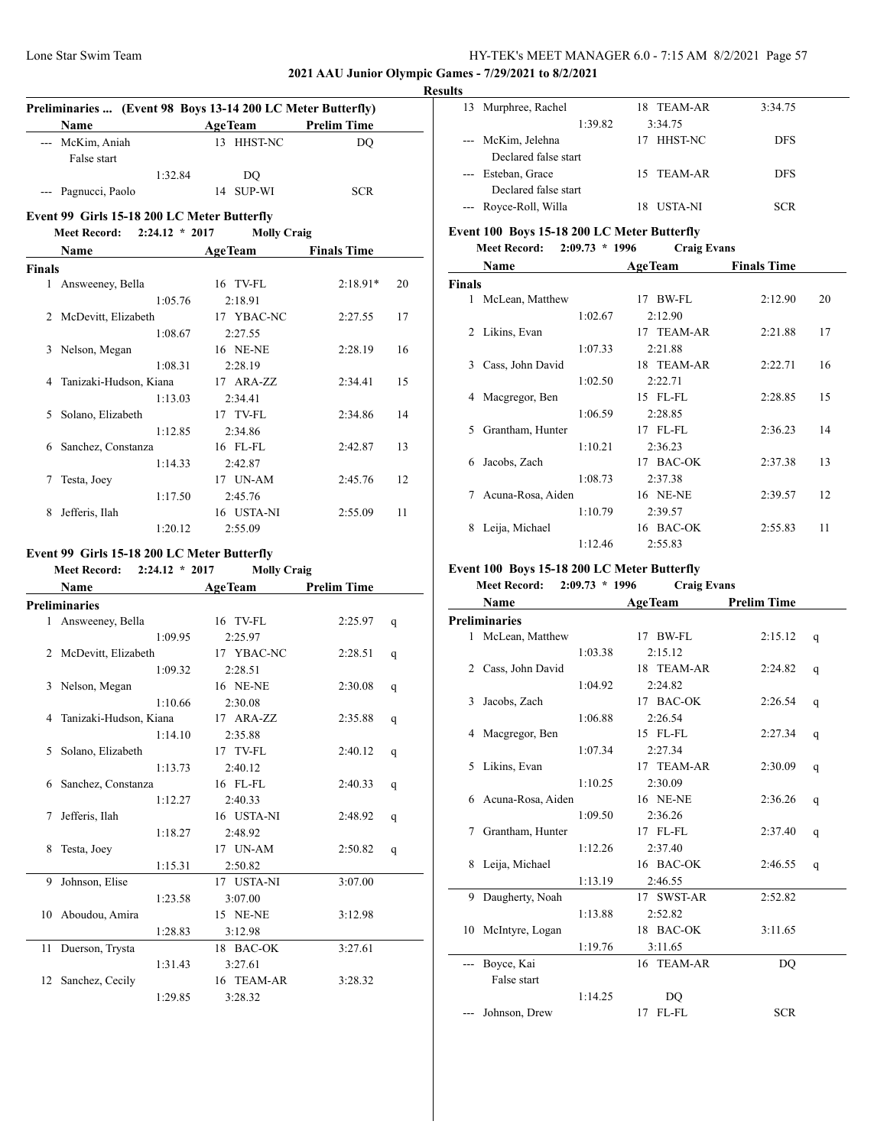#### **2021 AAU Junior Olympic Games - 7/29/2021 to 8/2/2021**

#### **Results**

|               |                                             |                  | Preliminaries  (Event 98 Boys 13-14 200 LC Meter Butterfly) |                          |    |
|---------------|---------------------------------------------|------------------|-------------------------------------------------------------|--------------------------|----|
|               | Name                                        |                  | <b>AgeTeam</b><br>13 HHST-NC                                | <b>Prelim Time</b><br>DO |    |
|               | --- McKim, Aniah                            |                  |                                                             |                          |    |
|               | False start                                 | 1:32.84          |                                                             |                          |    |
|               | --- Pagnucci, Paolo                         |                  | DQ<br>14 SUP-WI                                             | <b>SCR</b>               |    |
|               |                                             |                  |                                                             |                          |    |
|               | Event 99 Girls 15-18 200 LC Meter Butterfly |                  |                                                             |                          |    |
|               | <b>Meet Record:</b>                         | $2:24.12 * 2017$ | <b>Molly Craig</b>                                          |                          |    |
|               | <b>Name</b>                                 |                  | <b>AgeTeam</b>                                              | <b>Finals Time</b>       |    |
| <b>Finals</b> |                                             |                  |                                                             |                          |    |
| 1             | Answeeney, Bella                            |                  | 16 TV-FL                                                    | $2:18.91*$               | 20 |
|               |                                             | 1:05.76          | 2:18.91                                                     |                          |    |
|               | 2 McDevitt, Elizabeth                       |                  | 17 YBAC-NC                                                  | 2:27.55                  | 17 |
|               |                                             | 1:08.67          | 2:27.55                                                     |                          |    |
| 3             | Nelson, Megan                               |                  | 16 NE-NE                                                    | 2:28.19                  | 16 |
|               |                                             | 1:08.31          | 2:28.19                                                     |                          |    |
| 4             | Tanizaki-Hudson, Kiana                      |                  | 17 ARA-ZZ                                                   | 2:34.41                  | 15 |
|               |                                             | 1:13.03          | 2:34.41                                                     |                          |    |
| 5             | Solano, Elizabeth                           |                  | 17 TV-FL                                                    | 2:34.86                  | 14 |
|               |                                             | 1:12.85          | 2:34.86                                                     |                          |    |
| 6             | Sanchez, Constanza                          |                  | 16 FL-FL                                                    | 2:42.87                  | 13 |
|               |                                             | 1:14.33          | 2:42.87                                                     |                          |    |
| 7             | Testa, Joey                                 |                  | 17 UN-AM                                                    | 2:45.76                  | 12 |
|               |                                             | 1:17.50          | 2:45.76                                                     |                          |    |
| 8             | Jefferis, Ilah                              |                  | 16 USTA-NI                                                  | 2:55.09                  | 11 |
|               |                                             | 1:20.12          | 2:55.09                                                     |                          |    |
|               | Event 99 Girls 15-18 200 LC Meter Butterfly |                  |                                                             |                          |    |
|               | Meet Record: 2:24.12 * 2017                 |                  | <b>Molly Craig</b>                                          |                          |    |
|               | <b>Name</b>                                 |                  | <b>AgeTeam</b>                                              | <b>Prelim Time</b>       |    |
|               | <b>Preliminaries</b>                        |                  |                                                             |                          |    |
|               | 1 Answeeney, Bella                          |                  | 16 TV-FL                                                    | 2:25.97                  | q  |
|               |                                             | 1:09.95          | 2:25.97                                                     |                          |    |
|               | 2 McDevitt, Elizabeth                       |                  | 17 YBAC-NC                                                  | 2:28.51                  | q  |
|               |                                             | 1:09.32          | 2:28.51                                                     |                          |    |
| 3             | Nelson, Megan                               |                  | 16 NE-NE                                                    | 2:30.08                  | q  |
|               |                                             | 1:10.66          | 2:30.08                                                     |                          |    |
| 4             | Tanizaki-Hudson, Kiana                      |                  | 17 ARA-ZZ                                                   | 2:35.88                  | q  |
|               |                                             | 1:14.10          | 2:35.88                                                     |                          |    |
| 5             | Solano, Elizabeth                           |                  | 17 TV-FL                                                    | 2:40.12                  | q  |
|               |                                             | 1:13.73          | 2:40.12                                                     |                          |    |
| 6             | Sanchez, Constanza                          |                  | 16 FL-FL                                                    | 2:40.33                  | q  |
|               |                                             | 1:12.27          | 2:40.33                                                     |                          |    |
| 7             | Jefferis, Ilah                              |                  | 16 USTA-NI                                                  | 2:48.92                  |    |
|               |                                             | 1:18.27          | 2:48.92                                                     |                          | q  |
| 8             | Testa, Joey                                 |                  | 17 UN-AM                                                    | 2:50.82                  |    |
|               |                                             | 1:15.31          | 2:50.82                                                     |                          | q  |
| 9             | Johnson, Elise                              |                  | 17 USTA-NI                                                  | 3:07.00                  |    |
|               |                                             |                  |                                                             |                          |    |
|               |                                             | 1:23.58          | 3:07.00                                                     |                          |    |
| 10            | Aboudou, Amira                              |                  | 15 NE-NE                                                    | 3:12.98                  |    |
|               |                                             | 1:28.83          | 3:12.98                                                     |                          |    |
| 11            | Duerson, Trysta                             |                  | 18 BAC-OK                                                   | 3:27.61                  |    |
|               |                                             | 1:31.43          | 3:27.61                                                     |                          |    |
| 12            | Sanchez, Cecily                             |                  | 16 TEAM-AR                                                  | 3:28.32                  |    |
|               |                                             | 1:29.85          | 3:28.32                                                     |                          |    |

| . .                 |                       |                |            |  |
|---------------------|-----------------------|----------------|------------|--|
| 13                  | Murphree, Rachel      | 18 TEAM-AR     | 3:34.75    |  |
|                     | 1:39.82               | 3:34.75        |            |  |
|                     | --- McKim, Jelehna    | 17 HHST-NC     | <b>DFS</b> |  |
|                     | Declared false start  |                |            |  |
| $\qquad \qquad - -$ | Esteban, Grace        | 15 TEAM-AR     | <b>DFS</b> |  |
|                     | Declared false start  |                |            |  |
|                     | --- Royce-Roll, Willa | <b>USTA-NI</b> | SCR        |  |
|                     |                       |                |            |  |

# **Event 100 Boys 15-18 200 LC Meter Butterfly**

**Meet Record: 2:09.73 \* 1996 Craig Evans**

|               | Name              |         | <b>AgeTeam</b> | <b>Finals Time</b> |    |
|---------------|-------------------|---------|----------------|--------------------|----|
| <b>Finals</b> |                   |         |                |                    |    |
| 1             | McLean, Matthew   |         | BW-FL<br>17    | 2:12.90            | 20 |
|               |                   | 1:02.67 | 2:12.90        |                    |    |
| 2             | Likins, Evan      |         | 17 TEAM-AR     | 2:21.88            | 17 |
|               |                   | 1:07.33 | 2:21.88        |                    |    |
| 3             | Cass, John David  |         | 18 TEAM-AR     | 2:22.71            | 16 |
|               |                   | 1:02.50 | 2:22.71        |                    |    |
| 4             | Macgregor, Ben    |         | 15 FL-FL       | 2:28.85            | 15 |
|               |                   | 1:06.59 | 2:28.85        |                    |    |
| 5             | Grantham, Hunter  |         | $17$ FL-FL     | 2:36.23            | 14 |
|               |                   | 1:10.21 | 2:36.23        |                    |    |
| 6             | Jacobs, Zach      |         | 17 BAC-OK      | 2:37.38            | 13 |
|               |                   | 1:08.73 | 2:37.38        |                    |    |
| 7             | Acuna-Rosa, Aiden |         | 16 NE-NE       | 2:39.57            | 12 |
|               |                   | 1:10.79 | 2:39.57        |                    |    |
| 8             | Leija, Michael    |         | 16 BAC-OK      | 2:55.83            | 11 |
|               |                   | 1:12.46 | 2:55.83        |                    |    |

#### **Event 100 Boys 15-18 200 LC Meter Butterfly**

# **Meet Record: 2:09.73 \* 1996 Craig Evans**

| Name                 |         | <b>AgeTeam</b>    | <b>Prelim Time</b> |   |
|----------------------|---------|-------------------|--------------------|---|
| <b>Preliminaries</b> |         |                   |                    |   |
| 1 McLean, Matthew    |         | 17 BW-FL          | 2:15.12            | q |
|                      | 1:03.38 | 2:15.12           |                    |   |
| Cass, John David     |         | 18 TEAM-AR        | 2:24.82            | q |
|                      | 1:04.92 | 2:24.82           |                    |   |
| Jacobs, Zach         |         | 17 BAC-OK         | 2:26.54            | q |
|                      | 1:06.88 | 2:26.54           |                    |   |
| Macgregor, Ben       |         | 15 FL-FL          | 2:27.34            | q |
|                      | 1:07.34 | 2:27.34           |                    |   |
| Likins, Evan         |         | 17 TEAM-AR        | 2:30.09            | q |
|                      | 1:10.25 | 2:30.09           |                    |   |
| 6 Acuna-Rosa, Aiden  |         | 16 NE-NE          | 2:36.26            | q |
|                      | 1:09.50 | 2:36.26           |                    |   |
| Grantham, Hunter     |         | $17$ FL-FL        | 2:37.40            | q |
|                      | 1:12.26 | 2:37.40           |                    |   |
| Leija, Michael       |         | 16 BAC-OK         | 2:46.55            | q |
|                      | 1:13.19 | 2:46.55           |                    |   |
| Daugherty, Noah      |         | 17 SWST-AR        | 2:52.82            |   |
|                      | 1:13.88 | 2:52.82           |                    |   |
| 10 McIntyre, Logan   |         | 18 BAC-OK         | 3:11.65            |   |
|                      | 1:19.76 | 3:11.65           |                    |   |
| Boyce, Kai           |         | 16 TEAM-AR        | DO                 |   |
| False start          |         |                   |                    |   |
|                      | 1:14.25 | DO                |                    |   |
| Johnson, Drew        |         | $FL$ - $FL$<br>17 | <b>SCR</b>         |   |
|                      |         |                   |                    |   |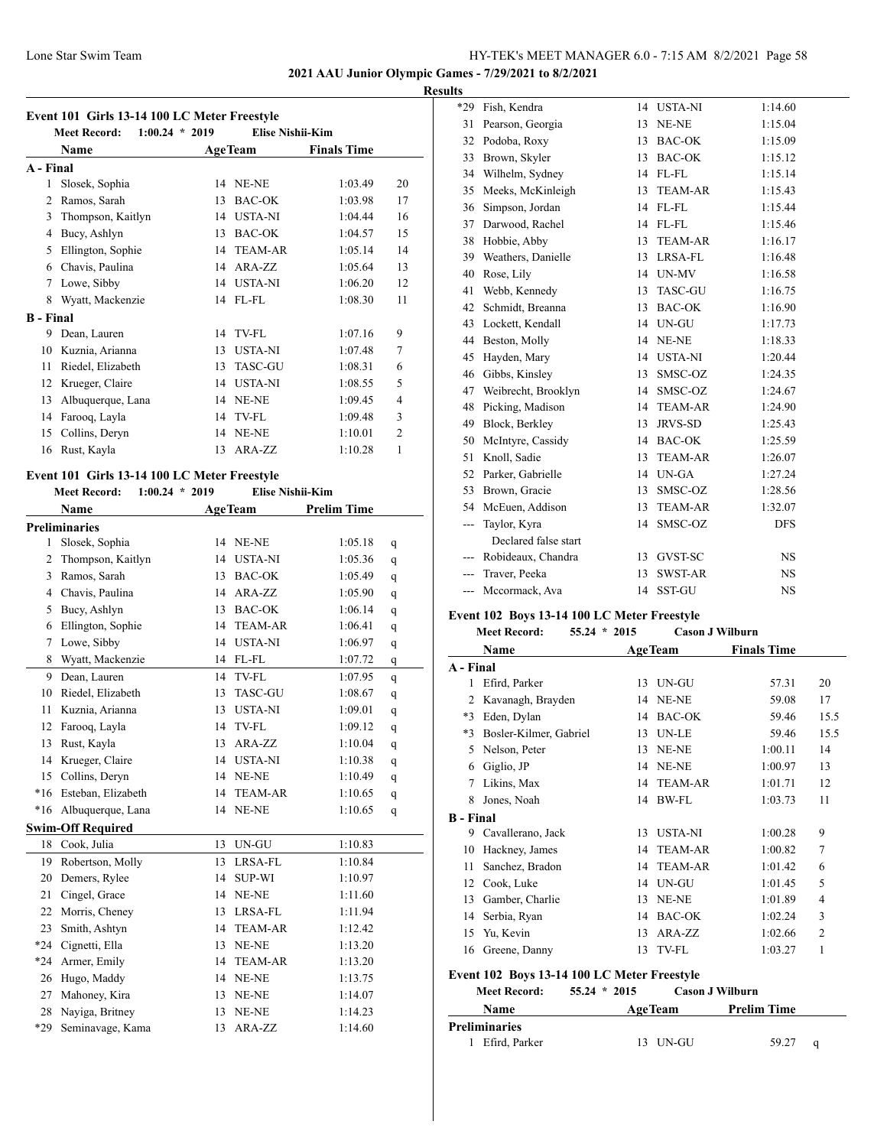**2021 AAU Junior Olympic Games - 7/29/2021 to 8/2/2021 Results**

# **Event 101 Girls 13-14 100 LC Meter Freestyle**

|                  | Event 101 Girls 13-14 100 LC Meter Freestyle<br>$1:00.24 * 2019$<br><b>Meet Record:</b> |    | <b>Elise Nishii-Kim</b> |                    |                |
|------------------|-----------------------------------------------------------------------------------------|----|-------------------------|--------------------|----------------|
|                  | Name                                                                                    |    | <b>AgeTeam</b>          | <b>Finals Time</b> |                |
| A - Final        |                                                                                         |    |                         |                    |                |
| 1                | Slosek, Sophia                                                                          | 14 | NE-NE                   | 1:03.49            | 20             |
| 2                | Ramos, Sarah                                                                            | 13 | <b>BAC-OK</b>           | 1:03.98            | 17             |
| 3                | Thompson, Kaitlyn                                                                       | 14 | <b>USTA-NI</b>          | 1:04.44            | 16             |
| 4                | Bucy, Ashlyn                                                                            | 13 | <b>BAC-OK</b>           | 1:04.57            | 15             |
| 5                | Ellington, Sophie                                                                       | 14 | <b>TEAM-AR</b>          | 1:05.14            | 14             |
| 6                | Chavis, Paulina                                                                         | 14 | ARA-ZZ                  | 1:05.64            | 13             |
| 7                | Lowe, Sibby                                                                             | 14 | <b>USTA-NI</b>          | 1:06.20            | 12             |
| 8                | Wyatt, Mackenzie                                                                        | 14 | FL-FL                   | 1:08.30            | 11             |
| <b>B</b> - Final |                                                                                         |    |                         |                    |                |
| 9                | Dean, Lauren                                                                            | 14 | TV-FL                   | 1:07.16            | 9              |
| 10               | Kuznia, Arianna                                                                         | 13 | <b>USTA-NI</b>          | 1:07.48            | 7              |
| 11               | Riedel, Elizabeth                                                                       | 13 | <b>TASC-GU</b>          | 1:08.31            | 6              |
| 12               | Krueger, Claire                                                                         | 14 | <b>USTA-NI</b>          | 1:08.55            | 5              |
| 13               | Albuquerque, Lana                                                                       | 14 | NE-NE                   | 1:09.45            | 4              |
| 14               | Farooq, Layla                                                                           | 14 | TV-FL                   | 1:09.48            | 3              |
| 15               | Collins, Deryn                                                                          | 14 | NE-NE                   | 1:10.01            | $\overline{2}$ |
| 16               | Rust, Kayla                                                                             | 13 | ARA-ZZ                  | 1:10.28            | 1              |

## **Event 101 Girls 13-14 100 LC Meter Freestyle**

|                | $1.100$ He $M$ $M$ $M$ $M$<br>$1:00.24 * 2019$<br><b>Meet Record:</b> |    | <b>Elise Nishii-Kim</b> |                    |   |
|----------------|-----------------------------------------------------------------------|----|-------------------------|--------------------|---|
|                | Name                                                                  |    | <b>AgeTeam</b>          | <b>Prelim Time</b> |   |
|                | <b>Preliminaries</b>                                                  |    |                         |                    |   |
| 1              | Slosek, Sophia                                                        | 14 | NE-NE                   | 1:05.18            | q |
| 2              | Thompson, Kaitlyn                                                     | 14 | <b>USTA-NI</b>          | 1:05.36            | q |
| 3              | Ramos, Sarah                                                          | 13 | <b>BAC-OK</b>           | 1:05.49            | q |
| $\overline{4}$ | Chavis, Paulina                                                       | 14 | ARA-ZZ                  | 1:05.90            | q |
| 5              | Bucy, Ashlyn                                                          | 13 | <b>BAC-OK</b>           | 1:06.14            | q |
| 6              | Ellington, Sophie                                                     |    | 14 TEAM-AR              | 1:06.41            | q |
| $\tau$         | Lowe, Sibby                                                           | 14 | <b>USTA-NI</b>          | 1:06.97            | q |
| 8              | Wyatt, Mackenzie                                                      | 14 | FL-FL                   | 1:07.72            | q |
| 9              | Dean, Lauren                                                          | 14 | TV-FL                   | 1:07.95            | q |
| 10             | Riedel, Elizabeth                                                     | 13 | <b>TASC-GU</b>          | 1:08.67            | q |
| 11             | Kuznia, Arianna                                                       | 13 | <b>USTA-NI</b>          | 1:09.01            | q |
| 12             | Farooq, Layla                                                         | 14 | TV-FL                   | 1:09.12            | q |
| 13             | Rust, Kayla                                                           | 13 | ARA-ZZ                  | 1:10.04            | q |
| 14             | Krueger, Claire                                                       |    | 14 USTA-NI              | 1:10.38            | q |
| 15             | Collins, Deryn                                                        |    | 14 NE-NE                | 1:10.49            | q |
| $*16$          | Esteban, Elizabeth                                                    | 14 | <b>TEAM-AR</b>          | 1:10.65            | q |
| $*16$          | Albuquerque, Lana                                                     | 14 | NE-NE                   | 1:10.65            | q |
|                | <b>Swim-Off Required</b>                                              |    |                         |                    |   |
| 18             | Cook, Julia                                                           | 13 | UN-GU                   | 1:10.83            |   |
| 19             | Robertson, Molly                                                      | 13 | LRSA-FL                 | 1:10.84            |   |
| 20             | Demers, Rylee                                                         | 14 | <b>SUP-WI</b>           | 1:10.97            |   |
| 21             | Cingel, Grace                                                         | 14 | NE-NE                   | 1:11.60            |   |
| 22             | Morris, Cheney                                                        | 13 | LRSA-FL                 | 1:11.94            |   |
| 23             | Smith, Ashtyn                                                         | 14 | <b>TEAM-AR</b>          | 1:12.42            |   |
| $*24$          | Cignetti, Ella                                                        | 13 | NE-NE                   | 1:13.20            |   |
| $*24$          | Armer, Emily                                                          | 14 | <b>TEAM-AR</b>          | 1:13.20            |   |
| 26             | Hugo, Maddy                                                           | 14 | NE-NE                   | 1:13.75            |   |
| 27             | Mahoney, Kira                                                         | 13 | NE-NE                   | 1:14.07            |   |
| 28             | Nayiga, Britney                                                       | 13 | $\it NE\text{-}NE$      | 1:14.23            |   |
| *29            | Seminavage, Kama                                                      | 13 | ARA-ZZ                  | 1:14.60            |   |

| *29 | Fish, Kendra         | 14 | <b>USTA-NI</b> | 1:14.60    |
|-----|----------------------|----|----------------|------------|
| 31  | Pearson, Georgia     | 13 | NE-NE          | 1:15.04    |
| 32  | Podoba, Roxy         | 13 | BAC-OK         | 1:15.09    |
| 33  | Brown, Skyler        | 13 | <b>BAC-OK</b>  | 1:15.12    |
| 34  | Wilhelm, Sydney      | 14 | FL-FL          | 1:15.14    |
| 35  | Meeks, McKinleigh    | 13 | <b>TEAM-AR</b> | 1:15.43    |
| 36  | Simpson, Jordan      | 14 | FL-FL          | 1:15.44    |
| 37  | Darwood, Rachel      | 14 | FL-FL          | 1:15.46    |
| 38  | Hobbie, Abby         | 13 | <b>TEAM-AR</b> | 1:16.17    |
| 39  | Weathers, Danielle   | 13 | LRSA-FL        | 1:16.48    |
| 40  | Rose, Lily           | 14 | UN-MV          | 1:16.58    |
| 41  | Webb, Kennedy        | 13 | <b>TASC-GU</b> | 1:16.75    |
| 42  | Schmidt, Breanna     | 13 | BAC-OK         | 1:16.90    |
| 43  | Lockett, Kendall     | 14 | UN-GU          | 1:17.73    |
| 44  | Beston, Molly        | 14 | NE-NE          | 1:18.33    |
| 45  | Hayden, Mary         | 14 | <b>USTA-NI</b> | 1:20.44    |
| 46  | Gibbs, Kinsley       | 13 | SMSC-OZ        | 1:24.35    |
| 47  | Weibrecht, Brooklyn  | 14 | SMSC-OZ        | 1:24.67    |
| 48  | Picking, Madison     | 14 | <b>TEAM-AR</b> | 1:24.90    |
| 49  | Block, Berkley       | 13 | <b>JRVS-SD</b> | 1:25.43    |
| 50  | McIntyre, Cassidy    | 14 | BAC-OK         | 1:25.59    |
| 51  | Knoll, Sadie         | 13 | <b>TEAM-AR</b> | 1:26.07    |
| 52  | Parker, Gabrielle    | 14 | UN-GA          | 1:27.24    |
| 53  | Brown, Gracie        | 13 | SMSC-OZ        | 1:28.56    |
| 54  | McEuen, Addison      | 13 | <b>TEAM-AR</b> | 1:32.07    |
| --- | Taylor, Kyra         | 14 | SMSC-OZ        | <b>DFS</b> |
|     | Declared false start |    |                |            |
| --- | Robideaux, Chandra   | 13 | <b>GVST-SC</b> | <b>NS</b>  |
|     | Traver, Peeka        | 13 | <b>SWST-AR</b> | <b>NS</b>  |
| --- | Mccormack, Ava       | 14 | <b>SST-GU</b>  | <b>NS</b>  |

## **Event 102 Boys 13-14 100 LC Meter Freestyle**

| $55.24 * 2015$<br><b>Cason J Wilburn</b><br><b>Meet Record:</b> |
|-----------------------------------------------------------------|
|-----------------------------------------------------------------|

|                  | Name                                        |    | <b>AgeTeam</b>         | <b>Finals Time</b> |                |
|------------------|---------------------------------------------|----|------------------------|--------------------|----------------|
| A - Final        |                                             |    |                        |                    |                |
| 1                | Efird, Parker                               |    | 13 UN-GU               | 57.31              | 20             |
| 2                | Kavanagh, Brayden                           | 14 | NE-NE                  | 59.08              | 17             |
| $*3$             | Eden, Dylan                                 | 14 | <b>BAC-OK</b>          | 59.46              | 15.5           |
| $*3$             | Bosler-Kilmer, Gabriel                      | 13 | <b>UN-LE</b>           | 59.46              | 15.5           |
| 5                | Nelson, Peter                               | 13 | NE-NE                  | 1:00.11            | 14             |
| 6                | Giglio, JP                                  | 14 | NE-NE                  | 1:00.97            | 13             |
| 7                | Likins, Max                                 | 14 | <b>TEAM-AR</b>         | 1:01.71            | 12             |
| 8                | Jones, Noah                                 |    | 14 BW-FL               | 1:03.73            | 11             |
| <b>B</b> - Final |                                             |    |                        |                    |                |
| 9                | Cavallerano, Jack                           | 13 | USTA-NI                | 1:00.28            | 9              |
| 10               | Hackney, James                              | 14 | <b>TEAM-AR</b>         | 1:00.82            | 7              |
| 11               | Sanchez, Bradon                             | 14 | <b>TEAM-AR</b>         | 1:01.42            | 6              |
| 12               | Cook, Luke                                  | 14 | UN-GU                  | 1:01.45            | 5              |
| 13               | Gamber, Charlie                             | 13 | NE-NE                  | 1:01.89            | 4              |
| 14               | Serbia, Ryan                                | 14 | BAC-OK                 | 1:02.24            | 3              |
| 15               | Yu, Kevin                                   | 13 | ARA-ZZ                 | 1:02.66            | $\overline{2}$ |
| 16               | Greene, Danny                               | 13 | TV-FL                  | 1:03.27            | 1              |
|                  |                                             |    |                        |                    |                |
|                  | Event 102 Boys 13-14 100 LC Meter Freestyle |    |                        |                    |                |
|                  | <b>Meet Record:</b><br>$55.24 * 2015$       |    | <b>Cason J Wilburn</b> |                    |                |

| <b>Name</b>          | AgeTeam  | <b>Prelim Time</b> |
|----------------------|----------|--------------------|
| <b>Preliminaries</b> |          |                    |
| 1 Efird. Parker      | 13 UN-GU | 59.27              |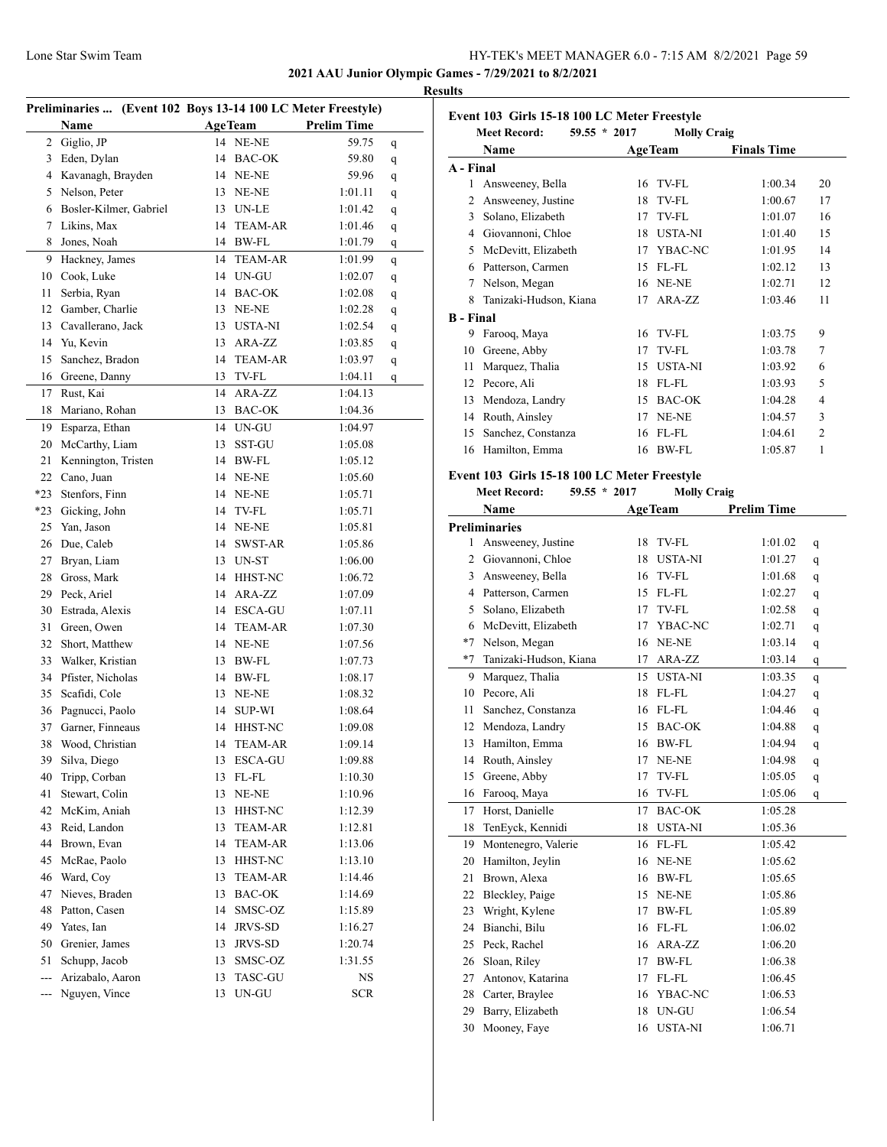**2021 AAU Junior Olympic Games - 7/29/2021 to 8/2/2021**

#### **Results**

|     | Preliminaries  (Event 102 Boys 13-14 100 LC Meter Freestyle) |    |                             |                    |             |  |
|-----|--------------------------------------------------------------|----|-----------------------------|--------------------|-------------|--|
|     | Name                                                         |    | <b>AgeTeam</b>              | <b>Prelim Time</b> |             |  |
| 2   | Giglio, JP                                                   |    | 14 NE-NE                    | 59.75              | q           |  |
| 3   | Eden, Dylan                                                  | 14 | BAC-OK                      | 59.80              | q           |  |
| 4   | Kavanagh, Brayden                                            | 14 | NE-NE                       | 59.96              | q           |  |
| 5   | Nelson, Peter                                                | 13 | NE-NE                       | 1:01.11            | q           |  |
| 6   | Bosler-Kilmer, Gabriel                                       | 13 | UN-LE                       | 1:01.42            | q           |  |
| 7   | Likins, Max                                                  | 14 | <b>TEAM-AR</b>              | 1:01.46            | q           |  |
| 8   | Jones, Noah                                                  | 14 | BW-FL                       | 1:01.79            | $\mathbf q$ |  |
| 9   | Hackney, James                                               | 14 | <b>TEAM-AR</b>              | 1:01.99            | q           |  |
| 10  | Cook, Luke                                                   | 14 | UN-GU                       | 1:02.07            | q           |  |
| 11  | Serbia, Ryan                                                 |    | 14 BAC-OK                   | 1:02.08            | q           |  |
|     | 12 Gamber, Charlie                                           |    | 13 NE-NE                    | 1:02.28            | q           |  |
|     | 13 Cavallerano, Jack                                         | 13 | USTA-NI                     | 1:02.54            | q           |  |
|     | 14 Yu, Kevin                                                 | 13 | ARA-ZZ                      | 1:03.85            | q           |  |
| 15  | Sanchez, Bradon                                              | 14 | <b>TEAM-AR</b>              | 1:03.97            | q           |  |
|     | 16 Greene, Danny                                             | 13 | TV-FL                       | 1:04.11            | q           |  |
| 17  | Rust, Kai                                                    | 14 | ARA-ZZ                      | 1:04.13            |             |  |
| 18  | Mariano, Rohan                                               | 13 | <b>BAC-OK</b>               | 1:04.36            |             |  |
| 19  | Esparza, Ethan                                               | 14 | $\ensuremath{\text{UN-GU}}$ | 1:04.97            |             |  |
| 20  | McCarthy, Liam                                               | 13 | SST-GU                      | 1:05.08            |             |  |
| 21  | Kennington, Tristen                                          | 14 | <b>BW-FL</b>                | 1:05.12            |             |  |
| 22  | Cano, Juan                                                   | 14 | NE-NE                       | 1:05.60            |             |  |
| *23 | Stenfors, Finn                                               |    | 14 NE-NE                    | 1:05.71            |             |  |
| *23 | Gicking, John                                                | 14 | TV-FL                       | 1:05.71            |             |  |
| 25  | Yan, Jason                                                   | 14 | NE-NE                       | 1:05.81            |             |  |
|     | 26 Due, Caleb                                                | 14 | SWST-AR                     | 1:05.86            |             |  |
| 27  | Bryan, Liam                                                  | 13 | UN-ST                       | 1:06.00            |             |  |
| 28  | Gross, Mark                                                  | 14 | HHST-NC                     | 1:06.72            |             |  |
| 29  | Peck, Ariel                                                  | 14 | ARA-ZZ                      | 1:07.09            |             |  |
| 30  | Estrada, Alexis                                              | 14 | ESCA-GU                     | 1:07.11            |             |  |
| 31  | Green, Owen                                                  | 14 | <b>TEAM-AR</b>              | 1:07.30            |             |  |
| 32  | Short, Matthew                                               | 14 | NE-NE                       | 1:07.56            |             |  |
| 33  | Walker, Kristian                                             | 13 | BW-FL                       | 1:07.73            |             |  |
|     | 34 Pfister, Nicholas                                         | 14 | BW-FL                       | 1:08.17            |             |  |
| 35  | Scafidi, Cole                                                |    | 13 NE-NE                    | 1:08.32            |             |  |
| 36  | Pagnucci, Paolo                                              | 14 | <b>SUP-WI</b>               | 1:08.64            |             |  |
| 37  | Garner, Finneaus                                             |    | 14 HHST-NC                  | 1:09.08            |             |  |
|     | 38 Wood, Christian                                           |    | 14 TEAM-AR                  | 1:09.14            |             |  |
| 39  | Silva, Diego                                                 | 13 | <b>ESCA-GU</b>              | 1:09.88            |             |  |
| 40  | Tripp, Corban                                                | 13 | FL-FL                       | 1:10.30            |             |  |
| 41  | Stewart, Colin                                               | 13 | NE-NE                       | 1:10.96            |             |  |
| 42  | McKim, Aniah                                                 | 13 | HHST-NC                     | 1:12.39            |             |  |
| 43  | Reid, Landon                                                 | 13 | <b>TEAM-AR</b>              | 1:12.81            |             |  |
| 44  | Brown, Evan                                                  | 14 | <b>TEAM-AR</b>              | 1:13.06            |             |  |
| 45  | McRae, Paolo                                                 | 13 | HHST-NC                     | 1:13.10            |             |  |
| 46  | Ward, Coy                                                    | 13 | <b>TEAM-AR</b>              | 1:14.46            |             |  |
| 47  | Nieves, Braden                                               | 13 | BAC-OK                      | 1:14.69            |             |  |
| 48  | Patton, Casen                                                | 14 | SMSC-OZ                     | 1:15.89            |             |  |
| 49  | Yates, Ian                                                   | 14 | JRVS-SD                     | 1:16.27            |             |  |
| 50  | Grenier, James                                               | 13 | JRVS-SD                     | 1:20.74            |             |  |
| 51  | Schupp, Jacob                                                | 13 | SMSC-OZ                     | 1:31.55            |             |  |
| --- | Arizabalo, Aaron                                             | 13 | <b>TASC-GU</b>              | NS.                |             |  |
| --- | Nguyen, Vince                                                | 13 | UN-GU                       | <b>SCR</b>         |             |  |
|     |                                                              |    |                             |                    |             |  |

|                  | <b>Meet Record:</b><br>$59.55 * 2017$ |    | <b>Molly Craig</b> |                    |                |
|------------------|---------------------------------------|----|--------------------|--------------------|----------------|
|                  | Name                                  |    | <b>AgeTeam</b>     | <b>Finals Time</b> |                |
| A - Final        |                                       |    |                    |                    |                |
| 1                | Answeeney, Bella                      | 16 | TV-FL              | 1:00.34            | 20             |
| 2                | Answeeney, Justine                    | 18 | TV-FL              | 1:00.67            | 17             |
| 3                | Solano, Elizabeth                     | 17 | TV-FL              | 1:01.07            | 16             |
| 4                | Giovannoni, Chloe                     | 18 | <b>USTA-NI</b>     | 1:01.40            | 15             |
| 5                | McDevitt, Elizabeth                   | 17 | YBAC-NC            | 1:01.95            | 14             |
| 6                | Patterson, Carmen                     | 15 | $FL$ - $FL$        | 1:02.12            | 13             |
| 7                | Nelson, Megan                         | 16 | NE-NE              | 1:02.71            | 12             |
| 8                | Tanizaki-Hudson, Kiana                | 17 | ARA-ZZ             | 1:03.46            | 11             |
| <b>B</b> - Final |                                       |    |                    |                    |                |
| 9                | Farooq, Maya                          | 16 | TV-FL              | 1:03.75            | 9              |
| 10               | Greene, Abby                          | 17 | TV-FL              | 1:03.78            | 7              |
| 11               | Marquez, Thalia                       | 15 | <b>USTA-NI</b>     | 1:03.92            | 6              |
| 12               | Pecore, Ali                           | 18 | FL-FL              | 1:03.93            | 5              |
| 13               | Mendoza, Landry                       | 15 | <b>BAC-OK</b>      | 1:04.28            | 4              |
| 14               | Routh, Ainsley                        | 17 | NE-NE              | 1:04.57            | 3              |
| 15               | Sanchez, Constanza                    | 16 | FL-FL              | 1:04.61            | $\overline{2}$ |
| 16               | Hamilton, Emma                        | 16 | <b>BW-FL</b>       | 1:05.87            | 1              |

| <b>Meet Record:</b><br>59.55 * 2017 |                        |    | <b>Molly Craig</b> |                    |             |
|-------------------------------------|------------------------|----|--------------------|--------------------|-------------|
|                                     | Name                   |    | <b>AgeTeam</b>     | <b>Prelim Time</b> |             |
|                                     | <b>Preliminaries</b>   |    |                    |                    |             |
| 1                                   | Answeeney, Justine     | 18 | TV-FL              | 1:01.02            | q           |
| $\overline{c}$                      | Giovannoni, Chloe      | 18 | <b>USTA-NI</b>     | 1:01.27            | q           |
| 3                                   | Answeeney, Bella       | 16 | TV-FL              | 1:01.68            | q           |
| 4                                   | Patterson, Carmen      | 15 | FL-FL              | 1:02.27            | q           |
| 5                                   | Solano, Elizabeth      | 17 | TV-FL              | 1:02.58            | q           |
| 6                                   | McDevitt, Elizabeth    | 17 | YBAC-NC            | 1:02.71            | $\mathbf q$ |
| $*7$                                | Nelson, Megan          | 16 | NE-NE              | 1:03.14            | q           |
| $*7$                                | Tanizaki-Hudson, Kiana | 17 | ARA-ZZ             | 1:03.14            | q           |
| 9                                   | Marquez, Thalia        | 15 | <b>USTA-NI</b>     | 1:03.35            | q           |
| 10                                  | Pecore, Ali            | 18 | FL-FL              | 1:04.27            | q           |
| 11                                  | Sanchez, Constanza     | 16 | FL-FL              | 1:04.46            | q           |
| 12                                  | Mendoza, Landry        | 15 | <b>BAC-OK</b>      | 1:04.88            | q           |
| 13                                  | Hamilton, Emma         | 16 | <b>BW-FL</b>       | 1:04.94            | q           |
| 14                                  | Routh, Ainsley         | 17 | NE-NE              | 1:04.98            | q           |
| 15                                  | Greene, Abby           | 17 | TV-FL              | 1:05.05            | q           |
| 16                                  | Farooq, Maya           | 16 | <b>TV-FL</b>       | 1:05.06            | q           |
| 17                                  | Horst, Danielle        | 17 | <b>BAC-OK</b>      | 1:05.28            |             |
| 18                                  | TenEyck, Kennidi       | 18 | <b>USTA-NI</b>     | 1:05.36            |             |
| 19                                  | Montenegro, Valerie    | 16 | FL-FL              | 1:05.42            |             |
| 20                                  | Hamilton, Jeylin       | 16 | NE-NE              | 1:05.62            |             |
| 21                                  | Brown, Alexa           | 16 | BW-FL              | 1:05.65            |             |
| 22                                  | Bleckley, Paige        | 15 | NE-NE              | 1:05.86            |             |
| 23                                  | Wright, Kylene         | 17 | <b>BW-FL</b>       | 1:05.89            |             |
| 24                                  | Bianchi, Bilu          | 16 | FL-FL              | 1:06.02            |             |
| 25                                  | Peck, Rachel           | 16 | ARA-ZZ             | 1:06.20            |             |
| 26                                  | Sloan, Riley           | 17 | <b>BW-FL</b>       | 1:06.38            |             |
| 27                                  | Antonov, Katarina      | 17 | FL-FL              | 1:06.45            |             |
| 28                                  | Carter, Braylee        | 16 | YBAC-NC            | 1:06.53            |             |
| 29                                  | Barry, Elizabeth       | 18 | UN-GU              | 1:06.54            |             |
| 30                                  | Mooney, Faye           | 16 | <b>USTA-NI</b>     | 1:06.71            |             |
|                                     |                        |    |                    |                    |             |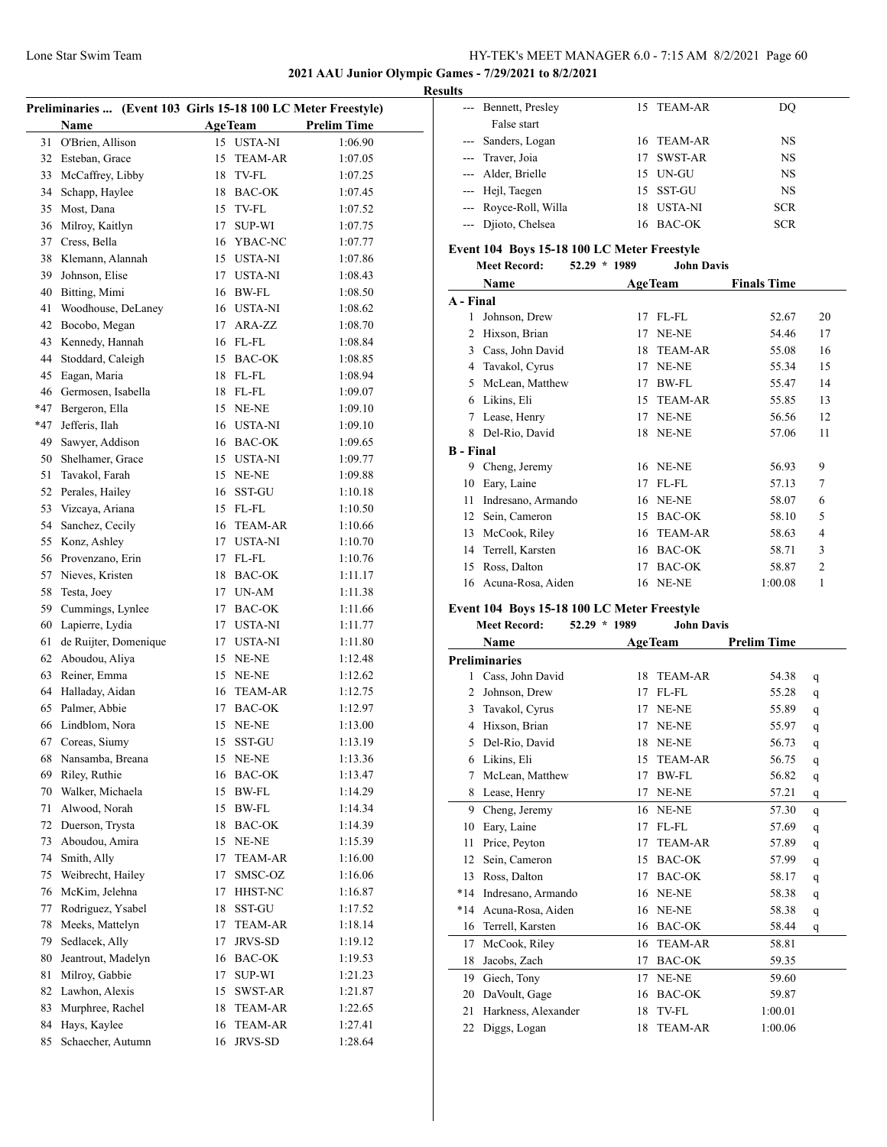## **2021 AAU Junior Olympic Games - 7/29/2021 to 8/2/2021**

| Preliminaries  (Event 103 Girls 15-18 100 LC Meter Freestyle) |                       |    |                |                    |  |
|---------------------------------------------------------------|-----------------------|----|----------------|--------------------|--|
|                                                               | <b>Name</b>           |    | <b>AgeTeam</b> | <b>Prelim Time</b> |  |
| 31                                                            | O'Brien, Allison      | 15 | <b>USTA-NI</b> | 1:06.90            |  |
| 32                                                            | Esteban, Grace        | 15 | <b>TEAM-AR</b> | 1:07.05            |  |
| 33                                                            | McCaffrey, Libby      | 18 | TV-FL          | 1:07.25            |  |
| 34                                                            | Schapp, Haylee        | 18 | <b>BAC-OK</b>  | 1:07.45            |  |
| 35                                                            | Most, Dana            | 15 | TV-FL          | 1:07.52            |  |
|                                                               |                       |    |                |                    |  |
| 36                                                            | Milroy, Kaitlyn       | 17 | <b>SUP-WI</b>  | 1:07.75            |  |
| 37                                                            | Cress, Bella          | 16 | YBAC-NC        | 1:07.77            |  |
| 38                                                            | Klemann, Alannah      |    | 15 USTA-NI     | 1:07.86            |  |
| 39                                                            | Johnson, Elise        | 17 | USTA-NI        | 1:08.43            |  |
| 40                                                            | Bitting, Mimi         | 16 | BW-FL          | 1:08.50            |  |
| 41                                                            | Woodhouse, DeLaney    |    | 16 USTA-NI     | 1:08.62            |  |
| 42                                                            | Bocobo, Megan         | 17 | ARA-ZZ         | 1:08.70            |  |
| 43                                                            | Kennedy, Hannah       | 16 | FL-FL          | 1:08.84            |  |
| 44                                                            | Stoddard, Caleigh     | 15 | <b>BAC-OK</b>  | 1:08.85            |  |
| 45                                                            | Eagan, Maria          | 18 | FL-FL          | 1:08.94            |  |
| 46                                                            | Germosen, Isabella    | 18 | FL-FL          | 1:09.07            |  |
| $*47$                                                         | Bergeron, Ella        | 15 | NE-NE          | 1:09.10            |  |
| $*47$                                                         | Jefferis, Ilah        | 16 | USTA-NI        | 1:09.10            |  |
| 49                                                            | Sawyer, Addison       |    | 16 BAC-OK      | 1:09.65            |  |
| 50                                                            | Shelhamer, Grace      | 15 | USTA-NI        | 1:09.77            |  |
| 51                                                            | Tavakol, Farah        | 15 | NE-NE          | 1:09.88            |  |
| 52                                                            | Perales, Hailey       | 16 | SST-GU         | 1:10.18            |  |
| 53                                                            | Vizcaya, Ariana       | 15 | FL-FL          | 1:10.50            |  |
|                                                               |                       |    |                |                    |  |
| 54                                                            | Sanchez, Cecily       | 16 | <b>TEAM-AR</b> | 1:10.66            |  |
| 55                                                            | Konz, Ashley          | 17 | USTA-NI        | 1:10.70            |  |
| 56                                                            | Provenzano, Erin      | 17 | FL-FL          | 1:10.76            |  |
| 57                                                            | Nieves, Kristen       | 18 | <b>BAC-OK</b>  | 1:11.17            |  |
| 58                                                            | Testa, Joey           | 17 | UN-AM          | 1:11.38            |  |
| 59                                                            | Cummings, Lynlee      | 17 | BAC-OK         | 1:11.66            |  |
| 60                                                            | Lapierre, Lydia       | 17 | <b>USTA-NI</b> | 1:11.77            |  |
| 61                                                            | de Ruijter, Domenique | 17 | USTA-NI        | 1:11.80            |  |
| 62                                                            | Aboudou, Aliya        | 15 | NE-NE          | 1:12.48            |  |
| 63                                                            | Reiner, Emma          | 15 | NE-NE          | 1:12.62            |  |
| 64                                                            | Halladay, Aidan       | 16 | TEAM-AR        | 1:12.75            |  |
| 65                                                            | Palmer, Abbie         |    | 17 BAC-OK      | 1:12.97            |  |
| 66                                                            | Lindblom, Nora        | 15 | NE-NE          | 1:13.00            |  |
| 67                                                            | Coreas, Siumy         | 15 | SST-GU         | 1:13.19            |  |
| 68                                                            | Nansamba, Breana      | 15 | NE-NE          | 1:13.36            |  |
| 69                                                            | Riley, Ruthie         | 16 | BAC-OK         | 1:13.47            |  |
| 70                                                            | Walker, Michaela      | 15 | BW-FL          | 1:14.29            |  |
| 71                                                            | Alwood, Norah         | 15 | BW-FL          | 1:14.34            |  |
| 72                                                            | Duerson, Trysta       | 18 | <b>BAC-OK</b>  | 1:14.39            |  |
| 73                                                            | Aboudou, Amira        | 15 | NE-NE          | 1:15.39            |  |
| 74                                                            | Smith, Ally           | 17 | TEAM-AR        | 1:16.00            |  |
| 75                                                            | Weibrecht, Hailey     | 17 | SMSC-OZ        | 1:16.06            |  |
| 76                                                            | McKim, Jelehna        | 17 | HHST-NC        | 1:16.87            |  |
|                                                               |                       |    |                |                    |  |
| 77                                                            | Rodriguez, Ysabel     | 18 | SST-GU         | 1:17.52            |  |
| 78                                                            | Meeks, Mattelyn       | 17 | <b>TEAM-AR</b> | 1:18.14            |  |
| 79                                                            | Sedlacek, Ally        | 17 | JRVS-SD        | 1:19.12            |  |
| 80                                                            | Jeantrout, Madelyn    | 16 | BAC-OK         | 1:19.53            |  |
| 81                                                            | Milroy, Gabbie        | 17 | SUP-WI         | 1:21.23            |  |
| 82                                                            | Lawhon, Alexis        | 15 | SWST-AR        | 1:21.87            |  |
| 83                                                            | Murphree, Rachel      | 18 | TEAM-AR        | 1:22.65            |  |
| 84                                                            | Hays, Kaylee          | 16 | <b>TEAM-AR</b> | 1:27.41            |  |
| 85                                                            | Schaecher, Autumn     | 16 | JRVS-SD        | 1:28.64            |  |
|                                                               |                       |    |                |                    |  |

| <b>Results</b> |                       |     |            |            |  |
|----------------|-----------------------|-----|------------|------------|--|
|                | --- Bennett, Presley  |     | 15 TEAM-AR | DO         |  |
|                | False start           |     |            |            |  |
|                | --- Sanders, Logan    |     | 16 TEAM-AR | NS         |  |
|                | --- Traver, Joia      | 17. | SWST-AR    | NS         |  |
|                | --- Alder, Brielle    |     | 15 UN-GU   | NS         |  |
|                | --- Hejl, Taegen      |     | 15 SST-GU  | NS         |  |
|                | --- Royce-Roll, Willa |     | 18 USTA-NI | <b>SCR</b> |  |
|                | --- Djioto, Chelsea   |     | 16 BAC-OK  | <b>SCR</b> |  |

# **Event 104 Boys 15-18 100 LC Meter Freestyle<br>Meet Record:** 52.29 \* 1989 John Davis

|                  | <b>Meet Record:</b> | $52.29 * 1989$ |    | <b>John Davis</b> |                    |                |
|------------------|---------------------|----------------|----|-------------------|--------------------|----------------|
|                  | Name                |                |    | <b>AgeTeam</b>    | <b>Finals Time</b> |                |
| A - Final        |                     |                |    |                   |                    |                |
| 1                | Johnson, Drew       |                | 17 | FL-FL             | 52.67              | 20             |
| 2                | Hixson, Brian       |                | 17 | NE-NE             | 54.46              | 17             |
| 3                | Cass, John David    |                | 18 | <b>TEAM-AR</b>    | 55.08              | 16             |
| 4                | Tavakol, Cyrus      |                | 17 | NE-NE             | 55.34              | 15             |
| 5                | McLean, Matthew     |                | 17 | BW-FL             | 55.47              | 14             |
| 6                | Likins, Eli         |                | 15 | <b>TEAM-AR</b>    | 55.85              | 13             |
| 7                | Lease, Henry        |                | 17 | NE-NE             | 56.56              | 12             |
| 8                | Del-Rio, David      |                | 18 | NE-NE             | 57.06              | 11             |
| <b>B</b> - Final |                     |                |    |                   |                    |                |
| 9                | Cheng, Jeremy       |                | 16 | NE-NE             | 56.93              | 9              |
| 10               | Eary, Laine         |                | 17 | FL-FL             | 57.13              | 7              |
| 11               | Indresano, Armando  |                | 16 | NE-NE             | 58.07              | 6              |
| 12               | Sein, Cameron       |                | 15 | <b>BAC-OK</b>     | 58.10              | 5              |
| 13               | McCook, Riley       |                | 16 | <b>TEAM-AR</b>    | 58.63              | 4              |
| 14               | Terrell, Karsten    |                | 16 | <b>BAC-OK</b>     | 58.71              | 3              |
| 15               | Ross, Dalton        |                | 17 | <b>BAC-OK</b>     | 58.87              | $\overline{2}$ |
| 16               | Acuna-Rosa, Aiden   |                | 16 | NE-NE             | 1:00.08            | 1              |
|                  |                     |                |    |                   |                    |                |

## **Event 104 Boys 15-18 100 LC Meter Freestyle**

| <b>Meet Record:</b> | $52.29 * 1989$ | <b>John Davis</b> |
|---------------------|----------------|-------------------|
|                     |                |                   |

|       | Name                 |    | <b>AgeTeam</b> | <b>Prelim Time</b> |              |
|-------|----------------------|----|----------------|--------------------|--------------|
|       | <b>Preliminaries</b> |    |                |                    |              |
| 1     | Cass, John David     | 18 | <b>TEAM-AR</b> | 54.38              | q            |
| 2     | Johnson, Drew        | 17 | $FL$ - $FL$    | 55.28              | q            |
| 3     | Tavakol, Cyrus       | 17 | NE-NE          | 55.89              | q            |
| 4     | Hixson, Brian        | 17 | NE-NE          | 55.97              | q            |
| 5     | Del-Rio, David       | 18 | NE-NE          | 56.73              | q            |
| 6     | Likins, Eli          | 15 | <b>TEAM-AR</b> | 56.75              | q            |
| 7     | McLean, Matthew      | 17 | BW-FL          | 56.82              | q            |
| 8     | Lease, Henry         | 17 | NE-NE          | 57.21              | q            |
| 9     | Cheng, Jeremy        | 16 | NE-NE          | 57.30              | $\mathsf{q}$ |
| 10    | Eary, Laine          | 17 | $FL$ - $FL$    | 57.69              | q            |
| 11    | Price, Peyton        | 17 | <b>TEAM-AR</b> | 57.89              | q            |
| 12    | Sein, Cameron        | 15 | <b>BAC-OK</b>  | 57.99              | q            |
| 13    | Ross, Dalton         | 17 | <b>BAC-OK</b>  | 58.17              | q            |
| $*14$ | Indresano, Armando   | 16 | NE-NE          | 58.38              | q            |
| $*14$ | Acuna-Rosa, Aiden    | 16 | NE-NE          | 58.38              | q            |
| 16    | Terrell, Karsten     | 16 | <b>BAC-OK</b>  | 58.44              | q            |
| 17    | McCook, Riley        | 16 | <b>TEAM-AR</b> | 58.81              |              |
| 18    | Jacobs, Zach         | 17 | <b>BAC-OK</b>  | 59.35              |              |
| 19    | Giech, Tony          | 17 | NE-NE          | 59.60              |              |
| 20    | DaVoult, Gage        | 16 | <b>BAC-OK</b>  | 59.87              |              |
| 21    | Harkness, Alexander  | 18 | <b>TV-FL</b>   | 1:00.01            |              |
| 22    | Diggs, Logan         | 18 | <b>TEAM-AR</b> | 1:00.06            |              |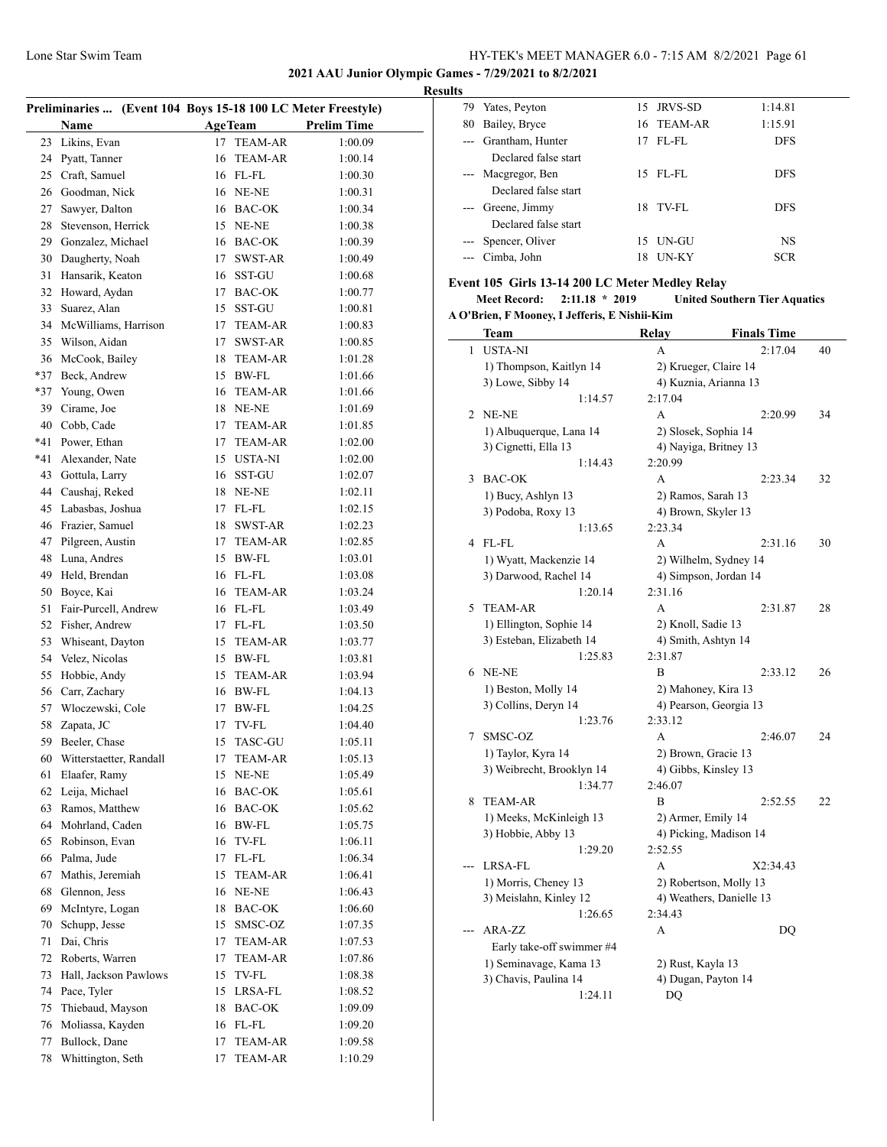## **2021 AAU Junior Olympic Games - 7/29/2021 to 8/2/2021**

## **Results**

| Preliminaries  (Event 104 Boys 15-18 100 LC Meter Freestyle) |                         |    |                |                    |
|--------------------------------------------------------------|-------------------------|----|----------------|--------------------|
|                                                              | Name                    |    | <b>AgeTeam</b> | <b>Prelim Time</b> |
| 23                                                           | Likins, Evan            | 17 | <b>TEAM-AR</b> | 1:00.09            |
| 24                                                           | Pyatt, Tanner           | 16 | <b>TEAM-AR</b> | 1:00.14            |
| 25                                                           | Craft, Samuel           |    | 16 FL-FL       | 1:00.30            |
| 26                                                           | Goodman, Nick           |    | 16 NE-NE       | 1:00.31            |
| 27                                                           | Sawyer, Dalton          |    | 16 BAC-OK      | 1:00.34            |
| 28                                                           | Stevenson, Herrick      |    | 15 NE-NE       | 1:00.38            |
| 29                                                           | Gonzalez, Michael       |    | 16 BAC-OK      | 1:00.39            |
| 30                                                           | Daugherty, Noah         | 17 | SWST-AR        | 1:00.49            |
| 31                                                           | Hansarik, Keaton        |    | 16 SST-GU      | 1:00.68            |
| 32                                                           | Howard, Aydan           | 17 | BAC-OK         | 1:00.77            |
| 33                                                           | Suarez, Alan            | 15 | SST-GU         | 1:00.81            |
| 34                                                           | McWilliams, Harrison    |    | 17 TEAM-AR     | 1:00.83            |
| 35                                                           | Wilson, Aidan           | 17 | SWST-AR        | 1:00.85            |
| 36                                                           | McCook, Bailey          |    | 18 TEAM-AR     | 1:01.28            |
| $*37$                                                        | Beck, Andrew            |    | 15 BW-FL       | 1:01.66            |
| $*37$                                                        | Young, Owen             |    | 16 TEAM-AR     | 1:01.66            |
| 39                                                           | Cirame, Joe             |    | 18 NE-NE       | 1:01.69            |
| 40                                                           | Cobb, Cade              |    | 17 TEAM-AR     | 1:01.85            |
| *41                                                          | Power, Ethan            | 17 | TEAM-AR        | 1:02.00            |
| *41                                                          | Alexander, Nate         |    | 15 USTA-NI     | 1:02.00            |
| 43                                                           | Gottula, Larry          | 16 | SST-GU         | 1:02.07            |
| 44                                                           | Caushaj, Reked          | 18 | NE-NE          | 1:02.11            |
| 45                                                           | Labasbas, Joshua        | 17 | FL-FL          |                    |
| 46                                                           | Frazier, Samuel         |    | SWST-AR        | 1:02.15            |
|                                                              |                         | 18 |                | 1:02.23            |
| 47                                                           | Pilgreen, Austin        | 17 | TEAM-AR        | 1:02.85            |
| 48                                                           | Luna, Andres            |    | 15 BW-FL       | 1:03.01            |
| 49                                                           | Held, Brendan           |    | 16 FL-FL       | 1:03.08            |
| 50                                                           | Boyce, Kai              | 16 | TEAM-AR        | 1:03.24            |
| 51                                                           | Fair-Purcell, Andrew    |    | 16 FL-FL       | 1:03.49            |
| 52                                                           | Fisher, Andrew          |    | 17 FL-FL       | 1:03.50            |
| 53                                                           | Whiseant, Dayton        | 15 | TEAM-AR        | 1:03.77            |
| 54                                                           | Velez, Nicolas          |    | 15 BW-FL       | 1:03.81            |
| 55                                                           | Hobbie, Andy            | 15 | <b>TEAM-AR</b> | 1:03.94            |
| 56                                                           | Carr, Zachary           |    | 16 BW-FL       | 1:04.13            |
| 57                                                           | Włoczewski, Cole        | 17 | BW-FL          | 1:04.25            |
| 58                                                           | Zapata, JC              | 17 | TV-FL          | 1:04.40            |
| 59                                                           | Beeler, Chase           | 15 | <b>TASC-GU</b> | 1:05.11            |
| 60                                                           | Witterstaetter, Randall | 17 | <b>TEAM-AR</b> | 1:05.13            |
| 61                                                           | Elaafer, Ramy           | 15 | NE-NE          | 1:05.49            |
| 62                                                           | Leija, Michael          | 16 | <b>BAC-OK</b>  | 1:05.61            |
| 63                                                           | Ramos, Matthew          | 16 | <b>BAC-OK</b>  | 1:05.62            |
| 64                                                           | Mohrland, Caden         | 16 | <b>BW-FL</b>   | 1:05.75            |
| 65                                                           | Robinson, Evan          | 16 | TV-FL          | 1:06.11            |
| 66                                                           | Palma, Jude             | 17 | $FL$ - $FL$    | 1:06.34            |
| 67                                                           | Mathis, Jeremiah        | 15 | <b>TEAM-AR</b> | 1:06.41            |
| 68                                                           | Glennon, Jess           | 16 | NE-NE          | 1:06.43            |
| 69                                                           | McIntyre, Logan         | 18 | BAC-OK         | 1:06.60            |
| 70                                                           | Schupp, Jesse           | 15 | SMSC-OZ        | 1:07.35            |
| 71                                                           | Dai, Chris              | 17 | <b>TEAM-AR</b> | 1:07.53            |
| 72                                                           | Roberts, Warren         | 17 | <b>TEAM-AR</b> | 1:07.86            |
| 73                                                           | Hall, Jackson Pawlows   | 15 | TV-FL          | 1:08.38            |
| 74                                                           | Pace, Tyler             | 15 | LRSA-FL        | 1:08.52            |
| 75                                                           | Thiebaud, Mayson        | 18 | <b>BAC-OK</b>  | 1:09.09            |
| 76                                                           | Moliassa, Kayden        | 16 | FL-FL          | 1:09.20            |
| 77                                                           | Bullock, Dane           | 17 | TEAM-AR        | 1:09.58            |
| 78                                                           | Whittington, Seth       | 17 | TEAM-AR        | 1:10.29            |
|                                                              |                         |    |                |                    |

| 79. | Yates, Peyton        | 15. | JRVS-SD      | 1:14.81    |
|-----|----------------------|-----|--------------|------------|
| 80  | Bailey, Bryce        |     | 16 TEAM-AR   | 1:15.91    |
|     | --- Grantham, Hunter | 17  | $FL-FL$      | <b>DFS</b> |
|     | Declared false start |     |              |            |
|     | --- Macgregor, Ben   |     | 15 FL-FL     | <b>DFS</b> |
|     | Declared false start |     |              |            |
|     | --- Greene, Jimmy    | 18  | TV-FL        | <b>DFS</b> |
|     | Declared false start |     |              |            |
|     | --- Spencer, Oliver  | 15  | UN-GU        | NS         |
|     | --- Cimba, John      | 18  | <b>UN-KY</b> | <b>SCR</b> |
|     |                      |     |              |            |

#### **Event 105 Girls 13-14 200 LC Meter Medley Relay**

**Meet Record: 2:11.18 \* 2019 United Southern Tier Aquatics A O'Brien, F Mooney, I Jefferis, E Nishii-Kim**

|   | <b>Team</b>               | Relay              | <b>Finals Time</b>       |    |
|---|---------------------------|--------------------|--------------------------|----|
| 1 | <b>USTA-NI</b>            | A                  | 2:17.04                  | 40 |
|   | 1) Thompson, Kaitlyn 14   |                    | 2) Krueger, Claire 14    |    |
|   | 3) Lowe, Sibby 14         |                    | 4) Kuznia, Arianna 13    |    |
|   | 1:14.57                   | 2:17.04            |                          |    |
| 2 | NE-NE                     | A                  | 2:20.99                  | 34 |
|   | 1) Albuquerque, Lana 14   |                    | 2) Slosek, Sophia 14     |    |
|   | 3) Cignetti, Ella 13      |                    | 4) Nayiga, Britney 13    |    |
|   | 1:14.43                   | 2:20.99            |                          |    |
| 3 | <b>BAC-OK</b>             | A                  | 2:23.34                  | 32 |
|   | 1) Bucy, Ashlyn 13        |                    | 2) Ramos, Sarah 13       |    |
|   | 3) Podoba, Roxy 13        |                    | 4) Brown, Skyler 13      |    |
|   | 1:13.65                   | 2:23.34            |                          |    |
| 4 | FL-FL                     | A                  | 2:31.16                  | 30 |
|   | 1) Wyatt, Mackenzie 14    |                    | 2) Wilhelm, Sydney 14    |    |
|   | 3) Darwood, Rachel 14     |                    | 4) Simpson, Jordan 14    |    |
|   | 1:20.14                   | 2:31.16            |                          |    |
| 5 | <b>TEAM-AR</b>            | A                  | 2:31.87                  | 28 |
|   | 1) Ellington, Sophie 14   | 2) Knoll, Sadie 13 |                          |    |
|   | 3) Esteban, Elizabeth 14  |                    | 4) Smith, Ashtyn 14      |    |
|   | 1:25.83                   | 2:31.87            |                          |    |
| 6 | NE-NE                     | B                  | 2:33.12                  | 26 |
|   | 1) Beston, Molly 14       |                    | 2) Mahoney, Kira 13      |    |
|   | 3) Collins, Deryn 14      |                    | 4) Pearson, Georgia 13   |    |
|   | 1:23.76                   | 2:33.12            |                          |    |
| 7 | SMSC-OZ                   | A                  | 2:46.07                  | 24 |
|   | 1) Taylor, Kyra 14        |                    | 2) Brown, Gracie 13      |    |
|   | 3) Weibrecht, Brooklyn 14 |                    | 4) Gibbs, Kinsley 13     |    |
|   | 1:34.77                   | 2:46.07            |                          |    |
| 8 | <b>TEAM-AR</b>            | B                  | 2:52.55                  | 22 |
|   | 1) Meeks, McKinleigh 13   |                    | 2) Armer, Emily 14       |    |
|   | 3) Hobbie, Abby 13        |                    | 4) Picking, Madison 14   |    |
|   | 1:29.20                   | 2:52.55            |                          |    |
|   | LRSA-FL                   | A                  | X2:34.43                 |    |
|   | 1) Morris, Cheney 13      |                    | 2) Robertson, Molly 13   |    |
|   | 3) Meislahn, Kinley 12    |                    | 4) Weathers, Danielle 13 |    |
|   | 1:26.65                   | 2:34.43            |                          |    |
|   | ARA-ZZ                    | А                  | DQ                       |    |
|   | Early take-off swimmer #4 |                    |                          |    |
|   | 1) Seminavage, Kama 13    | 2) Rust, Kayla 13  |                          |    |
|   | 3) Chavis, Paulina 14     |                    | 4) Dugan, Payton 14      |    |
|   | 1:24.11                   | DQ                 |                          |    |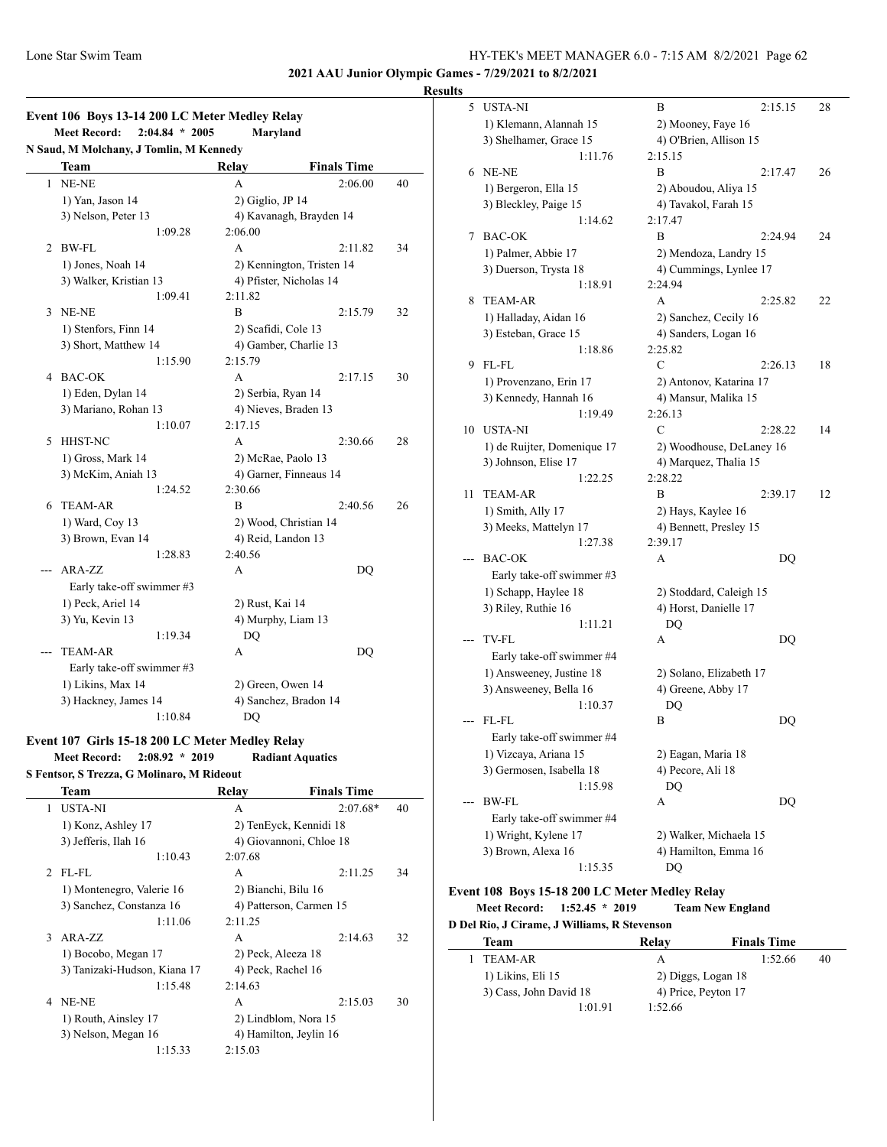**2021 AAU Junior Olympic Games - 7/29/2021 to 8/2/2021**

#### **Results**

| Event 106 Boys 13-14 200 LC Meter Medley Relay |                                         |                     |                           |    |  |
|------------------------------------------------|-----------------------------------------|---------------------|---------------------------|----|--|
|                                                | $2:04.84 * 2005$<br><b>Meet Record:</b> | Maryland            |                           |    |  |
|                                                | N Saud, M Molchany, J Tomlin, M Kennedy |                     |                           |    |  |
|                                                | Team                                    | Relay               | <b>Finals Time</b>        |    |  |
| 1                                              | NE-NE                                   | A                   | 2:06.00                   | 40 |  |
|                                                | 1) Yan, Jason 14                        | 2) Giglio, JP 14    |                           |    |  |
|                                                | 3) Nelson, Peter 13                     |                     | 4) Kavanagh, Brayden 14   |    |  |
|                                                | 1:09.28                                 | 2:06.00             |                           |    |  |
| 2                                              | <b>BW-FL</b>                            | A                   | 2:11.82                   | 34 |  |
|                                                | 1) Jones, Noah 14                       |                     | 2) Kennington, Tristen 14 |    |  |
|                                                | 3) Walker, Kristian 13                  |                     | 4) Pfister, Nicholas 14   |    |  |
|                                                | 1:09.41                                 | 2:11.82             |                           |    |  |
| 3                                              | NE-NE                                   | B                   | 2:15.79                   | 32 |  |
|                                                | 1) Stenfors, Finn 14                    | 2) Scafidi, Cole 13 |                           |    |  |
|                                                | 3) Short, Matthew 14                    |                     | 4) Gamber, Charlie 13     |    |  |
|                                                | 1:15.90                                 | 2:15.79             |                           |    |  |
| 4                                              | <b>BAC-OK</b>                           | A                   | 2:17.15                   | 30 |  |
|                                                | 1) Eden, Dylan 14                       | 2) Serbia, Ryan 14  |                           |    |  |
|                                                | 3) Mariano, Rohan 13                    |                     | 4) Nieves, Braden 13      |    |  |
|                                                | 1:10.07                                 | 2:17.15             |                           |    |  |
| 5                                              | HHST-NC                                 | A                   | 2:30.66                   | 28 |  |
|                                                | 1) Gross, Mark 14                       |                     | 2) McRae, Paolo 13        |    |  |
|                                                | 3) McKim, Aniah 13                      |                     | 4) Garner, Finneaus 14    |    |  |
|                                                | 1:24.52                                 | 2:30.66             |                           |    |  |
| 6                                              | <b>TEAM-AR</b>                          | B                   | 2:40.56                   | 26 |  |
|                                                | 1) Ward, Coy 13                         |                     | 2) Wood, Christian 14     |    |  |
|                                                | 3) Brown, Evan 14                       | 4) Reid, Landon 13  |                           |    |  |
|                                                | 1:28.83                                 | 2:40.56             |                           |    |  |
|                                                | ARA-ZZ                                  | A                   | DQ                        |    |  |
|                                                | Early take-off swimmer #3               |                     |                           |    |  |
|                                                | 1) Peck, Ariel 14                       | 2) Rust, Kai 14     |                           |    |  |
|                                                | 3) Yu, Kevin 13                         |                     | 4) Murphy, Liam 13        |    |  |
|                                                | 1:19.34                                 | DQ                  |                           |    |  |
|                                                | TEAM-AR                                 | A                   | DQ                        |    |  |
|                                                | Early take-off swimmer #3               |                     |                           |    |  |
|                                                | 1) Likins, Max 14                       | 2) Green, Owen 14   |                           |    |  |
|                                                | 3) Hackney, James 14                    |                     | 4) Sanchez, Bradon 14     |    |  |
|                                                | 1:10.84                                 | DQ                  |                           |    |  |

#### **Event 107 Girls 15-18 200 LC Meter Medley Relay Meet Record: 2:08.92 \* 2019 Radiant Aquatics S Fentsor, S Trezza, G Molinaro, M Rideout**

|   | Team                         | Relay                   | <b>Finals Time</b> |    |
|---|------------------------------|-------------------------|--------------------|----|
| 1 | <b>USTA-NI</b>               | A                       | $2:07.68*$         | 40 |
|   | 1) Konz, Ashley 17           | 2) TenEyck, Kennidi 18  |                    |    |
|   | 3) Jefferis, Ilah 16         | 4) Giovannoni, Chloe 18 |                    |    |
|   | 1:10.43                      | 2:07.68                 |                    |    |
|   | $2$ FL-FL                    | A                       | 2:11.25            | 34 |
|   | 1) Montenegro, Valerie 16    | 2) Bianchi, Bilu 16     |                    |    |
|   | 3) Sanchez, Constanza 16     | 4) Patterson, Carmen 15 |                    |    |
|   | 1:11.06                      | 2:11.25                 |                    |    |
| 3 | $ARA-ZZ$                     | A                       | 2:14.63            | 32 |
|   | 1) Bocobo, Megan 17          | 2) Peck, Aleeza 18      |                    |    |
|   | 3) Tanizaki-Hudson, Kiana 17 | 4) Peck, Rachel 16      |                    |    |
|   | 1:15.48                      | 2:14.63                 |                    |    |
| 4 | NE-NE                        | A                       | 2:15.03            | 30 |
|   | 1) Routh, Ainsley 17         | 2) Lindblom, Nora 15    |                    |    |
|   | 3) Nelson, Megan 16          | 4) Hamilton, Jeylin 16  |                    |    |
|   | 1:15.33                      | 2:15.03                 |                    |    |
|   |                              |                         |                    |    |

| 5   | <b>USTA-NI</b>              | B<br>2:15.15             | 28 |
|-----|-----------------------------|--------------------------|----|
|     | 1) Klemann, Alannah 15      | 2) Mooney, Faye 16       |    |
|     | 3) Shelhamer, Grace 15      | 4) O'Brien, Allison 15   |    |
|     | 1:11.76                     | 2:15.15                  |    |
| 6   | NE-NE                       | 2:17.47<br>B             | 26 |
|     | 1) Bergeron, Ella 15        | 2) Aboudou, Aliya 15     |    |
|     | 3) Bleckley, Paige 15       | 4) Tavakol, Farah 15     |    |
|     | 1:14.62                     | 2:17.47                  |    |
| 7   | <b>BAC-OK</b>               | 2:24.94<br>B             | 24 |
|     | 1) Palmer, Abbie 17         | 2) Mendoza, Landry 15    |    |
|     | 3) Duerson, Trysta 18       | 4) Cummings, Lynlee 17   |    |
|     | 1:18.91                     | 2:24.94                  |    |
| 8   | <b>TEAM-AR</b>              | 2:25.82<br>A             | 22 |
|     | 1) Halladay, Aidan 16       | 2) Sanchez, Cecily 16    |    |
|     | 3) Esteban, Grace 15        | 4) Sanders, Logan 16     |    |
|     | 1:18.86                     | 2:25.82                  |    |
| 9   | FL-FL                       | C<br>2:26.13             | 18 |
|     | 1) Provenzano, Erin 17      | 2) Antonov, Katarina 17  |    |
|     | 3) Kennedy, Hannah 16       | 4) Mansur, Malika 15     |    |
|     | 1:19.49                     | 2:26.13                  |    |
| 10  | <b>USTA-NI</b>              | C<br>2:28.22             | 14 |
|     | 1) de Ruijter, Domenique 17 | 2) Woodhouse, DeLaney 16 |    |
|     | 3) Johnson, Elise 17        | 4) Marquez, Thalia 15    |    |
|     | 1:22.25                     | 2:28.22                  |    |
| 11  | <b>TEAM-AR</b>              | 2:39.17<br>B             | 12 |
|     | 1) Smith, Ally 17           | 2) Hays, Kaylee 16       |    |
|     | 3) Meeks, Mattelyn 17       | 4) Bennett, Presley 15   |    |
|     | 1:27.38                     | 2:39.17                  |    |
| --- | <b>BAC-OK</b>               | A<br>DQ                  |    |
|     | Early take-off swimmer #3   |                          |    |
|     | 1) Schapp, Haylee 18        | 2) Stoddard, Caleigh 15  |    |
|     | 3) Riley, Ruthie 16         | 4) Horst, Danielle 17    |    |
|     | 1:11.21                     | DQ                       |    |
| --- | TV-FL                       | DQ<br>А                  |    |
|     | Early take-off swimmer #4   |                          |    |
|     | 1) Answeeney, Justine 18    | 2) Solano, Elizabeth 17  |    |
|     | 3) Answeeney, Bella 16      | 4) Greene, Abby 17       |    |
|     | 1:10.37                     | DQ                       |    |
|     | $FI-FL$                     | B<br>DO                  |    |
|     | Early take-off swimmer #4   |                          |    |
|     | 1) Vizcaya, Ariana 15       | 2) Eagan, Maria 18       |    |
|     | 3) Germosen, Isabella 18    | 4) Pecore, Ali 18        |    |
|     | 1:15.98                     | DQ                       |    |
|     | BW-FL                       | А<br>DQ                  |    |
|     | Early take-off swimmer #4   |                          |    |
|     | 1) Wright, Kylene 17        | 2) Walker, Michaela 15   |    |
|     | 3) Brown, Alexa 16          | 4) Hamilton, Emma 16     |    |
|     | 1:15.35                     | DQ                       |    |

# **Event 108 Boys 15-18 200 LC Meter Medley Relay Meet Record: 1:52.45 \* 2019 Team New England**

**D Del Rio, J Cirame, J Williams, R Stevenson**

 $\overline{\phantom{a}}$ 

| Team                   | Relay   | <b>Finals Time</b>  |  |
|------------------------|---------|---------------------|--|
| TEAM-AR                | А       | 1:52.66<br>40       |  |
| 1) Likins, Eli 15      |         | 2) Diggs, Logan 18  |  |
| 3) Cass, John David 18 |         | 4) Price, Peyton 17 |  |
| 1:01.91                | 1:52.66 |                     |  |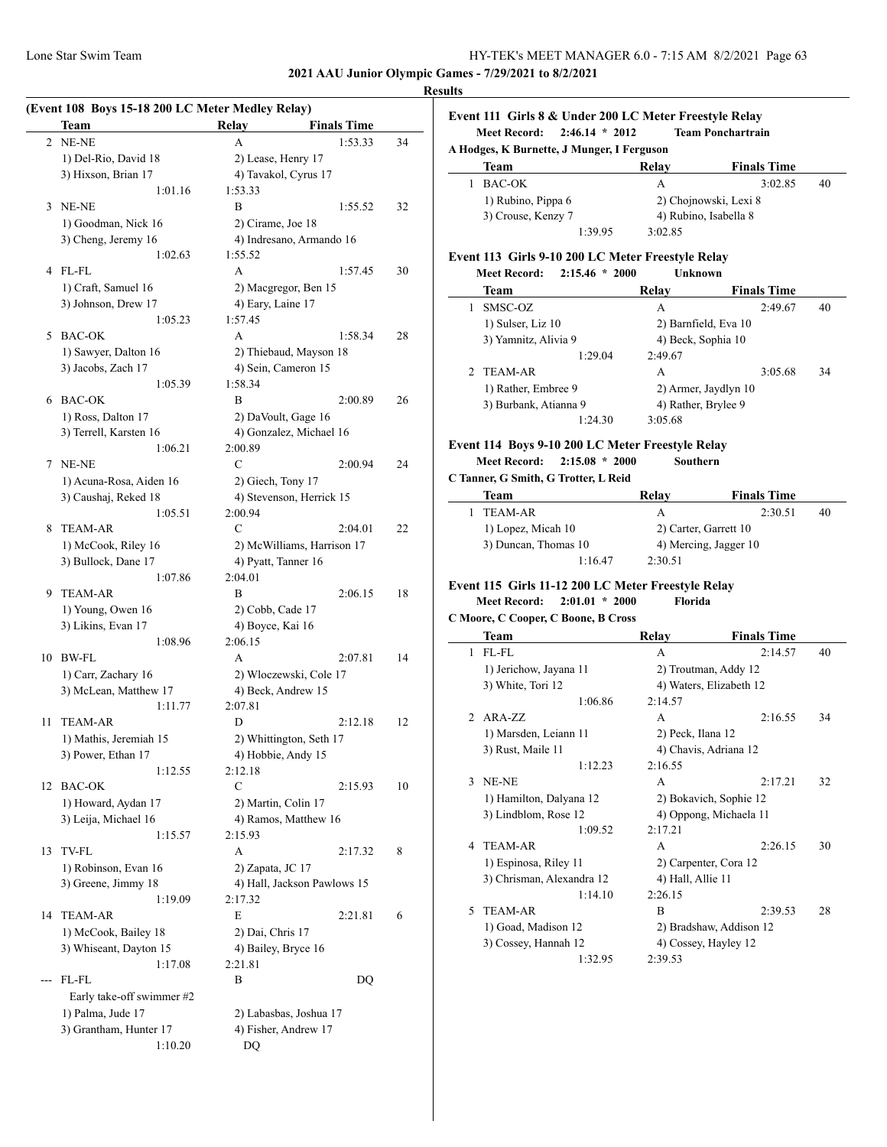**2021 AAU Junior Olympic Games - 7/29/2021 to 8/2/2021**

# **(Event 108 Boys 15-18 200 LC Meter Medley Relay) Team Relay Finals Time** 2 NE-NE A 1:53.33 34 1) Del-Rio, David 18 2) Lease, Henry 17 3) Hixson, Brian 17 4) Tavakol, Cyrus 17 1:01.16 1:53.33 3 NE-NE B 1:55.52 32 1) Goodman, Nick 16 2) Cirame, Joe 18 3) Cheng, Jeremy 16 4) Indresano, Armando 16 1:02.63 1:55.52 4 FL-FL A 1:57.45 30 1) Craft, Samuel 16 2) Macgregor, Ben 15 3) Johnson, Drew 17 4) Eary, Laine 17 1:05.23 1:57.45 5 BAC-OK A 1:58.34 28 1) Sawyer, Dalton 16 2) Thiebaud, Mayson 18 3) Jacobs, Zach 17 4) Sein, Cameron 15 1:05.39 1:58.34 6 BAC-OK B 2:00.89 26 1) Ross, Dalton 17 2) DaVoult, Gage 16 3) Terrell, Karsten 16 4) Gonzalez, Michael 16 1:06.21 2:00.89 7 NE-NE C 2:00.94 24 1) Acuna-Rosa, Aiden 16 2) Giech, Tony 17 3) Caushaj, Reked 18 4) Stevenson, Herrick 15 1:05.51 2:00.94 8 TEAM-AR C 2:04.01 22 1) McCook, Riley 16 2) McWilliams, Harrison 17 3) Bullock, Dane 17 4) Pyatt, Tanner 16 1:07.86 2:04.01 9 TEAM-AR B 2:06.15 18 1) Young, Owen 16 2) Cobb, Cade 17 3) Likins, Evan 17 4) Boyce, Kai 16 1:08.96 2:06.15 10 BW-FL A 2:07.81 14 1) Carr, Zachary 16 2) Wloczewski, Cole 17 3) McLean, Matthew 17 4) Beck, Andrew 15 1:11.77 2:07.81 11 TEAM-AR D 2:12.18 12 1) Mathis, Jeremiah 15 2) Whittington, Seth 17 3) Power, Ethan 17 4) Hobbie, Andy 15 1:12.55 2:12.18 12 BAC-OK C 2:15.93 10 1) Howard, Aydan 17 2) Martin, Colin 17 3) Leija, Michael 16 4) Ramos, Matthew 16 1:15.57 2:15.93 13 TV-FL A 2:17.32 8 1) Robinson, Evan 16 2) Zapata, JC 17 3) Greene, Jimmy 18 4) Hall, Jackson Pawlows 15 1:19.09 2:17.32 14 TEAM-AR E 2:21.81 6 1) McCook, Bailey 18 2) Dai, Chris 17 3) Whiseant, Dayton 15 4) Bailey, Bryce 16 1:17.08 2:21.81 --- FL-FL B DQ Early take-off swimmer #2 1) Palma, Jude 17 2) Labasbas, Joshua 17 3) Grantham, Hunter 17 4) Fisher, Andrew 17 1:10.20 DQ

# **Results**

| Event 111 Girls 8 & Under 200 LC Meter Freestyle Relay |         |                          |    |  |  |  |
|--------------------------------------------------------|---------|--------------------------|----|--|--|--|
| $2:46.14 * 2012$<br><b>Meet Record:</b>                |         | <b>Team Ponchartrain</b> |    |  |  |  |
| A Hodges, K Burnette, J Munger, I Ferguson             |         |                          |    |  |  |  |
| Team                                                   | Relay   | <b>Finals Time</b>       |    |  |  |  |
| BAC-OK                                                 | A       | 3:02.85                  | 40 |  |  |  |
| 1) Rubino, Pippa 6                                     |         | 2) Chojnowski, Lexi 8    |    |  |  |  |
| 3) Crouse, Kenzy 7                                     |         | 4) Rubino, Isabella 8    |    |  |  |  |
| 1:39.95                                                | 3:02.85 |                          |    |  |  |  |

#### **Event 113 Girls 9-10 200 LC Meter Freestyle Relay Meet Record: 2:15.46 \* 2000 Unknown**

| меет кесога:<br>215.40<br>zuw | опкномп              |                    |    |
|-------------------------------|----------------------|--------------------|----|
| Team                          | Relay                | <b>Finals Time</b> |    |
| SMSC-OZ                       | A                    | 2:49.67            | 40 |
| 1) Sulser, Liz 10             | 2) Barnfield, Eva 10 |                    |    |
| 3) Yamnitz, Alivia 9          | 4) Beck, Sophia 10   |                    |    |
| 1:29.04                       | 2:49.67              |                    |    |
| TEAM-AR                       | A                    | 3:05.68            | 34 |
| 1) Rather, Embree 9           | 2) Armer, Jaydlyn 10 |                    |    |
| 3) Burbank, Atianna 9         | 4) Rather, Brylee 9  |                    |    |
| 1:24.30                       | 3:05.68              |                    |    |
|                               |                      |                    |    |

#### **Event 114 Boys 9-10 200 LC Meter Freestyle Relay**

**Meet Record: 2:15.08 \* 2000 Southern**

**C Tanner, G Smith, G Trotter, L Reid**

| Team                 | Relav   | <b>Finals Time</b>    |    |
|----------------------|---------|-----------------------|----|
| TEAM-AR              |         | 2:30.51               | 40 |
| 1) Lopez, Micah 10   |         | 2) Carter, Garrett 10 |    |
| 3) Duncan, Thomas 10 |         | 4) Mercing, Jagger 10 |    |
| 1:16.47              | 2:30.51 |                       |    |

#### **Event 115 Girls 11-12 200 LC Meter Freestyle Relay**

**Meet Record: 2:01.01 \* 2000 Florida**

|                | C Moore, C Cooper, C Boone, B Cross |                   |                         |    |
|----------------|-------------------------------------|-------------------|-------------------------|----|
|                | <b>Team</b>                         | Relay             | <b>Finals Time</b>      |    |
| 1              | FL-FL                               | A                 | 2:14.57                 | 40 |
|                | 1) Jerichow, Jayana 11              |                   | 2) Troutman, Addy 12    |    |
|                | 3) White, Tori 12                   |                   | 4) Waters, Elizabeth 12 |    |
|                | 1:06.86                             | 2:14.57           |                         |    |
| $\mathfrak{D}$ | $ARA-ZZ$                            | A                 | 2:16.55                 | 34 |
|                | 1) Marsden, Leiann 11               | 2) Peck, Ilana 12 |                         |    |
|                | 3) Rust, Maile 11                   |                   | 4) Chavis, Adriana 12   |    |
|                | 1:12.23                             | 2:16.55           |                         |    |
| 3              | NE-NE                               | A                 | 2:17.21                 | 32 |
|                | 1) Hamilton, Dalyana 12             |                   | 2) Bokavich, Sophie 12  |    |
|                | 3) Lindblom, Rose 12                |                   | 4) Oppong, Michaela 11  |    |
|                | 1:09.52                             | 2:17.21           |                         |    |
| 4              | <b>TEAM-AR</b>                      | A                 | 2:26.15                 | 30 |
|                | 1) Espinosa, Riley 11               |                   | 2) Carpenter, Cora 12   |    |
|                | 3) Chrisman, Alexandra 12           | 4) Hall, Allie 11 |                         |    |
|                | 1:14.10                             | 2:26.15           |                         |    |
| 5              | <b>TEAM-AR</b>                      | R                 | 2:39.53                 | 28 |
|                | 1) Goad, Madison 12                 |                   | 2) Bradshaw, Addison 12 |    |
|                | 3) Cossey, Hannah 12                |                   | 4) Cossey, Hayley 12    |    |
|                | 1:32.95                             | 2:39.53           |                         |    |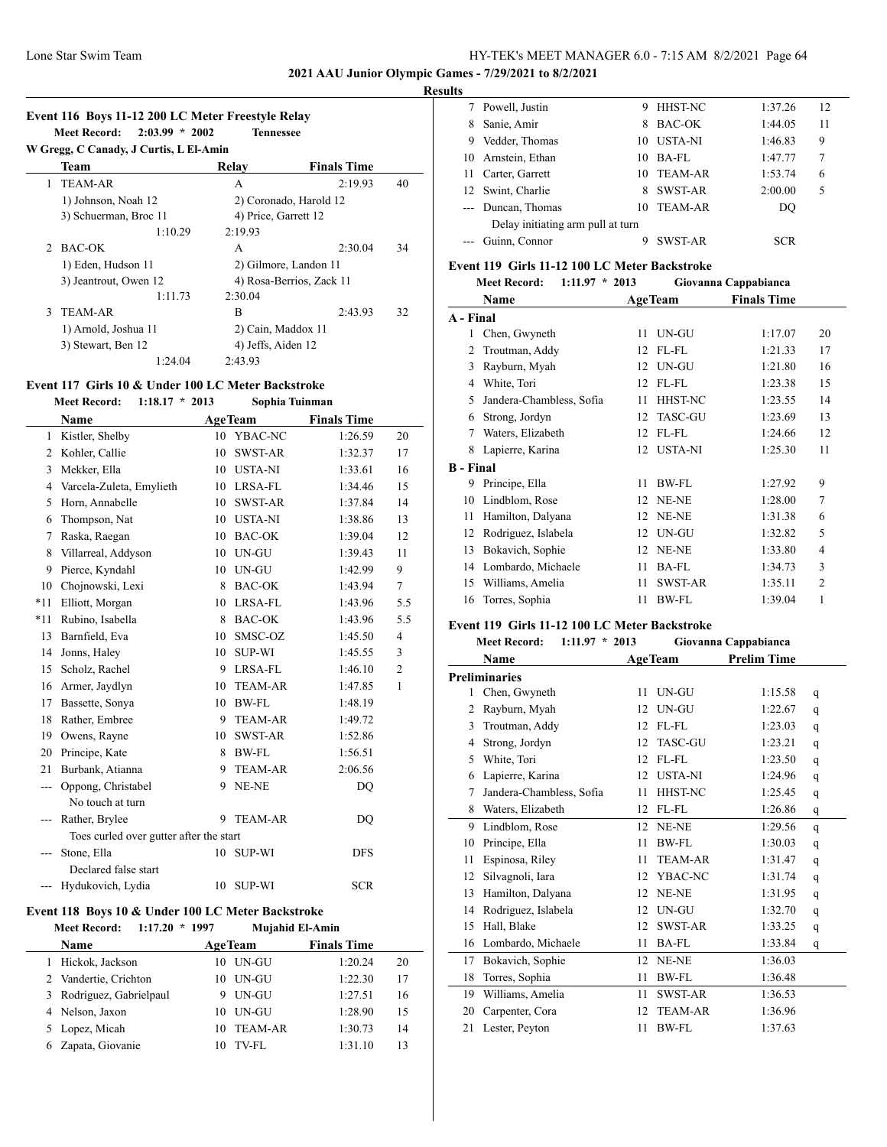$\overline{a}$ 

## Lone Star Swim Team HY-TEK's MEET MANAGER 6.0 - 7:15 AM 8/2/2021 Page 64

#### **2021 AAU Junior Olympic Games - 7/29/2021 to 8/2/2021**

#### **Results**

| W Gregg, C Canady, J Curtis, L El-Amin |                       |                          |                        |    |  |
|----------------------------------------|-----------------------|--------------------------|------------------------|----|--|
|                                        | Team                  | Relay                    | <b>Finals Time</b>     |    |  |
| 1.                                     | <b>TEAM-AR</b>        | A                        | 2:19.93                | 40 |  |
|                                        | 1) Johnson, Noah 12   |                          | 2) Coronado, Harold 12 |    |  |
|                                        | 3) Schuerman, Broc 11 | 4) Price, Garrett 12     |                        |    |  |
|                                        | 1:10.29               | 2:19.93                  |                        |    |  |
| $\mathcal{D}$                          | BAC-OK                | A                        | 2:30.04                | 34 |  |
|                                        | 1) Eden, Hudson 11    |                          | 2) Gilmore, Landon 11  |    |  |
|                                        | 3) Jeantrout, Owen 12 | 4) Rosa-Berrios, Zack 11 |                        |    |  |
|                                        | 1:11.73               | 2:30.04                  |                        |    |  |
| $\mathcal{E}$                          | TEAM-AR               | B                        | 2:43.93                | 32 |  |
|                                        | 1) Arnold, Joshua 11  |                          | 2) Cain, Maddox 11     |    |  |
|                                        | 3) Stewart, Ben 12    | 4) Jeffs, Aiden 12       |                        |    |  |
|                                        | 1:24.04               | 2:43.93                  |                        |    |  |

#### **Event 117 Girls 10 & Under 100 LC Meter Backstroke**

|       | <b>Meet Record:</b><br>$1:18.17 * 2013$ |    | Sophia Tuinman |                    |                |
|-------|-----------------------------------------|----|----------------|--------------------|----------------|
|       | <b>Name</b>                             |    | <b>AgeTeam</b> | <b>Finals Time</b> |                |
| 1     | Kistler, Shelby                         |    | 10 YBAC-NC     | 1:26.59            | 20             |
| 2     | Kohler, Callie                          | 10 | SWST-AR        | 1:32.37            | 17             |
| 3     | Mekker, Ella                            | 10 | <b>USTA-NI</b> | 1:33.61            | 16             |
| 4     | Varcela-Zuleta, Emylieth                | 10 | LRSA-FL        | 1:34.46            | 15             |
| 5     | Horn, Annabelle                         | 10 | SWST-AR        | 1:37.84            | 14             |
| 6     | Thompson, Nat                           | 10 | <b>USTA-NI</b> | 1:38.86            | 13             |
| 7     | Raska, Raegan                           | 10 | <b>BAC-OK</b>  | 1:39.04            | 12             |
| 8     | Villarreal, Addyson                     | 10 | UN-GU          | 1:39.43            | 11             |
| 9     | Pierce, Kyndahl                         | 10 | UN-GU          | 1:42.99            | 9              |
| 10    | Chojnowski, Lexi                        | 8  | <b>BAC-OK</b>  | 1:43.94            | 7              |
| $*11$ | Elliott, Morgan                         | 10 | LRSA-FL        | 1:43.96            | 5.5            |
| $*11$ | Rubino, Isabella                        | 8  | <b>BAC-OK</b>  | 1:43.96            | 5.5            |
| 13    | Barnfield, Eva                          | 10 | SMSC-OZ        | 1:45.50            | $\overline{4}$ |
| 14    | Jonns, Haley                            | 10 | <b>SUP-WI</b>  | 1:45.55            | 3              |
| 15    | Scholz, Rachel                          | 9  | LRSA-FL        | 1:46.10            | $\overline{2}$ |
| 16    | Armer, Jaydlyn                          | 10 | <b>TEAM-AR</b> | 1:47.85            | $\mathbf{1}$   |
| 17    | Bassette, Sonya                         | 10 | <b>BW-FL</b>   | 1:48.19            |                |
| 18    | Rather, Embree                          | 9  | <b>TEAM-AR</b> | 1:49.72            |                |
| 19    | Owens, Rayne                            | 10 | SWST-AR        | 1:52.86            |                |
| 20    | Principe, Kate                          | 8  | <b>BW-FL</b>   | 1:56.51            |                |
| 21    | Burbank, Atianna                        | 9  | <b>TEAM-AR</b> | 2:06.56            |                |
| ---   | Oppong, Christabel                      | 9  | NE-NE          | DO                 |                |
|       | No touch at turn                        |    |                |                    |                |
| ---   | Rather, Brylee                          | 9  | <b>TEAM-AR</b> | DQ                 |                |
|       | Toes curled over gutter after the start |    |                |                    |                |
| $---$ | Stone, Ella                             | 10 | <b>SUP-WI</b>  | <b>DFS</b>         |                |
|       | Declared false start                    |    |                |                    |                |
|       | Hydukovich, Lydia                       | 10 | <b>SUP-WI</b>  | <b>SCR</b>         |                |
|       |                                         |    |                |                    |                |

# **Event 118 Boys 10 & Under 100 LC Meter Backstroke**<br>Meet Record: 1:17.20 \* 1997 Muiahid El-Ami

|    | <b>Meet Record:</b>    | $1:17.20 * 1997$ |    | Mujahid El-Amin |                    |    |
|----|------------------------|------------------|----|-----------------|--------------------|----|
|    | <b>Name</b>            |                  |    | <b>AgeTeam</b>  | <b>Finals Time</b> |    |
|    | Hickok, Jackson        |                  | 10 | UN-GU           | 1:20.24            | 20 |
|    | 2 Vandertie, Crichton  |                  | 10 | UN-GU           | 1:22.30            | 17 |
| 3. | Rodriguez, Gabrielpaul |                  | 9  | UN-GU           | 1:27.51            | 16 |
|    | 4 Nelson, Jaxon        |                  | 10 | <b>UN-GU</b>    | 1:28.90            | 15 |
|    | 5 Lopez, Micah         |                  |    | 10 TEAM-AR      | 1:30.73            | 14 |
|    | Zapata, Giovanie       |                  | 10 | TV-FL           | 1:31.10            | 13 |

|       | 7 Powell, Justin                  | 9  | <b>HHST-NC</b> | 1:37.26 | 12 |
|-------|-----------------------------------|----|----------------|---------|----|
| 8     | Sanie, Amir                       | 8  | BAC-OK         | 1:44.05 | 11 |
| 9     | Vedder, Thomas                    | 10 | USTA-NI        | 1:46.83 | 9  |
|       | 10 Arnstein, Ethan                | 10 | BA-FL          | 1:47.77 | 7  |
| 11    | Carter, Garrett                   | 10 | TEAM-AR        | 1:53.74 | 6  |
|       | 12 Swint, Charlie                 | 8  | SWST-AR        | 2:00.00 | 5  |
|       | --- Duncan, Thomas                | 10 | <b>TEAM-AR</b> | DO      |    |
|       | Delay initiating arm pull at turn |    |                |         |    |
| $---$ | Guinn. Connor                     |    | SWST-AR        | SCR     |    |

#### **Event 119 Girls 11-12 100 LC Meter Backstroke**

|                | Meet Record: 1:11.97 * 2013 |    |                | Giovanna Cappabianca |                |
|----------------|-----------------------------|----|----------------|----------------------|----------------|
|                | Name                        |    | <b>AgeTeam</b> | <b>Finals Time</b>   |                |
| A - Final      |                             |    |                |                      |                |
| 1              | Chen, Gwyneth               | 11 | UN-GU          | 1:17.07              | 20             |
| $\overline{c}$ | Troutman, Addy              | 12 | FL-FL          | 1:21.33              | 17             |
| 3              | Rayburn, Myah               | 12 | UN-GU          | 1:21.80              | 16             |
| 4              | White, Tori                 | 12 | FL-FL          | 1:23.38              | 15             |
| 5              | Jandera-Chambless, Sofia    | 11 | HHST-NC        | 1:23.55              | 14             |
| 6              | Strong, Jordyn              | 12 | <b>TASC-GU</b> | 1:23.69              | 13             |
| 7              | Waters, Elizabeth           | 12 | FL-FL          | 1:24.66              | 12             |
| 8              | Lapierre, Karina            | 12 | <b>USTA-NI</b> | 1:25.30              | 11             |
| B - Final      |                             |    |                |                      |                |
| 9              | Principe, Ella              | 11 | BW-FL          | 1:27.92              | 9              |
| 10             | Lindblom, Rose              | 12 | NE-NE          | 1:28.00              | 7              |
| 11             | Hamilton, Dalyana           | 12 | NE-NE          | 1:31.38              | 6              |
| 12             | Rodriguez, Islabela         | 12 | UN-GU          | 1:32.82              | 5              |
| 13             | Bokavich, Sophie            | 12 | NE-NE          | 1:33.80              | $\overline{4}$ |
| 14             | Lombardo, Michaele          | 11 | BA-FL          | 1:34.73              | 3              |
| 15             | Williams, Amelia            | 11 | SWST-AR        | 1:35.11              | $\overline{2}$ |
| 16             | Torres, Sophia              | 11 | <b>BW-FL</b>   | 1:39.04              | 1              |

#### **Event 119 Girls 11-12 100 LC Meter Backstroke**

|                | <b>Meet Record:</b><br>$1:11.97 * 2013$ |    |                | Giovanna Cappabianca |              |
|----------------|-----------------------------------------|----|----------------|----------------------|--------------|
|                | Name                                    |    | <b>AgeTeam</b> | <b>Prelim Time</b>   |              |
|                | <b>Preliminaries</b>                    |    |                |                      |              |
| 1              | Chen, Gwyneth                           | 11 | UN-GU          | 1:15.58              | q            |
| $\overline{c}$ | Rayburn, Myah                           | 12 | UN-GU          | 1:22.67              | q            |
| 3              | Troutman, Addy                          | 12 | FL-FL          | 1:23.03              | q            |
| 4              | Strong, Jordyn                          | 12 | <b>TASC-GU</b> | 1:23.21              | q            |
| 5              | White, Tori                             | 12 | FL-FL          | 1:23.50              | q            |
| 6              | Lapierre, Karina                        | 12 | <b>USTA-NI</b> | 1:24.96              | q            |
| 7              | Jandera-Chambless, Sofia                | 11 | <b>HHST-NC</b> | 1:25.45              | q            |
| 8              | Waters, Elizabeth                       | 12 | FL-FL          | 1:26.86              | q            |
| 9              | Lindblom, Rose                          | 12 | NE-NE          | 1:29.56              | $\mathsf{q}$ |
| 10             | Principe, Ella                          | 11 | <b>BW-FL</b>   | 1:30.03              | q            |
| 11             | Espinosa, Riley                         | 11 | <b>TEAM-AR</b> | 1:31.47              | q            |
| 12             | Silvagnoli, Iara                        | 12 | YBAC-NC        | 1:31.74              | q            |
| 13             | Hamilton, Dalyana                       | 12 | NE-NE          | 1:31.95              | q            |
| 14             | Rodriguez, Islabela                     | 12 | UN-GU          | 1:32.70              | q            |
| 15             | Hall, Blake                             | 12 | <b>SWST-AR</b> | 1:33.25              | q            |
| 16             | Lombardo, Michaele                      | 11 | <b>BA-FL</b>   | 1:33.84              | q            |
| 17             | Bokavich, Sophie                        | 12 | NE-NE          | 1:36.03              |              |
| 18             | Torres, Sophia                          | 11 | <b>BW-FL</b>   | 1:36.48              |              |
| 19             | Williams, Amelia                        | 11 | SWST-AR        | 1:36.53              |              |
| 20             | Carpenter, Cora                         | 12 | <b>TEAM-AR</b> | 1:36.96              |              |
| 21             | Lester, Peyton                          | 11 | <b>BW-FL</b>   | 1:37.63              |              |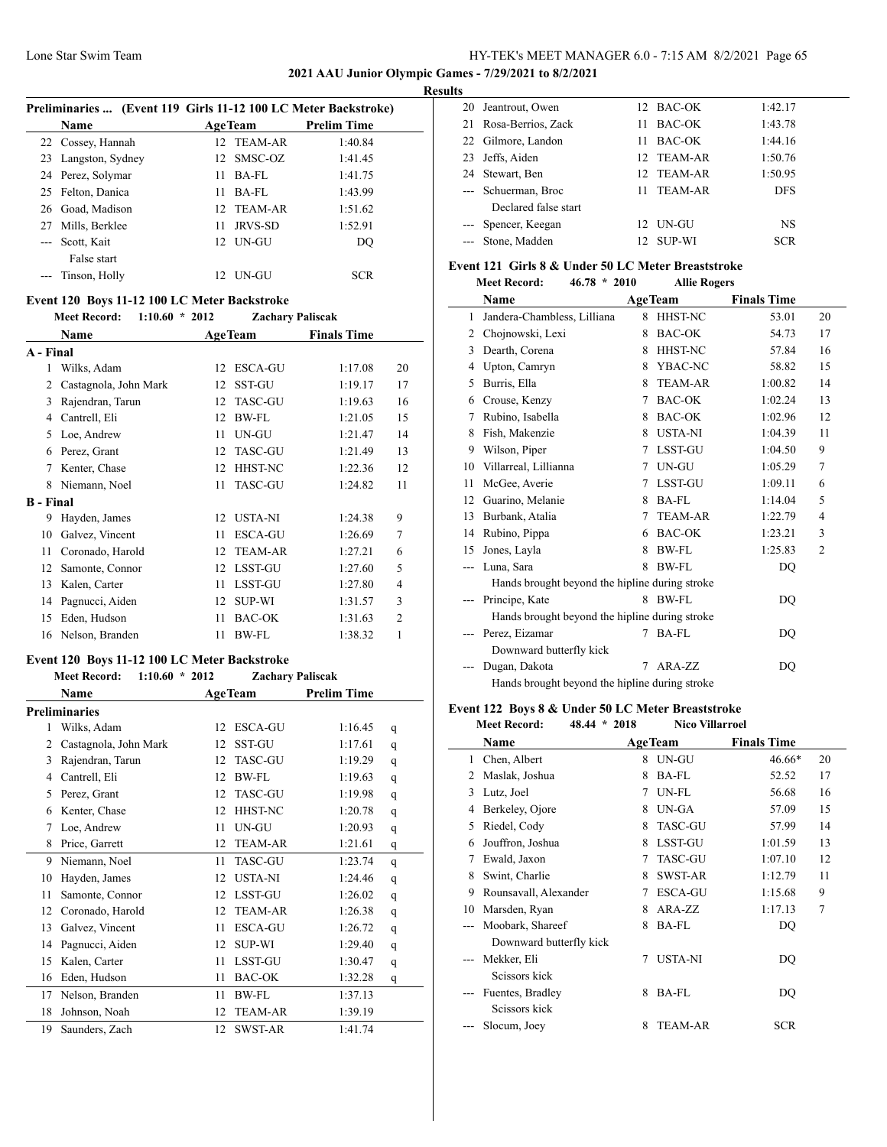#### **2021 AAU Junior Olympic Games - 7/29/2021 to 8/2/2021**

 $\overline{a}$ 

## **Results**

|       | Preliminaries  (Event 119 Girls 11-12 100 LC Meter Backstroke) |     |                |                    |  |  |
|-------|----------------------------------------------------------------|-----|----------------|--------------------|--|--|
|       | Name                                                           |     | <b>AgeTeam</b> | <b>Prelim Time</b> |  |  |
|       | 22 Cossey, Hannah                                              |     | 12 TEAM-AR     | 1:40.84            |  |  |
|       | 23 Langston, Sydney                                            |     | 12 SMSC-OZ     | 1:41.45            |  |  |
|       | 24 Perez, Solymar                                              | 11  | BA-FL          | 1:41.75            |  |  |
|       | 25 Felton, Danica                                              | 11  | BA-FL          | 1:43.99            |  |  |
|       | 26 Goad, Madison                                               |     | 12 TEAM-AR     | 1:51.62            |  |  |
| 27    | Mills, Berklee                                                 | 11  | JRVS-SD        | 1:52.91            |  |  |
| $---$ | Scott, Kait                                                    | 12. | UN-GU          | DO                 |  |  |
|       | False start                                                    |     |                |                    |  |  |
|       | Tinson, Holly                                                  | 12. | UN-GU          | <b>SCR</b>         |  |  |

#### **Event 120 Boys 11-12 100 LC Meter Backstroke**

|                  | 1:10.60<br><b>Meet Record:</b> | $*2012$ | Zachary Paliscak |                    |                |
|------------------|--------------------------------|---------|------------------|--------------------|----------------|
|                  | Name                           |         | <b>AgeTeam</b>   | <b>Finals Time</b> |                |
| A - Final        |                                |         |                  |                    |                |
| 1                | Wilks, Adam                    | 12      | <b>ESCA-GU</b>   | 1:17.08            | 20             |
| 2                | Castagnola, John Mark          | 12      | <b>SST-GU</b>    | 1:19.17            | 17             |
| 3                | Rajendran, Tarun               | 12      | <b>TASC-GU</b>   | 1:19.63            | 16             |
| 4                | Cantrell, Eli                  | 12      | <b>BW-FL</b>     | 1:21.05            | 15             |
| 5                | Loe, Andrew                    | 11      | UN-GU            | 1:21.47            | 14             |
| 6                | Perez, Grant                   | 12      | <b>TASC-GU</b>   | 1:21.49            | 13             |
| 7                | Kenter, Chase                  | 12      | <b>HHST-NC</b>   | 1:22.36            | 12             |
| 8                | Niemann, Noel                  | 11      | <b>TASC-GU</b>   | 1:24.82            | 11             |
| <b>B</b> - Final |                                |         |                  |                    |                |
| 9                | Hayden, James                  | 12      | <b>USTA-NI</b>   | 1:24.38            | 9              |
| 10               | Galvez, Vincent                | 11      | <b>ESCA-GU</b>   | 1:26.69            | 7              |
| 11               | Coronado, Harold               | 12      | <b>TEAM-AR</b>   | 1:27.21            | 6              |
| 12               | Samonte, Connor                | 12      | <b>LSST-GU</b>   | 1:27.60            | 5              |
| 13               | Kalen, Carter                  | 11      | <b>LSST-GU</b>   | 1:27.80            | 4              |
| 14               | Pagnucci, Aiden                | 12      | <b>SUP-WI</b>    | 1:31.57            | 3              |
| 15               | Eden, Hudson                   | 11      | <b>BAC-OK</b>    | 1:31.63            | $\overline{2}$ |
| 16               | Nelson, Branden                | 11      | <b>BW-FL</b>     | 1:38.32            | 1              |
|                  |                                |         |                  |                    |                |

#### **Event 120 Boys 11-12 100 LC Meter Backstroke Meet Record: 1:10.60 \* 2012 Zachary Paliscak**

|    | Meet Record:<br>$1:10.60$ $*$ 2012 |    | Zachary Paliscak |                    |   |
|----|------------------------------------|----|------------------|--------------------|---|
|    | Name                               |    | <b>AgeTeam</b>   | <b>Prelim Time</b> |   |
|    | <b>Preliminaries</b>               |    |                  |                    |   |
| 1  | Wilks, Adam                        | 12 | <b>ESCA-GU</b>   | 1:16.45            | q |
| 2  | Castagnola, John Mark              | 12 | <b>SST-GU</b>    | 1:17.61            | q |
| 3  | Rajendran, Tarun                   | 12 | <b>TASC-GU</b>   | 1:19.29            | q |
| 4  | Cantrell, Eli                      | 12 | <b>BW-FL</b>     | 1:19.63            | q |
| 5  | Perez, Grant                       | 12 | <b>TASC-GU</b>   | 1:19.98            | q |
| 6  | Kenter, Chase                      | 12 | HHST-NC          | 1:20.78            | q |
| 7  | Loe, Andrew                        | 11 | UN-GU            | 1:20.93            | q |
| 8  | Price, Garrett                     | 12 | <b>TEAM-AR</b>   | 1:21.61            | q |
| 9  | Niemann, Noel                      | 11 | <b>TASC-GU</b>   | 1:23.74            | q |
| 10 | Hayden, James                      | 12 | <b>USTA-NI</b>   | 1:24.46            | q |
| 11 | Samonte, Connor                    | 12 | <b>LSST-GU</b>   | 1:26.02            | q |
| 12 | Coronado, Harold                   | 12 | <b>TEAM-AR</b>   | 1:26.38            | q |
| 13 | Galvez, Vincent                    | 11 | <b>ESCA-GU</b>   | 1:26.72            | q |
| 14 | Pagnucci, Aiden                    | 12 | <b>SUP-WI</b>    | 1:29.40            | q |
| 15 | Kalen, Carter                      | 11 | LSST-GU          | 1:30.47            | q |
| 16 | Eden, Hudson                       | 11 | <b>BAC-OK</b>    | 1:32.28            | q |
| 17 | Nelson, Branden                    | 11 | <b>BW-FL</b>     | 1:37.13            |   |
| 18 | Johnson, Noah                      | 12 | <b>TEAM-AR</b>   | 1:39.19            |   |
| 19 | Saunders, Zach                     | 12 | <b>SWST-AR</b>   | 1:41.74            |   |
|    |                                    |    |                  |                    |   |

|    | 20 Jeantrout, Owen    |                  | 12 BAC-OK     | 1:42.17    |
|----|-----------------------|------------------|---------------|------------|
|    | 21 Rosa-Berrios, Zack | 11               | BAC-OK        | 1:43.78    |
|    | 22 Gilmore, Landon    | 11               | BAC-OK        | 1:44.16    |
| 23 | Jeffs, Aiden          |                  | 12 TEAM-AR    | 1:50.76    |
|    | 24 Stewart, Ben       |                  | 12 TEAM-AR    | 1:50.95    |
|    | --- Schuerman, Broc   | 11.              | TEAM-AR       | <b>DFS</b> |
|    | Declared false start  |                  |               |            |
|    | --- Spencer, Keegan   | 12.              | UN-GU         | <b>NS</b>  |
|    | --- Stone, Madden     | 12 <sup>12</sup> | <b>SUP-WI</b> | <b>SCR</b> |

#### **Event 121 Girls 8 & Under 50 LC Meter Breaststroke**

|    | <b>Meet Record:</b>                            | $46.78 * 2010$ | <b>Allie Rogers</b> |                    |                |
|----|------------------------------------------------|----------------|---------------------|--------------------|----------------|
|    | Name                                           |                | <b>AgeTeam</b>      | <b>Finals Time</b> |                |
| 1  | Jandera-Chambless, Lilliana                    | 8              | HHST-NC             | 53.01              | 20             |
| 2  | Chojnowski, Lexi                               | 8              | BAC-OK              | 54.73              | 17             |
| 3  | Dearth, Corena                                 | 8              | HHST-NC             | 57.84              | 16             |
| 4  | Upton, Camryn                                  | 8              | YBAC-NC             | 58.82              | 15             |
| 5  | Burris, Ella                                   | 8              | <b>TEAM-AR</b>      | 1:00.82            | 14             |
| 6  | Crouse, Kenzy                                  | 7              | <b>BAC-OK</b>       | 1:02.24            | 13             |
| 7  | Rubino, Isabella                               | 8              | BAC-OK              | 1:02.96            | 12             |
| 8  | Fish, Makenzie                                 | 8              | <b>USTA-NI</b>      | 1:04.39            | 11             |
| 9  | Wilson, Piper                                  | 7              | LSST-GU             | 1:04.50            | 9              |
| 10 | Villarreal, Lillianna                          | 7              | UN-GU               | 1:05.29            | 7              |
| 11 | McGee, Averie                                  | 7              | LSST-GU             | 1:09.11            | 6              |
| 12 | Guarino, Melanie                               | 8              | <b>BA-FL</b>        | 1:14.04            | 5              |
| 13 | Burbank, Atalia                                | 7              | <b>TEAM-AR</b>      | 1:22.79            | 4              |
| 14 | Rubino, Pippa                                  | 6              | <b>BAC-OK</b>       | 1:23.21            | 3              |
| 15 | Jones, Layla                                   | 8              | <b>BW-FL</b>        | 1:25.83            | $\overline{2}$ |
|    | Luna, Sara                                     | 8              | <b>BW-FL</b>        | DO                 |                |
|    | Hands brought beyond the hipline during stroke |                |                     |                    |                |
|    | Principe, Kate                                 | 8              | <b>BW-FL</b>        | DQ                 |                |
|    | Hands brought beyond the hipline during stroke |                |                     |                    |                |
|    | Perez, Eizamar                                 | 7              | <b>BA-FL</b>        | DO                 |                |
|    | Downward butterfly kick                        |                |                     |                    |                |
|    | Dugan, Dakota                                  | 7              | $ARA-ZZ$            | DQ                 |                |
|    | Hands brought beyond the hipline during stroke |                |                     |                    |                |

## **Event 122 Boys 8 & Under 50 LC Meter Breaststroke**

| <b>Meet Record:</b> | $48.44 * 2018$ | <b>Nico Villarroel</b> |
|---------------------|----------------|------------------------|
|                     |                |                        |

|    | Name                    |   | <b>AgeTeam</b> | <b>Finals Time</b> |    |
|----|-------------------------|---|----------------|--------------------|----|
| 1  | Chen, Albert            |   | 8 UN-GU        | $46.66*$           | 20 |
| 2  | Maslak, Joshua          | 8 | <b>BA-FL</b>   | 52.52              | 17 |
| 3  | Lutz, Joel              | 7 | UN-FL          | 56.68              | 16 |
| 4  | Berkeley, Ojore         | 8 | UN-GA          | 57.09              | 15 |
| 5  | Riedel, Cody            | 8 | <b>TASC-GU</b> | 57.99              | 14 |
| 6  | Jouffron, Joshua        | 8 | <b>LSST-GU</b> | 1:01.59            | 13 |
| 7  | Ewald, Jaxon            | 7 | <b>TASC-GU</b> | 1:07.10            | 12 |
| 8  | Swint, Charlie          | 8 | <b>SWST-AR</b> | 1:12.79            | 11 |
| 9  | Rounsavall, Alexander   | 7 | <b>ESCA-GU</b> | 1:15.68            | 9  |
| 10 | Marsden, Ryan           | 8 | ARA-ZZ         | 1:17.13            | 7  |
|    | Moobark, Shareef        | 8 | BA-FL          | DQ                 |    |
|    | Downward butterfly kick |   |                |                    |    |
|    | Mekker, Eli             | 7 | <b>USTA-NI</b> | DQ                 |    |
|    | Scissors kick           |   |                |                    |    |
|    | Fuentes, Bradley        | 8 | BA-FL          | DQ                 |    |
|    | Scissors kick           |   |                |                    |    |
|    | Slocum, Joey            | 8 | <b>TEAM-AR</b> | <b>SCR</b>         |    |
|    |                         |   |                |                    |    |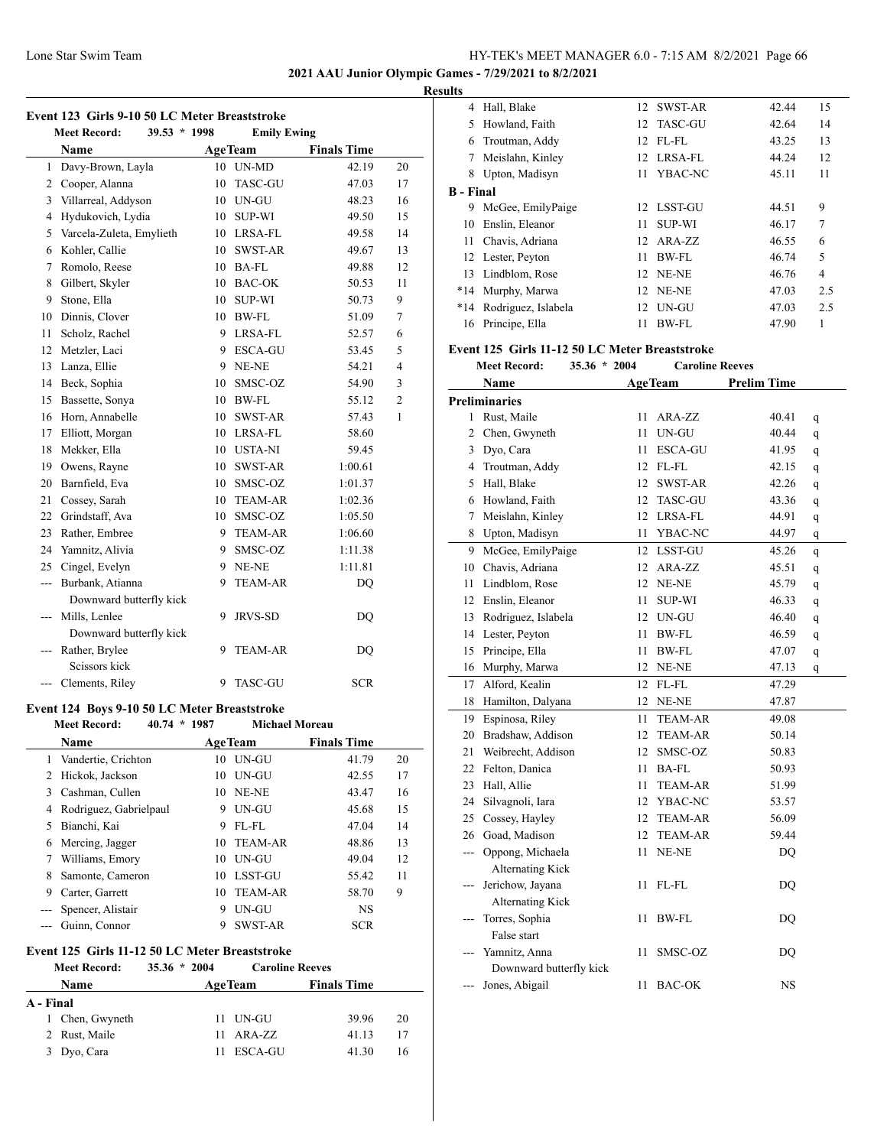**2021 AAU Junior Olympic Games - 7/29/2021 to 8/2/2021**

## **Results**

|     | <b>Meet Record:</b><br>$39.53 * 1998$ |  |    | <b>Emily Ewing</b> |                    |                |
|-----|---------------------------------------|--|----|--------------------|--------------------|----------------|
|     | Name                                  |  |    | <b>AgeTeam</b>     | <b>Finals Time</b> |                |
| 1   | Davy-Brown, Layla                     |  | 10 | UN-MD              | 42.19              | 20             |
| 2   | Cooper, Alanna                        |  | 10 | <b>TASC-GU</b>     | 47.03              | 17             |
| 3   | Villarreal, Addyson                   |  | 10 | UN-GU              | 48.23              | 16             |
| 4   | Hydukovich, Lydia                     |  | 10 | <b>SUP-WI</b>      | 49.50              | 15             |
| 5   | Varcela-Zuleta, Emylieth              |  | 10 | LRSA-FL            | 49.58              | 14             |
| 6   | Kohler, Callie                        |  | 10 | <b>SWST-AR</b>     | 49.67              | 13             |
| 7   | Romolo, Reese                         |  | 10 | <b>BA-FL</b>       | 49.88              | 12             |
| 8   | Gilbert, Skyler                       |  | 10 | <b>BAC-OK</b>      | 50.53              | 11             |
| 9   | Stone, Ella                           |  | 10 | <b>SUP-WI</b>      | 50.73              | 9              |
| 10  | Dinnis, Clover                        |  | 10 | <b>BW-FL</b>       | 51.09              | 7              |
| 11  | Scholz, Rachel                        |  | 9  | LRSA-FL            | 52.57              | 6              |
| 12  | Metzler, Laci                         |  | 9  | <b>ESCA-GU</b>     | 53.45              | 5              |
| 13  | Lanza, Ellie                          |  | 9  | NE-NE              | 54.21              | 4              |
| 14  | Beck, Sophia                          |  | 10 | SMSC-OZ            | 54.90              | 3              |
| 15  | Bassette, Sonya                       |  | 10 | <b>BW-FL</b>       | 55.12              | $\overline{c}$ |
| 16  | Horn, Annabelle                       |  | 10 | <b>SWST-AR</b>     | 57.43              | $\mathbf{1}$   |
| 17  | Elliott, Morgan                       |  | 10 | LRSA-FL            | 58.60              |                |
| 18  | Mekker, Ella                          |  | 10 | <b>USTA-NI</b>     | 59.45              |                |
| 19  | Owens, Rayne                          |  | 10 | SWST-AR            | 1:00.61            |                |
| 20  | Barnfield, Eva                        |  | 10 | SMSC-OZ            | 1:01.37            |                |
| 21  | Cossey, Sarah                         |  | 10 | <b>TEAM-AR</b>     | 1:02.36            |                |
| 22  | Grindstaff, Ava                       |  | 10 | SMSC-OZ            | 1:05.50            |                |
| 23  | Rather, Embree                        |  | 9  | <b>TEAM-AR</b>     | 1:06.60            |                |
| 24  | Yamnitz, Alivia                       |  | 9  | SMSC-OZ            | 1:11.38            |                |
| 25  | Cingel, Evelyn                        |  | 9  | NE-NE              | 1:11.81            |                |
| --- | Burbank, Atianna                      |  | 9  | <b>TEAM-AR</b>     | <b>DQ</b>          |                |
|     | Downward butterfly kick               |  |    |                    |                    |                |
| --- | Mills, Lenlee                         |  | 9  | <b>JRVS-SD</b>     | DQ                 |                |
|     | Downward butterfly kick               |  |    |                    |                    |                |
| --- | Rather, Brylee                        |  | 9  | <b>TEAM-AR</b>     | <b>DQ</b>          |                |
|     | Seissors kick                         |  |    |                    |                    |                |
|     | Clements, Riley                       |  | 9  | <b>TASC-GU</b>     | <b>SCR</b>         |                |

# **Event 124 Boys 9-10 50 LC Meter Breaststroke**

|   | $40.74 * 1987$<br><b>Meet Record:</b> |     | <b>Michael Moreau</b> |                    |    |
|---|---------------------------------------|-----|-----------------------|--------------------|----|
|   | <b>Name</b>                           |     | <b>AgeTeam</b>        | <b>Finals Time</b> |    |
|   | Vandertie, Crichton                   | 10  | UN-GU                 | 41.79              | 20 |
| 2 | Hickok, Jackson                       |     | $10$ IN-GU            | 42.55              | 17 |
| 3 | Cashman, Cullen                       |     | 10 NE-NE              | 43.47              | 16 |
| 4 | Rodriguez, Gabrielpaul                | 9   | UN-GU                 | 45.68              | 15 |
| 5 | Bianchi, Kai                          | 9   | $FL$ - $FL$           | 47.04              | 14 |
| 6 | Mercing, Jagger                       | 10  | <b>TEAM-AR</b>        | 48.86              | 13 |
| 7 | Williams, Emory                       | 10  | UN-GU                 | 49.04              | 12 |
| 8 | Samonte, Cameron                      | 10  | LSST-GU               | 55.42              | 11 |
| 9 | Carter, Garrett                       | 10. | TEAM-AR               | 58.70              | 9  |
|   | Spencer, Alistair                     | 9   | UN-GU                 | <b>NS</b>          |    |
|   | Guinn, Connor                         | 9   | <b>SWST-AR</b>        | <b>SCR</b>         |    |

# **Event 125 Girls 11-12 50 LC Meter Breaststroke**

|             | $35.36 * 2004$                                                                      |                                                         |                        |
|-------------|-------------------------------------------------------------------------------------|---------------------------------------------------------|------------------------|
| <b>Name</b> |                                                                                     | <b>Finals Time</b>                                      |                        |
|             |                                                                                     |                                                         |                        |
|             |                                                                                     | 39.96                                                   | 20                     |
|             |                                                                                     | 41.13                                                   | 17                     |
|             |                                                                                     | 41 30                                                   | 16                     |
|             | <b>Meet Record:</b><br>A - Final<br>1 Chen, Gwyneth<br>2 Rust, Maile<br>3 Dyo, Cara | <b>AgeTeam</b><br>11 UN-GU<br>$11$ ARA-ZZ<br>11 ESCA-GU | <b>Caroline Reeves</b> |

| .         |                     |    |                 |       |                |
|-----------|---------------------|----|-----------------|-------|----------------|
| 4         | Hall, Blake         |    | 12 SWST-AR      | 42.44 | 15             |
| 5         | Howland, Faith      |    | 12 TASC-GU      | 42.64 | 14             |
| 6         | Troutman, Addy      | 12 | FL-FL           | 43.25 | 13             |
| 7         | Meislahn, Kinley    |    | 12 LRSA-FL      | 44.24 | 12             |
| 8         | Upton, Madisyn      | 11 | YBAC-NC         | 45.11 | 11             |
| B - Final |                     |    |                 |       |                |
| 9         | McGee, EmilyPaige   |    | 12 LSST-GU      | 44.51 | 9              |
| 10        | Enslin, Eleanor     | 11 | <b>SUP-WI</b>   | 46.17 | $\overline{7}$ |
| 11        | Chavis, Adriana     |    | 12 ARA-ZZ       | 46.55 | 6              |
|           | 12 Lester, Peyton   | 11 | BW-FL           | 46.74 | 5              |
| 13        | Lindblom, Rose      |    | <b>12 NE-NE</b> | 46.76 | $\overline{4}$ |
| $*14$     | Murphy, Marwa       | 12 | NE-NE           | 47.03 | 2.5            |
| $*14$     | Rodriguez, Islabela |    | 12 UN-GU        | 47.03 | 2.5            |
| 16        | Principe, Ella      | 11 | BW-FL           | 47.90 | 1              |

#### **Event 125 Girls 11-12 50 LC Meter Breaststroke**

|       | <b>Meet Record:</b>     | 35.36 * 2004 |    | <b>Caroline Reeves</b>               |                    |             |
|-------|-------------------------|--------------|----|--------------------------------------|--------------------|-------------|
|       | Name                    |              |    | <b>AgeTeam</b>                       | <b>Prelim Time</b> |             |
|       | <b>Preliminaries</b>    |              |    |                                      |                    |             |
| 1     | Rust, Maile             |              | 11 | ARA-ZZ                               | 40.41              | q           |
| 2     | Chen, Gwyneth           |              | 11 | $\ensuremath{\mathrm{UN\text{-}GU}}$ | 40.44              | q           |
|       | 3 Dyo, Cara             |              | 11 | <b>ESCA-GU</b>                       | 41.95              | q           |
|       | 4 Troutman, Addy        |              | 12 | FL-FL                                | 42.15              | q           |
| 5     | Hall, Blake             |              | 12 | SWST-AR                              | 42.26              | q           |
|       | 6 Howland, Faith        |              | 12 | <b>TASC-GU</b>                       | 43.36              | q           |
| 7     | Meislahn, Kinley        |              | 12 | LRSA-FL                              | 44.91              | q           |
| 8     | Upton, Madisyn          |              | 11 | YBAC-NC                              | 44.97              | q           |
| 9     | McGee, EmilyPaige       |              | 12 | <b>LSST-GU</b>                       | 45.26              | $\mathbf q$ |
|       | 10 Chavis, Adriana      |              | 12 | ARA-ZZ                               | 45.51              | q           |
| 11    | Lindblom, Rose          |              | 12 | NE-NE                                | 45.79              | q           |
|       | 12 Enslin, Eleanor      |              | 11 | <b>SUP-WI</b>                        | 46.33              | q           |
|       | 13 Rodriguez, Islabela  |              | 12 | UN-GU                                | 46.40              | q           |
|       | 14 Lester, Peyton       |              | 11 | BW-FL                                | 46.59              | q           |
| 15    | Principe, Ella          |              | 11 | BW-FL                                | 47.07              | q           |
| 16    | Murphy, Marwa           |              | 12 | NE-NE                                | 47.13              | q           |
| 17    | Alford, Kealin          |              | 12 | $FL$ - $FL$                          | 47.29              |             |
| 18    | Hamilton, Dalyana       |              | 12 | NE-NE                                | 47.87              |             |
| 19    | Espinosa, Riley         |              | 11 | <b>TEAM-AR</b>                       | 49.08              |             |
|       | 20 Bradshaw, Addison    |              | 12 | <b>TEAM-AR</b>                       | 50.14              |             |
| 21    | Weibrecht, Addison      |              | 12 | SMSC-OZ                              | 50.83              |             |
|       | 22 Felton, Danica       |              | 11 | <b>BA-FL</b>                         | 50.93              |             |
| 23    | Hall, Allie             |              | 11 | <b>TEAM-AR</b>                       | 51.99              |             |
| 24    | Silvagnoli, Iara        |              | 12 | YBAC-NC                              | 53.57              |             |
| 25    | Cossey, Hayley          |              | 12 | <b>TEAM-AR</b>                       | 56.09              |             |
|       | 26 Goad, Madison        |              | 12 | TEAM-AR                              | 59.44              |             |
| ---   | Oppong, Michaela        |              | 11 | NE-NE                                | <b>DQ</b>          |             |
|       | <b>Alternating Kick</b> |              |    |                                      |                    |             |
| ---   | Jerichow, Jayana        |              | 11 | FL-FL                                | DO                 |             |
|       | <b>Alternating Kick</b> |              |    |                                      |                    |             |
| $---$ | Torres, Sophia          |              | 11 | BW-FL                                | DQ                 |             |
|       | False start             |              |    |                                      |                    |             |
| ---   | Yamnitz, Anna           |              | 11 | SMSC-OZ                              | <b>DQ</b>          |             |
|       | Downward butterfly kick |              |    |                                      |                    |             |
|       | Jones, Abigail          |              | 11 | <b>BAC-OK</b>                        | NS                 |             |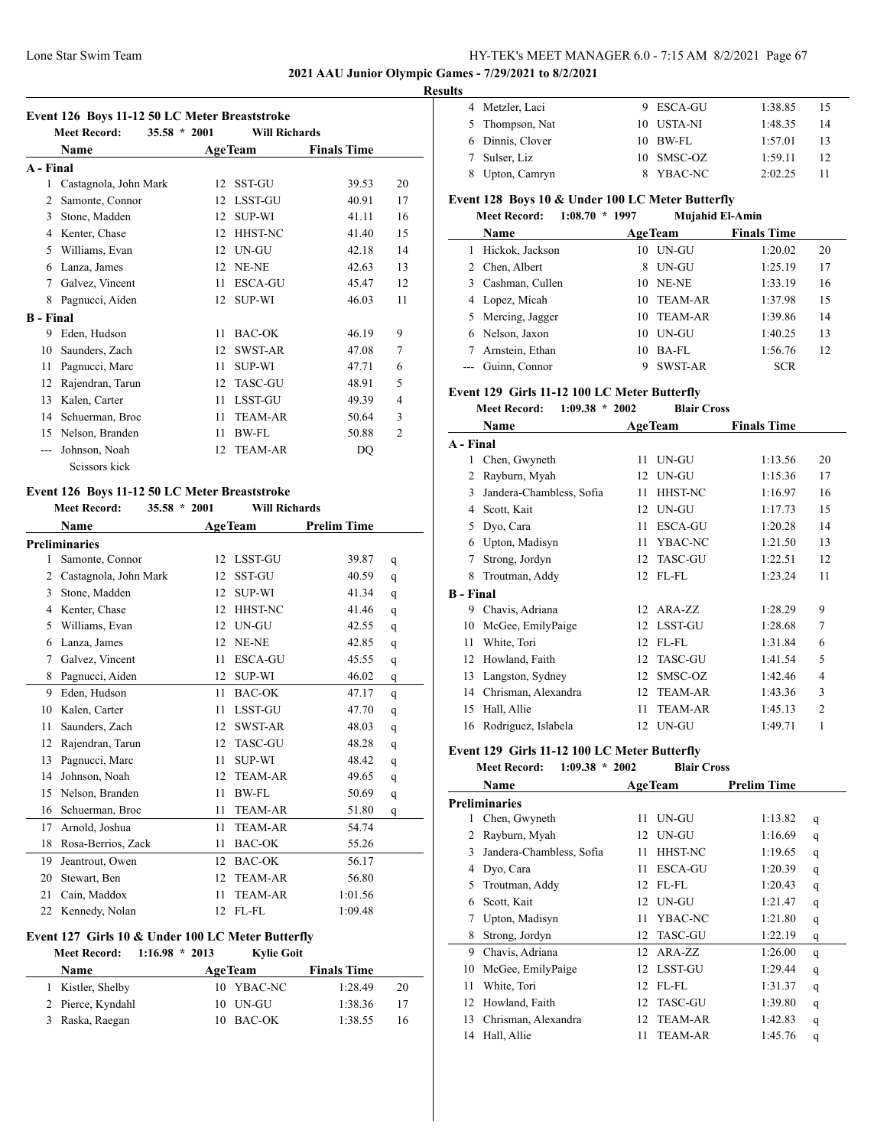#### **2021 AAU Junior Olympic Games - 7/29/2021 to 8/2/2021**

#### **Results**

|  |  |  |  |  | Event 126 Boys 11-12 50 LC Meter Breaststroke |  |
|--|--|--|--|--|-----------------------------------------------|--|
|  |  |  |  |  |                                               |  |

|                  | <b>Meet Record:</b>   | $35.58 * 2001$ |    | <b>Will Richards</b> |                    |                |
|------------------|-----------------------|----------------|----|----------------------|--------------------|----------------|
|                  | Name                  |                |    | <b>AgeTeam</b>       | <b>Finals Time</b> |                |
| A - Final        |                       |                |    |                      |                    |                |
| 1                | Castagnola, John Mark |                | 12 | <b>SST-GU</b>        | 39.53              | 20             |
| 2                | Samonte, Connor       |                | 12 | <b>LSST-GU</b>       | 40.91              | 17             |
| 3                | Stone, Madden         |                | 12 | <b>SUP-WI</b>        | 41.11              | 16             |
| 4                | Kenter, Chase         |                | 12 | <b>HHST-NC</b>       | 41.40              | 15             |
| 5                | Williams, Evan        |                | 12 | UN-GU                | 42.18              | 14             |
| 6                | Lanza, James          |                | 12 | NE-NE                | 42.63              | 13             |
| 7                | Galvez, Vincent       |                | 11 | <b>ESCA-GU</b>       | 45.47              | 12             |
| 8                | Pagnucci, Aiden       |                | 12 | <b>SUP-WI</b>        | 46.03              | 11             |
| <b>B</b> - Final |                       |                |    |                      |                    |                |
| 9                | Eden, Hudson          |                | 11 | <b>BAC-OK</b>        | 46.19              | 9              |
| 10               | Saunders, Zach        |                | 12 | <b>SWST-AR</b>       | 47.08              | 7              |
| 11               | Pagnucci, Marc        |                | 11 | <b>SUP-WI</b>        | 47.71              | 6              |
| 12               | Rajendran, Tarun      |                | 12 | <b>TASC-GU</b>       | 48.91              | 5              |
| 13               | Kalen, Carter         |                | 11 | <b>LSST-GU</b>       | 49.39              | 4              |
| 14               | Schuerman, Broc       |                | 11 | <b>TEAM-AR</b>       | 50.64              | 3              |
| 15               | Nelson, Branden       |                | 11 | <b>BW-FL</b>         | 50.88              | $\overline{2}$ |
|                  | Johnson, Noah         |                | 12 | <b>TEAM-AR</b>       | DQ                 |                |
|                  | Seissors kick         |                |    |                      |                    |                |

#### **Event 126 Boys 11-12 50 LC Meter Breaststroke**

|    | <b>Meet Record:</b>   | $35.58 * 2001$ |    | <b>Will Richards</b> |                    |   |
|----|-----------------------|----------------|----|----------------------|--------------------|---|
|    | Name                  |                |    | <b>AgeTeam</b>       | <b>Prelim Time</b> |   |
|    | <b>Preliminaries</b>  |                |    |                      |                    |   |
| 1  | Samonte, Connor       |                | 12 | <b>LSST-GU</b>       | 39.87              | q |
| 2  | Castagnola, John Mark |                | 12 | <b>SST-GU</b>        | 40.59              | q |
| 3  | Stone, Madden         |                | 12 | <b>SUP-WI</b>        | 41.34              | q |
| 4  | Kenter, Chase         |                | 12 | HHST-NC              | 41.46              | q |
| 5  | Williams, Evan        |                | 12 | UN-GU                | 42.55              | q |
| 6  | Lanza, James          |                | 12 | NE-NE                | 42.85              | q |
| 7  | Galvez, Vincent       |                | 11 | <b>ESCA-GU</b>       | 45.55              | q |
| 8  | Pagnucci, Aiden       |                | 12 | <b>SUP-WI</b>        | 46.02              | q |
| 9  | Eden, Hudson          |                | 11 | BAC-OK               | 47.17              | q |
| 10 | Kalen, Carter         |                | 11 | <b>LSST-GU</b>       | 47.70              | q |
| 11 | Saunders, Zach        |                | 12 | <b>SWST-AR</b>       | 48.03              | q |
| 12 | Rajendran, Tarun      |                | 12 | <b>TASC-GU</b>       | 48.28              | q |
| 13 | Pagnucci, Marc        |                | 11 | <b>SUP-WI</b>        | 48.42              | q |
| 14 | Johnson, Noah         |                | 12 | <b>TEAM-AR</b>       | 49.65              | q |
| 15 | Nelson, Branden       |                | 11 | BW-FL                | 50.69              | q |
| 16 | Schuerman, Broc       |                | 11 | <b>TEAM-AR</b>       | 51.80              | q |
| 17 | Arnold, Joshua        |                | 11 | <b>TEAM-AR</b>       | 54.74              |   |
| 18 | Rosa-Berrios, Zack    |                | 11 | <b>BAC-OK</b>        | 55.26              |   |
| 19 | Jeantrout, Owen       |                | 12 | <b>BAC-OK</b>        | 56.17              |   |
| 20 | Stewart, Ben          |                | 12 | <b>TEAM-AR</b>       | 56.80              |   |
| 21 | Cain, Maddox          |                | 11 | <b>TEAM-AR</b>       | 1:01.56            |   |
| 22 | Kennedy, Nolan        |                | 12 | FL-FL                | 1:09.48            |   |

#### **Event 127 Girls 10 & Under 100 LC Meter Butterfly Meet Record: 1:16.98 \* 2013 Kylie Goit**

| Name              | <b>AgeTeam</b> | <b>Finals Time</b> |    |
|-------------------|----------------|--------------------|----|
| 1 Kistler, Shelby | 10 YBAC-NC     | 1:28.49            | 20 |
| 2 Pierce, Kyndahl | 10 UN-GU       | 1:38.36            | 17 |
| 3 Raska, Raegan   | 10 BAC-OK      | 1:38.55            | 16 |

| 1:38.85<br>15           |
|-------------------------|
|                         |
| 1:48.35<br>14           |
| 1:57.01<br>13           |
| 1:59.11<br>$12^{\circ}$ |
| 2:02.25                 |
|                         |

# **Event 128 Boys 10 & Under 100 LC Meter Butterfly**

|    | 1:08.70<br><b>Meet Record:</b> | $*1997$ | <b>Mujahid El-Amin</b> |                    |    |
|----|--------------------------------|---------|------------------------|--------------------|----|
|    | <b>Name</b>                    |         | <b>AgeTeam</b>         | <b>Finals Time</b> |    |
| 1. | Hickok, Jackson                | 10      | UN-GU                  | 1:20.02            | 20 |
| 2  | Chen, Albert                   | 8       | UN-GU                  | 1:25.19            | 17 |
| 3  | Cashman, Cullen                | 10      | NE-NE                  | 1:33.19            | 16 |
|    | 4 Lopez, Micah                 | 10      | TEAM-AR                | 1:37.98            | 15 |
|    | 5 Mercing, Jagger              | 10      | <b>TEAM-AR</b>         | 1:39.86            | 14 |
|    | 6 Nelson, Jaxon                | 10      | UN-GU                  | 1:40.25            | 13 |
| 7  | Arnstein, Ethan                | 10      | $BA-FL$                | 1:56.76            | 12 |
|    | --- Guinn, Connor              | 9       | SWST-AR                | <b>SCR</b>         |    |

#### **Event 129 Girls 11-12 100 LC Meter Butterfly**

#### **Meet Record: 1:09.38 \* 2002 Blair Cross**

|           | Name                     |    | <b>AgeTeam</b> | <b>Finals Time</b> |                |
|-----------|--------------------------|----|----------------|--------------------|----------------|
| A - Final |                          |    |                |                    |                |
| 1         | Chen, Gwyneth            | 11 | UN-GU          | 1:13.56            | 20             |
| 2         | Rayburn, Myah            | 12 | UN-GU          | 1:15.36            | 17             |
| 3         | Jandera-Chambless, Sofia | 11 | <b>HHST-NC</b> | 1:16.97            | 16             |
| 4         | Scott, Kait              | 12 | <b>UN-GU</b>   | 1:17.73            | 15             |
| 5         | Dyo, Cara                | 11 | <b>ESCA-GU</b> | 1:20.28            | 14             |
| 6         | Upton, Madisyn           | 11 | YBAC-NC        | 1:21.50            | 13             |
| 7         | Strong, Jordyn           | 12 | <b>TASC-GU</b> | 1:22.51            | 12             |
| 8         | Troutman, Addy           | 12 | FL-FL          | 1:23.24            | 11             |
| B - Final |                          |    |                |                    |                |
| 9         | Chavis, Adriana          | 12 | ARA-ZZ         | 1:28.29            | 9              |
| 10        | McGee, EmilyPaige        | 12 | LSST-GU        | 1:28.68            | $\overline{7}$ |
| 11        | White, Tori              | 12 | FL-FL          | 1:31.84            | 6              |
| 12        | Howland, Faith           | 12 | <b>TASC-GU</b> | 1:41.54            | 5              |
| 13        | Langston, Sydney         | 12 | SMSC-OZ        | 1:42.46            | $\overline{4}$ |
| 14        | Chrisman, Alexandra      | 12 | <b>TEAM-AR</b> | 1:43.36            | 3              |
| 15        | Hall, Allie              | 11 | <b>TEAM-AR</b> | 1:45.13            | $\overline{2}$ |
| 16        | Rodriguez, Islabela      | 12 | UN-GU          | 1:49.71            | 1              |

#### **Event 129 Girls 11-12 100 LC Meter Butterfly**

**Meet Record: 1:09.38 \* 2002 Blair Cross**

|    | Name                     | <b>AgeTeam</b>       | <b>Prelim Time</b> |   |
|----|--------------------------|----------------------|--------------------|---|
|    | <b>Preliminaries</b>     |                      |                    |   |
| 1  | Chen, Gwyneth            | UN-GU<br>11          | 1:13.82            | q |
| 2  | Rayburn, Myah            | UN-GU<br>12          | 1:16.69            | q |
| 3  | Jandera-Chambless, Sofia | <b>HHST-NC</b><br>11 | 1:19.65            | q |
| 4  | Dyo, Cara                | <b>ESCA-GU</b><br>11 | 1:20.39            | q |
| 5  | Troutman, Addy           | $FL$ - $FL$<br>12    | 1:20.43            | q |
| 6  | Scott, Kait              | UN-GU<br>12          | 1:21.47            | q |
|    | Upton, Madisyn           | YBAC-NC<br>11        | 1:21.80            | q |
| 8  | Strong, Jordyn           | <b>TASC-GU</b><br>12 | 1:22.19            | q |
| 9  | Chavis, Adriana          | $ARA-ZZ$<br>12       | 1:26.00            | q |
| 10 | McGee, EmilyPaige        | LSST-GU<br>12        | 1:29.44            | q |
| 11 | White, Tori              | $FL$ - $FL$<br>12    | 1:31.37            | q |
| 12 | Howland, Faith           | <b>TASC-GU</b><br>12 | 1:39.80            | q |
| 13 | Chrisman, Alexandra      | <b>TEAM-AR</b><br>12 | 1:42.83            | q |
| 14 | Hall, Allie              | <b>TEAM-AR</b><br>11 | 1:45.76            | q |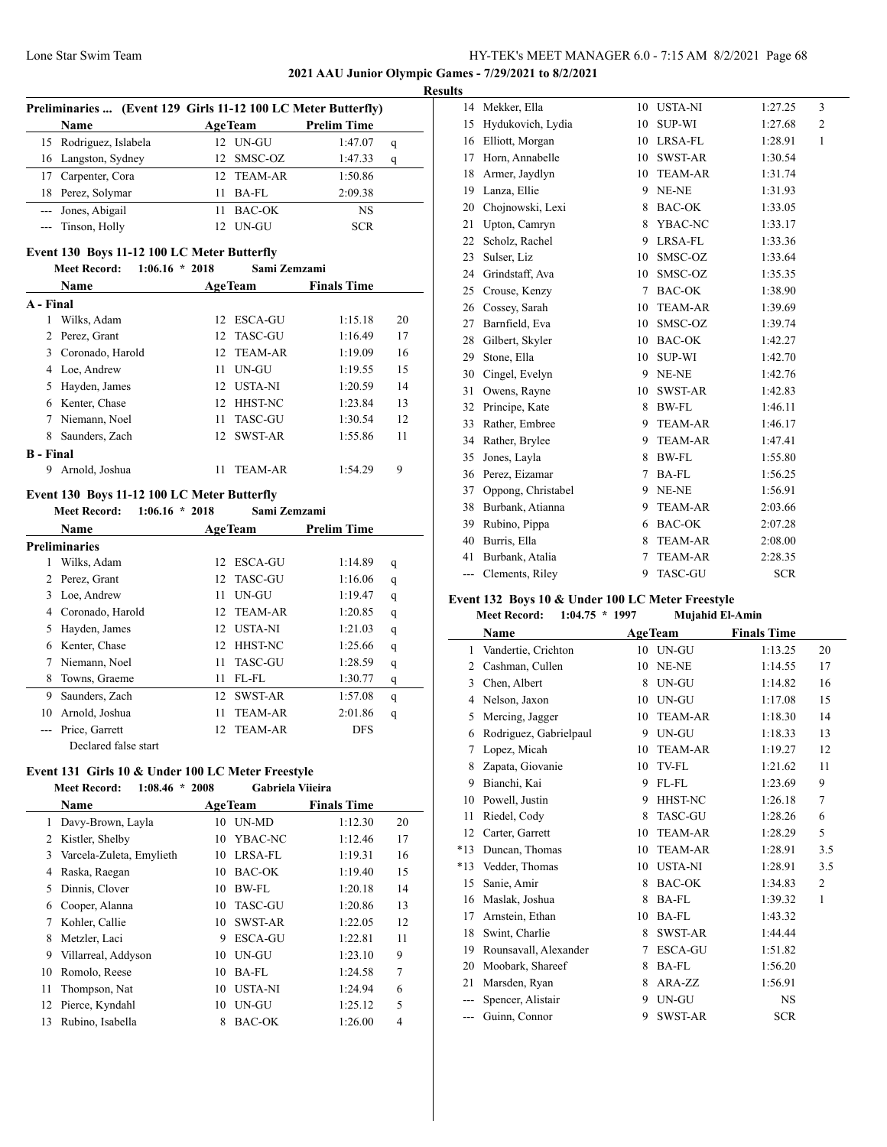**2021 AAU Junior Olympic Games - 7/29/2021 to 8/2/2021**

|                  |                                                                    |                  |                |                    | <b>Results</b> |
|------------------|--------------------------------------------------------------------|------------------|----------------|--------------------|----------------|
|                  | Preliminaries  (Event 129 Girls 11-12 100 LC Meter Butterfly)      |                  |                |                    |                |
|                  | <b>Name</b>                                                        |                  | <b>AgeTeam</b> | <b>Prelim Time</b> |                |
| 15               | Rodriguez, Islabela                                                |                  | 12 UN-GU       | 1:47.07            | q              |
| 16               | Langston, Sydney                                                   | 12               | SMSC-OZ        | 1:47.33            | q              |
| 17               | Carpenter, Cora                                                    |                  | 12 TEAM-AR     | 1:50.86            |                |
| 18               | Perez, Solymar                                                     | 11               | <b>BA-FL</b>   | 2:09.38            |                |
| ---              | Jones, Abigail                                                     | 11               | BAC-OK         | <b>NS</b>          |                |
|                  | Tinson, Holly                                                      | 12               | UN-GU          | <b>SCR</b>         |                |
|                  | Event 130 Boys 11-12 100 LC Meter Butterfly                        |                  |                |                    |                |
|                  | <b>Meet Record:</b>                                                | $1:06.16 * 2018$ | Sami Zemzami   |                    |                |
|                  | Name                                                               |                  | <b>AgeTeam</b> | <b>Finals Time</b> |                |
| A - Final        |                                                                    |                  |                |                    |                |
| 1                | Wilks, Adam                                                        | 12               | ESCA-GU        | 1:15.18            | 20             |
| 2                | Perez, Grant                                                       | 12.              | <b>TASC-GU</b> | 1:16.49            | 17             |
| 3                | Coronado, Harold                                                   | 12               | <b>TEAM-AR</b> | 1:19.09            | 16             |
| 4                | Loe, Andrew                                                        | 11               | UN-GU          | 1:19.55            | 15             |
| 5                | Hayden, James                                                      | 12               | USTA-NI        | 1:20.59            | 14             |
| 6                | Kenter, Chase                                                      | 12 <sup>12</sup> | HHST-NC        | 1:23.84            | 13             |
| 7                | Niemann, Noel                                                      | 11               | TASC-GU        | 1:30.54            | 12             |
| 8                | Saunders, Zach                                                     | 12               | SWST-AR        | 1:55.86            | 11             |
| <b>B</b> - Final |                                                                    |                  |                |                    |                |
|                  | 9 Arnold, Joshua                                                   | 11               | <b>TEAM-AR</b> | 1:54.29            | 9              |
|                  |                                                                    |                  |                |                    |                |
|                  | Event 130 Boys 11-12 100 LC Meter Butterfly<br><b>Meet Record:</b> | $1:06.16 * 2018$ | Sami Zemzami   |                    |                |
|                  | <b>Name</b>                                                        |                  | <b>AgeTeam</b> | <b>Prelim Time</b> |                |
|                  |                                                                    |                  |                |                    |                |

|    | <b>Name</b>          |     | <b>AgeTeam</b> | <b>Prelim Time</b> |   |
|----|----------------------|-----|----------------|--------------------|---|
|    | <b>Preliminaries</b> |     |                |                    |   |
| 1  | Wilks, Adam          | 12  | <b>ESCA-GU</b> | 1:14.89            | q |
| 2  | Perez, Grant         |     | 12 TASC-GU     | 1:16.06            | q |
| 3  | Loe, Andrew          | 11  | UN-GU          | 1:19.47            | q |
| 4  | Coronado, Harold     | 12. | TEAM-AR        | 1:20.85            | q |
| 5  | Hayden, James        | 12. | <b>USTA-NI</b> | 1:21.03            | q |
| 6  | Kenter, Chase        | 12. | <b>HHST-NC</b> | 1:25.66            | q |
| 7  | Niemann, Noel        | 11  | <b>TASC-GU</b> | 1:28.59            | q |
| 8  | Towns, Graeme        | 11  | FL-FL          | 1:30.77            | q |
| 9  | Saunders, Zach       | 12. | <b>SWST-AR</b> | 1:57.08            | q |
| 10 | Arnold, Joshua       | 11  | <b>TEAM-AR</b> | 2:01.86            | q |
|    | Price, Garrett       | 12. | TEAM-AR        | <b>DFS</b>         |   |
|    | Declared false start |     |                |                    |   |

#### **Event 131 Girls 10 & Under 100 LC Meter Freestyle Meet Record: 1:08.46 \* 2008 Gabriela Viieira**

|    | Meet Record:<br>1:08.40<br>$\ddot{\phantom{1}}$ | 2008 | Gabriela Viieira |                    |    |  |
|----|-------------------------------------------------|------|------------------|--------------------|----|--|
|    | Name                                            |      | <b>AgeTeam</b>   | <b>Finals Time</b> |    |  |
|    | Davy-Brown, Layla                               | 10   | UN-MD            | 1:12.30            | 20 |  |
|    | Kistler, Shelby                                 | 10   | YBAC-NC          | 1:12.46            | 17 |  |
| 3  | Varcela-Zuleta, Emylieth                        | 10   | LRSA-FL          | 1:19.31            | 16 |  |
| 4  | Raska, Raegan                                   | 10   | <b>BAC-OK</b>    | 1:19.40            | 15 |  |
| 5. | Dinnis, Clover                                  | 10   | BW-FL            | 1:20.18            | 14 |  |
| 6  | Cooper, Alanna                                  | 10   | <b>TASC-GU</b>   | 1:20.86            | 13 |  |
| 7  | Kohler, Callie                                  | 10   | <b>SWST-AR</b>   | 1:22.05            | 12 |  |
| 8  | Metzler, Laci                                   | 9    | <b>ESCA-GU</b>   | 1:22.81            | 11 |  |
| 9  | Villarreal, Addyson                             | 10   | UN-GU            | 1:23.10            | 9  |  |
| 10 | Romolo, Reese                                   | 10   | BA-FL            | 1:24.58            | 7  |  |
| 11 | Thompson, Nat                                   | 10   | <b>USTA-NI</b>   | 1:24.94            | 6  |  |
| 12 | Pierce, Kyndahl                                 | 10   | UN-GU            | 1:25.12            | 5  |  |
| 13 | Rubino, Isabella                                | 8    | <b>BAC-OK</b>    | 1:26.00            | 4  |  |
|    |                                                 |      |                  |                    |    |  |

| 14  | Mekker, Ella       | 10     | <b>USTA-NI</b> | 1:27.25    | 3            |
|-----|--------------------|--------|----------------|------------|--------------|
| 15  | Hydukovich, Lydia  | 10     | SUP-WI         | 1:27.68    | 2            |
| 16  | Elliott, Morgan    | 10     | LRSA-FL        | 1:28.91    | $\mathbf{1}$ |
| 17  | Horn, Annabelle    | 10     | SWST-AR        | 1:30.54    |              |
| 18  | Armer, Jaydlyn     | 10     | <b>TEAM-AR</b> | 1:31.74    |              |
| 19  | Lanza, Ellie       | 9      | NE-NE          | 1:31.93    |              |
| 20  | Chojnowski, Lexi   | 8      | BAC-OK         | 1:33.05    |              |
| 21  | Upton, Camryn      | 8      | YBAC-NC        | 1:33.17    |              |
| 22  | Scholz, Rachel     | 9      | LRSA-FL        | 1:33.36    |              |
| 23  | Sulser, Liz        | 10     | SMSC-OZ        | 1:33.64    |              |
| 24  | Grindstaff, Ava    | 10     | SMSC-OZ        | 1:35.35    |              |
| 25  | Crouse, Kenzy      | $\tau$ | BAC-OK         | 1:38.90    |              |
| 26  | Cossey, Sarah      | 10     | <b>TEAM-AR</b> | 1:39.69    |              |
| 27  | Barnfield, Eva     | 10     | SMSC-OZ        | 1:39.74    |              |
| 28  | Gilbert, Skyler    | 10     | BAC-OK         | 1:42.27    |              |
| 29  | Stone, Ella        | 10     | <b>SUP-WI</b>  | 1:42.70    |              |
| 30  | Cingel, Evelyn     | 9      | NE-NE          | 1:42.76    |              |
| 31  | Owens, Rayne       | 10     | <b>SWST-AR</b> | 1:42.83    |              |
| 32  | Principe, Kate     | 8      | BW-FL          | 1:46.11    |              |
| 33  | Rather, Embree     | 9      | <b>TEAM-AR</b> | 1:46.17    |              |
| 34  | Rather, Brylee     | 9      | <b>TEAM-AR</b> | 1:47.41    |              |
| 35  | Jones, Layla       | 8      | BW-FL          | 1:55.80    |              |
| 36  | Perez, Eizamar     | 7      | BA-FL          | 1:56.25    |              |
| 37  | Oppong, Christabel | 9      | NE-NE          | 1:56.91    |              |
| 38  | Burbank, Atianna   | 9      | <b>TEAM-AR</b> | 2:03.66    |              |
| 39  | Rubino, Pippa      | 6      | <b>BAC-OK</b>  | 2:07.28    |              |
| 40  | Burris, Ella       | 8      | <b>TEAM-AR</b> | 2:08.00    |              |
| 41  | Burbank, Atalia    | 7      | <b>TEAM-AR</b> | 2:28.35    |              |
| --- | Clements, Riley    | 9      | <b>TASC-GU</b> | <b>SCR</b> |              |
|     |                    |        |                |            |              |

#### **Event 132 Boys 10 & Under 100 LC Meter Freestyle Meet Record: 1:04.75 \* 1997 Mujahid El-Amin**

|       | Name                   |    | <b>AgeTeam</b> | <b>Finals Time</b> |     |
|-------|------------------------|----|----------------|--------------------|-----|
| 1     | Vandertie, Crichton    |    | 10 UN-GU       | 1:13.25            | 20  |
| 2     | Cashman, Cullen        | 10 | NE-NE          | 1:14.55            | 17  |
| 3     | Chen, Albert           | 8  | UN-GU          | 1:14.82            | 16  |
| 4     | Nelson, Jaxon          | 10 | UN-GU          | 1:17.08            | 15  |
| 5     | Mercing, Jagger        | 10 | <b>TEAM-AR</b> | 1:18.30            | 14  |
| 6     | Rodriguez, Gabrielpaul | 9  | UN-GU          | 1:18.33            | 13  |
| 7     | Lopez, Micah           | 10 | <b>TEAM-AR</b> | 1:19.27            | 12  |
| 8     | Zapata, Giovanie       | 10 | TV-FL          | 1:21.62            | 11  |
| 9     | Bianchi, Kai           | 9  | FL-FL          | 1:23.69            | 9   |
| 10    | Powell, Justin         | 9  | HHST-NC        | 1:26.18            | 7   |
| 11    | Riedel, Cody           | 8  | <b>TASC-GU</b> | 1:28.26            | 6   |
| 12    | Carter, Garrett        | 10 | <b>TEAM-AR</b> | 1:28.29            | 5   |
| $*13$ | Duncan, Thomas         | 10 | <b>TEAM-AR</b> | 1:28.91            | 3.5 |
| $*13$ | Vedder, Thomas         | 10 | <b>USTA-NI</b> | 1:28.91            | 3.5 |
| 15    | Sanie, Amir            | 8  | <b>BAC-OK</b>  | 1:34.83            | 2   |
| 16    | Maslak, Joshua         | 8  | $BA-FL$        | 1:39.32            | 1   |
| 17    | Arnstein, Ethan        | 10 | $BA-FL$        | 1:43.32            |     |
| 18    | Swint, Charlie         | 8  | SWST-AR        | 1:44.44            |     |
| 19    | Rounsavall, Alexander  | 7  | <b>ESCA-GU</b> | 1:51.82            |     |
| 20    | Moobark, Shareef       | 8  | BA-FL          | 1:56.20            |     |
| 21    | Marsden, Ryan          | 8  | ARA-ZZ         | 1:56.91            |     |
| ---   | Spencer, Alistair      | 9  | <b>UN-GU</b>   | <b>NS</b>          |     |
|       | Guinn, Connor          | 9  | <b>SWST-AR</b> | <b>SCR</b>         |     |
|       |                        |    |                |                    |     |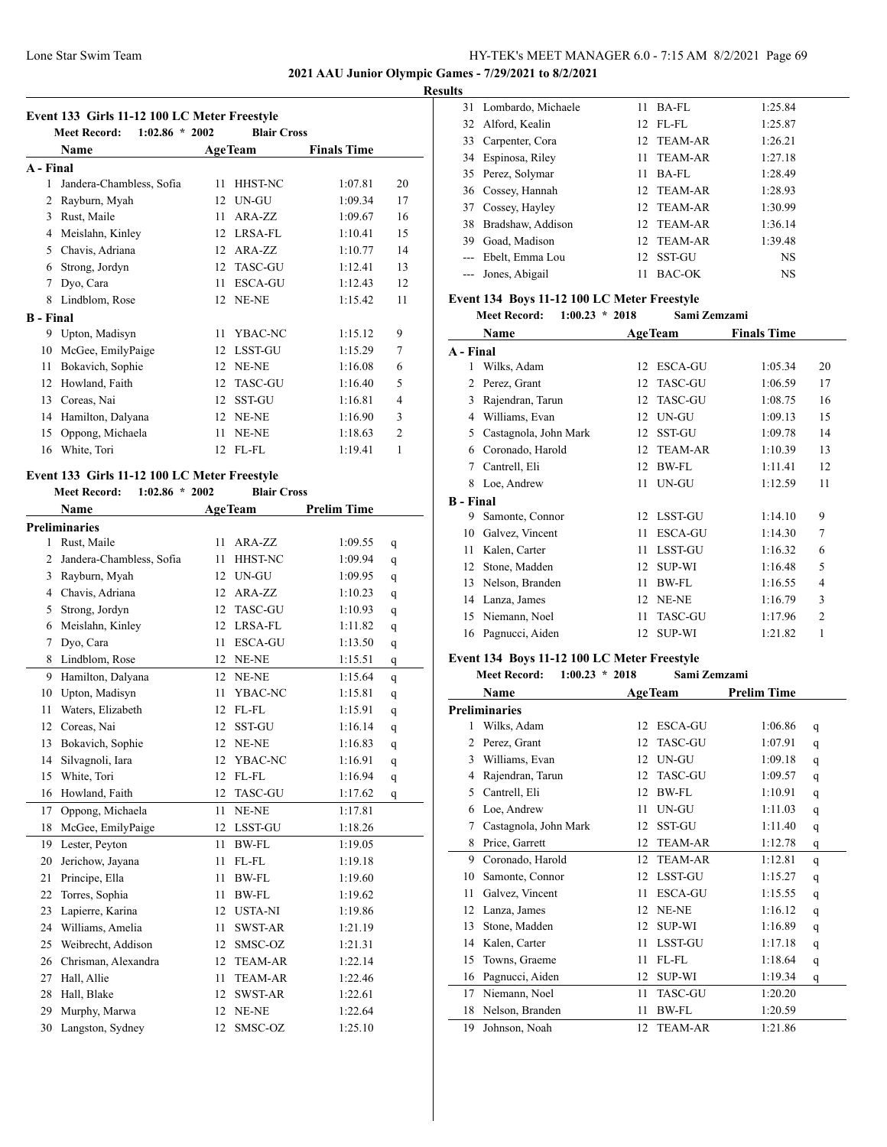**2021 AAU Junior Olympic Games - 7/29/2021 to 8/2/2021**

#### **Results**

|  |  | Event 133 Girls 11-12 100 LC Meter Freestyle |  |
|--|--|----------------------------------------------|--|
|--|--|----------------------------------------------|--|

|                  | $1:02.86 * 2002$<br><b>Meet Record:</b> |    | <b>Blair Cross</b> |                    |                |
|------------------|-----------------------------------------|----|--------------------|--------------------|----------------|
|                  | <b>Name</b>                             |    | <b>AgeTeam</b>     | <b>Finals Time</b> |                |
| A - Final        |                                         |    |                    |                    |                |
| 1                | Jandera-Chambless, Sofia                | 11 | HHST-NC            | 1:07.81            | 20             |
| 2                | Rayburn, Myah                           | 12 | UN-GU              | 1:09.34            | 17             |
| 3                | Rust, Maile                             | 11 | ARA-ZZ             | 1:09.67            | 16             |
| 4                | Meislahn, Kinley                        | 12 | LRSA-FL            | 1:10.41            | 15             |
| 5                | Chavis, Adriana                         | 12 | ARA-ZZ             | 1:10.77            | 14             |
| 6                | Strong, Jordyn                          | 12 | <b>TASC-GU</b>     | 1:12.41            | 13             |
| 7                | Dyo, Cara                               | 11 | <b>ESCA-GU</b>     | 1:12.43            | 12             |
| 8                | Lindblom, Rose                          | 12 | NE-NE              | 1:15.42            | 11             |
| <b>B</b> - Final |                                         |    |                    |                    |                |
| 9                | Upton, Madisyn                          | 11 | YBAC-NC            | 1:15.12            | 9              |
| 10               | McGee, EmilyPaige                       | 12 | <b>LSST-GU</b>     | 1:15.29            | $\overline{7}$ |
| 11               | Bokavich, Sophie                        | 12 | NE-NE              | 1:16.08            | 6              |
| 12               | Howland, Faith                          | 12 | <b>TASC-GU</b>     | 1:16.40            | 5              |
| 13               | Coreas, Nai                             | 12 | <b>SST-GU</b>      | 1:16.81            | $\overline{4}$ |
| 14               | Hamilton, Dalyana                       | 12 | NE-NE              | 1:16.90            | 3              |
| 15               | Oppong, Michaela                        | 11 | NE-NE              | 1:18.63            | $\overline{2}$ |
| 16               | White, Tori                             | 12 | FL-FL              | 1:19.41            | 1              |
|                  |                                         |    |                    |                    |                |

# **Event 133 Girls 11-12 100 LC Meter Freestyle**

**Meet Record: 1:02.86 \* 2002 Blair Cross**

|                | Name                     | <b>AgeTeam</b> |                | <b>Prelim Time</b> |   |
|----------------|--------------------------|----------------|----------------|--------------------|---|
|                | <b>Preliminaries</b>     |                |                |                    |   |
| 1              | Rust, Maile              | 11             | ARA-ZZ         | 1:09.55            | q |
| $\overline{2}$ | Jandera-Chambless, Sofia | 11             | <b>HHST-NC</b> | 1:09.94            | q |
| 3              | Rayburn, Myah            | 12             | UN-GU          | 1:09.95            | q |
| 4              | Chavis, Adriana          | 12             | ARA-ZZ         | 1:10.23            | q |
| 5              | Strong, Jordyn           | 12             | <b>TASC-GU</b> | 1:10.93            | q |
| 6              | Meislahn, Kinley         | 12             | LRSA-FL        | 1:11.82            | q |
| $\overline{7}$ | Dyo, Cara                | 11             | <b>ESCA-GU</b> | 1:13.50            | q |
| 8              | Lindblom, Rose           | 12             | NE-NE          | 1:15.51            | q |
| 9              | Hamilton, Dalyana        | 12             | NE-NE          | 1:15.64            | q |
| 10             | Upton, Madisyn           | 11             | YBAC-NC        | 1:15.81            | q |
| 11             | Waters, Elizabeth        | 12             | FL-FL          | 1:15.91            | q |
| 12             | Coreas, Nai              | 12             | SST-GU         | 1:16.14            | q |
| 13             | Bokavich, Sophie         | 12             | NE-NE          | 1:16.83            | q |
| 14             | Silvagnoli, Iara         | 12             | YBAC-NC        | 1:16.91            | q |
| 15             | White, Tori              | 12             | FL-FL          | 1:16.94            | q |
| 16             | Howland, Faith           | 12             | <b>TASC-GU</b> | 1:17.62            | q |
| 17             | Oppong, Michaela         | 11             | NE-NE          | 1:17.81            |   |
| 18             | McGee, EmilyPaige        | 12             | LSST-GU        | 1:18.26            |   |
| 19             | Lester, Peyton           | 11             | <b>BW-FL</b>   | 1:19.05            |   |
| 20             | Jerichow, Jayana         | 11             | FL-FL          | 1:19.18            |   |
| 21             | Principe, Ella           | 11             | BW-FL          | 1:19.60            |   |
| 22             | Torres, Sophia           | 11             | <b>BW-FL</b>   | 1:19.62            |   |
| 23             | Lapierre, Karina         | 12             | <b>USTA-NI</b> | 1:19.86            |   |
| 24             | Williams, Amelia         | 11             | <b>SWST-AR</b> | 1:21.19            |   |
| 25             | Weibrecht, Addison       | 12             | SMSC-OZ        | 1:21.31            |   |
| 26             | Chrisman, Alexandra      | 12             | <b>TEAM-AR</b> | 1:22.14            |   |
| 27             | Hall, Allie              | 11             | <b>TEAM-AR</b> | 1:22.46            |   |
| 28             | Hall, Blake              | 12             | <b>SWST-AR</b> | 1:22.61            |   |
| 29             | Murphy, Marwa            | 12             | NE-NE          | 1:22.64            |   |
| 30             | Langston, Sydney         | 12             | SMSC-OZ        | 1:25.10            |   |

|       | 31 Lombardo, Michaele | 11 | BA-FL          | 1:25.84   |
|-------|-----------------------|----|----------------|-----------|
|       | 32 Alford, Kealin     |    | $12$ FL-FL     | 1:25.87   |
|       | 33 Carpenter, Cora    |    | 12 TEAM-AR     | 1:26.21   |
|       | 34 Espinosa, Riley    | 11 | <b>TEAM-AR</b> | 1:27.18   |
|       | 35 Perez, Solymar     | 11 | $BA-FL$        | 1:28.49   |
|       | 36 Cossey, Hannah     |    | 12 TEAM-AR     | 1:28.93   |
|       | 37 Cossey, Hayley     |    | 12 TEAM-AR     | 1:30.99   |
| 38    | Bradshaw, Addison     |    | 12 TEAM-AR     | 1:36.14   |
| 39    | Goad, Madison         |    | 12 TEAM-AR     | 1:39.48   |
| $---$ | Ebelt, Emma Lou       |    | 12 SST-GU      | <b>NS</b> |
|       | --- Jones, Abigail    | 11 | <b>BAC-OK</b>  | NS        |

# **Event 134 Boys 11-12 100 LC Meter Freestyle<br>Meet Record:** 1:00.23 \* 2018 Sami Ze

|                  | $1:00.23 * 2018$<br><b>Meet Record:</b> |    | Sami Zemzami   |                    |                |
|------------------|-----------------------------------------|----|----------------|--------------------|----------------|
|                  | Name                                    |    | <b>AgeTeam</b> | <b>Finals Time</b> |                |
| A - Final        |                                         |    |                |                    |                |
| 1                | Wilks, Adam                             | 12 | <b>ESCA-GU</b> | 1:05.34            | 20             |
| 2                | Perez, Grant                            | 12 | <b>TASC-GU</b> | 1:06.59            | 17             |
| 3                | Rajendran, Tarun                        | 12 | <b>TASC-GU</b> | 1:08.75            | 16             |
| 4                | Williams, Evan                          | 12 | UN-GU          | 1:09.13            | 15             |
| 5                | Castagnola, John Mark                   | 12 | <b>SST-GU</b>  | 1:09.78            | 14             |
| 6                | Coronado, Harold                        | 12 | <b>TEAM-AR</b> | 1:10.39            | 13             |
| 7                | Cantrell, Eli                           | 12 | BW-FL          | 1:11.41            | 12             |
| 8                | Loe, Andrew                             | 11 | UN-GU          | 1:12.59            | 11             |
| <b>B</b> - Final |                                         |    |                |                    |                |
| 9                | Samonte, Connor                         | 12 | <b>LSST-GU</b> | 1:14.10            | 9              |
| 10               | Galvez, Vincent                         | 11 | <b>ESCA-GU</b> | 1:14.30            | 7              |
| 11               | Kalen, Carter                           | 11 | <b>LSST-GU</b> | 1:16.32            | 6              |
| 12               | Stone, Madden                           | 12 | <b>SUP-WI</b>  | 1:16.48            | 5              |
| 13               | Nelson, Branden                         | 11 | BW-FL          | 1:16.55            | 4              |
| 14               | Lanza, James                            | 12 | NE-NE          | 1:16.79            | 3              |
| 15               | Niemann, Noel                           | 11 | <b>TASC-GU</b> | 1:17.96            | $\overline{2}$ |
| 16               | Pagnucci, Aiden                         | 12 | <b>SUP-WI</b>  | 1:21.82            | 1              |
|                  |                                         |    |                |                    |                |

## **Event 134 Boys 11-12 100 LC Meter Freestyle**

**Meet Record: 1:00.23 \* 2018 Sami Zemzami**

|    | Name                  | <b>AgeTeam</b>       | <b>Prelim Time</b> |              |
|----|-----------------------|----------------------|--------------------|--------------|
|    | Preliminaries         |                      |                    |              |
| 1  | Wilks, Adam           | <b>ESCA-GU</b><br>12 | 1:06.86            | q            |
| 2  | Perez, Grant          | <b>TASC-GU</b><br>12 | 1:07.91            | q            |
| 3  | Williams, Evan        | UN-GU<br>12          | 1:09.18            | q            |
| 4  | Rajendran, Tarun      | <b>TASC-GU</b><br>12 | 1:09.57            | q            |
| 5  | Cantrell, Eli         | <b>BW-FL</b><br>12   | 1:10.91            | q            |
| 6  | Loe, Andrew           | UN-GU<br>11          | 1:11.03            | q            |
| 7  | Castagnola, John Mark | <b>SST-GU</b><br>12  | 1:11.40            | q            |
| 8  | Price, Garrett        | <b>TEAM-AR</b><br>12 | 1:12.78            | q            |
| 9  | Coronado, Harold      | <b>TEAM-AR</b><br>12 | 1:12.81            | $\mathsf{q}$ |
| 10 | Samonte, Connor       | <b>LSST-GU</b><br>12 | 1:15.27            | q            |
| 11 | Galvez, Vincent       | <b>ESCA-GU</b><br>11 | 1:15.55            | q            |
| 12 | Lanza, James          | NE-NE<br>12          | 1:16.12            | q            |
| 13 | Stone, Madden         | <b>SUP-WI</b><br>12  | 1:16.89            | q            |
| 14 | Kalen, Carter         | <b>LSST-GU</b><br>11 | 1:17.18            | q            |
| 15 | Towns, Graeme         | FL-FL<br>11          | 1:18.64            | q            |
| 16 | Pagnucci, Aiden       | 12<br><b>SUP-WI</b>  | 1:19.34            | q            |
| 17 | Niemann, Noel         | <b>TASC-GU</b><br>11 | 1:20.20            |              |
| 18 | Nelson, Branden       | BW-FL<br>11          | 1:20.59            |              |
| 19 | Johnson, Noah         | <b>TEAM-AR</b><br>12 | 1:21.86            |              |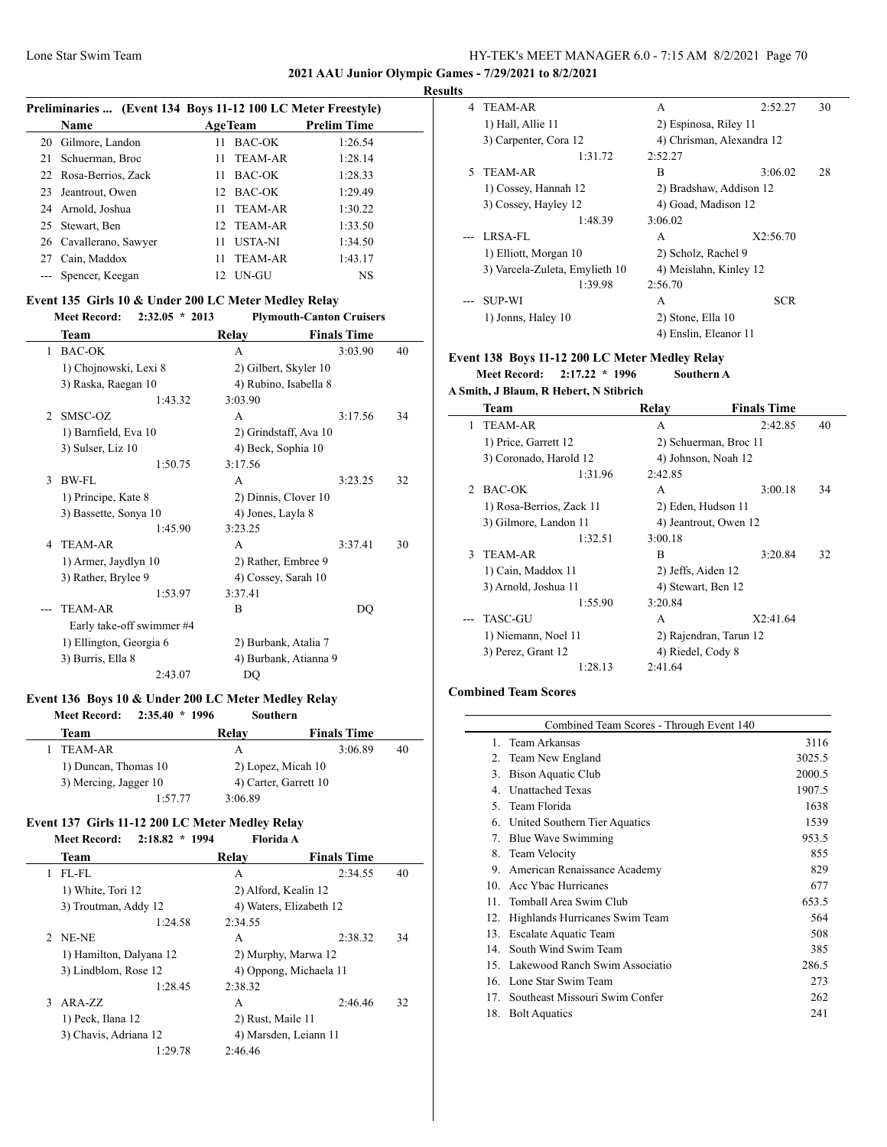#### **2021 AAU Junior Olympic Games - 7/29/2021 to 8/2/2021**

#### **Results**

 $\overline{\phantom{a}}$ 

| Preliminaries  (Event 134 Boys 11-12 100 LC Meter Freestyle) |                        |                  |                |                    |  |
|--------------------------------------------------------------|------------------------|------------------|----------------|--------------------|--|
|                                                              | Name                   |                  | <b>AgeTeam</b> | <b>Prelim Time</b> |  |
|                                                              | 20 Gilmore, Landon     | 11.              | BAC-OK         | 1:26.54            |  |
|                                                              | 21 Schuerman, Broc     |                  | 11 TEAM-AR     | 1:28.14            |  |
|                                                              | 22 Rosa-Berrios, Zack  | 11.              | BAC-OK         | 1:28.33            |  |
| 23                                                           | Jeantrout, Owen        | 12 <sup>12</sup> | BAC-OK         | 1:29.49            |  |
|                                                              | 24 Arnold, Joshua      |                  | 11 TEAM-AR     | 1:30.22            |  |
|                                                              | 25 Stewart, Ben        |                  | 12 TEAM-AR     | 1:33.50            |  |
|                                                              | 26 Cavallerano, Sawyer | 11               | <b>USTA-NI</b> | 1:34.50            |  |
|                                                              | 27 Cain, Maddox        | 11               | <b>TEAM-AR</b> | 1:43.17            |  |
|                                                              | --- Spencer, Keegan    | 12.              | UN-GU          | NS                 |  |

# **Event 135 Girls 10 & Under 200 LC Meter Medley Relay**

| <b>Meet Record:</b><br>$2:32.05 * 2013$ |                       | <b>Plymouth-Canton Cruisers</b> |    |
|-----------------------------------------|-----------------------|---------------------------------|----|
| Team                                    | Relay                 | <b>Finals Time</b>              |    |
| <b>BAC-OK</b><br>1                      | A                     | 3:03.90                         | 40 |
| 1) Chojnowski, Lexi 8                   | 2) Gilbert, Skyler 10 |                                 |    |
| 3) Raska, Raegan 10                     | 4) Rubino, Isabella 8 |                                 |    |
| 1:43.32                                 | 3:03.90               |                                 |    |
| SMSC-OZ<br>$\mathfrak{D}$               | A                     | 3:17.56                         | 34 |
| 1) Barnfield, Eva 10                    | 2) Grindstaff, Ava 10 |                                 |    |
| 3) Sulser, Liz 10                       | 4) Beck, Sophia 10    |                                 |    |
| 1:50.75                                 | 3:17.56               |                                 |    |
| BW-FL<br>3                              | A                     | 3:23.25                         | 32 |
| 1) Principe, Kate 8                     | 2) Dinnis, Clover 10  |                                 |    |
| 3) Bassette, Sonya 10                   | 4) Jones, Layla 8     |                                 |    |
| 1:45.90                                 | 3:23.25               |                                 |    |
| <b>TEAM-AR</b><br>4                     | A                     | 3:37.41                         | 30 |
| 1) Armer, Jaydlyn 10                    | 2) Rather, Embree 9   |                                 |    |
| 3) Rather, Brylee 9                     | 4) Cossey, Sarah 10   |                                 |    |
| 1:53.97                                 | 3:37.41               |                                 |    |
| <b>TEAM-AR</b>                          | B                     | DQ                              |    |
| Early take-off swimmer #4               |                       |                                 |    |
| 1) Ellington, Georgia 6                 | 2) Burbank, Atalia 7  |                                 |    |
| 3) Burris, Ella 8                       | 4) Burbank, Atianna 9 |                                 |    |
| 2:43.07                                 | DQ                    |                                 |    |

#### **Event 136 Boys 10 & Under 200 LC Meter Medley Relay**

**Meet Record: 2:35.40 \* 1996 Southern**

| Team                  | Relay   | <b>Finals Time</b>    |    |
|-----------------------|---------|-----------------------|----|
| TEAM-AR               | А       | 3:06.89               | 40 |
| 1) Duncan, Thomas 10  |         | 2) Lopez, Micah 10    |    |
| 3) Mercing, Jagger 10 |         | 4) Carter, Garrett 10 |    |
| 1.5777                | 3:06.89 |                       |    |

# **Event 137 Girls 11-12 200 LC Meter Medley Relay**

**Meet Record: 2:18.82 \* 1994 Florida A**

|   | <b>Team</b>             | Relay             | <b>Finals Time</b>      |    |
|---|-------------------------|-------------------|-------------------------|----|
| 1 | FL-FL                   | A                 | 2:34.55                 | 40 |
|   | 1) White, Tori 12       |                   | 2) Alford, Kealin 12    |    |
|   | 3) Troutman, Addy 12    |                   | 4) Waters, Elizabeth 12 |    |
|   | 1:24.58                 | 2:34.55           |                         |    |
|   | 2 NE-NE                 | A                 | 2:38.32                 | 34 |
|   | 1) Hamilton, Dalyana 12 |                   | 2) Murphy, Marwa 12     |    |
|   | 3) Lindblom, Rose 12    |                   | 4) Oppong, Michaela 11  |    |
|   | 1:28.45                 | 2:38.32           |                         |    |
|   | $ARA-ZZ$                | A                 | 2:46.46                 | 32 |
|   | 1) Peck, Ilana 12       | 2) Rust, Maile 11 |                         |    |
|   | 3) Chavis, Adriana 12   |                   | 4) Marsden, Leiann 11   |    |
|   | 1:29.78                 | 2:46.46           |                         |    |

| 4 TEAM-AR                      | A                         | 2:52.27  | 30 |
|--------------------------------|---------------------------|----------|----|
| 1) Hall, Allie 11              | 2) Espinosa, Riley 11     |          |    |
| 3) Carpenter, Cora 12          | 4) Chrisman, Alexandra 12 |          |    |
| 1:31.72                        | 2:52.27                   |          |    |
| 5 TEAM-AR                      | R                         | 3:06.02  | 28 |
| 1) Cossey, Hannah 12           | 2) Bradshaw, Addison 12   |          |    |
| 3) Cossey, Hayley 12           | 4) Goad, Madison 12       |          |    |
| 1:48.39                        | 3:06.02                   |          |    |
| LRSA-FL                        | A                         | X2:56.70 |    |
| 1) Elliott, Morgan 10          | 2) Scholz, Rachel 9       |          |    |
| 3) Varcela-Zuleta, Emylieth 10 | 4) Meislahn, Kinley 12    |          |    |
| 1:39.98                        | 2:56.70                   |          |    |
| SUP-WI                         | A                         | SCR      |    |
| 1) Jonns, Haley 10             | 2) Stone, Ella 10         |          |    |
|                                | 4) Enslin, Eleanor 11     |          |    |

# **Event 138 Boys 11-12 200 LC Meter Medley Relay Meet Record: 2:17.22 \* 1996 Southern A**

# **A Smith, J Blaum, R Hebert, N Stibrich**

|               | Team                     | Relay                  | <b>Finals Time</b> |    |
|---------------|--------------------------|------------------------|--------------------|----|
| 1             | <b>TEAM-AR</b>           | A                      | 2:42.85            | 40 |
|               | 1) Price, Garrett 12     | 2) Schuerman, Broc 11  |                    |    |
|               | 3) Coronado, Harold 12   | 4) Johnson, Noah 12    |                    |    |
|               | 1:31.96                  | 2:42.85                |                    |    |
| $\mathcal{D}$ | <b>BAC-OK</b>            | A                      | 3:00.18            | 34 |
|               | 1) Rosa-Berrios, Zack 11 | 2) Eden, Hudson 11     |                    |    |
|               | 3) Gilmore, Landon 11    | 4) Jeantrout, Owen 12  |                    |    |
|               | 1:32.51                  | 3:00.18                |                    |    |
| $\mathcal{F}$ | <b>TEAM-AR</b>           | B                      | 3:20.84            | 32 |
|               | 1) Cain, Maddox 11       | 2) Jeffs, Aiden 12     |                    |    |
|               | 3) Arnold, Joshua 11     | 4) Stewart, Ben 12     |                    |    |
|               | 1:55.90                  | 3:20.84                |                    |    |
|               | <b>TASC-GU</b>           | A                      | X2:41.64           |    |
|               | 1) Niemann, Noel 11      | 2) Rajendran, Tarun 12 |                    |    |
|               | 3) Perez, Grant 12       | 4) Riedel, Cody 8      |                    |    |
|               | 1:28.13                  | 2:41.64                |                    |    |
|               |                          |                        |                    |    |

#### **Combined Team Scores**

| Combined Team Scores - Through Event 140 |                                |        |  |  |
|------------------------------------------|--------------------------------|--------|--|--|
| 1                                        | Team Arkansas                  | 3116   |  |  |
| 2.                                       | Team New England               | 3025.5 |  |  |
| 3.                                       | Bison Aquatic Club             | 2000.5 |  |  |
| 4                                        | <b>Unattached Texas</b>        | 1907.5 |  |  |
| 5.                                       | Team Florida                   | 1638   |  |  |
| 6.                                       | United Southern Tier Aquatics  | 1539   |  |  |
| $7_{\cdot}$                              | Blue Wave Swimming             | 953.5  |  |  |
| 8.                                       | Team Velocity                  | 855    |  |  |
| 9.                                       | American Renaissance Academy   | 829    |  |  |
| 10.                                      | Acc Ybac Hurricanes            | 677    |  |  |
| 11                                       | Tomball Area Swim Club         | 653.5  |  |  |
| 12.                                      | Highlands Hurricanes Swim Team | 564    |  |  |
| 13.                                      | Escalate Aquatic Team          | 508    |  |  |
| 14                                       | South Wind Swim Team           | 385    |  |  |
| 15.                                      | Lakewood Ranch Swim Associatio | 286.5  |  |  |
| 16.                                      | Lone Star Swim Team            | 273    |  |  |
| 17                                       | Southeast Missouri Swim Confer | 262    |  |  |
| 18.                                      | <b>Bolt Aquatics</b>           | 241    |  |  |